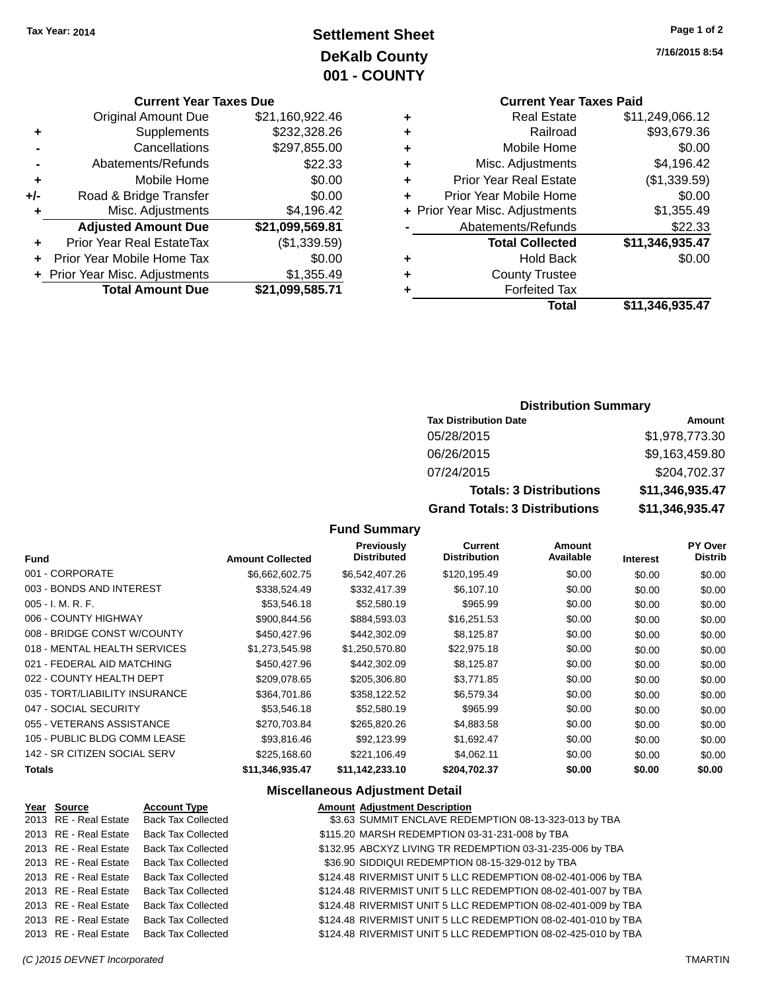## **Settlement Sheet Tax Year: 2014 Page 1 of 2 DeKalb County 001 - COUNTY**

### **Current Year Taxes Due**

|     | + Prior Year Misc. Adjustments   | \$1,355.49      |
|-----|----------------------------------|-----------------|
|     | Prior Year Mobile Home Tax       | \$0.00          |
|     | <b>Prior Year Real EstateTax</b> | (\$1,339.59)    |
|     | <b>Adjusted Amount Due</b>       | \$21,099,569.81 |
| ٠   | Misc. Adjustments                | \$4,196.42      |
| +/- | Road & Bridge Transfer           | \$0.00          |
| ٠   | Mobile Home                      | \$0.00          |
|     | Abatements/Refunds               | \$22.33         |
|     | Cancellations                    | \$297,855.00    |
| ٠   | Supplements                      | \$232,328.26    |
|     | <b>Original Amount Due</b>       | \$21,160,922.46 |

# **Current Year Taxes Paid**

|   | <b>Total</b>                   | \$11,346,935.47 |
|---|--------------------------------|-----------------|
| ٠ | <b>Forfeited Tax</b>           |                 |
| ٠ | <b>County Trustee</b>          |                 |
| ٠ | <b>Hold Back</b>               | \$0.00          |
|   | <b>Total Collected</b>         | \$11,346,935.47 |
|   | Abatements/Refunds             | \$22.33         |
|   | + Prior Year Misc. Adjustments | \$1,355.49      |
| ٠ | Prior Year Mobile Home         | \$0.00          |
| ٠ | <b>Prior Year Real Estate</b>  | (\$1,339.59)    |
| ٠ | Misc. Adjustments              | \$4,196.42      |
| ٠ | Mobile Home                    | \$0.00          |
| ٠ | Railroad                       | \$93,679.36     |
| ٠ | <b>Real Estate</b>             | \$11,249,066.12 |

## **Distribution Summary**

| <b>Tax Distribution Date</b>         | Amount          |
|--------------------------------------|-----------------|
| 05/28/2015                           | \$1,978,773.30  |
| 06/26/2015                           | \$9,163,459.80  |
| 07/24/2015                           | \$204,702.37    |
| <b>Totals: 3 Distributions</b>       | \$11,346,935.47 |
| <b>Grand Totals: 3 Distributions</b> | \$11,346,935.47 |

## **Fund Summary**

| <b>Fund</b>                    | <b>Amount Collected</b> | <b>Previously</b><br><b>Distributed</b> | Current<br><b>Distribution</b> | Amount<br>Available | <b>Interest</b> | <b>PY Over</b><br><b>Distrib</b> |
|--------------------------------|-------------------------|-----------------------------------------|--------------------------------|---------------------|-----------------|----------------------------------|
| 001 - CORPORATE                | \$6,662,602.75          | \$6,542,407.26                          | \$120,195.49                   | \$0.00              | \$0.00          | \$0.00                           |
| 003 - BONDS AND INTEREST       | \$338,524.49            | \$332,417.39                            | \$6,107.10                     | \$0.00              | \$0.00          | \$0.00                           |
| 005 - I. M. R. F.              | \$53,546.18             | \$52,580.19                             | \$965.99                       | \$0.00              | \$0.00          | \$0.00                           |
| 006 - COUNTY HIGHWAY           | \$900,844.56            | \$884,593.03                            | \$16,251.53                    | \$0.00              | \$0.00          | \$0.00                           |
| 008 - BRIDGE CONST W/COUNTY    | \$450,427.96            | \$442,302.09                            | \$8,125.87                     | \$0.00              | \$0.00          | \$0.00                           |
| 018 - MENTAL HEALTH SERVICES   | \$1.273.545.98          | \$1,250,570.80                          | \$22.975.18                    | \$0.00              | \$0.00          | \$0.00                           |
| 021 - FEDERAL AID MATCHING     | \$450,427.96            | \$442,302.09                            | \$8,125.87                     | \$0.00              | \$0.00          | \$0.00                           |
| 022 - COUNTY HEALTH DEPT       | \$209,078.65            | \$205,306.80                            | \$3,771.85                     | \$0.00              | \$0.00          | \$0.00                           |
| 035 - TORT/LIABILITY INSURANCE | \$364.701.86            | \$358,122.52                            | \$6,579.34                     | \$0.00              | \$0.00          | \$0.00                           |
| 047 - SOCIAL SECURITY          | \$53,546.18             | \$52,580.19                             | \$965.99                       | \$0.00              | \$0.00          | \$0.00                           |
| 055 - VETERANS ASSISTANCE      | \$270,703.84            | \$265,820.26                            | \$4,883.58                     | \$0.00              | \$0.00          | \$0.00                           |
| 105 - PUBLIC BLDG COMM LEASE   | \$93,816,46             | \$92.123.99                             | \$1,692.47                     | \$0.00              | \$0.00          | \$0.00                           |
| 142 - SR CITIZEN SOCIAL SERV   | \$225,168,60            | \$221,106.49                            | \$4,062.11                     | \$0.00              | \$0.00          | \$0.00                           |
| <b>Totals</b>                  | \$11,346,935.47         | \$11,142,233.10                         | \$204,702.37                   | \$0.00              | \$0.00          | \$0.00                           |

## **Miscellaneous Adjustment Detail**

| Year Source           | <b>Account Type</b>       | <b>Amount Adjustment Description</b>                          |
|-----------------------|---------------------------|---------------------------------------------------------------|
| 2013 RE - Real Estate | <b>Back Tax Collected</b> | \$3.63 SUMMIT ENCLAVE REDEMPTION 08-13-323-013 by TBA         |
| 2013 RE - Real Estate | <b>Back Tax Collected</b> | \$115.20 MARSH REDEMPTION 03-31-231-008 by TBA                |
| 2013 RE - Real Estate | <b>Back Tax Collected</b> | \$132.95 ABCXYZ LIVING TR REDEMPTION 03-31-235-006 by TBA     |
| 2013 RE - Real Estate | <b>Back Tax Collected</b> | \$36.90 SIDDIQUI REDEMPTION 08-15-329-012 by TBA              |
| 2013 RE - Real Estate | <b>Back Tax Collected</b> | \$124.48 RIVERMIST UNIT 5 LLC REDEMPTION 08-02-401-006 by TBA |
| 2013 RE - Real Estate | <b>Back Tax Collected</b> | \$124.48 RIVERMIST UNIT 5 LLC REDEMPTION 08-02-401-007 by TBA |
| 2013 RE - Real Estate | <b>Back Tax Collected</b> | \$124.48 RIVERMIST UNIT 5 LLC REDEMPTION 08-02-401-009 by TBA |
| 2013 RE - Real Estate | <b>Back Tax Collected</b> | \$124.48 RIVERMIST UNIT 5 LLC REDEMPTION 08-02-401-010 by TBA |
| 2013 RE - Real Estate | <b>Back Tax Collected</b> | \$124.48 RIVERMIST UNIT 5 LLC REDEMPTION 08-02-425-010 by TBA |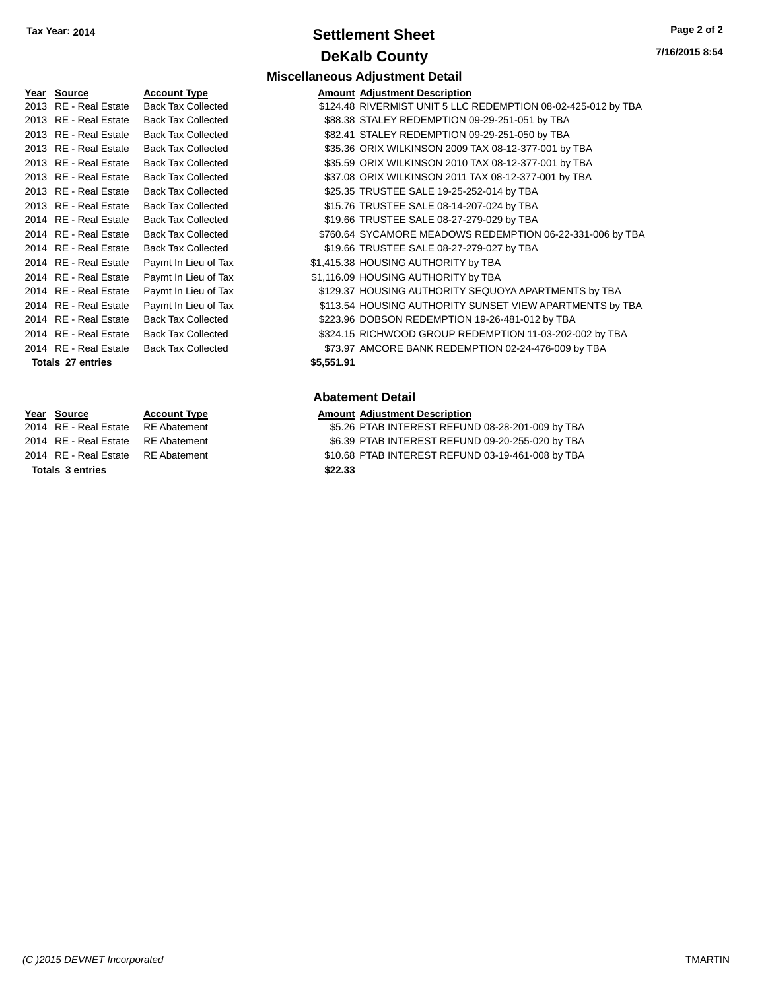## **Settlement Sheet Tax Year: 2014 Page 2 of 2 DeKalb County**

**7/16/2015 8:54**

| rear | Source           | <u>Acc</u> |
|------|------------------|------------|
| 2013 | RE - Real Estate | Bac        |
| 2013 | RE - Real Estate | Bac        |
| 2013 | RE - Real Estate | Bac        |
| 2013 | RE - Real Estate | Bac        |
| 2013 | RE - Real Estate | Bac        |
| 2013 | RE - Real Estate | Bac        |
| 2013 | RE - Real Estate | Bac        |
| 2013 | RE - Real Estate | Bac        |
| 2014 | RE - Real Estate | Bac        |
| 2014 | RE - Real Estate | Bac        |
| 2014 | RE - Real Estate | Bac        |
| 2014 | RE - Real Estate | Pay        |
| 2014 | RE - Real Estate | Pay        |
| 2014 | RE - Real Estate | Pay        |
| 2014 | RE - Real Estate | Pay        |
| 2014 | RE - Real Estate | Bac        |
| 2014 | RE - Real Estate | Bac        |
| 2014 | RE - Real Estate | Bac        |
| -    |                  |            |

**Totals \$5,551.91 27 entries**

**Totals \$22.33 3 entries**

**Miscellaneous Adjustment Detail Year Source Account Type Amount Adjustment Description** 2013 k Tax Collected **Estate State State State State State State State State State Tax Collected** State Tax Collected 2013 REAL ESTATE Y REAL AND TO SALE ASSESS TRACK Tax Collected to ASSASS STALEY REDEMPTION 09-29-251-051 by TBA 2013 Real Estate Tax Collected Captain Collected \$82.41 STALEY REDEMPTION 09-29-251-050 by TBA 2013 k Tax Collected **2013 Real Estate \$35.36 ORIX WILKINSON 2009 TAX 08-12-377-001 by TBA** 2013 REAL ESTATE REAL ESTATE REAL ESTATE REAL ESTATE REAL ESTATE STATE STATE STATE STATE STATE STATE STATE ST 2011 REAL ESTATE REAL ESTATE REAL ESTATE REAL ESTATE STATE STATE STATE STATE STATE STATE STATE STATE STATE ST 25.35 TRUSTEE SALE 19-25-252-014 by TBA 2013 k Tax Collected **2013 Real Estate State SALE 08-14-207-024 by TBA** 2014 k Tax Collected **Canadia** S19.66 TRUSTEE SALE 08-27-279-029 by TBA 2014 k Tax Collected  $$760.64$  SYCAMORE MEADOWS REDEMPTION 06-22-331-006 by TBA 2014 k Tax Collected **Canadia** S19.66 TRUSTEE SALE 08-27-279-027 by TBA 2014 mt In Lieu of Tax **Canada Estate \$1,415.38 HOUSING AUTHORITY** by TBA <sup>2</sup> The Lieu of Tax **Canadian Control Control S1,116.09 HOUSING AUTHORITY by TBA** 2014 In Lieu of Tax **Fig.2014 Real Estate State State State State State State State State State State State In Lieu of Tax** mt In Lieu of Tax  $$113.54$  HOUSING AUTHORITY SUNSET VIEW APARTMENTS by TBA 223.96 DOBSON REDEMPTION 19-26-481-012 by TBA 2021 k Tax Collected **2014 Back Tax Collected** S324.15 RICHWOOD GROUP REDEMPTION 11-03-202-002 by TBA 2014 k Tax Collected **Estate STAGE AMCORE BANK REDEMPTION 02-24-476-009 by TBA** 

#### **Abatement Detail**

## **Year Source Account Type Amount Adjustment Description**

2014 RE - Real Estate RE Abatement \$5.26 PTAB INTEREST REFUND 08-28-201-009 by TBA 2014 RE - Real Estate RE Abatement \$6.39 PTAB INTEREST REFUND 09-20-255-020 by TBA 2014 RE - Real Estate RE Abatement \$10.68 PTAB INTEREST REFUND 03-19-461-008 by TBA

*(C )2015 DEVNET Incorporated* TMARTIN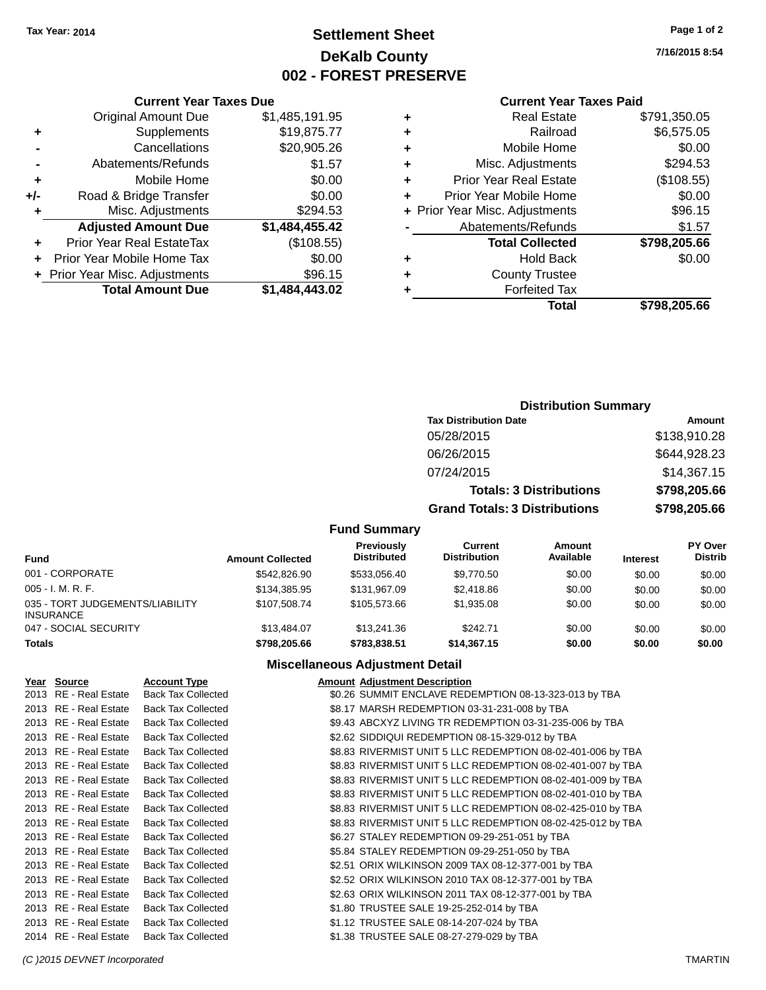## **Settlement Sheet Tax Year: 2014 Page 1 of 2 DeKalb County 002 - FOREST PRESERVE**

**7/16/2015 8:54**

#### **Current Year Taxes Paid**

|   | Total                          | \$798.205.66 |
|---|--------------------------------|--------------|
|   | <b>Forfeited Tax</b>           |              |
| ٠ | <b>County Trustee</b>          |              |
| ٠ | <b>Hold Back</b>               | \$0.00       |
|   | <b>Total Collected</b>         | \$798,205.66 |
|   | Abatements/Refunds             | \$1.57       |
|   | + Prior Year Misc. Adjustments | \$96.15      |
| ÷ | Prior Year Mobile Home         | \$0.00       |
| ٠ | <b>Prior Year Real Estate</b>  | (\$108.55)   |
| ٠ | Misc. Adjustments              | \$294.53     |
| ٠ | Mobile Home                    | \$0.00       |
| ٠ | Railroad                       | \$6,575.05   |
|   | <b>Real Estate</b>             | \$791,350.05 |

|                | <b>Current Year Taxes Due</b>  |                |  |  |
|----------------|--------------------------------|----------------|--|--|
|                | <b>Original Amount Due</b>     | \$1,485,191.95 |  |  |
| ٠              | Supplements                    | \$19,875.77    |  |  |
|                | \$20,905.26<br>Cancellations   |                |  |  |
| $\blacksquare$ | Abatements/Refunds             | \$1.57         |  |  |
| ٠              | Mobile Home                    | \$0.00         |  |  |
| +/-            | Road & Bridge Transfer         | \$0.00         |  |  |
| ٠              | Misc. Adjustments              | \$294.53       |  |  |
|                | <b>Adjusted Amount Due</b>     | \$1,484,455.42 |  |  |
| ٠              | Prior Year Real EstateTax      | (\$108.55)     |  |  |
| ٠              | Prior Year Mobile Home Tax     | \$0.00         |  |  |
|                | + Prior Year Misc. Adjustments | \$96.15        |  |  |
|                | <b>Total Amount Due</b>        | \$1,484,443.02 |  |  |

## **Distribution Summary**

| <b>Tax Distribution Date</b>         | Amount       |
|--------------------------------------|--------------|
| 05/28/2015                           | \$138,910.28 |
| 06/26/2015                           | \$644,928.23 |
| 07/24/2015                           | \$14,367.15  |
| <b>Totals: 3 Distributions</b>       | \$798,205.66 |
| <b>Grand Totals: 3 Distributions</b> | \$798,205.66 |

## **Fund Summary**

| Fund                                                | <b>Amount Collected</b> | Previously<br><b>Distributed</b> | Current<br><b>Distribution</b> | Amount<br>Available | <b>Interest</b> | <b>PY Over</b><br><b>Distrib</b> |
|-----------------------------------------------------|-------------------------|----------------------------------|--------------------------------|---------------------|-----------------|----------------------------------|
| 001 - CORPORATE                                     | \$542,826,90            | \$533.056.40                     | \$9,770.50                     | \$0.00              | \$0.00          | \$0.00                           |
| $005 - I. M. R. F.$                                 | \$134,385.95            | \$131,967.09                     | \$2,418.86                     | \$0.00              | \$0.00          | \$0.00                           |
| 035 - TORT JUDGEMENTS/LIABILITY<br><b>INSURANCE</b> | \$107.508.74            | \$105.573.66                     | \$1.935.08                     | \$0.00              | \$0.00          | \$0.00                           |
| 047 - SOCIAL SECURITY                               | \$13,484,07             | \$13,241.36                      | \$242.71                       | \$0.00              | \$0.00          | \$0.00                           |
| <b>Totals</b>                                       | \$798,205,66            | \$783,838.51                     | \$14,367.15                    | \$0.00              | \$0.00          | \$0.00                           |

## **Miscellaneous Adjustment Detail**

| Year Source           | <b>Account Type</b>       | <b>Amount Adjustment Description</b>                        |
|-----------------------|---------------------------|-------------------------------------------------------------|
| 2013 RE - Real Estate | <b>Back Tax Collected</b> | \$0.26 SUMMIT ENCLAVE REDEMPTION 08-13-323-013 by TBA       |
| 2013 RE - Real Estate | <b>Back Tax Collected</b> | \$8.17 MARSH REDEMPTION 03-31-231-008 by TBA                |
| 2013 RE - Real Estate | <b>Back Tax Collected</b> | \$9.43 ABCXYZ LIVING TR REDEMPTION 03-31-235-006 by TBA     |
| 2013 RE - Real Estate | <b>Back Tax Collected</b> | \$2.62 SIDDIQUI REDEMPTION 08-15-329-012 by TBA             |
| 2013 RE - Real Estate | <b>Back Tax Collected</b> | \$8.83 RIVERMIST UNIT 5 LLC REDEMPTION 08-02-401-006 by TBA |
| 2013 RE - Real Estate | <b>Back Tax Collected</b> | \$8.83 RIVERMIST UNIT 5 LLC REDEMPTION 08-02-401-007 by TBA |
| 2013 RE - Real Estate | <b>Back Tax Collected</b> | \$8.83 RIVERMIST UNIT 5 LLC REDEMPTION 08-02-401-009 by TBA |
| 2013 RE - Real Estate | <b>Back Tax Collected</b> | \$8.83 RIVERMIST UNIT 5 LLC REDEMPTION 08-02-401-010 by TBA |
| 2013 RE - Real Estate | <b>Back Tax Collected</b> | \$8.83 RIVERMIST UNIT 5 LLC REDEMPTION 08-02-425-010 by TBA |
| 2013 RE - Real Estate | <b>Back Tax Collected</b> | \$8.83 RIVERMIST UNIT 5 LLC REDEMPTION 08-02-425-012 by TBA |
| 2013 RE - Real Estate | <b>Back Tax Collected</b> | \$6.27 STALEY REDEMPTION 09-29-251-051 by TBA               |
| 2013 RE - Real Estate | <b>Back Tax Collected</b> | \$5.84 STALEY REDEMPTION 09-29-251-050 by TBA               |
| 2013 RE - Real Estate | <b>Back Tax Collected</b> | \$2.51 ORIX WILKINSON 2009 TAX 08-12-377-001 by TBA         |
| 2013 RE - Real Estate | <b>Back Tax Collected</b> | \$2.52 ORIX WILKINSON 2010 TAX 08-12-377-001 by TBA         |
| 2013 RE - Real Estate | <b>Back Tax Collected</b> | \$2.63 ORIX WILKINSON 2011 TAX 08-12-377-001 by TBA         |
| 2013 RE - Real Estate | <b>Back Tax Collected</b> | \$1.80 TRUSTEE SALE 19-25-252-014 by TBA                    |
| 2013 RE - Real Estate | <b>Back Tax Collected</b> | \$1.12 TRUSTEE SALE 08-14-207-024 by TBA                    |
| 2014 RE - Real Estate | <b>Back Tax Collected</b> | \$1.38 TRUSTEE SALE 08-27-279-029 by TBA                    |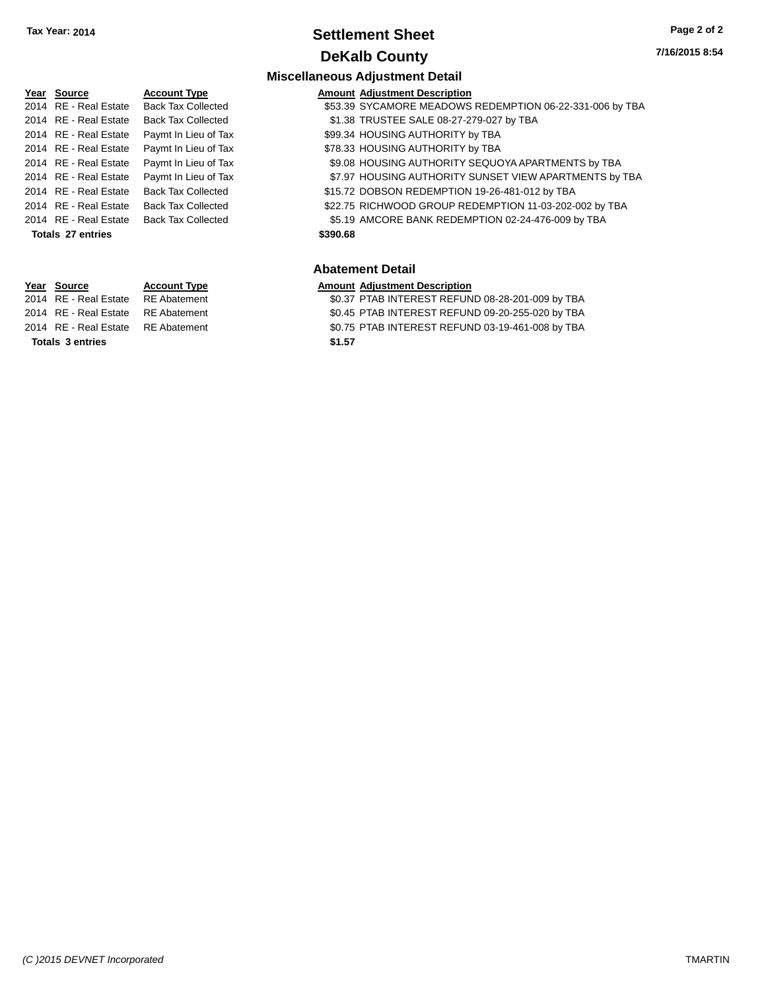## **Settlement Sheet Tax Year: 2014 Page 2 of 2 DeKalb County**

**7/16/2015 8:54**

#### **Miscellaneous Adjustment Detail**

| Year Source           | <b>Account Type</b>       |          | <b>Amount Adjustment Description</b>                     |
|-----------------------|---------------------------|----------|----------------------------------------------------------|
| 2014 RE - Real Estate | <b>Back Tax Collected</b> |          | \$53.39 SYCAMORE MEADOWS REDEMPTION 06-22-331-006 by TBA |
| 2014 RE - Real Estate | <b>Back Tax Collected</b> |          | \$1.38 TRUSTEE SALE 08-27-279-027 by TBA                 |
| 2014 RE - Real Estate | Paymt In Lieu of Tax      |          | \$99.34 HOUSING AUTHORITY by TBA                         |
| 2014 RE - Real Estate | Paymt In Lieu of Tax      |          | \$78.33 HOUSING AUTHORITY by TBA                         |
| 2014 RE - Real Estate | Paymt In Lieu of Tax      |          | \$9.08 HOUSING AUTHORITY SEQUOYA APARTMENTS by TBA       |
| 2014 RE - Real Estate | Paymt In Lieu of Tax      |          | \$7.97 HOUSING AUTHORITY SUNSET VIEW APARTMENTS by TBA   |
| 2014 RE - Real Estate | <b>Back Tax Collected</b> |          | \$15.72 DOBSON REDEMPTION 19-26-481-012 by TBA           |
| 2014 RE - Real Estate | <b>Back Tax Collected</b> |          | \$22.75 RICHWOOD GROUP REDEMPTION 11-03-202-002 by TBA   |
| 2014 RE - Real Estate | <b>Back Tax Collected</b> |          | \$5.19 AMCORE BANK REDEMPTION 02-24-476-009 by TBA       |
| Totals 27 entries     |                           | \$390.68 |                                                          |
|                       |                           |          |                                                          |
|                       |                           |          |                                                          |

**Totals \$1.57 3 entries**

## **Abatement Detail**

**Year Source Account Type Amount Adjustment Description**<br>2014 RE - Real Estate RE Abatement **60.37 PTAB INTEREST REFUN** 

\$0.37 PTAB INTEREST REFUND 08-28-201-009 by TBA 2014 RE - Real Estate RE Abatement \$0.45 PTAB INTEREST REFUND 09-20-255-020 by TBA

2014 RE - Real Estate RE Abatement \$0.75 PTAB INTEREST REFUND 03-19-461-008 by TBA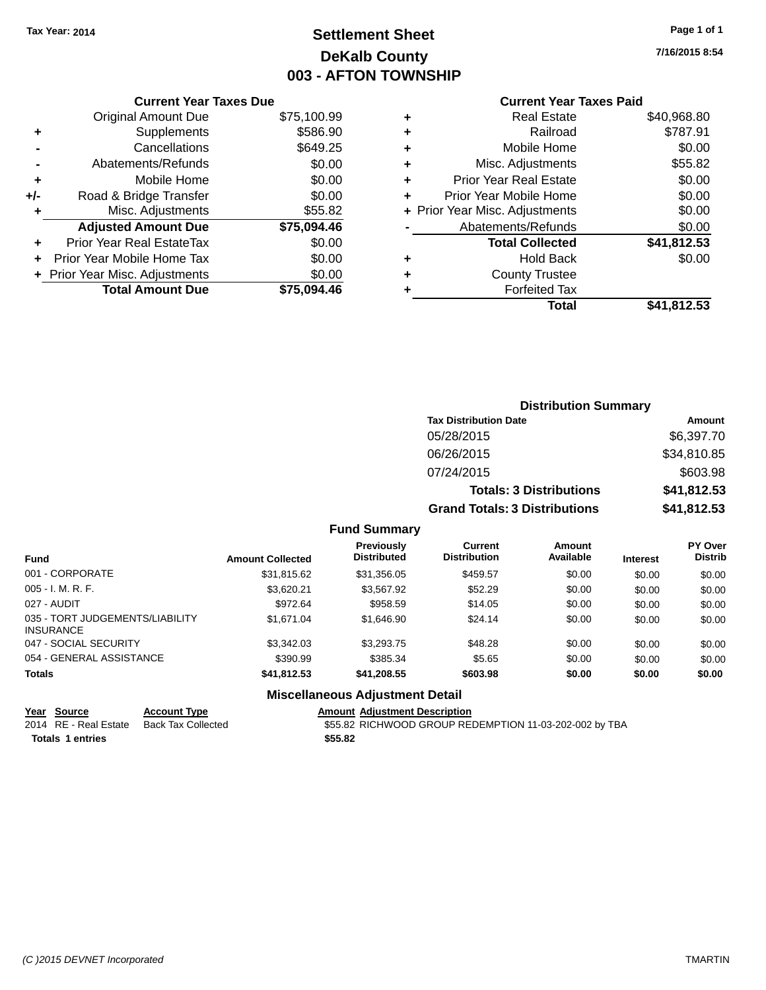## **Settlement Sheet Tax Year: 2014 Page 1 of 1 DeKalb County 003 - AFTON TOWNSHIP**

**7/16/2015 8:54**

|     | <b>Current Year Taxes Due</b>  |             |  |  |  |
|-----|--------------------------------|-------------|--|--|--|
|     | <b>Original Amount Due</b>     | \$75,100.99 |  |  |  |
| ٠   | Supplements                    | \$586.90    |  |  |  |
|     | Cancellations                  | \$649.25    |  |  |  |
|     | Abatements/Refunds             | \$0.00      |  |  |  |
| ٠   | Mobile Home                    | \$0.00      |  |  |  |
| +/- | Road & Bridge Transfer         | \$0.00      |  |  |  |
|     | Misc. Adjustments              | \$55.82     |  |  |  |
|     | <b>Adjusted Amount Due</b>     | \$75,094.46 |  |  |  |
| ÷   | Prior Year Real EstateTax      | \$0.00      |  |  |  |
|     | Prior Year Mobile Home Tax     | \$0.00      |  |  |  |
|     | + Prior Year Misc. Adjustments | \$0.00      |  |  |  |
|     | <b>Total Amount Due</b>        | \$75.094.46 |  |  |  |
|     |                                |             |  |  |  |

## **Current Year Taxes Paid +** Real Estate \$40,968.80

| Railroad                       | \$787.91    |
|--------------------------------|-------------|
| Mobile Home                    | \$0.00      |
| Misc. Adjustments              | \$55.82     |
| <b>Prior Year Real Estate</b>  | \$0.00      |
| Prior Year Mobile Home         | \$0.00      |
| + Prior Year Misc. Adjustments | \$0.00      |
| Abatements/Refunds             | \$0.00      |
| <b>Total Collected</b>         | \$41,812.53 |
| <b>Hold Back</b>               | \$0.00      |
| <b>County Trustee</b>          |             |
| <b>Forfeited Tax</b>           |             |
| Total                          | \$41,812.53 |
|                                |             |

| <b>Distribution Summary</b>          |             |
|--------------------------------------|-------------|
| <b>Tax Distribution Date</b>         | Amount      |
| 05/28/2015                           | \$6,397.70  |
| 06/26/2015                           | \$34,810.85 |
| 07/24/2015                           | \$603.98    |
| <b>Totals: 3 Distributions</b>       | \$41,812.53 |
| <b>Grand Totals: 3 Distributions</b> | \$41,812.53 |

## **Fund Summary**

| <b>Fund</b>                                         | <b>Amount Collected</b> | <b>Previously</b><br><b>Distributed</b> | Current<br><b>Distribution</b> | Amount<br>Available | <b>Interest</b> | PY Over<br><b>Distrib</b> |
|-----------------------------------------------------|-------------------------|-----------------------------------------|--------------------------------|---------------------|-----------------|---------------------------|
| 001 - CORPORATE                                     | \$31,815.62             | \$31,356.05                             | \$459.57                       | \$0.00              | \$0.00          | \$0.00                    |
| $005 - I. M. R. F.$                                 | \$3.620.21              | \$3.567.92                              | \$52.29                        | \$0.00              | \$0.00          | \$0.00                    |
| 027 - AUDIT                                         | \$972.64                | \$958.59                                | \$14.05                        | \$0.00              | \$0.00          | \$0.00                    |
| 035 - TORT JUDGEMENTS/LIABILITY<br><b>INSURANCE</b> | \$1,671.04              | \$1,646.90                              | \$24.14                        | \$0.00              | \$0.00          | \$0.00                    |
| 047 - SOCIAL SECURITY                               | \$3,342.03              | \$3,293,75                              | \$48.28                        | \$0.00              | \$0.00          | \$0.00                    |
| 054 - GENERAL ASSISTANCE                            | \$390.99                | \$385.34                                | \$5.65                         | \$0.00              | \$0.00          | \$0.00                    |
| Totals                                              | \$41,812.53             | \$41,208.55                             | \$603.98                       | \$0.00              | \$0.00          | \$0.00                    |

## **Miscellaneous Adjustment Detail**

**Year Source Account Type Amount Adjustment Description Totals \$55.82 1 entries**

\$55.82 RICHWOOD GROUP REDEMPTION 11-03-202-002 by TBA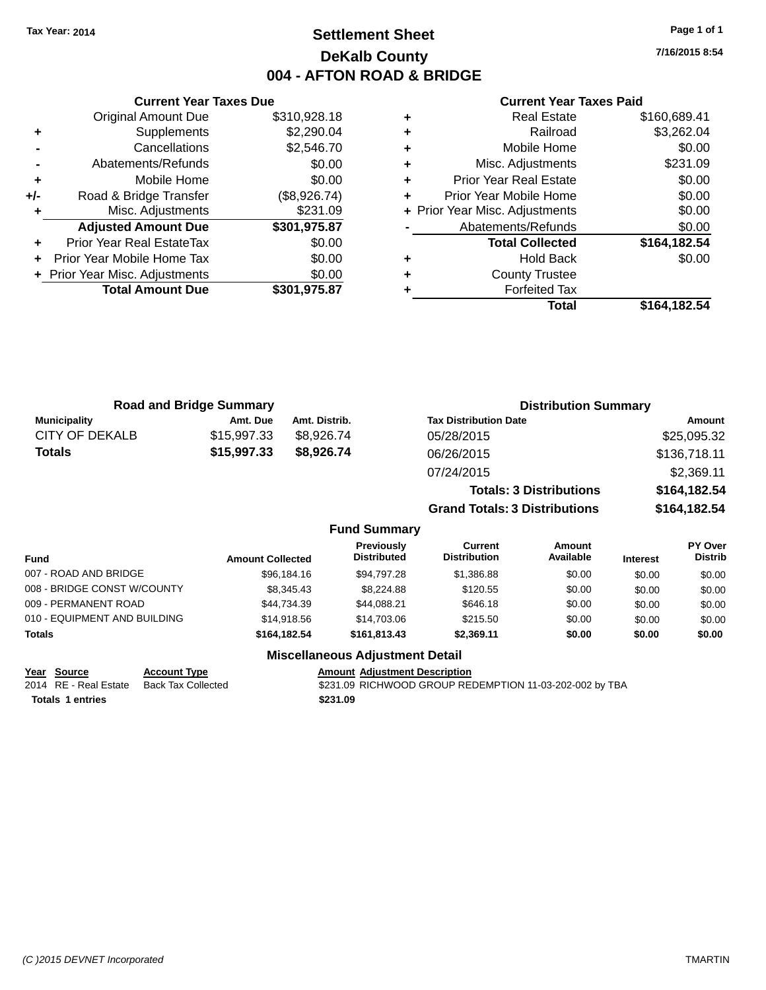## **Settlement Sheet Tax Year: 2014 Page 1 of 1 DeKalb County 004 - AFTON ROAD & BRIDGE**

**7/16/2015 8:54**

#### **Current Year Taxes Paid**

|     | <b>Original Amount Due</b>       | \$310,928.18 |
|-----|----------------------------------|--------------|
| ٠   | Supplements                      | \$2,290.04   |
|     | Cancellations                    | \$2,546.70   |
|     | Abatements/Refunds               | \$0.00       |
| ٠   | Mobile Home                      | \$0.00       |
| +/- | Road & Bridge Transfer           | (\$8,926.74) |
| ٠   | Misc. Adjustments                | \$231.09     |
|     | <b>Adjusted Amount Due</b>       | \$301,975.87 |
| ÷   | <b>Prior Year Real EstateTax</b> | \$0.00       |
| ÷   | Prior Year Mobile Home Tax       | \$0.00       |
|     | + Prior Year Misc. Adjustments   | \$0.00       |
|     | <b>Total Amount Due</b>          | \$301,975.87 |
|     |                                  |              |

**Current Year Taxes Due**

| ٠ | <b>Real Estate</b>             | \$160,689.41 |
|---|--------------------------------|--------------|
| ٠ | Railroad                       | \$3,262.04   |
| ÷ | Mobile Home                    | \$0.00       |
| ٠ | Misc. Adjustments              | \$231.09     |
| ٠ | <b>Prior Year Real Estate</b>  | \$0.00       |
| ÷ | Prior Year Mobile Home         | \$0.00       |
|   | + Prior Year Misc. Adjustments | \$0.00       |
|   | Abatements/Refunds             | \$0.00       |
|   | <b>Total Collected</b>         | \$164,182.54 |
| ٠ | <b>Hold Back</b>               | \$0.00       |
| ٠ | <b>County Trustee</b>          |              |
|   | <b>Forfeited Tax</b>           |              |
|   | <b>Total</b>                   | \$164,182.54 |
|   |                                |              |

**Grand Totals: 3 Distributions \$164,182.54**

| <b>Road and Bridge Summary</b> |             |               | <b>Distribution Summary</b>    |              |  |
|--------------------------------|-------------|---------------|--------------------------------|--------------|--|
| <b>Municipality</b>            | Amt. Due    | Amt. Distrib. | <b>Tax Distribution Date</b>   | Amount       |  |
| <b>CITY OF DEKALB</b>          | \$15,997.33 | \$8.926.74    | 05/28/2015                     | \$25,095.32  |  |
| Totals                         | \$15,997.33 | \$8,926.74    | 06/26/2015                     | \$136,718.11 |  |
|                                |             |               | 07/24/2015                     | \$2,369.11   |  |
|                                |             |               | <b>Totals: 3 Distributions</b> | \$164,182.54 |  |

**Fund Summary Fund Interest Amount Collected Distributed PY Over Distrib Amount Available Current Distribution Previously** 007 - ROAD AND BRIDGE \$96,184.16 \$94,797.28 \$1,386.88 \$0.00 \$0.00 \$0.00 \$0.00 008 - BRIDGE CONST W/COUNTY  $$8,345.43$   $$8,224.88$   $$120.55$   $$0.00$   $$0.00$   $$0.00$ 009 - PERMANENT ROAD \$44,734.39 \$646.18 \$0.00 \$0.00 \$0.00 \$0.00 \$0.00 \$0.00 \$0.00 \$0.00 \$0.00 \$0.0 010 - EQUIPMENT AND BUILDING \$14,918.56 \$14,703.06 \$215.50 \$0.00 \$0.00 \$0.00 \$0.00 **Totals \$164,182.54 \$161,813.43 \$2,369.11 \$0.00 \$0.00 \$0.00 Miscellaneous Adjustment Detail**

## **Year Source Account Type Amount Adjustment Description**

**Totals 1 entries** \$231.09

2014 RE - Real Estate Back Tax Collected \$231.09 RICHWOOD GROUP REDEMPTION 11-03-202-002 by TBA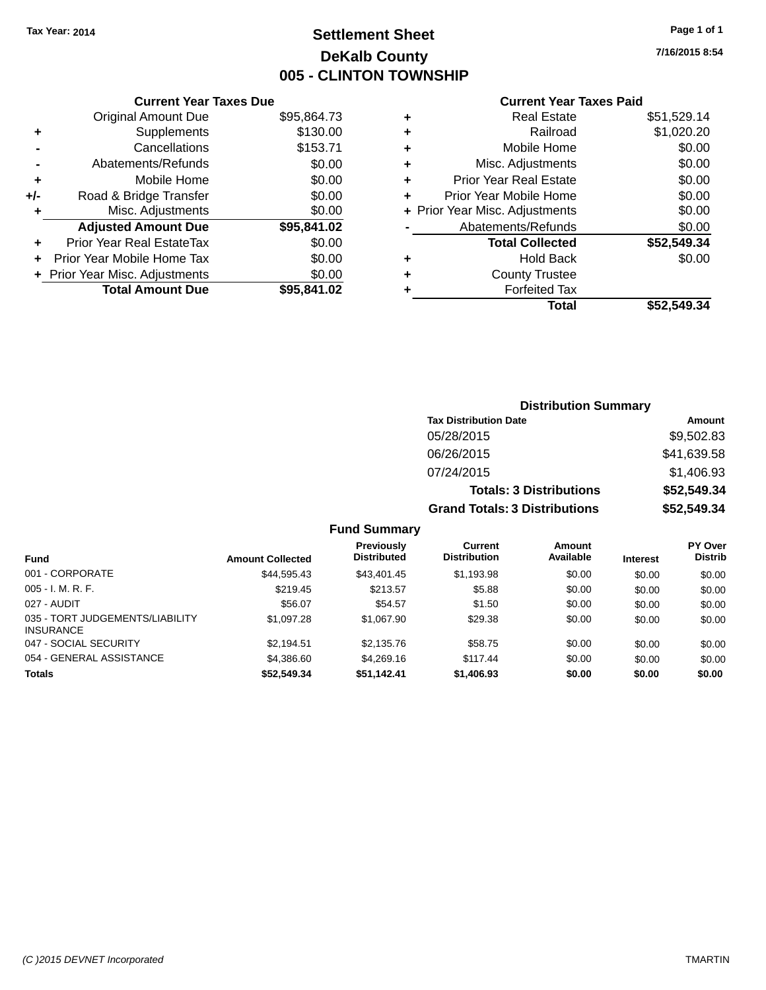## **Settlement Sheet Tax Year: 2014 Page 1 of 1 DeKalb County 005 - CLINTON TOWNSHIP**

**7/16/2015 8:54**

## **Current Year Taxes Paid**

|     | <b>Current Year Taxes Due</b>  |             |
|-----|--------------------------------|-------------|
|     | <b>Original Amount Due</b>     | \$95,864.73 |
| ٠   | Supplements                    | \$130.00    |
|     | Cancellations                  | \$153.71    |
|     | Abatements/Refunds             | \$0.00      |
| ÷   | Mobile Home                    | \$0.00      |
| +/- | Road & Bridge Transfer         | \$0.00      |
|     | Misc. Adjustments              | \$0.00      |
|     | <b>Adjusted Amount Due</b>     | \$95,841.02 |
| ٠   | Prior Year Real EstateTax      | \$0.00      |
|     | Prior Year Mobile Home Tax     | \$0.00      |
|     | + Prior Year Misc. Adjustments | \$0.00      |
|     | <b>Total Amount Due</b>        | \$95.841.02 |
|     |                                |             |

|   | <b>Real Estate</b>             | \$51,529.14 |
|---|--------------------------------|-------------|
| ٠ | Railroad                       | \$1,020.20  |
| ٠ | Mobile Home                    | \$0.00      |
| ٠ | Misc. Adjustments              | \$0.00      |
| ٠ | <b>Prior Year Real Estate</b>  | \$0.00      |
| ٠ | Prior Year Mobile Home         | \$0.00      |
|   | + Prior Year Misc. Adjustments | \$0.00      |
|   | Abatements/Refunds             | \$0.00      |
|   | <b>Total Collected</b>         | \$52,549.34 |
| ٠ | <b>Hold Back</b>               | \$0.00      |
|   | <b>County Trustee</b>          |             |
| ٠ | <b>Forfeited Tax</b>           |             |
|   | Total                          | \$52.549.34 |
|   |                                |             |

| <b>Distribution Summary</b>          |             |
|--------------------------------------|-------------|
| <b>Tax Distribution Date</b>         | Amount      |
| 05/28/2015                           | \$9,502.83  |
| 06/26/2015                           | \$41,639.58 |
| 07/24/2015                           | \$1,406.93  |
| <b>Totals: 3 Distributions</b>       | \$52,549.34 |
| <b>Grand Totals: 3 Distributions</b> | \$52,549.34 |

| <b>Fund</b>                                         | <b>Amount Collected</b> | <b>Previously</b><br><b>Distributed</b> | Current<br><b>Distribution</b> | <b>Amount</b><br>Available | <b>Interest</b> | <b>PY Over</b><br><b>Distrib</b> |
|-----------------------------------------------------|-------------------------|-----------------------------------------|--------------------------------|----------------------------|-----------------|----------------------------------|
| 001 - CORPORATE                                     | \$44,595.43             | \$43,401.45                             | \$1,193.98                     | \$0.00                     | \$0.00          | \$0.00                           |
| $005 - I. M. R. F.$                                 | \$219.45                | \$213.57                                | \$5.88                         | \$0.00                     | \$0.00          | \$0.00                           |
| 027 - AUDIT                                         | \$56.07                 | \$54.57                                 | \$1.50                         | \$0.00                     | \$0.00          | \$0.00                           |
| 035 - TORT JUDGEMENTS/LIABILITY<br><b>INSURANCE</b> | \$1,097.28              | \$1,067.90                              | \$29.38                        | \$0.00                     | \$0.00          | \$0.00                           |
| 047 - SOCIAL SECURITY                               | \$2.194.51              | \$2,135.76                              | \$58.75                        | \$0.00                     | \$0.00          | \$0.00                           |
| 054 - GENERAL ASSISTANCE                            | \$4,386,60              | \$4,269.16                              | \$117.44                       | \$0.00                     | \$0.00          | \$0.00                           |
| <b>Totals</b>                                       | \$52,549.34             | \$51,142.41                             | \$1,406.93                     | \$0.00                     | \$0.00          | \$0.00                           |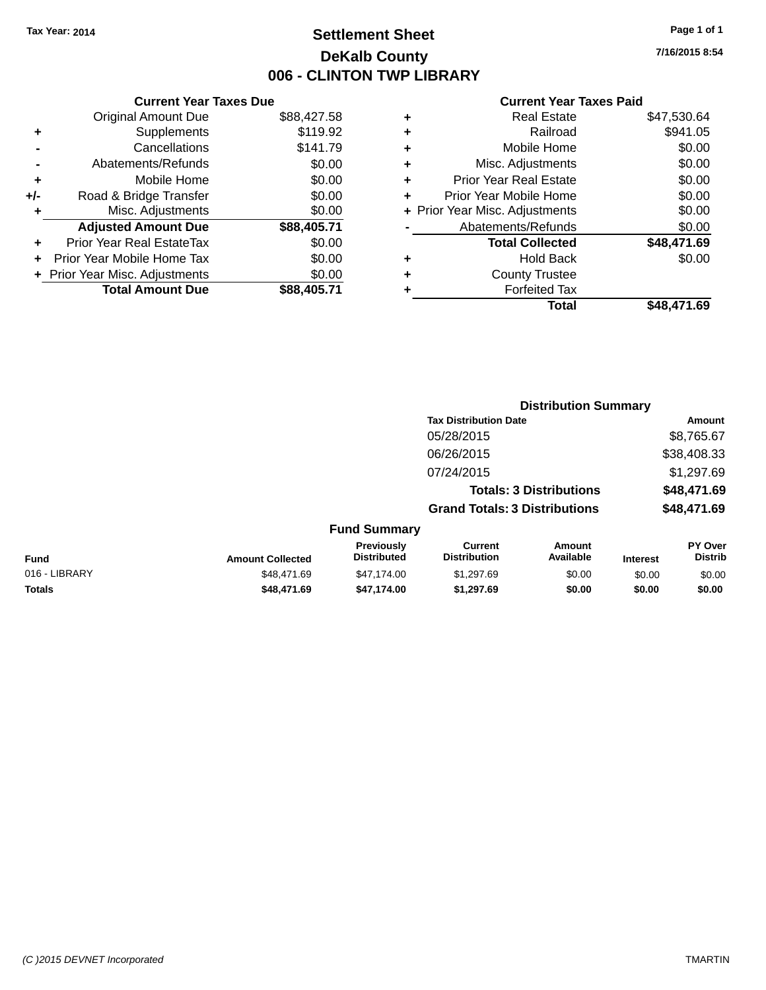## **Settlement Sheet Tax Year: 2014 Page 1 of 1 DeKalb County 006 - CLINTON TWP LIBRARY**

**7/16/2015 8:54**

| <b>Current Year Taxes Due</b> |             |
|-------------------------------|-------------|
| <b>Original Amount Due</b>    | \$88,427.58 |
| Supplements                   | \$119.92    |
| Cancellations                 | \$141.79    |
| Abatements/Refunds            | \$0.00      |
| Mobile Home                   | \$0.00      |
| Road & Bridge Transfer        | \$0.00      |
| Misc. Adjustments             | \$0.00      |
| <b>Adjusted Amount Due</b>    | \$88,405.71 |
| Prior Year Real EstateTax     | \$0.00      |
| Prior Year Mobile Home Tax    | \$0.00      |
| Prior Year Misc. Adjustments  | \$0.00      |
| <b>Total Amount Due</b>       | \$88,405.71 |
|                               |             |

|   | <b>Real Estate</b>             | \$47,530.64 |
|---|--------------------------------|-------------|
| ٠ | Railroad                       | \$941.05    |
| ٠ | Mobile Home                    | \$0.00      |
| ٠ | Misc. Adjustments              | \$0.00      |
| ٠ | Prior Year Real Estate         | \$0.00      |
| ٠ | Prior Year Mobile Home         | \$0.00      |
|   | + Prior Year Misc. Adjustments | \$0.00      |
|   | Abatements/Refunds             | \$0.00      |
|   | <b>Total Collected</b>         | \$48,471.69 |
| ٠ | Hold Back                      | \$0.00      |
| ٠ | <b>County Trustee</b>          |             |
| ٠ | <b>Forfeited Tax</b>           |             |
|   | Total                          | \$48.471.69 |
|   |                                |             |

|               |                         |                                  | <b>Distribution Summary</b>           |                                |                 |                                  |  |
|---------------|-------------------------|----------------------------------|---------------------------------------|--------------------------------|-----------------|----------------------------------|--|
|               |                         |                                  | <b>Tax Distribution Date</b>          |                                |                 | Amount                           |  |
|               |                         |                                  | 05/28/2015                            |                                |                 | \$8,765.67                       |  |
|               |                         |                                  | 06/26/2015                            |                                |                 | \$38,408.33                      |  |
|               |                         |                                  | 07/24/2015                            |                                |                 | \$1,297.69                       |  |
|               |                         |                                  |                                       | <b>Totals: 3 Distributions</b> |                 | \$48,471.69                      |  |
|               |                         |                                  | <b>Grand Totals: 3 Distributions</b>  |                                |                 | \$48,471.69                      |  |
|               |                         | <b>Fund Summary</b>              |                                       |                                |                 |                                  |  |
| Fund          | <b>Amount Collected</b> | Previously<br><b>Distributed</b> | <b>Current</b><br><b>Distribution</b> | Amount<br>Available            | <b>Interest</b> | <b>PY Over</b><br><b>Distrib</b> |  |
| 016 - LIBRARY | \$48,471.69             | \$47,174.00                      | \$1,297.69                            | \$0.00                         | \$0.00          | \$0.00                           |  |
| <b>Totals</b> | \$48,471.69             | \$47,174.00                      | \$1,297.69                            | \$0.00                         | \$0.00          | \$0.00                           |  |
|               |                         |                                  |                                       |                                |                 |                                  |  |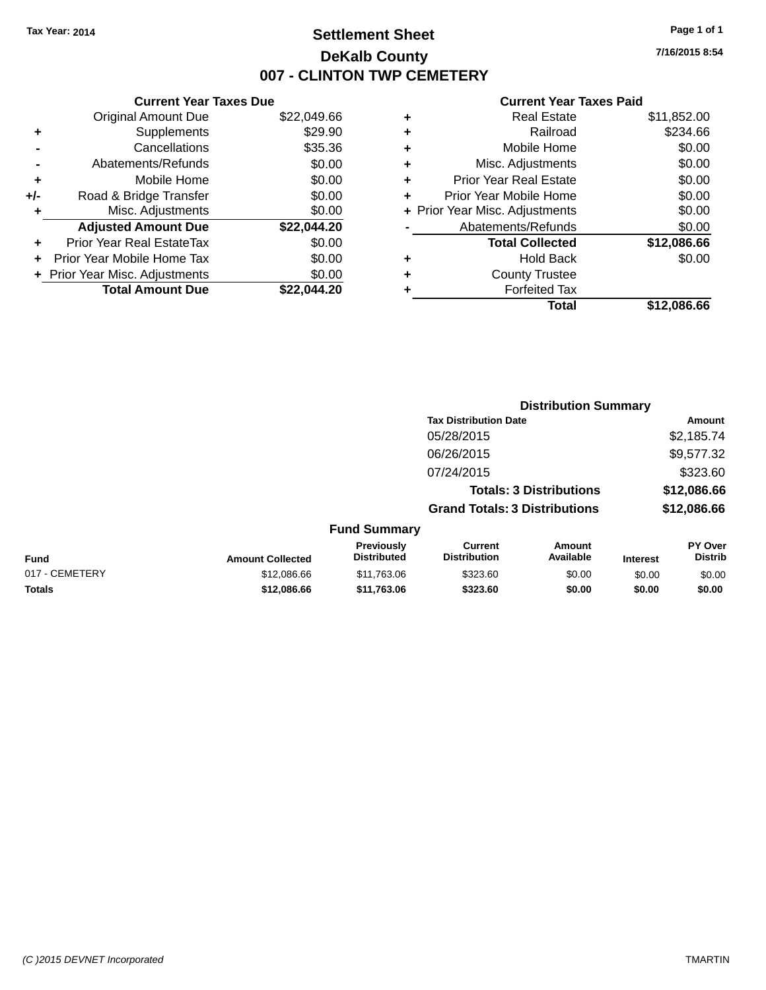## **Settlement Sheet Tax Year: 2014 Page 1 of 1 DeKalb County 007 - CLINTON TWP CEMETERY**

**7/16/2015 8:54**

|     | <b>Current Year Taxes Due</b>  |             |
|-----|--------------------------------|-------------|
|     | <b>Original Amount Due</b>     | \$22,049.66 |
| ÷   | Supplements                    | \$29.90     |
|     | Cancellations                  | \$35.36     |
|     | Abatements/Refunds             | \$0.00      |
| ٠   | Mobile Home                    | \$0.00      |
| +/- | Road & Bridge Transfer         | \$0.00      |
|     | Misc. Adjustments              | \$0.00      |
|     | <b>Adjusted Amount Due</b>     | \$22.044.20 |
| ÷   | Prior Year Real EstateTax      | \$0.00      |
|     | Prior Year Mobile Home Tax     | \$0.00      |
|     | + Prior Year Misc. Adjustments | \$0.00      |
|     | <b>Total Amount Due</b>        | \$22.044.20 |
|     |                                |             |

|   | <b>Real Estate</b>             | \$11,852.00 |
|---|--------------------------------|-------------|
| ٠ | Railroad                       | \$234.66    |
| ٠ | Mobile Home                    | \$0.00      |
| ٠ | Misc. Adjustments              | \$0.00      |
| ٠ | <b>Prior Year Real Estate</b>  | \$0.00      |
| ÷ | Prior Year Mobile Home         | \$0.00      |
|   | + Prior Year Misc. Adjustments | \$0.00      |
|   | Abatements/Refunds             | \$0.00      |
|   | <b>Total Collected</b>         | \$12,086.66 |
| ٠ | <b>Hold Back</b>               | \$0.00      |
| ٠ | <b>County Trustee</b>          |             |
| ٠ | <b>Forfeited Tax</b>           |             |
|   | Total                          | \$12,086.66 |
|   |                                |             |

|                |                         | <b>Distribution Summary</b>             |                                       |                                |                 |                                  |
|----------------|-------------------------|-----------------------------------------|---------------------------------------|--------------------------------|-----------------|----------------------------------|
|                |                         |                                         | <b>Tax Distribution Date</b>          |                                |                 | Amount                           |
|                |                         |                                         | 05/28/2015                            |                                |                 | \$2,185.74                       |
|                |                         |                                         | 06/26/2015                            |                                |                 | \$9,577.32                       |
|                |                         |                                         | 07/24/2015                            |                                |                 | \$323.60                         |
|                |                         |                                         |                                       | <b>Totals: 3 Distributions</b> |                 | \$12,086.66                      |
|                |                         |                                         | <b>Grand Totals: 3 Distributions</b>  |                                |                 | \$12,086.66                      |
|                |                         | <b>Fund Summary</b>                     |                                       |                                |                 |                                  |
| Fund           | <b>Amount Collected</b> | <b>Previously</b><br><b>Distributed</b> | <b>Current</b><br><b>Distribution</b> | Amount<br>Available            | <b>Interest</b> | <b>PY Over</b><br><b>Distrib</b> |
| 017 - CEMETERY | \$12,086.66             | \$11,763.06                             | \$323.60                              | \$0.00                         | \$0.00          | \$0.00                           |
| <b>Totals</b>  | \$12,086.66             | \$11,763.06                             | \$323.60                              | \$0.00                         | \$0.00          | \$0.00                           |
|                |                         |                                         |                                       |                                |                 |                                  |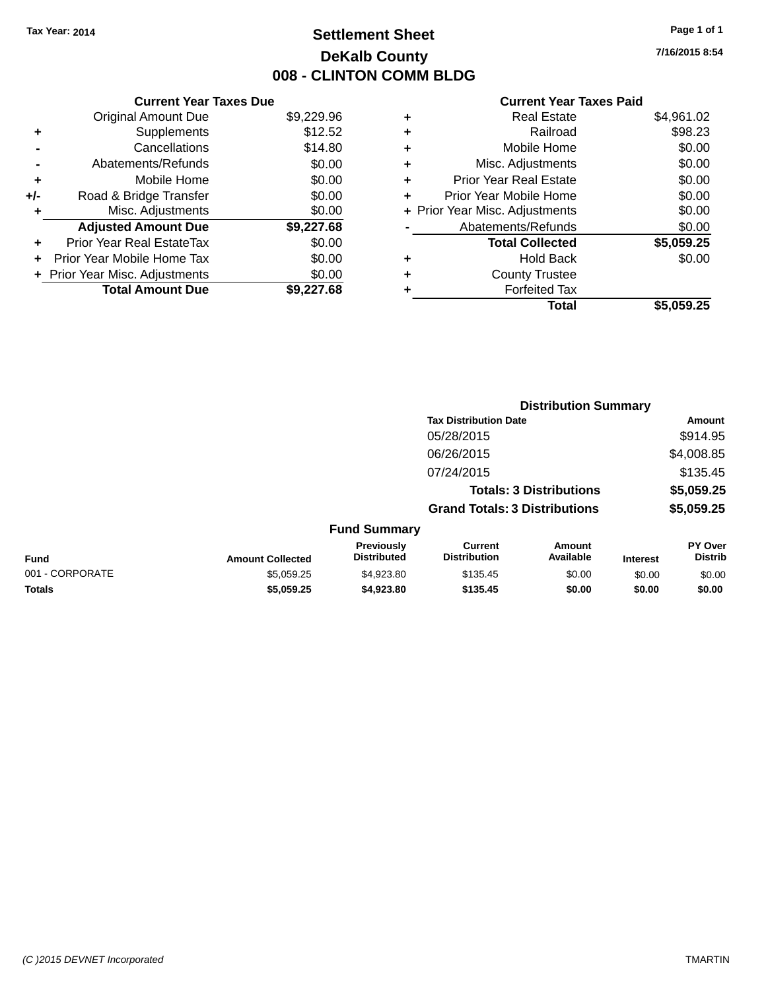## **Settlement Sheet Tax Year: 2014 Page 1 of 1 DeKalb County 008 - CLINTON COMM BLDG**

**7/16/2015 8:54**

| <b>Current Year Taxes Due</b> |                                |
|-------------------------------|--------------------------------|
| <b>Original Amount Due</b>    | \$9,229.96                     |
| Supplements                   | \$12.52                        |
| Cancellations                 | \$14.80                        |
| Abatements/Refunds            | \$0.00                         |
| Mobile Home                   | \$0.00                         |
| Road & Bridge Transfer        | \$0.00                         |
| Misc. Adjustments             | \$0.00                         |
| <b>Adjusted Amount Due</b>    | \$9,227.68                     |
| Prior Year Real EstateTax     | \$0.00                         |
| Prior Year Mobile Home Tax    | \$0.00                         |
|                               | \$0.00                         |
| <b>Total Amount Due</b>       | \$9,227.68                     |
|                               | + Prior Year Misc. Adjustments |

| ٠ | <b>Real Estate</b>             | \$4,961.02 |
|---|--------------------------------|------------|
| ٠ | Railroad                       | \$98.23    |
| ٠ | Mobile Home                    | \$0.00     |
| ٠ | Misc. Adjustments              | \$0.00     |
| ٠ | <b>Prior Year Real Estate</b>  | \$0.00     |
| ٠ | Prior Year Mobile Home         | \$0.00     |
|   | + Prior Year Misc. Adjustments | \$0.00     |
|   | Abatements/Refunds             | \$0.00     |
|   | <b>Total Collected</b>         | \$5,059.25 |
| ٠ | Hold Back                      | \$0.00     |
|   | <b>County Trustee</b>          |            |
| ٠ | <b>Forfeited Tax</b>           |            |
|   | Total                          | \$5,059.25 |
|   |                                |            |

|                 |                         | <b>Distribution Summary</b>      |                                       |                                |                 |                                  |
|-----------------|-------------------------|----------------------------------|---------------------------------------|--------------------------------|-----------------|----------------------------------|
|                 |                         |                                  | <b>Tax Distribution Date</b>          |                                |                 | Amount                           |
|                 |                         |                                  | 05/28/2015                            |                                |                 | \$914.95                         |
|                 |                         |                                  | 06/26/2015                            |                                |                 | \$4,008.85                       |
|                 |                         |                                  | 07/24/2015                            |                                |                 | \$135.45                         |
|                 |                         |                                  |                                       | <b>Totals: 3 Distributions</b> |                 | \$5,059.25                       |
|                 |                         |                                  | <b>Grand Totals: 3 Distributions</b>  |                                |                 | \$5,059.25                       |
|                 |                         | <b>Fund Summary</b>              |                                       |                                |                 |                                  |
| Fund            | <b>Amount Collected</b> | Previously<br><b>Distributed</b> | <b>Current</b><br><b>Distribution</b> | Amount<br>Available            | <b>Interest</b> | <b>PY Over</b><br><b>Distrib</b> |
| 001 - CORPORATE | \$5,059.25              | \$4,923.80                       | \$135.45                              | \$0.00                         | \$0.00          | \$0.00                           |
| <b>Totals</b>   | \$5,059.25              | \$4,923.80                       | \$135.45                              | \$0.00                         | \$0.00          | \$0.00                           |
|                 |                         |                                  |                                       |                                |                 |                                  |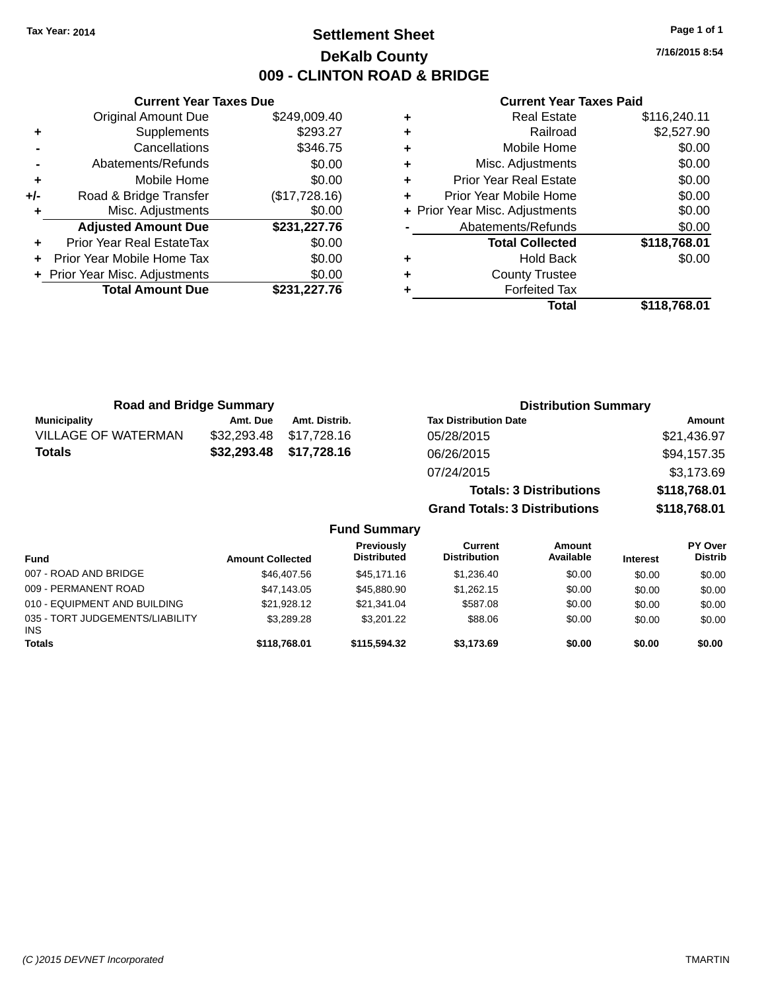## **Settlement Sheet Tax Year: 2014 Page 1 of 1 DeKalb County 009 - CLINTON ROAD & BRIDGE**

**7/16/2015 8:54**

#### **Current Year Taxes Paid**

|     | <b>Current Year Taxes Due</b>  |               |  |  |  |  |
|-----|--------------------------------|---------------|--|--|--|--|
|     | <b>Original Amount Due</b>     | \$249,009.40  |  |  |  |  |
| ٠   | Supplements                    | \$293.27      |  |  |  |  |
|     | Cancellations                  | \$346.75      |  |  |  |  |
|     | Abatements/Refunds             | \$0.00        |  |  |  |  |
| ٠   | Mobile Home                    | \$0.00        |  |  |  |  |
| +/- | Road & Bridge Transfer         | (\$17,728.16) |  |  |  |  |
|     | Misc. Adjustments              | \$0.00        |  |  |  |  |
|     | <b>Adjusted Amount Due</b>     | \$231,227.76  |  |  |  |  |
| ÷   | Prior Year Real EstateTax      | \$0.00        |  |  |  |  |
|     | Prior Year Mobile Home Tax     | \$0.00        |  |  |  |  |
|     | + Prior Year Misc. Adjustments | \$0.00        |  |  |  |  |
|     | <b>Total Amount Due</b>        | \$231,227.76  |  |  |  |  |
|     |                                |               |  |  |  |  |

|   | Real Estate                    | \$116,240.11 |
|---|--------------------------------|--------------|
| ٠ | Railroad                       | \$2,527.90   |
| ٠ | Mobile Home                    | \$0.00       |
| ٠ | Misc. Adjustments              | \$0.00       |
| ٠ | <b>Prior Year Real Estate</b>  | \$0.00       |
| ٠ | Prior Year Mobile Home         | \$0.00       |
|   | + Prior Year Misc. Adjustments | \$0.00       |
|   | Abatements/Refunds             | \$0.00       |
|   | <b>Total Collected</b>         | \$118,768.01 |
| ٠ | <b>Hold Back</b>               | \$0.00       |
| ٠ | <b>County Trustee</b>          |              |
|   | <b>Forfeited Tax</b>           |              |
|   | Total                          | \$118,768,01 |

| <b>Road and Bridge Summary</b> |             |               | <b>Distribution Summary</b>          |              |  |  |
|--------------------------------|-------------|---------------|--------------------------------------|--------------|--|--|
| <b>Municipality</b>            | Amt. Due    | Amt. Distrib. | <b>Tax Distribution Date</b>         | Amount       |  |  |
| <b>VILLAGE OF WATERMAN</b>     | \$32,293.48 | \$17,728.16   | 05/28/2015                           | \$21,436.97  |  |  |
| <b>Totals</b>                  | \$32,293.48 | \$17,728.16   | 06/26/2015                           | \$94,157.35  |  |  |
|                                |             |               | 07/24/2015                           | \$3,173.69   |  |  |
|                                |             |               | <b>Totals: 3 Distributions</b>       | \$118,768.01 |  |  |
|                                |             |               | <b>Grand Totals: 3 Distributions</b> | \$118,768.01 |  |  |

| <b>Fund</b>                                   | <b>Amount Collected</b> | <b>Previously</b><br><b>Distributed</b> | Current<br><b>Distribution</b> | Amount<br>Available | <b>Interest</b> | PY Over<br><b>Distrib</b> |
|-----------------------------------------------|-------------------------|-----------------------------------------|--------------------------------|---------------------|-----------------|---------------------------|
| 007 - ROAD AND BRIDGE                         | \$46,407.56             | \$45,171.16                             | \$1.236.40                     | \$0.00              | \$0.00          | \$0.00                    |
| 009 - PERMANENT ROAD                          | \$47.143.05             | \$45,880.90                             | \$1,262.15                     | \$0.00              | \$0.00          | \$0.00                    |
| 010 - EQUIPMENT AND BUILDING                  | \$21.928.12             | \$21.341.04                             | \$587.08                       | \$0.00              | \$0.00          | \$0.00                    |
| 035 - TORT JUDGEMENTS/LIABILITY<br><b>INS</b> | \$3,289.28              | \$3,201.22                              | \$88.06                        | \$0.00              | \$0.00          | \$0.00                    |
| <b>Totals</b>                                 | \$118,768.01            | \$115,594,32                            | \$3.173.69                     | \$0.00              | \$0.00          | \$0.00                    |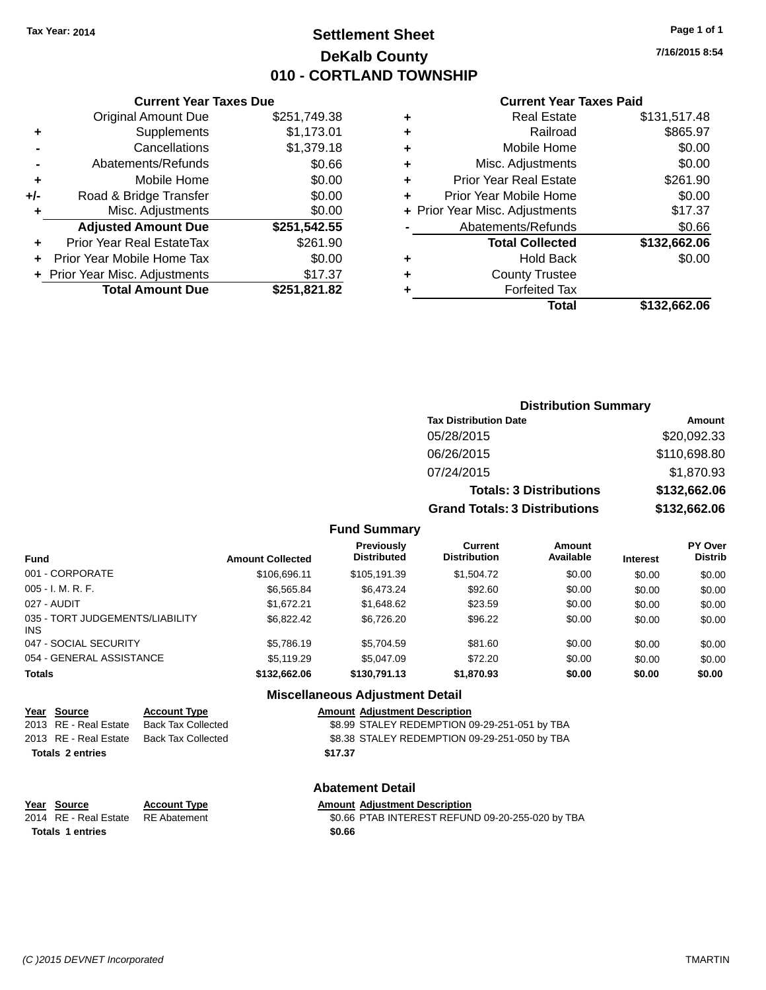## **Settlement Sheet Tax Year: 2014 Page 1 of 1 DeKalb County 010 - CORTLAND TOWNSHIP**

**7/16/2015 8:54**

#### **Current Year Taxes Paid**

|     | <b>Current Year Taxes Due</b>  |              |  |  |  |  |
|-----|--------------------------------|--------------|--|--|--|--|
|     | <b>Original Amount Due</b>     | \$251,749.38 |  |  |  |  |
| ٠   | Supplements                    | \$1,173.01   |  |  |  |  |
|     | Cancellations                  | \$1,379.18   |  |  |  |  |
|     | Abatements/Refunds             | \$0.66       |  |  |  |  |
| ٠   | Mobile Home                    | \$0.00       |  |  |  |  |
| +/- | Road & Bridge Transfer         | \$0.00       |  |  |  |  |
|     | Misc. Adjustments              | \$0.00       |  |  |  |  |
|     | <b>Adjusted Amount Due</b>     | \$251,542.55 |  |  |  |  |
| ٠   | Prior Year Real EstateTax      | \$261.90     |  |  |  |  |
|     | Prior Year Mobile Home Tax     | \$0.00       |  |  |  |  |
|     | + Prior Year Misc. Adjustments | \$17.37      |  |  |  |  |
|     | <b>Total Amount Due</b>        | \$251,821.82 |  |  |  |  |
|     |                                |              |  |  |  |  |

| ٠ | <b>Real Estate</b>             | \$131,517.48 |
|---|--------------------------------|--------------|
| ٠ | Railroad                       | \$865.97     |
| ٠ | Mobile Home                    | \$0.00       |
| ٠ | Misc. Adjustments              | \$0.00       |
| ٠ | <b>Prior Year Real Estate</b>  | \$261.90     |
| ÷ | Prior Year Mobile Home         | \$0.00       |
|   | + Prior Year Misc. Adjustments | \$17.37      |
|   | Abatements/Refunds             | \$0.66       |
|   | <b>Total Collected</b>         | \$132,662.06 |
| ٠ | <b>Hold Back</b>               | \$0.00       |
| ٠ | <b>County Trustee</b>          |              |
| ٠ | <b>Forfeited Tax</b>           |              |
|   | Total                          | \$132,662.06 |
|   |                                |              |

| <b>Distribution Summary</b>          |              |
|--------------------------------------|--------------|
| <b>Tax Distribution Date</b>         | Amount       |
| 05/28/2015                           | \$20,092.33  |
| 06/26/2015                           | \$110,698.80 |
| 07/24/2015                           | \$1,870.93   |
| <b>Totals: 3 Distributions</b>       | \$132,662.06 |
| <b>Grand Totals: 3 Distributions</b> | \$132,662.06 |

## **Fund Summary**

| Fund                                   | <b>Amount Collected</b> | <b>Previously</b><br><b>Distributed</b> | Current<br><b>Distribution</b> | Amount<br>Available | <b>Interest</b> | <b>PY Over</b><br><b>Distrib</b> |
|----------------------------------------|-------------------------|-----------------------------------------|--------------------------------|---------------------|-----------------|----------------------------------|
| 001 - CORPORATE                        | \$106,696.11            | \$105,191.39                            | \$1,504.72                     | \$0.00              | \$0.00          | \$0.00                           |
| 005 - I. M. R. F.                      | \$6,565,84              | \$6,473.24                              | \$92.60                        | \$0.00              | \$0.00          | \$0.00                           |
| 027 - AUDIT                            | \$1.672.21              | \$1,648,62                              | \$23.59                        | \$0.00              | \$0.00          | \$0.00                           |
| 035 - TORT JUDGEMENTS/LIABILITY<br>INS | \$6,822,42              | \$6.726.20                              | \$96.22                        | \$0.00              | \$0.00          | \$0.00                           |
| 047 - SOCIAL SECURITY                  | \$5,786.19              | \$5,704.59                              | \$81.60                        | \$0.00              | \$0.00          | \$0.00                           |
| 054 - GENERAL ASSISTANCE               | \$5,119.29              | \$5,047,09                              | \$72.20                        | \$0.00              | \$0.00          | \$0.00                           |
| <b>Totals</b>                          | \$132,662.06            | \$130,791.13                            | \$1,870.93                     | \$0.00              | \$0.00          | \$0.00                           |
|                                        |                         |                                         |                                |                     |                 |                                  |

## **Miscellaneous Adjustment Detail**

| <u>Year Source</u>      | <b>Account Type</b>                      |         | <b>Amount Adiustment Description</b>          |
|-------------------------|------------------------------------------|---------|-----------------------------------------------|
| 2013 RE - Real Estate   | <b>Back Tax Collected</b>                |         | \$8.99 STALEY REDEMPTION 09-29-251-051 by TBA |
|                         | 2013 RE - Real Estate Back Tax Collected |         | \$8.38 STALEY REDEMPTION 09-29-251-050 by TBA |
| <b>Totals 2 entries</b> |                                          | \$17.37 |                                               |
|                         |                                          |         |                                               |

| Year Source                        | <b>Account Type</b> | <b>Amount Adiustment Description</b> |
|------------------------------------|---------------------|--------------------------------------|
| 2014 RE - Real Estate RE Abatement |                     | \$0.66 PTAB INTEREST REFUN           |

**Totals \$0.66 1 entries**

## **Abatement Detail**

\$0.66 PTAB INTEREST REFUND 09-20-255-020 by TBA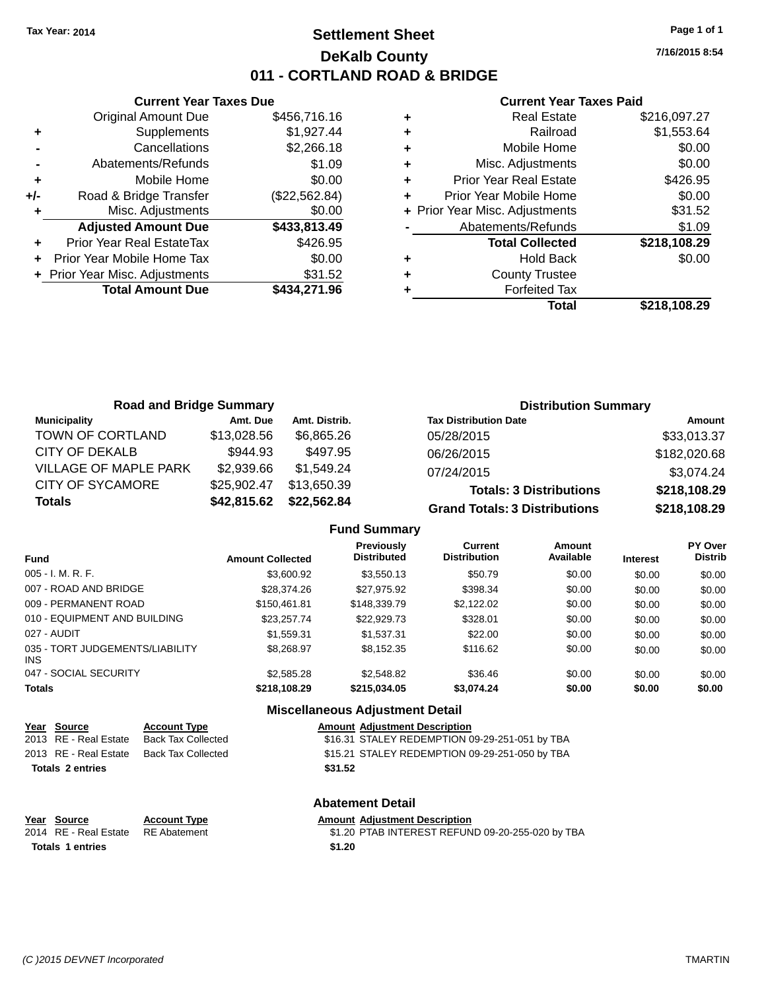## **Settlement Sheet Tax Year: 2014 Page 1 of 1 DeKalb County 011 - CORTLAND ROAD & BRIDGE**

**Current Year Taxes Due** Original Amount Due \$456,716.16 **+** Supplements \$1,927.44 **-** Cancellations \$2,266.18 **-** Abatements/Refunds \$1.09 **+** Mobile Home \$0.00 **+/-** Road & Bridge Transfer (\$22,562.84) **+** Misc. Adjustments \$0.00 **Adjusted Amount Due \$433,813.49 +** Prior Year Real EstateTax \$426.95 **+** Prior Year Mobile Home Tax \$0.00 **+** Prior Year Misc. Adjustments \$31.52 **Total Amount Due \$434,271.96**

#### **Current Year Taxes Paid**

|   | <b>Real Estate</b>             | \$216,097.27 |
|---|--------------------------------|--------------|
| ٠ | Railroad                       | \$1,553.64   |
| ٠ | Mobile Home                    | \$0.00       |
| ٠ | Misc. Adjustments              | \$0.00       |
| ٠ | <b>Prior Year Real Estate</b>  | \$426.95     |
| ÷ | Prior Year Mobile Home         | \$0.00       |
|   | + Prior Year Misc. Adjustments | \$31.52      |
|   | Abatements/Refunds             | \$1.09       |
|   | <b>Total Collected</b>         | \$218,108.29 |
| ٠ | <b>Hold Back</b>               | \$0.00       |
| ٠ | <b>County Trustee</b>          |              |
| ٠ | <b>Forfeited Tax</b>           |              |
|   | Total                          | \$218,108.29 |
|   |                                |              |

| <b>Road and Bridge Summary</b> |             |               | <b>Distribution Summary</b>          |              |  |
|--------------------------------|-------------|---------------|--------------------------------------|--------------|--|
| <b>Municipality</b>            | Amt. Due    | Amt. Distrib. | <b>Tax Distribution Date</b>         | Amount       |  |
| TOWN OF CORTLAND               | \$13,028.56 | \$6.865.26    | 05/28/2015                           | \$33,013.37  |  |
| CITY OF DEKALB                 | \$944.93    | \$497.95      | 06/26/2015                           | \$182,020.68 |  |
| <b>VILLAGE OF MAPLE PARK</b>   | \$2,939.66  | \$1,549.24    | 07/24/2015                           | \$3,074.24   |  |
| <b>CITY OF SYCAMORE</b>        | \$25,902.47 | \$13,650.39   | <b>Totals: 3 Distributions</b>       | \$218,108.29 |  |
| <b>Totals</b>                  | \$42,815.62 | \$22,562.84   | <b>Grand Totals: 3 Distributions</b> | \$218,108.29 |  |

## **Fund Summary**

| Fund                                    | <b>Amount Collected</b> | <b>Previously</b><br><b>Distributed</b> | Current<br><b>Distribution</b> | Amount<br>Available | <b>Interest</b> | PY Over<br><b>Distrib</b> |
|-----------------------------------------|-------------------------|-----------------------------------------|--------------------------------|---------------------|-----------------|---------------------------|
| $005 - I. M. R. F.$                     | \$3,600.92              | \$3,550.13                              | \$50.79                        | \$0.00              | \$0.00          | \$0.00                    |
| 007 - ROAD AND BRIDGE                   | \$28,374.26             | \$27,975.92                             | \$398.34                       | \$0.00              | \$0.00          | \$0.00                    |
| 009 - PERMANENT ROAD                    | \$150.461.81            | \$148,339.79                            | \$2,122.02                     | \$0.00              | \$0.00          | \$0.00                    |
| 010 - EQUIPMENT AND BUILDING            | \$23,257,74             | \$22,929.73                             | \$328.01                       | \$0.00              | \$0.00          | \$0.00                    |
| 027 - AUDIT                             | \$1,559.31              | \$1,537.31                              | \$22.00                        | \$0.00              | \$0.00          | \$0.00                    |
| 035 - TORT JUDGEMENTS/LIABILITY<br>INS. | \$8,268,97              | \$8.152.35                              | \$116.62                       | \$0.00              | \$0.00          | \$0.00                    |
| 047 - SOCIAL SECURITY                   | \$2,585.28              | \$2,548.82                              | \$36.46                        | \$0.00              | \$0.00          | \$0.00                    |
| <b>Totals</b>                           | \$218,108.29            | \$215.034.05                            | \$3,074.24                     | \$0.00              | \$0.00          | \$0.00                    |

#### **Miscellaneous Adjustment Detail**

| <u>Year Source</u>      | <b>Account Type</b>                      | <b>Amount Adjustment Description</b>           |
|-------------------------|------------------------------------------|------------------------------------------------|
| 2013 RE - Real Estate   | Back Tax Collected                       | \$16.31 STALEY REDEMPTION 09-29-251-051 by TBA |
|                         | 2013 RE - Real Estate Back Tax Collected | \$15.21 STALEY REDEMPTION 09-29-251-050 by TBA |
| <b>Totals 2 entries</b> |                                          | \$31.52                                        |
|                         |                                          |                                                |

**Year Source Account Type Amount Adjustment Description Totals 1 entries** \$1.20

## **Abatement Detail**

\$1.20 PTAB INTEREST REFUND 09-20-255-020 by TBA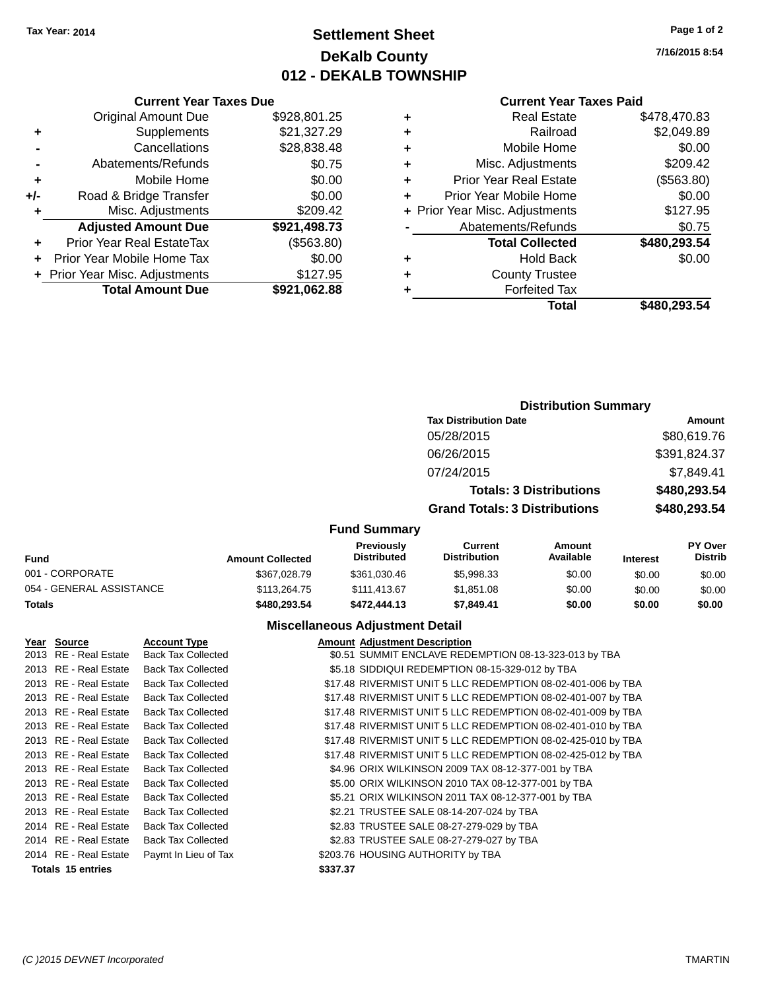## **Settlement Sheet Tax Year: 2014 Page 1 of 2 DeKalb County 012 - DEKALB TOWNSHIP**

**7/16/2015 8:54**

#### **Current Year Taxes Paid**

|     | <b>Current Year Taxes Due</b>    |              |  |  |  |  |
|-----|----------------------------------|--------------|--|--|--|--|
|     | <b>Original Amount Due</b>       | \$928,801.25 |  |  |  |  |
| ٠   | Supplements                      | \$21,327.29  |  |  |  |  |
|     | Cancellations                    | \$28,838.48  |  |  |  |  |
|     | Abatements/Refunds               | \$0.75       |  |  |  |  |
| ٠   | Mobile Home                      | \$0.00       |  |  |  |  |
| +/- | Road & Bridge Transfer           | \$0.00       |  |  |  |  |
| ٠   | Misc. Adjustments                | \$209.42     |  |  |  |  |
|     | <b>Adjusted Amount Due</b>       | \$921,498.73 |  |  |  |  |
|     | <b>Prior Year Real EstateTax</b> | (\$563.80)   |  |  |  |  |
|     | Prior Year Mobile Home Tax       | \$0.00       |  |  |  |  |
|     | + Prior Year Misc. Adjustments   | \$127.95     |  |  |  |  |
|     | <b>Total Amount Due</b>          | \$921,062.88 |  |  |  |  |

| <b>Distribution Summary</b>          |              |  |  |  |  |
|--------------------------------------|--------------|--|--|--|--|
| <b>Tax Distribution Date</b>         | Amount       |  |  |  |  |
| 05/28/2015                           | \$80,619.76  |  |  |  |  |
| 06/26/2015                           | \$391,824.37 |  |  |  |  |
| 07/24/2015                           | \$7,849.41   |  |  |  |  |
| <b>Totals: 3 Distributions</b>       | \$480,293.54 |  |  |  |  |
| <b>Grand Totals: 3 Distributions</b> | \$480,293.54 |  |  |  |  |
|                                      |              |  |  |  |  |

## **Fund Summary**

| <b>Fund</b>              | <b>Amount Collected</b> | <b>Previously</b><br><b>Distributed</b> | Current<br><b>Distribution</b> | Amount<br>Available | <b>Interest</b> | <b>PY Over</b><br><b>Distrib</b> |
|--------------------------|-------------------------|-----------------------------------------|--------------------------------|---------------------|-----------------|----------------------------------|
| 001 - CORPORATE          | \$367.028.79            | \$361.030.46                            | \$5.998.33                     | \$0.00              | \$0.00          | \$0.00                           |
| 054 - GENERAL ASSISTANCE | \$113,264.75            | \$111.413.67                            | \$1.851.08                     | \$0.00              | \$0.00          | \$0.00                           |
| <b>Totals</b>            | \$480.293.54            | \$472,444.13                            | \$7.849.41                     | \$0.00              | \$0.00          | \$0.00                           |

## **Miscellaneous Adjustment Detail**

| Year Source              | <b>Account Type</b>       | <b>Amount Adjustment Description</b>                         |
|--------------------------|---------------------------|--------------------------------------------------------------|
| 2013 RE - Real Estate    | <b>Back Tax Collected</b> | \$0.51 SUMMIT ENCLAVE REDEMPTION 08-13-323-013 by TBA        |
| 2013 RE - Real Estate    | <b>Back Tax Collected</b> | \$5.18 SIDDIQUI REDEMPTION 08-15-329-012 by TBA              |
| 2013 RE - Real Estate    | <b>Back Tax Collected</b> | \$17.48 RIVERMIST UNIT 5 LLC REDEMPTION 08-02-401-006 by TBA |
| 2013 RE - Real Estate    | <b>Back Tax Collected</b> | \$17.48 RIVERMIST UNIT 5 LLC REDEMPTION 08-02-401-007 by TBA |
| 2013 RE - Real Estate    | <b>Back Tax Collected</b> | \$17.48 RIVERMIST UNIT 5 LLC REDEMPTION 08-02-401-009 by TBA |
| 2013 RE - Real Estate    | <b>Back Tax Collected</b> | \$17.48 RIVERMIST UNIT 5 LLC REDEMPTION 08-02-401-010 by TBA |
| 2013 RE - Real Estate    | <b>Back Tax Collected</b> | \$17.48 RIVERMIST UNIT 5 LLC REDEMPTION 08-02-425-010 by TBA |
| 2013 RE - Real Estate    | <b>Back Tax Collected</b> | \$17.48 RIVERMIST UNIT 5 LLC REDEMPTION 08-02-425-012 by TBA |
| 2013 RE - Real Estate    | <b>Back Tax Collected</b> | \$4.96 ORIX WILKINSON 2009 TAX 08-12-377-001 by TBA          |
| 2013 RE - Real Estate    | <b>Back Tax Collected</b> | \$5.00 ORIX WILKINSON 2010 TAX 08-12-377-001 by TBA          |
| 2013 RE - Real Estate    | <b>Back Tax Collected</b> | \$5.21 ORIX WILKINSON 2011 TAX 08-12-377-001 by TBA          |
| 2013 RE - Real Estate    | <b>Back Tax Collected</b> | \$2.21 TRUSTEE SALE 08-14-207-024 by TBA                     |
| 2014 RE - Real Estate    | <b>Back Tax Collected</b> | \$2.83 TRUSTEE SALE 08-27-279-029 by TBA                     |
| 2014 RE - Real Estate    | <b>Back Tax Collected</b> | \$2.83 TRUSTEE SALE 08-27-279-027 by TBA                     |
| 2014 RE - Real Estate    | Paymt In Lieu of Tax      | \$203.76 HOUSING AUTHORITY by TBA                            |
| <b>Totals 15 entries</b> |                           | \$337.37                                                     |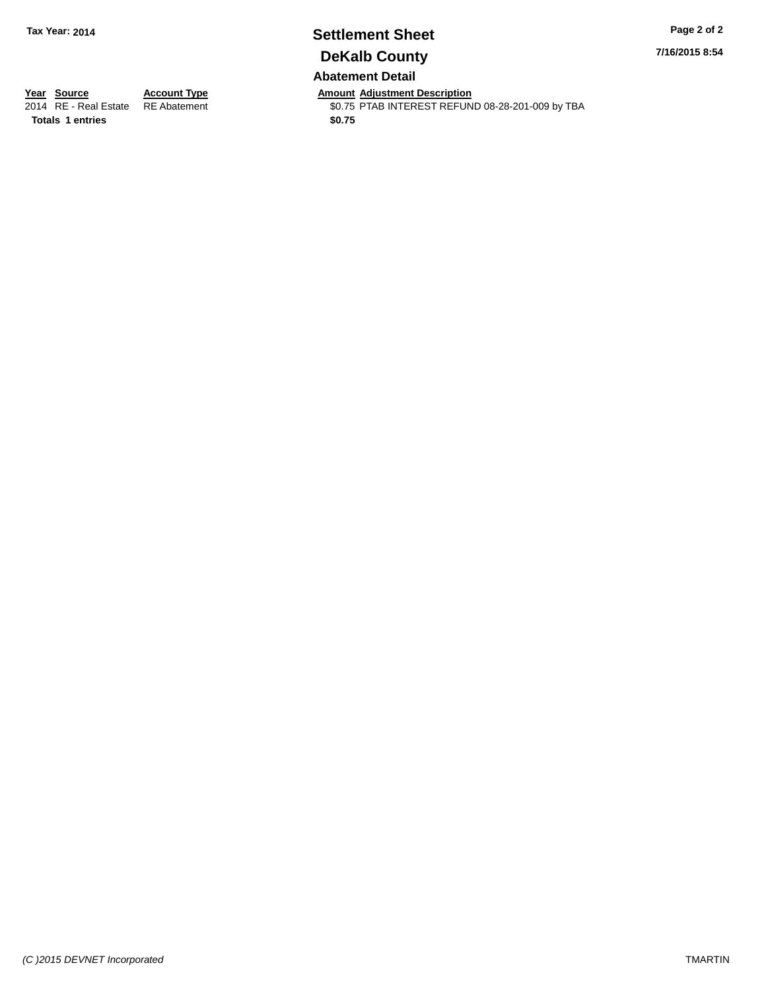## **Settlement Sheet Tax Year: 2014 Page 2 of 2 DeKalb County Abatement Detail**

**7/16/2015 8:54**

**Totals 1 entries** \$0.75

**Year Source Account Type And Amount Adjustment Description**<br>2014 RE - Real Estate RE Abatement **Amount Adjustment REFUN** \$0.75 PTAB INTEREST REFUND 08-28-201-009 by TBA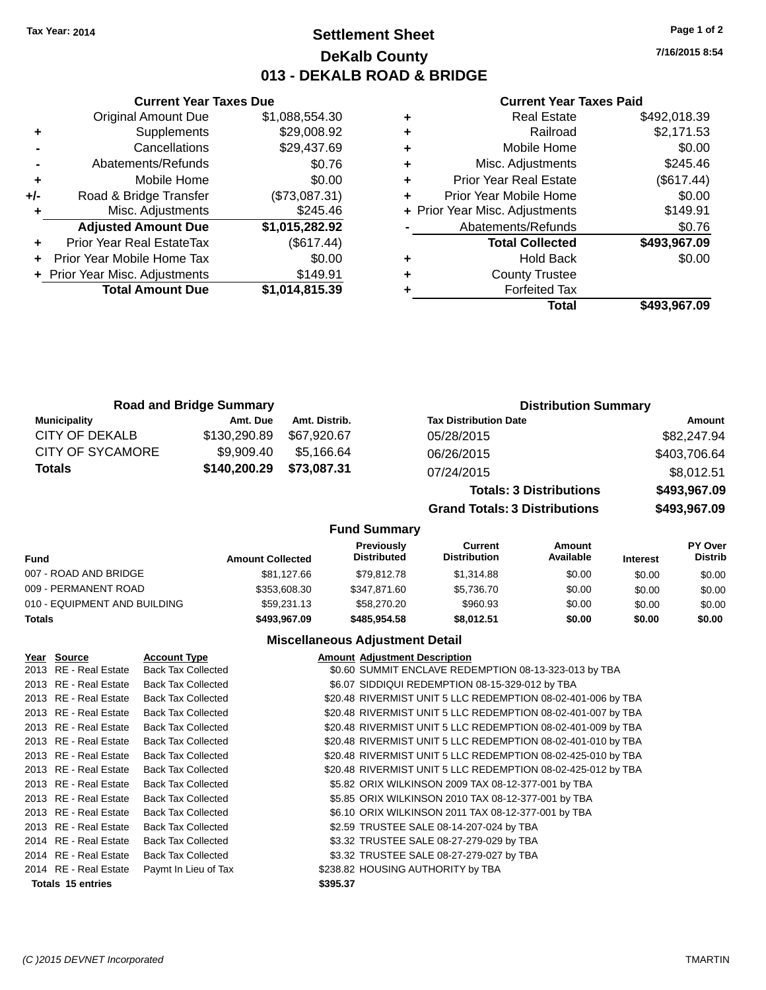**Current Year Taxes Due**

## **Settlement Sheet Tax Year: 2014 Page 1 of 2 DeKalb County 013 - DEKALB ROAD & BRIDGE**

**7/16/2015 8:54**

#### **Current Year Taxes Paid**

|                                  |                                |   | Total                         | \$493,967.09                   |
|----------------------------------|--------------------------------|---|-------------------------------|--------------------------------|
| <b>Total Amount Due</b>          | \$1,014,815.39                 |   | <b>Forfeited Tax</b>          |                                |
|                                  | \$149.91                       | ٠ | <b>County Trustee</b>         |                                |
| Prior Year Mobile Home Tax       | \$0.00                         | ٠ | <b>Hold Back</b>              | \$0.00                         |
| <b>Prior Year Real EstateTax</b> | (\$617.44)                     |   | <b>Total Collected</b>        | \$493,967.09                   |
| <b>Adjusted Amount Due</b>       | \$1,015,282.92                 |   | Abatements/Refunds            | \$0.76                         |
| Misc. Adjustments                | \$245.46                       |   |                               | \$149.91                       |
| Road & Bridge Transfer           | (\$73,087.31)                  |   | Prior Year Mobile Home        | \$0.00                         |
| Mobile Home                      | \$0.00                         | ٠ | <b>Prior Year Real Estate</b> | (\$617.44)                     |
| Abatements/Refunds               | \$0.76                         |   | Misc. Adjustments             | \$245.46                       |
| Cancellations                    | \$29,437.69                    | ٠ | Mobile Home                   | \$0.00                         |
| Supplements                      | \$29,008.92                    | ٠ | Railroad                      | \$2,171.53                     |
| <b>Original Amount Due</b>       | \$1,088,554.30                 | ٠ | <b>Real Estate</b>            | \$492,018.39                   |
|                                  | + Prior Year Misc. Adjustments |   | ÷                             | + Prior Year Misc. Adjustments |

|                     | <b>Road and Bridge Summary</b> |               | <b>Distribution Summary</b>    |              |
|---------------------|--------------------------------|---------------|--------------------------------|--------------|
| <b>Municipality</b> | Amt. Due                       | Amt. Distrib. | <b>Tax Distribution Date</b>   | Amount       |
| CITY OF DEKALB      | \$130,290.89                   | \$67,920.67   | 05/28/2015                     | \$82,247.94  |
| CITY OF SYCAMORE    | \$9,909.40                     | \$5.166.64    | 06/26/2015                     | \$403,706.64 |
| <b>Totals</b>       | \$140,200.29                   | \$73,087.31   | 07/24/2015                     | \$8,012.51   |
|                     |                                |               | <b>Totals: 3 Distributions</b> | \$493,967.09 |

**Grand Totals: 3 Distributions \$493,967.09**

### **Fund Summary**

| <b>Fund</b>                  | <b>Amount Collected</b> | <b>Previously</b><br><b>Distributed</b> | Current<br><b>Distribution</b> | Amount<br>Available | <b>Interest</b> | <b>PY Over</b><br><b>Distrib</b> |
|------------------------------|-------------------------|-----------------------------------------|--------------------------------|---------------------|-----------------|----------------------------------|
| 007 - ROAD AND BRIDGE        | \$81.127.66             | \$79.812.78                             | \$1.314.88                     | \$0.00              | \$0.00          | \$0.00                           |
| 009 - PERMANENT ROAD         | \$353,608.30            | \$347.871.60                            | \$5,736,70                     | \$0.00              | \$0.00          | \$0.00                           |
| 010 - EQUIPMENT AND BUILDING | \$59.231.13             | \$58,270,20                             | \$960.93                       | \$0.00              | \$0.00          | \$0.00                           |
| <b>Totals</b>                | \$493.967.09            | \$485.954.58                            | \$8.012.51                     | \$0.00              | \$0.00          | \$0.00                           |

#### **Miscellaneous Adjustment Detail**

| Year Source              | <b>Account Type</b>       |          | <b>Amount Adjustment Description</b>                         |
|--------------------------|---------------------------|----------|--------------------------------------------------------------|
| 2013 RE - Real Estate    | <b>Back Tax Collected</b> |          | \$0.60 SUMMIT ENCLAVE REDEMPTION 08-13-323-013 by TBA        |
| 2013 RE - Real Estate    | <b>Back Tax Collected</b> |          | \$6.07 SIDDIQUI REDEMPTION 08-15-329-012 by TBA              |
| 2013 RE - Real Estate    | <b>Back Tax Collected</b> |          | \$20.48 RIVERMIST UNIT 5 LLC REDEMPTION 08-02-401-006 by TBA |
| 2013 RE - Real Estate    | <b>Back Tax Collected</b> |          | \$20.48 RIVERMIST UNIT 5 LLC REDEMPTION 08-02-401-007 by TBA |
| 2013 RE - Real Estate    | <b>Back Tax Collected</b> |          | \$20.48 RIVERMIST UNIT 5 LLC REDEMPTION 08-02-401-009 by TBA |
| 2013 RE - Real Estate    | <b>Back Tax Collected</b> |          | \$20.48 RIVERMIST UNIT 5 LLC REDEMPTION 08-02-401-010 by TBA |
| 2013 RE - Real Estate    | <b>Back Tax Collected</b> |          | \$20.48 RIVERMIST UNIT 5 LLC REDEMPTION 08-02-425-010 by TBA |
| 2013 RE - Real Estate    | <b>Back Tax Collected</b> |          | \$20.48 RIVERMIST UNIT 5 LLC REDEMPTION 08-02-425-012 by TBA |
| 2013 RE - Real Estate    | <b>Back Tax Collected</b> |          | \$5.82 ORIX WILKINSON 2009 TAX 08-12-377-001 by TBA          |
| 2013 RE - Real Estate    | <b>Back Tax Collected</b> |          | \$5.85 ORIX WILKINSON 2010 TAX 08-12-377-001 by TBA          |
| 2013 RE - Real Estate    | <b>Back Tax Collected</b> |          | \$6.10 ORIX WILKINSON 2011 TAX 08-12-377-001 by TBA          |
| 2013 RE - Real Estate    | <b>Back Tax Collected</b> |          | \$2.59 TRUSTEE SALE 08-14-207-024 by TBA                     |
| 2014 RE - Real Estate    | <b>Back Tax Collected</b> |          | \$3.32 TRUSTEE SALE 08-27-279-029 by TBA                     |
| 2014 RE - Real Estate    | <b>Back Tax Collected</b> |          | \$3.32 TRUSTEE SALE 08-27-279-027 by TBA                     |
| 2014 RE - Real Estate    | Paymt In Lieu of Tax      |          | \$238.82 HOUSING AUTHORITY by TBA                            |
| <b>Totals 15 entries</b> |                           | \$395.37 |                                                              |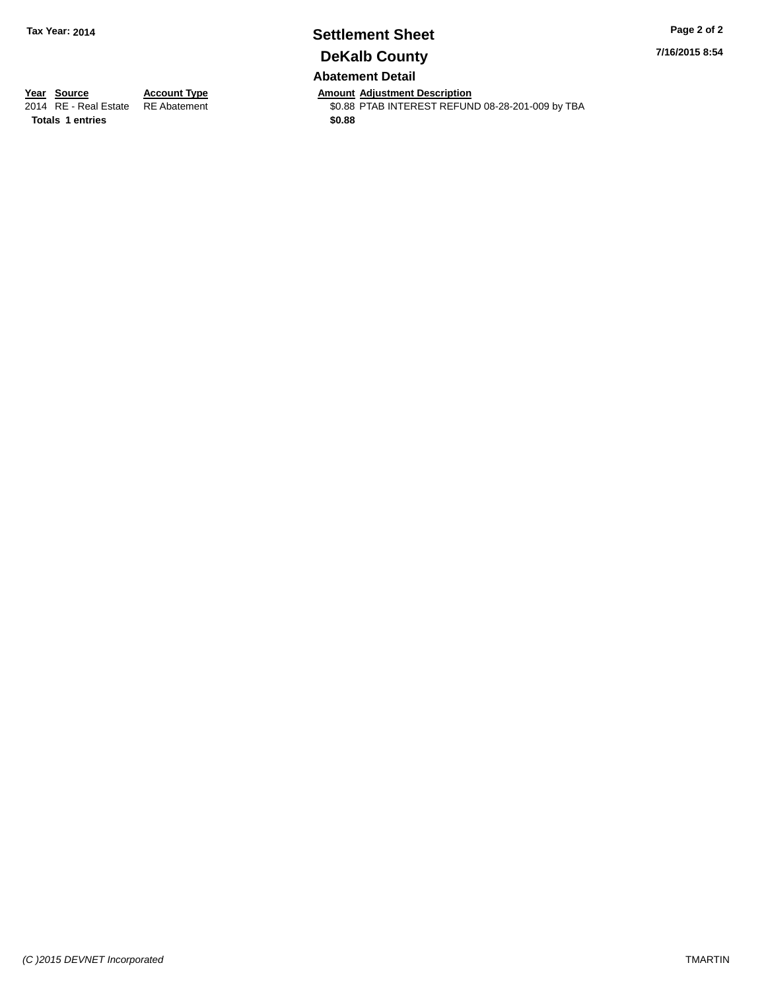# **Settlement Sheet Tax Year: 2014 Page 2 of 2 DeKalb County**

**7/16/2015 8:54**

## **Abatement Detail**

\$0.88 PTAB INTEREST REFUND 08-28-201-009 by TBA

**Totals \$0.88 1 entries**

**Year Source Account Type Account Type Amount Adjustment Description**<br>2014 RE - Real Estate RE Abatement **Account 1998 AMOUNTEREST REFUN**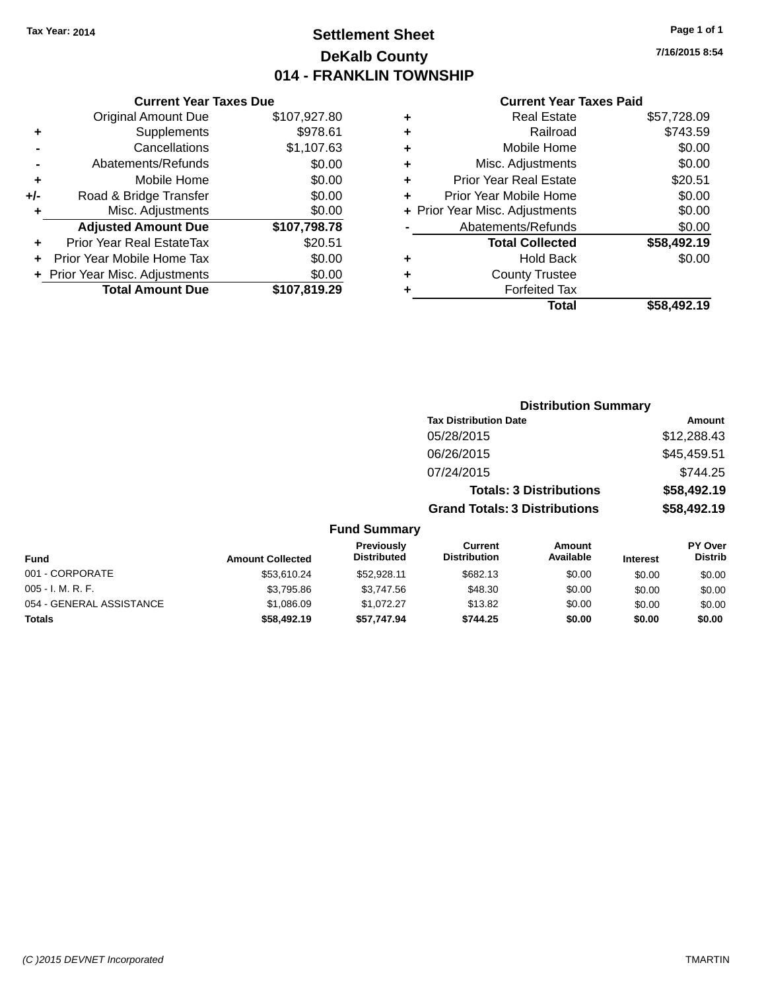## **Settlement Sheet Tax Year: 2014 Page 1 of 1 DeKalb County 014 - FRANKLIN TOWNSHIP**

**7/16/2015 8:54**

| <b>Current Year Taxes Due</b>              |                         |  |  |  |  |  |
|--------------------------------------------|-------------------------|--|--|--|--|--|
| \$107,927.80<br><b>Original Amount Due</b> |                         |  |  |  |  |  |
| Supplements                                | \$978.61                |  |  |  |  |  |
| Cancellations                              | \$1,107.63              |  |  |  |  |  |
| Abatements/Refunds                         | \$0.00                  |  |  |  |  |  |
| Mobile Home                                | \$0.00                  |  |  |  |  |  |
| Road & Bridge Transfer                     | \$0.00                  |  |  |  |  |  |
| \$0.00<br>Misc. Adjustments                |                         |  |  |  |  |  |
| <b>Adjusted Amount Due</b>                 | \$107,798.78            |  |  |  |  |  |
| Prior Year Real EstateTax                  | \$20.51                 |  |  |  |  |  |
| Prior Year Mobile Home Tax                 | \$0.00                  |  |  |  |  |  |
| \$0.00<br>Prior Year Misc. Adjustments     |                         |  |  |  |  |  |
|                                            | \$107,819.29            |  |  |  |  |  |
|                                            | <b>Total Amount Due</b> |  |  |  |  |  |

|   | <b>Real Estate</b>             | \$57,728.09 |
|---|--------------------------------|-------------|
| ٠ | Railroad                       | \$743.59    |
| ٠ | Mobile Home                    | \$0.00      |
| ٠ | Misc. Adjustments              | \$0.00      |
| ٠ | <b>Prior Year Real Estate</b>  | \$20.51     |
| ÷ | Prior Year Mobile Home         | \$0.00      |
|   | + Prior Year Misc. Adjustments | \$0.00      |
|   | Abatements/Refunds             | \$0.00      |
|   | <b>Total Collected</b>         | \$58,492.19 |
| ٠ | <b>Hold Back</b>               | \$0.00      |
| ٠ | <b>County Trustee</b>          |             |
| ٠ | <b>Forfeited Tax</b>           |             |
|   | Total                          | \$58,492.19 |
|   |                                |             |

|                          |                         |                                  | <b>Distribution Summary</b>           |                                |                 |                           |
|--------------------------|-------------------------|----------------------------------|---------------------------------------|--------------------------------|-----------------|---------------------------|
|                          |                         |                                  | <b>Tax Distribution Date</b>          |                                |                 | Amount                    |
|                          |                         |                                  | 05/28/2015                            |                                |                 | \$12,288.43               |
|                          |                         |                                  | 06/26/2015                            |                                |                 | \$45,459.51               |
|                          |                         |                                  | 07/24/2015                            |                                |                 | \$744.25                  |
|                          |                         |                                  |                                       | <b>Totals: 3 Distributions</b> |                 | \$58,492.19               |
|                          |                         |                                  | <b>Grand Totals: 3 Distributions</b>  |                                |                 | \$58,492.19               |
|                          |                         | <b>Fund Summary</b>              |                                       |                                |                 |                           |
| <b>Fund</b>              | <b>Amount Collected</b> | Previously<br><b>Distributed</b> | <b>Current</b><br><b>Distribution</b> | Amount<br>Available            | <b>Interest</b> | PY Over<br><b>Distrib</b> |
| 001 - CORPORATE          | \$53,610.24             | \$52,928.11                      | \$682.13                              | \$0.00                         | \$0.00          | \$0.00                    |
| 005 - I. M. R. F.        | \$3,795.86              | \$3,747.56                       | \$48.30                               | \$0.00                         | \$0.00          | \$0.00                    |
| 054 - GENERAL ASSISTANCE | \$1,086.09              | \$1,072.27                       | \$13.82                               | \$0.00                         | \$0.00          | \$0.00                    |
| Totals                   | \$58,492.19             | \$57,747.94                      | \$744.25                              | \$0.00                         | \$0.00          | \$0.00                    |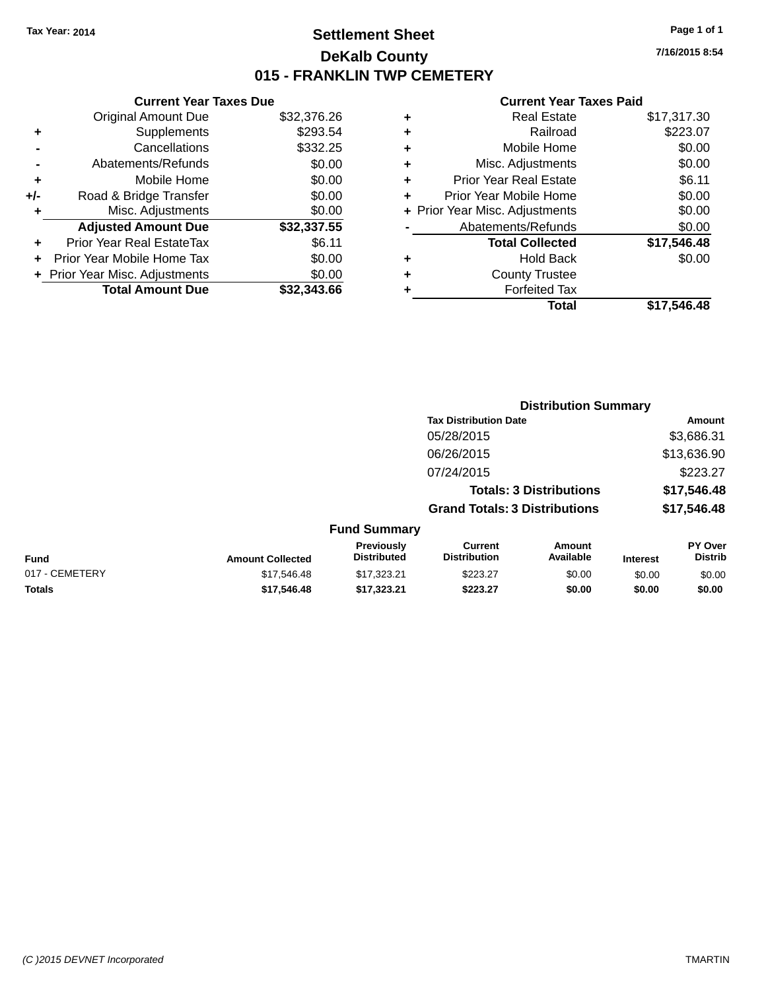## **Settlement Sheet Tax Year: 2014 Page 1 of 1 DeKalb County 015 - FRANKLIN TWP CEMETERY**

**7/16/2015 8:54**

| <b>Current Year Taxes Due</b> |  |  |  |  |  |  |  |
|-------------------------------|--|--|--|--|--|--|--|
| \$32,376.26                   |  |  |  |  |  |  |  |
| \$293.54                      |  |  |  |  |  |  |  |
| \$332.25                      |  |  |  |  |  |  |  |
| \$0.00                        |  |  |  |  |  |  |  |
| \$0.00                        |  |  |  |  |  |  |  |
| \$0.00                        |  |  |  |  |  |  |  |
| \$0.00                        |  |  |  |  |  |  |  |
| \$32,337.55                   |  |  |  |  |  |  |  |
| \$6.11                        |  |  |  |  |  |  |  |
| \$0.00                        |  |  |  |  |  |  |  |
| \$0.00                        |  |  |  |  |  |  |  |
| \$32.343.66                   |  |  |  |  |  |  |  |
|                               |  |  |  |  |  |  |  |

|   | <b>Real Estate</b>             | \$17,317.30 |
|---|--------------------------------|-------------|
| ٠ | Railroad                       | \$223.07    |
| ٠ | Mobile Home                    | \$0.00      |
| ٠ | Misc. Adjustments              | \$0.00      |
| ٠ | <b>Prior Year Real Estate</b>  | \$6.11      |
| ٠ | Prior Year Mobile Home         | \$0.00      |
|   | + Prior Year Misc. Adjustments | \$0.00      |
|   | Abatements/Refunds             | \$0.00      |
|   | <b>Total Collected</b>         | \$17,546.48 |
| ٠ | <b>Hold Back</b>               | \$0.00      |
| ٠ | <b>County Trustee</b>          |             |
| ٠ | <b>Forfeited Tax</b>           |             |
|   | Total                          | \$17.546.48 |
|   |                                |             |

|                                        |                                  | <b>Distribution Summary</b>           |                                |                 |                                  |
|----------------------------------------|----------------------------------|---------------------------------------|--------------------------------|-----------------|----------------------------------|
|                                        |                                  | <b>Tax Distribution Date</b>          |                                |                 | <b>Amount</b>                    |
|                                        |                                  | 05/28/2015                            |                                |                 | \$3,686.31                       |
|                                        |                                  | 06/26/2015                            |                                |                 | \$13,636.90                      |
|                                        |                                  | 07/24/2015                            |                                |                 | \$223.27                         |
|                                        |                                  |                                       | <b>Totals: 3 Distributions</b> |                 | \$17,546.48                      |
|                                        |                                  | <b>Grand Totals: 3 Distributions</b>  |                                |                 | \$17,546.48                      |
|                                        | <b>Fund Summary</b>              |                                       |                                |                 |                                  |
| <b>Fund</b><br><b>Amount Collected</b> | Previously<br><b>Distributed</b> | <b>Current</b><br><b>Distribution</b> | Amount<br>Available            | <b>Interest</b> | <b>PY Over</b><br><b>Distrib</b> |
| 017 - CEMETERY<br>\$17,546.48          | \$17,323.21                      | \$223.27                              | \$0.00                         | \$0.00          | \$0.00                           |
| <b>Totals</b><br>\$17,546.48           | \$17.323.21                      | \$223.27                              | \$0.00                         | \$0.00          | \$0.00                           |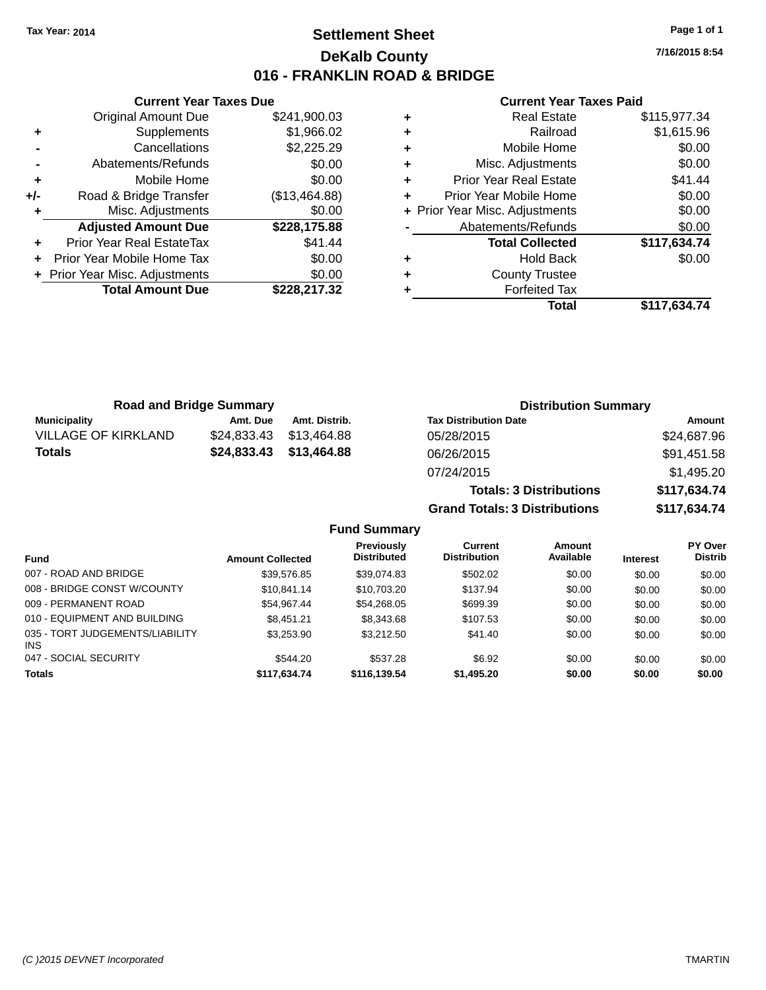## **Settlement Sheet Tax Year: 2014 Page 1 of 1 DeKalb County 016 - FRANKLIN ROAD & BRIDGE**

**7/16/2015 8:54**

#### **Current Year Taxes Paid**

|     | <b>Current Year Taxes Due</b>  |               |
|-----|--------------------------------|---------------|
|     | <b>Original Amount Due</b>     | \$241,900.03  |
| ٠   | Supplements                    | \$1,966.02    |
|     | Cancellations                  | \$2,225.29    |
|     | Abatements/Refunds             | \$0.00        |
| ٠   | Mobile Home                    | \$0.00        |
| +/- | Road & Bridge Transfer         | (\$13,464.88) |
|     | Misc. Adjustments              | \$0.00        |
|     | <b>Adjusted Amount Due</b>     | \$228,175.88  |
| ٠   | Prior Year Real EstateTax      | \$41.44       |
|     | Prior Year Mobile Home Tax     | \$0.00        |
|     | + Prior Year Misc. Adjustments | \$0.00        |
|     | <b>Total Amount Due</b>        | \$228,217.32  |
|     |                                |               |

|   | <b>Real Estate</b>             | \$115,977.34 |
|---|--------------------------------|--------------|
| ٠ | Railroad                       | \$1,615.96   |
| ٠ | Mobile Home                    | \$0.00       |
| ٠ | Misc. Adjustments              | \$0.00       |
| ٠ | <b>Prior Year Real Estate</b>  | \$41.44      |
| ٠ | Prior Year Mobile Home         | \$0.00       |
|   | + Prior Year Misc. Adjustments | \$0.00       |
|   | Abatements/Refunds             | \$0.00       |
|   | <b>Total Collected</b>         | \$117,634.74 |
| ٠ | <b>Hold Back</b>               | \$0.00       |
| ٠ | <b>County Trustee</b>          |              |
|   | <b>Forfeited Tax</b>           |              |
|   | Total                          | \$117,634.74 |

| <b>Road and Bridge Summary</b> |             |               | <b>Distribution Summary</b>    |              |  |
|--------------------------------|-------------|---------------|--------------------------------|--------------|--|
| <b>Municipality</b>            | Amt. Due    | Amt. Distrib. | <b>Tax Distribution Date</b>   | Amount       |  |
| <b>VILLAGE OF KIRKLAND</b>     | \$24,833.43 | \$13.464.88   | 05/28/2015                     | \$24,687.96  |  |
| <b>Totals</b>                  | \$24,833.43 | \$13,464.88   | 06/26/2015                     | \$91,451.58  |  |
|                                |             |               | 07/24/2015                     | \$1,495.20   |  |
|                                |             |               | <b>Totals: 3 Distributions</b> | \$117,634.74 |  |

**Grand Totals: 3 Distributions \$117,634.74**

|                                        |                         | <b>Previously</b>  | Current             | <b>Amount</b> |                 | <b>PY Over</b> |
|----------------------------------------|-------------------------|--------------------|---------------------|---------------|-----------------|----------------|
| <b>Fund</b>                            | <b>Amount Collected</b> | <b>Distributed</b> | <b>Distribution</b> | Available     | <b>Interest</b> | <b>Distrib</b> |
| 007 - ROAD AND BRIDGE                  | \$39.576.85             | \$39.074.83        | \$502.02            | \$0.00        | \$0.00          | \$0.00         |
| 008 - BRIDGE CONST W/COUNTY            | \$10.841.14             | \$10.703.20        | \$137.94            | \$0.00        | \$0.00          | \$0.00         |
| 009 - PERMANENT ROAD                   | \$54.967.44             | \$54.268.05        | \$699.39            | \$0.00        | \$0.00          | \$0.00         |
| 010 - EQUIPMENT AND BUILDING           | \$8.451.21              | \$8,343.68         | \$107.53            | \$0.00        | \$0.00          | \$0.00         |
| 035 - TORT JUDGEMENTS/LIABILITY<br>INS | \$3.253.90              | \$3,212.50         | \$41.40             | \$0.00        | \$0.00          | \$0.00         |
| 047 - SOCIAL SECURITY                  | \$544.20                | \$537.28           | \$6.92              | \$0.00        | \$0.00          | \$0.00         |
| <b>Totals</b>                          | \$117,634.74            | \$116.139.54       | \$1,495.20          | \$0.00        | \$0.00          | \$0.00         |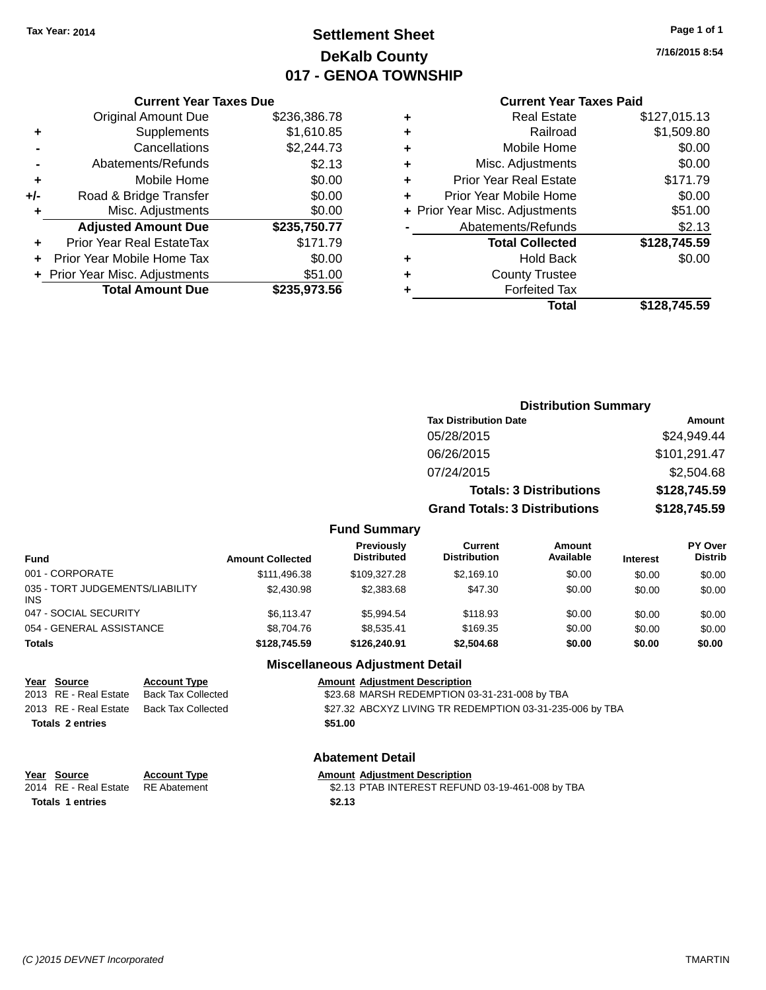## **Settlement Sheet Tax Year: 2014 Page 1 of 1 DeKalb County 017 - GENOA TOWNSHIP**

**7/16/2015 8:54**

|     | <b>Current Year Taxes Due</b>  |              |  |  |  |  |  |
|-----|--------------------------------|--------------|--|--|--|--|--|
|     | <b>Original Amount Due</b>     | \$236,386.78 |  |  |  |  |  |
| ٠   | Supplements                    | \$1,610.85   |  |  |  |  |  |
|     | Cancellations                  | \$2,244.73   |  |  |  |  |  |
|     | Abatements/Refunds             | \$2.13       |  |  |  |  |  |
| ٠   | Mobile Home                    | \$0.00       |  |  |  |  |  |
| +/- | Road & Bridge Transfer         | \$0.00       |  |  |  |  |  |
| ٠   | Misc. Adjustments              | \$0.00       |  |  |  |  |  |
|     | <b>Adjusted Amount Due</b>     | \$235,750.77 |  |  |  |  |  |
| ÷   | Prior Year Real EstateTax      | \$171.79     |  |  |  |  |  |
|     | Prior Year Mobile Home Tax     | \$0.00       |  |  |  |  |  |
|     | + Prior Year Misc. Adjustments | \$51.00      |  |  |  |  |  |
|     | <b>Total Amount Due</b>        | \$235,973.56 |  |  |  |  |  |
|     |                                |              |  |  |  |  |  |

## **Current Year Taxes Paid**

| ٠ | <b>Real Estate</b>             | \$127,015.13 |
|---|--------------------------------|--------------|
| ٠ | Railroad                       | \$1,509.80   |
| ٠ | Mobile Home                    | \$0.00       |
| ٠ | Misc. Adjustments              | \$0.00       |
| ٠ | <b>Prior Year Real Estate</b>  | \$171.79     |
| ٠ | Prior Year Mobile Home         | \$0.00       |
|   | + Prior Year Misc. Adjustments | \$51.00      |
|   | Abatements/Refunds             | \$2.13       |
|   | <b>Total Collected</b>         | \$128,745.59 |
| ٠ | <b>Hold Back</b>               | \$0.00       |
| ٠ | <b>County Trustee</b>          |              |
| ٠ | <b>Forfeited Tax</b>           |              |
|   | Total                          | \$128,745.59 |
|   |                                |              |

|                                         |                         |                                  | <b>Distribution Summary</b>          |                                |                 |                                  |
|-----------------------------------------|-------------------------|----------------------------------|--------------------------------------|--------------------------------|-----------------|----------------------------------|
|                                         |                         |                                  | <b>Tax Distribution Date</b>         |                                |                 | <b>Amount</b>                    |
|                                         |                         |                                  | 05/28/2015                           |                                |                 | \$24,949.44                      |
|                                         |                         |                                  | 06/26/2015                           |                                |                 | \$101,291.47                     |
|                                         |                         |                                  | 07/24/2015                           |                                |                 | \$2,504.68                       |
|                                         |                         |                                  |                                      | <b>Totals: 3 Distributions</b> |                 | \$128,745.59                     |
|                                         |                         |                                  | <b>Grand Totals: 3 Distributions</b> |                                |                 | \$128,745.59                     |
|                                         |                         | <b>Fund Summary</b>              |                                      |                                |                 |                                  |
| <b>Fund</b>                             | <b>Amount Collected</b> | Previously<br><b>Distributed</b> | Current<br><b>Distribution</b>       | <b>Amount</b><br>Available     | <b>Interest</b> | <b>PY Over</b><br><b>Distrib</b> |
| 001 - CORPORATE                         | \$111.496.38            | \$109,327.28                     | \$2,169.10                           | \$0.00                         | \$0.00          | \$0.00                           |
| 035 - TORT JUDGEMENTS/LIABILITY<br>INS. | \$2,430.98              | \$2,383.68                       | \$47.30                              | \$0.00                         | \$0.00          | \$0.00                           |
| 047 - SOCIAL SECURITY                   | \$6.113.47              | \$5.994.54                       | \$118.93                             | \$0.00                         | \$0.00          | \$0.00                           |

047 - SOCIAL SECU 054 - GENERAL ASSISTANCE \$8,704.76 \$8,535.41 \$169.35 \$0.00 \$0.00 \$0.00 \$0.00 **Totals \$128,745.59 \$126,240.91 \$2,504.68 \$0.00 \$0.00 \$0.00**

#### **Miscellaneous Adjustment Detail**

**Year Source Account Type Amount Adjustment Description**<br>2013 RE - Real Estate Back Tax Collected \$23.68 MARSH REDEMPTION 0 \$23.68 MARSH REDEMPTION 03-31-231-008 by TBA 2013 RE - Real Estate Back Tax Collected \$27.32 ABCXYZ LIVING TR REDEMPTION 03-31-235-006 by TBA **Totals \$51.00 2 entries**

## **Abatement Detail**

| Year Source | <b>Account Type</b> | <b>Amount Adiustment Description</b> |
|-------------|---------------------|--------------------------------------|
|             |                     |                                      |

| 2014 RE - Real Estate RE Abatement | \$2.13 PTAB INTEREST REFUND 03-19-461-008 by TBA |
|------------------------------------|--------------------------------------------------|
| <b>Totals 1 entries</b>            | \$2.13                                           |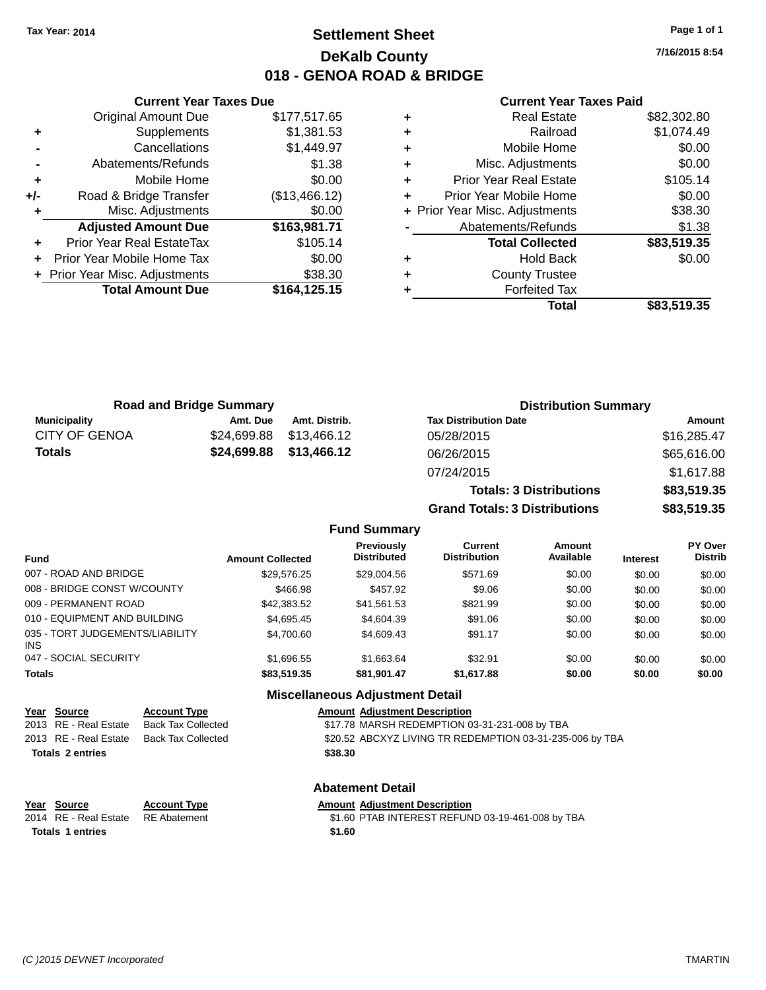## **Settlement Sheet Tax Year: 2014 Page 1 of 1 DeKalb County 018 - GENOA ROAD & BRIDGE**

**7/16/2015 8:54**

#### **Current Year Taxes Paid**

|     | <b>Original Amount Due</b>     | \$177,517.65  |
|-----|--------------------------------|---------------|
| ٠   | Supplements                    | \$1,381.53    |
|     | Cancellations                  | \$1,449.97    |
|     | Abatements/Refunds             | \$1.38        |
| ÷   | Mobile Home                    | \$0.00        |
| +/- | Road & Bridge Transfer         | (\$13,466.12) |
|     | Misc. Adjustments              | \$0.00        |
|     | <b>Adjusted Amount Due</b>     | \$163,981.71  |
| ÷   | Prior Year Real EstateTax      | \$105.14      |
| ÷   | Prior Year Mobile Home Tax     | \$0.00        |
|     | + Prior Year Misc. Adjustments | \$38.30       |
|     | <b>Total Amount Due</b>        | \$164,125.15  |
|     |                                |               |

**Current Year Taxes Due**

|   | <b>Real Estate</b>             | \$82,302.80 |
|---|--------------------------------|-------------|
| ٠ | Railroad                       | \$1,074.49  |
| ٠ | Mobile Home                    | \$0.00      |
| ٠ | Misc. Adjustments              | \$0.00      |
| ٠ | <b>Prior Year Real Estate</b>  | \$105.14    |
| ٠ | Prior Year Mobile Home         | \$0.00      |
|   | + Prior Year Misc. Adjustments | \$38.30     |
|   | Abatements/Refunds             | \$1.38      |
|   | <b>Total Collected</b>         | \$83,519.35 |
| ٠ | <b>Hold Back</b>               | \$0.00      |
| ٠ | <b>County Trustee</b>          |             |
| ٠ | <b>Forfeited Tax</b>           |             |
|   | Total                          | \$83,519.35 |
|   |                                |             |

**Totals: 3 Distributions \$83,519.35**

**Grand Totals: 3 Distributions \$83,519.35**

| <b>Road and Bridge Summary</b> |             |                         | <b>Distribution Summary</b>  |             |  |
|--------------------------------|-------------|-------------------------|------------------------------|-------------|--|
| Municipality                   | Amt. Due    | Amt. Distrib.           | <b>Tax Distribution Date</b> | Amount      |  |
| <b>CITY OF GENOA</b>           | \$24.699.88 | \$13.466.12             | 05/28/2015                   | \$16,285.47 |  |
| <b>Totals</b>                  |             | \$24,699.88 \$13,466.12 | 06/26/2015                   | \$65,616.00 |  |
|                                |             |                         | 07/24/2015                   | \$1,617.88  |  |

#### **Fund Summary Fund Interest Amount Collected Distributed PY Over Distrib Amount Available Current Distribution Previously** 007 - ROAD AND BRIDGE \$29,576.25 \$29,004.56 \$571.69 \$0.00 \$0.00 \$0.00 008 - BRIDGE CONST W/COUNTY  $\begin{array}{cccc} 1.66698 & 1.606 \end{array}$  \$0.00 \$0.00 \$0.00 \$0.00 009 - PERMANENT ROAD \$42,383.52 \$41,561.53 \$821.99 \$0.00 \$0.00 \$0.00 \$0.00 \$0.00 \$0.00 \$0.00 \$0.00 010 - EQUIPMENT AND BUILDING \$4,695.45 \$4,604.39 \$91.06 \$0.00 \$0.00 \$0.00 \$0.00 035 - TORT JUDGEMENTS/LIABILITY INS \$4,700.60 \$4,609.43 \$91.17 \$0.00 \$0.00 \$0.00 047 - SOCIAL SECURITY \$1,696.55 \$1,663.64 \$32.91 \$0.00 \$0.00 \$0.00 \$0.00 **Totals \$83,519.35 \$81,901.47 \$1,617.88 \$0.00 \$0.00 \$0.00**

#### **Miscellaneous Adjustment Detail**

| Year Source             | <b>Account Type</b> | <b>Amount Adjustment Description</b>                     |
|-------------------------|---------------------|----------------------------------------------------------|
| 2013 RE - Real Estate   | Back Tax Collected  | \$17.78 MARSH REDEMPTION 03-31-231-008 by TBA            |
| 2013 RE - Real Estate   | Back Tax Collected  | \$20.52 ABCXYZ LIVING TR REDEMPTION 03-31-235-006 by TBA |
| <b>Totals 2 entries</b> |                     | \$38.30                                                  |
|                         |                     |                                                          |

| Year Source                      | <b>Account Type</b> | <b>Amount Adiustment Description</b> |
|----------------------------------|---------------------|--------------------------------------|
| 2014 PE Pool Estate PE Abatement |                     | <b>C1 AN DTAR INITEDECT DEEI IN</b>  |

**Totals \$1.60 1 entries**

**Abatement Detail**

2014 RE - Real Estate RE Abatement \$1.60 PTAB INTEREST REFUND 03-19-461-008 by TBA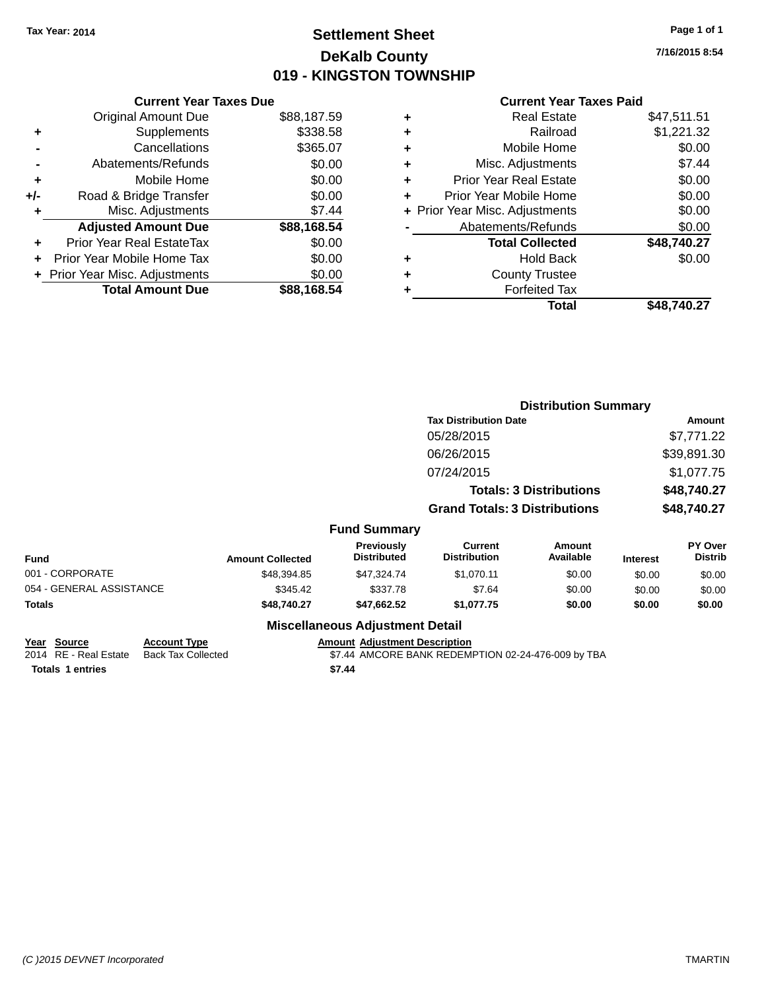## **Settlement Sheet Tax Year: 2014 Page 1 of 1 DeKalb County 019 - KINGSTON TOWNSHIP**

**7/16/2015 8:54**

## **Current Year Taxes Paid**

|       | <b>Current Year Taxes Due</b>  |             |
|-------|--------------------------------|-------------|
|       | <b>Original Amount Due</b>     | \$88,187.59 |
| ÷     | Supplements                    | \$338.58    |
|       | Cancellations                  | \$365.07    |
|       | Abatements/Refunds             | \$0.00      |
| ٠     | Mobile Home                    | \$0.00      |
| $+/-$ | Road & Bridge Transfer         | \$0.00      |
| ٠     | Misc. Adjustments              | \$7.44      |
|       | <b>Adjusted Amount Due</b>     | \$88,168.54 |
| ÷     | Prior Year Real EstateTax      | \$0.00      |
|       | Prior Year Mobile Home Tax     | \$0.00      |
|       | + Prior Year Misc. Adjustments | \$0.00      |
|       | <b>Total Amount Due</b>        | \$88,168.54 |
|       |                                |             |

|   | <b>Real Estate</b>             | \$47,511.51 |
|---|--------------------------------|-------------|
| ٠ | Railroad                       | \$1,221.32  |
| ٠ | Mobile Home                    | \$0.00      |
| ٠ | Misc. Adjustments              | \$7.44      |
| ٠ | <b>Prior Year Real Estate</b>  | \$0.00      |
| ٠ | Prior Year Mobile Home         | \$0.00      |
|   | + Prior Year Misc. Adjustments | \$0.00      |
|   | Abatements/Refunds             | \$0.00      |
|   | <b>Total Collected</b>         | \$48,740.27 |
| ٠ | <b>Hold Back</b>               | \$0.00      |
| ٠ | <b>County Trustee</b>          |             |
| ٠ | <b>Forfeited Tax</b>           |             |
|   | Total                          | \$48,740.27 |
|   |                                |             |

|                          |                         |                                  | <b>Distribution Summary</b>           |                                |                 |                           |
|--------------------------|-------------------------|----------------------------------|---------------------------------------|--------------------------------|-----------------|---------------------------|
|                          |                         |                                  | <b>Tax Distribution Date</b>          |                                |                 | Amount                    |
|                          |                         |                                  | 05/28/2015                            |                                |                 | \$7,771.22                |
|                          |                         |                                  | 06/26/2015                            |                                |                 | \$39,891.30               |
|                          |                         |                                  | 07/24/2015                            |                                |                 | \$1,077.75                |
|                          |                         |                                  |                                       | <b>Totals: 3 Distributions</b> |                 | \$48,740.27               |
|                          |                         |                                  | <b>Grand Totals: 3 Distributions</b>  |                                |                 | \$48,740.27               |
|                          |                         | <b>Fund Summary</b>              |                                       |                                |                 |                           |
| <b>Fund</b>              | <b>Amount Collected</b> | Previously<br><b>Distributed</b> | <b>Current</b><br><b>Distribution</b> | Amount<br>Available            | <b>Interest</b> | PY Over<br><b>Distrib</b> |
| 001 - CORPORATE          | \$48,394.85             | \$47,324.74                      | \$1,070.11                            | \$0.00                         | \$0.00          | \$0.00                    |
| 054 - GENERAL ASSISTANCE | \$345.42                | \$337.78                         | \$7.64                                | \$0.00                         | \$0.00          | \$0.00                    |
| <b>Totals</b>            | \$48,740.27             | \$47,662.52                      | \$1,077.75                            | \$0.00                         | \$0.00          | \$0.00                    |
|                          |                         |                                  |                                       |                                |                 |                           |

## **Miscellaneous Adjustment Detail**

**Totals \$7.44 1 entries**

**Year Source Account Type Account Account Adjustment Description** 

2014 RE - Real Estate Back Tax Collected **\$7.44 AMCORE BANK REDEMPTION 02-24-476-009 by TBA**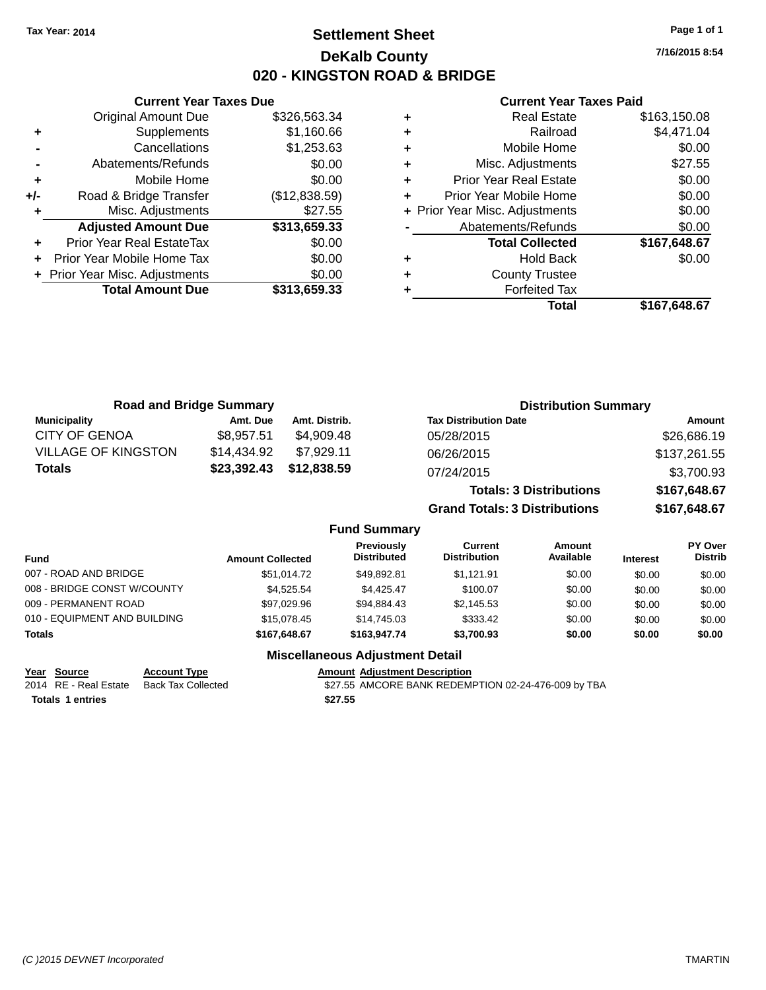## **Settlement Sheet Tax Year: 2014 Page 1 of 1 DeKalb County 020 - KINGSTON ROAD & BRIDGE**

**7/16/2015 8:54**

#### **Current Year Taxes Paid**

|     | <b>Original Amount Due</b>     | \$326,563.34  |
|-----|--------------------------------|---------------|
| ٠   | Supplements                    | \$1,160.66    |
|     | Cancellations                  | \$1,253.63    |
|     | Abatements/Refunds             | \$0.00        |
| ٠   | Mobile Home                    | \$0.00        |
| +/- | Road & Bridge Transfer         | (\$12,838.59) |
| ٠   | Misc. Adjustments              | \$27.55       |
|     | <b>Adjusted Amount Due</b>     | \$313,659.33  |
| ÷   | Prior Year Real EstateTax      | \$0.00        |
|     | Prior Year Mobile Home Tax     | \$0.00        |
|     | + Prior Year Misc. Adjustments | \$0.00        |
|     | <b>Total Amount Due</b>        | \$313,659.33  |
|     |                                |               |

**Current Year Taxes Due**

|   | <b>Real Estate</b>             | \$163,150.08 |
|---|--------------------------------|--------------|
| ٠ | Railroad                       | \$4,471.04   |
| ٠ | Mobile Home                    | \$0.00       |
| ٠ | Misc. Adjustments              | \$27.55      |
| ٠ | <b>Prior Year Real Estate</b>  | \$0.00       |
| ٠ | Prior Year Mobile Home         | \$0.00       |
|   | + Prior Year Misc. Adjustments | \$0.00       |
|   | Abatements/Refunds             | \$0.00       |
|   | <b>Total Collected</b>         | \$167,648.67 |
| ٠ | <b>Hold Back</b>               | \$0.00       |
| ٠ | <b>County Trustee</b>          |              |
| ٠ | <b>Forfeited Tax</b>           |              |
|   | <b>Total</b>                   | \$167,648.67 |
|   |                                |              |

| <b>Road and Bridge Summary</b> |             |               | <b>Distribution Summary</b>    |              |  |
|--------------------------------|-------------|---------------|--------------------------------|--------------|--|
| <b>Municipality</b>            | Amt. Due    | Amt. Distrib. | <b>Tax Distribution Date</b>   | Amount       |  |
| <b>CITY OF GENOA</b>           | \$8,957.51  | \$4.909.48    | 05/28/2015                     | \$26,686.19  |  |
| <b>VILLAGE OF KINGSTON</b>     | \$14,434.92 | \$7.929.11    | 06/26/2015                     | \$137,261.55 |  |
| <b>Totals</b>                  | \$23,392.43 | \$12,838.59   | 07/24/2015                     | \$3,700.93   |  |
|                                |             |               | <b>Totals: 3 Distributions</b> | \$167,648.67 |  |

**Grand Totals: 3 Distributions \$167,648.67**

### **Fund Summary**

| <b>Fund</b>                  | <b>Amount Collected</b> | <b>Previously</b><br><b>Distributed</b> | Current<br><b>Distribution</b> | Amount<br>Available | <b>Interest</b> | <b>PY Over</b><br><b>Distrib</b> |
|------------------------------|-------------------------|-----------------------------------------|--------------------------------|---------------------|-----------------|----------------------------------|
| 007 - ROAD AND BRIDGE        | \$51.014.72             | \$49.892.81                             | \$1.121.91                     | \$0.00              | \$0.00          | \$0.00                           |
| 008 - BRIDGE CONST W/COUNTY  | \$4.525.54              | \$4.425.47                              | \$100.07                       | \$0.00              | \$0.00          | \$0.00                           |
| 009 - PERMANENT ROAD         | \$97.029.96             | \$94.884.43                             | \$2,145.53                     | \$0.00              | \$0.00          | \$0.00                           |
| 010 - EQUIPMENT AND BUILDING | \$15,078,45             | \$14,745.03                             | \$333.42                       | \$0.00              | \$0.00          | \$0.00                           |
| <b>Totals</b>                | \$167.648.67            | \$163,947.74                            | \$3,700.93                     | \$0.00              | \$0.00          | \$0.00                           |

### **Miscellaneous Adjustment Detail**

**Year Source Account Type Account Account Adjustment Description** 

**Totals \$27.55 1 entries**

2014 RE - Real Estate Back Tax Collected **\$27.55 AMCORE BANK REDEMPTION 02-24-476-009 by TBA**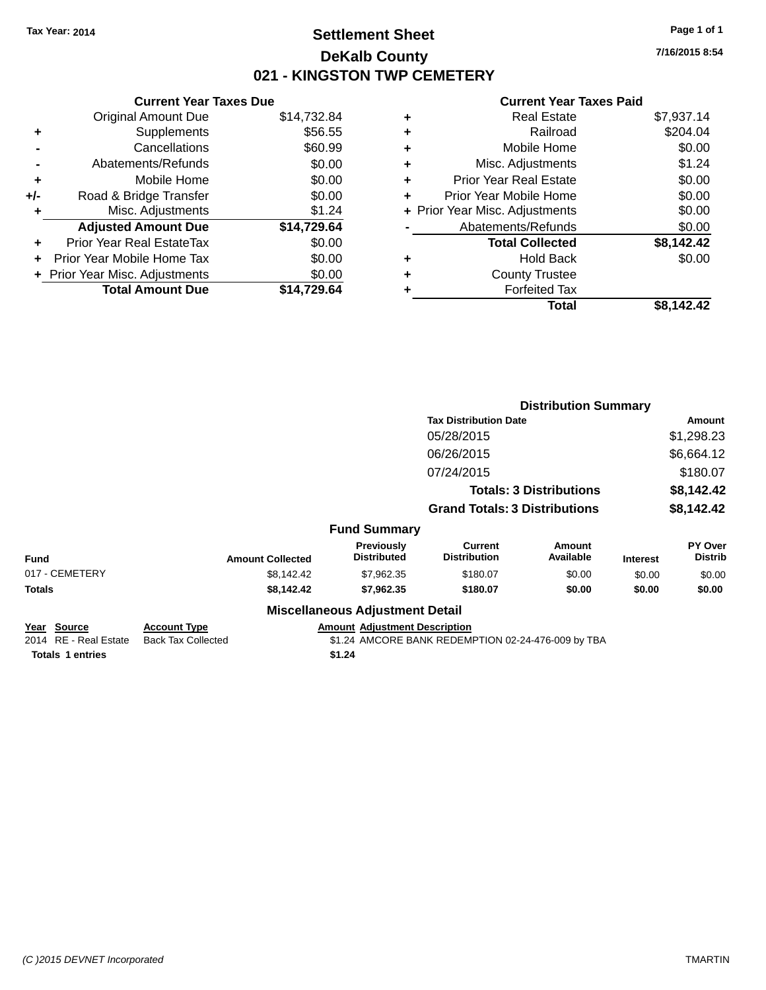## **Settlement Sheet Tax Year: 2014 Page 1 of 1 DeKalb County 021 - KINGSTON TWP CEMETERY**

**7/16/2015 8:54**

|     | <b>Current Year Taxes Due</b> |             |
|-----|-------------------------------|-------------|
|     | <b>Original Amount Due</b>    | \$14,732.84 |
| ٠   | Supplements                   | \$56.55     |
|     | Cancellations                 | \$60.99     |
|     | Abatements/Refunds            | \$0.00      |
| ٠   | Mobile Home                   | \$0.00      |
| +/- | Road & Bridge Transfer        | \$0.00      |
|     | Misc. Adjustments             | \$1.24      |
|     | <b>Adjusted Amount Due</b>    | \$14,729.64 |
| ÷   | Prior Year Real EstateTax     | \$0.00      |
|     | Prior Year Mobile Home Tax    | \$0.00      |
|     | Prior Year Misc. Adjustments  | \$0.00      |
|     | <b>Total Amount Due</b>       | \$14.729.64 |
|     |                               |             |

| ٠ | <b>Real Estate</b>             | \$7,937.14 |
|---|--------------------------------|------------|
| ٠ | Railroad                       | \$204.04   |
| ٠ | Mobile Home                    | \$0.00     |
| ٠ | Misc. Adjustments              | \$1.24     |
| ٠ | <b>Prior Year Real Estate</b>  | \$0.00     |
| ÷ | Prior Year Mobile Home         | \$0.00     |
|   | + Prior Year Misc. Adjustments | \$0.00     |
|   | Abatements/Refunds             | \$0.00     |
|   | <b>Total Collected</b>         | \$8,142.42 |
| ٠ | <b>Hold Back</b>               | \$0.00     |
| ٠ | <b>County Trustee</b>          |            |
| ٠ | <b>Forfeited Tax</b>           |            |
|   | Total                          | \$8,142.42 |
|   |                                |            |

|                                             |                                                  |                                        | <b>Distribution Summary</b>                        |                                |                 |                           |
|---------------------------------------------|--------------------------------------------------|----------------------------------------|----------------------------------------------------|--------------------------------|-----------------|---------------------------|
|                                             |                                                  |                                        | <b>Tax Distribution Date</b>                       |                                |                 | Amount                    |
|                                             |                                                  |                                        | 05/28/2015                                         |                                |                 | \$1,298.23                |
|                                             |                                                  |                                        | 06/26/2015                                         |                                |                 | \$6,664.12                |
|                                             |                                                  |                                        | 07/24/2015                                         |                                |                 | \$180.07                  |
|                                             |                                                  |                                        |                                                    | <b>Totals: 3 Distributions</b> |                 | \$8,142.42                |
|                                             |                                                  |                                        | <b>Grand Totals: 3 Distributions</b>               |                                |                 | \$8,142.42                |
|                                             |                                                  | <b>Fund Summary</b>                    |                                                    |                                |                 |                           |
| <b>Fund</b>                                 | <b>Amount Collected</b>                          | Previously<br><b>Distributed</b>       | <b>Current</b><br><b>Distribution</b>              | Amount<br>Available            | <b>Interest</b> | PY Over<br><b>Distrib</b> |
| 017 - CEMETERY                              | \$8,142.42                                       | \$7,962.35                             | \$180.07                                           | \$0.00                         | \$0.00          | \$0.00                    |
| Totals                                      | \$8,142.42                                       | \$7,962.35                             | \$180.07                                           | \$0.00                         | \$0.00          | \$0.00                    |
|                                             |                                                  | <b>Miscellaneous Adjustment Detail</b> |                                                    |                                |                 |                           |
| <u>Year Source</u><br>2014 RE - Real Estate | <b>Account Type</b><br><b>Back Tax Collected</b> | <b>Amount Adjustment Description</b>   | \$1.24 AMCORE BANK REDEMPTION 02-24-476-009 by TBA |                                |                 |                           |
| <b>Totals 1 entries</b>                     |                                                  | \$1.24                                 |                                                    |                                |                 |                           |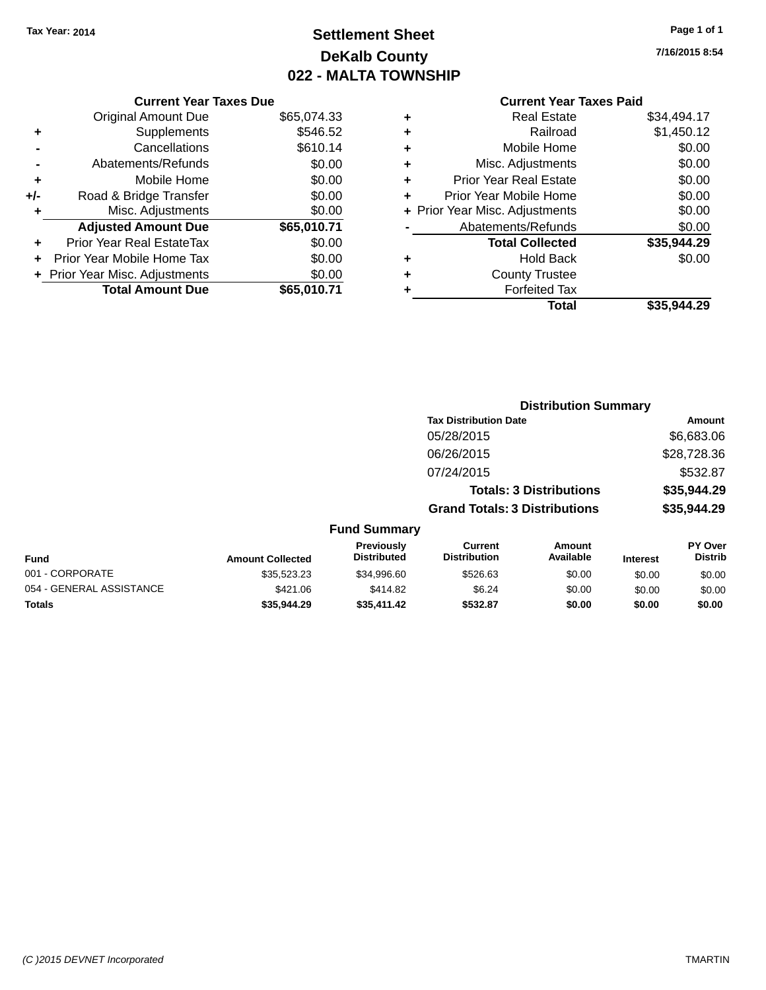## **Settlement Sheet Tax Year: 2014 Page 1 of 1 DeKalb County 022 - MALTA TOWNSHIP**

|  | <b>Current Year Taxes Paid</b> |  |
|--|--------------------------------|--|
|--|--------------------------------|--|

|     | <b>Current Year Taxes Due</b>  |             |
|-----|--------------------------------|-------------|
|     | <b>Original Amount Due</b>     | \$65,074.33 |
| ٠   | Supplements                    | \$546.52    |
|     | Cancellations                  | \$610.14    |
|     | Abatements/Refunds             | \$0.00      |
| ٠   | Mobile Home                    | \$0.00      |
| +/- | Road & Bridge Transfer         | \$0.00      |
| ٠   | Misc. Adjustments              | \$0.00      |
|     | <b>Adjusted Amount Due</b>     | \$65,010.71 |
| ÷   | Prior Year Real EstateTax      | \$0.00      |
|     | Prior Year Mobile Home Tax     | \$0.00      |
|     | + Prior Year Misc. Adjustments | \$0.00      |
|     | <b>Total Amount Due</b>        | \$65,010.71 |

| <b>Real Estate</b>             | \$34,494.17 |
|--------------------------------|-------------|
| Railroad                       | \$1,450.12  |
| Mobile Home                    | \$0.00      |
| Misc. Adjustments              | \$0.00      |
| <b>Prior Year Real Estate</b>  | \$0.00      |
| Prior Year Mobile Home         | \$0.00      |
| + Prior Year Misc. Adjustments | \$0.00      |
| Abatements/Refunds             | \$0.00      |
| <b>Total Collected</b>         | \$35,944.29 |
| <b>Hold Back</b>               | \$0.00      |
| <b>County Trustee</b>          |             |
| <b>Forfeited Tax</b>           |             |
| Total                          | \$35.944.29 |
|                                |             |

|                          |                         |                                  | <b>Distribution Summary</b>           |                                |                 |                           |
|--------------------------|-------------------------|----------------------------------|---------------------------------------|--------------------------------|-----------------|---------------------------|
|                          |                         |                                  | <b>Tax Distribution Date</b>          |                                |                 | Amount                    |
|                          |                         |                                  | 05/28/2015                            |                                |                 | \$6,683.06                |
|                          |                         |                                  | 06/26/2015                            |                                |                 | \$28,728.36               |
|                          |                         |                                  | 07/24/2015                            |                                |                 | \$532.87                  |
|                          |                         |                                  |                                       | <b>Totals: 3 Distributions</b> |                 | \$35,944.29               |
|                          |                         |                                  | <b>Grand Totals: 3 Distributions</b>  |                                |                 | \$35,944.29               |
|                          |                         | <b>Fund Summary</b>              |                                       |                                |                 |                           |
| Fund                     | <b>Amount Collected</b> | Previously<br><b>Distributed</b> | <b>Current</b><br><b>Distribution</b> | <b>Amount</b><br>Available     | <b>Interest</b> | PY Over<br><b>Distrib</b> |
| 001 - CORPORATE          | \$35,523.23             | \$34,996.60                      | \$526.63                              | \$0.00                         | \$0.00          | \$0.00                    |
| 054 - GENERAL ASSISTANCE | \$421.06                | \$414.82                         | \$6.24                                | \$0.00                         | \$0.00          | \$0.00                    |
| <b>Totals</b>            | \$35,944.29             | \$35,411.42                      | \$532.87                              | \$0.00                         | \$0.00          | \$0.00                    |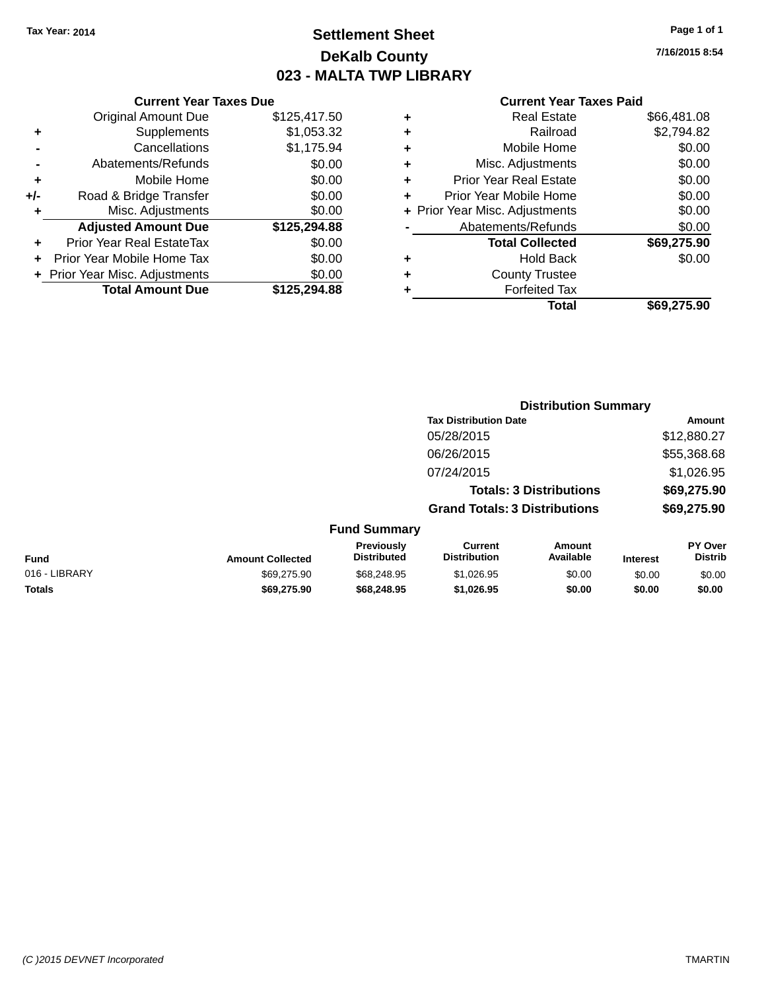## **Settlement Sheet Tax Year: 2014 Page 1 of 1 DeKalb County 023 - MALTA TWP LIBRARY**

**7/16/2015 8:54**

|     | <b>Current Year Taxes Due</b>  |              |
|-----|--------------------------------|--------------|
|     | <b>Original Amount Due</b>     | \$125,417.50 |
| ٠   | Supplements                    | \$1,053.32   |
|     | Cancellations                  | \$1,175.94   |
|     | Abatements/Refunds             | \$0.00       |
| ٠   | Mobile Home                    | \$0.00       |
| +/- | Road & Bridge Transfer         | \$0.00       |
| ÷   | Misc. Adjustments              | \$0.00       |
|     | <b>Adjusted Amount Due</b>     | \$125,294.88 |
|     | Prior Year Real EstateTax      | \$0.00       |
|     | Prior Year Mobile Home Tax     | \$0.00       |
|     | + Prior Year Misc. Adjustments | \$0.00       |
|     | <b>Total Amount Due</b>        | \$125,294.88 |
|     |                                |              |

|   | <b>Real Estate</b>             | \$66,481.08 |
|---|--------------------------------|-------------|
| ٠ | Railroad                       | \$2,794.82  |
| ٠ | Mobile Home                    | \$0.00      |
| ٠ | Misc. Adjustments              | \$0.00      |
| ٠ | <b>Prior Year Real Estate</b>  | \$0.00      |
| ٠ | Prior Year Mobile Home         | \$0.00      |
|   | + Prior Year Misc. Adjustments | \$0.00      |
|   | Abatements/Refunds             | \$0.00      |
|   | <b>Total Collected</b>         | \$69,275.90 |
| ٠ | <b>Hold Back</b>               | \$0.00      |
|   | <b>County Trustee</b>          |             |
| ٠ | <b>Forfeited Tax</b>           |             |
|   | Total                          | \$69.275.90 |
|   |                                |             |

|               |                         |                                  |                                       | <b>Distribution Summary</b>    |                 |                           |
|---------------|-------------------------|----------------------------------|---------------------------------------|--------------------------------|-----------------|---------------------------|
|               |                         |                                  | <b>Tax Distribution Date</b>          |                                |                 | Amount                    |
|               |                         |                                  | 05/28/2015                            |                                |                 | \$12,880.27               |
|               |                         |                                  | 06/26/2015                            |                                |                 | \$55,368.68               |
|               |                         |                                  | 07/24/2015                            |                                |                 | \$1,026.95                |
|               |                         |                                  |                                       | <b>Totals: 3 Distributions</b> |                 | \$69,275.90               |
|               |                         |                                  | <b>Grand Totals: 3 Distributions</b>  |                                |                 | \$69,275.90               |
|               |                         | <b>Fund Summary</b>              |                                       |                                |                 |                           |
| <b>Fund</b>   | <b>Amount Collected</b> | Previously<br><b>Distributed</b> | <b>Current</b><br><b>Distribution</b> | <b>Amount</b><br>Available     | <b>Interest</b> | PY Over<br><b>Distrib</b> |
| 016 - LIBRARY | \$69,275.90             | \$68,248.95                      | \$1,026.95                            | \$0.00                         | \$0.00          | \$0.00                    |
| <b>Totals</b> | \$69,275.90             | \$68,248.95                      | \$1,026.95                            | \$0.00                         | \$0.00          | \$0.00                    |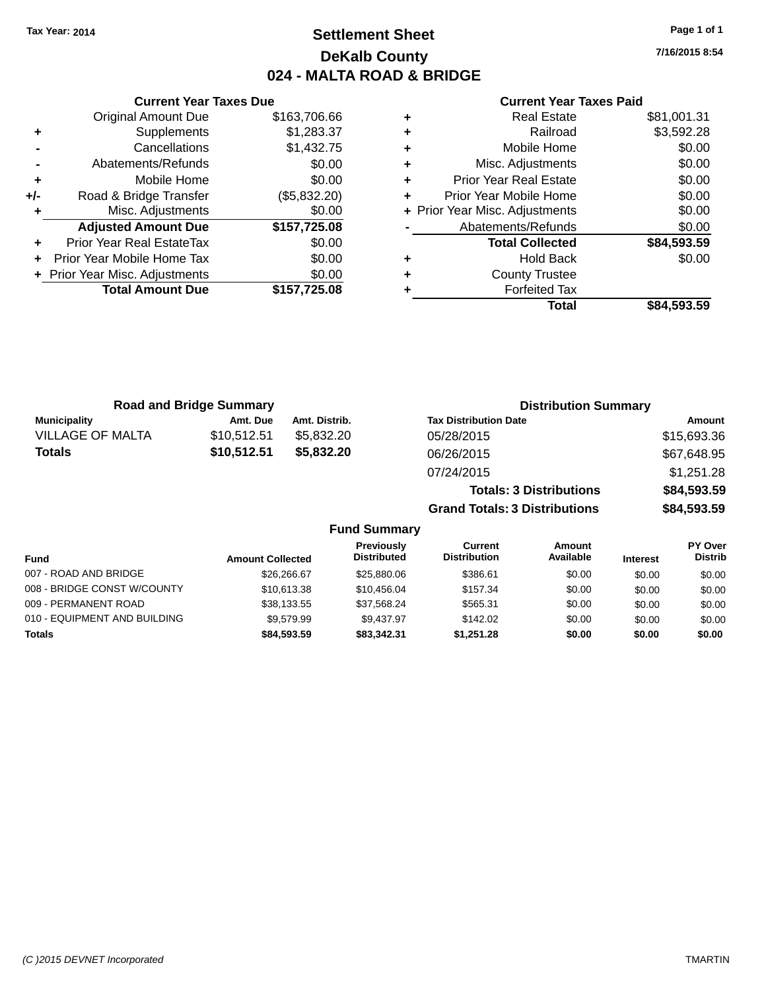## **Settlement Sheet Tax Year: 2014 Page 1 of 1 DeKalb County 024 - MALTA ROAD & BRIDGE**

**7/16/2015 8:54**

#### **Current Year Taxes Paid**

|     | <b>Current Year Taxes Due</b>    |              |
|-----|----------------------------------|--------------|
|     | <b>Original Amount Due</b>       | \$163,706.66 |
| ٠   | Supplements                      | \$1,283.37   |
|     | Cancellations                    | \$1,432.75   |
|     | Abatements/Refunds               | \$0.00       |
| ٠   | Mobile Home                      | \$0.00       |
| +/- | Road & Bridge Transfer           | (\$5,832.20) |
|     | Misc. Adjustments                | \$0.00       |
|     | <b>Adjusted Amount Due</b>       | \$157,725.08 |
| ÷   | <b>Prior Year Real EstateTax</b> | \$0.00       |
|     | Prior Year Mobile Home Tax       | \$0.00       |
|     | + Prior Year Misc. Adjustments   | \$0.00       |
|     | <b>Total Amount Due</b>          | \$157.725.08 |
|     |                                  |              |

| ٠ | <b>Real Estate</b>             | \$81,001.31 |
|---|--------------------------------|-------------|
| ٠ | Railroad                       | \$3,592.28  |
| ٠ | Mobile Home                    | \$0.00      |
| ٠ | Misc. Adjustments              | \$0.00      |
| ٠ | <b>Prior Year Real Estate</b>  | \$0.00      |
| ٠ | Prior Year Mobile Home         | \$0.00      |
|   | + Prior Year Misc. Adjustments | \$0.00      |
|   | Abatements/Refunds             | \$0.00      |
|   | <b>Total Collected</b>         | \$84,593.59 |
| ٠ | <b>Hold Back</b>               | \$0.00      |
| ٠ | <b>County Trustee</b>          |             |
| ٠ | <b>Forfeited Tax</b>           |             |
|   | Total                          | \$84,593.59 |
|   |                                |             |

| <b>Road and Bridge Summary</b> |             |               | <b>Distribution Summary</b>    |             |
|--------------------------------|-------------|---------------|--------------------------------|-------------|
| <b>Municipality</b>            | Amt. Due    | Amt. Distrib. | <b>Tax Distribution Date</b>   | Amount      |
| <b>VILLAGE OF MALTA</b>        | \$10,512.51 | \$5,832.20    | 05/28/2015                     | \$15,693.36 |
| Totals                         | \$10,512.51 | \$5,832.20    | 06/26/2015                     | \$67,648.95 |
|                                |             |               | 07/24/2015                     | \$1,251.28  |
|                                |             |               | <b>Totals: 3 Distributions</b> | \$84,593.59 |

**Grand Totals: 3 Distributions \$84,593.59**

|                              |                         | Previously         | Current             | Amount    |                 | PY Over        |
|------------------------------|-------------------------|--------------------|---------------------|-----------|-----------------|----------------|
| <b>Fund</b>                  | <b>Amount Collected</b> | <b>Distributed</b> | <b>Distribution</b> | Available | <b>Interest</b> | <b>Distrib</b> |
| 007 - ROAD AND BRIDGE        | \$26,266.67             | \$25,880,06        | \$386.61            | \$0.00    | \$0.00          | \$0.00         |
| 008 - BRIDGE CONST W/COUNTY  | \$10,613.38             | \$10.456.04        | \$157.34            | \$0.00    | \$0.00          | \$0.00         |
| 009 - PERMANENT ROAD         | \$38,133.55             | \$37,568.24        | \$565.31            | \$0.00    | \$0.00          | \$0.00         |
| 010 - EQUIPMENT AND BUILDING | \$9.579.99              | \$9.437.97         | \$142.02            | \$0.00    | \$0.00          | \$0.00         |
| Totals                       | \$84,593,59             | \$83,342,31        | \$1.251.28          | \$0.00    | \$0.00          | \$0.00         |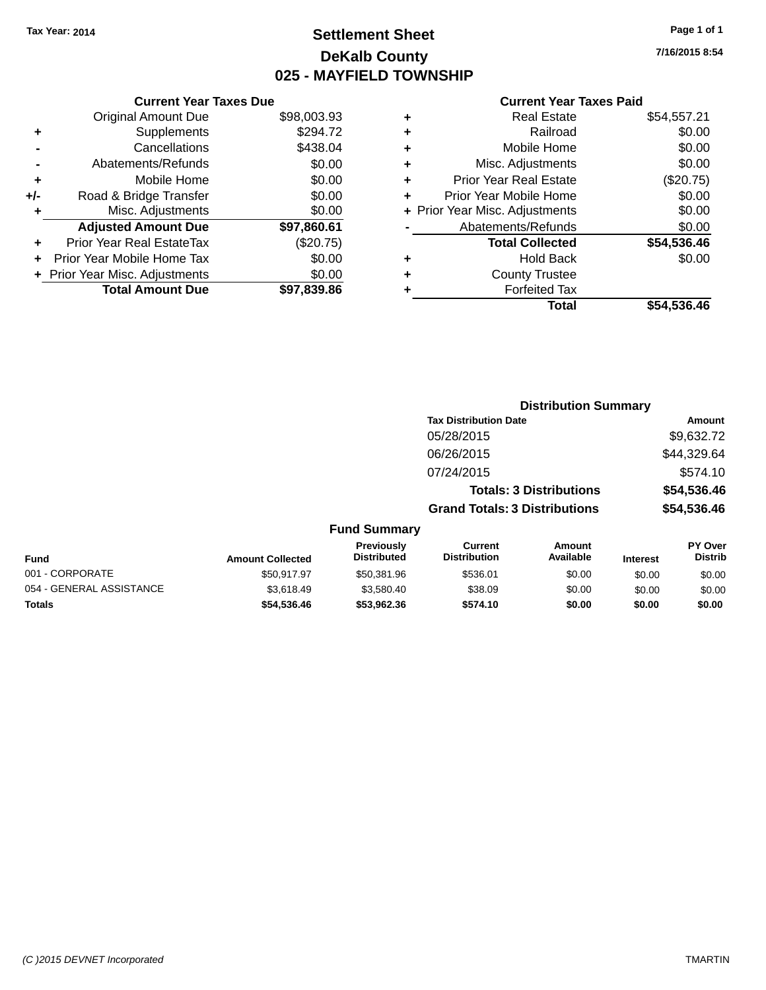## **Settlement Sheet Tax Year: 2014 Page 1 of 1 DeKalb County 025 - MAYFIELD TOWNSHIP**

**7/16/2015 8:54**

| <b>Original Amount Due</b>       | \$98,003.93                   |
|----------------------------------|-------------------------------|
| Supplements                      | \$294.72                      |
| Cancellations                    | \$438.04                      |
| Abatements/Refunds               | \$0.00                        |
| Mobile Home                      | \$0.00                        |
| Road & Bridge Transfer           | \$0.00                        |
| Misc. Adjustments                | \$0.00                        |
| <b>Adjusted Amount Due</b>       | \$97,860.61                   |
| <b>Prior Year Real EstateTax</b> | (\$20.75)                     |
| Prior Year Mobile Home Tax       | \$0.00                        |
| + Prior Year Misc. Adjustments   | \$0.00                        |
| <b>Total Amount Due</b>          | \$97.839.86                   |
|                                  | <b>Current Year Taxes Due</b> |

|   | <b>Real Estate</b>             | \$54,557.21 |
|---|--------------------------------|-------------|
| ٠ | Railroad                       | \$0.00      |
| ٠ | Mobile Home                    | \$0.00      |
| ٠ | Misc. Adjustments              | \$0.00      |
| ٠ | <b>Prior Year Real Estate</b>  | (\$20.75)   |
| ÷ | Prior Year Mobile Home         | \$0.00      |
|   | + Prior Year Misc. Adjustments | \$0.00      |
|   | Abatements/Refunds             | \$0.00      |
|   | <b>Total Collected</b>         | \$54,536.46 |
| ٠ | Hold Back                      | \$0.00      |
| ٠ | <b>County Trustee</b>          |             |
|   | <b>Forfeited Tax</b>           |             |
|   | Total                          | \$54,536.46 |
|   |                                |             |

|                  |                                         |                                       | <b>Distribution Summary</b>    |                 |                                  |
|------------------|-----------------------------------------|---------------------------------------|--------------------------------|-----------------|----------------------------------|
|                  |                                         | <b>Tax Distribution Date</b>          |                                |                 | Amount                           |
|                  |                                         | 05/28/2015                            |                                |                 | \$9,632.72                       |
|                  |                                         | 06/26/2015                            |                                |                 | \$44,329.64                      |
|                  |                                         | 07/24/2015                            |                                |                 | \$574.10                         |
|                  |                                         |                                       | <b>Totals: 3 Distributions</b> |                 | \$54,536.46                      |
|                  |                                         | <b>Grand Totals: 3 Distributions</b>  |                                |                 | \$54,536.46                      |
|                  | <b>Fund Summary</b>                     |                                       |                                |                 |                                  |
| <b>Collected</b> | <b>Previously</b><br><b>Distributed</b> | <b>Current</b><br><b>Distribution</b> | Amount<br>Available            | <b>Interest</b> | <b>PY Over</b><br><b>Distrib</b> |

| <b>Fund</b>              | <b>Amount Collected</b> | <b>FIGVIOUSIV</b><br><b>Distributed</b> | <b>UULLEIIL</b><br><b>Distribution</b> | AIIVUIIL<br>Available | <b>Interest</b> | г і мег<br><b>Distrib</b> |
|--------------------------|-------------------------|-----------------------------------------|----------------------------------------|-----------------------|-----------------|---------------------------|
| 001 - CORPORATE          | \$50.917.97             | \$50.381.96                             | \$536.01                               | \$0.00                | \$0.00          | \$0.00                    |
| 054 - GENERAL ASSISTANCE | \$3.618.49              | \$3.580.40                              | \$38.09                                | \$0.00                | \$0.00          | \$0.00                    |
| <b>Totals</b>            | \$54,536,46             | \$53.962.36                             | \$574.10                               | \$0.00                | \$0.00          | \$0.00                    |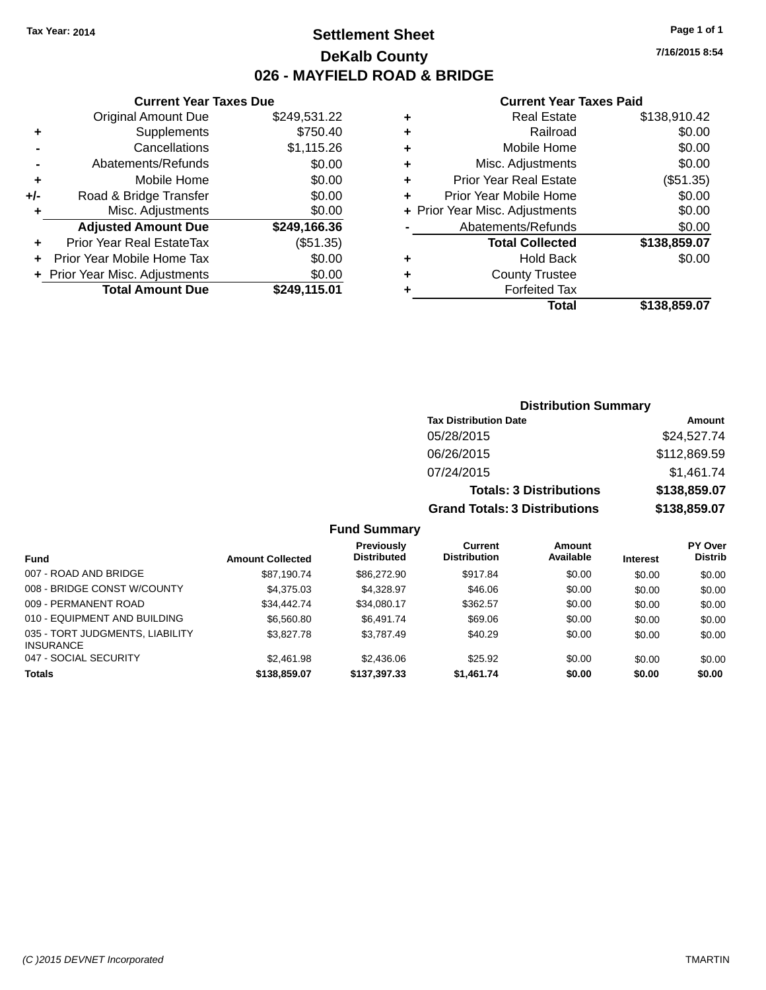**Original Amount Due** 

**Adjusted Amount Due** 

**Total Amount Due** 

**+** Supplements **-** Cancellations **-** Abatements/Refunds **+** Mobile Home **+/-** Road & Bridge Transfer **+** Misc. Adjustments

**+** Prior Year Real EstateTax **+** Prior Year Mobile Home Tax **+** Prior Year Misc. Adjustments

## **Settlement Sheet Tax Year: 2014 Page 1 of 1 DeKalb County 026 - MAYFIELD ROAD & BRIDGE**

**7/16/2015 8:54**

 $$0.00$ 

#### **Current Year Taxes Paid**

| <b>Current Year Taxes Due</b> |              |   | <b>Current Year Taxes Paid</b> |              |  |  |
|-------------------------------|--------------|---|--------------------------------|--------------|--|--|
| ıl Amount Due                 | \$249,531.22 | ٠ | <b>Real Estate</b>             | \$138,910.42 |  |  |
| <b>Supplements</b>            | \$750.40     | ÷ | Railroad                       | \$0.00       |  |  |
| Cancellations                 | \$1,115.26   | ÷ | Mobile Home                    | \$0.00       |  |  |
| ıents/Refunds                 | \$0.00       | ÷ | Misc. Adjustments              | \$0.00       |  |  |
| Mobile Home                   | \$0.00       | ÷ | <b>Prior Year Real Estate</b>  | (\$51.35)    |  |  |
| ridge Transfer                | \$0.00       | ÷ | Prior Year Mobile Home         | \$0.00       |  |  |
| . Adjustments                 | \$0.00       |   | + Prior Year Misc. Adjustments | \$0.00       |  |  |
| <b>Amount Due</b>             | \$249,166.36 |   | Abatements/Refunds             | \$0.00       |  |  |
| eal EstateTax:                | (\$51.35)    |   | <b>Total Collected</b>         | \$138,859.07 |  |  |
| pile Home Tax                 | \$0.00       | ÷ | <b>Hold Back</b>               | \$0.00       |  |  |
| . Adjustments                 | \$0.00       | ÷ | <b>County Trustee</b>          |              |  |  |
| <b>Amount Due</b>             | \$249,115.01 |   | <b>Forfeited Tax</b>           |              |  |  |
|                               |              |   | <b>Total</b>                   | \$138,859.07 |  |  |

| Total | \$138,859.07 |
|-------|--------------|
| d Tax |              |
| uoluu |              |

## **Distribution Summary Tax Distribution Date Amount** 05/28/2015 \$24,527.74 06/26/2015 \$112,869.59 07/24/2015 \$1,461.74 **Totals: 3 Distributions \$138,859.07 Grand Totals: 3 Distributions \$138,859.07**

| <b>Fund</b>                                         | <b>Amount Collected</b> | <b>Previously</b><br><b>Distributed</b> | Current<br><b>Distribution</b> | Amount<br>Available | <b>Interest</b> | <b>PY Over</b><br><b>Distrib</b> |
|-----------------------------------------------------|-------------------------|-----------------------------------------|--------------------------------|---------------------|-----------------|----------------------------------|
| 007 - ROAD AND BRIDGE                               | \$87.190.74             | \$86,272.90                             | \$917.84                       | \$0.00              | \$0.00          | \$0.00                           |
| 008 - BRIDGE CONST W/COUNTY                         | \$4,375,03              | \$4.328.97                              | \$46.06                        | \$0.00              | \$0.00          | \$0.00                           |
| 009 - PERMANENT ROAD                                | \$34.442.74             | \$34.080.17                             | \$362.57                       | \$0.00              | \$0.00          | \$0.00                           |
| 010 - EQUIPMENT AND BUILDING                        | \$6,560.80              | \$6,491.74                              | \$69.06                        | \$0.00              | \$0.00          | \$0.00                           |
| 035 - TORT JUDGMENTS, LIABILITY<br><b>INSURANCE</b> | \$3,827.78              | \$3.787.49                              | \$40.29                        | \$0.00              | \$0.00          | \$0.00                           |
| 047 - SOCIAL SECURITY                               | \$2,461.98              | \$2,436.06                              | \$25.92                        | \$0.00              | \$0.00          | \$0.00                           |
| <b>Totals</b>                                       | \$138,859.07            | \$137,397.33                            | \$1,461.74                     | \$0.00              | \$0.00          | \$0.00                           |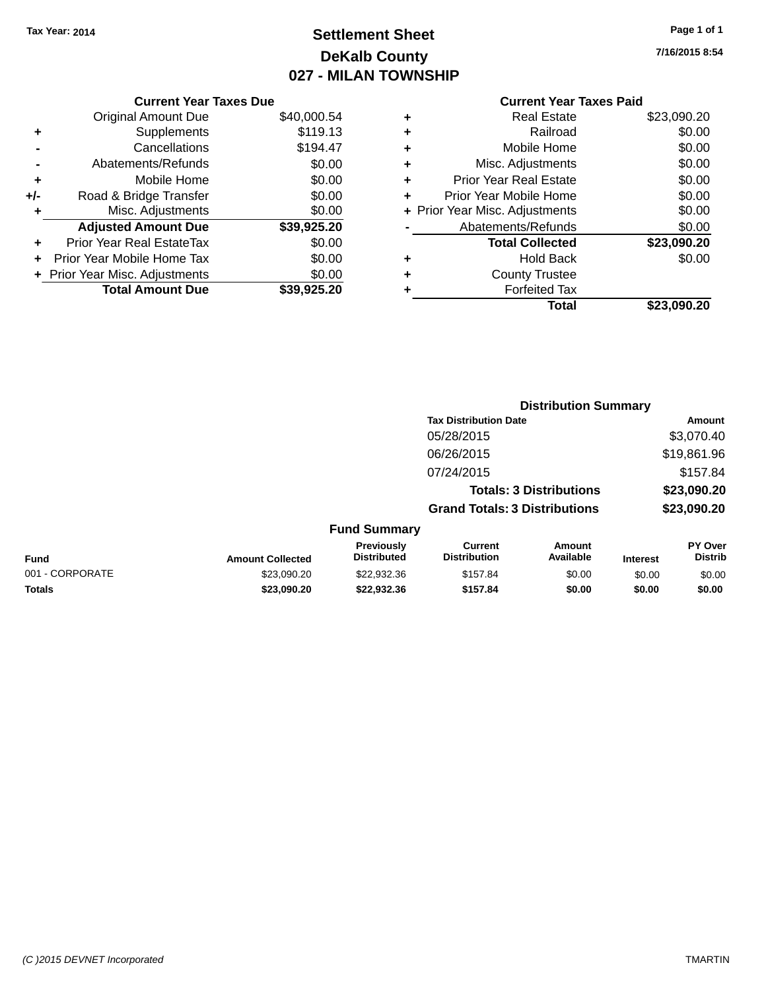## **Settlement Sheet Tax Year: 2014 Page 1 of 1 DeKalb County 027 - MILAN TOWNSHIP**

|     | <b>Current Year Taxes Due</b>  |             |
|-----|--------------------------------|-------------|
|     | <b>Original Amount Due</b>     | \$40,000.54 |
| ٠   | Supplements                    | \$119.13    |
|     | Cancellations                  | \$194.47    |
|     | Abatements/Refunds             | \$0.00      |
| ٠   | Mobile Home                    | \$0.00      |
| +/- | Road & Bridge Transfer         | \$0.00      |
|     | Misc. Adjustments              | \$0.00      |
|     | <b>Adjusted Amount Due</b>     | \$39,925.20 |
| ÷   | Prior Year Real EstateTax      | \$0.00      |
| ÷   | Prior Year Mobile Home Tax     | \$0.00      |
|     | + Prior Year Misc. Adjustments | \$0.00      |
|     | <b>Total Amount Due</b>        | \$39,925,20 |

|   | <b>Real Estate</b>             | \$23,090.20 |
|---|--------------------------------|-------------|
| ٠ | Railroad                       | \$0.00      |
| ٠ | Mobile Home                    | \$0.00      |
| ٠ | Misc. Adjustments              | \$0.00      |
| ٠ | <b>Prior Year Real Estate</b>  | \$0.00      |
| ٠ | Prior Year Mobile Home         | \$0.00      |
|   | + Prior Year Misc. Adjustments | \$0.00      |
|   | Abatements/Refunds             | \$0.00      |
|   | <b>Total Collected</b>         | \$23,090.20 |
| ٠ | Hold Back                      | \$0.00      |
|   | <b>County Trustee</b>          |             |
| ٠ | <b>Forfeited Tax</b>           |             |
|   | Total                          | \$23,090.20 |
|   |                                |             |

|                 |                         |                                         | <b>Distribution Summary</b>           |                                |                 |                           |
|-----------------|-------------------------|-----------------------------------------|---------------------------------------|--------------------------------|-----------------|---------------------------|
|                 |                         |                                         | <b>Tax Distribution Date</b>          |                                |                 | <b>Amount</b>             |
|                 |                         |                                         | 05/28/2015                            |                                |                 | \$3,070.40                |
|                 |                         |                                         | 06/26/2015                            |                                |                 | \$19,861.96               |
|                 |                         |                                         | 07/24/2015                            |                                |                 | \$157.84                  |
|                 |                         |                                         |                                       | <b>Totals: 3 Distributions</b> |                 | \$23,090.20               |
|                 |                         |                                         | <b>Grand Totals: 3 Distributions</b>  |                                |                 | \$23,090.20               |
|                 |                         | <b>Fund Summary</b>                     |                                       |                                |                 |                           |
| Fund            | <b>Amount Collected</b> | <b>Previously</b><br><b>Distributed</b> | <b>Current</b><br><b>Distribution</b> | Amount<br>Available            | <b>Interest</b> | PY Over<br><b>Distrib</b> |
| 001 - CORPORATE | \$23,090.20             | \$22,932.36                             | \$157.84                              | \$0.00                         | \$0.00          | \$0.00                    |
| <b>Totals</b>   | \$23,090.20             | \$22,932.36                             | \$157.84                              | \$0.00                         | \$0.00          | \$0.00                    |
|                 |                         |                                         |                                       |                                |                 |                           |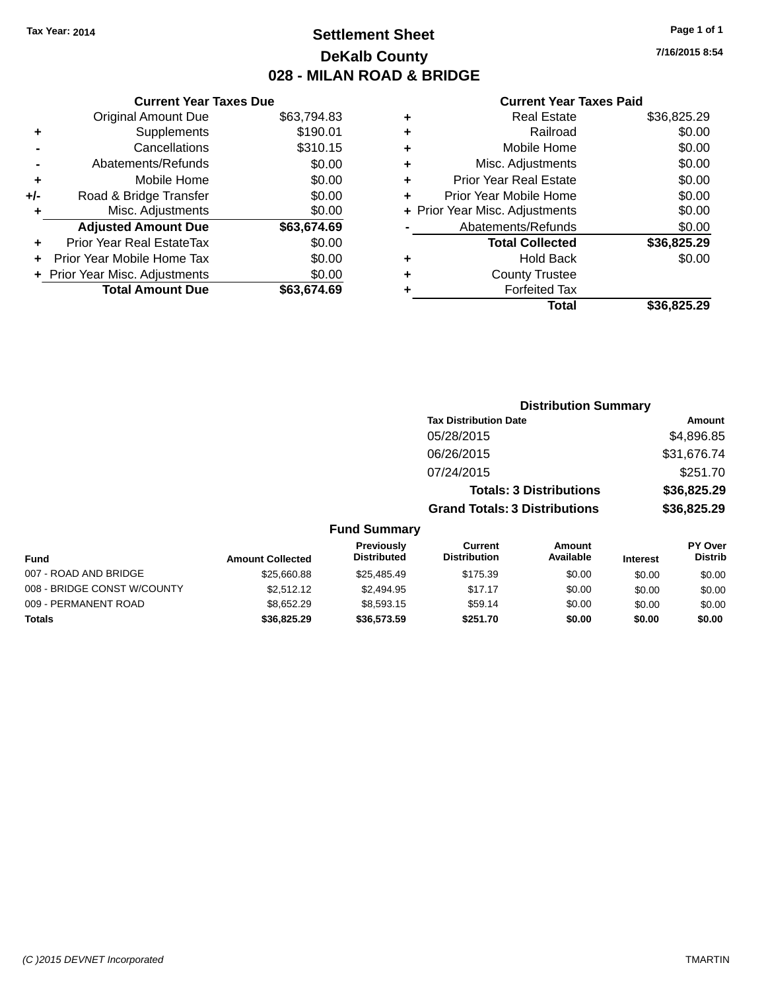## **Settlement Sheet Tax Year: 2014 Page 1 of 1 DeKalb County 028 - MILAN ROAD & BRIDGE**

|     | <b>Current Year Taxes Due</b>    |             |
|-----|----------------------------------|-------------|
|     | <b>Original Amount Due</b>       | \$63,794.83 |
| ٠   | Supplements                      | \$190.01    |
|     | Cancellations                    | \$310.15    |
|     | Abatements/Refunds               | \$0.00      |
| ٠   | Mobile Home                      | \$0.00      |
| +/- | Road & Bridge Transfer           | \$0.00      |
| ٠   | Misc. Adjustments                | \$0.00      |
|     | <b>Adjusted Amount Due</b>       | \$63,674.69 |
| ٠   | <b>Prior Year Real EstateTax</b> | \$0.00      |
| ÷   | Prior Year Mobile Home Tax       | \$0.00      |
|     | + Prior Year Misc. Adjustments   | \$0.00      |
|     | <b>Total Amount Due</b>          | \$63,674.69 |

#### **Current Year Taxes Paid**

|   | <b>Real Estate</b>             | \$36,825.29 |
|---|--------------------------------|-------------|
| ٠ | Railroad                       | \$0.00      |
| ٠ | Mobile Home                    | \$0.00      |
| ٠ | Misc. Adjustments              | \$0.00      |
| ٠ | <b>Prior Year Real Estate</b>  | \$0.00      |
| ٠ | Prior Year Mobile Home         | \$0.00      |
|   | + Prior Year Misc. Adjustments | \$0.00      |
|   | Abatements/Refunds             | \$0.00      |
|   | <b>Total Collected</b>         | \$36,825.29 |
| ٠ | Hold Back                      | \$0.00      |
| ٠ | <b>County Trustee</b>          |             |
| ٠ | <b>Forfeited Tax</b>           |             |
|   | Total                          | \$36,825.29 |
|   |                                |             |

|                         |                                  |                                      | <b>Distribution Summary</b>    |                 |                                  |
|-------------------------|----------------------------------|--------------------------------------|--------------------------------|-----------------|----------------------------------|
|                         |                                  | <b>Tax Distribution Date</b>         |                                |                 | Amount                           |
|                         |                                  | 05/28/2015                           |                                |                 | \$4,896.85                       |
|                         |                                  | 06/26/2015                           |                                |                 | \$31,676.74                      |
|                         |                                  | 07/24/2015                           |                                |                 | \$251.70                         |
|                         |                                  |                                      | <b>Totals: 3 Distributions</b> |                 | \$36,825.29                      |
|                         |                                  | <b>Grand Totals: 3 Distributions</b> |                                |                 | \$36,825.29                      |
|                         | <b>Fund Summary</b>              |                                      |                                |                 |                                  |
| <b>Amount Collected</b> | Previously<br><b>Distributed</b> | Current<br><b>Distribution</b>       | Amount<br>Available            | <b>Interest</b> | <b>PY Over</b><br><b>Distrib</b> |
| \$25,660.88             | \$25.485.49                      | \$175.39                             | \$0.00                         | \$0.00          | \$0.00                           |

| <b>Fund</b>                 | <b>Amount Collected</b> | <b>Distributed</b> | <b>Distribution</b> | Available | <b>Interest</b> | <b>Distrib</b> |
|-----------------------------|-------------------------|--------------------|---------------------|-----------|-----------------|----------------|
| 007 - ROAD AND BRIDGE       | \$25,660.88             | \$25.485.49        | \$175.39            | \$0.00    | \$0.00          | \$0.00         |
| 008 - BRIDGE CONST W/COUNTY | \$2.512.12              | \$2,494.95         | \$17.17             | \$0.00    | \$0.00          | \$0.00         |
| 009 - PERMANENT ROAD        | \$8.652.29              | \$8,593.15         | \$59.14             | \$0.00    | \$0.00          | \$0.00         |
| <b>Totals</b>               | \$36,825.29             | \$36,573.59        | \$251.70            | \$0.00    | \$0.00          | \$0.00         |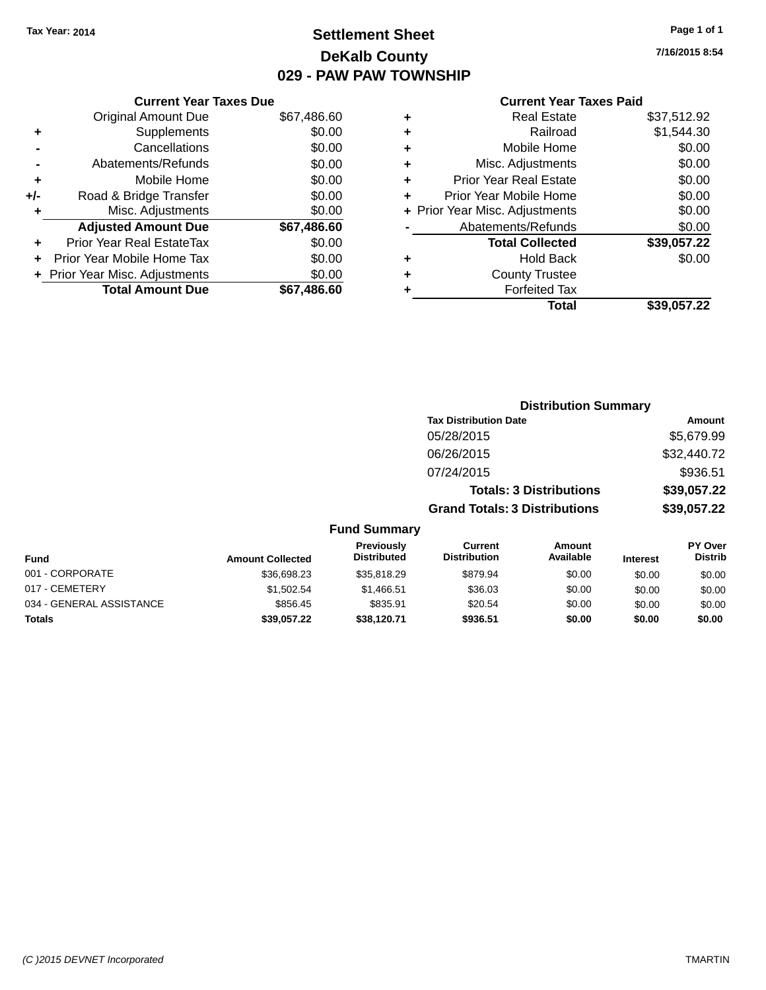## **Settlement Sheet Tax Year: 2014 Page 1 of 1 DeKalb County 029 - PAW PAW TOWNSHIP**

|     | <b>Current Year Taxes Due</b>  |             |
|-----|--------------------------------|-------------|
|     | Original Amount Due            | \$67,486.60 |
| ÷   | Supplements                    | \$0.00      |
|     | Cancellations                  | \$0.00      |
|     | Abatements/Refunds             | \$0.00      |
| ÷   | Mobile Home                    | \$0.00      |
| +/- | Road & Bridge Transfer         | \$0.00      |
| ٠   | Misc. Adjustments              | \$0.00      |
|     | <b>Adjusted Amount Due</b>     | \$67,486.60 |
| ٠   | Prior Year Real EstateTax      | \$0.00      |
|     | Prior Year Mobile Home Tax     | \$0.00      |
|     | + Prior Year Misc. Adjustments | \$0.00      |
|     | <b>Total Amount Due</b>        | \$67.486.60 |
|     |                                |             |

|   | <b>Current Year Taxes Paid</b> |             |  |  |  |  |  |
|---|--------------------------------|-------------|--|--|--|--|--|
| ٠ | Real Estate                    | \$37,512.92 |  |  |  |  |  |
| ٠ | Railroad                       | \$1,544.30  |  |  |  |  |  |
| ٠ | Mobile Home                    | \$0.00      |  |  |  |  |  |
| ٠ | Misc. Adjustments              | \$0.00      |  |  |  |  |  |
| ٠ | <b>Prior Year Real Estate</b>  | \$0.00      |  |  |  |  |  |
| ÷ | Prior Year Mobile Home         | \$0.00      |  |  |  |  |  |
|   | + Prior Year Misc. Adjustments | \$0.00      |  |  |  |  |  |
|   | Abatements/Refunds             | \$0.00      |  |  |  |  |  |
|   | <b>Total Collected</b>         | \$39,057.22 |  |  |  |  |  |
| ٠ | <b>Hold Back</b>               | \$0.00      |  |  |  |  |  |
|   | <b>County Trustee</b>          |             |  |  |  |  |  |
| ٠ | <b>Forfeited Tax</b>           |             |  |  |  |  |  |
|   | Total                          | \$39,057.22 |  |  |  |  |  |
|   |                                |             |  |  |  |  |  |

|                          |                         | <b>Distribution Summary</b>      |                                       |                                |                 |                                  |
|--------------------------|-------------------------|----------------------------------|---------------------------------------|--------------------------------|-----------------|----------------------------------|
|                          |                         |                                  | <b>Tax Distribution Date</b>          |                                |                 | <b>Amount</b>                    |
|                          |                         |                                  | 05/28/2015                            |                                |                 | \$5,679.99                       |
|                          |                         |                                  | 06/26/2015                            |                                |                 | \$32,440.72                      |
|                          |                         |                                  | 07/24/2015                            |                                |                 | \$936.51                         |
|                          |                         |                                  |                                       | <b>Totals: 3 Distributions</b> |                 | \$39,057.22                      |
|                          |                         |                                  | <b>Grand Totals: 3 Distributions</b>  |                                |                 | \$39,057.22                      |
|                          |                         | <b>Fund Summary</b>              |                                       |                                |                 |                                  |
| Fund                     | <b>Amount Collected</b> | Previously<br><b>Distributed</b> | <b>Current</b><br><b>Distribution</b> | <b>Amount</b><br>Available     | <b>Interest</b> | <b>PY Over</b><br><b>Distrib</b> |
| 001 - CORPORATE          | \$36,698.23             | \$35,818.29                      | \$879.94                              | \$0.00                         | \$0.00          | \$0.00                           |
| 017 - CEMETERY           | \$1,502.54              | \$1,466.51                       | \$36.03                               | \$0.00                         | \$0.00          | \$0.00                           |
| 034 - GENERAL ASSISTANCE | \$856.45                | \$835.91                         | \$20.54                               | \$0.00                         | \$0.00          | \$0.00                           |
| Totals                   | \$39,057.22             | \$38,120.71                      | \$936.51                              | \$0.00                         | \$0.00          | \$0.00                           |
|                          |                         |                                  |                                       |                                |                 |                                  |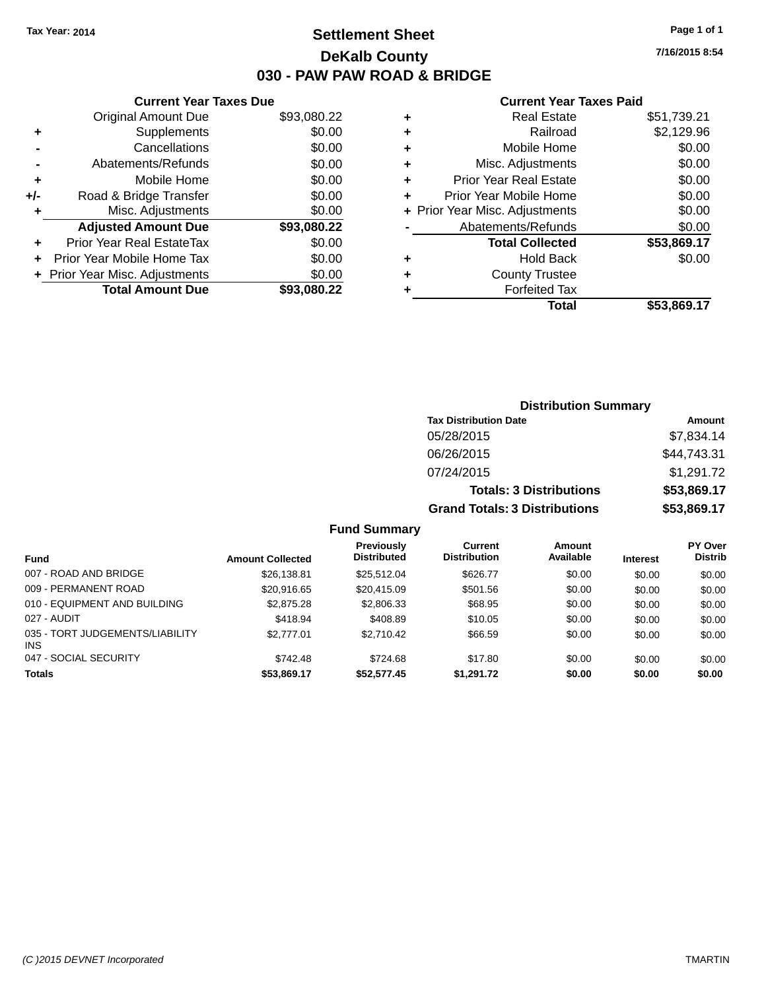## **Settlement Sheet Tax Year: 2014 Page 1 of 1 DeKalb County 030 - PAW PAW ROAD & BRIDGE**

**7/16/2015 8:54**

#### **Current Year Taxes Paid**

|       | <b>Current Year Taxes Due</b>  |             |
|-------|--------------------------------|-------------|
|       | <b>Original Amount Due</b>     | \$93,080.22 |
| ÷     | Supplements                    | \$0.00      |
|       | Cancellations                  | \$0.00      |
|       | Abatements/Refunds             | \$0.00      |
| ٠     | Mobile Home                    | \$0.00      |
| $+/-$ | Road & Bridge Transfer         | \$0.00      |
|       | Misc. Adjustments              | \$0.00      |
|       | <b>Adjusted Amount Due</b>     | \$93,080.22 |
| ÷     | Prior Year Real EstateTax      | \$0.00      |
|       | Prior Year Mobile Home Tax     | \$0.00      |
|       | + Prior Year Misc. Adjustments | \$0.00      |
|       | <b>Total Amount Due</b>        | \$93,080,22 |
|       |                                |             |

| ٠ | <b>Real Estate</b>             | \$51,739.21 |
|---|--------------------------------|-------------|
| ٠ | Railroad                       | \$2,129.96  |
| ٠ | Mobile Home                    | \$0.00      |
| ٠ | Misc. Adjustments              | \$0.00      |
| ٠ | <b>Prior Year Real Estate</b>  | \$0.00      |
| ٠ | Prior Year Mobile Home         | \$0.00      |
|   | + Prior Year Misc. Adjustments | \$0.00      |
|   | Abatements/Refunds             | \$0.00      |
|   | <b>Total Collected</b>         | \$53,869.17 |
| ٠ | Hold Back                      | \$0.00      |
| ٠ | <b>County Trustee</b>          |             |
| ٠ | <b>Forfeited Tax</b>           |             |
|   | <b>Total</b>                   | \$53,869.17 |
|   |                                |             |

| <b>Distribution Summary</b>          |             |
|--------------------------------------|-------------|
| <b>Tax Distribution Date</b>         | Amount      |
| 05/28/2015                           | \$7,834.14  |
| 06/26/2015                           | \$44,743.31 |
| 07/24/2015                           | \$1,291.72  |
| <b>Totals: 3 Distributions</b>       | \$53,869.17 |
| <b>Grand Totals: 3 Distributions</b> | \$53,869.17 |

|                                         |                         | Previously         | Current             | Amount    |                 | <b>PY Over</b> |
|-----------------------------------------|-------------------------|--------------------|---------------------|-----------|-----------------|----------------|
| Fund                                    | <b>Amount Collected</b> | <b>Distributed</b> | <b>Distribution</b> | Available | <b>Interest</b> | <b>Distrib</b> |
| 007 - ROAD AND BRIDGE                   | \$26,138.81             | \$25.512.04        | \$626.77            | \$0.00    | \$0.00          | \$0.00         |
| 009 - PERMANENT ROAD                    | \$20,916.65             | \$20.415.09        | \$501.56            | \$0.00    | \$0.00          | \$0.00         |
| 010 - EQUIPMENT AND BUILDING            | \$2,875.28              | \$2,806.33         | \$68.95             | \$0.00    | \$0.00          | \$0.00         |
| 027 - AUDIT                             | \$418.94                | \$408.89           | \$10.05             | \$0.00    | \$0.00          | \$0.00         |
| 035 - TORT JUDGEMENTS/LIABILITY<br>INS. | \$2,777.01              | \$2.710.42         | \$66.59             | \$0.00    | \$0.00          | \$0.00         |
| 047 - SOCIAL SECURITY                   | \$742.48                | \$724.68           | \$17.80             | \$0.00    | \$0.00          | \$0.00         |
| <b>Totals</b>                           | \$53,869,17             | \$52,577.45        | \$1,291.72          | \$0.00    | \$0.00          | \$0.00         |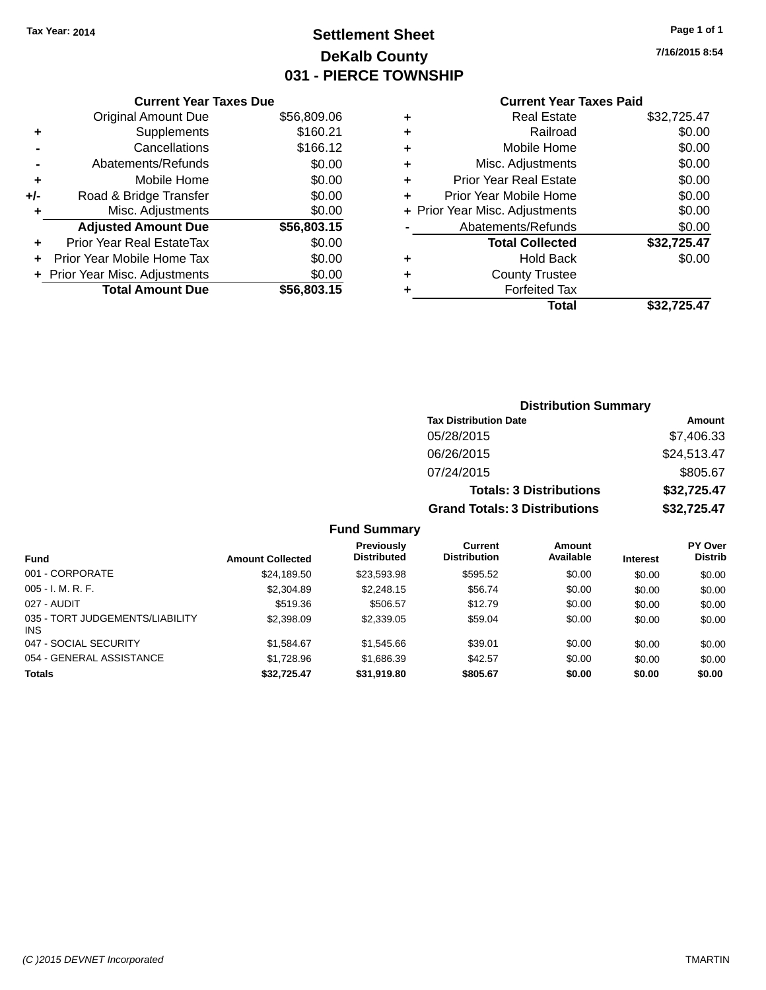## **Settlement Sheet Tax Year: 2014 Page 1 of 1 DeKalb County 031 - PIERCE TOWNSHIP**

**7/16/2015 8:54**

# **Current Year Taxes Paid**

|     | <b>Current Year Taxes Due</b> |             |  |  |  |  |  |
|-----|-------------------------------|-------------|--|--|--|--|--|
|     | Original Amount Due           | \$56,809.06 |  |  |  |  |  |
| ٠   | Supplements                   | \$160.21    |  |  |  |  |  |
|     | Cancellations                 | \$166.12    |  |  |  |  |  |
|     | Abatements/Refunds            | \$0.00      |  |  |  |  |  |
| ٠   | Mobile Home                   | \$0.00      |  |  |  |  |  |
| +/- | Road & Bridge Transfer        | \$0.00      |  |  |  |  |  |
|     | Misc. Adjustments             | \$0.00      |  |  |  |  |  |
|     | <b>Adjusted Amount Due</b>    | \$56,803.15 |  |  |  |  |  |
| ٠   | Prior Year Real EstateTax     | \$0.00      |  |  |  |  |  |
|     | Prior Year Mobile Home Tax    | \$0.00      |  |  |  |  |  |
|     | Prior Year Misc. Adjustments  | \$0.00      |  |  |  |  |  |
|     | <b>Total Amount Due</b>       | \$56,803.15 |  |  |  |  |  |

|   | <b>Real Estate</b>             | \$32,725.47 |
|---|--------------------------------|-------------|
| ٠ | Railroad                       | \$0.00      |
| ٠ | Mobile Home                    | \$0.00      |
| ٠ | Misc. Adjustments              | \$0.00      |
| ٠ | <b>Prior Year Real Estate</b>  | \$0.00      |
|   | Prior Year Mobile Home         | \$0.00      |
|   | + Prior Year Misc. Adjustments | \$0.00      |
|   | Abatements/Refunds             | \$0.00      |
|   | <b>Total Collected</b>         | \$32,725.47 |
| ٠ | <b>Hold Back</b>               | \$0.00      |
|   | <b>County Trustee</b>          |             |
|   | <b>Forfeited Tax</b>           |             |
|   | Total                          | \$32.725.47 |
|   |                                |             |

| <b>Distribution Summary</b>          |             |
|--------------------------------------|-------------|
| <b>Tax Distribution Date</b>         | Amount      |
| 05/28/2015                           | \$7,406.33  |
| 06/26/2015                           | \$24,513.47 |
| 07/24/2015                           | \$805.67    |
| <b>Totals: 3 Distributions</b>       | \$32,725.47 |
| <b>Grand Totals: 3 Distributions</b> | \$32,725.47 |

| <b>Fund</b>                            | <b>Amount Collected</b> | <b>Previously</b><br><b>Distributed</b> | Current<br><b>Distribution</b> | Amount<br>Available | <b>Interest</b> | PY Over<br><b>Distrib</b> |
|----------------------------------------|-------------------------|-----------------------------------------|--------------------------------|---------------------|-----------------|---------------------------|
| 001 - CORPORATE                        | \$24,189.50             | \$23,593.98                             | \$595.52                       | \$0.00              | \$0.00          | \$0.00                    |
| $005 - I. M. R. F.$                    | \$2,304.89              | \$2,248.15                              | \$56.74                        | \$0.00              | \$0.00          | \$0.00                    |
| 027 - AUDIT                            | \$519.36                | \$506.57                                | \$12.79                        | \$0.00              | \$0.00          | \$0.00                    |
| 035 - TORT JUDGEMENTS/LIABILITY<br>INS | \$2,398.09              | \$2,339.05                              | \$59.04                        | \$0.00              | \$0.00          | \$0.00                    |
| 047 - SOCIAL SECURITY                  | \$1.584.67              | \$1,545.66                              | \$39.01                        | \$0.00              | \$0.00          | \$0.00                    |
| 054 - GENERAL ASSISTANCE               | \$1.728.96              | \$1,686.39                              | \$42.57                        | \$0.00              | \$0.00          | \$0.00                    |
| <b>Totals</b>                          | \$32,725.47             | \$31,919.80                             | \$805.67                       | \$0.00              | \$0.00          | \$0.00                    |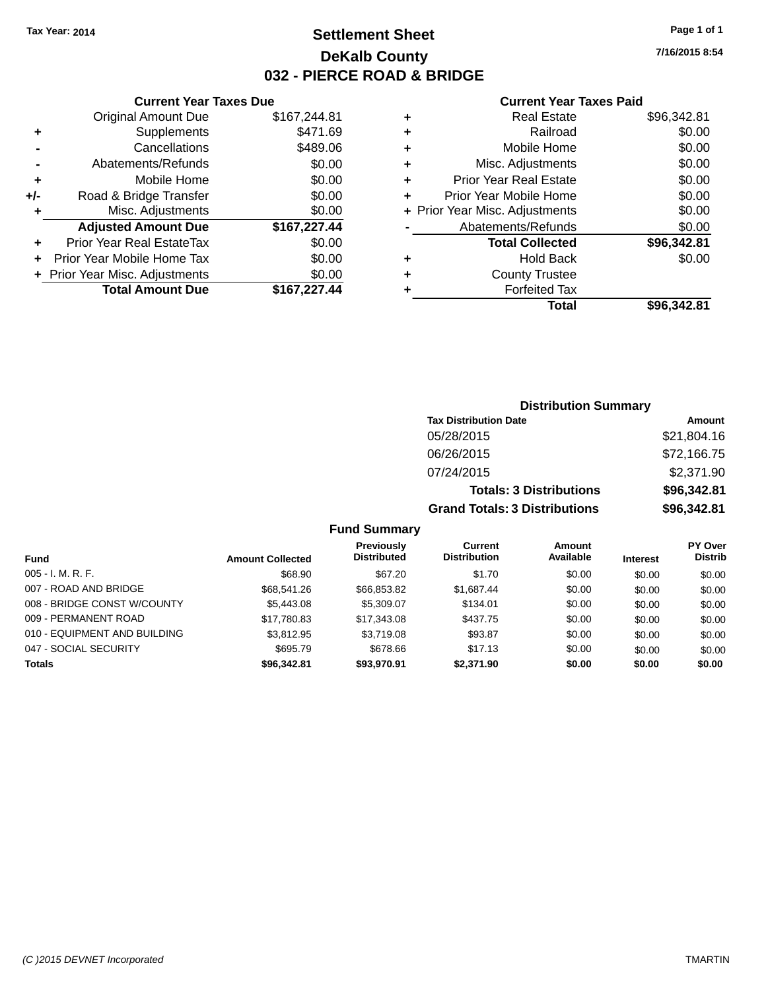## **Settlement Sheet Tax Year: 2014 Page 1 of 1 DeKalb County 032 - PIERCE ROAD & BRIDGE**

**7/16/2015 8:54**

#### **Current Year Taxes Paid**

|       | <b>Current Year Taxes Due</b>  |              |  |  |  |
|-------|--------------------------------|--------------|--|--|--|
|       | <b>Original Amount Due</b>     | \$167,244.81 |  |  |  |
| ٠     | Supplements                    | \$471.69     |  |  |  |
|       | Cancellations                  | \$489.06     |  |  |  |
|       | Abatements/Refunds             | \$0.00       |  |  |  |
| ٠     | Mobile Home                    | \$0.00       |  |  |  |
| $+/-$ | Road & Bridge Transfer         | \$0.00       |  |  |  |
|       | Misc. Adjustments              | \$0.00       |  |  |  |
|       | <b>Adjusted Amount Due</b>     | \$167,227.44 |  |  |  |
| ÷     | Prior Year Real EstateTax      | \$0.00       |  |  |  |
|       | Prior Year Mobile Home Tax     | \$0.00       |  |  |  |
|       | + Prior Year Misc. Adjustments | \$0.00       |  |  |  |
|       | <b>Total Amount Due</b>        | \$167,227.44 |  |  |  |
|       |                                |              |  |  |  |

| ٠ | <b>Real Estate</b>             | \$96,342.81 |
|---|--------------------------------|-------------|
| ٠ | Railroad                       | \$0.00      |
| ٠ | Mobile Home                    | \$0.00      |
| ٠ | Misc. Adjustments              | \$0.00      |
| ٠ | <b>Prior Year Real Estate</b>  | \$0.00      |
| ٠ | Prior Year Mobile Home         | \$0.00      |
|   | + Prior Year Misc. Adjustments | \$0.00      |
|   | Abatements/Refunds             | \$0.00      |
|   | <b>Total Collected</b>         | \$96,342.81 |
| ٠ | <b>Hold Back</b>               | \$0.00      |
| ٠ | <b>County Trustee</b>          |             |
| ٠ | <b>Forfeited Tax</b>           |             |
|   | Total                          | \$96,342.81 |
|   |                                |             |

| <b>Distribution Summary</b> |                                      |             |  |  |
|-----------------------------|--------------------------------------|-------------|--|--|
|                             | <b>Tax Distribution Date</b>         | Amount      |  |  |
|                             | 05/28/2015                           | \$21,804.16 |  |  |
|                             | 06/26/2015                           | \$72,166.75 |  |  |
|                             | 07/24/2015                           | \$2,371.90  |  |  |
|                             | <b>Totals: 3 Distributions</b>       | \$96,342.81 |  |  |
|                             | <b>Grand Totals: 3 Distributions</b> | \$96,342.81 |  |  |

| Fund                         | <b>Amount Collected</b> | Previously<br><b>Distributed</b> | Current<br><b>Distribution</b> | <b>Amount</b><br>Available | <b>Interest</b> | <b>PY Over</b><br><b>Distrib</b> |
|------------------------------|-------------------------|----------------------------------|--------------------------------|----------------------------|-----------------|----------------------------------|
| $005 - I. M. R. F.$          | \$68.90                 | \$67.20                          | \$1.70                         | \$0.00                     | \$0.00          | \$0.00                           |
| 007 - ROAD AND BRIDGE        | \$68,541,26             | \$66.853.82                      | \$1.687.44                     | \$0.00                     | \$0.00          | \$0.00                           |
| 008 - BRIDGE CONST W/COUNTY  | \$5,443.08              | \$5,309.07                       | \$134.01                       | \$0.00                     | \$0.00          | \$0.00                           |
| 009 - PERMANENT ROAD         | \$17,780.83             | \$17,343,08                      | \$437.75                       | \$0.00                     | \$0.00          | \$0.00                           |
| 010 - EQUIPMENT AND BUILDING | \$3.812.95              | \$3,719.08                       | \$93.87                        | \$0.00                     | \$0.00          | \$0.00                           |
| 047 - SOCIAL SECURITY        | \$695.79                | \$678.66                         | \$17.13                        | \$0.00                     | \$0.00          | \$0.00                           |
| <b>Totals</b>                | \$96,342.81             | \$93,970.91                      | \$2,371.90                     | \$0.00                     | \$0.00          | \$0.00                           |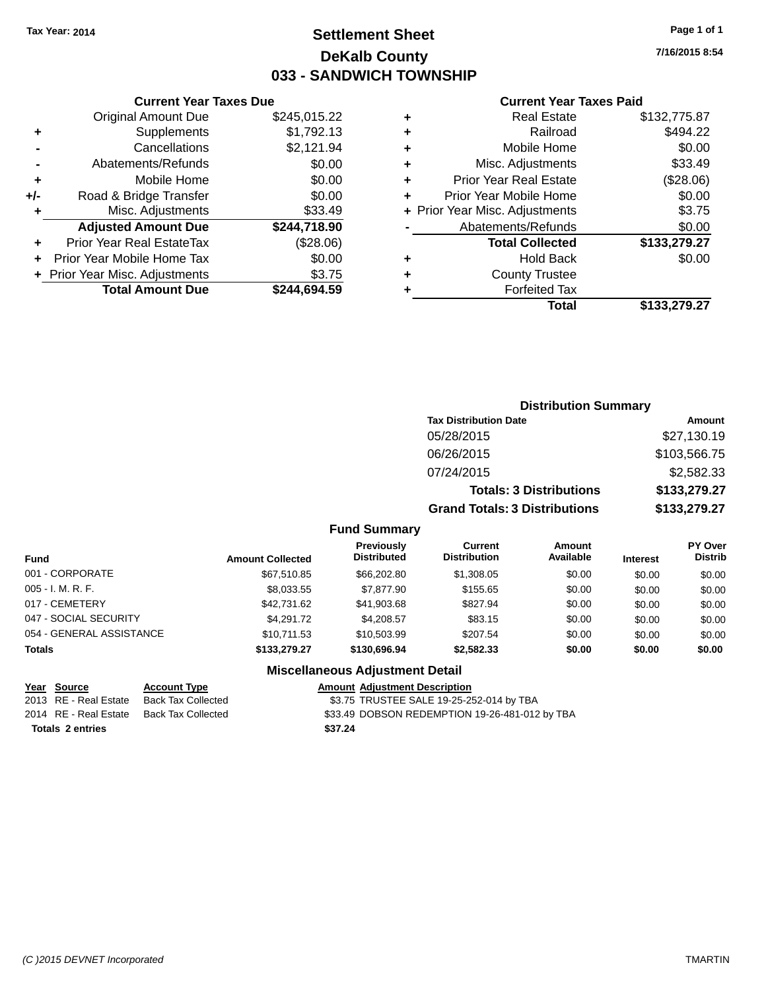### **Settlement Sheet Tax Year: 2014 Page 1 of 1 DeKalb County 033 - SANDWICH TOWNSHIP**

**7/16/2015 8:54**

#### **Current Year Taxes Paid**

|     | <b>Current Year Taxes Due</b>  |              |  |  |  |  |
|-----|--------------------------------|--------------|--|--|--|--|
|     | <b>Original Amount Due</b>     | \$245,015.22 |  |  |  |  |
| ٠   | Supplements                    | \$1,792.13   |  |  |  |  |
|     | Cancellations                  | \$2,121.94   |  |  |  |  |
|     | Abatements/Refunds             | \$0.00       |  |  |  |  |
| ٠   | Mobile Home                    | \$0.00       |  |  |  |  |
| +/- | Road & Bridge Transfer         | \$0.00       |  |  |  |  |
| ٠   | Misc. Adjustments              | \$33.49      |  |  |  |  |
|     | <b>Adjusted Amount Due</b>     | \$244,718.90 |  |  |  |  |
| ٠   | Prior Year Real EstateTax      | (\$28.06)    |  |  |  |  |
| ÷   | Prior Year Mobile Home Tax     | \$0.00       |  |  |  |  |
|     | + Prior Year Misc. Adjustments | \$3.75       |  |  |  |  |
|     | <b>Total Amount Due</b>        | \$244.694.59 |  |  |  |  |

| ٠ | <b>Real Estate</b>             | \$132,775.87 |
|---|--------------------------------|--------------|
| ٠ | Railroad                       | \$494.22     |
| ٠ | Mobile Home                    | \$0.00       |
| ٠ | Misc. Adjustments              | \$33.49      |
| ٠ | <b>Prior Year Real Estate</b>  | (\$28.06)    |
| ٠ | Prior Year Mobile Home         | \$0.00       |
|   | + Prior Year Misc. Adjustments | \$3.75       |
|   | Abatements/Refunds             | \$0.00       |
|   | <b>Total Collected</b>         | \$133,279.27 |
| ٠ | <b>Hold Back</b>               | \$0.00       |
| ٠ | <b>County Trustee</b>          |              |
|   | <b>Forfeited Tax</b>           |              |
|   | Total                          | \$133.279.27 |
|   |                                |              |

|   | <b>Distribution Summary</b>          |              |
|---|--------------------------------------|--------------|
|   | <b>Tax Distribution Date</b>         | Amount       |
|   | 05/28/2015                           | \$27,130.19  |
|   | 06/26/2015                           | \$103,566.75 |
|   | 07/24/2015                           | \$2,582.33   |
|   | <b>Totals: 3 Distributions</b>       | \$133,279.27 |
|   | <b>Grand Totals: 3 Distributions</b> | \$133,279.27 |
| . |                                      |              |

#### **Fund Summary**

| <b>Fund</b>              | <b>Amount Collected</b> | <b>Previously</b><br><b>Distributed</b> | Current<br><b>Distribution</b> | Amount<br>Available | <b>Interest</b> | <b>PY Over</b><br><b>Distrib</b> |
|--------------------------|-------------------------|-----------------------------------------|--------------------------------|---------------------|-----------------|----------------------------------|
| 001 - CORPORATE          | \$67,510.85             | \$66,202.80                             | \$1,308.05                     | \$0.00              | \$0.00          | \$0.00                           |
| $005 - I. M. R. F.$      | \$8,033.55              | \$7,877.90                              | \$155.65                       | \$0.00              | \$0.00          | \$0.00                           |
| 017 - CEMETERY           | \$42,731.62             | \$41,903.68                             | \$827.94                       | \$0.00              | \$0.00          | \$0.00                           |
| 047 - SOCIAL SECURITY    | \$4.291.72              | \$4,208.57                              | \$83.15                        | \$0.00              | \$0.00          | \$0.00                           |
| 054 - GENERAL ASSISTANCE | \$10.711.53             | \$10,503.99                             | \$207.54                       | \$0.00              | \$0.00          | \$0.00                           |
| <b>Totals</b>            | \$133,279.27            | \$130,696.94                            | \$2,582.33                     | \$0.00              | \$0.00          | \$0.00                           |

#### **Miscellaneous Adjustment Detail**

| <u>Year Source</u>      | <b>Account Type</b> |         | <b>Amount Adjustment Description</b>           |
|-------------------------|---------------------|---------|------------------------------------------------|
| 2013 RE - Real Estate   | Back Tax Collected  |         | \$3.75 TRUSTEE SALE 19-25-252-014 by TBA       |
| 2014 RE - Real Estate   | Back Tax Collected  |         | \$33.49 DOBSON REDEMPTION 19-26-481-012 by TBA |
| <b>Totals 2 entries</b> |                     | \$37.24 |                                                |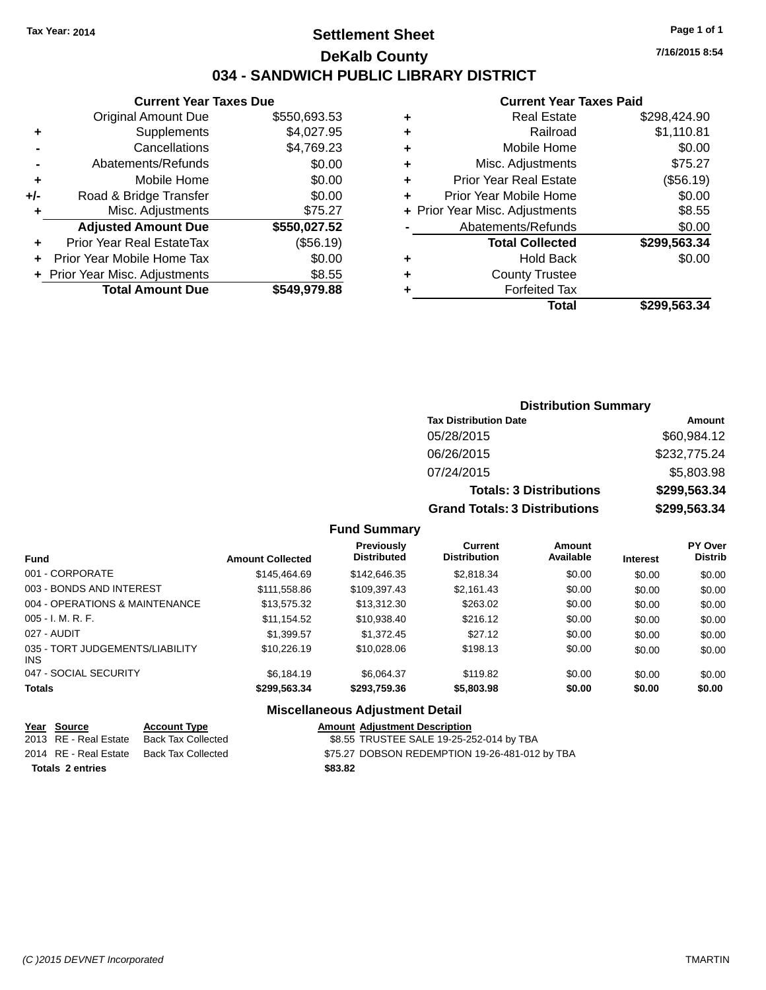### **Settlement Sheet Tax Year: 2014 Page 1 of 1 DeKalb County 034 - SANDWICH PUBLIC LIBRARY DISTRICT**

#### **Current Year Taxes Due**

|       | <b>Total Amount Due</b>          | \$549,979.88 |
|-------|----------------------------------|--------------|
|       | + Prior Year Misc. Adjustments   | \$8.55       |
|       | Prior Year Mobile Home Tax       | \$0.00       |
|       | <b>Prior Year Real EstateTax</b> | (\$56.19)    |
|       | <b>Adjusted Amount Due</b>       | \$550,027.52 |
| ٠     | Misc. Adjustments                | \$75.27      |
| $+/-$ | Road & Bridge Transfer           | \$0.00       |
| ÷     | Mobile Home                      | \$0.00       |
|       | Abatements/Refunds               | \$0.00       |
|       | Cancellations                    | \$4,769.23   |
| ٠     | Supplements                      | \$4,027.95   |
|       | <b>Original Amount Due</b>       | \$550,693.53 |
|       |                                  |              |

#### **Current Year Taxes Paid**

|   | <b>Real Estate</b>             | \$298.424.90 |
|---|--------------------------------|--------------|
| ٠ | Railroad                       | \$1,110.81   |
| ٠ | Mobile Home                    | \$0.00       |
| ٠ | Misc. Adjustments              | \$75.27      |
| ٠ | <b>Prior Year Real Estate</b>  | (\$56.19)    |
| ٠ | Prior Year Mobile Home         | \$0.00       |
|   | + Prior Year Misc. Adjustments | \$8.55       |
|   | Abatements/Refunds             | \$0.00       |
|   | <b>Total Collected</b>         | \$299,563.34 |
| ٠ | <b>Hold Back</b>               | \$0.00       |
| ٠ | <b>County Trustee</b>          |              |
| ٠ | <b>Forfeited Tax</b>           |              |
|   | Total                          | \$299,563.34 |
|   |                                |              |

### **Distribution Summary Tax Distribution Date Amount** 05/28/2015 \$60,984.12 06/26/2015 \$232,775.24 07/24/2015 \$5,803.98 **Totals: 3 Distributions \$299,563.34 Grand Totals: 3 Distributions \$299,563.34**

#### **Fund Summary**

| <b>Fund</b>                             | <b>Amount Collected</b> | Previously<br><b>Distributed</b> | Current<br><b>Distribution</b> | Amount<br>Available | <b>Interest</b> | <b>PY Over</b><br><b>Distrib</b> |
|-----------------------------------------|-------------------------|----------------------------------|--------------------------------|---------------------|-----------------|----------------------------------|
| 001 - CORPORATE                         | \$145,464.69            | \$142,646.35                     | \$2,818.34                     | \$0.00              | \$0.00          | \$0.00                           |
| 003 - BONDS AND INTEREST                | \$111,558.86            | \$109,397.43                     | \$2,161.43                     | \$0.00              | \$0.00          | \$0.00                           |
| 004 - OPERATIONS & MAINTENANCE          | \$13,575.32             | \$13,312.30                      | \$263.02                       | \$0.00              | \$0.00          | \$0.00                           |
| $005 - I. M. R. F.$                     | \$11,154.52             | \$10,938.40                      | \$216.12                       | \$0.00              | \$0.00          | \$0.00                           |
| 027 - AUDIT                             | \$1,399.57              | \$1,372.45                       | \$27.12                        | \$0.00              | \$0.00          | \$0.00                           |
| 035 - TORT JUDGEMENTS/LIABILITY<br>INS. | \$10,226.19             | \$10,028,06                      | \$198.13                       | \$0.00              | \$0.00          | \$0.00                           |
| 047 - SOCIAL SECURITY                   | \$6.184.19              | \$6.064.37                       | \$119.82                       | \$0.00              | \$0.00          | \$0.00                           |
| <b>Totals</b>                           | \$299,563.34            | \$293,759.36                     | \$5,803.98                     | \$0.00              | \$0.00          | \$0.00                           |

#### **Miscellaneous Adjustment Detail**

| Year Source             | <b>Account Type</b>                      |         | <b>Amount Adjustment Description</b>           |
|-------------------------|------------------------------------------|---------|------------------------------------------------|
| 2013 RE - Real Estate   | Back Tax Collected                       |         | \$8.55 TRUSTEE SALE 19-25-252-014 by TBA       |
|                         | 2014 RE - Real Estate Back Tax Collected |         | \$75.27 DOBSON REDEMPTION 19-26-481-012 by TBA |
| <b>Totals 2 entries</b> |                                          | \$83.82 |                                                |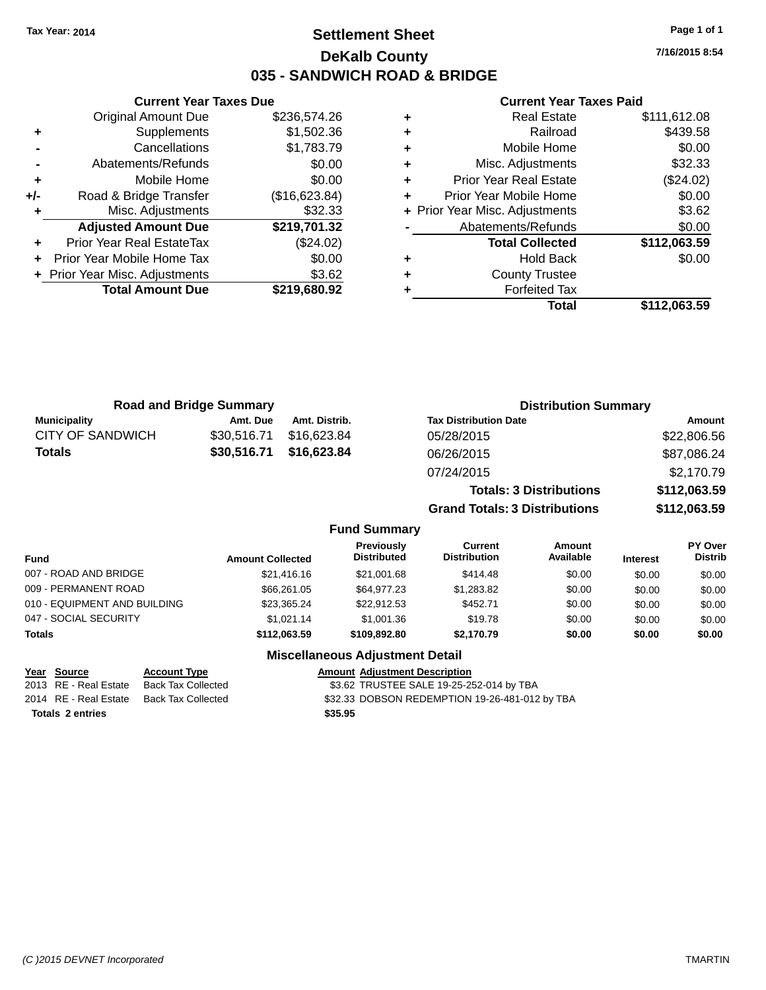### **Settlement Sheet Tax Year: 2014 Page 1 of 1 DeKalb County 035 - SANDWICH ROAD & BRIDGE**

**7/16/2015 8:54**

#### **Current Year Taxes Paid**

|     | <b>Original Amount Due</b>     | \$236,574.26  |
|-----|--------------------------------|---------------|
| ٠   | Supplements                    | \$1,502.36    |
|     | Cancellations                  | \$1,783.79    |
|     | Abatements/Refunds             | \$0.00        |
| ٠   | Mobile Home                    | \$0.00        |
| +/- | Road & Bridge Transfer         | (\$16,623.84) |
|     | Misc. Adjustments              | \$32.33       |
|     | <b>Adjusted Amount Due</b>     | \$219,701.32  |
| ÷   | Prior Year Real EstateTax      | (\$24.02)     |
| ÷   | Prior Year Mobile Home Tax     | \$0.00        |
|     | + Prior Year Misc. Adjustments | \$3.62        |
|     | <b>Total Amount Due</b>        | \$219,680.92  |
|     |                                |               |

**Current Year Taxes Due**

|   | <b>Real Estate</b>             | \$111,612.08 |
|---|--------------------------------|--------------|
| ٠ | Railroad                       | \$439.58     |
| ٠ | Mobile Home                    | \$0.00       |
| ٠ | Misc. Adjustments              | \$32.33      |
| ٠ | <b>Prior Year Real Estate</b>  | (\$24.02)    |
|   | Prior Year Mobile Home         | \$0.00       |
|   | + Prior Year Misc. Adjustments | \$3.62       |
|   | Abatements/Refunds             | \$0.00       |
|   | <b>Total Collected</b>         | \$112,063.59 |
| ٠ | <b>Hold Back</b>               | \$0.00       |
| ٠ | <b>County Trustee</b>          |              |
|   | <b>Forfeited Tax</b>           |              |
|   | Total                          | \$112,063.59 |
|   |                                |              |

| <b>Road and Bridge Summary</b>  |             |               | <b>Distribution Summary</b>    |              |  |
|---------------------------------|-------------|---------------|--------------------------------|--------------|--|
| <b>Municipality</b><br>Amt. Due |             | Amt. Distrib. | <b>Tax Distribution Date</b>   | Amount       |  |
| CITY OF SANDWICH                | \$30,516.71 | \$16,623.84   | 05/28/2015                     | \$22,806.56  |  |
| <b>Totals</b>                   | \$30,516.71 | \$16,623.84   | 06/26/2015                     | \$87,086.24  |  |
|                                 |             |               | 07/24/2015                     | \$2,170.79   |  |
|                                 |             |               | <b>Totals: 3 Distributions</b> | \$112,063.59 |  |

**Grand Totals: 3 Distributions \$112,063.59**

#### **Fund Summary**

| <b>Fund</b>                  | <b>Amount Collected</b> | Previously<br><b>Distributed</b> | Current<br><b>Distribution</b> | Amount<br>Available | <b>Interest</b> | PY Over<br><b>Distrib</b> |
|------------------------------|-------------------------|----------------------------------|--------------------------------|---------------------|-----------------|---------------------------|
| 007 - ROAD AND BRIDGE        | \$21,416.16             | \$21,001.68                      | \$414.48                       | \$0.00              | \$0.00          | \$0.00                    |
| 009 - PERMANENT ROAD         | \$66,261.05             | \$64,977.23                      | \$1,283.82                     | \$0.00              | \$0.00          | \$0.00                    |
| 010 - EQUIPMENT AND BUILDING | \$23,365.24             | \$22.912.53                      | \$452.71                       | \$0.00              | \$0.00          | \$0.00                    |
| 047 - SOCIAL SECURITY        | \$1.021.14              | \$1,001.36                       | \$19.78                        | \$0.00              | \$0.00          | \$0.00                    |
| <b>Totals</b>                | \$112,063.59            | \$109,892,80                     | \$2.170.79                     | \$0.00              | \$0.00          | \$0.00                    |

#### **Miscellaneous Adjustment Detail**

2014 RE - Real Estate Back Tax Collected \$32.33 DOBSON REDEMPTION 19-26-481-012 by TBA

**Totals \$35.95 2 entries**

**Year Source Account Type Amount Adjustment Description** \$3.62 TRUSTEE SALE 19-25-252-014 by TBA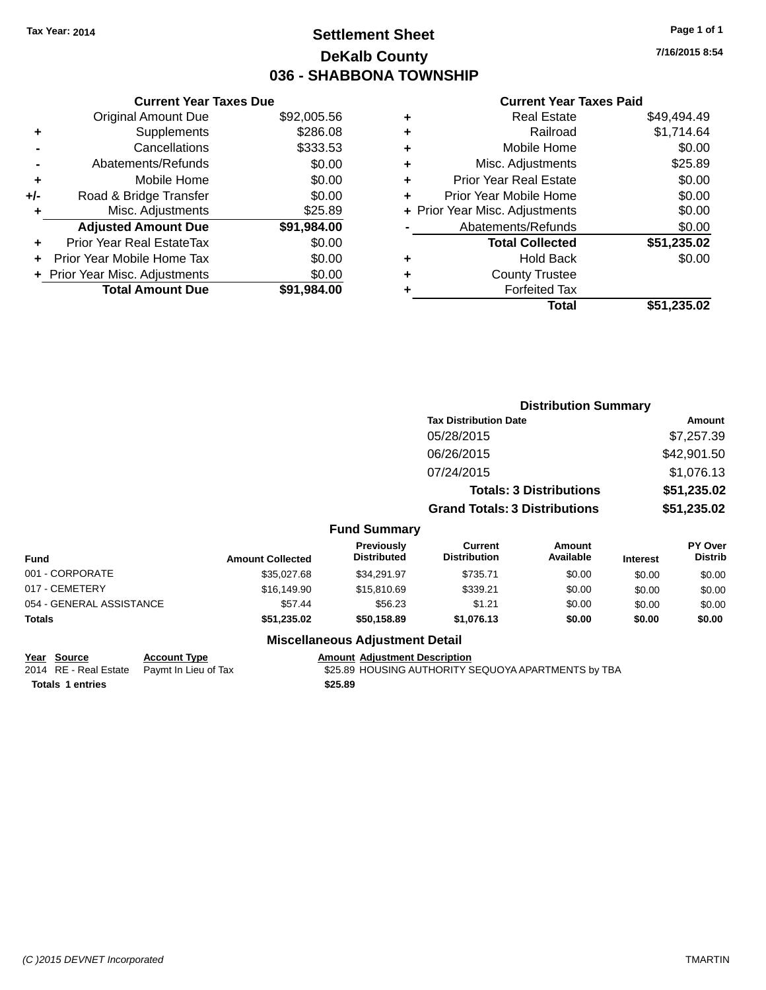### **Settlement Sheet Tax Year: 2014 Page 1 of 1 DeKalb County 036 - SHABBONA TOWNSHIP**

**7/16/2015 8:54**

#### **Current Year Taxes Paid**

|     | <b>Current Year Taxes Due</b>  |             |
|-----|--------------------------------|-------------|
|     | <b>Original Amount Due</b>     | \$92,005.56 |
| ٠   | Supplements                    | \$286.08    |
|     | Cancellations                  | \$333.53    |
|     | Abatements/Refunds             | \$0.00      |
| ٠   | Mobile Home                    | \$0.00      |
| +/- | Road & Bridge Transfer         | \$0.00      |
|     | Misc. Adjustments              | \$25.89     |
|     | <b>Adjusted Amount Due</b>     | \$91,984.00 |
| ٠   | Prior Year Real EstateTax      | \$0.00      |
|     | Prior Year Mobile Home Tax     | \$0.00      |
|     | + Prior Year Misc. Adjustments | \$0.00      |
|     | <b>Total Amount Due</b>        | \$91,984.00 |
|     |                                |             |

|   | <b>Real Estate</b>             | \$49,494.49 |
|---|--------------------------------|-------------|
| ٠ | Railroad                       | \$1,714.64  |
| ٠ | Mobile Home                    | \$0.00      |
| ٠ | Misc. Adjustments              | \$25.89     |
| ٠ | <b>Prior Year Real Estate</b>  | \$0.00      |
| ÷ | Prior Year Mobile Home         | \$0.00      |
|   | + Prior Year Misc. Adjustments | \$0.00      |
|   | Abatements/Refunds             | \$0.00      |
|   | <b>Total Collected</b>         | \$51,235.02 |
| ٠ | Hold Back                      | \$0.00      |
| ٠ | <b>County Trustee</b>          |             |
| ٠ | <b>Forfeited Tax</b>           |             |
|   | Total                          | \$51,235.02 |
|   |                                |             |

|                          |                         |                                                 |                                       | <b>Distribution Summary</b>    |                 |                           |
|--------------------------|-------------------------|-------------------------------------------------|---------------------------------------|--------------------------------|-----------------|---------------------------|
|                          |                         |                                                 | <b>Tax Distribution Date</b>          |                                |                 | <b>Amount</b>             |
|                          |                         |                                                 | 05/28/2015                            |                                |                 | \$7,257.39                |
|                          |                         |                                                 | 06/26/2015                            |                                |                 | \$42,901.50               |
|                          |                         |                                                 | 07/24/2015                            |                                |                 | \$1,076.13                |
|                          |                         |                                                 |                                       | <b>Totals: 3 Distributions</b> |                 | \$51,235.02               |
|                          |                         |                                                 | <b>Grand Totals: 3 Distributions</b>  |                                |                 | \$51,235.02               |
|                          |                         | <b>Fund Summary</b>                             |                                       |                                |                 |                           |
| <b>Fund</b>              | <b>Amount Collected</b> | Previously<br><b>Distributed</b>                | <b>Current</b><br><b>Distribution</b> | Amount<br>Available            | <b>Interest</b> | PY Over<br><b>Distrib</b> |
| 001 - CORPORATE          | \$35,027.68             | \$34,291.97                                     | \$735.71                              | \$0.00                         | \$0.00          | \$0.00                    |
| 017 - CEMETERY           | \$16,149.90             | \$15,810.69                                     | \$339.21                              | \$0.00                         | \$0.00          | \$0.00                    |
| 054 - GENERAL ASSISTANCE | \$57.44                 | \$56.23                                         | \$1.21                                | \$0.00                         | \$0.00          | \$0.00                    |
| Totals                   | \$51,235.02             | \$50,158.89                                     | \$1,076.13                            | \$0.00                         | \$0.00          | \$0.00                    |
|                          |                         | Battle of History and a Al-Househouse Product H |                                       |                                |                 |                           |

#### **Miscellaneous Adjustment Detail**

**Year Source Account Type Account Adjustment Description**<br>2014 RE - Real Estate Paymt In Lieu of Tax \$25.89 HOUSING AUTHORITY S

\$25.89 HOUSING AUTHORITY SEQUOYA APARTMENTS by TBA **Totals \$25.89 1 entries**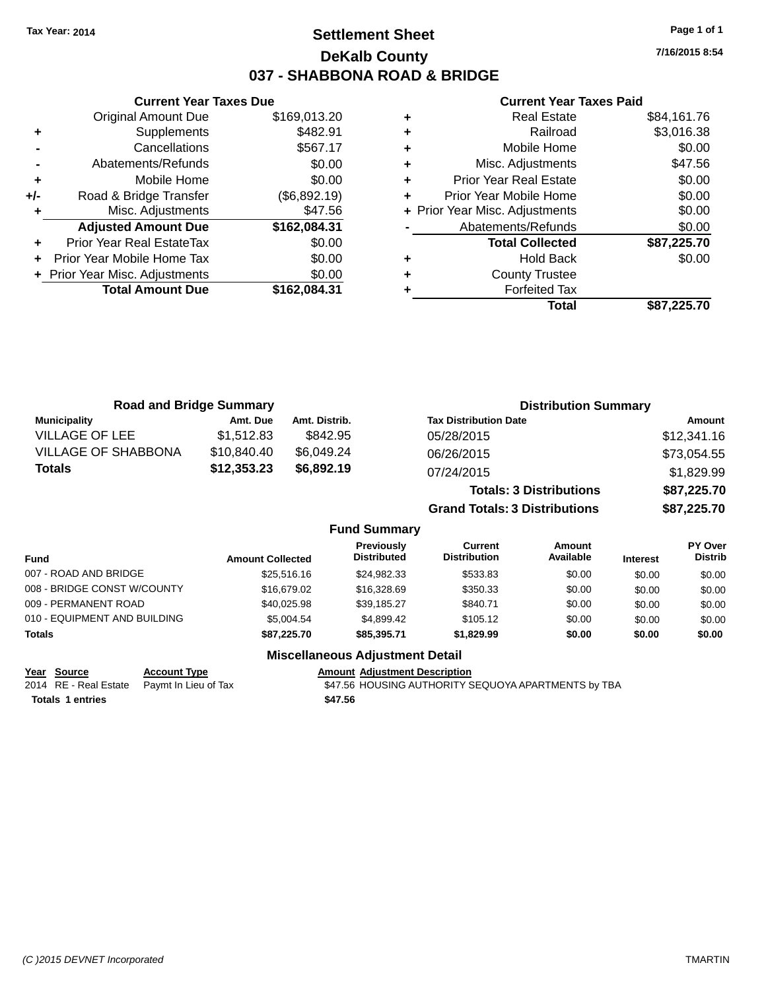### **Settlement Sheet Tax Year: 2014 Page 1 of 1 DeKalb County 037 - SHABBONA ROAD & BRIDGE**

**7/16/2015 8:54**

#### **Current Year Taxes Paid**

|     | <b>Total Amount Due</b>        | \$162,084.31 |
|-----|--------------------------------|--------------|
|     | + Prior Year Misc. Adjustments | \$0.00       |
| ÷   | Prior Year Mobile Home Tax     | \$0.00       |
| ÷   | Prior Year Real EstateTax      | \$0.00       |
|     | <b>Adjusted Amount Due</b>     | \$162,084.31 |
|     | Misc. Adjustments              | \$47.56      |
| +/- | Road & Bridge Transfer         | (\$6,892.19) |
| ÷   | Mobile Home                    | \$0.00       |
|     | Abatements/Refunds             | \$0.00       |
|     | Cancellations                  | \$567.17     |
| ٠   | Supplements                    | \$482.91     |
|     | <b>Original Amount Due</b>     | \$169,013.20 |
|     |                                |              |

**Current Year Taxes Due**

| <b>Real Estate</b>             | \$84,161.76 |
|--------------------------------|-------------|
| Railroad                       | \$3,016.38  |
| Mobile Home                    | \$0.00      |
| Misc. Adjustments              | \$47.56     |
| <b>Prior Year Real Estate</b>  | \$0.00      |
| Prior Year Mobile Home         | \$0.00      |
| + Prior Year Misc. Adjustments | \$0.00      |
| Abatements/Refunds             | \$0.00      |
| <b>Total Collected</b>         | \$87,225.70 |
| <b>Hold Back</b>               | \$0.00      |
| <b>County Trustee</b>          |             |
| <b>Forfeited Tax</b>           |             |
| Total                          | \$87,225.70 |
|                                |             |

| <b>Road and Bridge Summary</b> |             |               | <b>Distribution Summary</b>    |             |
|--------------------------------|-------------|---------------|--------------------------------|-------------|
| <b>Municipality</b>            | Amt. Due    | Amt. Distrib. | <b>Tax Distribution Date</b>   | Amount      |
| <b>VILLAGE OF LEE</b>          | \$1,512.83  | \$842.95      | 05/28/2015                     | \$12,341.16 |
| <b>VILLAGE OF SHABBONA</b>     | \$10,840.40 | \$6,049.24    | 06/26/2015                     | \$73,054.55 |
| <b>Totals</b>                  | \$12,353.23 | \$6,892.19    | 07/24/2015                     | \$1,829.99  |
|                                |             |               | <b>Totals: 3 Distributions</b> | \$87,225.70 |

**Grand Totals: 3 Distributions \$87,225.70**

#### **Fund Summary**

| <b>Fund</b>                  | <b>Amount Collected</b> | <b>Previously</b><br><b>Distributed</b> | Current<br><b>Distribution</b> | Amount<br>Available | <b>Interest</b> | PY Over<br><b>Distrib</b> |
|------------------------------|-------------------------|-----------------------------------------|--------------------------------|---------------------|-----------------|---------------------------|
| 007 - ROAD AND BRIDGE        | \$25,516,16             | \$24.982.33                             | \$533.83                       | \$0.00              | \$0.00          | \$0.00                    |
| 008 - BRIDGE CONST W/COUNTY  | \$16,679.02             | \$16,328,69                             | \$350.33                       | \$0.00              | \$0.00          | \$0.00                    |
| 009 - PERMANENT ROAD         | \$40.025.98             | \$39.185.27                             | \$840.71                       | \$0.00              | \$0.00          | \$0.00                    |
| 010 - EQUIPMENT AND BUILDING | \$5.004.54              | \$4.899.42                              | \$105.12                       | \$0.00              | \$0.00          | \$0.00                    |
| <b>Totals</b>                | \$87,225.70             | \$85,395,71                             | \$1,829.99                     | \$0.00              | \$0.00          | \$0.00                    |

#### **Miscellaneous Adjustment Detail**

**Year Source Account Type Account Account Adjustment Description** 

**Totals \$47.56 1 entries**

2014 RE - Real Estate Paymt In Lieu of Tax **\$47.56 HOUSING AUTHORITY SEQUOYA APARTMENTS** by TBA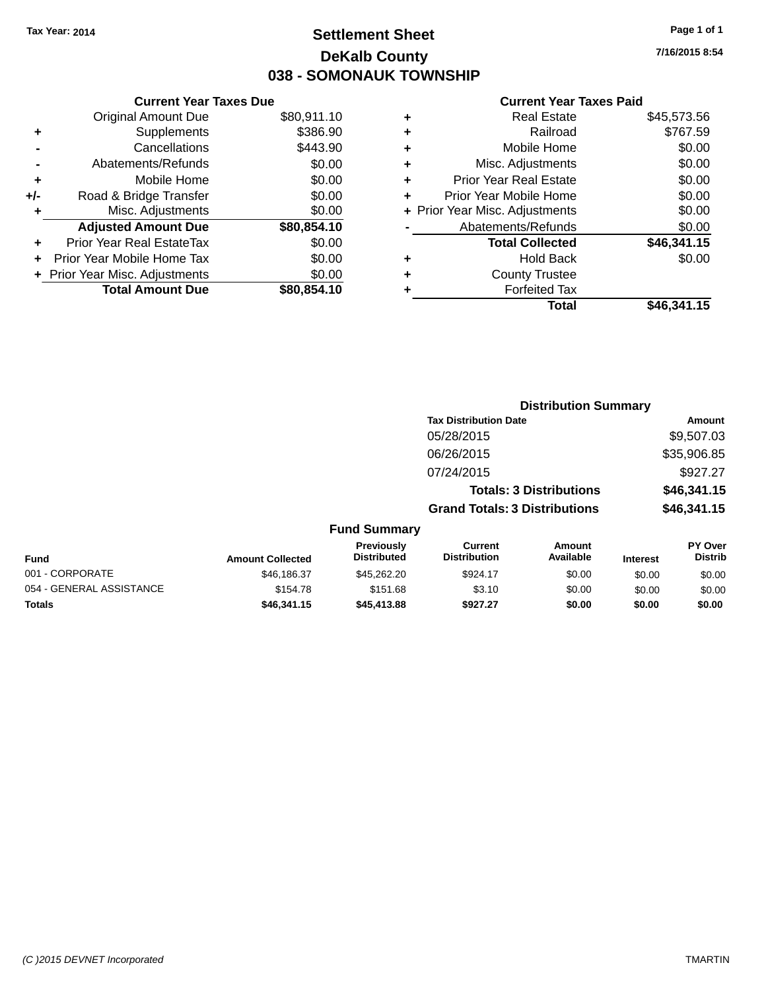### **Settlement Sheet Tax Year: 2014 Page 1 of 1 DeKalb County 038 - SOMONAUK TOWNSHIP**

**7/16/2015 8:54**

#### **Current Year Taxes Paid**

|     | <b>Current Year Taxes Due</b> |             |
|-----|-------------------------------|-------------|
|     | <b>Original Amount Due</b>    | \$80,911.10 |
| ٠   | Supplements                   | \$386.90    |
|     | Cancellations                 | \$443.90    |
|     | Abatements/Refunds            | \$0.00      |
| ٠   | Mobile Home                   | \$0.00      |
| +/- | Road & Bridge Transfer        | \$0.00      |
|     | Misc. Adjustments             | \$0.00      |
|     | <b>Adjusted Amount Due</b>    | \$80,854.10 |
| ÷   | Prior Year Real EstateTax     | \$0.00      |
| ÷   | Prior Year Mobile Home Tax    | \$0.00      |
|     | Prior Year Misc. Adjustments  | \$0.00      |
|     | <b>Total Amount Due</b>       | \$80,854.10 |
|     |                               |             |

| ٠ | <b>Real Estate</b>             | \$45,573.56 |
|---|--------------------------------|-------------|
| ٠ | Railroad                       | \$767.59    |
| ٠ | Mobile Home                    | \$0.00      |
| ٠ | Misc. Adjustments              | \$0.00      |
| ٠ | <b>Prior Year Real Estate</b>  | \$0.00      |
| ÷ | Prior Year Mobile Home         | \$0.00      |
|   | + Prior Year Misc. Adjustments | \$0.00      |
|   | Abatements/Refunds             | \$0.00      |
|   | <b>Total Collected</b>         | \$46,341.15 |
| ٠ | <b>Hold Back</b>               | \$0.00      |
| ٠ | <b>County Trustee</b>          |             |
| ٠ | <b>Forfeited Tax</b>           |             |
|   | Total                          | \$46,341.15 |
|   |                                |             |

|                          |                         |                                  |                                      | <b>Distribution Summary</b>    |                 |                           |
|--------------------------|-------------------------|----------------------------------|--------------------------------------|--------------------------------|-----------------|---------------------------|
|                          |                         |                                  | <b>Tax Distribution Date</b>         |                                |                 | <b>Amount</b>             |
|                          |                         |                                  | 05/28/2015                           |                                |                 | \$9,507.03                |
|                          |                         |                                  | 06/26/2015                           |                                |                 | \$35,906.85               |
|                          |                         |                                  | 07/24/2015                           |                                |                 | \$927.27                  |
|                          |                         |                                  |                                      | <b>Totals: 3 Distributions</b> |                 | \$46,341.15               |
|                          |                         |                                  | <b>Grand Totals: 3 Distributions</b> |                                |                 | \$46,341.15               |
|                          |                         | <b>Fund Summary</b>              |                                      |                                |                 |                           |
| <b>Fund</b>              | <b>Amount Collected</b> | Previously<br><b>Distributed</b> | Current<br><b>Distribution</b>       | Amount<br>Available            | <b>Interest</b> | PY Over<br><b>Distrib</b> |
| 001 - CORPORATE          | \$46,186.37             | \$45,262.20                      | \$924.17                             | \$0.00                         | \$0.00          | \$0.00                    |
| 054 - GENERAL ASSISTANCE | \$154.78                | \$151.68                         | \$3.10                               | \$0.00                         | \$0.00          | \$0.00                    |

**Totals \$46,341.15 \$45,413.88 \$927.27 \$0.00 \$0.00 \$0.00**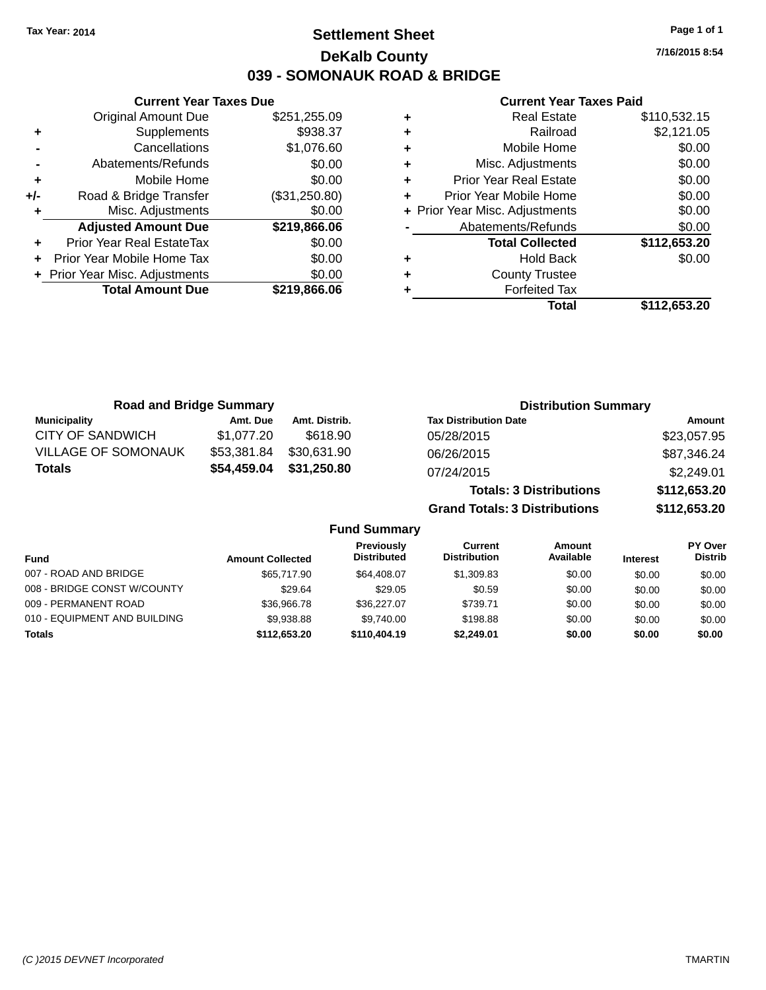### **Settlement Sheet Tax Year: 2014 Page 1 of 1 DeKalb County 039 - SOMONAUK ROAD & BRIDGE**

**7/16/2015 8:54**

#### **Current Year Taxes Paid**

|                  |   | <b>Current Year Taxes Due</b> |                                |     |
|------------------|---|-------------------------------|--------------------------------|-----|
|                  | ٠ | \$251,255.09                  | <b>Original Amount Due</b>     |     |
|                  | ٠ | \$938.37                      | Supplements                    |     |
|                  | ٠ | \$1,076.60                    | Cancellations                  |     |
| Mis              | ٠ | \$0.00                        | Abatements/Refunds             |     |
| Prior Y          |   | \$0.00                        | Mobile Home                    |     |
| Prior Yea        |   | (\$31,250.80)                 | Road & Bridge Transfer         | +/- |
| + Prior Year Mis |   | \$0.00                        | Misc. Adjustments              |     |
| Abate            |   | \$219,866.06                  | <b>Adjusted Amount Due</b>     |     |
|                  |   | \$0.00                        | Prior Year Real EstateTax      |     |
|                  | ٠ | \$0.00                        | Prior Year Mobile Home Tax     |     |
|                  |   | \$0.00                        | + Prior Year Misc. Adjustments |     |
|                  |   | \$219,866.06                  | <b>Total Amount Due</b>        |     |
|                  |   |                               |                                |     |

|   | <b>Real Estate</b>             | \$110,532.15 |
|---|--------------------------------|--------------|
| ٠ | Railroad                       | \$2,121.05   |
| ٠ | Mobile Home                    | \$0.00       |
| ٠ | Misc. Adjustments              | \$0.00       |
|   | Prior Year Real Estate         | \$0.00       |
|   | Prior Year Mobile Home         | \$0.00       |
|   | + Prior Year Misc. Adjustments | \$0.00       |
|   | Abatements/Refunds             | \$0.00       |
|   | <b>Total Collected</b>         | \$112,653.20 |
| ٠ | <b>Hold Back</b>               | \$0.00       |
|   | <b>County Trustee</b>          |              |
|   | <b>Forfeited Tax</b>           |              |
|   | Total                          | \$112,653.20 |
|   |                                |              |

| <b>Road and Bridge Summary</b> |             |               | <b>Distribution Summary</b>          |              |  |
|--------------------------------|-------------|---------------|--------------------------------------|--------------|--|
| <b>Municipality</b>            | Amt. Due    | Amt. Distrib. | <b>Tax Distribution Date</b>         | Amount       |  |
| CITY OF SANDWICH               | \$1,077.20  | \$618.90      | 05/28/2015                           | \$23,057.95  |  |
| <b>VILLAGE OF SOMONAUK</b>     | \$53,381.84 | \$30,631.90   | 06/26/2015                           | \$87,346.24  |  |
| <b>Totals</b>                  | \$54,459.04 | \$31,250.80   | 07/24/2015                           | \$2,249.01   |  |
|                                |             |               | <b>Totals: 3 Distributions</b>       | \$112,653.20 |  |
|                                |             |               | <b>Grand Totals: 3 Distributions</b> | \$112,653.20 |  |

|                              |                         | Previously<br><b>Distributed</b> | Current<br><b>Distribution</b> | Amount<br>Available |                 | PY Over<br><b>Distrib</b> |
|------------------------------|-------------------------|----------------------------------|--------------------------------|---------------------|-----------------|---------------------------|
| <b>Fund</b>                  | <b>Amount Collected</b> |                                  |                                |                     | <b>Interest</b> |                           |
| 007 - ROAD AND BRIDGE        | \$65,717.90             | \$64,408,07                      | \$1,309.83                     | \$0.00              | \$0.00          | \$0.00                    |
| 008 - BRIDGE CONST W/COUNTY  | \$29.64                 | \$29.05                          | \$0.59                         | \$0.00              | \$0.00          | \$0.00                    |
| 009 - PERMANENT ROAD         | \$36,966,78             | \$36,227.07                      | \$739.71                       | \$0.00              | \$0.00          | \$0.00                    |
| 010 - EQUIPMENT AND BUILDING | \$9.938.88              | \$9.740.00                       | \$198.88                       | \$0.00              | \$0.00          | \$0.00                    |
| Totals                       | \$112,653.20            | \$110,404.19                     | \$2.249.01                     | \$0.00              | \$0.00          | \$0.00                    |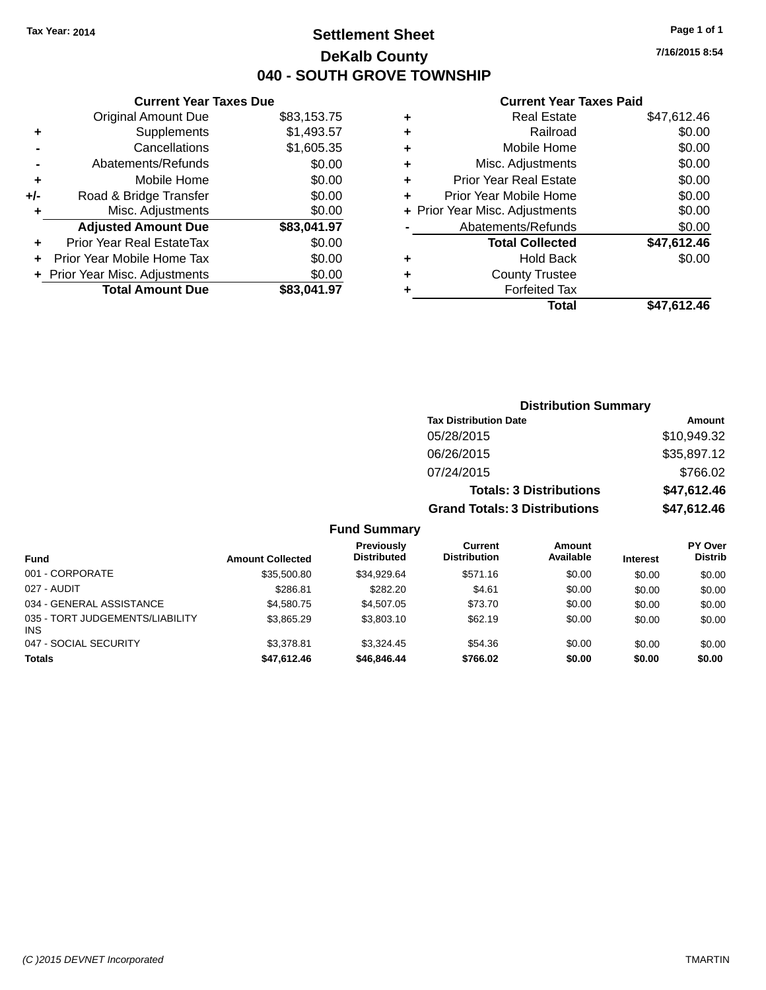### **Settlement Sheet Tax Year: 2014 Page 1 of 1 DeKalb County 040 - SOUTH GROVE TOWNSHIP**

**7/16/2015 8:54**

#### **Current Year Taxes Paid**

|     | <b>Current Year Taxes Due</b>  |             |
|-----|--------------------------------|-------------|
|     | <b>Original Amount Due</b>     | \$83,153.75 |
| ٠   | Supplements                    | \$1,493.57  |
|     | Cancellations                  | \$1,605.35  |
|     | Abatements/Refunds             | \$0.00      |
| ٠   | Mobile Home                    | \$0.00      |
| +/- | Road & Bridge Transfer         | \$0.00      |
| ٠   | Misc. Adjustments              | \$0.00      |
|     | <b>Adjusted Amount Due</b>     | \$83,041.97 |
| ٠   | Prior Year Real EstateTax      | \$0.00      |
|     | Prior Year Mobile Home Tax     | \$0.00      |
|     | + Prior Year Misc. Adjustments | \$0.00      |
|     | <b>Total Amount Due</b>        | \$83,041.97 |
|     |                                |             |

|   | <b>Real Estate</b>             | \$47,612.46 |
|---|--------------------------------|-------------|
| ٠ | Railroad                       | \$0.00      |
| ٠ | Mobile Home                    | \$0.00      |
| ٠ | Misc. Adjustments              | \$0.00      |
| ٠ | <b>Prior Year Real Estate</b>  | \$0.00      |
| ٠ | Prior Year Mobile Home         | \$0.00      |
|   | + Prior Year Misc. Adjustments | \$0.00      |
|   | Abatements/Refunds             | \$0.00      |
|   | <b>Total Collected</b>         | \$47,612.46 |
| ٠ | <b>Hold Back</b>               | \$0.00      |
| ٠ | <b>County Trustee</b>          |             |
| ٠ | <b>Forfeited Tax</b>           |             |
|   | Total                          | \$47,612.46 |
|   |                                |             |

|                     | <b>Distribution Summary</b>          |               |
|---------------------|--------------------------------------|---------------|
|                     | <b>Tax Distribution Date</b>         | <b>Amount</b> |
|                     | 05/28/2015                           | \$10,949.32   |
|                     | 06/26/2015                           | \$35,897.12   |
|                     | 07/24/2015                           | \$766.02      |
|                     | <b>Totals: 3 Distributions</b>       | \$47,612.46   |
|                     | <b>Grand Totals: 3 Distributions</b> | \$47,612.46   |
| <b>Fund Summary</b> |                                      |               |

| <b>Fund</b>                             | <b>Amount Collected</b> | <b>Previously</b><br><b>Distributed</b> | Current<br><b>Distribution</b> | Amount<br>Available | <b>Interest</b> | <b>PY Over</b><br><b>Distrib</b> |
|-----------------------------------------|-------------------------|-----------------------------------------|--------------------------------|---------------------|-----------------|----------------------------------|
| 001 - CORPORATE                         | \$35,500.80             | \$34.929.64                             | \$571.16                       | \$0.00              | \$0.00          | \$0.00                           |
| 027 - AUDIT                             | \$286.81                | \$282.20                                | \$4.61                         | \$0.00              | \$0.00          | \$0.00                           |
| 034 - GENERAL ASSISTANCE                | \$4,580,75              | \$4,507.05                              | \$73.70                        | \$0.00              | \$0.00          | \$0.00                           |
| 035 - TORT JUDGEMENTS/LIABILITY<br>INS. | \$3,865,29              | \$3,803.10                              | \$62.19                        | \$0.00              | \$0.00          | \$0.00                           |
| 047 - SOCIAL SECURITY                   | \$3,378.81              | \$3.324.45                              | \$54.36                        | \$0.00              | \$0.00          | \$0.00                           |
| <b>Totals</b>                           | \$47,612.46             | \$46,846,44                             | \$766.02                       | \$0.00              | \$0.00          | \$0.00                           |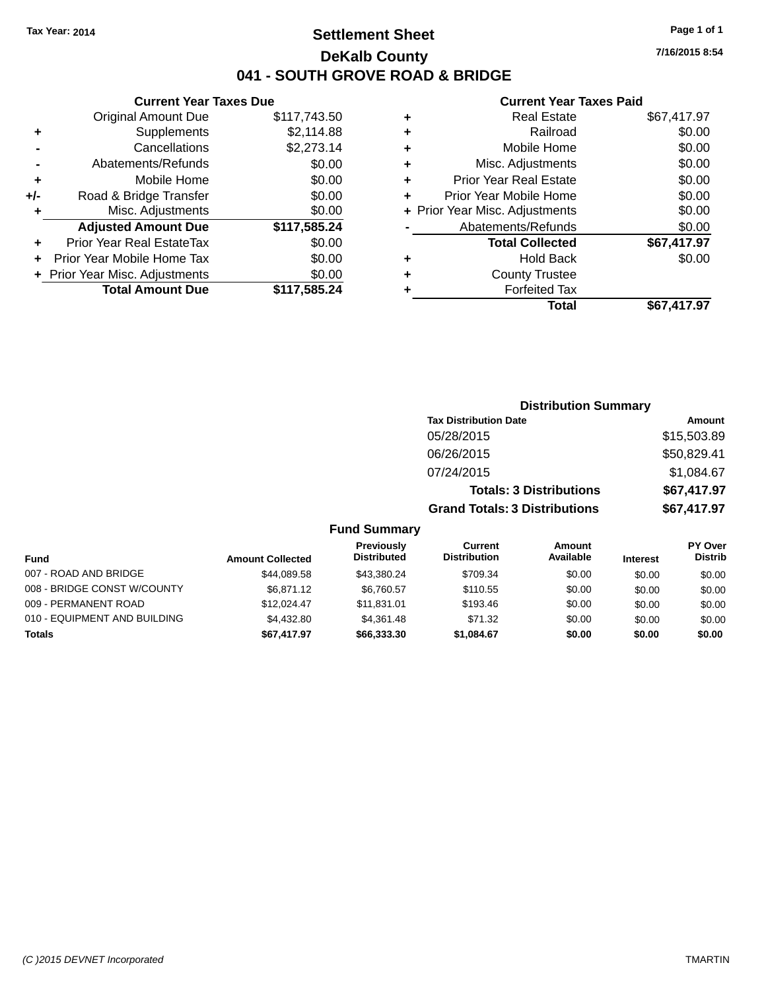### **Settlement Sheet Tax Year: 2014 Page 1 of 1 DeKalb County 041 - SOUTH GROVE ROAD & BRIDGE**

**7/16/2015 8:54**

#### **Current Year Taxes Paid**

|       | <b>Current Year Taxes Due</b>    |              |
|-------|----------------------------------|--------------|
|       | <b>Original Amount Due</b>       | \$117,743.50 |
| ٠     | Supplements                      | \$2,114.88   |
|       | Cancellations                    | \$2,273.14   |
|       | Abatements/Refunds               | \$0.00       |
| ٠     | Mobile Home                      | \$0.00       |
| $+/-$ | Road & Bridge Transfer           | \$0.00       |
| ٠     | Misc. Adjustments                | \$0.00       |
|       | <b>Adjusted Amount Due</b>       | \$117,585.24 |
| ٠     | <b>Prior Year Real EstateTax</b> | \$0.00       |
|       | Prior Year Mobile Home Tax       | \$0.00       |
|       | + Prior Year Misc. Adjustments   | \$0.00       |
|       | <b>Total Amount Due</b>          | \$117,585.24 |
|       |                                  |              |

| ٠ | <b>Real Estate</b>             | \$67,417.97 |
|---|--------------------------------|-------------|
| ٠ | Railroad                       | \$0.00      |
| ٠ | Mobile Home                    | \$0.00      |
| ٠ | Misc. Adjustments              | \$0.00      |
| ٠ | <b>Prior Year Real Estate</b>  | \$0.00      |
| ÷ | Prior Year Mobile Home         | \$0.00      |
|   | + Prior Year Misc. Adjustments | \$0.00      |
|   | Abatements/Refunds             | \$0.00      |
|   | <b>Total Collected</b>         | \$67,417.97 |
| ٠ | <b>Hold Back</b>               | \$0.00      |
| ٠ | <b>County Trustee</b>          |             |
| ٠ | <b>Forfeited Tax</b>           |             |
|   | Total                          | \$67,417.97 |
|   |                                |             |

|                     | <b>Distribution Summary</b>          |             |
|---------------------|--------------------------------------|-------------|
|                     | <b>Tax Distribution Date</b>         | Amount      |
|                     | 05/28/2015                           | \$15,503.89 |
|                     | 06/26/2015                           | \$50,829.41 |
|                     | 07/24/2015                           | \$1,084.67  |
|                     | <b>Totals: 3 Distributions</b>       | \$67,417.97 |
|                     | <b>Grand Totals: 3 Distributions</b> | \$67,417.97 |
| <b>Fund Summary</b> |                                      |             |

| Fund                         | <b>Amount Collected</b> | Previously<br><b>Distributed</b> | Current<br><b>Distribution</b> | Amount<br>Available | <b>Interest</b> | <b>PY Over</b><br><b>Distrib</b> |
|------------------------------|-------------------------|----------------------------------|--------------------------------|---------------------|-----------------|----------------------------------|
| 007 - ROAD AND BRIDGE        | \$44.089.58             | \$43.380.24                      | \$709.34                       | \$0.00              | \$0.00          | \$0.00                           |
| 008 - BRIDGE CONST W/COUNTY  | \$6,871.12              | \$6.760.57                       | \$110.55                       | \$0.00              | \$0.00          | \$0.00                           |
| 009 - PERMANENT ROAD         | \$12.024.47             | \$11,831,01                      | \$193.46                       | \$0.00              | \$0.00          | \$0.00                           |
| 010 - EQUIPMENT AND BUILDING | \$4.432.80              | \$4.361.48                       | \$71.32                        | \$0.00              | \$0.00          | \$0.00                           |
| <b>Totals</b>                | \$67,417.97             | \$66,333.30                      | \$1,084.67                     | \$0.00              | \$0.00          | \$0.00                           |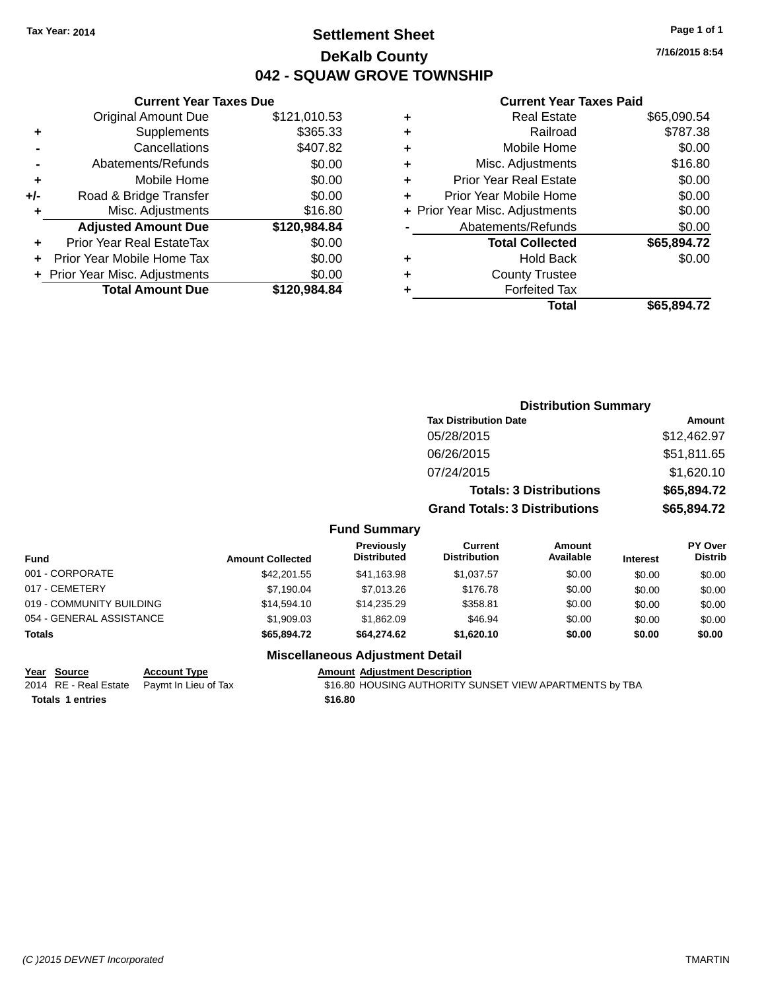### **Settlement Sheet Tax Year: 2014 Page 1 of 1 DeKalb County 042 - SQUAW GROVE TOWNSHIP**

**7/16/2015 8:54**

#### **Current Year Taxes Paid**

|     | <b>Original Amount Due</b>     | \$121,010.53 |
|-----|--------------------------------|--------------|
| ٠   | Supplements                    | \$365.33     |
|     | Cancellations                  | \$407.82     |
|     | Abatements/Refunds             | \$0.00       |
| ٠   | Mobile Home                    | \$0.00       |
| +/- | Road & Bridge Transfer         | \$0.00       |
| ٠   | Misc. Adjustments              | \$16.80      |
|     | <b>Adjusted Amount Due</b>     | \$120,984.84 |
| ٠   | Prior Year Real EstateTax      | \$0.00       |
|     | Prior Year Mobile Home Tax     | \$0.00       |
|     | + Prior Year Misc. Adjustments | \$0.00       |
|     | <b>Total Amount Due</b>        | \$120,984.84 |
|     |                                |              |

**Current Year Taxes Due**

|   | Real Estate                    | \$65,090.54 |
|---|--------------------------------|-------------|
| ٠ | Railroad                       | \$787.38    |
| ٠ | Mobile Home                    | \$0.00      |
| ٠ | Misc. Adjustments              | \$16.80     |
| ٠ | <b>Prior Year Real Estate</b>  | \$0.00      |
| ÷ | Prior Year Mobile Home         | \$0.00      |
|   | + Prior Year Misc. Adjustments | \$0.00      |
|   | Abatements/Refunds             | \$0.00      |
|   | <b>Total Collected</b>         | \$65,894.72 |
| ٠ | <b>Hold Back</b>               | \$0.00      |
| ٠ | <b>County Trustee</b>          |             |
| ٠ | <b>Forfeited Tax</b>           |             |
|   | Total                          | \$65,894.72 |
|   |                                |             |

|                          |                         |                                         | <b>Distribution Summary</b>          |                                |                 |                           |
|--------------------------|-------------------------|-----------------------------------------|--------------------------------------|--------------------------------|-----------------|---------------------------|
|                          |                         |                                         | <b>Tax Distribution Date</b>         |                                |                 | Amount                    |
|                          |                         |                                         | 05/28/2015                           |                                |                 | \$12,462.97               |
|                          |                         |                                         | 06/26/2015                           |                                |                 | \$51,811.65               |
|                          |                         |                                         | 07/24/2015                           |                                |                 | \$1,620.10                |
|                          |                         |                                         |                                      | <b>Totals: 3 Distributions</b> |                 | \$65,894.72               |
|                          |                         |                                         | <b>Grand Totals: 3 Distributions</b> |                                |                 | \$65,894.72               |
|                          |                         | <b>Fund Summary</b>                     |                                      |                                |                 |                           |
| <b>Fund</b>              | <b>Amount Collected</b> | <b>Previously</b><br><b>Distributed</b> | Current<br><b>Distribution</b>       | Amount<br>Available            | <b>Interest</b> | PY Over<br><b>Distrib</b> |
| 001 - CORPORATE          | \$42,201.55             | \$41,163.98                             | \$1,037.57                           | \$0.00                         | \$0.00          | \$0.00                    |
| 017 - CEMETERY           | \$7,190.04              | \$7,013.26                              | \$176.78                             | \$0.00                         | \$0.00          | \$0.00                    |
| 019 - COMMUNITY BUILDING | \$14,594.10             | \$14,235.29                             | \$358.81                             | \$0.00                         | \$0.00          | \$0.00                    |
| 054 - GENERAL ASSISTANCE | \$1,909.03              | \$1,862.09                              | \$46.94                              | \$0.00                         | \$0.00          | \$0.00                    |
| Totals                   | \$65,894.72             | \$64,274.62                             | \$1,620.10                           | \$0.00                         | \$0.00          | \$0.00                    |

#### **Miscellaneous Adjustment Detail**

#### **Year Source Account Type Account Account Adjustment Description**

**Totals \$16.80 1 entries**

2014 RE - Real Estate Paymt In Lieu of Tax \$16.80 HOUSING AUTHORITY SUNSET VIEW APARTMENTS by TBA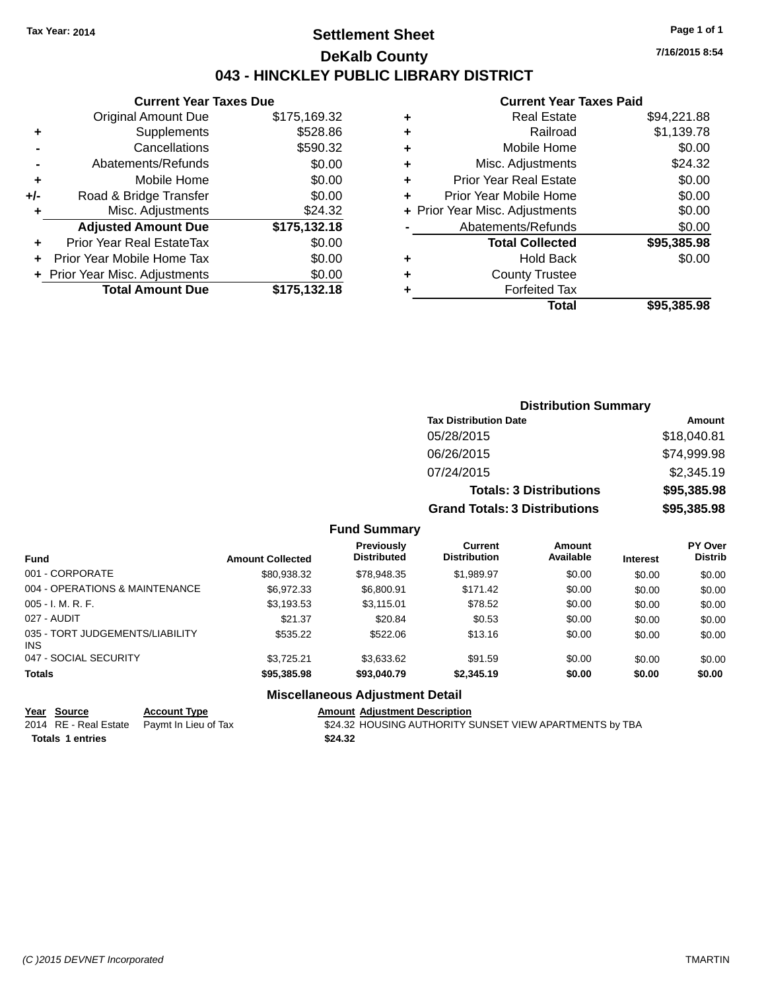### **Settlement Sheet Tax Year: 2014 Page 1 of 1 DeKalb County 043 - HINCKLEY PUBLIC LIBRARY DISTRICT**

**7/16/2015 8:54**

#### **Current Year Taxes Paid**

| <b>Current Year Taxes Due</b>              |              |  |  |  |
|--------------------------------------------|--------------|--|--|--|
| <b>Original Amount Due</b><br>\$175,169.32 |              |  |  |  |
| Supplements                                | \$528.86     |  |  |  |
| \$590.32<br>Cancellations                  |              |  |  |  |
| Abatements/Refunds                         | \$0.00       |  |  |  |
| Mobile Home                                | \$0.00       |  |  |  |
| Road & Bridge Transfer                     | \$0.00       |  |  |  |
| Misc. Adjustments<br>\$24.32               |              |  |  |  |
| <b>Adjusted Amount Due</b>                 | \$175,132.18 |  |  |  |
| Prior Year Real EstateTax                  | \$0.00       |  |  |  |
| Prior Year Mobile Home Tax                 | \$0.00       |  |  |  |
| + Prior Year Misc. Adjustments             | \$0.00       |  |  |  |
| <b>Total Amount Due</b>                    | \$175.132.18 |  |  |  |
|                                            |              |  |  |  |

|   | <b>Real Estate</b>             | \$94,221.88 |
|---|--------------------------------|-------------|
| ٠ | Railroad                       | \$1,139.78  |
| ٠ | Mobile Home                    | \$0.00      |
| ٠ | Misc. Adjustments              | \$24.32     |
| ٠ | <b>Prior Year Real Estate</b>  | \$0.00      |
| ٠ | Prior Year Mobile Home         | \$0.00      |
|   | + Prior Year Misc. Adjustments | \$0.00      |
|   | Abatements/Refunds             | \$0.00      |
|   | <b>Total Collected</b>         | \$95,385.98 |
| ٠ | <b>Hold Back</b>               | \$0.00      |
| ٠ | <b>County Trustee</b>          |             |
| ٠ | <b>Forfeited Tax</b>           |             |
|   | Total                          | \$95,385,98 |
|   |                                |             |

| <b>Distribution Summary</b>          |             |  |  |  |
|--------------------------------------|-------------|--|--|--|
| <b>Tax Distribution Date</b>         | Amount      |  |  |  |
| 05/28/2015                           | \$18,040.81 |  |  |  |
| 06/26/2015                           | \$74,999.98 |  |  |  |
| 07/24/2015                           | \$2,345.19  |  |  |  |
| <b>Totals: 3 Distributions</b>       | \$95,385.98 |  |  |  |
| <b>Grand Totals: 3 Distributions</b> | \$95,385.98 |  |  |  |

#### **Fund Summary**

| <b>Fund</b>                             | <b>Amount Collected</b> | <b>Previously</b><br><b>Distributed</b> | Current<br><b>Distribution</b> | <b>Amount</b><br>Available | <b>Interest</b> | PY Over<br><b>Distrib</b> |
|-----------------------------------------|-------------------------|-----------------------------------------|--------------------------------|----------------------------|-----------------|---------------------------|
| 001 - CORPORATE                         | \$80,938.32             | \$78,948.35                             | \$1.989.97                     | \$0.00                     | \$0.00          | \$0.00                    |
| 004 - OPERATIONS & MAINTENANCE          | \$6.972.33              | \$6,800.91                              | \$171.42                       | \$0.00                     | \$0.00          | \$0.00                    |
| $005 - I. M. R. F.$                     | \$3,193.53              | \$3.115.01                              | \$78.52                        | \$0.00                     | \$0.00          | \$0.00                    |
| 027 - AUDIT                             | \$21.37                 | \$20.84                                 | \$0.53                         | \$0.00                     | \$0.00          | \$0.00                    |
| 035 - TORT JUDGEMENTS/LIABILITY<br>INS. | \$535.22                | \$522.06                                | \$13.16                        | \$0.00                     | \$0.00          | \$0.00                    |
| 047 - SOCIAL SECURITY                   | \$3.725.21              | \$3.633.62                              | \$91.59                        | \$0.00                     | \$0.00          | \$0.00                    |
| Totals                                  | \$95,385.98             | \$93,040.79                             | \$2,345.19                     | \$0.00                     | \$0.00          | \$0.00                    |

#### **Miscellaneous Adjustment Detail**

**Year Source Account Type Amount Adjustment Description**<br>2014 RE - Real Estate Paymt In Lieu of Tax \$24.32 HOUSING AUTHORITY S \$24.32 HOUSING AUTHORITY SUNSET VIEW APARTMENTS by TBA **Totals \$24.32 1 entries**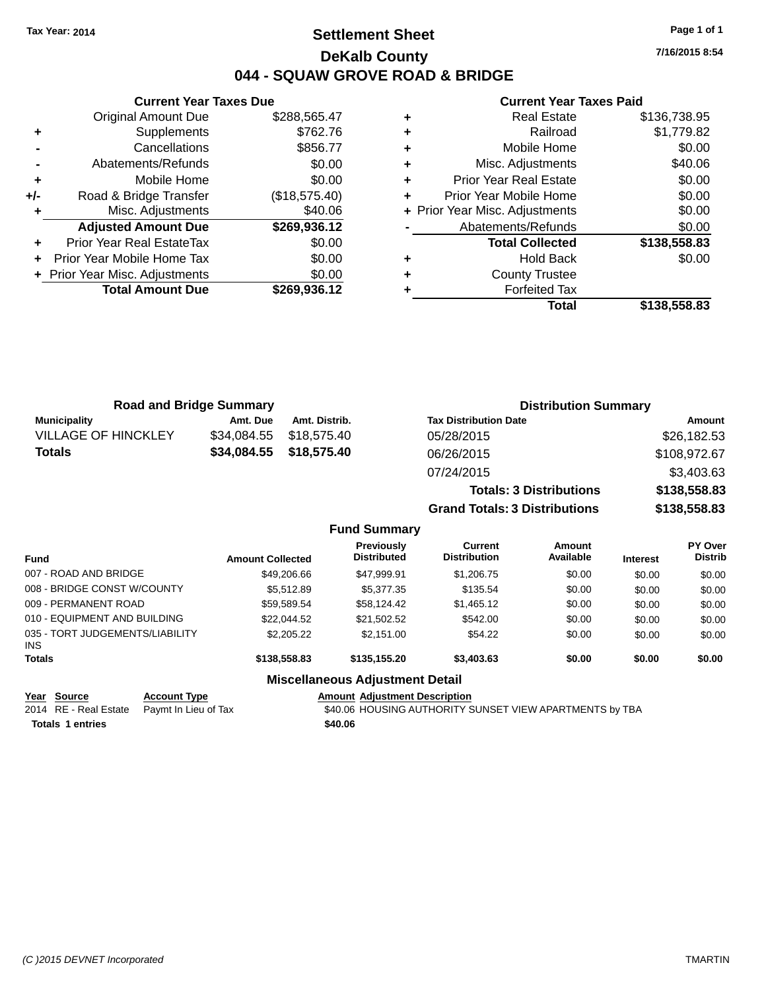### **Settlement Sheet Tax Year: 2014 Page 1 of 1 DeKalb County 044 - SQUAW GROVE ROAD & BRIDGE**

**7/16/2015 8:54**

#### **Current Year Taxes Paid**

|       | <b>Original Amount Due</b>     | \$288,565.47  |
|-------|--------------------------------|---------------|
| ٠     | Supplements                    | \$762.76      |
|       | Cancellations                  | \$856.77      |
|       | Abatements/Refunds             | \$0.00        |
| ÷     | Mobile Home                    | \$0.00        |
| $+/-$ | Road & Bridge Transfer         | (\$18,575.40) |
| ٠     | Misc. Adjustments              | \$40.06       |
|       | <b>Adjusted Amount Due</b>     | \$269,936.12  |
| ÷     | Prior Year Real EstateTax      | \$0.00        |
| ÷     | Prior Year Mobile Home Tax     | \$0.00        |
|       | + Prior Year Misc. Adjustments | \$0.00        |
|       | <b>Total Amount Due</b>        | \$269,936.12  |
|       |                                |               |

**Current Year Taxes Due**

| ٠ | Railroad                       | \$1,779.82   |
|---|--------------------------------|--------------|
| ٠ | Mobile Home                    | \$0.00       |
| ٠ | Misc. Adjustments              | \$40.06      |
| ٠ | <b>Prior Year Real Estate</b>  | \$0.00       |
| ٠ | Prior Year Mobile Home         | \$0.00       |
|   | + Prior Year Misc. Adjustments | \$0.00       |
|   | Abatements/Refunds             | \$0.00       |
|   | <b>Total Collected</b>         | \$138,558.83 |
| ٠ | <b>Hold Back</b>               | \$0.00       |
|   |                                |              |
| ٠ | <b>County Trustee</b>          |              |
|   | <b>Forfeited Tax</b>           |              |

| <b>Road and Bridge Summary</b> |             |                         | <b>Distribution Summary</b>    |              |  |
|--------------------------------|-------------|-------------------------|--------------------------------|--------------|--|
| <b>Municipality</b>            | Amt. Due    | Amt. Distrib.           | <b>Tax Distribution Date</b>   | Amount       |  |
| <b>VILLAGE OF HINCKLEY</b>     | \$34,084.55 | \$18,575.40             | 05/28/2015                     | \$26,182.53  |  |
| <b>Totals</b>                  |             | \$34,084.55 \$18,575.40 | 06/26/2015                     | \$108,972.67 |  |
|                                |             |                         | 07/24/2015                     | \$3,403.63   |  |
|                                |             |                         | <b>Totals: 3 Distributions</b> | \$138,558.83 |  |

**Grand Totals: 3 Distributions \$138,558.83**

#### **Fund Summary**

| <b>Fund</b>                            | <b>Amount Collected</b> | <b>Previously</b><br><b>Distributed</b> | Current<br><b>Distribution</b> | Amount<br>Available | <b>Interest</b> | PY Over<br><b>Distrib</b> |
|----------------------------------------|-------------------------|-----------------------------------------|--------------------------------|---------------------|-----------------|---------------------------|
| 007 - ROAD AND BRIDGE                  | \$49,206.66             | \$47.999.91                             | \$1,206.75                     | \$0.00              | \$0.00          | \$0.00                    |
| 008 - BRIDGE CONST W/COUNTY            | \$5.512.89              | \$5,377,35                              | \$135.54                       | \$0.00              | \$0.00          | \$0.00                    |
| 009 - PERMANENT ROAD                   | \$59,589.54             | \$58.124.42                             | \$1,465.12                     | \$0.00              | \$0.00          | \$0.00                    |
| 010 - EQUIPMENT AND BUILDING           | \$22,044.52             | \$21.502.52                             | \$542.00                       | \$0.00              | \$0.00          | \$0.00                    |
| 035 - TORT JUDGEMENTS/LIABILITY<br>INS | \$2,205.22              | \$2.151.00                              | \$54.22                        | \$0.00              | \$0.00          | \$0.00                    |
| <b>Totals</b>                          | \$138,558.83            | \$135,155,20                            | \$3,403.63                     | \$0.00              | \$0.00          | \$0.00                    |

### **Miscellaneous Adjustment Detail**

**Year** Source **Account Type Account Adjustment Description Totals \$40.06 1 entries**

2014 RE - Real Estate Paymt In Lieu of Tax S40.06 HOUSING AUTHORITY SUNSET VIEW APARTMENTS by TBA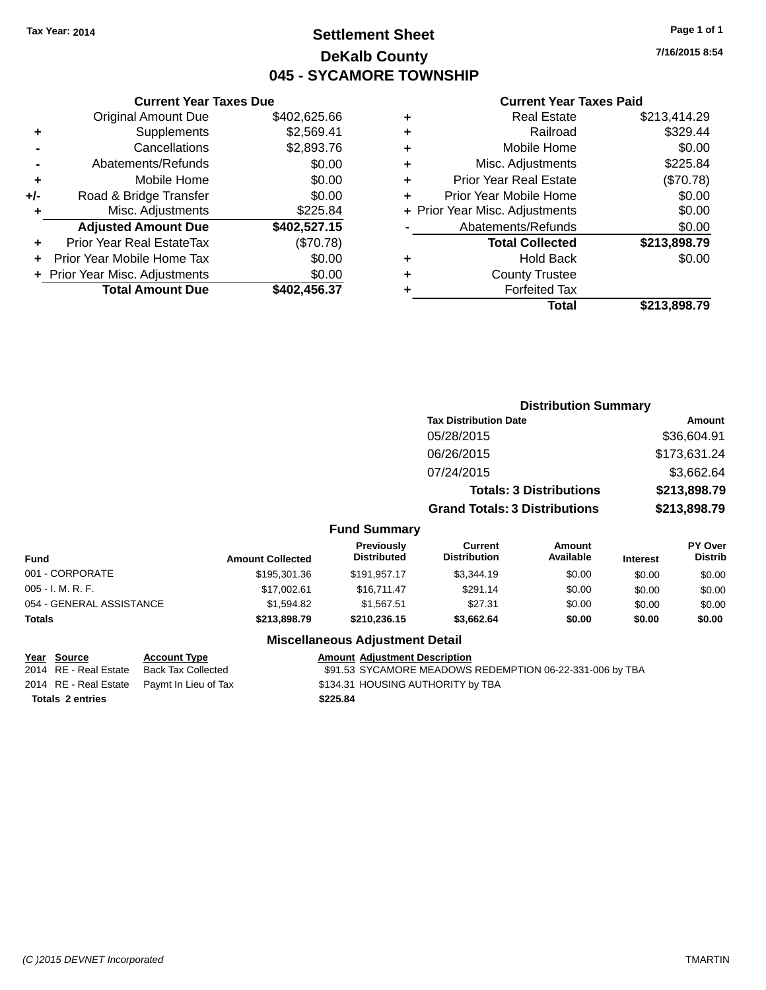### **Settlement Sheet Tax Year: 2014 Page 1 of 1 DeKalb County 045 - SYCAMORE TOWNSHIP**

**7/16/2015 8:54**

#### **Current Year Taxes Paid**

|     | <b>Current Year Taxes Due</b>  |              |  |  |  |  |
|-----|--------------------------------|--------------|--|--|--|--|
|     | <b>Original Amount Due</b>     | \$402,625.66 |  |  |  |  |
| ٠   | Supplements                    | \$2,569.41   |  |  |  |  |
|     | Cancellations                  | \$2,893.76   |  |  |  |  |
|     | \$0.00<br>Abatements/Refunds   |              |  |  |  |  |
| ٠   | Mobile Home                    | \$0.00       |  |  |  |  |
| +/- | Road & Bridge Transfer         | \$0.00       |  |  |  |  |
| ٠   | Misc. Adjustments              | \$225.84     |  |  |  |  |
|     | <b>Adjusted Amount Due</b>     | \$402,527.15 |  |  |  |  |
| ٠   | Prior Year Real EstateTax      | (\$70.78)    |  |  |  |  |
| ٠   | Prior Year Mobile Home Tax     | \$0.00       |  |  |  |  |
|     | + Prior Year Misc. Adjustments | \$0.00       |  |  |  |  |
|     | <b>Total Amount Due</b>        | \$402,456.37 |  |  |  |  |
|     |                                |              |  |  |  |  |

|   | <b>Real Estate</b>             | \$213,414.29 |
|---|--------------------------------|--------------|
| ٠ | Railroad                       | \$329.44     |
| ٠ | Mobile Home                    | \$0.00       |
| ٠ | Misc. Adjustments              | \$225.84     |
| ٠ | Prior Year Real Estate         | (\$70.78)    |
| ٠ | Prior Year Mobile Home         | \$0.00       |
|   | + Prior Year Misc. Adjustments | \$0.00       |
|   | Abatements/Refunds             | \$0.00       |
|   | <b>Total Collected</b>         | \$213,898.79 |
| ٠ | <b>Hold Back</b>               | \$0.00       |
| ٠ | <b>County Trustee</b>          |              |
| ٠ | <b>Forfeited Tax</b>           |              |
|   | Total                          | \$213,898.79 |
|   |                                |              |

|                          |                         |                                        |                                       | <b>Distribution Summary</b>    |                 |                           |
|--------------------------|-------------------------|----------------------------------------|---------------------------------------|--------------------------------|-----------------|---------------------------|
|                          |                         |                                        | <b>Tax Distribution Date</b>          |                                |                 | <b>Amount</b>             |
|                          |                         |                                        | 05/28/2015                            |                                |                 | \$36,604.91               |
|                          |                         |                                        | 06/26/2015                            |                                |                 | \$173,631.24              |
|                          |                         |                                        | 07/24/2015                            |                                |                 | \$3,662.64                |
|                          |                         |                                        |                                       | <b>Totals: 3 Distributions</b> |                 | \$213,898.79              |
|                          |                         |                                        | <b>Grand Totals: 3 Distributions</b>  |                                | \$213,898.79    |                           |
|                          |                         | <b>Fund Summary</b>                    |                                       |                                |                 |                           |
| <b>Fund</b>              | <b>Amount Collected</b> | Previously<br><b>Distributed</b>       | <b>Current</b><br><b>Distribution</b> | <b>Amount</b><br>Available     | <b>Interest</b> | PY Over<br><b>Distrib</b> |
| 001 - CORPORATE          | \$195,301.36            | \$191,957.17                           | \$3,344.19                            | \$0.00                         | \$0.00          | \$0.00                    |
| 005 - I. M. R. F.        | \$17,002.61             | \$16,711.47                            | \$291.14                              | \$0.00                         | \$0.00          | \$0.00                    |
| 054 - GENERAL ASSISTANCE | \$1,594.82              | \$1,567.51                             | \$27.31                               | \$0.00                         | \$0.00          | \$0.00                    |
| Totals                   | \$213,898.79            | \$210,236.15                           | \$3,662.64                            | \$0.00                         | \$0.00          | \$0.00                    |
|                          |                         | <b>Miscellaneous Adjustment Detail</b> |                                       |                                |                 |                           |

# **Totals \$225.84 2 entries**

### **Year Source Account Type Account Adjustment Description**

2014 RE - Real Estate Back Tax Collected \$91.53 SYCAMORE MEADOWS REDEMPTION 06-22-331-006 by TBA 2014 RE - Real Estate Paymt In Lieu of Tax S134.31 HOUSING AUTHORITY by TBA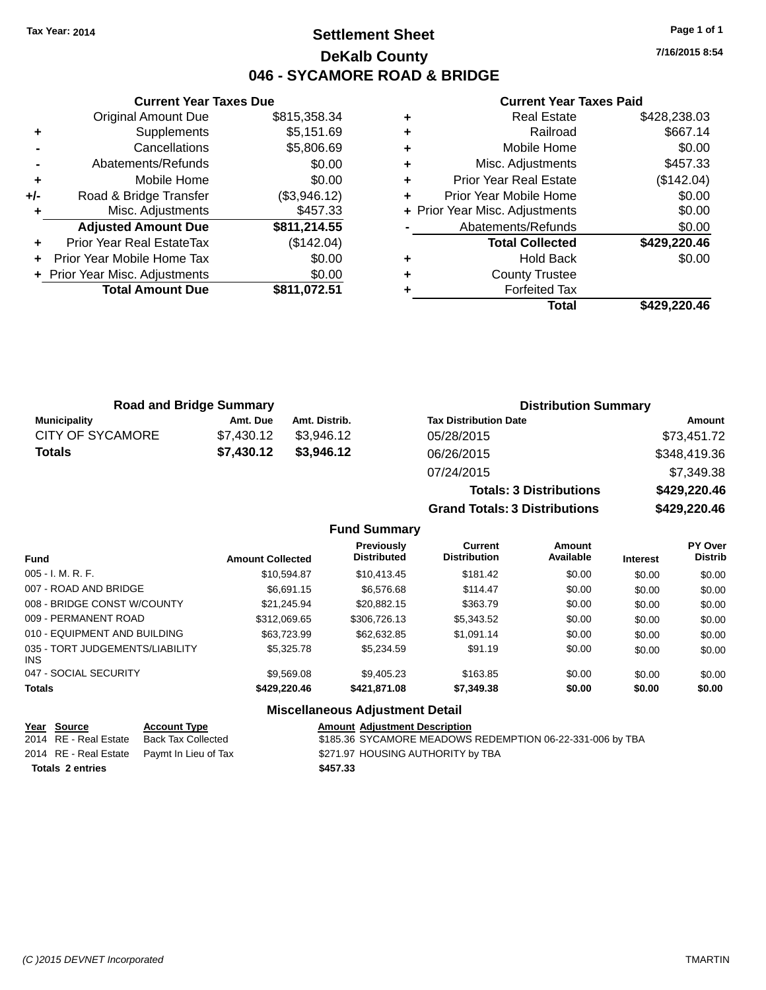### **Settlement Sheet Tax Year: 2014 Page 1 of 1 DeKalb County 046 - SYCAMORE ROAD & BRIDGE**

**Current Year Taxes Due** Original Amount Due \$815,358.34 **+** Supplements \$5,151.69 **-** Cancellations \$5,806.69 **-** Abatements/Refunds **\$0.00 +** Mobile Home \$0.00 **+/-** Road & Bridge Transfer (\$3,946.12) **+** Misc. Adjustments \$457.33 **Adjusted Amount Due \$811,214.55 +** Prior Year Real EstateTax (\$142.04) **+** Prior Year Mobile Home Tax \$0.00 **+ Prior Year Misc. Adjustments**  $$0.00$ **Total Amount Due \$811,072.51**

#### **Current Year Taxes Paid**

|   | <b>Real Estate</b>             | \$428,238.03 |
|---|--------------------------------|--------------|
| ٠ | Railroad                       | \$667.14     |
| ٠ | Mobile Home                    | \$0.00       |
| ٠ | Misc. Adjustments              | \$457.33     |
| ٠ | <b>Prior Year Real Estate</b>  | (\$142.04)   |
| ÷ | Prior Year Mobile Home         | \$0.00       |
|   | + Prior Year Misc. Adjustments | \$0.00       |
|   | Abatements/Refunds             | \$0.00       |
|   | <b>Total Collected</b>         | \$429,220.46 |
| ٠ | Hold Back                      | \$0.00       |
| ٠ | <b>County Trustee</b>          |              |
|   | <b>Forfeited Tax</b>           |              |
|   | Total                          | \$429,220.46 |
|   |                                |              |

**Totals: 3 Distributions \$429,220.46**

**Grand Totals: 3 Distributions \$429,220.46**

| <b>Road and Bridge Summary</b> |            |               | <b>Distribution Summary</b>  |              |  |
|--------------------------------|------------|---------------|------------------------------|--------------|--|
| <b>Municipality</b>            | Amt. Due   | Amt. Distrib. | <b>Tax Distribution Date</b> | Amount       |  |
| CITY OF SYCAMORE               | \$7.430.12 | \$3.946.12    | 05/28/2015                   | \$73,451.72  |  |
| <b>Totals</b>                  | \$7,430.12 | \$3,946.12    | 06/26/2015                   | \$348,419.36 |  |
|                                |            |               | 07/24/2015                   | \$7,349.38   |  |

#### **Fund Summary Fund Interest Amount Collected Distributed PY Over Distrib Amount Available Current Distribution Previously** 005 - I. M. R. F. \$10,594.87 \$10,413.45 \$181.42 \$0.00 \$0.00 \$0.00 007 - ROAD AND BRIDGE 60.00 \$66,691.15 \$6,576.68 \$114.47 \$0.00 \$0.00 \$0.00 \$0.00 008 - BRIDGE CONST W/COUNTY  $$21,245.94$   $$20,882.15$   $$363.79$   $$0.00$   $$0.00$   $$0.00$ 009 - PERMANENT ROAD \$312,069.65 \$306,726.13 \$5,343.52 \$0.00 \$0.00 \$0.00 \$0.00 010 - EQUIPMENT AND BUILDING \$63,723.99 \$62,632.85 \$1,091.14 \$0.00 \$0.00 \$0.00 \$0.00 035 - TORT JUDGEMENTS/LIABILITY INS \$5,325.78 \$5,234.59 \$91.19 \$0.00 \$0.00 \$0.00 047 - SOCIAL SECURITY \$9,569.08 \$9,405.23 \$163.85 \$0.00 \$0.00 \$0.00 **Totals \$429,220.46 \$421,871.08 \$7,349.38 \$0.00 \$0.00 \$0.00 Miscellaneous Adjustment Detail**

#### **Year Source Account Type Amount Adjustment Description** 2014 RE - Real Estate Back Tax Collected \$185.36 SYCAMORE MEADOWS REDEMPTION 06-22-331-006 by TBA 2014 RE - Real Estate Paymt In Lieu of Tax S271.97 HOUSING AUTHORITY by TBA

**Totals \$457.33 2 entries**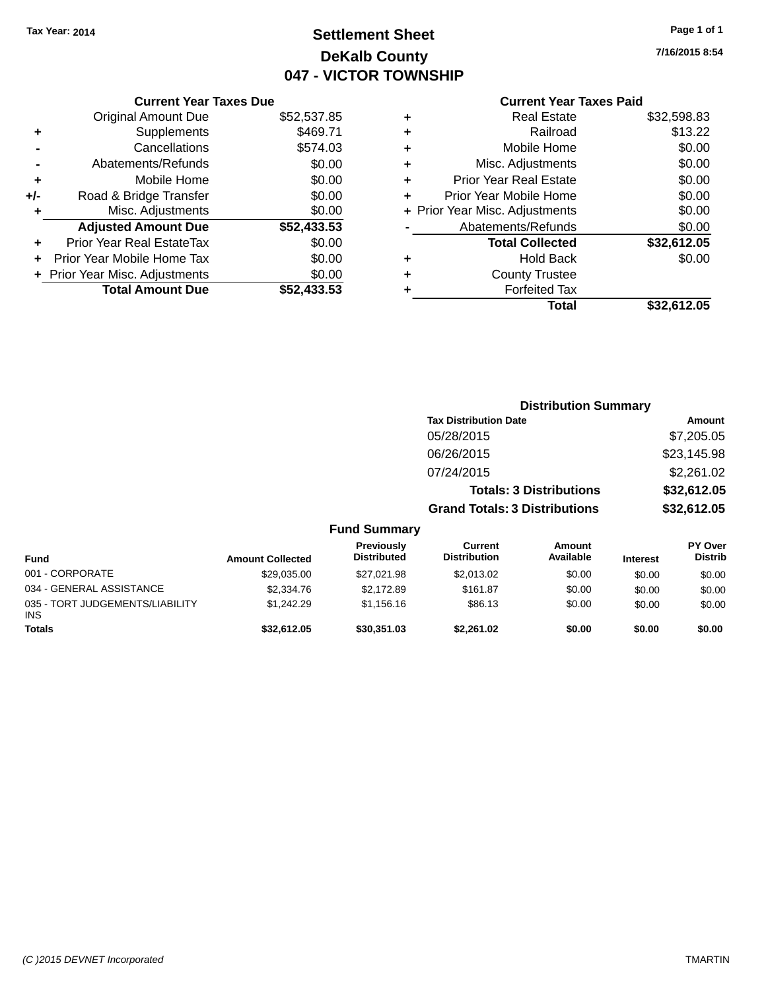Original Amount Due \$52,537.85

**Adjusted Amount Due** 

**Total Amount Due** 

**+** Supplements **-** Cancellations **-** Abatements/Refunds **+** Mobile Home **+/-** Road & Bridge Transfer **+** Misc. Adjustments

**+** Prior Year Real EstateTax \$0.00 **+** Prior Year Mobile Home Tax **+** Prior Year Misc. Adjustments

# **Settlement Sheet Tax Year: 2014 Page 1 of 1 DeKalb County 047 - VICTOR TOWNSHIP**

**7/16/2015 8:54**

| <b>Current Year Taxes Due</b> |             |   | <b>Current Year Taxes Paid</b> |             |
|-------------------------------|-------------|---|--------------------------------|-------------|
| ่<br>เl Amount Due            | \$52,537.85 | ÷ | <b>Real Estate</b>             | \$32,598.83 |
| Supplements                   | \$469.71    | ٠ | Railroad                       | \$13.22     |
| Cancellations                 | \$574.03    | ٠ | Mobile Home                    | \$0.00      |
| าents/Refunds                 | \$0.00      | ÷ | Misc. Adjustments              | \$0.00      |
| Mobile Home                   | \$0.00      | ÷ | <b>Prior Year Real Estate</b>  | \$0.00      |
| ridge Transfer                | \$0.00      | ٠ | Prior Year Mobile Home         | \$0.00      |
| . Adjustments                 | \$0.00      |   | + Prior Year Misc. Adjustments | \$0.00      |
| <b>Amount Due</b>             | \$52,433.53 |   | Abatements/Refunds             | \$0.00      |
| leal EstateTax≀               | \$0.00      |   | <b>Total Collected</b>         | \$32,612.05 |
| bile Home Tax                 | \$0.00      | ÷ | <b>Hold Back</b>               | \$0.00      |
| . Adjustments                 | \$0.00      | ÷ | <b>County Trustee</b>          |             |
| <b>Amount Due</b>             | \$52,433.53 |   | <b>Forfeited Tax</b>           |             |
|                               |             |   | Total                          | \$32,612.05 |

|                                         | <b>Distribution Summary</b> |                                  |                                      |                                |                 |                                  |
|-----------------------------------------|-----------------------------|----------------------------------|--------------------------------------|--------------------------------|-----------------|----------------------------------|
|                                         |                             |                                  | <b>Tax Distribution Date</b>         |                                |                 | Amount                           |
|                                         |                             |                                  | 05/28/2015                           |                                |                 | \$7,205.05                       |
|                                         |                             |                                  | 06/26/2015                           |                                |                 | \$23,145.98                      |
|                                         |                             |                                  | 07/24/2015                           |                                |                 | \$2,261.02                       |
|                                         |                             |                                  |                                      | <b>Totals: 3 Distributions</b> |                 | \$32,612.05                      |
|                                         |                             |                                  | <b>Grand Totals: 3 Distributions</b> |                                | \$32,612.05     |                                  |
|                                         |                             | <b>Fund Summary</b>              |                                      |                                |                 |                                  |
| <b>Fund</b>                             | <b>Amount Collected</b>     | Previously<br><b>Distributed</b> | Current<br><b>Distribution</b>       | <b>Amount</b><br>Available     | <b>Interest</b> | <b>PY Over</b><br><b>Distrib</b> |
| 001 - CORPORATE                         | \$29,035.00                 | \$27,021.98                      | \$2,013.02                           | \$0.00                         | \$0.00          | \$0.00                           |
| 034 - GENERAL ASSISTANCE                | \$2,334.76                  | \$2,172.89                       | \$161.87                             | \$0.00                         | \$0.00          | \$0.00                           |
| 035 - TORT JUDGEMENTS/LIABILITY<br>INS. | \$1,242.29                  | \$1,156.16                       | \$86.13                              | \$0.00                         | \$0.00          | \$0.00                           |
| Totals                                  | \$32,612.05                 | \$30,351.03                      | \$2,261.02                           | \$0.00                         | \$0.00          | \$0.00                           |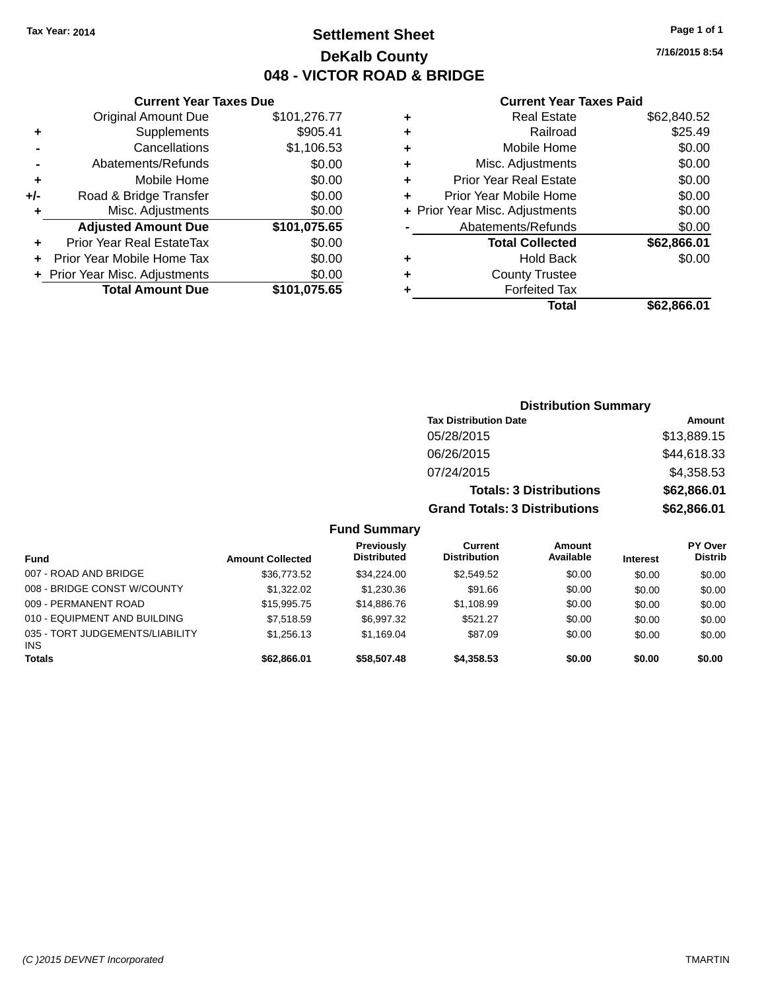### **Settlement Sheet Tax Year: 2014 Page 1 of 1 DeKalb County 048 - VICTOR ROAD & BRIDGE**

**7/16/2015 8:54**

#### **Current Year Taxes Paid**

|         |   | Total                          | \$62,866.01 |
|---------|---|--------------------------------|-------------|
| 075.65  |   | <b>Forfeited Tax</b>           |             |
| \$0.00  | ٠ | <b>County Trustee</b>          |             |
| \$0.00  | ٠ | <b>Hold Back</b>               | \$0.00      |
| \$0.00  |   | <b>Total Collected</b>         | \$62,866.01 |
| 075.65  |   | Abatements/Refunds             | \$0.00      |
| \$0.00  |   | + Prior Year Misc. Adjustments | \$0.00      |
| \$0.00  | ٠ | Prior Year Mobile Home         | \$0.00      |
| \$0.00  | ٠ | <b>Prior Year Real Estate</b>  | \$0.00      |
| \$0.00  | ٠ | Misc. Adjustments              | \$0.00      |
| .106.53 | ٠ | Mobile Home                    | \$0.00      |
| 905.41; | ٠ | Railroad                       | \$25.49     |
| .276.77 | ٠ | <b>Real Estate</b>             | \$62,840.52 |
|         |   |                                |             |

### Original Amount Due \$101 **+** Supplements \$ **-** Cancellations \$1 **-** Abatements/Refunds **+** Mobile Home **+/-** Road & Bridge Transfer **+** Misc. Adjustments Adjusted Amount Due \$101, **+** Prior Year Real EstateTax \$0.00 **+** Prior Year Mobile Home Tax **+** Prior Year Misc. Adjustments<br> **101.** Total Amount Due \$101.

**Total Amount Due** 

**Current Year Taxes Due**

| <b>Distribution Summary</b>          |             |
|--------------------------------------|-------------|
| <b>Tax Distribution Date</b>         | Amount      |
| 05/28/2015                           | \$13,889.15 |
| 06/26/2015                           | \$44,618.33 |
| 07/24/2015                           | \$4,358.53  |
| <b>Totals: 3 Distributions</b>       | \$62,866.01 |
| <b>Grand Totals: 3 Distributions</b> | \$62,866.01 |

| <b>Fund</b>                                   | <b>Amount Collected</b> | Previously<br><b>Distributed</b> | Current<br><b>Distribution</b> | Amount<br>Available | <b>Interest</b> | <b>PY Over</b><br><b>Distrib</b> |
|-----------------------------------------------|-------------------------|----------------------------------|--------------------------------|---------------------|-----------------|----------------------------------|
| 007 - ROAD AND BRIDGE                         | \$36,773.52             | \$34,224,00                      | \$2,549.52                     | \$0.00              | \$0.00          | \$0.00                           |
| 008 - BRIDGE CONST W/COUNTY                   | \$1,322.02              | \$1,230.36                       | \$91.66                        | \$0.00              | \$0.00          | \$0.00                           |
| 009 - PERMANENT ROAD                          | \$15,995.75             | \$14,886,76                      | \$1,108.99                     | \$0.00              | \$0.00          | \$0.00                           |
| 010 - EQUIPMENT AND BUILDING                  | \$7.518.59              | \$6,997.32                       | \$521.27                       | \$0.00              | \$0.00          | \$0.00                           |
| 035 - TORT JUDGEMENTS/LIABILITY<br><b>INS</b> | \$1,256.13              | \$1.169.04                       | \$87.09                        | \$0.00              | \$0.00          | \$0.00                           |
| <b>Totals</b>                                 | \$62,866.01             | \$58,507.48                      | \$4,358.53                     | \$0.00              | \$0.00          | \$0.00                           |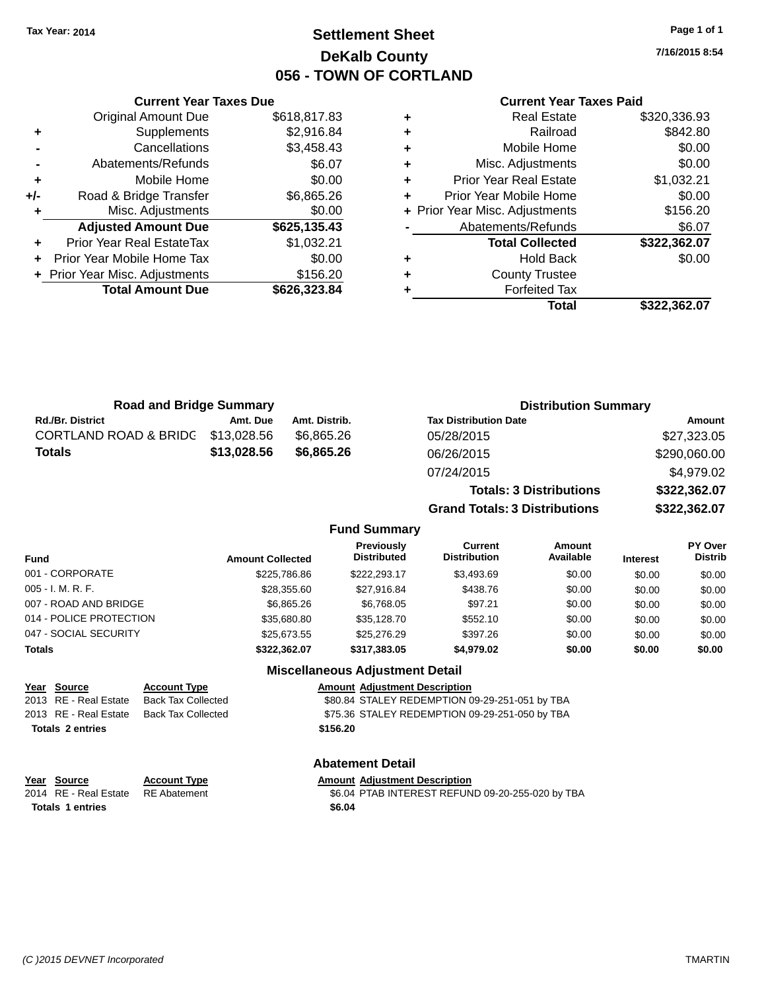### **Settlement Sheet Tax Year: 2014 Page 1 of 1 DeKalb County 056 - TOWN OF CORTLAND**

**7/16/2015 8:54**

#### **Current Year Taxes Paid**

|     | <b>Current Year Taxes Due</b>  |              |
|-----|--------------------------------|--------------|
|     | <b>Original Amount Due</b>     | \$618,817.83 |
| ٠   | Supplements                    | \$2,916.84   |
|     | Cancellations                  | \$3,458.43   |
|     | Abatements/Refunds             | \$6.07       |
| ٠   | Mobile Home                    | \$0.00       |
| +/- | Road & Bridge Transfer         | \$6,865.26   |
|     | Misc. Adjustments              | \$0.00       |
|     | <b>Adjusted Amount Due</b>     | \$625,135.43 |
| ٠   | Prior Year Real EstateTax      | \$1,032.21   |
|     | Prior Year Mobile Home Tax     | \$0.00       |
|     | + Prior Year Misc. Adjustments | \$156.20     |
|     | <b>Total Amount Due</b>        | \$626,323.84 |
|     |                                |              |

| ٠ | <b>Real Estate</b>             | \$320,336.93 |
|---|--------------------------------|--------------|
| ٠ | Railroad                       | \$842.80     |
| ٠ | Mobile Home                    | \$0.00       |
| ٠ | Misc. Adjustments              | \$0.00       |
| ٠ | <b>Prior Year Real Estate</b>  | \$1,032.21   |
| ٠ | Prior Year Mobile Home         | \$0.00       |
|   | + Prior Year Misc. Adjustments | \$156.20     |
|   | Abatements/Refunds             | \$6.07       |
|   | <b>Total Collected</b>         | \$322,362.07 |
| ٠ | <b>Hold Back</b>               | \$0.00       |
| ٠ | <b>County Trustee</b>          |              |
| ٠ | <b>Forfeited Tax</b>           |              |
|   | Total                          | \$322,362.07 |
|   |                                |              |

| <b>Road and Bridge Summary</b> |                         |               |                                         |                                       | <b>Distribution Summary</b>    |                 |                           |
|--------------------------------|-------------------------|---------------|-----------------------------------------|---------------------------------------|--------------------------------|-----------------|---------------------------|
| <b>Rd./Br. District</b>        | Amt. Due                | Amt. Distrib. |                                         | <b>Tax Distribution Date</b>          |                                |                 | <b>Amount</b>             |
| CORTLAND ROAD & BRIDG          | \$13,028,56             | \$6,865.26    |                                         | 05/28/2015                            |                                |                 | \$27,323.05               |
| <b>Totals</b>                  | \$13,028.56             | \$6,865.26    |                                         | 06/26/2015                            |                                |                 | \$290,060.00              |
|                                |                         |               |                                         | 07/24/2015                            |                                |                 | \$4,979.02                |
|                                |                         |               |                                         |                                       | <b>Totals: 3 Distributions</b> |                 | \$322,362.07              |
|                                |                         |               |                                         | <b>Grand Totals: 3 Distributions</b>  |                                |                 | \$322,362.07              |
|                                |                         |               | <b>Fund Summary</b>                     |                                       |                                |                 |                           |
| <b>Fund</b>                    | <b>Amount Collected</b> |               | <b>Previously</b><br><b>Distributed</b> | <b>Current</b><br><b>Distribution</b> | <b>Amount</b><br>Available     | <b>Interest</b> | PY Over<br><b>Distrib</b> |
| 001 - CORPORATE                |                         | \$225,786.86  | \$222,293.17                            | \$3,493.69                            | \$0.00                         | \$0.00          | \$0.00                    |
| $005 - I. M. R. F.$            |                         | \$28,355.60   | \$27.916.84                             | \$438.76                              | \$0.00                         | \$0.00          | \$0.00                    |
| 007 - ROAD AND BRIDGE          |                         | \$6,865.26    | \$6.768.05                              | \$97.21                               | \$0.00                         | \$0.00          | \$0.00                    |

| 014 - POLICE PROTECTION                                                             |                           | \$35,680.80                                    | \$35,128.70                            | \$552.10                                       |        | \$0.00 | \$0.00 |
|-------------------------------------------------------------------------------------|---------------------------|------------------------------------------------|----------------------------------------|------------------------------------------------|--------|--------|--------|
| 047 - SOCIAL SECURITY<br>\$25,276.29<br>\$397.26<br>\$25.673.55<br>\$0.00<br>\$0.00 |                           |                                                |                                        | \$0.00                                         |        |        |        |
| <b>Totals</b>                                                                       |                           | \$322.362.07                                   | \$317.383.05                           | \$4.979.02                                     | \$0.00 | \$0.00 | \$0.00 |
|                                                                                     |                           |                                                | <b>Miscellaneous Adjustment Detail</b> |                                                |        |        |        |
| <b>Amount Adiustment Description</b><br><b>Account Type</b><br>Year Source          |                           |                                                |                                        |                                                |        |        |        |
| 2013 RE - Real Estate                                                               | <b>Back Tax Collected</b> | \$80.84 STALEY REDEMPTION 09-29-251-051 by TBA |                                        |                                                |        |        |        |
| 2013 RE - Real Estate                                                               | <b>Back Tax Collected</b> |                                                |                                        | \$75.36 STALEY REDEMPTION 09-29-251-050 by TBA |        |        |        |
| <b>Totals 2 entries</b>                                                             |                           |                                                | \$156.20                               |                                                |        |        |        |
|                                                                                     |                           |                                                | <b>Abatement Detail</b>                |                                                |        |        |        |
| Source<br>Year                                                                      | <b>Account Type</b>       |                                                | <b>Amount Adiustment Description</b>   |                                                |        |        |        |
|                                                                                     |                           |                                                |                                        |                                                |        |        |        |

**Totals \$6.04 1 entries**

2014 RE - Real Estate RE Abatement \$6.04 PTAB INTEREST REFUND 09-20-255-020 by TBA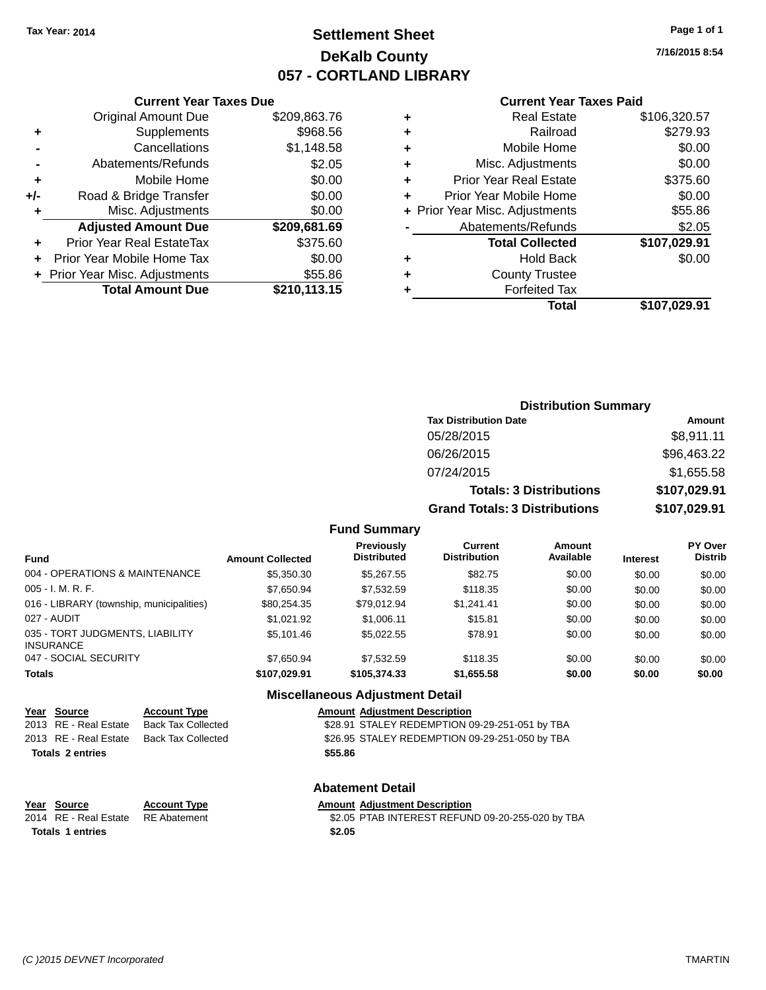### **Settlement Sheet Tax Year: 2014 Page 1 of 1 DeKalb County 057 - CORTLAND LIBRARY**

**7/16/2015 8:54**

#### **Current Year Taxes Paid**

|     | <b>Current Year Taxes Due</b>  |              |  |  |  |
|-----|--------------------------------|--------------|--|--|--|
|     | <b>Original Amount Due</b>     | \$209,863.76 |  |  |  |
| ٠   | Supplements                    | \$968.56     |  |  |  |
|     | Cancellations                  | \$1,148.58   |  |  |  |
|     | Abatements/Refunds             | \$2.05       |  |  |  |
| ٠   | Mobile Home                    | \$0.00       |  |  |  |
| +/- | Road & Bridge Transfer         | \$0.00       |  |  |  |
| ٠   | Misc. Adjustments              | \$0.00       |  |  |  |
|     | <b>Adjusted Amount Due</b>     | \$209,681.69 |  |  |  |
|     | Prior Year Real EstateTax      | \$375.60     |  |  |  |
|     | Prior Year Mobile Home Tax     | \$0.00       |  |  |  |
|     | + Prior Year Misc. Adjustments | \$55.86      |  |  |  |
|     | <b>Total Amount Due</b>        | \$210,113.15 |  |  |  |
|     |                                |              |  |  |  |

|   | <b>Real Estate</b>             | \$106,320.57 |
|---|--------------------------------|--------------|
| ٠ | Railroad                       | \$279.93     |
| ٠ | Mobile Home                    | \$0.00       |
| ٠ | Misc. Adjustments              | \$0.00       |
| ٠ | <b>Prior Year Real Estate</b>  | \$375.60     |
| ÷ | Prior Year Mobile Home         | \$0.00       |
|   | + Prior Year Misc. Adjustments | \$55.86      |
|   | Abatements/Refunds             | \$2.05       |
|   | <b>Total Collected</b>         | \$107,029.91 |
| ٠ | <b>Hold Back</b>               | \$0.00       |
| ٠ | <b>County Trustee</b>          |              |
| ٠ | <b>Forfeited Tax</b>           |              |
|   | Total                          | \$107,029.91 |
|   |                                |              |

| <b>Distribution Summary</b>          |              |  |  |  |
|--------------------------------------|--------------|--|--|--|
| <b>Tax Distribution Date</b>         | Amount       |  |  |  |
| 05/28/2015                           | \$8,911.11   |  |  |  |
| 06/26/2015                           | \$96,463.22  |  |  |  |
| 07/24/2015                           | \$1,655.58   |  |  |  |
| <b>Totals: 3 Distributions</b>       | \$107,029.91 |  |  |  |
| <b>Grand Totals: 3 Distributions</b> | \$107,029.91 |  |  |  |

#### **Fund Summary**

| Fund                                                | <b>Amount Collected</b> | <b>Previously</b><br><b>Distributed</b> | Current<br><b>Distribution</b> | Amount<br>Available | <b>Interest</b> | PY Over<br><b>Distrib</b> |
|-----------------------------------------------------|-------------------------|-----------------------------------------|--------------------------------|---------------------|-----------------|---------------------------|
| 004 - OPERATIONS & MAINTENANCE                      | \$5,350.30              | \$5,267.55                              | \$82.75                        | \$0.00              | \$0.00          | \$0.00                    |
| $005 - I. M. R. F.$                                 | \$7,650.94              | \$7,532.59                              | \$118.35                       | \$0.00              | \$0.00          | \$0.00                    |
| 016 - LIBRARY (township, municipalities)            | \$80,254.35             | \$79.012.94                             | \$1.241.41                     | \$0.00              | \$0.00          | \$0.00                    |
| 027 - AUDIT                                         | \$1.021.92              | \$1,006.11                              | \$15.81                        | \$0.00              | \$0.00          | \$0.00                    |
| 035 - TORT JUDGMENTS, LIABILITY<br><b>INSURANCE</b> | \$5,101.46              | \$5.022.55                              | \$78.91                        | \$0.00              | \$0.00          | \$0.00                    |
| 047 - SOCIAL SECURITY                               | \$7,650.94              | \$7,532.59                              | \$118.35                       | \$0.00              | \$0.00          | \$0.00                    |
| <b>Totals</b>                                       | \$107.029.91            | \$105.374.33                            | \$1,655.58                     | \$0.00              | \$0.00          | \$0.00                    |

#### **Miscellaneous Adjustment Detail**

| Year Source             | <b>Account Type</b>                      |         | <b>Amount Adjustment Description</b>           |
|-------------------------|------------------------------------------|---------|------------------------------------------------|
| 2013 RE - Real Estate   | <b>Back Tax Collected</b>                |         | \$28.91 STALEY REDEMPTION 09-29-251-051 by TBA |
|                         | 2013 RE - Real Estate Back Tax Collected |         | \$26.95 STALEY REDEMPTION 09-29-251-050 by TBA |
| <b>Totals 2 entries</b> |                                          | \$55.86 |                                                |
|                         |                                          |         |                                                |

### **Abatement Detail**

| Year Source                        | <b>Account Type</b> | Amount |
|------------------------------------|---------------------|--------|
| 2014 RE - Real Estate RE Abatement |                     | \$2.05 |
| <b>Totals 1 entries</b>            |                     | \$2.05 |

#### **Year Type Amount Adjustment Description** ament **2014 REAL ESTATE EST REAL EST REFUND** 09-20-255-020 by TBA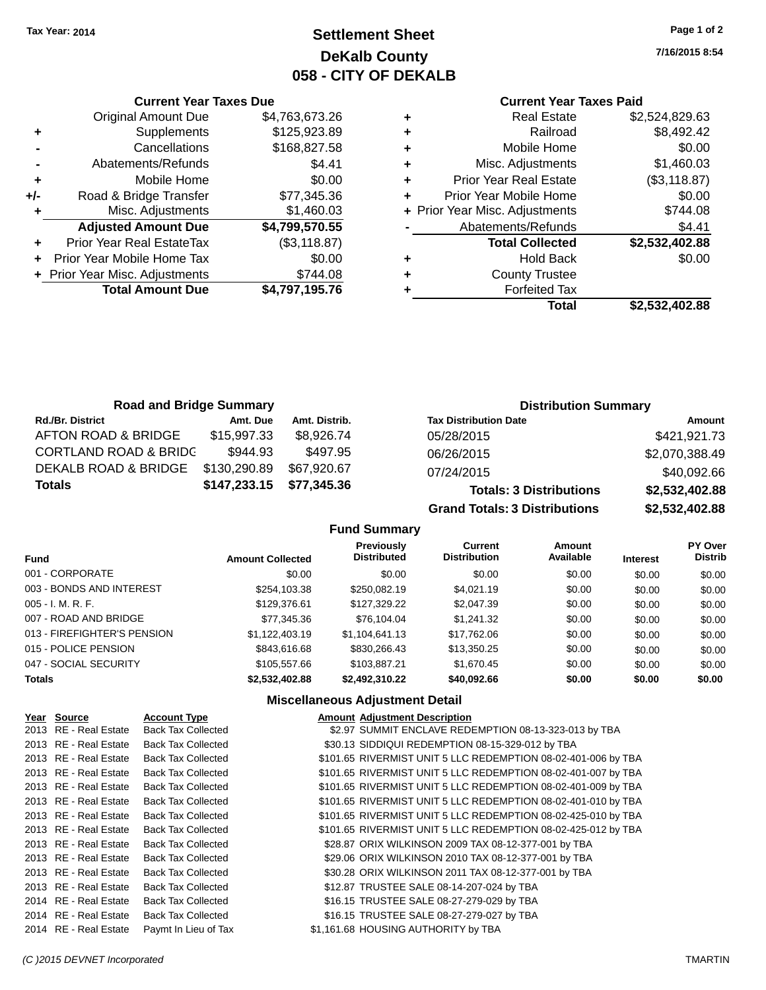**+** Supplements

**Current Year Taxes Due**

**-** Cancellations \$168,827.58 **-** Abatements/Refunds **\$4.41 +** Mobile Home \$0.00 **+/-** Road & Bridge Transfer \$77,345.36 **+** Misc. Adjustments \$1,460.03

**+** Prior Year Real EstateTax (\$3,118.87) **+** Prior Year Mobile Home Tax \$0.00 **+** Prior Year Misc. Adjustments \$744.08

Original Amount Due \$4,763,673.26<br>Supplements \$125,923.89

**Adjusted Amount Due \$4,799,570.55**

**Total Amount Due \$4,797,195.76**

### **Settlement Sheet Tax Year: 2014 Page 1 of 2 DeKalb County 058 - CITY OF DEKALB**

**7/16/2015 8:54**

#### **Current Year Taxes Paid**

| ٠ | <b>Real Estate</b>             | \$2,524,829.63 |
|---|--------------------------------|----------------|
| ٠ | Railroad                       | \$8,492.42     |
| ٠ | Mobile Home                    | \$0.00         |
| ٠ | Misc. Adjustments              | \$1,460.03     |
| ٠ | <b>Prior Year Real Estate</b>  | (\$3,118.87)   |
| ÷ | Prior Year Mobile Home         | \$0.00         |
|   | + Prior Year Misc. Adjustments | \$744.08       |
|   | Abatements/Refunds             | \$4.41         |
|   | <b>Total Collected</b>         | \$2,532,402.88 |
| ٠ | <b>Hold Back</b>               | \$0.00         |
| ٠ | <b>County Trustee</b>          |                |
|   | <b>Forfeited Tax</b>           |                |
|   | Total                          | \$2,532,402.88 |
|   |                                |                |

| <b>Road and Bridge Summary</b>   |              |               | <b>Distribution Summary</b>    |                |  |
|----------------------------------|--------------|---------------|--------------------------------|----------------|--|
| <b>Rd./Br. District</b>          | Amt. Due     | Amt. Distrib. | <b>Tax Distribution Date</b>   | Amount         |  |
| AFTON ROAD & BRIDGE              | \$15,997.33  | \$8,926.74    | 05/28/2015                     | \$421,921.73   |  |
| <b>CORTLAND ROAD &amp; BRIDC</b> | \$944.93     | \$497.95      | 06/26/2015                     | \$2,070,388.49 |  |
| DEKALB ROAD & BRIDGE             | \$130,290.89 | \$67,920.67   | 07/24/2015                     | \$40,092.66    |  |
| <b>Totals</b>                    | \$147,233.15 | \$77,345.36   | <b>Totals: 3 Distributions</b> | \$2,532,402.88 |  |

**Grand Totals: 3 Distributions \$2,532,402.88**

#### **Fund Summary**

| <b>Fund</b>                 | <b>Amount Collected</b> | Previously<br><b>Distributed</b> | Current<br><b>Distribution</b> | Amount<br>Available | <b>Interest</b> | <b>PY Over</b><br><b>Distrib</b> |
|-----------------------------|-------------------------|----------------------------------|--------------------------------|---------------------|-----------------|----------------------------------|
| 001 - CORPORATE             | \$0.00                  | \$0.00                           | \$0.00                         | \$0.00              | \$0.00          | \$0.00                           |
| 003 - BONDS AND INTEREST    | \$254,103.38            | \$250,082.19                     | \$4,021.19                     | \$0.00              | \$0.00          | \$0.00                           |
| $005 - I. M. R. F.$         | \$129,376.61            | \$127.329.22                     | \$2,047.39                     | \$0.00              | \$0.00          | \$0.00                           |
| 007 - ROAD AND BRIDGE       | \$77,345.36             | \$76,104.04                      | \$1,241.32                     | \$0.00              | \$0.00          | \$0.00                           |
| 013 - FIREFIGHTER'S PENSION | \$1.122.403.19          | \$1,104,641.13                   | \$17,762.06                    | \$0.00              | \$0.00          | \$0.00                           |
| 015 - POLICE PENSION        | \$843,616.68            | \$830,266.43                     | \$13,350.25                    | \$0.00              | \$0.00          | \$0.00                           |
| 047 - SOCIAL SECURITY       | \$105,557.66            | \$103,887.21                     | \$1,670.45                     | \$0.00              | \$0.00          | \$0.00                           |
| <b>Totals</b>               | \$2.532.402.88          | \$2.492.310.22                   | \$40,092.66                    | \$0.00              | \$0.00          | \$0.00                           |

#### **Miscellaneous Adjustment Detail**

| Year Source           | <b>Account Type</b>       | <b>Amount Adjustment Description</b>                          |
|-----------------------|---------------------------|---------------------------------------------------------------|
| 2013 RE - Real Estate | <b>Back Tax Collected</b> | \$2.97 SUMMIT ENCLAVE REDEMPTION 08-13-323-013 by TBA         |
| 2013 RE - Real Estate | <b>Back Tax Collected</b> | \$30.13 SIDDIQUI REDEMPTION 08-15-329-012 by TBA              |
| 2013 RE - Real Estate | <b>Back Tax Collected</b> | \$101.65 RIVERMIST UNIT 5 LLC REDEMPTION 08-02-401-006 by TBA |
| 2013 RE - Real Estate | <b>Back Tax Collected</b> | \$101.65 RIVERMIST UNIT 5 LLC REDEMPTION 08-02-401-007 by TBA |
| 2013 RE - Real Estate | <b>Back Tax Collected</b> | \$101.65 RIVERMIST UNIT 5 LLC REDEMPTION 08-02-401-009 by TBA |
| 2013 RE - Real Estate | <b>Back Tax Collected</b> | \$101.65 RIVERMIST UNIT 5 LLC REDEMPTION 08-02-401-010 by TBA |
| 2013 RE - Real Estate | <b>Back Tax Collected</b> | \$101.65 RIVERMIST UNIT 5 LLC REDEMPTION 08-02-425-010 by TBA |
| 2013 RE - Real Estate | <b>Back Tax Collected</b> | \$101.65 RIVERMIST UNIT 5 LLC REDEMPTION 08-02-425-012 by TBA |
| 2013 RE - Real Estate | <b>Back Tax Collected</b> | \$28.87 ORIX WILKINSON 2009 TAX 08-12-377-001 by TBA          |
| 2013 RE - Real Estate | <b>Back Tax Collected</b> | \$29.06 ORIX WILKINSON 2010 TAX 08-12-377-001 by TBA          |
| 2013 RE - Real Estate | <b>Back Tax Collected</b> | \$30.28 ORIX WILKINSON 2011 TAX 08-12-377-001 by TBA          |
| 2013 RE - Real Estate | <b>Back Tax Collected</b> | \$12.87 TRUSTEE SALE 08-14-207-024 by TBA                     |
| 2014 RE - Real Estate | <b>Back Tax Collected</b> | \$16.15 TRUSTEE SALE 08-27-279-029 by TBA                     |
| 2014 RE - Real Estate | <b>Back Tax Collected</b> | \$16.15 TRUSTEE SALE 08-27-279-027 by TBA                     |
| 2014 RE - Real Estate | Paymt In Lieu of Tax      | \$1,161.68 HOUSING AUTHORITY by TBA                           |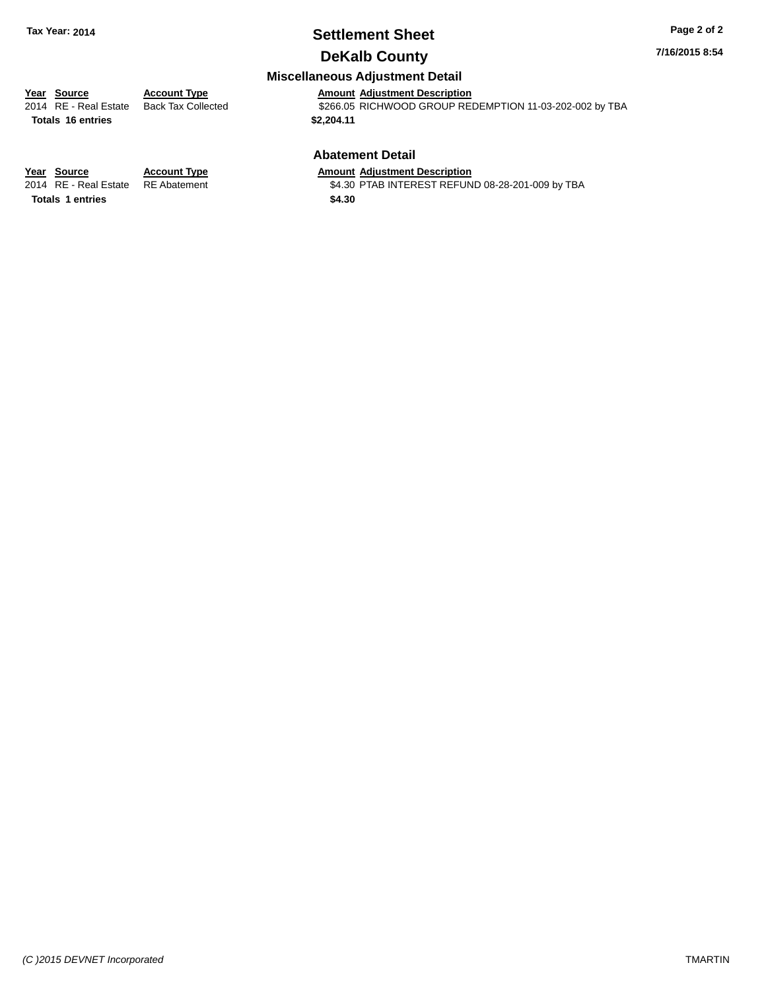### **Settlement Sheet Tax Year: 2014 Page 2 of 2**

### **DeKalb County**

**7/16/2015 8:54**

#### **Miscellaneous Adjustment Detail**

# **Year Source Account Type Amount Adjustment Description**

**Totals \$2,204.11 16 entries**

\$266.05 RICHWOOD GROUP REDEMPTION 11-03-202-002 by TBA

#### **Abatement Detail**

\$4.30 PTAB INTEREST REFUND 08-28-201-009 by TBA

**Year Source Account Type Amount Adjustment Description**<br>2014 RE - Real Estate RE Abatement \$4.30 PTAB INTEREST REFUN Totals 1 entries \$4.30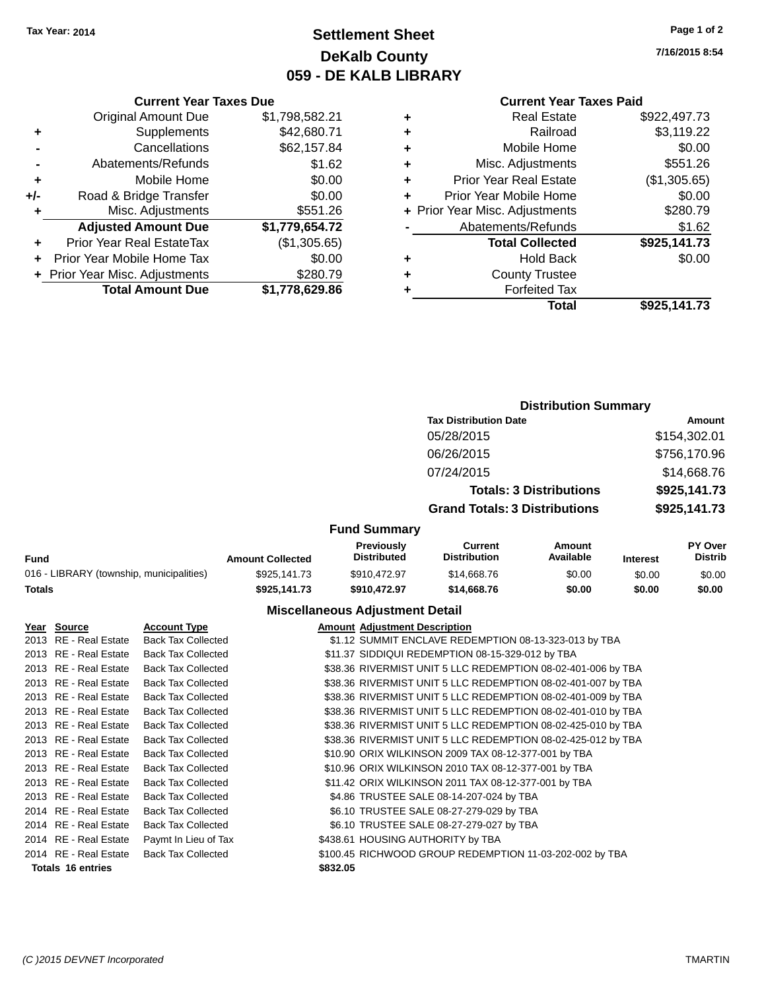### **Settlement Sheet Tax Year: 2014 Page 1 of 2 DeKalb County 059 - DE KALB LIBRARY**

**7/16/2015 8:54**

#### **Current Year Taxes Paid**

| <b>Current Year Taxes Due</b> |                                |  |  |  |  |
|-------------------------------|--------------------------------|--|--|--|--|
| <b>Original Amount Due</b>    | \$1,798,582.21                 |  |  |  |  |
| Supplements                   | \$42,680.71                    |  |  |  |  |
| Cancellations                 | \$62,157.84                    |  |  |  |  |
| Abatements/Refunds            | \$1.62                         |  |  |  |  |
| Mobile Home                   | \$0.00                         |  |  |  |  |
| Road & Bridge Transfer        | \$0.00                         |  |  |  |  |
| Misc. Adjustments             | \$551.26                       |  |  |  |  |
| <b>Adjusted Amount Due</b>    | \$1,779,654.72                 |  |  |  |  |
| Prior Year Real EstateTax     | (\$1,305.65)                   |  |  |  |  |
| Prior Year Mobile Home Tax    | \$0.00                         |  |  |  |  |
|                               | \$280.79                       |  |  |  |  |
| <b>Total Amount Due</b>       | \$1,778,629.86                 |  |  |  |  |
|                               | + Prior Year Misc. Adjustments |  |  |  |  |

| ٠ | <b>Real Estate</b>             | \$922,497.73 |
|---|--------------------------------|--------------|
| ٠ | Railroad                       | \$3,119.22   |
| ٠ | Mobile Home                    | \$0.00       |
| ٠ | Misc. Adjustments              | \$551.26     |
| ٠ | <b>Prior Year Real Estate</b>  | (\$1,305.65) |
| ٠ | Prior Year Mobile Home         | \$0.00       |
|   | + Prior Year Misc. Adjustments | \$280.79     |
|   | Abatements/Refunds             | \$1.62       |
|   | <b>Total Collected</b>         | \$925,141.73 |
| ٠ | <b>Hold Back</b>               | \$0.00       |
| ٠ | <b>County Trustee</b>          |              |
| ٠ | <b>Forfeited Tax</b>           |              |
|   | Total                          | \$925,141.73 |
|   |                                |              |

|                     | <b>Distribution Summary</b>          |              |
|---------------------|--------------------------------------|--------------|
|                     | <b>Tax Distribution Date</b>         | Amount       |
|                     | 05/28/2015                           | \$154,302.01 |
|                     | 06/26/2015                           | \$756,170.96 |
|                     | 07/24/2015                           | \$14,668.76  |
|                     | <b>Totals: 3 Distributions</b>       | \$925,141.73 |
|                     | <b>Grand Totals: 3 Distributions</b> | \$925,141.73 |
| <b>Fund Summary</b> |                                      |              |

#### **Fund Interest Amount Collected Distributed PY Over Distrib Amount Available Current Distribution Previously** 016 - LIBRARY (township, municipalities)  $$925,141.73$   $$910,472.97$   $$14,668.76$   $$0.00$   $$0.00$   $$0.00$   $$0.00$   $$0.00$ **Totals \$925,141.73 \$910,472.97 \$14,668.76 \$0.00 \$0.00 \$0.00**

#### **Miscellaneous Adjustment Detail**

| Year Source              | <b>Account Type</b>       |          | <b>Amount Adjustment Description</b>                         |
|--------------------------|---------------------------|----------|--------------------------------------------------------------|
| 2013 RE - Real Estate    | <b>Back Tax Collected</b> |          | \$1.12 SUMMIT ENCLAVE REDEMPTION 08-13-323-013 by TBA        |
| 2013 RE - Real Estate    | <b>Back Tax Collected</b> |          | \$11.37 SIDDIQUI REDEMPTION 08-15-329-012 by TBA             |
| 2013 RE - Real Estate    | <b>Back Tax Collected</b> |          | \$38.36 RIVERMIST UNIT 5 LLC REDEMPTION 08-02-401-006 by TBA |
| 2013 RE - Real Estate    | <b>Back Tax Collected</b> |          | \$38.36 RIVERMIST UNIT 5 LLC REDEMPTION 08-02-401-007 by TBA |
| 2013 RE - Real Estate    | <b>Back Tax Collected</b> |          | \$38.36 RIVERMIST UNIT 5 LLC REDEMPTION 08-02-401-009 by TBA |
| 2013 RE - Real Estate    | <b>Back Tax Collected</b> |          | \$38.36 RIVERMIST UNIT 5 LLC REDEMPTION 08-02-401-010 by TBA |
| 2013 RE - Real Estate    | <b>Back Tax Collected</b> |          | \$38.36 RIVERMIST UNIT 5 LLC REDEMPTION 08-02-425-010 by TBA |
| 2013 RE - Real Estate    | <b>Back Tax Collected</b> |          | \$38.36 RIVERMIST UNIT 5 LLC REDEMPTION 08-02-425-012 by TBA |
| 2013 RE - Real Estate    | <b>Back Tax Collected</b> |          | \$10.90 ORIX WILKINSON 2009 TAX 08-12-377-001 by TBA         |
| 2013 RE - Real Estate    | <b>Back Tax Collected</b> |          | \$10.96 ORIX WILKINSON 2010 TAX 08-12-377-001 by TBA         |
| 2013 RE - Real Estate    | <b>Back Tax Collected</b> |          | \$11.42 ORIX WILKINSON 2011 TAX 08-12-377-001 by TBA         |
| 2013 RE - Real Estate    | <b>Back Tax Collected</b> |          | \$4.86 TRUSTEE SALE 08-14-207-024 by TBA                     |
| 2014 RE - Real Estate    | <b>Back Tax Collected</b> |          | \$6.10 TRUSTEE SALE 08-27-279-029 by TBA                     |
| 2014 RE - Real Estate    | <b>Back Tax Collected</b> |          | \$6.10 TRUSTEE SALE 08-27-279-027 by TBA                     |
| 2014 RE - Real Estate    | Paymt In Lieu of Tax      |          | \$438.61 HOUSING AUTHORITY by TBA                            |
| 2014 RE - Real Estate    | <b>Back Tax Collected</b> |          | \$100.45 RICHWOOD GROUP REDEMPTION 11-03-202-002 by TBA      |
| <b>Totals 16 entries</b> |                           | \$832.05 |                                                              |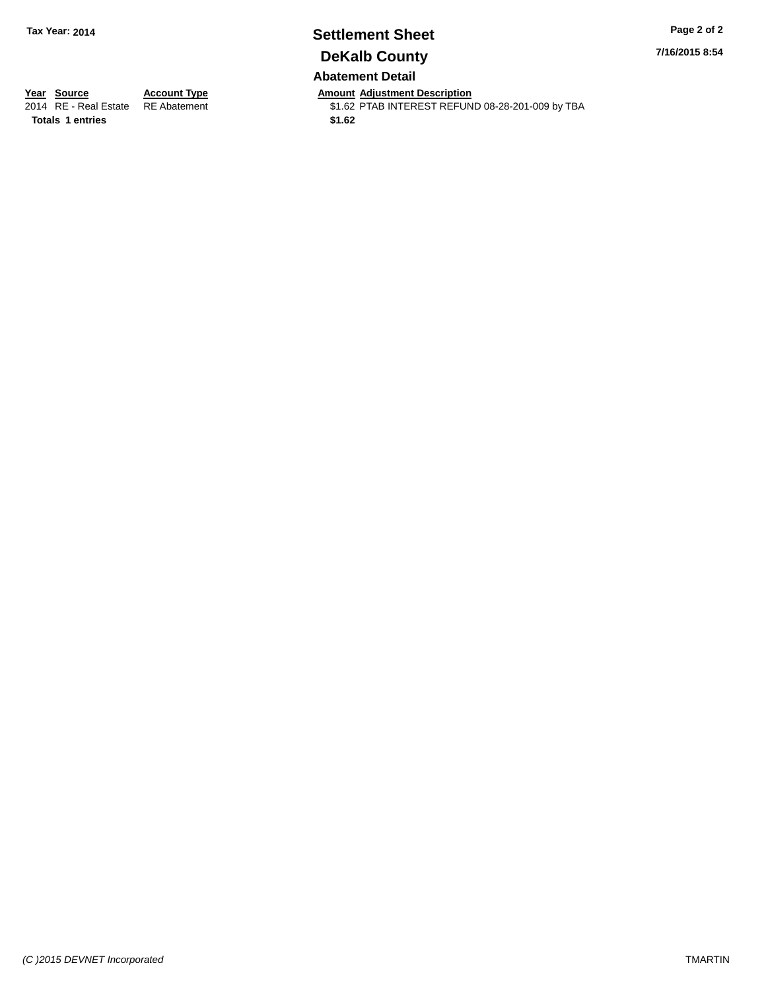# **Settlement Sheet Tax Year: 2014 Page 2 of 2 DeKalb County**

#### **7/16/2015 8:54**

**Abatement Detail**

**Totals 1 entries** \$1.62

**Year Source Account Type Anneurs Amount Adjustment Description**<br>2014 RE - Real Estate RE Abatement **Alternative State State** State State State State State State State State State \$1.62 PTAB INTEREST REFUND 08-28-201-009 by TBA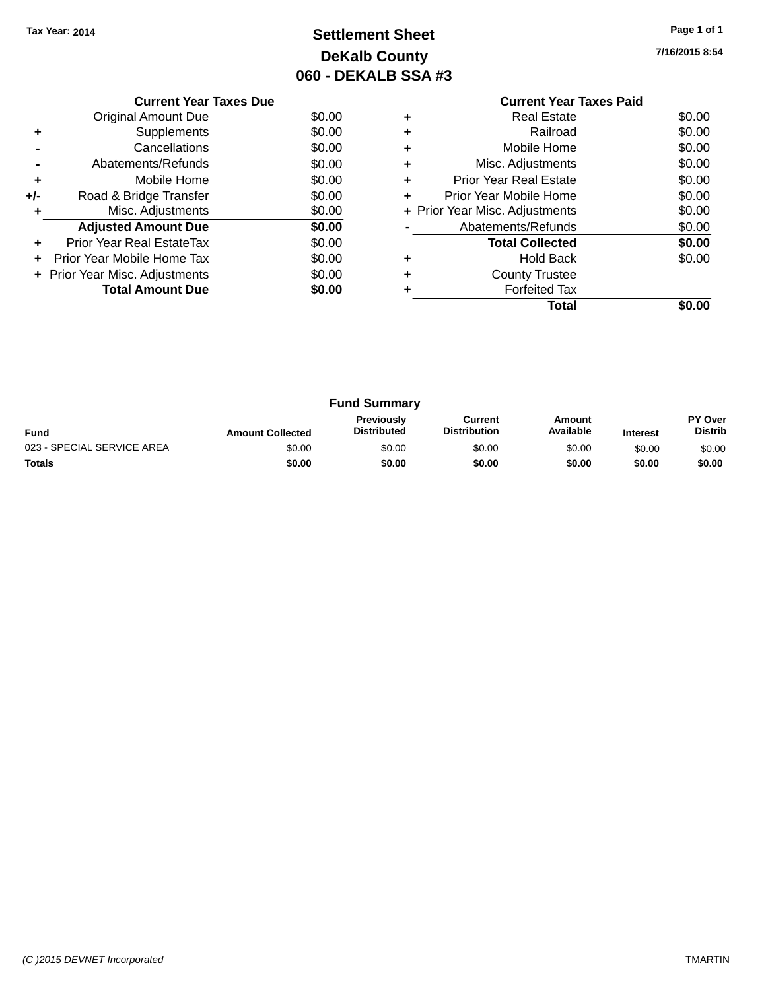# **Settlement Sheet Tax Year: 2014 Page 1 of 1 DeKalb County 060 - DEKALB SSA #3**

**7/16/2015 8:54**

|     | <b>Current Year Taxes Due</b>  |        |
|-----|--------------------------------|--------|
|     | <b>Original Amount Due</b>     | \$0.00 |
|     | Supplements                    | \$0.00 |
|     | Cancellations                  | \$0.00 |
|     | Abatements/Refunds             | \$0.00 |
| ٠   | Mobile Home                    | \$0.00 |
| +/- | Road & Bridge Transfer         | \$0.00 |
| ٠   | Misc. Adjustments              | \$0.00 |
|     | <b>Adjusted Amount Due</b>     | \$0.00 |
|     | Prior Year Real EstateTax      | \$0.00 |
| ÷   | Prior Year Mobile Home Tax     | \$0.00 |
|     | + Prior Year Misc. Adjustments | \$0.00 |
|     | <b>Total Amount Due</b>        | \$0.00 |
|     |                                |        |

### **Current Year Taxes Paid +** Real Estate \$0.00 **+** Railroad \$0.00 **+** Mobile Home \$0.00 **+** Misc. Adjustments \$0.00 **+** Prior Year Real Estate \$0.00 **+** Prior Year Mobile Home \$0.00<br> **+** Prior Year Misc. Adjustments \$0.00 **+ Prior Year Misc. Adjustments -** Abatements/Refunds \$0.00 **Total Collected \$0.00 +** Hold Back \$0.00 **+** County Trustee **+** Forfeited Tax **Total \$0.00**

|                            |                         | <b>Fund Summary</b>                     |                                |                     |                 |                           |
|----------------------------|-------------------------|-----------------------------------------|--------------------------------|---------------------|-----------------|---------------------------|
| <b>Fund</b>                | <b>Amount Collected</b> | <b>Previously</b><br><b>Distributed</b> | Current<br><b>Distribution</b> | Amount<br>Available | <b>Interest</b> | PY Over<br><b>Distrib</b> |
| 023 - SPECIAL SERVICE AREA | \$0.00                  | \$0.00                                  | \$0.00                         | \$0.00              | \$0.00          | \$0.00                    |
| <b>Totals</b>              | \$0.00                  | \$0.00                                  | \$0.00                         | \$0.00              | \$0.00          | \$0.00                    |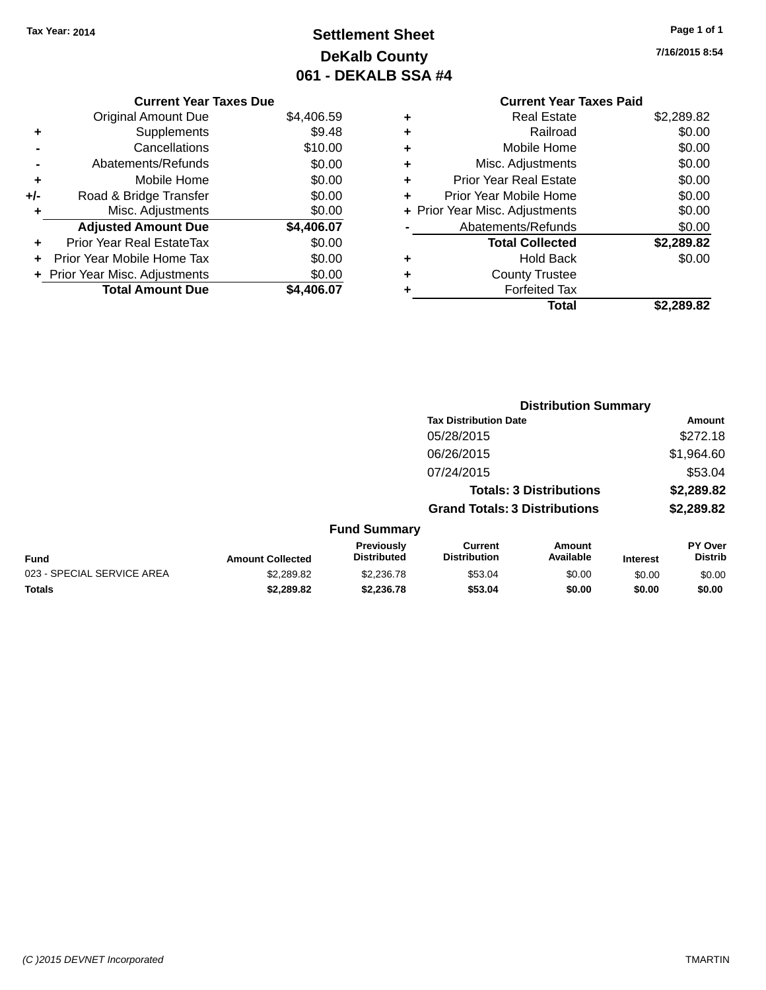# **Settlement Sheet Tax Year: 2014 Page 1 of 1 DeKalb County 061 - DEKALB SSA #4**

**7/16/2015 8:54**

### **Current Year Taxes Paid +** Real Estate \$2,289.82 **+** Railroad \$0.00 **+** Mobile Home \$0.00 **+** Misc. Adjustments \$0.00 **+** Prior Year Real Estate \$0.00 **+** Prior Year Mobile Home \$0.00 **+ Prior Year Misc. Adjustments**  $$0.00$ Abatements/Refunds \$0.00 **Total Collected \$2,289.82 +** Hold Back \$0.00 **+** County Trustee **+** Forfeited Tax **Total \$2,289.82**

**Distribution Summary**

|                            |                         |                                         | <b>Tax Distribution Date</b>          |                                |                 | <b>Amount</b>             |
|----------------------------|-------------------------|-----------------------------------------|---------------------------------------|--------------------------------|-----------------|---------------------------|
|                            |                         |                                         | 05/28/2015                            |                                |                 | \$272.18                  |
|                            |                         |                                         | 06/26/2015                            |                                |                 | \$1,964.60                |
|                            |                         |                                         | 07/24/2015                            |                                |                 | \$53.04                   |
|                            |                         |                                         |                                       | <b>Totals: 3 Distributions</b> |                 | \$2,289.82                |
|                            |                         |                                         | <b>Grand Totals: 3 Distributions</b>  |                                |                 | \$2,289.82                |
|                            |                         | <b>Fund Summary</b>                     |                                       |                                |                 |                           |
| <b>Fund</b>                | <b>Amount Collected</b> | <b>Previously</b><br><b>Distributed</b> | <b>Current</b><br><b>Distribution</b> | Amount<br>Available            | <b>Interest</b> | PY Over<br><b>Distrib</b> |
| 023 - SPECIAL SERVICE AREA | \$2,289.82              | \$2,236.78                              | \$53.04                               | \$0.00                         | \$0.00          | \$0.00                    |
| <b>Totals</b>              | \$2,289.82              | \$2,236.78                              | \$53.04                               | \$0.00                         | \$0.00          | \$0.00                    |

#### **Current Year Taxes Due**

|     | <b>Original Amount Due</b>       | \$4,406.59 |
|-----|----------------------------------|------------|
| ٠   | Supplements                      | \$9.48     |
|     | Cancellations                    | \$10.00    |
|     | Abatements/Refunds               | \$0.00     |
| ٠   | Mobile Home                      | \$0.00     |
| +/- | Road & Bridge Transfer           | \$0.00     |
| ٠   | Misc. Adjustments                | \$0.00     |
|     |                                  |            |
|     | <b>Adjusted Amount Due</b>       | \$4,406.07 |
| ÷   | <b>Prior Year Real EstateTax</b> | \$0.00     |
|     | Prior Year Mobile Home Tax       | \$0.00     |
|     | + Prior Year Misc. Adjustments   | \$0.00     |
|     | <b>Total Amount Due</b>          | \$4,406.07 |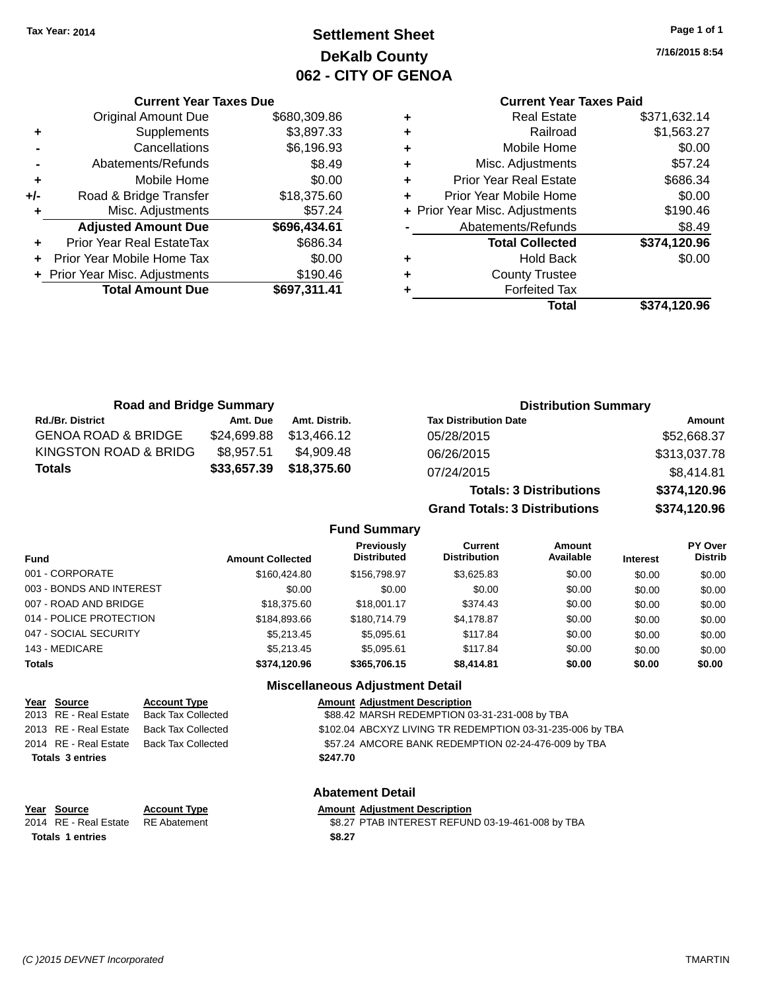## **Settlement Sheet Tax Year: 2014 Page 1 of 1 DeKalb County 062 - CITY OF GENOA**

**7/16/2015 8:54**

### **Current Year Taxes Paid**

|     | <b>Current Year Taxes Due</b>  |              |
|-----|--------------------------------|--------------|
|     | <b>Original Amount Due</b>     | \$680,309.86 |
| ٠   | Supplements                    | \$3,897.33   |
|     | Cancellations                  | \$6,196.93   |
|     | Abatements/Refunds             | \$8.49       |
| ٠   | Mobile Home                    | \$0.00       |
| +/- | Road & Bridge Transfer         | \$18,375.60  |
| ٠   | Misc. Adjustments              | \$57.24      |
|     | <b>Adjusted Amount Due</b>     | \$696,434.61 |
|     | Prior Year Real EstateTax      | \$686.34     |
| ÷   | Prior Year Mobile Home Tax     | \$0.00       |
|     | + Prior Year Misc. Adjustments | \$190.46     |
|     | <b>Total Amount Due</b>        | \$697,311.41 |
|     |                                |              |

| <b>Real Estate</b>            | \$371,632.14                   |
|-------------------------------|--------------------------------|
| Railroad                      | \$1,563.27                     |
| Mobile Home                   | \$0.00                         |
| Misc. Adjustments             | \$57.24                        |
| <b>Prior Year Real Estate</b> | \$686.34                       |
| Prior Year Mobile Home        | \$0.00                         |
|                               | \$190.46                       |
| Abatements/Refunds            | \$8.49                         |
| <b>Total Collected</b>        | \$374,120.96                   |
| <b>Hold Back</b>              | \$0.00                         |
| <b>County Trustee</b>         |                                |
| <b>Forfeited Tax</b>          |                                |
| Total                         | \$374,120.96                   |
|                               | + Prior Year Misc. Adjustments |

**Grand Totals: 3 Distributions \$374,120.96**

| <b>Road and Bridge Summary</b> |             |               | <b>Distribution Summary</b>    |              |
|--------------------------------|-------------|---------------|--------------------------------|--------------|
| <b>Rd./Br. District</b>        | Amt. Due    | Amt. Distrib. | <b>Tax Distribution Date</b>   | Amount       |
| <b>GENOA ROAD &amp; BRIDGE</b> | \$24,699.88 | \$13.466.12   | 05/28/2015                     | \$52,668.37  |
| KINGSTON ROAD & BRIDG          | \$8.957.51  | \$4.909.48    | 06/26/2015                     | \$313,037.78 |
| <b>Totals</b>                  | \$33,657.39 | \$18,375.60   | 07/24/2015                     | \$8,414.81   |
|                                |             |               | <b>Totals: 3 Distributions</b> | \$374,120.96 |

**Fund Summary Fund Interest Amount Collected Distributed PY Over Distrib Amount Available Current Distribution Previously** 001 - CORPORATE 6 \$160,424.80 \$156,798.97 \$3,625.83 \$0.00 \$0.00 \$0.00 003 - BONDS AND INTEREST  $$0.00$   $$0.00$   $$0.00$   $$0.00$   $$0.00$   $$0.00$   $$0.00$   $$0.00$ 007 - ROAD AND BRIDGE 6000 \$18,375.60 \$18,001.17 \$374.43 \$0.00 \$0.00 \$0.00 \$0.00 014 - POLICE PROTECTION \$184,893.66 \$180,714.79 \$4,178.87 \$0.00 \$0.00 \$0.00 047 - SOCIAL SECURITY \$5,213.45 \$5,095.61 \$117.84 \$0.00 \$0.00 \$0.00 143 - MEDICARE \$5,213.45 \$5,095.61 \$117.84 \$0.00 \$0.00 \$0.00 **Totals \$374,120.96 \$365,706.15 \$8,414.81 \$0.00 \$0.00 \$0.00**

| <u>MISCENANEOUS AUJUSTINENT DETAIL</u> |                           |                                                           |  |
|----------------------------------------|---------------------------|-----------------------------------------------------------|--|
| Year Source                            | <b>Account Type</b>       | <b>Amount Adjustment Description</b>                      |  |
| 2013 RE - Real Estate                  | <b>Back Tax Collected</b> | \$88.42 MARSH REDEMPTION 03-31-231-008 by TBA             |  |
| 2013 RE - Real Estate                  | <b>Back Tax Collected</b> | \$102.04 ABCXYZ LIVING TR REDEMPTION 03-31-235-006 by TBA |  |
| 2014 RE - Real Estate                  | <b>Back Tax Collected</b> | \$57.24 AMCORE BANK REDEMPTION 02-24-476-009 by TBA       |  |
| <b>Totals 3 entries</b>                |                           | \$247.70                                                  |  |
| <b>Abatement Detail</b>                |                           |                                                           |  |
| Year Source                            | <b>Account Type</b>       | <b>Amount Adjustment Description</b>                      |  |
| 2014 RE - Real Estate                  | <b>RE</b> Abatement       | \$8.27 PTAB INTEREST REFUND 03-19-461-008 by TBA          |  |

**Totals \$8.27 1 entries**

**Miscellaneous Adjustment Detail**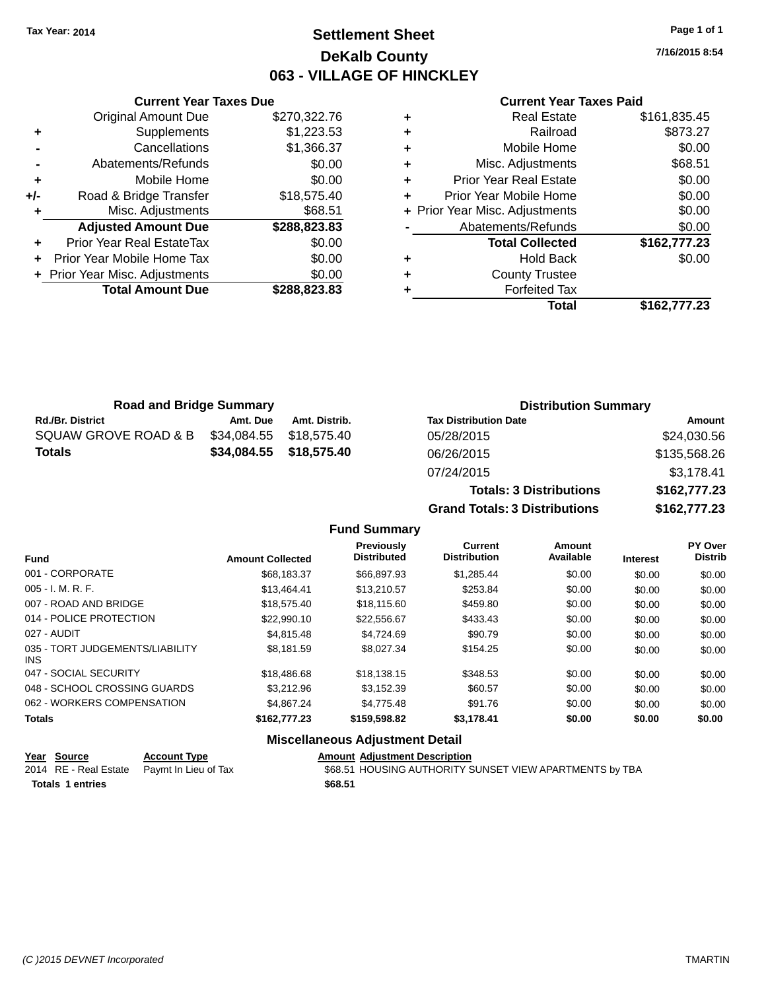### **Settlement Sheet Tax Year: 2014 Page 1 of 1 DeKalb County 063 - VILLAGE OF HINCKLEY**

**7/16/2015 8:54**

#### **Current Year Taxes Paid**

|     | <b>Current Year Taxes Due</b>  |              |
|-----|--------------------------------|--------------|
|     | <b>Original Amount Due</b>     | \$270,322.76 |
| ٠   | Supplements                    | \$1,223.53   |
|     | Cancellations                  | \$1,366.37   |
|     | Abatements/Refunds             | \$0.00       |
| ٠   | Mobile Home                    | \$0.00       |
| +/- | Road & Bridge Transfer         | \$18,575.40  |
| ٠   | Misc. Adjustments              | \$68.51      |
|     | <b>Adjusted Amount Due</b>     | \$288,823.83 |
| ÷   | Prior Year Real EstateTax      | \$0.00       |
|     | Prior Year Mobile Home Tax     | \$0.00       |
|     | + Prior Year Misc. Adjustments | \$0.00       |
|     | <b>Total Amount Due</b>        | \$288,823.83 |
|     |                                |              |

| <b>Real Estate</b>            | \$161,835.45                   |
|-------------------------------|--------------------------------|
| Railroad                      | \$873.27                       |
| Mobile Home                   | \$0.00                         |
| Misc. Adjustments             | \$68.51                        |
| <b>Prior Year Real Estate</b> | \$0.00                         |
| Prior Year Mobile Home        | \$0.00                         |
|                               | \$0.00                         |
| Abatements/Refunds            | \$0.00                         |
| <b>Total Collected</b>        | \$162,777.23                   |
| <b>Hold Back</b>              | \$0.00                         |
| <b>County Trustee</b>         |                                |
| <b>Forfeited Tax</b>          |                                |
| Total                         | \$162,777.23                   |
|                               | + Prior Year Misc. Adjustments |

| <b>Road and Bridge Summary</b> |             |               | <b>Distribution Summary</b>    |              |
|--------------------------------|-------------|---------------|--------------------------------|--------------|
| <b>Rd./Br. District</b>        | Amt. Due    | Amt. Distrib. | <b>Tax Distribution Date</b>   | Amount       |
| SQUAW GROVE ROAD & B           | \$34,084.55 | \$18,575.40   | 05/28/2015                     | \$24,030.56  |
| <b>Totals</b>                  | \$34,084.55 | \$18,575.40   | 06/26/2015                     | \$135,568.26 |
|                                |             |               | 07/24/2015                     | \$3,178.41   |
|                                |             |               | <b>Totals: 3 Distributions</b> | \$162,777.23 |

**Grand Totals: 3 Distributions \$162,777.23**

#### **Fund Summary**

| <b>Fund</b>                             | <b>Amount Collected</b> | <b>Previously</b><br><b>Distributed</b> | <b>Current</b><br><b>Distribution</b> | Amount<br>Available | <b>Interest</b> | PY Over<br><b>Distrib</b> |
|-----------------------------------------|-------------------------|-----------------------------------------|---------------------------------------|---------------------|-----------------|---------------------------|
| 001 - CORPORATE                         | \$68.183.37             | \$66,897.93                             | \$1,285.44                            | \$0.00              | \$0.00          | \$0.00                    |
| $005 - I. M. R. F.$                     | \$13.464.41             | \$13.210.57                             | \$253.84                              | \$0.00              | \$0.00          | \$0.00                    |
| 007 - ROAD AND BRIDGE                   | \$18,575,40             | \$18,115,60                             | \$459.80                              | \$0.00              | \$0.00          | \$0.00                    |
| 014 - POLICE PROTECTION                 | \$22,990.10             | \$22.556.67                             | \$433.43                              | \$0.00              | \$0.00          | \$0.00                    |
| 027 - AUDIT                             | \$4,815,48              | \$4.724.69                              | \$90.79                               | \$0.00              | \$0.00          | \$0.00                    |
| 035 - TORT JUDGEMENTS/LIABILITY<br>INS. | \$8.181.59              | \$8.027.34                              | \$154.25                              | \$0.00              | \$0.00          | \$0.00                    |
| 047 - SOCIAL SECURITY                   | \$18,486.68             | \$18.138.15                             | \$348.53                              | \$0.00              | \$0.00          | \$0.00                    |
| 048 - SCHOOL CROSSING GUARDS            | \$3,212.96              | \$3.152.39                              | \$60.57                               | \$0.00              | \$0.00          | \$0.00                    |
| 062 - WORKERS COMPENSATION              | \$4,867,24              | \$4.775.48                              | \$91.76                               | \$0.00              | \$0.00          | \$0.00                    |
| <b>Totals</b>                           | \$162,777.23            | \$159,598.82                            | \$3,178.41                            | \$0.00              | \$0.00          | \$0.00                    |

#### **Miscellaneous Adjustment Detail**

| Year Source             | <b>Account Type</b>                        | <b>Amount Adiustment Description</b>                    |
|-------------------------|--------------------------------------------|---------------------------------------------------------|
|                         | 2014 RE - Real Estate Paymt In Lieu of Tax | \$68.51 HOUSING AUTHORITY SUNSET VIEW APARTMENTS by TBA |
| <b>Totals 1 entries</b> |                                            | \$68.51                                                 |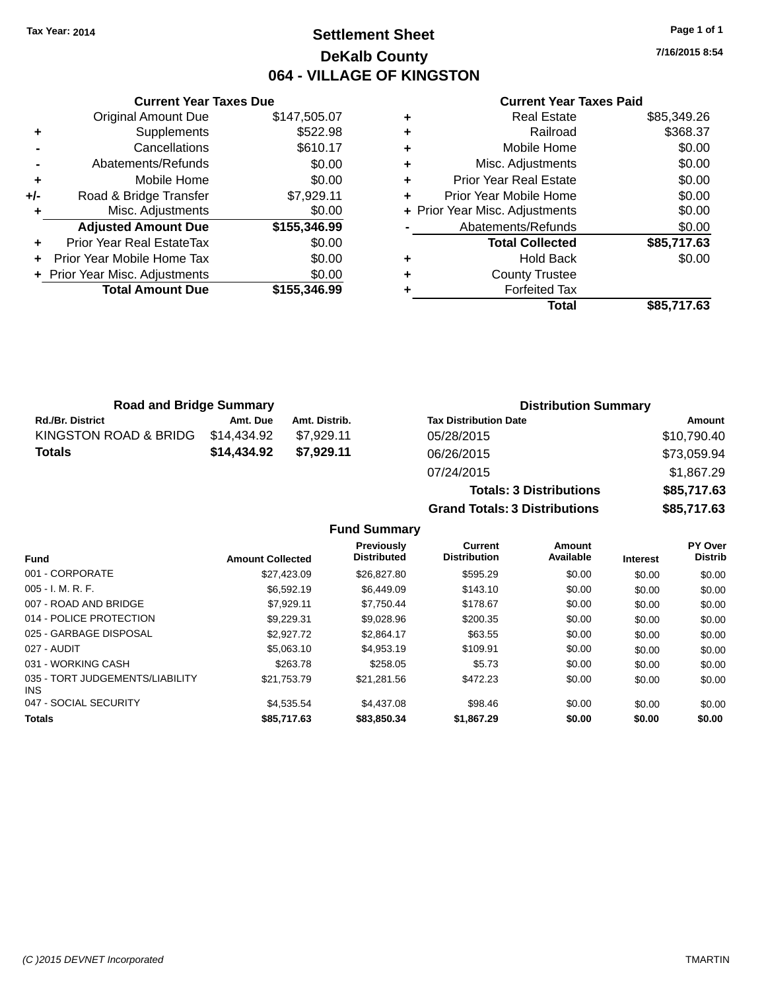### **Settlement Sheet Tax Year: 2014 Page 1 of 1 DeKalb County 064 - VILLAGE OF KINGSTON**

**7/16/2015 8:54**

#### **Current Year Taxes Paid**

|     | <b>Current Year Taxes Due</b>  |              |  |  |  |  |  |  |
|-----|--------------------------------|--------------|--|--|--|--|--|--|
|     | <b>Original Amount Due</b>     | \$147,505.07 |  |  |  |  |  |  |
| ٠   | Supplements                    | \$522.98     |  |  |  |  |  |  |
|     | Cancellations                  | \$610.17     |  |  |  |  |  |  |
|     | Abatements/Refunds             | \$0.00       |  |  |  |  |  |  |
| ÷   | Mobile Home                    | \$0.00       |  |  |  |  |  |  |
| +/- | Road & Bridge Transfer         | \$7,929.11   |  |  |  |  |  |  |
| ٠   | Misc. Adjustments              | \$0.00       |  |  |  |  |  |  |
|     | <b>Adjusted Amount Due</b>     | \$155,346.99 |  |  |  |  |  |  |
| ÷   | Prior Year Real EstateTax      | \$0.00       |  |  |  |  |  |  |
| ÷   | Prior Year Mobile Home Tax     | \$0.00       |  |  |  |  |  |  |
|     | + Prior Year Misc. Adjustments | \$0.00       |  |  |  |  |  |  |
|     | <b>Total Amount Due</b>        | \$155,346,99 |  |  |  |  |  |  |
|     |                                |              |  |  |  |  |  |  |

| ٠ | <b>Real Estate</b>             | \$85,349.26 |
|---|--------------------------------|-------------|
| ٠ | Railroad                       | \$368.37    |
| ٠ | Mobile Home                    | \$0.00      |
| ٠ | Misc. Adjustments              | \$0.00      |
| ٠ | <b>Prior Year Real Estate</b>  | \$0.00      |
| ÷ | Prior Year Mobile Home         | \$0.00      |
|   | + Prior Year Misc. Adjustments | \$0.00      |
|   | Abatements/Refunds             | \$0.00      |
|   | <b>Total Collected</b>         | \$85,717.63 |
| ٠ | Hold Back                      | \$0.00      |
| ٠ | <b>County Trustee</b>          |             |
| ٠ | <b>Forfeited Tax</b>           |             |
|   | Total                          | \$85,717.63 |
|   |                                |             |

| <b>Road and Bridge Summary</b>    |             |               | <b>Distribution Summary</b>  |                   |
|-----------------------------------|-------------|---------------|------------------------------|-------------------|
| <b>Rd./Br. District</b>           | Amt. Due    | Amt. Distrib. | <b>Tax Distribution Date</b> | Amount            |
| KINGSTON ROAD & BRIDG \$14,434.92 |             | \$7.929.11    | 05/28/2015                   | \$10,790.40       |
| <b>Totals</b>                     | \$14.434.92 | \$7.929.11    | 06/26/2015                   | \$73,059.94       |
|                                   |             |               | 07/04/004F                   | $A \cap B \cap B$ |

| 06/26/2015                           | \$73.059.94 |
|--------------------------------------|-------------|
| 07/24/2015                           | \$1.867.29  |
| <b>Totals: 3 Distributions</b>       | \$85,717.63 |
| <b>Grand Totals: 3 Distributions</b> | \$85,717.63 |
|                                      |             |

|                                               |                         | Previously         | Current             | <b>Amount</b> |                 | PY Over        |
|-----------------------------------------------|-------------------------|--------------------|---------------------|---------------|-----------------|----------------|
| <b>Fund</b>                                   | <b>Amount Collected</b> | <b>Distributed</b> | <b>Distribution</b> | Available     | <b>Interest</b> | <b>Distrib</b> |
| 001 - CORPORATE                               | \$27.423.09             | \$26,827.80        | \$595.29            | \$0.00        | \$0.00          | \$0.00         |
| $005 - I. M. R. F.$                           | \$6,592.19              | \$6.449.09         | \$143.10            | \$0.00        | \$0.00          | \$0.00         |
| 007 - ROAD AND BRIDGE                         | \$7.929.11              | \$7.750.44         | \$178.67            | \$0.00        | \$0.00          | \$0.00         |
| 014 - POLICE PROTECTION                       | \$9.229.31              | \$9.028.96         | \$200.35            | \$0.00        | \$0.00          | \$0.00         |
| 025 - GARBAGE DISPOSAL                        | \$2,927.72              | \$2.864.17         | \$63.55             | \$0.00        | \$0.00          | \$0.00         |
| 027 - AUDIT                                   | \$5,063,10              | \$4.953.19         | \$109.91            | \$0.00        | \$0.00          | \$0.00         |
| 031 - WORKING CASH                            | \$263.78                | \$258.05           | \$5.73              | \$0.00        | \$0.00          | \$0.00         |
| 035 - TORT JUDGEMENTS/LIABILITY<br><b>INS</b> | \$21.753.79             | \$21.281.56        | \$472.23            | \$0.00        | \$0.00          | \$0.00         |
| 047 - SOCIAL SECURITY                         | \$4.535.54              | \$4,437.08         | \$98.46             | \$0.00        | \$0.00          | \$0.00         |
| <b>Totals</b>                                 | \$85,717.63             | \$83,850,34        | \$1,867.29          | \$0.00        | \$0.00          | \$0.00         |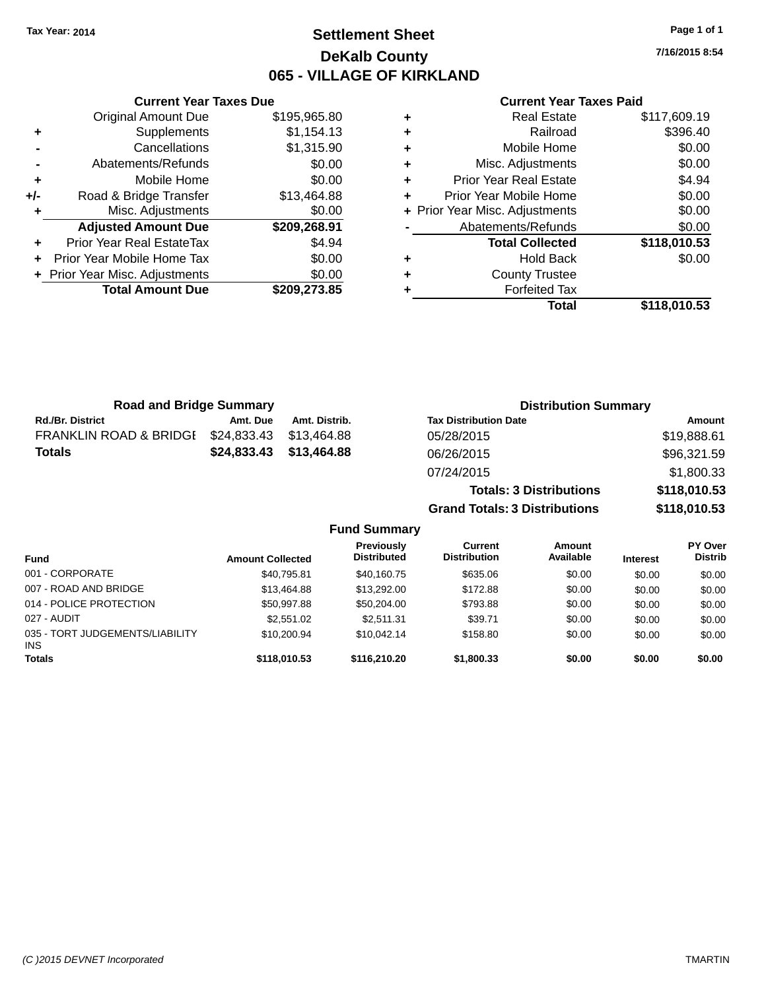### **Settlement Sheet Tax Year: 2014 Page 1 of 1 DeKalb County 065 - VILLAGE OF KIRKLAND**

**7/16/2015 8:54**

|     | <b>Current Year Taxes Due</b> |              |
|-----|-------------------------------|--------------|
|     | Original Amount Due           | \$195,965.80 |
| ٠   | Supplements                   | \$1,154.13   |
|     | Cancellations                 | \$1,315.90   |
|     | Abatements/Refunds            | \$0.00       |
| ٠   | Mobile Home                   | \$0.00       |
| +/- | Road & Bridge Transfer        | \$13,464.88  |
|     | Misc. Adjustments             | \$0.00       |
|     | <b>Adjusted Amount Due</b>    | \$209,268.91 |
|     | Prior Year Real EstateTax     | \$4.94       |
|     | Prior Year Mobile Home Tax    | \$0.00       |
|     | Prior Year Misc. Adjustments  | \$0.00       |
|     | <b>Total Amount Due</b>       | \$209,273.85 |
|     |                               |              |

#### **Current Year Taxes Paid**

|   | <b>Real Estate</b>             | \$117,609.19 |
|---|--------------------------------|--------------|
| ٠ | Railroad                       | \$396.40     |
| ٠ | Mobile Home                    | \$0.00       |
| ٠ | Misc. Adjustments              | \$0.00       |
| ٠ | <b>Prior Year Real Estate</b>  | \$4.94       |
|   | Prior Year Mobile Home         | \$0.00       |
|   | + Prior Year Misc. Adjustments | \$0.00       |
|   | Abatements/Refunds             | \$0.00       |
|   | <b>Total Collected</b>         | \$118,010.53 |
| ٠ | <b>Hold Back</b>               | \$0.00       |
| ٠ | <b>County Trustee</b>          |              |
|   | <b>Forfeited Tax</b>           |              |
|   | Total                          | \$118,010.53 |
|   |                                |              |

| <b>Road and Bridge Summary</b>    |             |               | <b>Distribution Summary</b>    |              |
|-----------------------------------|-------------|---------------|--------------------------------|--------------|
| <b>Rd./Br. District</b>           | Amt. Due    | Amt. Distrib. | <b>Tax Distribution Date</b>   | Amount       |
| <b>FRANKLIN ROAD &amp; BRIDGI</b> | \$24,833.43 | \$13.464.88   | 05/28/2015                     | \$19,888.61  |
| <b>Totals</b>                     | \$24,833.43 | \$13,464.88   | 06/26/2015                     | \$96,321.59  |
|                                   |             |               | 07/24/2015                     | \$1,800.33   |
|                                   |             |               | <b>Totals: 3 Distributions</b> | \$118,010.53 |

**Grand Totals: 3 Distributions \$118,010.53**

| <b>Fund</b>                                   | <b>Amount Collected</b> | Previously<br><b>Distributed</b> | Current<br><b>Distribution</b> | Amount<br>Available | <b>Interest</b> | <b>PY Over</b><br><b>Distrib</b> |
|-----------------------------------------------|-------------------------|----------------------------------|--------------------------------|---------------------|-----------------|----------------------------------|
| 001 - CORPORATE                               | \$40,795.81             | \$40,160.75                      | \$635.06                       | \$0.00              | \$0.00          | \$0.00                           |
| 007 - ROAD AND BRIDGE                         | \$13,464.88             | \$13,292,00                      | \$172.88                       | \$0.00              | \$0.00          | \$0.00                           |
| 014 - POLICE PROTECTION                       | \$50.997.88             | \$50,204.00                      | \$793.88                       | \$0.00              | \$0.00          | \$0.00                           |
| 027 - AUDIT                                   | \$2,551.02              | \$2.511.31                       | \$39.71                        | \$0.00              | \$0.00          | \$0.00                           |
| 035 - TORT JUDGEMENTS/LIABILITY<br><b>INS</b> | \$10,200.94             | \$10.042.14                      | \$158.80                       | \$0.00              | \$0.00          | \$0.00                           |
| <b>Totals</b>                                 | \$118,010.53            | \$116,210,20                     | \$1,800.33                     | \$0.00              | \$0.00          | \$0.00                           |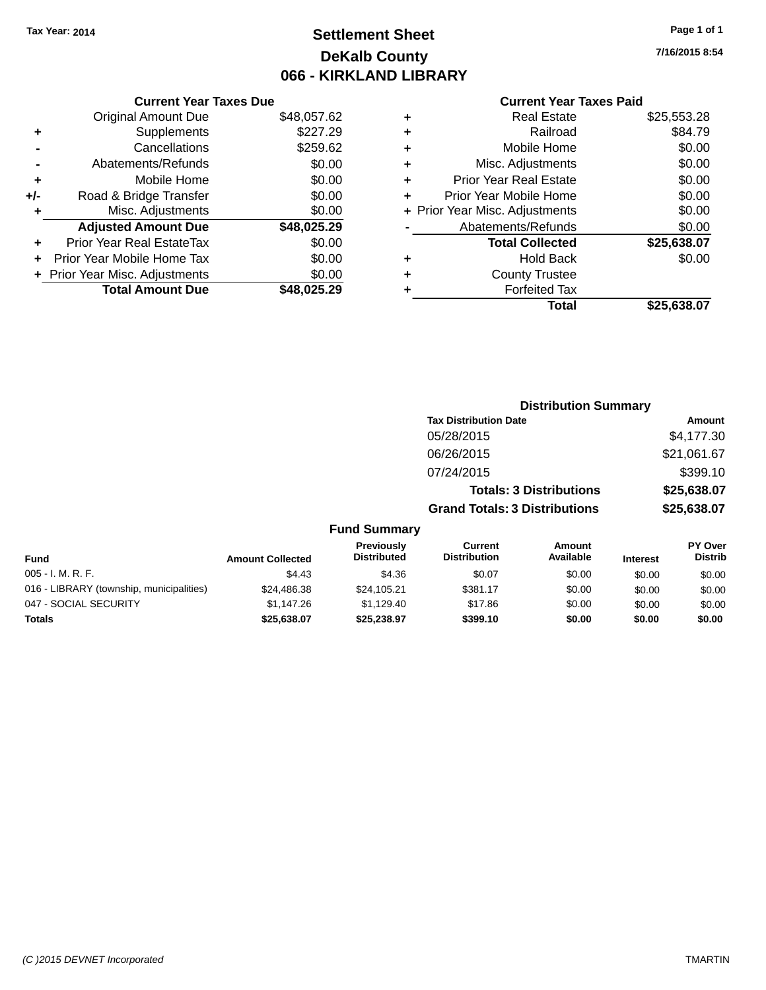## **Settlement Sheet Tax Year: 2014 Page 1 of 1 DeKalb County 066 - KIRKLAND LIBRARY**

#### **Current Year Taxes Due**

|     | <b>Original Amount Due</b>       | \$48,057.62 |
|-----|----------------------------------|-------------|
| ٠   | Supplements                      | \$227.29    |
|     | Cancellations                    | \$259.62    |
|     | Abatements/Refunds               | \$0.00      |
| ٠   | Mobile Home                      | \$0.00      |
| +/- | Road & Bridge Transfer           | \$0.00      |
| ٠   | Misc. Adjustments                | \$0.00      |
|     | <b>Adjusted Amount Due</b>       | \$48,025.29 |
|     | <b>Prior Year Real EstateTax</b> | \$0.00      |
|     | Prior Year Mobile Home Tax       | \$0.00      |
|     | + Prior Year Misc. Adjustments   | \$0.00      |
|     | <b>Total Amount Due</b>          | \$48,025,29 |

#### **Current Year Taxes Paid**

| ٠ | <b>Real Estate</b>             | \$25,553.28 |
|---|--------------------------------|-------------|
| ٠ | Railroad                       | \$84.79     |
| ٠ | Mobile Home                    | \$0.00      |
| ٠ | Misc. Adjustments              | \$0.00      |
| ٠ | <b>Prior Year Real Estate</b>  | \$0.00      |
| ٠ | Prior Year Mobile Home         | \$0.00      |
|   | + Prior Year Misc. Adjustments | \$0.00      |
|   | Abatements/Refunds             | \$0.00      |
|   | <b>Total Collected</b>         | \$25,638.07 |
| ٠ | Hold Back                      | \$0.00      |
| ٠ | <b>County Trustee</b>          |             |
| ٠ | <b>Forfeited Tax</b>           |             |
|   | Total                          | \$25,638.07 |
|   |                                |             |

| <b>Distribution Summary</b>          |             |
|--------------------------------------|-------------|
| <b>Tax Distribution Date</b>         | Amount      |
| 05/28/2015                           | \$4,177.30  |
| 06/26/2015                           | \$21,061.67 |
| 07/24/2015                           | \$399.10    |
| <b>Totals: 3 Distributions</b>       | \$25,638.07 |
| <b>Grand Totals: 3 Distributions</b> | \$25,638.07 |

| <b>Fund</b>                              | <b>Amount Collected</b> | <b>Previously</b><br><b>Distributed</b> | Current<br><b>Distribution</b> | Amount<br>Available | <b>Interest</b> | PY Over<br><b>Distrib</b> |
|------------------------------------------|-------------------------|-----------------------------------------|--------------------------------|---------------------|-----------------|---------------------------|
| $005 - I. M. R. F.$                      | \$4.43                  | \$4.36                                  | \$0.07                         | \$0.00              | \$0.00          | \$0.00                    |
| 016 - LIBRARY (township, municipalities) | \$24.486.38             | \$24,105.21                             | \$381.17                       | \$0.00              | \$0.00          | \$0.00                    |
| 047 - SOCIAL SECURITY                    | \$1.147.26              | \$1.129.40                              | \$17.86                        | \$0.00              | \$0.00          | \$0.00                    |
| <b>Totals</b>                            | \$25.638.07             | \$25.238.97                             | \$399.10                       | \$0.00              | \$0.00          | \$0.00                    |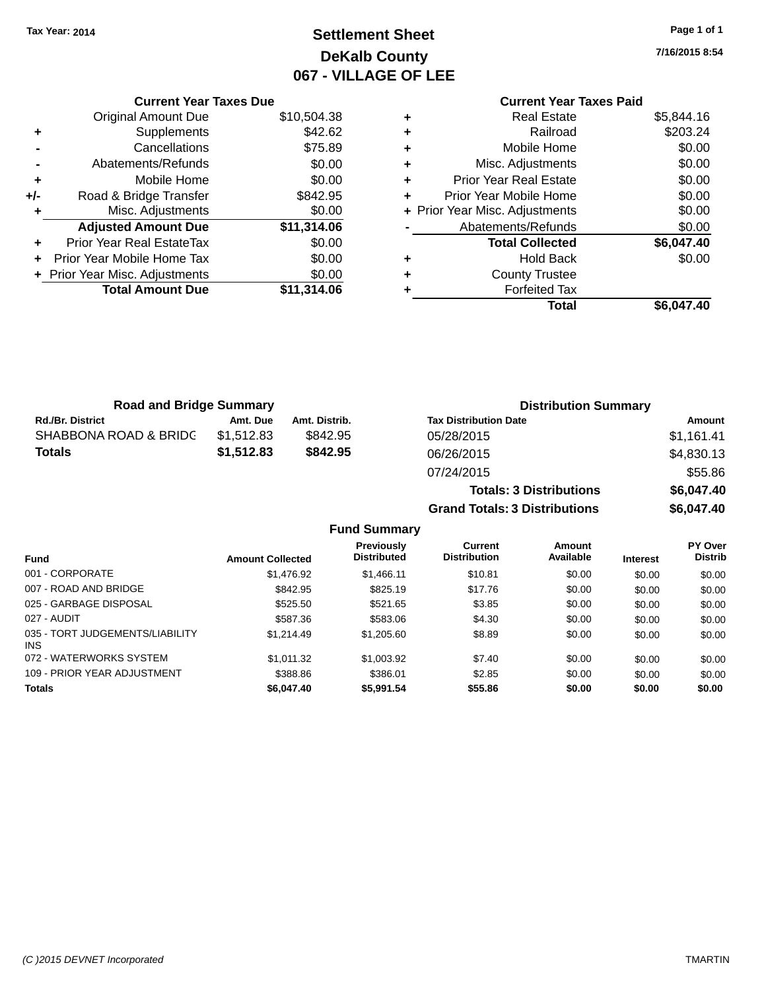# **Settlement Sheet Tax Year: 2014 Page 1 of 1 DeKalb County 067 - VILLAGE OF LEE**

**7/16/2015 8:54**

|     | <b>Current Year Taxes Due</b>  |             |
|-----|--------------------------------|-------------|
|     | <b>Original Amount Due</b>     | \$10,504.38 |
|     | Supplements                    | \$42.62     |
|     | Cancellations                  | \$75.89     |
|     | Abatements/Refunds             | \$0.00      |
| ٠   | Mobile Home                    | \$0.00      |
| +/- | Road & Bridge Transfer         | \$842.95    |
|     | Misc. Adjustments              | \$0.00      |
|     | <b>Adjusted Amount Due</b>     | \$11,314.06 |
| ٠   | Prior Year Real EstateTax      | \$0.00      |
|     | Prior Year Mobile Home Tax     | \$0.00      |
|     | + Prior Year Misc. Adjustments | \$0.00      |
|     | <b>Total Amount Due</b>        | \$11,314.06 |
|     |                                |             |

|   | <b>Current Year Taxes Paid</b> |            |
|---|--------------------------------|------------|
| ٠ | <b>Real Estate</b>             | \$5,844.16 |
| ٠ | Railroad                       | \$203.24   |
| ٠ | Mobile Home                    | \$0.00     |
| ٠ | Misc. Adjustments              | \$0.00     |
| ٠ | <b>Prior Year Real Estate</b>  | \$0.00     |
| ٠ | Prior Year Mobile Home         | \$0.00     |
|   | + Prior Year Misc. Adjustments | \$0.00     |
|   | Abatements/Refunds             | \$0.00     |
|   | <b>Total Collected</b>         | \$6,047.40 |
| ٠ | <b>Hold Back</b>               | \$0.00     |
|   | <b>County Trustee</b>          |            |
|   | <b>Forfeited Tax</b>           |            |
|   | Total                          | \$6,047.40 |
|   |                                |            |

| <b>Road and Bridge Summary</b> |            |               | <b>Distribution Summary</b>    |            |  |
|--------------------------------|------------|---------------|--------------------------------|------------|--|
| <b>Rd./Br. District</b>        | Amt. Due   | Amt. Distrib. | <b>Tax Distribution Date</b>   | Amount     |  |
| SHABBONA ROAD & BRIDC          | \$1,512.83 | \$842.95      | 05/28/2015                     | \$1.161.41 |  |
| <b>Totals</b>                  | \$1,512.83 | \$842.95      | 06/26/2015                     | \$4,830.13 |  |
|                                |            |               | 07/24/2015                     | \$55.86    |  |
|                                |            |               | <b>Totals: 3 Distributions</b> | \$6,047.40 |  |

**Grand Totals: 3 Distributions \$6,047.40**

|                                         |                         | <b>Previously</b>  | <b>Current</b>      | Amount    |                 | <b>PY Over</b> |
|-----------------------------------------|-------------------------|--------------------|---------------------|-----------|-----------------|----------------|
| <b>Fund</b>                             | <b>Amount Collected</b> | <b>Distributed</b> | <b>Distribution</b> | Available | <b>Interest</b> | <b>Distrib</b> |
| 001 - CORPORATE                         | \$1,476.92              | \$1,466.11         | \$10.81             | \$0.00    | \$0.00          | \$0.00         |
| 007 - ROAD AND BRIDGE                   | \$842.95                | \$825.19           | \$17.76             | \$0.00    | \$0.00          | \$0.00         |
| 025 - GARBAGE DISPOSAL                  | \$525.50                | \$521.65           | \$3.85              | \$0.00    | \$0.00          | \$0.00         |
| 027 - AUDIT                             | \$587.36                | \$583.06           | \$4.30              | \$0.00    | \$0.00          | \$0.00         |
| 035 - TORT JUDGEMENTS/LIABILITY<br>INS. | \$1,214.49              | \$1,205.60         | \$8.89              | \$0.00    | \$0.00          | \$0.00         |
| 072 - WATERWORKS SYSTEM                 | \$1.011.32              | \$1,003.92         | \$7.40              | \$0.00    | \$0.00          | \$0.00         |
| 109 - PRIOR YEAR ADJUSTMENT             | \$388.86                | \$386.01           | \$2.85              | \$0.00    | \$0.00          | \$0.00         |
| <b>Totals</b>                           | \$6,047.40              | \$5,991.54         | \$55.86             | \$0.00    | \$0.00          | \$0.00         |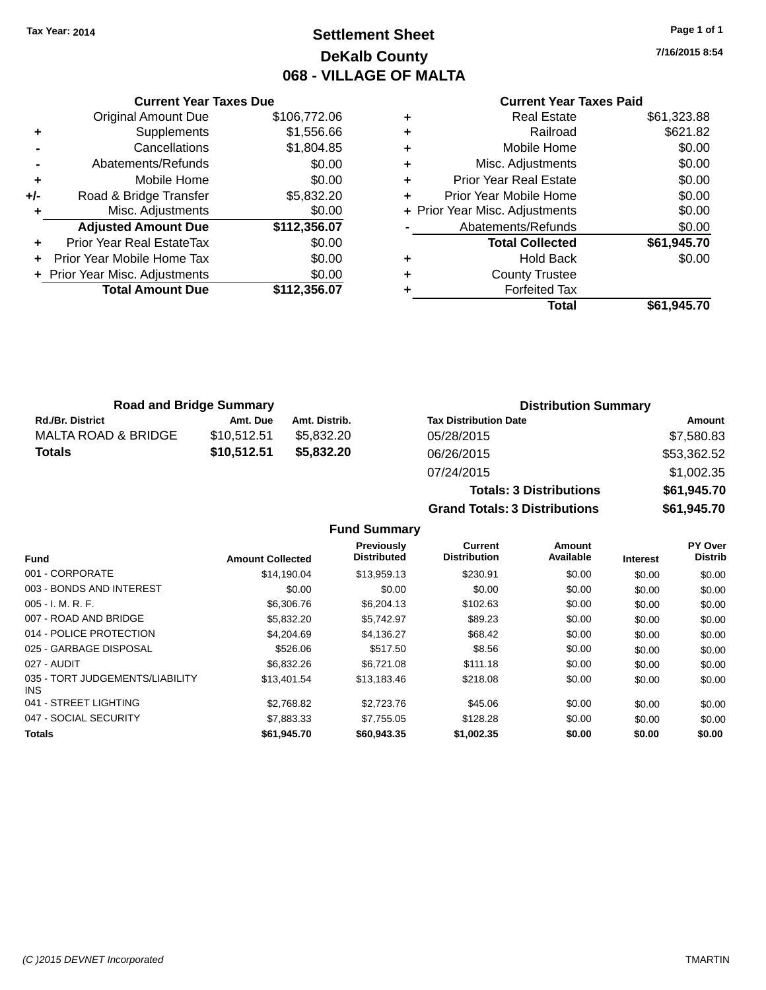## **Settlement Sheet Tax Year: 2014 Page 1 of 1 DeKalb County 068 - VILLAGE OF MALTA**

**7/16/2015 8:54**

|     | <b>Current Year Taxes Due</b>    |              |
|-----|----------------------------------|--------------|
|     | <b>Original Amount Due</b>       | \$106,772.06 |
| ٠   | Supplements                      | \$1,556.66   |
|     | Cancellations                    | \$1,804.85   |
|     | Abatements/Refunds               | \$0.00       |
| ٠   | Mobile Home                      | \$0.00       |
| +/- | Road & Bridge Transfer           | \$5,832.20   |
| ٠   | Misc. Adjustments                | \$0.00       |
|     | <b>Adjusted Amount Due</b>       | \$112,356.07 |
|     | <b>Prior Year Real EstateTax</b> | \$0.00       |
|     | Prior Year Mobile Home Tax       | \$0.00       |
|     | + Prior Year Misc. Adjustments   | \$0.00       |
|     | <b>Total Amount Due</b>          | \$112,356.07 |
|     |                                  |              |

### **Current Year Taxes Paid**

| <b>Real Estate</b>            | \$61,323.88                    |
|-------------------------------|--------------------------------|
| Railroad                      | \$621.82                       |
| Mobile Home                   | \$0.00                         |
| Misc. Adjustments             | \$0.00                         |
| <b>Prior Year Real Estate</b> | \$0.00                         |
| Prior Year Mobile Home        | \$0.00                         |
|                               | \$0.00                         |
| Abatements/Refunds            | \$0.00                         |
| <b>Total Collected</b>        | \$61,945.70                    |
| Hold Back                     | \$0.00                         |
| <b>County Trustee</b>         |                                |
| <b>Forfeited Tax</b>          |                                |
| Total                         | \$61,945.70                    |
|                               | + Prior Year Misc. Adjustments |

| <b>Road and Bridge Summary</b> |             |               |                              | <b>Distribution Summary</b> |  |
|--------------------------------|-------------|---------------|------------------------------|-----------------------------|--|
| <b>Rd./Br. District</b>        | Amt. Due    | Amt. Distrib. | <b>Tax Distribution Date</b> | Amount                      |  |
| MALTA ROAD & BRIDGE            | \$10.512.51 | \$5.832.20    | 05/28/2015                   | \$7,580.83                  |  |
| <b>Totals</b>                  | \$10,512.51 | \$5,832,20    | 06/26/2015                   | \$53,362.52                 |  |
|                                |             |               | 07/24/2015                   | 4100235                     |  |

| 07/24/2015                           | \$1,002.35  |
|--------------------------------------|-------------|
| <b>Totals: 3 Distributions</b>       | \$61,945.70 |
| <b>Grand Totals: 3 Distributions</b> | \$61,945.70 |

|                                         |                         | Previously         | Current             | Amount    |                 | PY Over        |
|-----------------------------------------|-------------------------|--------------------|---------------------|-----------|-----------------|----------------|
| <b>Fund</b>                             | <b>Amount Collected</b> | <b>Distributed</b> | <b>Distribution</b> | Available | <b>Interest</b> | <b>Distrib</b> |
| 001 - CORPORATE                         | \$14.190.04             | \$13,959.13        | \$230.91            | \$0.00    | \$0.00          | \$0.00         |
| 003 - BONDS AND INTEREST                | \$0.00                  | \$0.00             | \$0.00              | \$0.00    | \$0.00          | \$0.00         |
| $005 - I. M. R. F.$                     | \$6,306.76              | \$6,204.13         | \$102.63            | \$0.00    | \$0.00          | \$0.00         |
| 007 - ROAD AND BRIDGE                   | \$5,832,20              | \$5.742.97         | \$89.23             | \$0.00    | \$0.00          | \$0.00         |
| 014 - POLICE PROTECTION                 | \$4,204.69              | \$4,136.27         | \$68.42             | \$0.00    | \$0.00          | \$0.00         |
| 025 - GARBAGE DISPOSAL                  | \$526.06                | \$517.50           | \$8.56              | \$0.00    | \$0.00          | \$0.00         |
| 027 - AUDIT                             | \$6,832,26              | \$6.721.08         | \$111.18            | \$0.00    | \$0.00          | \$0.00         |
| 035 - TORT JUDGEMENTS/LIABILITY<br>INS. | \$13,401.54             | \$13,183.46        | \$218.08            | \$0.00    | \$0.00          | \$0.00         |
| 041 - STREET LIGHTING                   | \$2,768.82              | \$2,723,76         | \$45.06             | \$0.00    | \$0.00          | \$0.00         |
| 047 - SOCIAL SECURITY                   | \$7,883,33              | \$7.755.05         | \$128.28            | \$0.00    | \$0.00          | \$0.00         |
| <b>Totals</b>                           | \$61.945.70             | \$60,943,35        | \$1,002.35          | \$0.00    | \$0.00          | \$0.00         |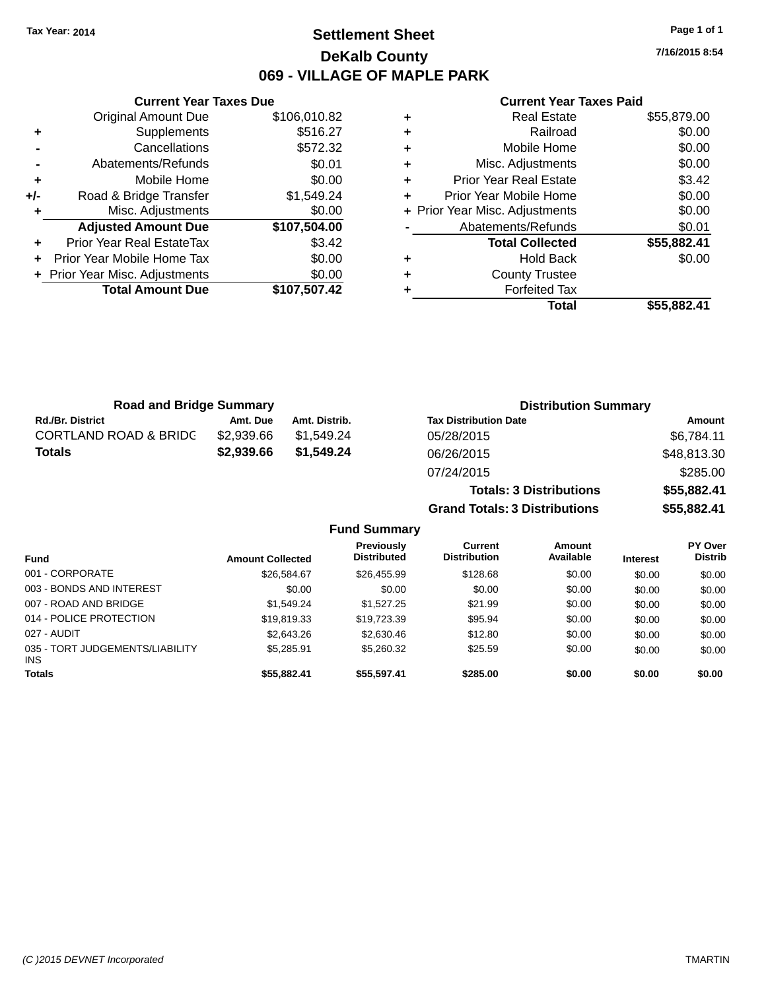### **Settlement Sheet Tax Year: 2014 Page 1 of 1 DeKalb County 069 - VILLAGE OF MAPLE PARK**

**7/16/2015 8:54**

#### **Current Year Taxes Paid**

|     | <b>Original Amount Due</b>     | \$106,010.82 |
|-----|--------------------------------|--------------|
| ٠   | Supplements                    | \$516.27     |
|     | Cancellations                  | \$572.32     |
|     | Abatements/Refunds             | \$0.01       |
| ٠   | Mobile Home                    | \$0.00       |
| +/- | Road & Bridge Transfer         | \$1,549.24   |
| ٠   | Misc. Adjustments              | \$0.00       |
|     | <b>Adjusted Amount Due</b>     | \$107,504.00 |
| ٠   | Prior Year Real EstateTax      | \$3.42       |
| ÷   | Prior Year Mobile Home Tax     | \$0.00       |
|     | + Prior Year Misc. Adjustments | \$0.00       |
|     | <b>Total Amount Due</b>        | \$107,507.42 |
|     |                                |              |

**Current Year Taxes Due**

|   | <b>Real Estate</b>             | \$55,879.00 |
|---|--------------------------------|-------------|
| ٠ | Railroad                       | \$0.00      |
| ٠ | Mobile Home                    | \$0.00      |
| ٠ | Misc. Adjustments              | \$0.00      |
| ٠ | <b>Prior Year Real Estate</b>  | \$3.42      |
| ٠ | Prior Year Mobile Home         | \$0.00      |
|   | + Prior Year Misc. Adjustments | \$0.00      |
|   | Abatements/Refunds             | \$0.01      |
|   | <b>Total Collected</b>         | \$55,882.41 |
| ٠ | Hold Back                      | \$0.00      |
| ٠ | <b>County Trustee</b>          |             |
| ٠ | <b>Forfeited Tax</b>           |             |
|   | Total                          | \$55,882.41 |
|   |                                |             |

**Grand Totals: 3 Distributions \$55,882.41**

| <b>Road and Bridge Summary</b>   |            |               | <b>Distribution Summary</b>    |             |  |
|----------------------------------|------------|---------------|--------------------------------|-------------|--|
| <b>Rd./Br. District</b>          | Amt. Due   | Amt. Distrib. | <b>Tax Distribution Date</b>   | Amount      |  |
| <b>CORTLAND ROAD &amp; BRIDC</b> | \$2.939.66 | \$1.549.24    | 05/28/2015                     | \$6,784.11  |  |
| Totals                           | \$2,939.66 | \$1,549.24    | 06/26/2015                     | \$48,813.30 |  |
|                                  |            |               | 07/24/2015                     | \$285.00    |  |
|                                  |            |               | <b>Totals: 3 Distributions</b> | \$55,882.41 |  |

**Fund Summary Fund Interest Amount Collected Distributed PY Over Distrib Amount Available Current Distribution Previously** 001 - CORPORATE \$26,584.67 \$26,455.99 \$128.68 \$0.00 \$0.00 \$0.00 003 - BONDS AND INTEREST  $$0.00$   $$0.00$   $$0.00$   $$0.00$   $$0.00$   $$0.00$   $$0.00$   $$0.00$ 007 - ROAD AND BRIDGE 60.00 \$1,549.24 \$1,527.25 \$21.99 \$0.00 \$0.00 \$0.00 \$0.00 014 - POLICE PROTECTION \$19,819.33 \$19,723.39 \$95.94 \$0.00 \$0.00 \$0.00 \$0.00 027 - AUDIT \$2,643.26 \$2,630.46 \$12.80 \$0.00 \$0.00 \$0.00 035 - TORT JUDGEMENTS/LIABILITY INS \$5,285.91 \$5,260.32 \$25.59 \$0.00 \$0.00 \$0.00 **Totals \$55,882.41 \$55,597.41 \$285.00 \$0.00 \$0.00 \$0.00**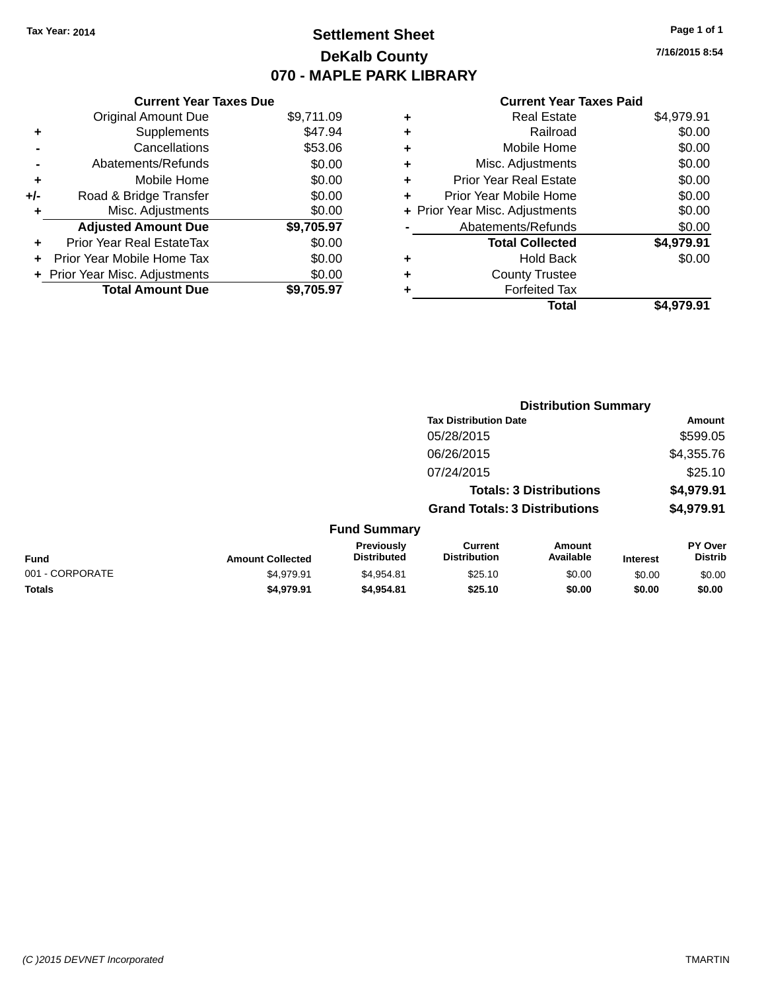## **Settlement Sheet Tax Year: 2014 Page 1 of 1 DeKalb County 070 - MAPLE PARK LIBRARY**

**7/16/2015 8:54**

#### **Current Year Taxes Paid**

|     | <b>Current Year Taxes Due</b>  |            |
|-----|--------------------------------|------------|
|     | <b>Original Amount Due</b>     | \$9,711.09 |
| ٠   | Supplements                    | \$47.94    |
|     | Cancellations                  | \$53.06    |
|     | Abatements/Refunds             | \$0.00     |
| ٠   | Mobile Home                    | \$0.00     |
| +/- | Road & Bridge Transfer         | \$0.00     |
| ٠   | Misc. Adjustments              | \$0.00     |
|     | <b>Adjusted Amount Due</b>     | \$9,705.97 |
| ÷   | Prior Year Real EstateTax      | \$0.00     |
| ÷   | Prior Year Mobile Home Tax     | \$0.00     |
|     | + Prior Year Misc. Adjustments | \$0.00     |
|     | <b>Total Amount Due</b>        | \$9.705.97 |

| ٠ | <b>Real Estate</b>             | \$4,979.91 |
|---|--------------------------------|------------|
| ٠ | Railroad                       | \$0.00     |
| ٠ | Mobile Home                    | \$0.00     |
| ٠ | Misc. Adjustments              | \$0.00     |
| ٠ | <b>Prior Year Real Estate</b>  | \$0.00     |
|   | Prior Year Mobile Home         | \$0.00     |
|   | + Prior Year Misc. Adjustments | \$0.00     |
|   | Abatements/Refunds             | \$0.00     |
|   | <b>Total Collected</b>         | \$4,979.91 |
| ٠ | <b>Hold Back</b>               | \$0.00     |
| ٠ | <b>County Trustee</b>          |            |
|   | <b>Forfeited Tax</b>           |            |
|   | Total                          | \$4.979.91 |
|   |                                |            |

|                 |                         |                                  |                                       | <b>Distribution Summary</b>    |                 |                           |
|-----------------|-------------------------|----------------------------------|---------------------------------------|--------------------------------|-----------------|---------------------------|
|                 |                         |                                  | <b>Tax Distribution Date</b>          |                                |                 | Amount                    |
|                 |                         |                                  | 05/28/2015                            |                                |                 | \$599.05                  |
|                 |                         |                                  | 06/26/2015                            |                                |                 | \$4,355.76                |
|                 |                         |                                  | 07/24/2015                            |                                |                 | \$25.10                   |
|                 |                         |                                  |                                       | <b>Totals: 3 Distributions</b> |                 | \$4,979.91                |
|                 |                         |                                  | <b>Grand Totals: 3 Distributions</b>  |                                |                 | \$4,979.91                |
|                 |                         | <b>Fund Summary</b>              |                                       |                                |                 |                           |
| <b>Fund</b>     | <b>Amount Collected</b> | Previously<br><b>Distributed</b> | <b>Current</b><br><b>Distribution</b> | Amount<br>Available            | <b>Interest</b> | PY Over<br><b>Distrib</b> |
| 001 - CORPORATE | \$4,979.91              | \$4,954.81                       | \$25.10                               | \$0.00                         | \$0.00          | \$0.00                    |
| <b>Totals</b>   | \$4,979.91              | \$4,954.81                       | \$25.10                               | \$0.00                         | \$0.00          | \$0.00                    |
|                 |                         |                                  |                                       |                                |                 |                           |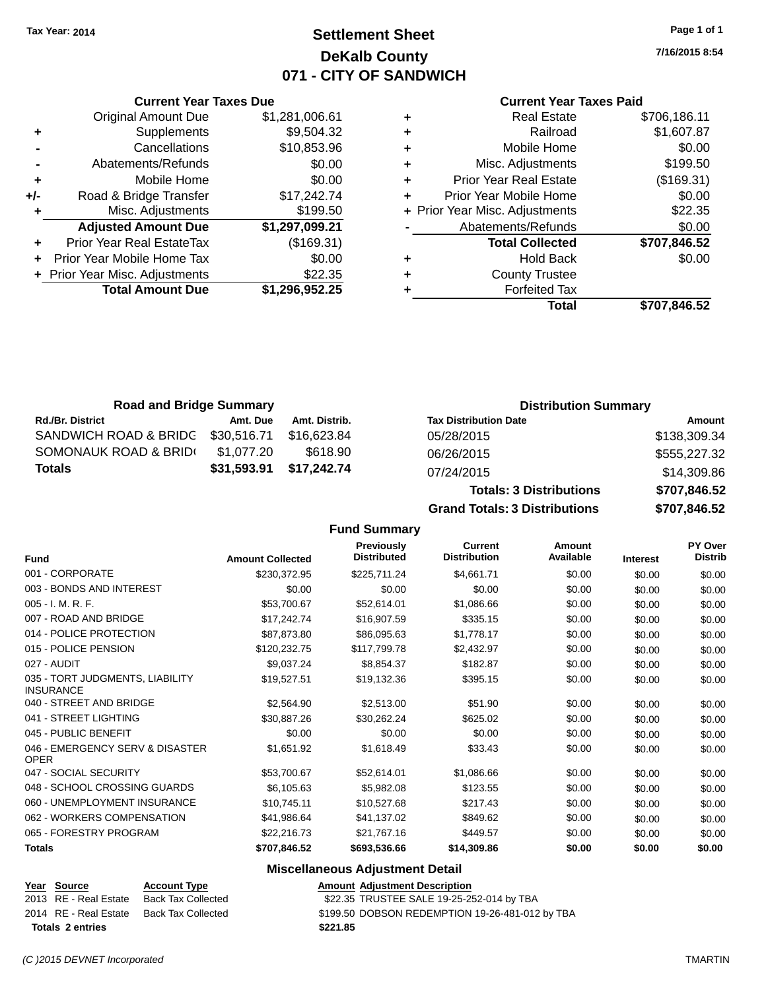### **Settlement Sheet Tax Year: 2014 Page 1 of 1 DeKalb County 071 - CITY OF SANDWICH**

**7/16/2015 8:54**

| <b>Current Year Taxes Paid</b> |  |  |  |
|--------------------------------|--|--|--|
|--------------------------------|--|--|--|

|       | <b>Current Year Taxes Due</b>  |                |
|-------|--------------------------------|----------------|
|       | <b>Original Amount Due</b>     | \$1,281,006.61 |
| ٠     | Supplements                    | \$9,504.32     |
|       | Cancellations                  | \$10,853.96    |
|       | Abatements/Refunds             | \$0.00         |
| ٠     | Mobile Home                    | \$0.00         |
| $+/-$ | Road & Bridge Transfer         | \$17,242.74    |
| ٠     | Misc. Adjustments              | \$199.50       |
|       | <b>Adjusted Amount Due</b>     | \$1,297,099.21 |
| ٠     | Prior Year Real EstateTax      | (\$169.31)     |
|       | Prior Year Mobile Home Tax     | \$0.00         |
|       | + Prior Year Misc. Adjustments | \$22.35        |
|       | <b>Total Amount Due</b>        | \$1,296,952.25 |
|       |                                |                |

| ٠ | <b>Real Estate</b>             | \$706,186.11 |
|---|--------------------------------|--------------|
| ٠ | Railroad                       | \$1,607.87   |
| ٠ | Mobile Home                    | \$0.00       |
| ٠ | Misc. Adjustments              | \$199.50     |
| ٠ | <b>Prior Year Real Estate</b>  | (\$169.31)   |
| ٠ | Prior Year Mobile Home         | \$0.00       |
|   | + Prior Year Misc. Adjustments | \$22.35      |
|   | Abatements/Refunds             | \$0.00       |
|   | <b>Total Collected</b>         | \$707,846.52 |
| ٠ | <b>Hold Back</b>               | \$0.00       |
| ٠ | <b>County Trustee</b>          |              |
| ٠ | <b>Forfeited Tax</b>           |              |
|   | Total                          | \$707.846.52 |
|   |                                |              |

| <b>Road and Bridge Summary</b> |             |               | <b>Distribution Summary</b>  |              |  |
|--------------------------------|-------------|---------------|------------------------------|--------------|--|
| <b>Rd./Br. District</b>        | Amt. Due    | Amt. Distrib. | <b>Tax Distribution Date</b> | Amount       |  |
| SANDWICH ROAD & BRIDC          | \$30.516.71 | \$16.623.84   | 05/28/2015                   | \$138,309.34 |  |
| SOMONAUK ROAD & BRIDI          | \$1.077.20  | \$618.90      | 06/26/2015                   | \$555,227.32 |  |
| <b>Totals</b>                  | \$31,593.91 | \$17,242.74   | 07/24/2015                   | \$14,309.86  |  |

| 07/24/2015                           | \$14,309.86  |
|--------------------------------------|--------------|
| <b>Totals: 3 Distributions</b>       | \$707,846.52 |
| <b>Grand Totals: 3 Distributions</b> | \$707.846.52 |

**Fund Summary**

| <b>Fund</b>                                         | <b>Amount Collected</b> | Previously<br><b>Distributed</b> | Current<br><b>Distribution</b> | Amount<br>Available | <b>Interest</b> | PY Over<br><b>Distrib</b> |
|-----------------------------------------------------|-------------------------|----------------------------------|--------------------------------|---------------------|-----------------|---------------------------|
| 001 - CORPORATE                                     | \$230,372.95            | \$225,711.24                     | \$4,661.71                     | \$0.00              | \$0.00          | \$0.00                    |
| 003 - BONDS AND INTEREST                            | \$0.00                  | \$0.00                           | \$0.00                         | \$0.00              | \$0.00          | \$0.00                    |
| 005 - I. M. R. F.                                   | \$53,700.67             | \$52,614.01                      | \$1,086.66                     | \$0.00              | \$0.00          | \$0.00                    |
| 007 - ROAD AND BRIDGE                               | \$17,242.74             | \$16,907.59                      | \$335.15                       | \$0.00              | \$0.00          | \$0.00                    |
| 014 - POLICE PROTECTION                             | \$87,873.80             | \$86,095.63                      | \$1,778.17                     | \$0.00              | \$0.00          | \$0.00                    |
| 015 - POLICE PENSION                                | \$120,232.75            | \$117,799.78                     | \$2,432.97                     | \$0.00              | \$0.00          | \$0.00                    |
| 027 - AUDIT                                         | \$9,037.24              | \$8,854.37                       | \$182.87                       | \$0.00              | \$0.00          | \$0.00                    |
| 035 - TORT JUDGMENTS, LIABILITY<br><b>INSURANCE</b> | \$19,527.51             | \$19,132.36                      | \$395.15                       | \$0.00              | \$0.00          | \$0.00                    |
| 040 - STREET AND BRIDGE                             | \$2,564.90              | \$2,513.00                       | \$51.90                        | \$0.00              | \$0.00          | \$0.00                    |
| 041 - STREET LIGHTING                               | \$30,887.26             | \$30,262.24                      | \$625.02                       | \$0.00              | \$0.00          | \$0.00                    |
| 045 - PUBLIC BENEFIT                                | \$0.00                  | \$0.00                           | \$0.00                         | \$0.00              | \$0.00          | \$0.00                    |
| 046 - EMERGENCY SERV & DISASTER<br><b>OPER</b>      | \$1,651.92              | \$1,618.49                       | \$33.43                        | \$0.00              | \$0.00          | \$0.00                    |
| 047 - SOCIAL SECURITY                               | \$53,700.67             | \$52,614.01                      | \$1,086.66                     | \$0.00              | \$0.00          | \$0.00                    |
| 048 - SCHOOL CROSSING GUARDS                        | \$6,105.63              | \$5,982.08                       | \$123.55                       | \$0.00              | \$0.00          | \$0.00                    |
| 060 - UNEMPLOYMENT INSURANCE                        | \$10,745.11             | \$10,527.68                      | \$217.43                       | \$0.00              | \$0.00          | \$0.00                    |
| 062 - WORKERS COMPENSATION                          | \$41,986.64             | \$41,137.02                      | \$849.62                       | \$0.00              | \$0.00          | \$0.00                    |
| 065 - FORESTRY PROGRAM                              | \$22,216.73             | \$21,767.16                      | \$449.57                       | \$0.00              | \$0.00          | \$0.00                    |
| <b>Totals</b>                                       | \$707,846.52            | \$693,536.66                     | \$14,309.86                    | \$0.00              | \$0.00          | \$0.00                    |

### **Miscellaneous Adjustment Detail**

| Year Source             | <b>Account Type</b>       | Amount   |
|-------------------------|---------------------------|----------|
| 2013 RE - Real Estate   | <b>Back Tax Collected</b> | \$22.35  |
| 2014 RE - Real Estate   | <b>Back Tax Collected</b> | \$199.50 |
| <b>Totals 2 entries</b> | \$221.85                  |          |

**Year Source Account Adjustment Description**  $\overline{\text{22.35}}$  TRUSTEE SALE 19-25-252-014 by TBA

20llected - \$199.50 DOBSON REDEMPTION 19-26-481-012 by TBA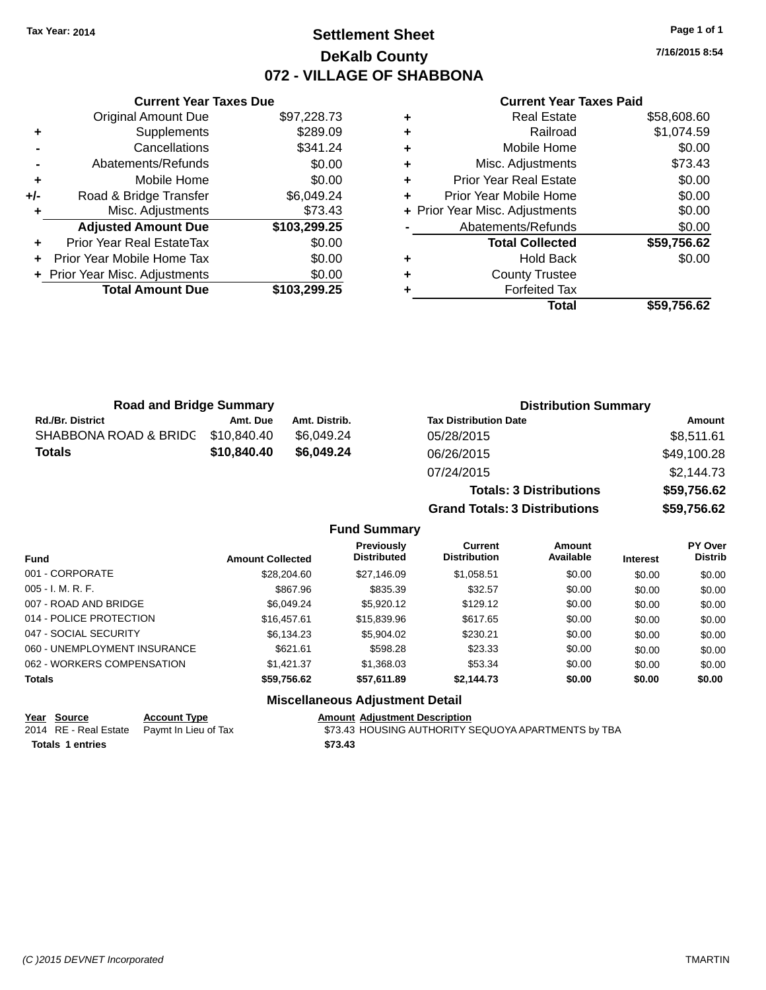### **Settlement Sheet Tax Year: 2014 Page 1 of 1 DeKalb County 072 - VILLAGE OF SHABBONA**

**Current Year Taxes Due** Original Amount Due \$97,228.73 **+** Supplements \$289.09 **-** Cancellations **\$341.24 -** Abatements/Refunds **\$0.00 +** Mobile Home \$0.00 **+/-** Road & Bridge Transfer \$6,049.24 **+** Misc. Adjustments \$73.43 **Adjusted Amount Due \$103,299.25 +** Prior Year Real EstateTax \$0.00 **+** Prior Year Mobile Home Tax \$0.00 **+ Prior Year Misc. Adjustments**  $$0.00$ **Total Amount Due \$103,299.25**

#### **Current Year Taxes Paid**

| <b>Real Estate</b>            | \$58,608.60                    |
|-------------------------------|--------------------------------|
| Railroad                      | \$1,074.59                     |
| Mobile Home                   | \$0.00                         |
| Misc. Adjustments             | \$73.43                        |
| <b>Prior Year Real Estate</b> | \$0.00                         |
| Prior Year Mobile Home        | \$0.00                         |
|                               | \$0.00                         |
| Abatements/Refunds            | \$0.00                         |
| <b>Total Collected</b>        | \$59,756.62                    |
| <b>Hold Back</b>              | \$0.00                         |
| <b>County Trustee</b>         |                                |
| <b>Forfeited Tax</b>          |                                |
| Total                         | \$59,756.62                    |
|                               | + Prior Year Misc. Adjustments |

**Grand Totals: 3 Distributions \$59,756.62**

| <b>Road and Bridge Summary</b> |             |               | <b>Distribution Summary</b>    |             |  |
|--------------------------------|-------------|---------------|--------------------------------|-------------|--|
| <b>Rd./Br. District</b>        | Amt. Due    | Amt. Distrib. | <b>Tax Distribution Date</b>   | Amount      |  |
| SHABBONA ROAD & BRIDC          | \$10,840.40 | \$6.049.24    | 05/28/2015                     | \$8,511.61  |  |
| <b>Totals</b>                  | \$10.840.40 | \$6.049.24    | 06/26/2015                     | \$49,100.28 |  |
|                                |             |               | 07/24/2015                     | \$2,144.73  |  |
|                                |             |               | <b>Totals: 3 Distributions</b> | \$59,756.62 |  |

**Fund Summary Fund Interest Amount Collected Distributed PY Over Distrib Amount Available Current Distribution Previously** 001 - CORPORATE \$28,204.60 \$27,146.09 \$1,058.51 \$0.00 \$0.00 \$0.00 005 - I. M. R. F. \$867.96 \$835.39 \$32.57 \$0.00 \$0.00 \$0.00 007 - ROAD AND BRIDGE 60.00 \$6,049.24 \$5,920.12 \$129.12 \$0.00 \$0.00 \$0.00 \$0.00 014 - POLICE PROTECTION \$16,457.61 \$15,839.96 \$617.65 \$0.00 \$0.00 \$0.00 \$0.00 047 - SOCIAL SECURITY \$6,134.23 \$5,904.02 \$230.21 \$0.00 \$0.00 \$0.00 060 - UNEMPLOYMENT INSURANCE  $$621.61$   $$598.28$   $$23.33$   $$0.00$   $$0.00$   $$0.00$ 062 - WORKERS COMPENSATION \$1,421.37 \$1,368.03 \$53.34 \$0.00 \$0.00 \$0.00 \$0.00 **Totals \$59,756.62 \$57,611.89 \$2,144.73 \$0.00 \$0.00 \$0.00**

#### **Miscellaneous Adjustment Detail**

#### **Year Source Account Type Account Adjustment Description**

2014 RE - Real Estate Paymt In Lieu of Tax **Face 1968 ST3.43 HOUSING AUTHORITY SEQUOYA APARTMENTS by TBA Totals \$73.43 1 entries**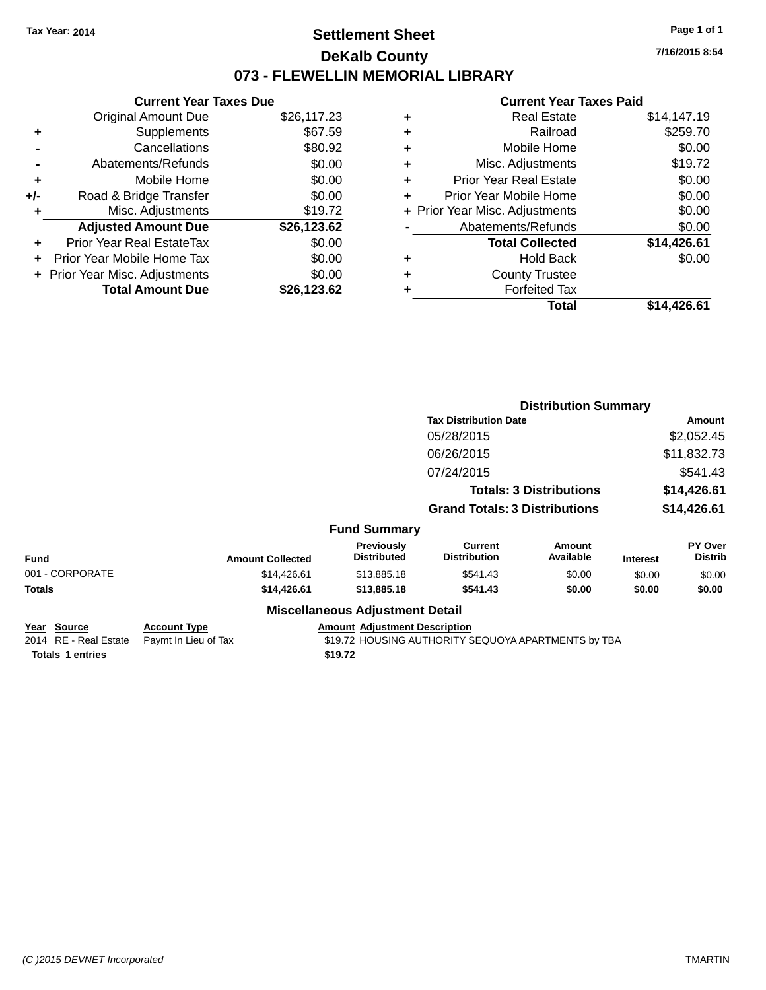### **Settlement Sheet Tax Year: 2014 Page 1 of 1 DeKalb County 073 - FLEWELLIN MEMORIAL LIBRARY**

**7/16/2015 8:54**

#### **Current Year Taxes Paid**

| <b>Current Year Taxes Due</b> |                              |  |  |  |  |
|-------------------------------|------------------------------|--|--|--|--|
| <b>Original Amount Due</b>    | \$26,117.23                  |  |  |  |  |
| Supplements                   | \$67.59                      |  |  |  |  |
| Cancellations                 | \$80.92                      |  |  |  |  |
| Abatements/Refunds            | \$0.00                       |  |  |  |  |
| Mobile Home                   | \$0.00                       |  |  |  |  |
| Road & Bridge Transfer        | \$0.00                       |  |  |  |  |
| Misc. Adjustments             | \$19.72                      |  |  |  |  |
| <b>Adjusted Amount Due</b>    | \$26,123.62                  |  |  |  |  |
| Prior Year Real EstateTax     | \$0.00                       |  |  |  |  |
| Prior Year Mobile Home Tax    | \$0.00                       |  |  |  |  |
|                               | \$0.00                       |  |  |  |  |
| <b>Total Amount Due</b>       | \$26.123.62                  |  |  |  |  |
|                               | Prior Year Misc. Adjustments |  |  |  |  |

| ٠ | <b>Real Estate</b>             | \$14,147.19 |
|---|--------------------------------|-------------|
| ٠ | Railroad                       | \$259.70    |
| ٠ | Mobile Home                    | \$0.00      |
| ٠ | Misc. Adjustments              | \$19.72     |
| ٠ | <b>Prior Year Real Estate</b>  | \$0.00      |
| ÷ | Prior Year Mobile Home         | \$0.00      |
|   | + Prior Year Misc. Adjustments | \$0.00      |
|   | Abatements/Refunds             | \$0.00      |
|   | <b>Total Collected</b>         | \$14,426.61 |
| ٠ | Hold Back                      | \$0.00      |
| ٠ | <b>County Trustee</b>          |             |
| ٠ | <b>Forfeited Tax</b>           |             |
|   | Total                          | \$14.426.61 |
|   |                                |             |

|                                              |                                             |                                        | <b>Distribution Summary</b>                         |                            |                 |                           |
|----------------------------------------------|---------------------------------------------|----------------------------------------|-----------------------------------------------------|----------------------------|-----------------|---------------------------|
|                                              |                                             |                                        | <b>Tax Distribution Date</b>                        |                            | <b>Amount</b>   |                           |
|                                              |                                             |                                        | 05/28/2015                                          |                            |                 | \$2,052.45                |
|                                              |                                             |                                        | 06/26/2015                                          |                            |                 | \$11,832.73               |
|                                              |                                             |                                        | 07/24/2015                                          |                            |                 | \$541.43                  |
|                                              |                                             | <b>Totals: 3 Distributions</b>         |                                                     | \$14,426.61                |                 |                           |
|                                              |                                             |                                        | <b>Grand Totals: 3 Distributions</b>                |                            | \$14,426.61     |                           |
|                                              |                                             | <b>Fund Summary</b>                    |                                                     |                            |                 |                           |
| <b>Fund</b>                                  | <b>Amount Collected</b>                     | Previously<br><b>Distributed</b>       | <b>Current</b><br><b>Distribution</b>               | <b>Amount</b><br>Available | <b>Interest</b> | PY Over<br><b>Distrib</b> |
| 001 - CORPORATE                              | \$14,426.61                                 | \$13,885.18                            | \$541.43                                            | \$0.00                     | \$0.00          | \$0.00                    |
| <b>Totals</b>                                | \$14,426.61                                 | \$13,885.18                            | \$541.43                                            | \$0.00                     | \$0.00          | \$0.00                    |
|                                              |                                             | <b>Miscellaneous Adjustment Detail</b> |                                                     |                            |                 |                           |
| <u> Year Source</u><br>2014 RE - Real Estate | <b>Account Type</b><br>Paymt In Lieu of Tax | <b>Amount Adjustment Description</b>   | \$19.72 HOUSING AUTHORITY SEQUOYA APARTMENTS by TBA |                            |                 |                           |
| <b>Totals 1 entries</b>                      |                                             | \$19.72                                |                                                     |                            |                 |                           |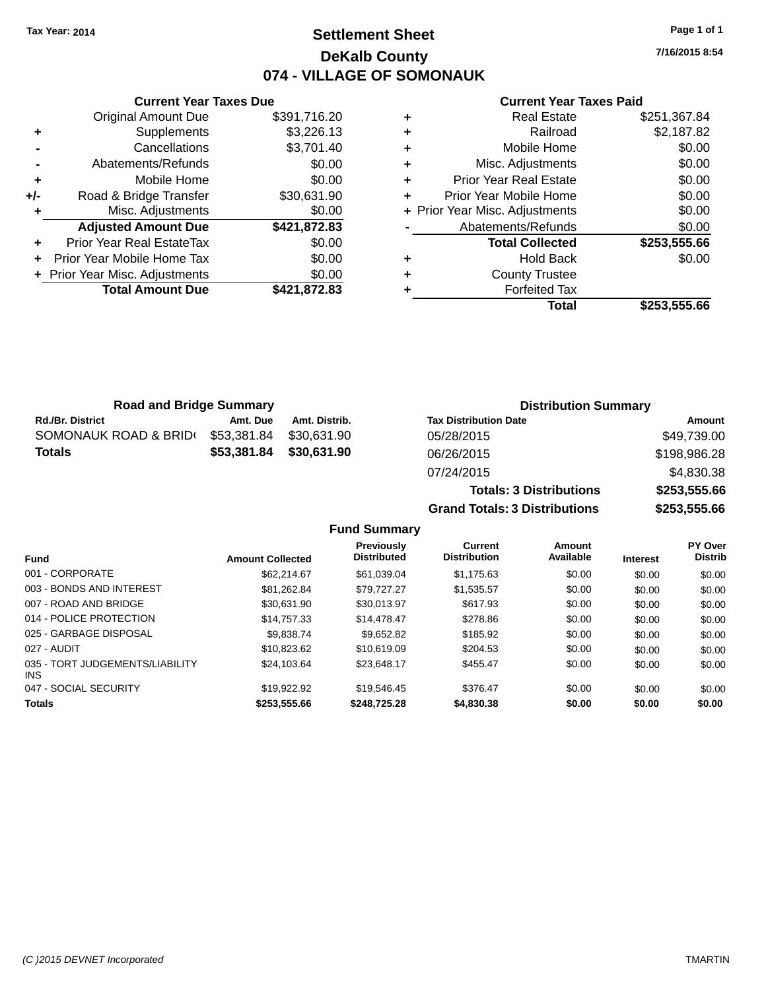# **Settlement Sheet Tax Year: 2014 Page 1 of 1 DeKalb County 074 - VILLAGE OF SOMONAUK**

**7/16/2015 8:54**

#### **Current Year Taxes Paid**

|     | <b>Current Year Taxes Due</b>  |              |
|-----|--------------------------------|--------------|
|     | <b>Original Amount Due</b>     | \$391,716.20 |
| ٠   | Supplements                    | \$3,226.13   |
|     | Cancellations                  | \$3,701.40   |
|     | Abatements/Refunds             | \$0.00       |
| ٠   | Mobile Home                    | \$0.00       |
| +/- | Road & Bridge Transfer         | \$30,631.90  |
|     | Misc. Adjustments              | \$0.00       |
|     | <b>Adjusted Amount Due</b>     | \$421,872.83 |
| ٠   | Prior Year Real EstateTax      | \$0.00       |
|     | Prior Year Mobile Home Tax     | \$0.00       |
|     | + Prior Year Misc. Adjustments | \$0.00       |
|     | <b>Total Amount Due</b>        | \$421,872.83 |
|     |                                |              |

|   | Total                          | \$253,555.66 |
|---|--------------------------------|--------------|
|   | <b>Forfeited Tax</b>           |              |
| ٠ | <b>County Trustee</b>          |              |
| ٠ | <b>Hold Back</b>               | \$0.00       |
|   | <b>Total Collected</b>         | \$253,555.66 |
|   | Abatements/Refunds             | \$0.00       |
|   | + Prior Year Misc. Adjustments | \$0.00       |
| ٠ | Prior Year Mobile Home         | \$0.00       |
| ٠ | <b>Prior Year Real Estate</b>  | \$0.00       |
| ٠ | Misc. Adjustments              | \$0.00       |
| ٠ | Mobile Home                    | \$0.00       |
| ٠ | Railroad                       | \$2,187.82   |
|   | <b>Real Estate</b>             | \$251,367.84 |

**Totals: 3 Distributions \$253,555.66**

**Grand Totals: 3 Distributions \$253,555.66**

| <b>Road and Bridge Summary</b> |             |               | <b>Distribution Summary</b>  |              |  |
|--------------------------------|-------------|---------------|------------------------------|--------------|--|
| <b>Rd./Br. District</b>        | Amt. Due    | Amt. Distrib. | <b>Tax Distribution Date</b> | Amount       |  |
| SOMONAUK ROAD & BRID(          | \$53,381.84 | \$30.631.90   | 05/28/2015                   | \$49,739.00  |  |
| <b>Totals</b>                  | \$53,381.84 | \$30,631.90   | 06/26/2015                   | \$198,986.28 |  |
|                                |             |               | 07/24/2015                   | \$4,830.38   |  |

**Fund Summary**

| <b>Fund</b>                                   | <b>Amount Collected</b> | <b>Previously</b><br><b>Distributed</b> | <b>Current</b><br><b>Distribution</b> | <b>Amount</b><br>Available | <b>Interest</b> | <b>PY Over</b><br><b>Distrib</b> |
|-----------------------------------------------|-------------------------|-----------------------------------------|---------------------------------------|----------------------------|-----------------|----------------------------------|
|                                               |                         |                                         |                                       |                            |                 |                                  |
| 001 - CORPORATE                               | \$62,214.67             | \$61.039.04                             | \$1.175.63                            | \$0.00                     | \$0.00          | \$0.00                           |
| 003 - BONDS AND INTEREST                      | \$81,262.84             | \$79.727.27                             | \$1.535.57                            | \$0.00                     | \$0.00          | \$0.00                           |
| 007 - ROAD AND BRIDGE                         | \$30.631.90             | \$30.013.97                             | \$617.93                              | \$0.00                     | \$0.00          | \$0.00                           |
| 014 - POLICE PROTECTION                       | \$14.757.33             | \$14,478,47                             | \$278.86                              | \$0.00                     | \$0.00          | \$0.00                           |
| 025 - GARBAGE DISPOSAL                        | \$9,838,74              | \$9.652.82                              | \$185.92                              | \$0.00                     | \$0.00          | \$0.00                           |
| 027 - AUDIT                                   | \$10.823.62             | \$10,619.09                             | \$204.53                              | \$0.00                     | \$0.00          | \$0.00                           |
| 035 - TORT JUDGEMENTS/LIABILITY<br><b>INS</b> | \$24.103.64             | \$23.648.17                             | \$455.47                              | \$0.00                     | \$0.00          | \$0.00                           |
| 047 - SOCIAL SECURITY                         | \$19,922.92             | \$19.546.45                             | \$376.47                              | \$0.00                     | \$0.00          | \$0.00                           |
| <b>Totals</b>                                 | \$253.555.66            | \$248,725,28                            | \$4,830,38                            | \$0.00                     | \$0.00          | \$0.00                           |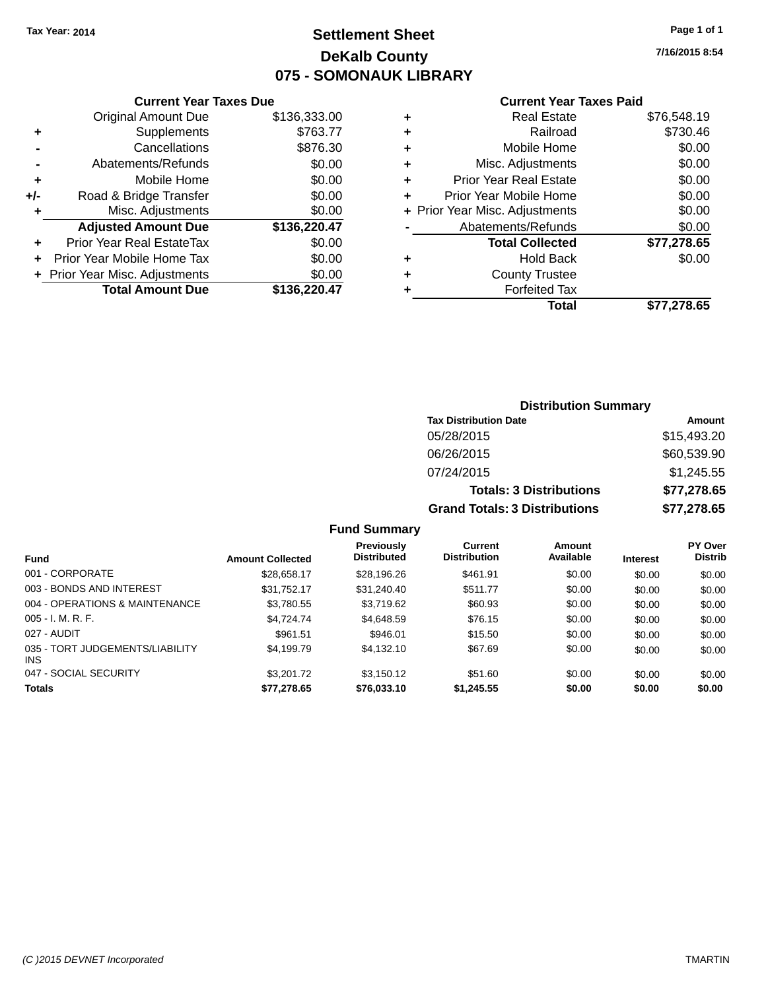# **Settlement Sheet Tax Year: 2014 Page 1 of 1 DeKalb County 075 - SOMONAUK LIBRARY**

**7/16/2015 8:54**

| Current Year Taxes Due |  |  |
|------------------------|--|--|
|                        |  |  |

| <b>Original Amount Due</b>     | \$136,333.00 |
|--------------------------------|--------------|
| Supplements                    | \$763.77     |
| Cancellations                  | \$876.30     |
| Abatements/Refunds             | \$0.00       |
| Mobile Home                    | \$0.00       |
| Road & Bridge Transfer         | \$0.00       |
| Misc. Adjustments              | \$0.00       |
| <b>Adjusted Amount Due</b>     | \$136,220.47 |
| Prior Year Real EstateTax      | \$0.00       |
| Prior Year Mobile Home Tax     | \$0.00       |
| + Prior Year Misc. Adjustments | \$0.00       |
| <b>Total Amount Due</b>        | \$136.220.47 |
|                                |              |

#### **Current Year Taxes Paid**

| ٠ | <b>Real Estate</b>             | \$76,548.19 |
|---|--------------------------------|-------------|
| ٠ | Railroad                       | \$730.46    |
| ٠ | Mobile Home                    | \$0.00      |
| ٠ | Misc. Adjustments              | \$0.00      |
| ٠ | <b>Prior Year Real Estate</b>  | \$0.00      |
| ٠ | Prior Year Mobile Home         | \$0.00      |
|   | + Prior Year Misc. Adjustments | \$0.00      |
|   | Abatements/Refunds             | \$0.00      |
|   | <b>Total Collected</b>         | \$77,278.65 |
| ٠ | Hold Back                      | \$0.00      |
| ٠ | <b>County Trustee</b>          |             |
| ٠ | <b>Forfeited Tax</b>           |             |
|   | Total                          | \$77,278.65 |
|   |                                |             |

## **Distribution Summary Tax Distribution Date Amount** 05/28/2015 \$15,493.20 06/26/2015 \$60,539.90 07/24/2015 \$1,245.55 **Totals: 3 Distributions \$77,278.65 Grand Totals: 3 Distributions \$77,278.65**

#### **Fund Summary**

| <b>Fund</b>                             | <b>Amount Collected</b> | <b>Previously</b><br><b>Distributed</b> | Current<br><b>Distribution</b> | Amount<br>Available | <b>Interest</b> | <b>PY Over</b><br><b>Distrib</b> |
|-----------------------------------------|-------------------------|-----------------------------------------|--------------------------------|---------------------|-----------------|----------------------------------|
| 001 - CORPORATE                         | \$28,658.17             | \$28,196.26                             | \$461.91                       | \$0.00              | \$0.00          | \$0.00                           |
| 003 - BONDS AND INTEREST                | \$31,752.17             | \$31,240.40                             | \$511.77                       | \$0.00              | \$0.00          | \$0.00                           |
| 004 - OPERATIONS & MAINTENANCE          | \$3,780.55              | \$3.719.62                              | \$60.93                        | \$0.00              | \$0.00          | \$0.00                           |
| $005 - I. M. R. F.$                     | \$4.724.74              | \$4,648.59                              | \$76.15                        | \$0.00              | \$0.00          | \$0.00                           |
| 027 - AUDIT                             | \$961.51                | \$946.01                                | \$15.50                        | \$0.00              | \$0.00          | \$0.00                           |
| 035 - TORT JUDGEMENTS/LIABILITY<br>INS. | \$4.199.79              | \$4.132.10                              | \$67.69                        | \$0.00              | \$0.00          | \$0.00                           |
| 047 - SOCIAL SECURITY                   | \$3,201.72              | \$3.150.12                              | \$51.60                        | \$0.00              | \$0.00          | \$0.00                           |
| <b>Totals</b>                           | \$77,278.65             | \$76,033.10                             | \$1,245.55                     | \$0.00              | \$0.00          | \$0.00                           |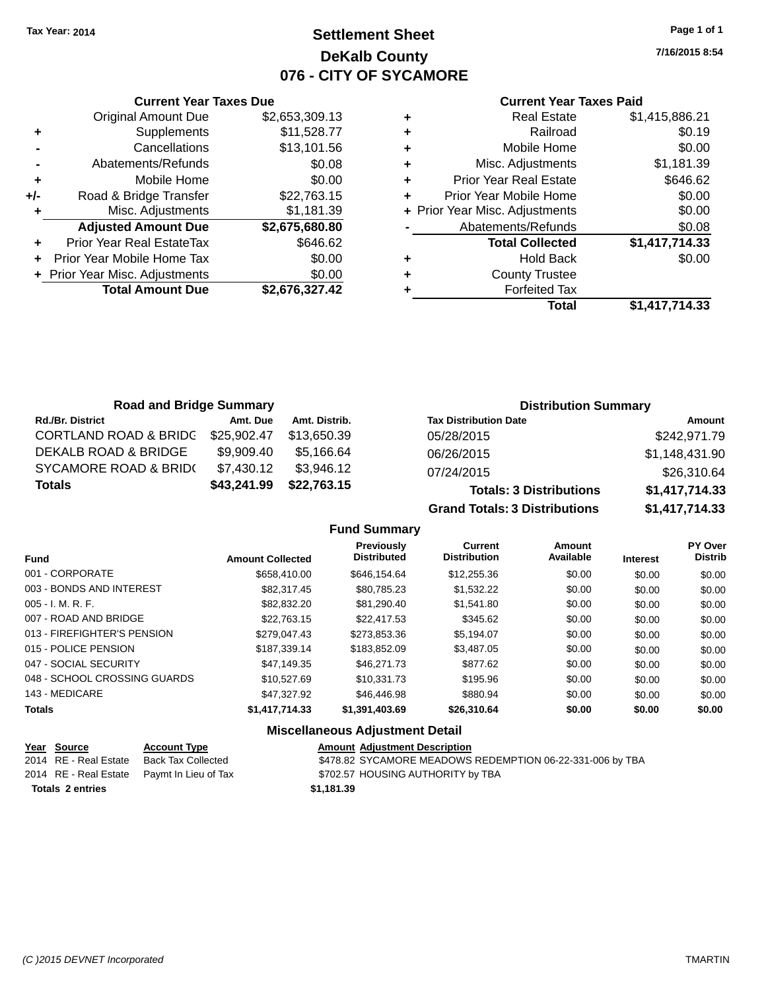# **Settlement Sheet Tax Year: 2014 Page 1 of 1 DeKalb County 076 - CITY OF SYCAMORE**

**7/16/2015 8:54**

#### **Current Year Taxes Paid**

|     | <b>Current Year Taxes Due</b>  |                |
|-----|--------------------------------|----------------|
|     | <b>Original Amount Due</b>     | \$2,653,309.13 |
| ٠   | Supplements                    | \$11,528.77    |
|     | Cancellations                  | \$13,101.56    |
|     | Abatements/Refunds             | \$0.08         |
| ٠   | Mobile Home                    | \$0.00         |
| +/- | Road & Bridge Transfer         | \$22,763.15    |
|     | Misc. Adjustments              | \$1,181.39     |
|     | <b>Adjusted Amount Due</b>     | \$2,675,680.80 |
| ÷   | Prior Year Real EstateTax      | \$646.62       |
|     | Prior Year Mobile Home Tax     | \$0.00         |
|     | + Prior Year Misc. Adjustments | \$0.00         |
|     | <b>Total Amount Due</b>        | \$2,676,327.42 |
|     |                                |                |

| ٠ | <b>Real Estate</b>             | \$1,415,886.21 |
|---|--------------------------------|----------------|
| ٠ | Railroad                       | \$0.19         |
| ٠ | Mobile Home                    | \$0.00         |
| ٠ | Misc. Adjustments              | \$1,181.39     |
| ٠ | <b>Prior Year Real Estate</b>  | \$646.62       |
| ٠ | Prior Year Mobile Home         | \$0.00         |
|   | + Prior Year Misc. Adjustments | \$0.00         |
|   | Abatements/Refunds             | \$0.08         |
|   | <b>Total Collected</b>         | \$1,417,714.33 |
| ٠ | <b>Hold Back</b>               | \$0.00         |
|   | <b>County Trustee</b>          |                |
| ٠ | <b>Forfeited Tax</b>           |                |
|   | Total                          | \$1,417,714.33 |
|   |                                |                |

| <b>Road and Bridge Summary</b>   |             |               | <b>Distribution Summary</b>    |                |  |
|----------------------------------|-------------|---------------|--------------------------------|----------------|--|
| <b>Rd./Br. District</b>          | Amt. Due    | Amt. Distrib. | <b>Tax Distribution Date</b>   | Amount         |  |
| <b>CORTLAND ROAD &amp; BRIDG</b> | \$25,902.47 | \$13.650.39   | 05/28/2015                     | \$242,971.79   |  |
| DEKALB ROAD & BRIDGE             | \$9.909.40  | \$5.166.64    | 06/26/2015                     | \$1,148,431.90 |  |
| <b>SYCAMORE ROAD &amp; BRID(</b> | \$7.430.12  | \$3.946.12    | 07/24/2015                     | \$26,310.64    |  |
| <b>Totals</b>                    | \$43,241.99 | \$22,763.15   | <b>Totals: 3 Distributions</b> | \$1,417,714.33 |  |

**Grand Totals: 3 Distributions \$1,417,714.33**

#### **Fund Summary**

| <b>Fund</b>                  | <b>Amount Collected</b> | Previously<br><b>Distributed</b> | Current<br><b>Distribution</b> | Amount<br>Available | <b>Interest</b> | <b>PY Over</b><br><b>Distrib</b> |
|------------------------------|-------------------------|----------------------------------|--------------------------------|---------------------|-----------------|----------------------------------|
| 001 - CORPORATE              | \$658,410.00            | \$646.154.64                     | \$12,255.36                    | \$0.00              | \$0.00          | \$0.00                           |
| 003 - BONDS AND INTEREST     | \$82,317.45             | \$80.785.23                      | \$1.532.22                     | \$0.00              | \$0.00          | \$0.00                           |
| $005 - I. M. R. F.$          | \$82,832,20             | \$81.290.40                      | \$1,541.80                     | \$0.00              | \$0.00          | \$0.00                           |
| 007 - ROAD AND BRIDGE        | \$22,763,15             | \$22,417.53                      | \$345.62                       | \$0.00              | \$0.00          | \$0.00                           |
| 013 - FIREFIGHTER'S PENSION  | \$279,047.43            | \$273,853.36                     | \$5,194.07                     | \$0.00              | \$0.00          | \$0.00                           |
| 015 - POLICE PENSION         | \$187.339.14            | \$183,852,09                     | \$3,487.05                     | \$0.00              | \$0.00          | \$0.00                           |
| 047 - SOCIAL SECURITY        | \$47.149.35             | \$46,271.73                      | \$877.62                       | \$0.00              | \$0.00          | \$0.00                           |
| 048 - SCHOOL CROSSING GUARDS | \$10,527.69             | \$10.331.73                      | \$195.96                       | \$0.00              | \$0.00          | \$0.00                           |
| 143 - MEDICARE               | \$47,327.92             | \$46,446.98                      | \$880.94                       | \$0.00              | \$0.00          | \$0.00                           |
| <b>Totals</b>                | \$1,417,714.33          | \$1,391,403.69                   | \$26,310.64                    | \$0.00              | \$0.00          | \$0.00                           |

## **Miscellaneous Adjustment Detail**

| Year Source             | <b>Account Type</b>                        | <b>Amount Adjustment Description</b>                      |
|-------------------------|--------------------------------------------|-----------------------------------------------------------|
| 2014 RE - Real Estate   | Back Tax Collected                         | \$478.82 SYCAMORE MEADOWS REDEMPTION 06-22-331-006 by TBA |
|                         | 2014 RE - Real Estate Paymt In Lieu of Tax | \$702.57 HOUSING AUTHORITY by TBA                         |
| <b>Totals 2 entries</b> |                                            | \$1.181.39                                                |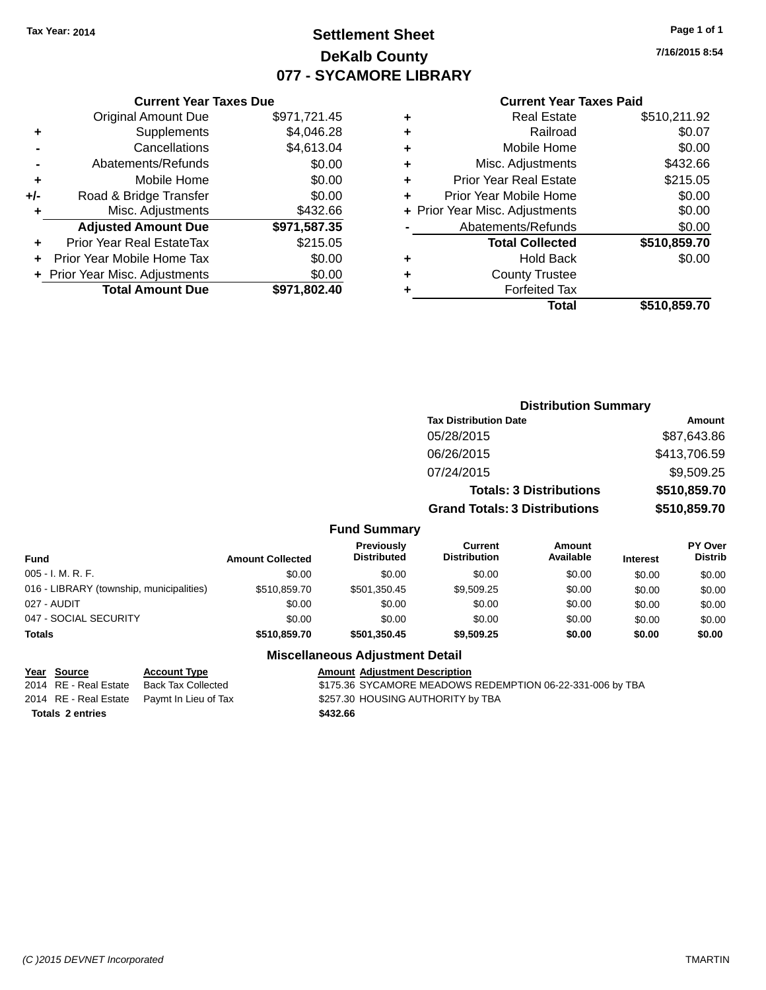# **Settlement Sheet Tax Year: 2014 Page 1 of 1 DeKalb County 077 - SYCAMORE LIBRARY**

**7/16/2015 8:54**

#### **Current Year Taxes Paid**

|     | <b>Current Year Taxes Due</b>  |              |
|-----|--------------------------------|--------------|
|     | <b>Original Amount Due</b>     | \$971,721.45 |
| ÷   | Supplements                    | \$4,046.28   |
|     | Cancellations                  | \$4,613.04   |
|     | Abatements/Refunds             | \$0.00       |
| ٠   | Mobile Home                    | \$0.00       |
| +/- | Road & Bridge Transfer         | \$0.00       |
| ٠   | Misc. Adjustments              | \$432.66     |
|     | <b>Adjusted Amount Due</b>     | \$971,587.35 |
| ٠   | Prior Year Real EstateTax      | \$215.05     |
|     | Prior Year Mobile Home Tax     | \$0.00       |
|     | + Prior Year Misc. Adjustments | \$0.00       |
|     | <b>Total Amount Due</b>        | \$971,802.40 |
|     |                                |              |

|   | <b>Real Estate</b>             | \$510,211.92 |
|---|--------------------------------|--------------|
| ٠ | Railroad                       | \$0.07       |
| ٠ | Mobile Home                    | \$0.00       |
| ٠ | Misc. Adjustments              | \$432.66     |
| ٠ | <b>Prior Year Real Estate</b>  | \$215.05     |
| ÷ | Prior Year Mobile Home         | \$0.00       |
|   | + Prior Year Misc. Adjustments | \$0.00       |
|   | Abatements/Refunds             | \$0.00       |
|   | <b>Total Collected</b>         | \$510,859.70 |
| ٠ | <b>Hold Back</b>               | \$0.00       |
| ٠ | <b>County Trustee</b>          |              |
|   | <b>Forfeited Tax</b>           |              |
|   | Total                          | \$510,859.70 |
|   |                                |              |

| <b>Distribution Summary</b>          |              |
|--------------------------------------|--------------|
| <b>Tax Distribution Date</b>         | Amount       |
| 05/28/2015                           | \$87,643.86  |
| 06/26/2015                           | \$413,706.59 |
| 07/24/2015                           | \$9,509.25   |
| <b>Totals: 3 Distributions</b>       | \$510,859.70 |
| <b>Grand Totals: 3 Distributions</b> | \$510,859.70 |

## **Fund Summary**

| Fund                                     | <b>Amount Collected</b> | <b>Previously</b><br><b>Distributed</b> | Current<br><b>Distribution</b> | Amount<br>Available | <b>Interest</b> | <b>PY Over</b><br><b>Distrib</b> |
|------------------------------------------|-------------------------|-----------------------------------------|--------------------------------|---------------------|-----------------|----------------------------------|
| $005 - I. M. R. F.$                      | \$0.00                  | \$0.00                                  | \$0.00                         | \$0.00              | \$0.00          | \$0.00                           |
| 016 - LIBRARY (township, municipalities) | \$510,859,70            | \$501.350.45                            | \$9,509.25                     | \$0.00              | \$0.00          | \$0.00                           |
| 027 - AUDIT                              | \$0.00                  | \$0.00                                  | \$0.00                         | \$0.00              | \$0.00          | \$0.00                           |
| 047 - SOCIAL SECURITY                    | \$0.00                  | \$0.00                                  | \$0.00                         | \$0.00              | \$0.00          | \$0.00                           |
| <b>Totals</b>                            | \$510,859,70            | \$501.350.45                            | \$9,509.25                     | \$0.00              | \$0.00          | \$0.00                           |

#### **Miscellaneous Adjustment Detail**

#### **Year Source Account Type Account Account Adjustment Description**

**Totals \$432.66 2 entries**

2014 RE - Real Estate Back Tax Collected \$175.36 SYCAMORE MEADOWS REDEMPTION 06-22-331-006 by TBA 2014 RE - Real Estate Paymt In Lieu of Tax S257.30 HOUSING AUTHORITY by TBA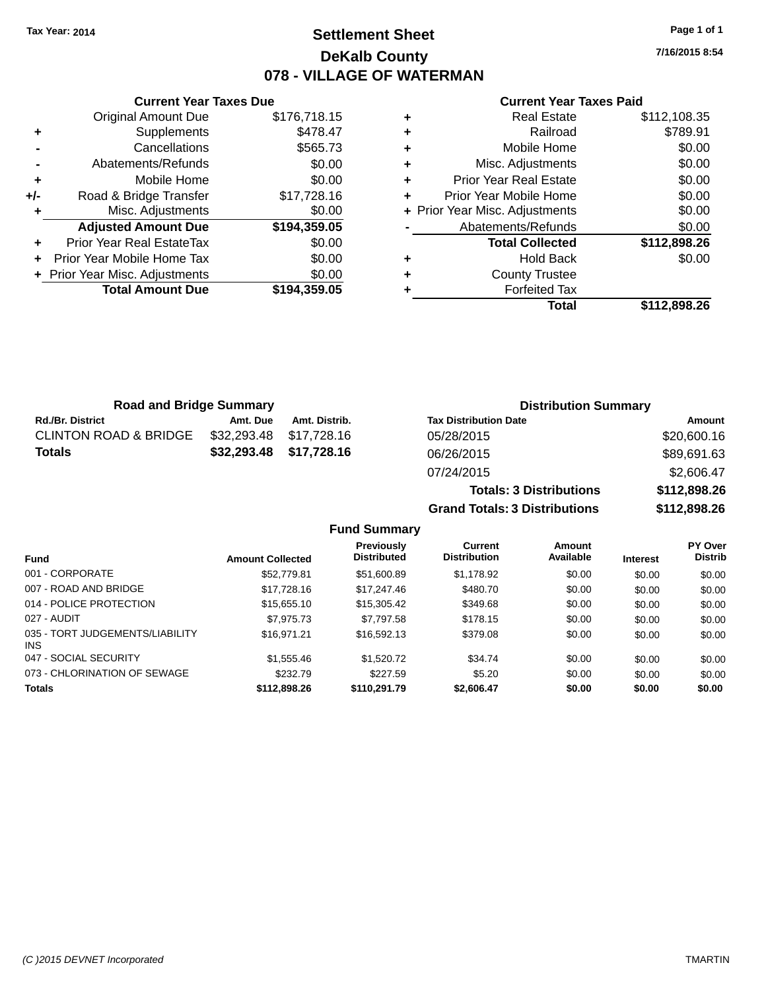# **Settlement Sheet Tax Year: 2014 Page 1 of 1 DeKalb County 078 - VILLAGE OF WATERMAN**

**7/16/2015 8:54**

#### **Current Year Taxes Paid**

|     | <b>Current Year Taxes Due</b>  |              |
|-----|--------------------------------|--------------|
|     | <b>Original Amount Due</b>     | \$176,718.15 |
| ٠   | Supplements                    | \$478.47     |
|     | Cancellations                  | \$565.73     |
|     | Abatements/Refunds             | \$0.00       |
| ÷   | Mobile Home                    | \$0.00       |
| +/- | Road & Bridge Transfer         | \$17,728.16  |
| ٠   | Misc. Adjustments              | \$0.00       |
|     | <b>Adjusted Amount Due</b>     | \$194,359.05 |
|     | Prior Year Real EstateTax      | \$0.00       |
|     | Prior Year Mobile Home Tax     | \$0.00       |
|     | + Prior Year Misc. Adjustments | \$0.00       |
|     | <b>Total Amount Due</b>        | \$194,359.05 |
|     |                                |              |

| ٠ | <b>Real Estate</b>             | \$112,108.35 |
|---|--------------------------------|--------------|
| ٠ | Railroad                       | \$789.91     |
| ٠ | Mobile Home                    | \$0.00       |
| ٠ | Misc. Adjustments              | \$0.00       |
| ٠ | <b>Prior Year Real Estate</b>  | \$0.00       |
| ٠ | Prior Year Mobile Home         | \$0.00       |
|   | + Prior Year Misc. Adjustments | \$0.00       |
|   | Abatements/Refunds             | \$0.00       |
|   | <b>Total Collected</b>         | \$112,898.26 |
| ٠ | <b>Hold Back</b>               | \$0.00       |
| ٠ | <b>County Trustee</b>          |              |
|   | <b>Forfeited Tax</b>           |              |
|   | Total                          | \$112,898.26 |

**Totals: 3 Distributions \$112,898.26**

**Grand Totals: 3 Distributions \$112,898.26**

| <b>Road and Bridge Summary</b>   |                         |               | <b>Distribution Summary</b>  |             |  |
|----------------------------------|-------------------------|---------------|------------------------------|-------------|--|
| <b>Rd./Br. District</b>          | Amt. Due                | Amt. Distrib. | <b>Tax Distribution Date</b> | Amount      |  |
| <b>CLINTON ROAD &amp; BRIDGE</b> | \$32,293.48 \$17,728.16 |               | 05/28/2015                   | \$20,600.16 |  |
| <b>Totals</b>                    | \$32,293.48 \$17,728.16 |               | 06/26/2015                   | \$89,691.63 |  |
|                                  |                         |               | 07/24/2015                   | \$2,606.47  |  |

**Fund Summary Fund Interest Amount Collected Distributed PY Over Distrib Amount Available Current Distribution Previously** 001 - CORPORATE \$52,779.81 \$51,600.89 \$1,178.92 \$0.00 \$0.00 \$0.00 007 - ROAD AND BRIDGE 60.00 \$17,728.16 \$17,728.16 \$17,247.46 \$480.70 \$0.00 \$0.00 \$0.00 014 - POLICE PROTECTION \$15,655.10 \$15,305.42 \$349.68 \$0.00 \$0.00 \$0.00 \$0.00 027 - AUDIT \$7,975.73 \$7,797.58 \$178.15 \$0.00 \$0.00 \$0.00 035 - TORT JUDGEMENTS/LIABILITY INS \$16,971.21 \$16,592.13 \$379.08 \$0.00 \$0.00 \$0.00 047 - SOCIAL SECURITY \$1,555.46 \$1,520.72 \$34.74 \$0.00 \$0.00 \$0.00 073 - CHLORINATION OF SEWAGE \$232.79 \$227.59 \$5.20 \$0.00 \$0.00 \$0.00 \$0.00 **Totals \$112,898.26 \$110,291.79 \$2,606.47 \$0.00 \$0.00 \$0.00**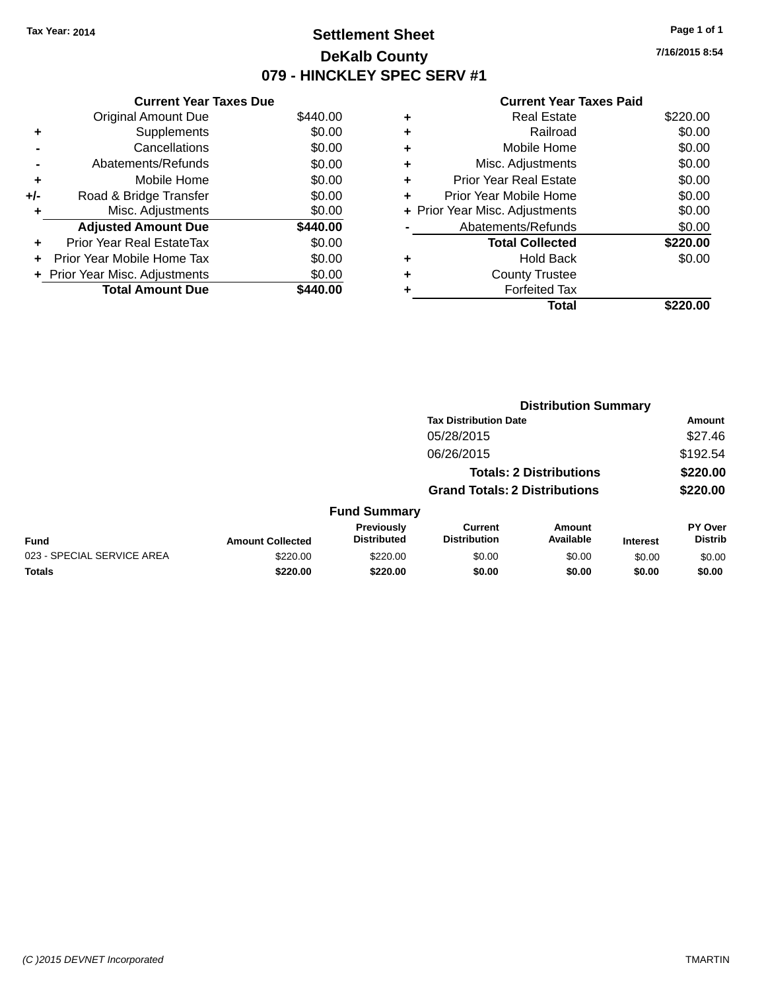# **Settlement Sheet Tax Year: 2014 Page 1 of 1 DeKalb County 079 - HINCKLEY SPEC SERV #1**

**7/16/2015 8:54**

#### **Current Year Taxes Paid**

|     | <b>Current Year Taxes Due</b>  |          |
|-----|--------------------------------|----------|
|     | <b>Original Amount Due</b>     | \$440.00 |
| ÷   | Supplements                    | \$0.00   |
|     | Cancellations                  | \$0.00   |
|     | Abatements/Refunds             | \$0.00   |
| ٠   | Mobile Home                    | \$0.00   |
| +/- | Road & Bridge Transfer         | \$0.00   |
| ٠   | Misc. Adjustments              | \$0.00   |
|     | <b>Adjusted Amount Due</b>     | \$440.00 |
| ÷   | Prior Year Real EstateTax      | \$0.00   |
| ÷   | Prior Year Mobile Home Tax     | \$0.00   |
|     | + Prior Year Misc. Adjustments | \$0.00   |
|     | <b>Total Amount Due</b>        | 440.00   |

|   | <b>Real Estate</b>             | \$220.00 |
|---|--------------------------------|----------|
| ٠ | Railroad                       | \$0.00   |
| ٠ | Mobile Home                    | \$0.00   |
| ٠ | Misc. Adjustments              | \$0.00   |
| ٠ | <b>Prior Year Real Estate</b>  | \$0.00   |
| ٠ | Prior Year Mobile Home         | \$0.00   |
|   | + Prior Year Misc. Adjustments | \$0.00   |
|   | Abatements/Refunds             | \$0.00   |
|   | <b>Total Collected</b>         | \$220.00 |
| ٠ | Hold Back                      | \$0.00   |
|   | <b>County Trustee</b>          |          |
| ٠ | <b>Forfeited Tax</b>           |          |
|   | Total                          | \$220.00 |
|   |                                |          |

|                            |                         |                                  |                                       | <b>Distribution Summary</b>    |                 |                           |
|----------------------------|-------------------------|----------------------------------|---------------------------------------|--------------------------------|-----------------|---------------------------|
|                            |                         |                                  | <b>Tax Distribution Date</b>          |                                |                 | Amount                    |
|                            |                         |                                  | 05/28/2015                            |                                |                 | \$27.46                   |
|                            |                         |                                  | 06/26/2015                            |                                |                 | \$192.54                  |
|                            |                         |                                  |                                       | <b>Totals: 2 Distributions</b> |                 | \$220.00                  |
|                            |                         |                                  | <b>Grand Totals: 2 Distributions</b>  |                                |                 | \$220.00                  |
|                            |                         | <b>Fund Summary</b>              |                                       |                                |                 |                           |
| <b>Fund</b>                | <b>Amount Collected</b> | Previously<br><b>Distributed</b> | <b>Current</b><br><b>Distribution</b> | Amount<br>Available            | <b>Interest</b> | PY Over<br><b>Distrib</b> |
| 023 - SPECIAL SERVICE AREA | \$220.00                | \$220.00                         | \$0.00                                | \$0.00                         | \$0.00          | \$0.00                    |
| <b>Totals</b>              | \$220.00                | \$220.00                         | \$0.00                                | \$0.00                         | \$0.00          | \$0.00                    |
|                            |                         |                                  |                                       |                                |                 |                           |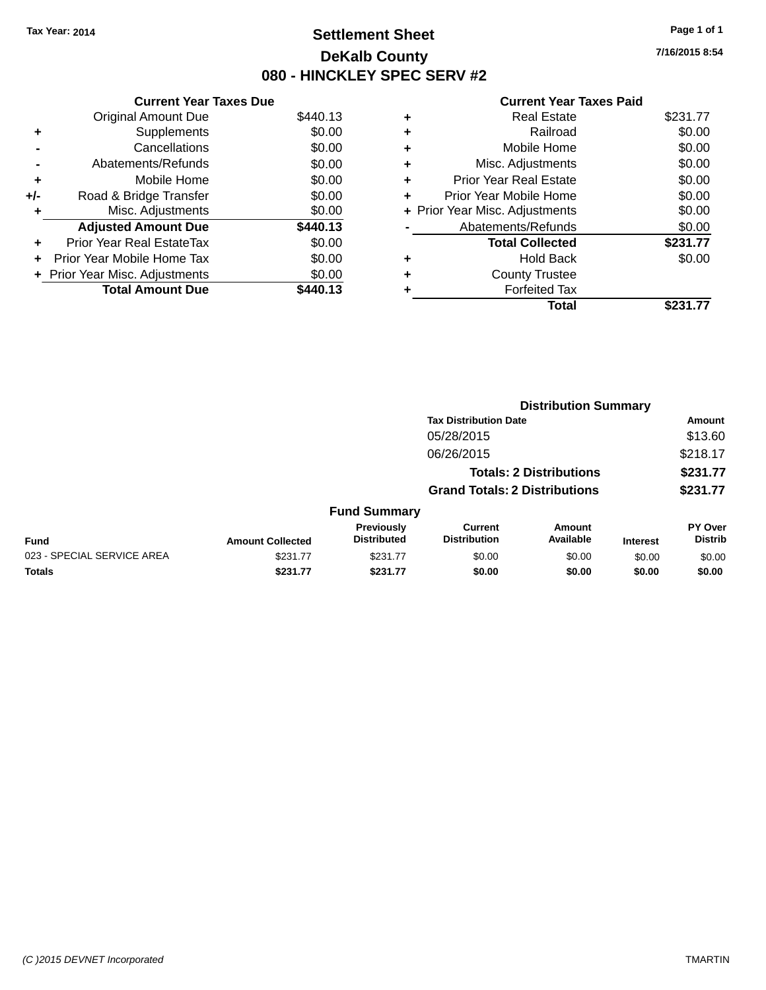# **Settlement Sheet Tax Year: 2014 Page 1 of 1 DeKalb County 080 - HINCKLEY SPEC SERV #2**

**7/16/2015 8:54**

#### **Current Year Taxes Paid**

|     | <b>Current Year Taxes Due</b>  |          |
|-----|--------------------------------|----------|
|     | <b>Original Amount Due</b>     | \$440.13 |
| ٠   | Supplements                    | \$0.00   |
|     | Cancellations                  | \$0.00   |
|     | Abatements/Refunds             | \$0.00   |
| ٠   | Mobile Home                    | \$0.00   |
| +/- | Road & Bridge Transfer         | \$0.00   |
| ٠   | Misc. Adjustments              | \$0.00   |
|     | <b>Adjusted Amount Due</b>     | \$440.13 |
| ٠   | Prior Year Real EstateTax      | \$0.00   |
| ÷   | Prior Year Mobile Home Tax     | \$0.00   |
|     | + Prior Year Misc. Adjustments | \$0.00   |
|     | <b>Total Amount Due</b>        | \$440.13 |

|   | <b>Real Estate</b>             | \$231.77 |
|---|--------------------------------|----------|
| ٠ | Railroad                       | \$0.00   |
| ٠ | Mobile Home                    | \$0.00   |
| ٠ | Misc. Adjustments              | \$0.00   |
| ÷ | <b>Prior Year Real Estate</b>  | \$0.00   |
| ٠ | Prior Year Mobile Home         | \$0.00   |
|   | + Prior Year Misc. Adjustments | \$0.00   |
|   | Abatements/Refunds             | \$0.00   |
|   | <b>Total Collected</b>         | \$231.77 |
| ٠ | <b>Hold Back</b>               | \$0.00   |
|   | <b>County Trustee</b>          |          |
|   | <b>Forfeited Tax</b>           |          |
|   | Total                          | \$231.77 |
|   |                                |          |

|                            | <b>Distribution Summary</b>          |                                  |                                       |                                |                 |                                  |
|----------------------------|--------------------------------------|----------------------------------|---------------------------------------|--------------------------------|-----------------|----------------------------------|
|                            |                                      |                                  | <b>Tax Distribution Date</b>          |                                |                 | Amount                           |
|                            |                                      |                                  | 05/28/2015                            |                                |                 | \$13.60                          |
|                            |                                      |                                  | 06/26/2015                            |                                |                 | \$218.17                         |
|                            |                                      |                                  |                                       | <b>Totals: 2 Distributions</b> |                 | \$231.77                         |
|                            | <b>Grand Totals: 2 Distributions</b> |                                  |                                       | \$231.77                       |                 |                                  |
|                            |                                      | <b>Fund Summary</b>              |                                       |                                |                 |                                  |
| Fund                       | <b>Amount Collected</b>              | Previously<br><b>Distributed</b> | <b>Current</b><br><b>Distribution</b> | Amount<br>Available            | <b>Interest</b> | <b>PY Over</b><br><b>Distrib</b> |
| 023 - SPECIAL SERVICE AREA | \$231.77                             | \$231.77                         | \$0.00                                | \$0.00                         | \$0.00          | \$0.00                           |
| <b>Totals</b>              | \$231.77                             | \$231.77                         | \$0.00                                | \$0.00                         | \$0.00          | \$0.00                           |
|                            |                                      |                                  |                                       |                                |                 |                                  |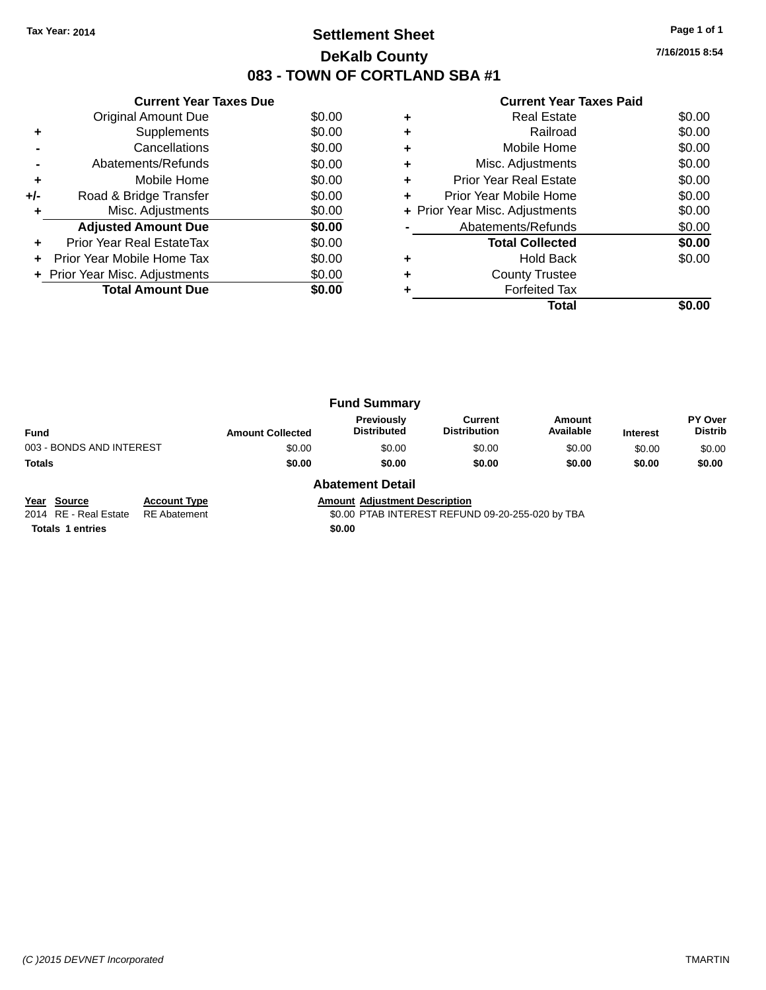# **Settlement Sheet Tax Year: 2014 Page 1 of 1 DeKalb County 083 - TOWN OF CORTLAND SBA #1**

**7/16/2015 8:54**

|       | <b>Current Year Taxes Due</b>  |        |   | <b>Current Yea</b>           |
|-------|--------------------------------|--------|---|------------------------------|
|       | Original Amount Due            | \$0.00 | ÷ | <b>Real Esta</b>             |
|       | Supplements                    | \$0.00 | ÷ | Railroa                      |
|       | Cancellations                  | \$0.00 | ÷ | Mobile Hom                   |
|       | Abatements/Refunds             | \$0.00 | ÷ | Misc. Adjustmen              |
| ٠     | Mobile Home                    | \$0.00 | ÷ | <b>Prior Year Real Estat</b> |
| $+/-$ | Road & Bridge Transfer         | \$0.00 |   | Prior Year Mobile Hom        |
|       | Misc. Adjustments              | \$0.00 |   | + Prior Year Misc. Adjustmen |
|       | <b>Adjusted Amount Due</b>     | \$0.00 |   | Abatements/Refund            |
|       | Prior Year Real EstateTax      | \$0.00 |   | <b>Total Collecte</b>        |
|       | Prior Year Mobile Home Tax     | \$0.00 | ÷ | Hold Bad                     |
|       | + Prior Year Misc. Adjustments | \$0.00 | ÷ | <b>County Truste</b>         |
|       | <b>Total Amount Due</b>        | \$0.00 |   | <b>Forfeited Ta</b>          |
|       |                                |        |   | Tot                          |

#### **Current Year Taxes Paid**

|   | Total                          |        |
|---|--------------------------------|--------|
|   | <b>Forfeited Tax</b>           |        |
| ٠ | <b>County Trustee</b>          |        |
| ٠ | <b>Hold Back</b>               | \$0.00 |
|   | <b>Total Collected</b>         | \$0.00 |
|   | Abatements/Refunds             | \$0.00 |
|   | + Prior Year Misc. Adjustments | \$0.00 |
|   | Prior Year Mobile Home         | \$0.00 |
|   | <b>Prior Year Real Estate</b>  | \$0.00 |
| ٠ | Misc. Adjustments              | \$0.00 |
| ٠ | Mobile Home                    | \$0.00 |
| ٠ | Railroad                       | \$0.00 |
| ٠ | <b>Real Estate</b>             | \$0.00 |

|                          |                         | <b>Fund Summary</b>                     |                                |                     |                 |                                  |
|--------------------------|-------------------------|-----------------------------------------|--------------------------------|---------------------|-----------------|----------------------------------|
| <b>Fund</b>              | <b>Amount Collected</b> | <b>Previously</b><br><b>Distributed</b> | Current<br><b>Distribution</b> | Amount<br>Available | <b>Interest</b> | <b>PY Over</b><br><b>Distrib</b> |
| 003 - BONDS AND INTEREST | \$0.00                  | \$0.00                                  | \$0.00                         | \$0.00              | \$0.00          | \$0.00                           |
| <b>Totals</b>            | \$0.00                  | \$0.00                                  | \$0.00                         | \$0.00              | \$0.00          | \$0.00                           |
|                          |                         | All <i>all and a gold</i> Post and H    |                                |                     |                 |                                  |

#### **Abatement Detail**

**Year** Source **Account Type A** Amount Adjustment Description

2014 RE - Real Estate RE Abatement \$0.00 PTAB INTEREST REFUND 09-20-255-020 by TBA

**Totals 1 entries** \$0.00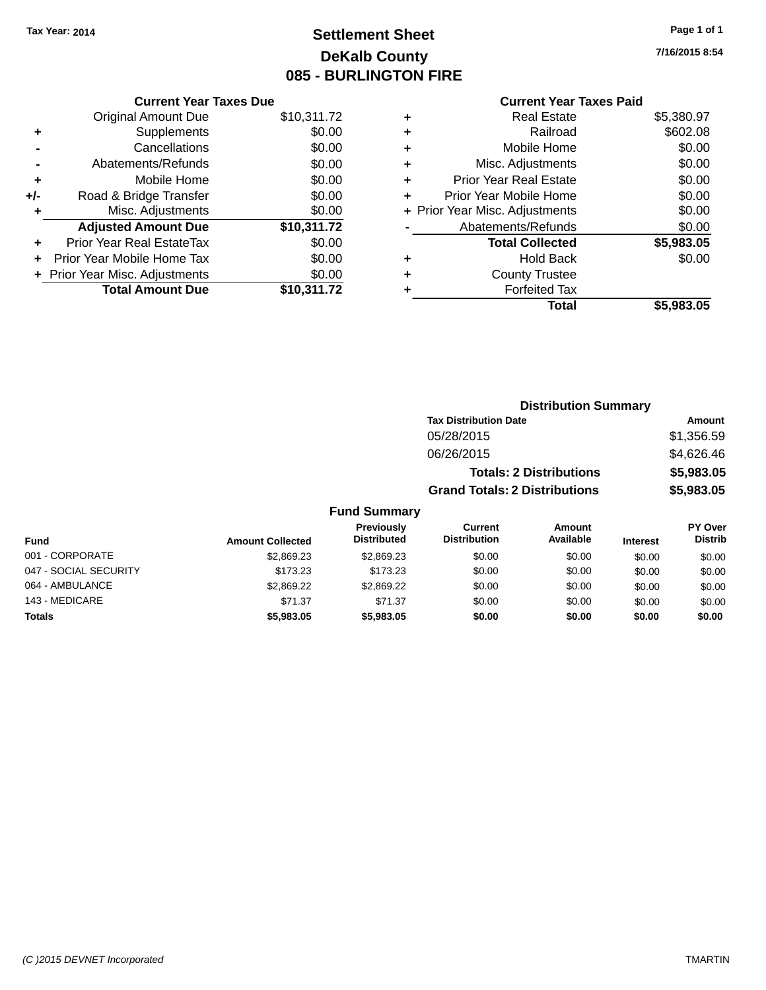# **Settlement Sheet Tax Year: 2014 Page 1 of 1 DeKalb County 085 - BURLINGTON FIRE**

| <b>Current Year Taxes Due</b>  |             |
|--------------------------------|-------------|
| <b>Original Amount Due</b>     | \$10,311.72 |
| Supplements                    | \$0.00      |
| Cancellations                  | \$0.00      |
| Abatements/Refunds             | \$0.00      |
| Mobile Home                    | \$0.00      |
| Road & Bridge Transfer         | \$0.00      |
| Misc. Adjustments              | \$0.00      |
| <b>Adjusted Amount Due</b>     | \$10,311.72 |
| Prior Year Real EstateTax      | \$0.00      |
| Prior Year Mobile Home Tax     | \$0.00      |
| + Prior Year Misc. Adjustments | \$0.00      |
| <b>Total Amount Due</b>        | \$10,311.72 |
|                                |             |

# **Current Year Taxes Paid**

| ٠ | <b>Real Estate</b>             | \$5,380.97 |
|---|--------------------------------|------------|
| ٠ | Railroad                       | \$602.08   |
| ٠ | Mobile Home                    | \$0.00     |
| ٠ | Misc. Adjustments              | \$0.00     |
| ٠ | <b>Prior Year Real Estate</b>  | \$0.00     |
| ٠ | Prior Year Mobile Home         | \$0.00     |
|   | + Prior Year Misc. Adjustments | \$0.00     |
|   | Abatements/Refunds             | \$0.00     |
|   | <b>Total Collected</b>         | \$5,983.05 |
| ٠ | <b>Hold Back</b>               | \$0.00     |
| ٠ | <b>County Trustee</b>          |            |
| ٠ | <b>Forfeited Tax</b>           |            |
|   | Total                          | \$5,983.05 |
|   |                                |            |

**7/16/2015 8:54**

|                         |                                         | <b>Distribution Summary</b>           |                                                                        |                 |                                  |  |  |  |
|-------------------------|-----------------------------------------|---------------------------------------|------------------------------------------------------------------------|-----------------|----------------------------------|--|--|--|
|                         |                                         | <b>Tax Distribution Date</b>          |                                                                        |                 | Amount                           |  |  |  |
|                         |                                         | 05/28/2015                            | <b>Totals: 2 Distributions</b><br><b>Grand Totals: 2 Distributions</b> |                 |                                  |  |  |  |
|                         |                                         | 06/26/2015                            |                                                                        |                 |                                  |  |  |  |
|                         |                                         |                                       |                                                                        |                 |                                  |  |  |  |
|                         |                                         |                                       |                                                                        |                 |                                  |  |  |  |
|                         | <b>Fund Summary</b>                     |                                       |                                                                        |                 |                                  |  |  |  |
| <b>Amount Collected</b> | <b>Previously</b><br><b>Distributed</b> | <b>Current</b><br><b>Distribution</b> | Amount<br>Available                                                    | <b>Interest</b> | <b>PY Over</b><br><b>Distrib</b> |  |  |  |
| \$2,869.23              | \$2,869.23                              | \$0.00                                | \$0.00                                                                 | \$0.00          | \$0.00                           |  |  |  |

| <b>Fund</b>           | <b>Amount Collected</b> | <b>Distributed</b> | Distribution | Available | <b>Interest</b> | <b>Distrib</b> |
|-----------------------|-------------------------|--------------------|--------------|-----------|-----------------|----------------|
| 001 - CORPORATE       | \$2,869.23              | \$2,869.23         | \$0.00       | \$0.00    | \$0.00          | \$0.00         |
| 047 - SOCIAL SECURITY | \$173.23                | \$173.23           | \$0.00       | \$0.00    | \$0.00          | \$0.00         |
| 064 - AMBULANCE       | \$2,869.22              | \$2,869.22         | \$0.00       | \$0.00    | \$0.00          | \$0.00         |
| 143 - MEDICARE        | \$71.37                 | \$71.37            | \$0.00       | \$0.00    | \$0.00          | \$0.00         |
| <b>Totals</b>         | \$5,983,05              | \$5,983,05         | \$0.00       | \$0.00    | \$0.00          | \$0.00         |
|                       |                         |                    |              |           |                 |                |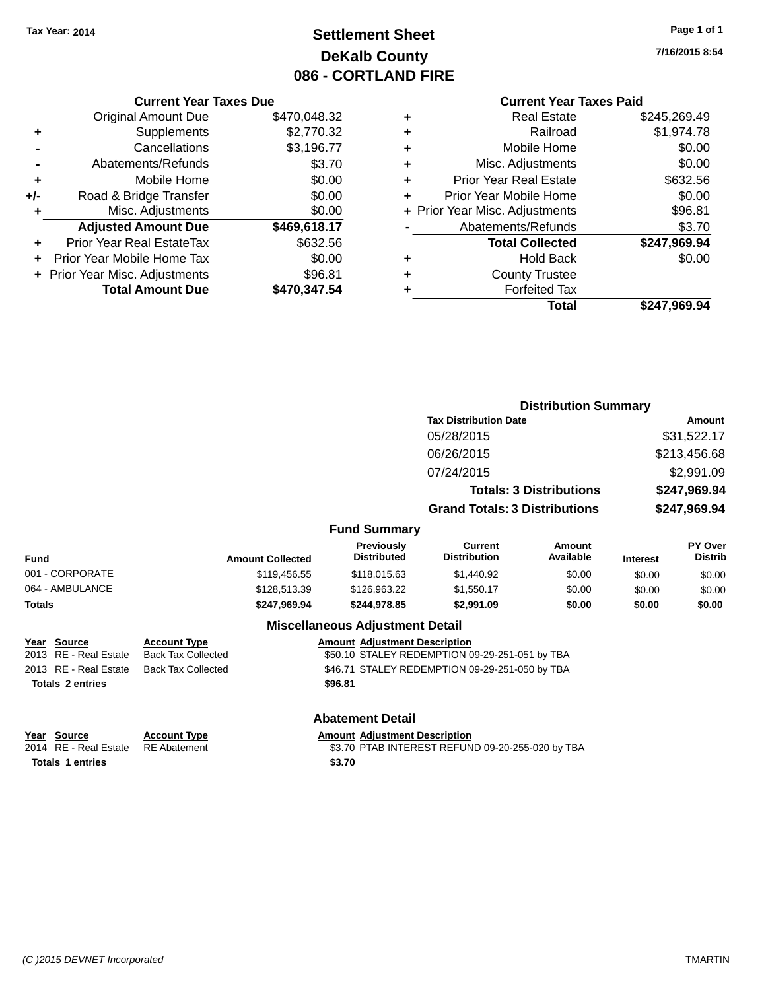# **Settlement Sheet Tax Year: 2014 Page 1 of 1 DeKalb County 086 - CORTLAND FIRE**

**7/16/2015 8:54**

## **Current Year Taxes Paid**

|   | <b>Current Year Taxes Due</b> |                                |     |  |  |  |
|---|-------------------------------|--------------------------------|-----|--|--|--|
|   | \$470,048.32                  | <b>Original Amount Due</b>     |     |  |  |  |
| ٠ | \$2,770.32                    | Supplements                    |     |  |  |  |
| ٠ | \$3,196.77                    | Cancellations                  |     |  |  |  |
| ٠ | \$3.70                        | Abatements/Refunds             |     |  |  |  |
|   | \$0.00                        | Mobile Home                    |     |  |  |  |
| ٠ | \$0.00                        | Road & Bridge Transfer         | +/- |  |  |  |
|   | \$0.00                        | Misc. Adjustments              | ٠   |  |  |  |
|   | \$469,618.17                  | <b>Adjusted Amount Due</b>     |     |  |  |  |
|   | \$632.56                      | Prior Year Real EstateTax      |     |  |  |  |
|   | \$0.00                        | Prior Year Mobile Home Tax     |     |  |  |  |
|   | \$96.81                       | + Prior Year Misc. Adjustments |     |  |  |  |
|   | \$470,347.54                  | <b>Total Amount Due</b>        |     |  |  |  |
|   |                               |                                |     |  |  |  |

**Totals \$96.81 2 entries**

|   | <b>Real Estate</b>             | \$245,269.49 |
|---|--------------------------------|--------------|
| ٠ | Railroad                       | \$1,974.78   |
| ٠ | Mobile Home                    | \$0.00       |
| ٠ | Misc. Adjustments              | \$0.00       |
| ٠ | <b>Prior Year Real Estate</b>  | \$632.56     |
|   | Prior Year Mobile Home         | \$0.00       |
|   | + Prior Year Misc. Adjustments | \$96.81      |
|   | Abatements/Refunds             | \$3.70       |
|   | <b>Total Collected</b>         | \$247,969.94 |
| ٠ | Hold Back                      | \$0.00       |
| ٠ | <b>County Trustee</b>          |              |
|   | <b>Forfeited Tax</b>           |              |
|   | Total                          | \$247,969.94 |
|   |                                |              |

|               |                                      |                                                  |                                        | <b>Distribution Summary</b>                                            |                     |                              |                                  |  |
|---------------|--------------------------------------|--------------------------------------------------|----------------------------------------|------------------------------------------------------------------------|---------------------|------------------------------|----------------------------------|--|
|               |                                      |                                                  |                                        | <b>Tax Distribution Date</b>                                           |                     |                              | Amount                           |  |
|               |                                      |                                                  |                                        | 05/28/2015                                                             |                     | \$31,522.17                  |                                  |  |
|               |                                      |                                                  |                                        | 06/26/2015                                                             |                     | \$213,456.68<br>\$2,991.09   |                                  |  |
|               |                                      |                                                  |                                        | 07/24/2015                                                             |                     |                              |                                  |  |
|               |                                      |                                                  |                                        | <b>Totals: 3 Distributions</b><br><b>Grand Totals: 3 Distributions</b> |                     | \$247,969.94<br>\$247,969.94 |                                  |  |
|               |                                      |                                                  |                                        |                                                                        |                     |                              |                                  |  |
|               |                                      |                                                  | <b>Fund Summary</b>                    |                                                                        |                     |                              |                                  |  |
| <b>Fund</b>   |                                      | <b>Amount Collected</b>                          | Previously<br><b>Distributed</b>       | Current<br><b>Distribution</b>                                         | Amount<br>Available | <b>Interest</b>              | <b>PY Over</b><br><b>Distrib</b> |  |
|               | 001 - CORPORATE                      | \$119,456.55                                     | \$118,015.63                           | \$1,440.92                                                             | \$0.00              | \$0.00                       | \$0.00                           |  |
|               | 064 - AMBULANCE                      | \$128,513.39                                     | \$126,963.22                           | \$1,550.17                                                             | \$0.00              | \$0.00                       | \$0.00                           |  |
| <b>Totals</b> |                                      | \$247,969.94                                     | \$244,978.85                           | \$2,991.09                                                             | \$0.00              | \$0.00                       | \$0.00                           |  |
|               |                                      |                                                  | <b>Miscellaneous Adjustment Detail</b> |                                                                        |                     |                              |                                  |  |
|               | Year Source<br>2013 RE - Real Estate | <b>Account Type</b><br><b>Back Tax Collected</b> | <b>Amount Adjustment Description</b>   | \$50.10 STALEY REDEMPTION 09-29-251-051 by TBA                         |                     |                              |                                  |  |
|               | 2013 RE - Real Estate                | <b>Back Tax Collected</b>                        |                                        | \$46.71 STALEY REDEMPTION 09-29-251-050 by TBA                         |                     |                              |                                  |  |

#### **Abatement Detail**

**Year Source Account Type Account Type Amount Adjustment Description**<br>2014 RE - Real Estate RE Abatement **Account 1991** \$3.70 PTAB INTEREST REFUN \$3.70 PTAB INTEREST REFUND 09-20-255-020 by TBA Totals 1 entries \$3.70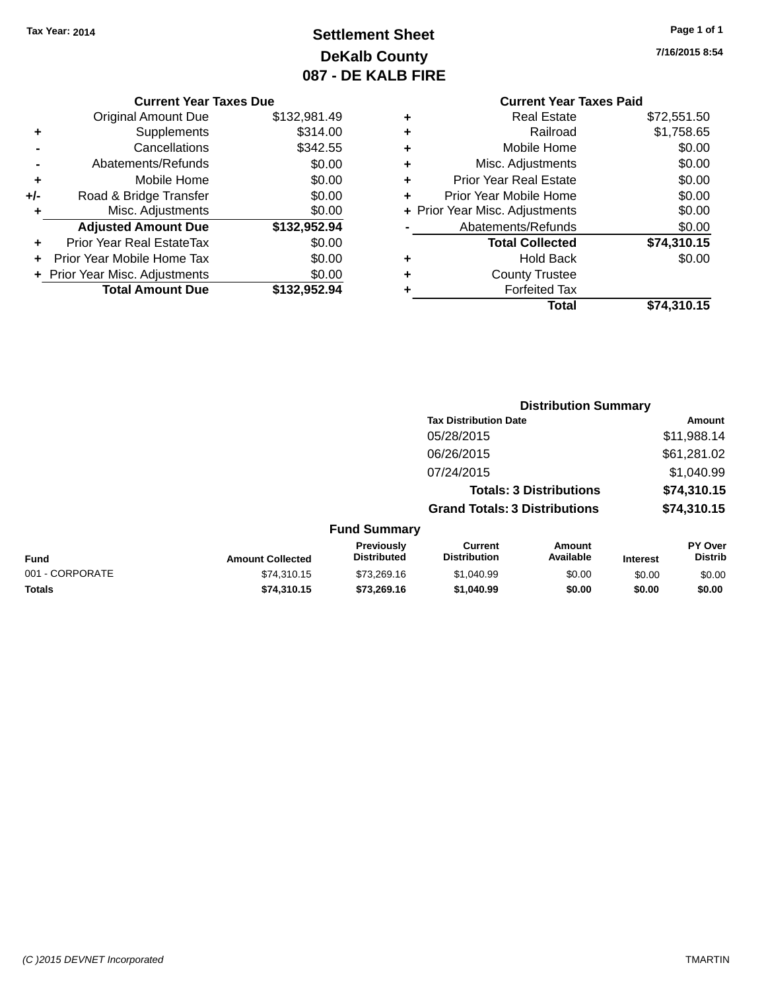# **Settlement Sheet Tax Year: 2014 Page 1 of 1 DeKalb County 087 - DE KALB FIRE**

**7/16/2015 8:54**

|     | <b>Current Year Taxes Due</b>  |              |  |  |  |  |
|-----|--------------------------------|--------------|--|--|--|--|
|     | Original Amount Due            | \$132,981.49 |  |  |  |  |
| ٠   | Supplements                    | \$314.00     |  |  |  |  |
|     | Cancellations                  | \$342.55     |  |  |  |  |
|     | Abatements/Refunds             | \$0.00       |  |  |  |  |
| ٠   | Mobile Home                    | \$0.00       |  |  |  |  |
| +/- | Road & Bridge Transfer         | \$0.00       |  |  |  |  |
| ٠   | Misc. Adjustments              | \$0.00       |  |  |  |  |
|     | <b>Adjusted Amount Due</b>     | \$132,952.94 |  |  |  |  |
| ÷   | Prior Year Real EstateTax      | \$0.00       |  |  |  |  |
|     | Prior Year Mobile Home Tax     | \$0.00       |  |  |  |  |
|     | + Prior Year Misc. Adjustments | \$0.00       |  |  |  |  |
|     | <b>Total Amount Due</b>        | \$132,952.94 |  |  |  |  |
|     |                                |              |  |  |  |  |

## **Current Year Taxes Paid +** Real Estate \$72,551.50 **+** Railroad \$1,758.65 **+** Mobile Home \$0.00 **+** Misc. Adjustments \$0.00 **+** Prior Year Real Estate \$0.00 **+** Prior Year Mobile Home \$0.00<br> **+** Prior Year Misc. Adjustments \$0.00 **+ Prior Year Misc. Adjustments**

| $\blacksquare$ | Abatements/Refunds     | \$0.00      |
|----------------|------------------------|-------------|
|                | <b>Total Collected</b> | \$74,310.15 |
| ٠              | <b>Hold Back</b>       | \$0.00      |
| ٠              | <b>County Trustee</b>  |             |
| ٠              | <b>Forfeited Tax</b>   |             |
|                | Total                  | \$74,310.15 |

|                 |                         |                                  | <b>Distribution Summary</b>           |                                |                 |                                  |
|-----------------|-------------------------|----------------------------------|---------------------------------------|--------------------------------|-----------------|----------------------------------|
|                 |                         |                                  | <b>Tax Distribution Date</b>          |                                |                 | Amount                           |
|                 |                         |                                  | 05/28/2015                            |                                |                 | \$11,988.14                      |
|                 |                         |                                  | 06/26/2015                            |                                |                 | \$61,281.02                      |
|                 |                         |                                  | 07/24/2015                            |                                |                 | \$1,040.99                       |
|                 |                         |                                  |                                       | <b>Totals: 3 Distributions</b> |                 | \$74,310.15                      |
|                 |                         |                                  | <b>Grand Totals: 3 Distributions</b>  |                                |                 | \$74,310.15                      |
|                 |                         | <b>Fund Summary</b>              |                                       |                                |                 |                                  |
| <b>Fund</b>     | <b>Amount Collected</b> | Previously<br><b>Distributed</b> | <b>Current</b><br><b>Distribution</b> | <b>Amount</b><br>Available     | <b>Interest</b> | <b>PY Over</b><br><b>Distrib</b> |
| 001 - CORPORATE | \$74.310.15             | \$73.269.16                      | \$1,040.99                            | \$0.00                         | \$0.00          | \$0.00                           |
| <b>Totals</b>   | \$74,310.15             | \$73,269.16                      | \$1,040.99                            | \$0.00                         | \$0.00          | \$0.00                           |

#### *(C )2015 DEVNET Incorporated* TMARTIN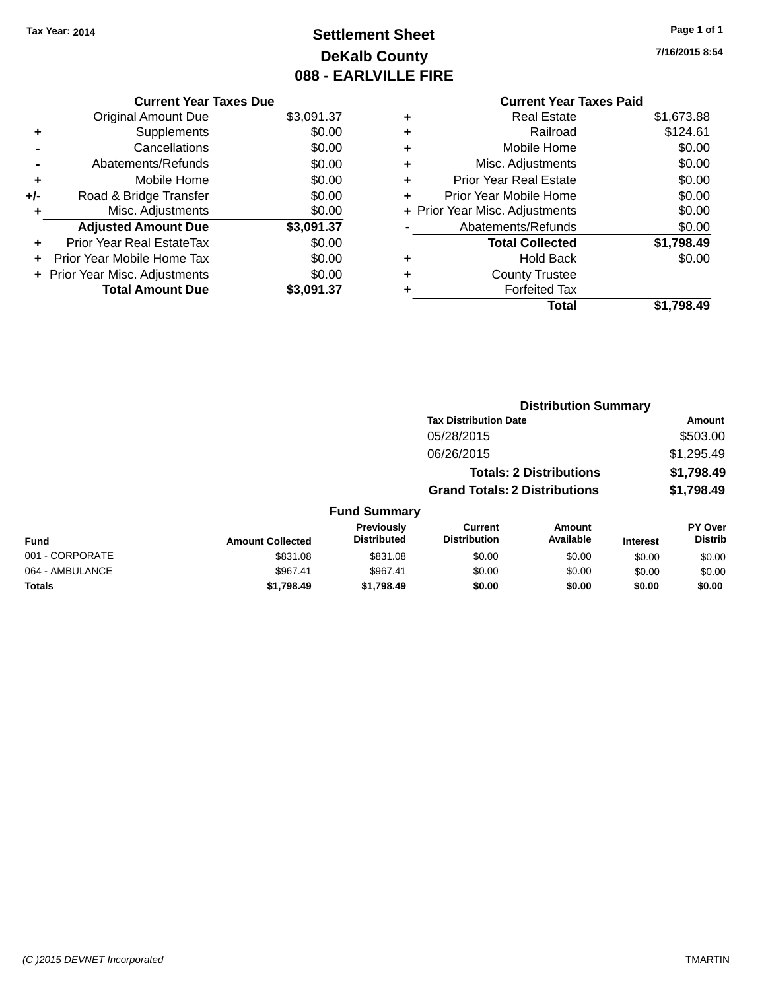# **Settlement Sheet Tax Year: 2014 Page 1 of 1 DeKalb County 088 - EARLVILLE FIRE**

**7/16/2015 8:54**

## **Current Year Taxes Paid +** Real Estate \$1,673.88 **+** Railroad \$124.61 **+** Mobile Home \$0.00 **+** Misc. Adjustments \$0.00 **+** Prior Year Real Estate \$0.00 **+** Prior Year Mobile Home \$0.00 **+ Prior Year Misc. Adjustments**  $$0.00$ **-** Abatements/Refunds \$0.00 **Total Collected \$1,798.49 +** Hold Back \$0.00 **+** County Trustee **+** Forfeited Tax **Total \$1,798.49**

**Distribution Summary**

| <b>Current Year Taxes Due</b>  |            |
|--------------------------------|------------|
| <b>Original Amount Due</b>     | \$3,091.37 |
| Supplements                    | \$0.00     |
| Cancellations                  | \$0.00     |
| Abatements/Refunds             | \$0.00     |
| Mobile Home                    | \$0.00     |
| Road & Bridge Transfer         | \$0.00     |
| Misc. Adjustments              | \$0.00     |
| <b>Adjusted Amount Due</b>     | \$3,091.37 |
| Prior Year Real EstateTax      | \$0.00     |
| Prior Year Mobile Home Tax     | \$0.00     |
| + Prior Year Misc. Adjustments | \$0.00     |
| <b>Total Amount Due</b>        | \$3.091.37 |
|                                |            |

|                         |                                  |                                       |                     |                                                                                                        | Amount                    |
|-------------------------|----------------------------------|---------------------------------------|---------------------|--------------------------------------------------------------------------------------------------------|---------------------------|
|                         |                                  | 05/28/2015                            |                     |                                                                                                        | \$503.00                  |
|                         |                                  | 06/26/2015                            |                     |                                                                                                        | \$1,295.49                |
|                         |                                  |                                       |                     |                                                                                                        | \$1,798.49                |
|                         |                                  |                                       |                     |                                                                                                        | \$1,798.49                |
|                         |                                  |                                       |                     |                                                                                                        |                           |
| <b>Amount Collected</b> | Previously<br><b>Distributed</b> | <b>Current</b><br><b>Distribution</b> | Amount<br>Available | <b>Interest</b>                                                                                        | PY Over<br><b>Distrib</b> |
| \$831.08                | \$831.08                         | \$0.00                                | \$0.00              | \$0.00                                                                                                 | \$0.00                    |
| \$967.41                | \$967.41                         | \$0.00                                | \$0.00              | \$0.00                                                                                                 | \$0.00                    |
| \$1,798.49              | \$1,798.49                       | \$0.00                                | \$0.00              | \$0.00                                                                                                 | \$0.00                    |
|                         |                                  |                                       | <b>Fund Summary</b> | <b>Tax Distribution Date</b><br><b>Totals: 2 Distributions</b><br><b>Grand Totals: 2 Distributions</b> |                           |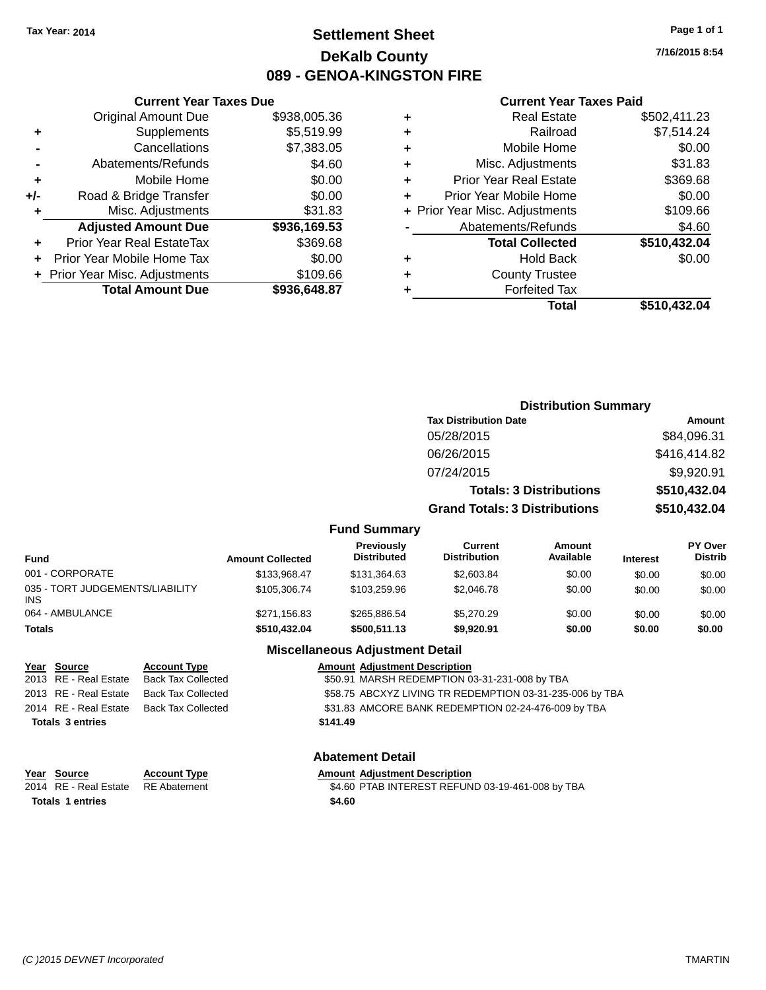# **Settlement Sheet Tax Year: 2014 Page 1 of 1 DeKalb County 089 - GENOA-KINGSTON FIRE**

**7/16/2015 8:54**

#### **Current Year Taxes Paid**

|     | <b>Current Year Taxes Due</b>  |              |   |  |  |  |
|-----|--------------------------------|--------------|---|--|--|--|
|     | <b>Original Amount Due</b>     | \$938,005.36 | ٠ |  |  |  |
| ٠   | Supplements                    | \$5,519.99   | ٠ |  |  |  |
|     | Cancellations                  | \$7,383.05   | ٠ |  |  |  |
|     | Abatements/Refunds             | \$4.60       | ٠ |  |  |  |
|     | Mobile Home                    | \$0.00       | ٠ |  |  |  |
| +/- | Road & Bridge Transfer         | \$0.00       | ٠ |  |  |  |
|     | Misc. Adjustments              | \$31.83      | ٠ |  |  |  |
|     | <b>Adjusted Amount Due</b>     | \$936,169.53 |   |  |  |  |
| ÷   | Prior Year Real EstateTax      | \$369.68     |   |  |  |  |
|     | Prior Year Mobile Home Tax     | \$0.00       | ٠ |  |  |  |
|     | + Prior Year Misc. Adjustments | \$109.66     | ÷ |  |  |  |
|     | <b>Total Amount Due</b>        | \$936,648.87 |   |  |  |  |
|     |                                |              |   |  |  |  |

|   | <b>Real Estate</b>             | \$502,411.23 |
|---|--------------------------------|--------------|
| ٠ | Railroad                       | \$7,514.24   |
| ٠ | Mobile Home                    | \$0.00       |
| ٠ | Misc. Adjustments              | \$31.83      |
| ٠ | <b>Prior Year Real Estate</b>  | \$369.68     |
| ÷ | Prior Year Mobile Home         | \$0.00       |
|   | + Prior Year Misc. Adjustments | \$109.66     |
|   | Abatements/Refunds             | \$4.60       |
|   | <b>Total Collected</b>         | \$510,432.04 |
| ٠ | <b>Hold Back</b>               | \$0.00       |
| ٠ | <b>County Trustee</b>          |              |
| ٠ | <b>Forfeited Tax</b>           |              |
|   | Total                          | \$510,432.04 |
|   |                                |              |

|                                               |                         |                                  | <b>Distribution Summary</b>           |                                |                 |                           |
|-----------------------------------------------|-------------------------|----------------------------------|---------------------------------------|--------------------------------|-----------------|---------------------------|
|                                               |                         |                                  | <b>Tax Distribution Date</b>          |                                | <b>Amount</b>   |                           |
|                                               |                         |                                  | 05/28/2015                            |                                |                 | \$84,096.31               |
|                                               |                         |                                  | 06/26/2015                            |                                |                 | \$416,414.82              |
|                                               |                         |                                  | 07/24/2015                            |                                |                 | \$9,920.91                |
|                                               |                         |                                  |                                       | <b>Totals: 3 Distributions</b> |                 | \$510,432.04              |
|                                               |                         |                                  | <b>Grand Totals: 3 Distributions</b>  |                                |                 | \$510,432.04              |
|                                               |                         | <b>Fund Summary</b>              |                                       |                                |                 |                           |
| <b>Fund</b>                                   | <b>Amount Collected</b> | Previously<br><b>Distributed</b> | <b>Current</b><br><b>Distribution</b> | <b>Amount</b><br>Available     | <b>Interest</b> | PY Over<br><b>Distrib</b> |
| 001 - CORPORATE                               | \$133,968.47            | \$131,364.63                     | \$2,603.84                            | \$0.00                         | \$0.00          | \$0.00                    |
| 035 - TORT JUDGEMENTS/LIABILITY<br><b>INS</b> | \$105,306.74            | \$103.259.96                     | \$2,046.78                            | \$0.00                         | \$0.00          | \$0.00                    |
| 064 - AMBULANCE                               | \$271,156.83            | \$265,886.54                     | \$5,270.29                            | \$0.00                         | \$0.00          | \$0.00                    |
| <b>Totals</b>                                 | \$510,432.04            | \$500,511.13                     | \$9,920.91                            | \$0.00                         | \$0.00          | \$0.00                    |

## **Miscellaneous Adjustment Detail**

|                         | Year Source           | <b>Account Type</b>       | <b>Amount Adjustment Description</b>                     |
|-------------------------|-----------------------|---------------------------|----------------------------------------------------------|
|                         | 2013 RE - Real Estate | <b>Back Tax Collected</b> | \$50.91 MARSH REDEMPTION 03-31-231-008 by TBA            |
|                         | 2013 RE - Real Estate | Back Tax Collected        | \$58.75 ABCXYZ LIVING TR REDEMPTION 03-31-235-006 by TBA |
|                         | 2014 RE - Real Estate | Back Tax Collected        | \$31.83 AMCORE BANK REDEMPTION 02-24-476-009 by TBA      |
| <b>Totals 3 entries</b> |                       |                           | \$141.49                                                 |
|                         |                       |                           |                                                          |

#### **Abatement Detail**

| <u>Year Source</u>      | <b>Account Type</b> |        | <b>Amount Adjustment Description</b>             |
|-------------------------|---------------------|--------|--------------------------------------------------|
| 2014 RE - Real Estate   | RE Abatement        |        | \$4.60 PTAB INTEREST REFUND 03-19-461-008 by TBA |
| <b>Totals 1 entries</b> |                     | \$4.60 |                                                  |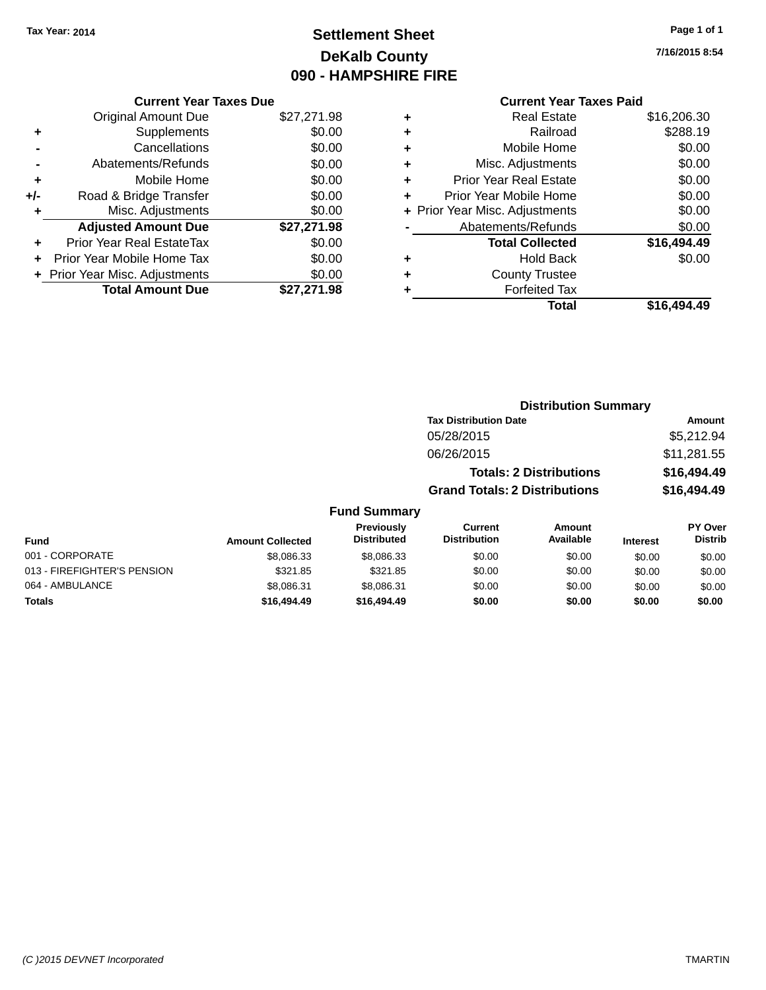# **Settlement Sheet Tax Year: 2014 Page 1 of 1 DeKalb County 090 - HAMPSHIRE FIRE**

**7/16/2015 8:54**

# **Current Year Taxes Paid**

|       | <b>Current Year Taxes Due</b>  |             |  |  |  |  |
|-------|--------------------------------|-------------|--|--|--|--|
|       | <b>Original Amount Due</b>     | \$27,271.98 |  |  |  |  |
| ٠     | Supplements                    | \$0.00      |  |  |  |  |
|       | Cancellations                  | \$0.00      |  |  |  |  |
|       | Abatements/Refunds             | \$0.00      |  |  |  |  |
| ٠     | Mobile Home                    | \$0.00      |  |  |  |  |
| $+/-$ | Road & Bridge Transfer         | \$0.00      |  |  |  |  |
| ٠     | \$0.00<br>Misc. Adjustments    |             |  |  |  |  |
|       | <b>Adjusted Amount Due</b>     | \$27,271.98 |  |  |  |  |
| ٠     | Prior Year Real EstateTax      | \$0.00      |  |  |  |  |
|       | Prior Year Mobile Home Tax     | \$0.00      |  |  |  |  |
|       | + Prior Year Misc. Adjustments | \$0.00      |  |  |  |  |
|       | <b>Total Amount Due</b>        | \$27.271.98 |  |  |  |  |
|       |                                |             |  |  |  |  |

|   | <b>Real Estate</b>             | \$16,206.30 |
|---|--------------------------------|-------------|
| ٠ | Railroad                       | \$288.19    |
| ٠ | Mobile Home                    | \$0.00      |
| ٠ | Misc. Adjustments              | \$0.00      |
| ٠ | <b>Prior Year Real Estate</b>  | \$0.00      |
| ÷ | Prior Year Mobile Home         | \$0.00      |
|   | + Prior Year Misc. Adjustments | \$0.00      |
|   | Abatements/Refunds             | \$0.00      |
|   | <b>Total Collected</b>         | \$16,494.49 |
| ٠ | <b>Hold Back</b>               | \$0.00      |
| ٠ | <b>County Trustee</b>          |             |
| ٠ | <b>Forfeited Tax</b>           |             |
|   | Total                          | \$16,494.49 |
|   |                                |             |

|                   |                                      | <b>Distribution Summary</b>    |                |
|-------------------|--------------------------------------|--------------------------------|----------------|
|                   | <b>Tax Distribution Date</b>         |                                | Amount         |
|                   | 05/28/2015                           |                                | \$5,212.94     |
|                   | 06/26/2015                           |                                | \$11,281.55    |
|                   |                                      | <b>Totals: 2 Distributions</b> | \$16,494.49    |
|                   | <b>Grand Totals: 2 Distributions</b> |                                | \$16,494.49    |
| Fund Summary      |                                      |                                |                |
| <b>Previously</b> | Current                              | Amount                         | <b>PY Over</b> |

| <b>Fund</b>                 | <b>Amount Collected</b> | <b>Previously</b><br><b>Distributed</b> | Current<br><b>Distribution</b> | Amount<br>Available | <b>Interest</b> | PY Over<br><b>Distrib</b> |
|-----------------------------|-------------------------|-----------------------------------------|--------------------------------|---------------------|-----------------|---------------------------|
| 001 - CORPORATE             | \$8,086,33              | \$8,086,33                              | \$0.00                         | \$0.00              | \$0.00          | \$0.00                    |
| 013 - FIREFIGHTER'S PENSION | \$321.85                | \$321.85                                | \$0.00                         | \$0.00              | \$0.00          | \$0.00                    |
| 064 - AMBULANCE             | \$8.086.31              | \$8.086.31                              | \$0.00                         | \$0.00              | \$0.00          | \$0.00                    |
| <b>Totals</b>               | \$16,494.49             | \$16,494.49                             | \$0.00                         | \$0.00              | \$0.00          | \$0.00                    |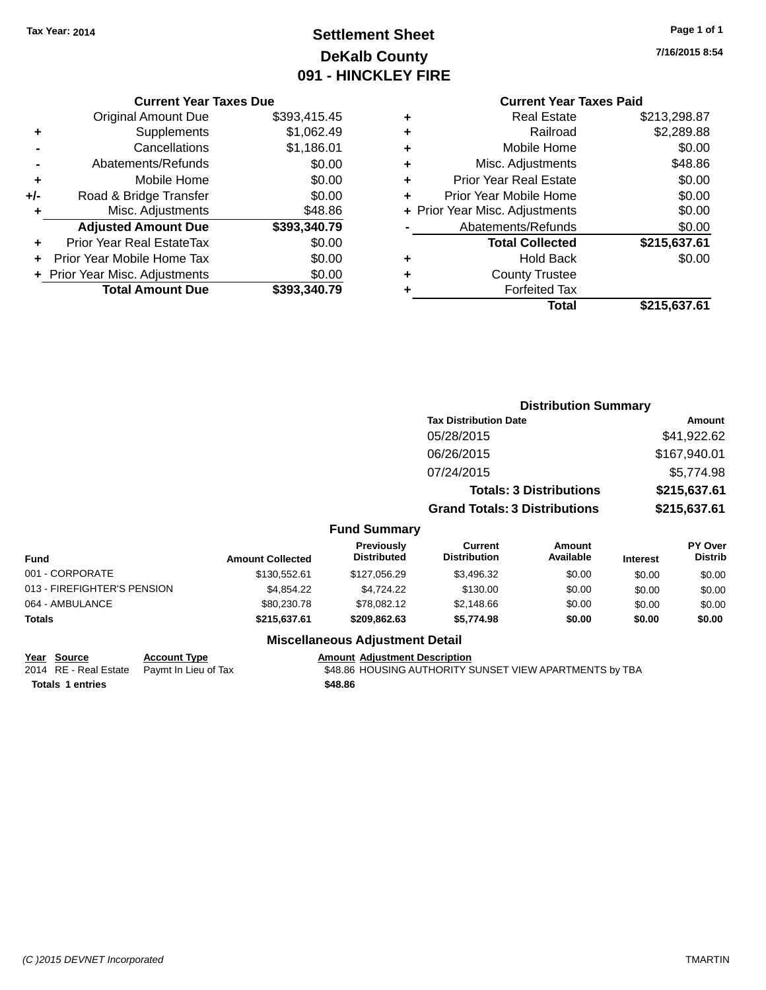# **Settlement Sheet Tax Year: 2014 Page 1 of 1 DeKalb County 091 - HINCKLEY FIRE**

**7/16/2015 8:54**

|     | <b>Current Year Taxes Due</b>  |              |
|-----|--------------------------------|--------------|
|     | <b>Original Amount Due</b>     | \$393,415.45 |
| ٠   | Supplements                    | \$1,062.49   |
|     | Cancellations                  | \$1,186.01   |
|     | Abatements/Refunds             | \$0.00       |
| ٠   | Mobile Home                    | \$0.00       |
| +/- | Road & Bridge Transfer         | \$0.00       |
| ٠   | Misc. Adjustments              | \$48.86      |
|     | <b>Adjusted Amount Due</b>     | \$393,340.79 |
|     | Prior Year Real EstateTax      | \$0.00       |
|     | Prior Year Mobile Home Tax     | \$0.00       |
|     | + Prior Year Misc. Adjustments | \$0.00       |
|     | <b>Total Amount Due</b>        | \$393,340.79 |

# **Current Year Taxes Paid +** Real Estate \$213,298.87

| \$0.00<br>\$48.86 |
|-------------------|
|                   |
|                   |
| \$0.00            |
| \$0.00            |
| \$0.00            |
| \$0.00            |
| \$215,637.61      |
| \$0.00            |
|                   |
|                   |
| \$215,637.61      |
|                   |

|                             |                         |                                        |                                       | <b>Distribution Summary</b>    |                 |                           |
|-----------------------------|-------------------------|----------------------------------------|---------------------------------------|--------------------------------|-----------------|---------------------------|
|                             |                         |                                        | <b>Tax Distribution Date</b>          |                                |                 | <b>Amount</b>             |
|                             |                         |                                        | 05/28/2015                            |                                |                 | \$41,922.62               |
|                             |                         |                                        | 06/26/2015                            |                                |                 | \$167,940.01              |
|                             |                         |                                        | 07/24/2015                            |                                |                 | \$5,774.98                |
|                             |                         |                                        |                                       | <b>Totals: 3 Distributions</b> |                 | \$215,637.61              |
|                             |                         |                                        | <b>Grand Totals: 3 Distributions</b>  |                                |                 | \$215,637.61              |
|                             |                         | <b>Fund Summary</b>                    |                                       |                                |                 |                           |
| Fund                        | <b>Amount Collected</b> | Previously<br><b>Distributed</b>       | <b>Current</b><br><b>Distribution</b> | Amount<br>Available            | <b>Interest</b> | PY Over<br><b>Distrib</b> |
| 001 - CORPORATE             | \$130,552.61            | \$127,056.29                           | \$3,496.32                            | \$0.00                         | \$0.00          | \$0.00                    |
| 013 - FIREFIGHTER'S PENSION | \$4,854.22              | \$4,724.22                             | \$130.00                              | \$0.00                         | \$0.00          | \$0.00                    |
| 064 - AMBULANCE             | \$80,230.78             | \$78,082.12                            | \$2,148.66                            | \$0.00                         | \$0.00          | \$0.00                    |
| Totals                      | \$215,637.61            | \$209,862.63                           | \$5,774.98                            | \$0.00                         | \$0.00          | \$0.00                    |
|                             |                         | <b>Miscellaneous Adjustment Detail</b> |                                       |                                |                 |                           |

# **Year Source Account Type Account Adjustment Description**

2014 RE - Real Estate Paymt In Lieu of Tax **\$48.86 HOUSING AUTHORITY SUNSET VIEW APARTMENTS** by TBA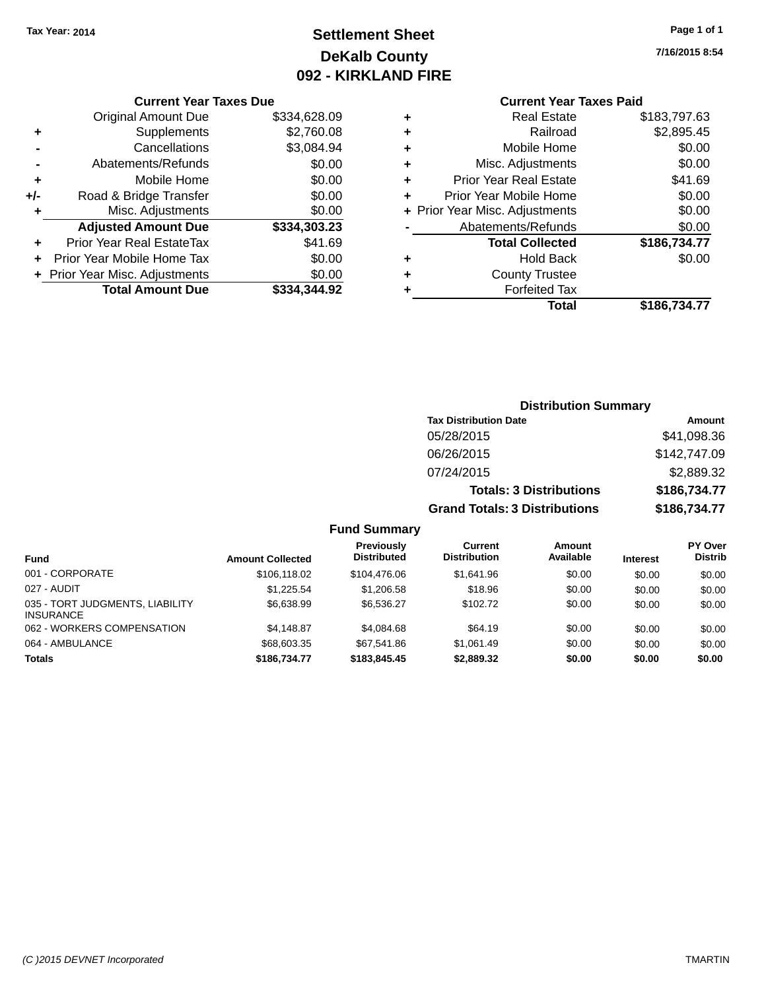# **Settlement Sheet Tax Year: 2014 Page 1 of 1 DeKalb County 092 - KIRKLAND FIRE**

**7/16/2015 8:54**

|  | Cur |
|--|-----|
|  |     |

| <b>Current Year Taxes Due</b>  |              |  |  |  |  |  |
|--------------------------------|--------------|--|--|--|--|--|
| <b>Original Amount Due</b>     | \$334,628.09 |  |  |  |  |  |
| Supplements                    | \$2,760.08   |  |  |  |  |  |
| Cancellations                  | \$3,084.94   |  |  |  |  |  |
| Abatements/Refunds             | \$0.00       |  |  |  |  |  |
| Mobile Home                    | \$0.00       |  |  |  |  |  |
| Road & Bridge Transfer         | \$0.00       |  |  |  |  |  |
| Misc. Adjustments              | \$0.00       |  |  |  |  |  |
| <b>Adjusted Amount Due</b>     | \$334,303.23 |  |  |  |  |  |
| Prior Year Real EstateTax      | \$41.69      |  |  |  |  |  |
| Prior Year Mobile Home Tax     | \$0.00       |  |  |  |  |  |
| + Prior Year Misc. Adjustments | \$0.00       |  |  |  |  |  |
| <b>Total Amount Due</b>        | \$334.344.92 |  |  |  |  |  |
|                                |              |  |  |  |  |  |

|   | <b>Current Year Taxes Paid</b> |              |
|---|--------------------------------|--------------|
| ٠ | <b>Real Estate</b>             | \$183,797.63 |
| ٠ | Railroad                       | \$2,895.45   |
| ٠ | Mobile Home                    | \$0.00       |
| ٠ | Misc. Adjustments              | \$0.00       |
| ٠ | <b>Prior Year Real Estate</b>  | \$41.69      |
| ٠ | Prior Year Mobile Home         | \$0.00       |
|   | + Prior Year Misc. Adjustments | \$0.00       |
|   | Abatements/Refunds             | \$0.00       |
|   | <b>Total Collected</b>         | \$186,734.77 |
| ٠ | Hold Back                      | \$0.00       |
|   | <b>County Trustee</b>          |              |
| ٠ | <b>Forfeited Tax</b>           |              |
|   | Total                          | \$186,734.77 |
|   |                                |              |

|       |                                  | <b>Distribution Summary</b>           |                                |         |                                  |
|-------|----------------------------------|---------------------------------------|--------------------------------|---------|----------------------------------|
|       |                                  | <b>Tax Distribution Date</b>          |                                |         | Amount                           |
|       |                                  | 05/28/2015                            |                                |         | \$41,098.36                      |
|       |                                  | 06/26/2015                            |                                |         | \$142,747.09                     |
|       |                                  | 07/24/2015                            |                                |         | \$2,889.32                       |
|       |                                  |                                       | <b>Totals: 3 Distributions</b> |         | \$186,734.77                     |
|       |                                  | <b>Grand Totals: 3 Distributions</b>  |                                |         | \$186,734.77                     |
|       | <b>Fund Summary</b>              |                                       |                                |         |                                  |
| ootod | <b>Previously</b><br>Distributed | <b>Current</b><br><b>Distribution</b> | Amount<br>Available            | Intract | <b>PY Over</b><br><b>Distrib</b> |

| <b>Fund</b>                                         | <b>Amount Collected</b> | Previously<br>Distributed | Current<br><b>Distribution</b> | Amount<br>Available | <b>Interest</b> | <b>PY Over</b><br><b>Distrib</b> |
|-----------------------------------------------------|-------------------------|---------------------------|--------------------------------|---------------------|-----------------|----------------------------------|
| 001 - CORPORATE                                     | \$106.118.02            | \$104,476.06              | \$1.641.96                     | \$0.00              | \$0.00          | \$0.00                           |
| 027 - AUDIT                                         | \$1.225.54              | \$1,206.58                | \$18.96                        | \$0.00              | \$0.00          | \$0.00                           |
| 035 - TORT JUDGMENTS, LIABILITY<br><b>INSURANCE</b> | \$6,638.99              | \$6.536.27                | \$102.72                       | \$0.00              | \$0.00          | \$0.00                           |
| 062 - WORKERS COMPENSATION                          | \$4.148.87              | \$4.084.68                | \$64.19                        | \$0.00              | \$0.00          | \$0.00                           |
| 064 - AMBULANCE                                     | \$68,603,35             | \$67.541.86               | \$1.061.49                     | \$0.00              | \$0.00          | \$0.00                           |
| <b>Totals</b>                                       | \$186,734.77            | \$183,845,45              | \$2,889.32                     | \$0.00              | \$0.00          | \$0.00                           |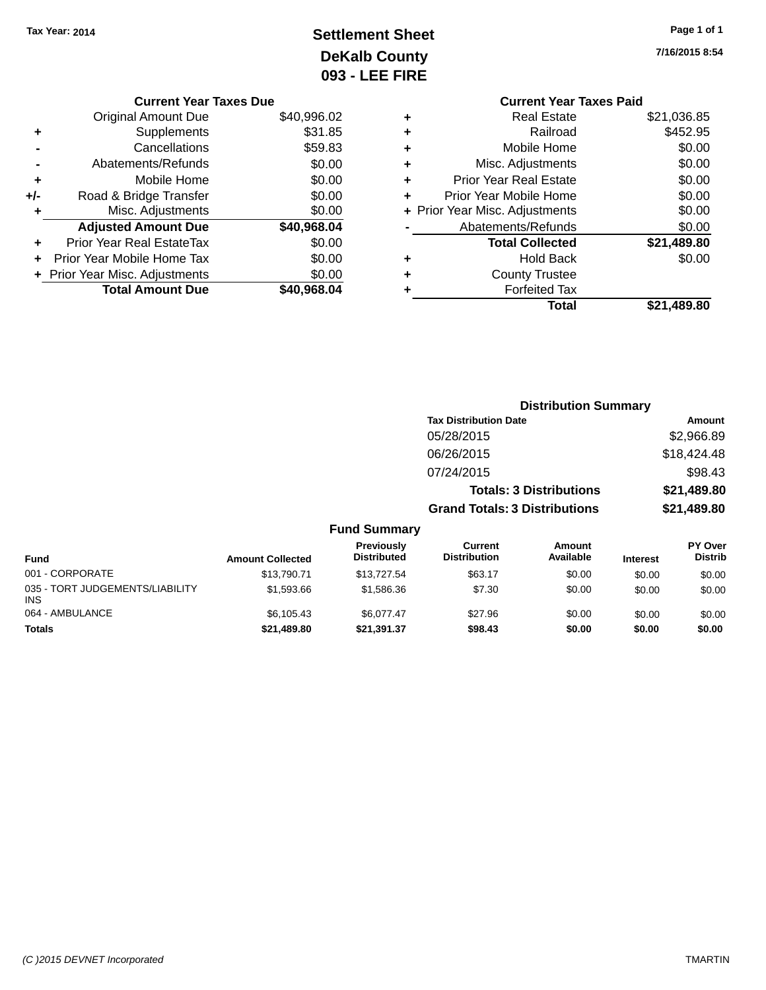# **Settlement Sheet Tax Year: 2014 Page 1 of 1 DeKalb County 093 - LEE FIRE**

|     | <b>Current Year Taxes Due</b>  |             |
|-----|--------------------------------|-------------|
|     | <b>Original Amount Due</b>     | \$40,996.02 |
| ٠   | Supplements                    | \$31.85     |
|     | Cancellations                  | \$59.83     |
|     | Abatements/Refunds             | \$0.00      |
| ٠   | Mobile Home                    | \$0.00      |
| +/- | Road & Bridge Transfer         | \$0.00      |
| ٠   | Misc. Adjustments              | \$0.00      |
|     | <b>Adjusted Amount Due</b>     | \$40,968.04 |
|     | Prior Year Real EstateTax      | \$0.00      |
|     | Prior Year Mobile Home Tax     | \$0.00      |
|     | + Prior Year Misc. Adjustments | \$0.00      |
|     | <b>Total Amount Due</b>        | \$40,968.04 |

**7/16/2015 8:54**

|   | <b>Current Year Taxes Paid</b> |             |
|---|--------------------------------|-------------|
| ٠ | <b>Real Estate</b>             | \$21,036.85 |
| ٠ | Railroad                       | \$452.95    |
| ٠ | Mobile Home                    | \$0.00      |
| ٠ | Misc. Adjustments              | \$0.00      |
| ٠ | <b>Prior Year Real Estate</b>  | \$0.00      |
| ÷ | Prior Year Mobile Home         | \$0.00      |
|   | + Prior Year Misc. Adjustments | \$0.00      |
|   | Abatements/Refunds             | \$0.00      |
|   | <b>Total Collected</b>         | \$21,489.80 |
| ٠ | <b>Hold Back</b>               | \$0.00      |
|   | <b>County Trustee</b>          |             |
| ٠ | <b>Forfeited Tax</b>           |             |
|   | Total                          | \$21,489.80 |

|                                   |                                      | <b>Distribution Summary</b>    |                                   |
|-----------------------------------|--------------------------------------|--------------------------------|-----------------------------------|
|                                   | <b>Tax Distribution Date</b>         |                                | Amount                            |
|                                   | 05/28/2015                           |                                | \$2,966.89                        |
|                                   | 06/26/2015                           |                                | \$18,424.48                       |
|                                   | 07/24/2015                           |                                | \$98.43                           |
|                                   |                                      | <b>Totals: 3 Distributions</b> | \$21,489.80                       |
|                                   | <b>Grand Totals: 3 Distributions</b> |                                | \$21,489.80                       |
| <b>Fund Summary</b>               |                                      |                                |                                   |
| <b>Previously</b><br>Diatrik da d | <b>Current</b><br>Diateibutian       | Amount                         | <b>PY Over</b><br><b>Diaselle</b> |

| <b>Fund</b>                                   | <b>Amount Collected</b> | <b>Previously</b><br><b>Distributed</b> | Current<br><b>Distribution</b> | Amount<br>Available | <b>Interest</b> | <b>PY Over</b><br><b>Distrib</b> |
|-----------------------------------------------|-------------------------|-----------------------------------------|--------------------------------|---------------------|-----------------|----------------------------------|
| 001 - CORPORATE                               | \$13,790.71             | \$13,727.54                             | \$63.17                        | \$0.00              | \$0.00          | \$0.00                           |
| 035 - TORT JUDGEMENTS/LIABILITY<br><b>INS</b> | \$1,593.66              | \$1.586.36                              | \$7.30                         | \$0.00              | \$0.00          | \$0.00                           |
| 064 - AMBULANCE                               | \$6,105,43              | \$6,077,47                              | \$27.96                        | \$0.00              | \$0.00          | \$0.00                           |
| <b>Totals</b>                                 | \$21,489.80             | \$21,391.37                             | \$98.43                        | \$0.00              | \$0.00          | \$0.00                           |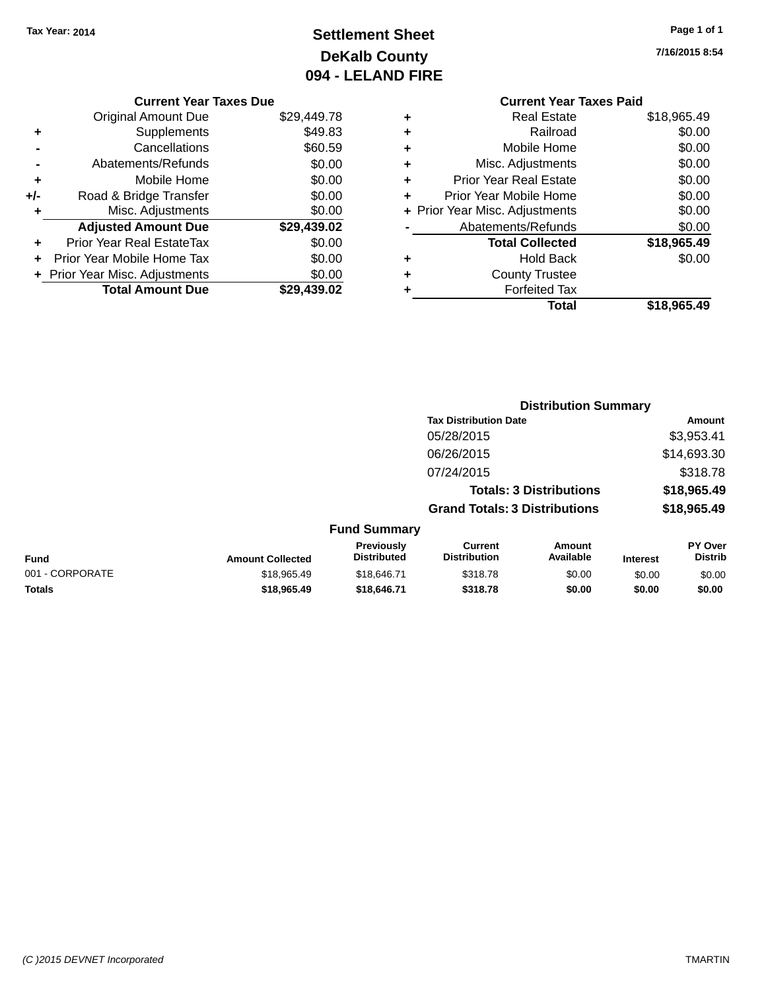# **Settlement Sheet Tax Year: 2014 Page 1 of 1 DeKalb County 094 - LELAND FIRE**

#### **7/16/2015 8:54**

|   | <b>Current Year Taxes Paid</b> |             |
|---|--------------------------------|-------------|
| ٠ | <b>Real Estate</b>             | \$18,965.49 |
| ٠ | Railroad                       | \$0.00      |
| ٠ | Mobile Home                    | \$0.00      |
| ٠ | Misc. Adjustments              | \$0.00      |
| ٠ | <b>Prior Year Real Estate</b>  | \$0.00      |
| ٠ | Prior Year Mobile Home         | \$0.00      |
|   | + Prior Year Misc. Adjustments | \$0.00      |
|   | Abatements/Refunds             | \$0.00      |
|   | <b>Total Collected</b>         | \$18,965.49 |
| ٠ | Hold Back                      | \$0.00      |
| ٠ | <b>County Trustee</b>          |             |
|   | <b>Forfeited Tax</b>           |             |
|   | Total                          | \$18.965.49 |

**Distribution Summary**

## **Current Year Taxes Due** Original Amount Due \$29,449.78 **+** Supplements \$49.83 **-** Cancellations \$60.59 **-** Abatements/Refunds \$0.00 **+** Mobile Home \$0.00 **+/-** Road & Bridge Transfer \$0.00 **+** Misc. Adjustments \$0.00 **Adjusted Amount Due \$29,439.02 +** Prior Year Real EstateTax \$0.00 **+** Prior Year Mobile Home Tax \$0.00 **+ Prior Year Misc. Adjustments**  $$0.00$ **Total Amount Due \$29,439.02**

|                 |                         |                                         | <b>Tax Distribution Date</b>          |                                |                 | Amount                    |
|-----------------|-------------------------|-----------------------------------------|---------------------------------------|--------------------------------|-----------------|---------------------------|
|                 |                         |                                         | 05/28/2015                            |                                |                 | \$3,953.41                |
|                 |                         |                                         | 06/26/2015                            |                                |                 | \$14,693.30               |
|                 |                         |                                         | 07/24/2015                            |                                |                 | \$318.78                  |
|                 |                         |                                         |                                       | <b>Totals: 3 Distributions</b> |                 | \$18,965.49               |
|                 |                         |                                         | <b>Grand Totals: 3 Distributions</b>  |                                |                 | \$18,965.49               |
|                 |                         | <b>Fund Summary</b>                     |                                       |                                |                 |                           |
| <b>Fund</b>     | <b>Amount Collected</b> | <b>Previously</b><br><b>Distributed</b> | <b>Current</b><br><b>Distribution</b> | Amount<br>Available            | <b>Interest</b> | PY Over<br><b>Distrib</b> |
| 001 - CORPORATE | \$18,965.49             | \$18,646.71                             | \$318.78                              | \$0.00                         | \$0.00          | \$0.00                    |
| <b>Totals</b>   | \$18,965.49             | \$18,646.71                             | \$318.78                              | \$0.00                         | \$0.00          | \$0.00                    |
|                 |                         |                                         |                                       |                                |                 |                           |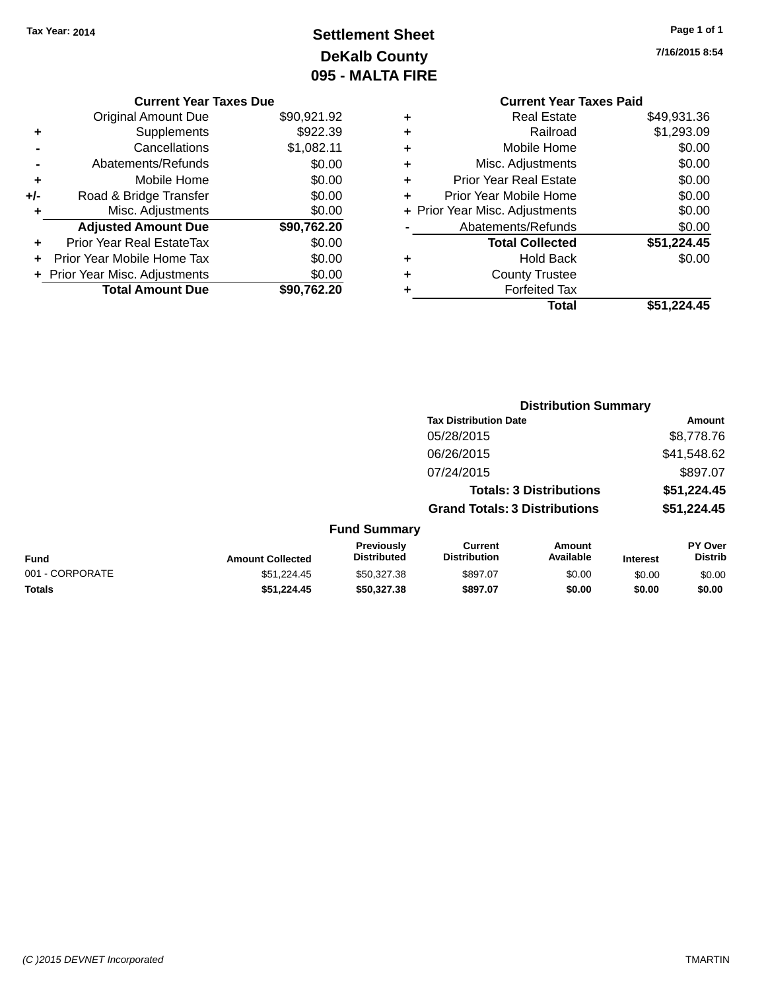# **Settlement Sheet Tax Year: 2014 Page 1 of 1 DeKalb County 095 - MALTA FIRE**

**7/16/2015 8:54**

|   | <b>Current Year Taxes Paid</b> |             |
|---|--------------------------------|-------------|
| ٠ | <b>Real Estate</b>             | \$49,931.36 |
| ٠ | Railroad                       | \$1,293.09  |
| ٠ | Mobile Home                    | \$0.00      |
| ٠ | Misc. Adjustments              | \$0.00      |
| ٠ | <b>Prior Year Real Estate</b>  | \$0.00      |
| ٠ | Prior Year Mobile Home         | \$0.00      |
|   | + Prior Year Misc. Adjustments | \$0.00      |
|   | Abatements/Refunds             | \$0.00      |
|   | <b>Total Collected</b>         | \$51,224.45 |
|   | <b>Hold Back</b>               | \$0.00      |
| ٠ | <b>County Trustee</b>          |             |
|   | <b>Forfeited Tax</b>           |             |
|   | Total                          | \$51,224.45 |
|   |                                |             |

**Distribution Summary**

|     | <b>Current Year Taxes Due</b>    |             |
|-----|----------------------------------|-------------|
|     | <b>Original Amount Due</b>       | \$90,921.92 |
| ٠   | Supplements                      | \$922.39    |
|     | Cancellations                    | \$1,082.11  |
|     | Abatements/Refunds               | \$0.00      |
| ٠   | Mobile Home                      | \$0.00      |
| +/- | Road & Bridge Transfer           | \$0.00      |
| ٠   | Misc. Adjustments                | \$0.00      |
|     | <b>Adjusted Amount Due</b>       | \$90,762.20 |
|     | <b>Prior Year Real EstateTax</b> | \$0.00      |
|     | Prior Year Mobile Home Tax       | \$0.00      |
|     | + Prior Year Misc. Adjustments   | \$0.00      |
|     | <b>Total Amount Due</b>          | \$90.762.20 |

|                 |                         |                                         | <b>Tax Distribution Date</b>          |                                |                 | <b>Amount</b>             |
|-----------------|-------------------------|-----------------------------------------|---------------------------------------|--------------------------------|-----------------|---------------------------|
|                 |                         |                                         | 05/28/2015                            |                                |                 | \$8,778.76                |
|                 |                         |                                         | 06/26/2015                            |                                |                 | \$41,548.62               |
|                 |                         |                                         | 07/24/2015                            |                                |                 | \$897.07                  |
|                 |                         |                                         |                                       | <b>Totals: 3 Distributions</b> |                 | \$51,224.45               |
|                 |                         |                                         | <b>Grand Totals: 3 Distributions</b>  |                                |                 | \$51,224.45               |
|                 |                         | <b>Fund Summary</b>                     |                                       |                                |                 |                           |
| Fund            | <b>Amount Collected</b> | <b>Previously</b><br><b>Distributed</b> | <b>Current</b><br><b>Distribution</b> | Amount<br>Available            | <b>Interest</b> | PY Over<br><b>Distrib</b> |
| 001 - CORPORATE | \$51,224.45             | \$50,327.38                             | \$897.07                              | \$0.00                         | \$0.00          | \$0.00                    |
| <b>Totals</b>   | \$51.224.45             | \$50,327,38                             | \$897.07                              | \$0.00                         | \$0.00          | \$0.00                    |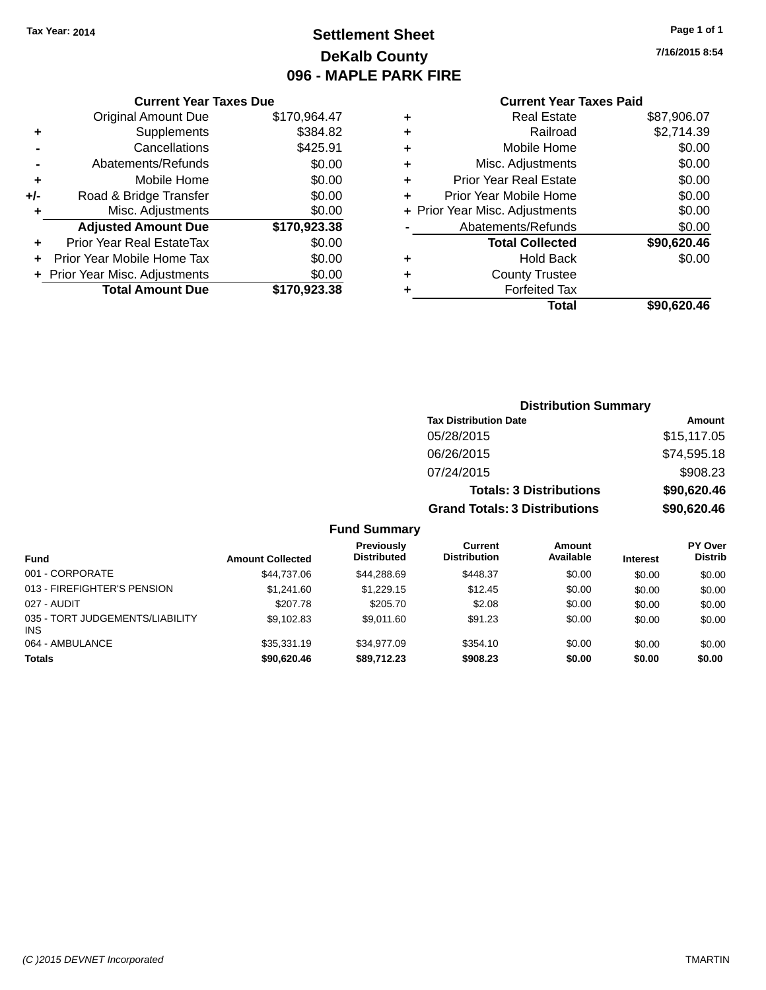# **Settlement Sheet Tax Year: 2014 Page 1 of 1 DeKalb County 096 - MAPLE PARK FIRE**

**7/16/2015 8:54**

## **Current Year Taxes Paid**

|       | <b>Original Amount Due</b>     | \$170,964.47 |
|-------|--------------------------------|--------------|
| ٠     | Supplements                    | \$384.82     |
|       | Cancellations                  | \$425.91     |
|       | Abatements/Refunds             | \$0.00       |
| ٠     | Mobile Home                    | \$0.00       |
| $+/-$ | Road & Bridge Transfer         | \$0.00       |
| ٠     | Misc. Adjustments              | \$0.00       |
|       | <b>Adjusted Amount Due</b>     | \$170,923.38 |
| ٠     | Prior Year Real EstateTax      | \$0.00       |
|       | Prior Year Mobile Home Tax     | \$0.00       |
|       | + Prior Year Misc. Adjustments | \$0.00       |
|       | <b>Total Amount Due</b>        | \$170,923.38 |
|       |                                |              |

**Current Year Taxes Due**

| ٠ | <b>Real Estate</b>             | \$87,906.07 |
|---|--------------------------------|-------------|
| ٠ | Railroad                       | \$2,714.39  |
| ٠ | Mobile Home                    | \$0.00      |
| ٠ | Misc. Adjustments              | \$0.00      |
| ٠ | <b>Prior Year Real Estate</b>  | \$0.00      |
| ÷ | Prior Year Mobile Home         | \$0.00      |
|   | + Prior Year Misc. Adjustments | \$0.00      |
|   | Abatements/Refunds             | \$0.00      |
|   | <b>Total Collected</b>         | \$90,620.46 |
| ٠ | Hold Back                      | \$0.00      |
|   | <b>County Trustee</b>          |             |
| ٠ | <b>Forfeited Tax</b>           |             |
|   | Total                          | \$90,620.46 |
|   |                                |             |

|                     | <b>Distribution Summary</b>          |             |
|---------------------|--------------------------------------|-------------|
|                     | <b>Tax Distribution Date</b>         | Amount      |
|                     | 05/28/2015                           | \$15,117.05 |
|                     | 06/26/2015                           | \$74,595.18 |
|                     | 07/24/2015                           | \$908.23    |
|                     | <b>Totals: 3 Distributions</b>       | \$90,620.46 |
|                     | <b>Grand Totals: 3 Distributions</b> | \$90,620.46 |
| <b>Fund Summary</b> |                                      |             |

#### **Fund Interest Amount Collected Distributed PY Over Distrib Amount Available Current Distribution Previously** 001 - CORPORATE \$44,737.06 \$44,288.69 \$448.37 \$0.00 \$0.00 \$0.00 013 - FIREFIGHTER'S PENSION \$1,241.60 \$1,229.15 \$12.45 \$0.00 \$0.00 \$0.00 \$0.00 027 - AUDIT \$207.78 \$205.70 \$2.08 \$0.00 \$0.00 \$0.00 035 - TORT JUDGEMENTS/LIABILITY INS \$9,102.83 \$9,011.60 \$91.23 \$0.00 \$0.00 \$0.00 064 - AMBULANCE 6 \$35,331.19 \$34,977.09 \$354.10 \$0.00 \$0.00 \$0.00 \$0.00 **Totals \$90,620.46 \$89,712.23 \$908.23 \$0.00 \$0.00 \$0.00**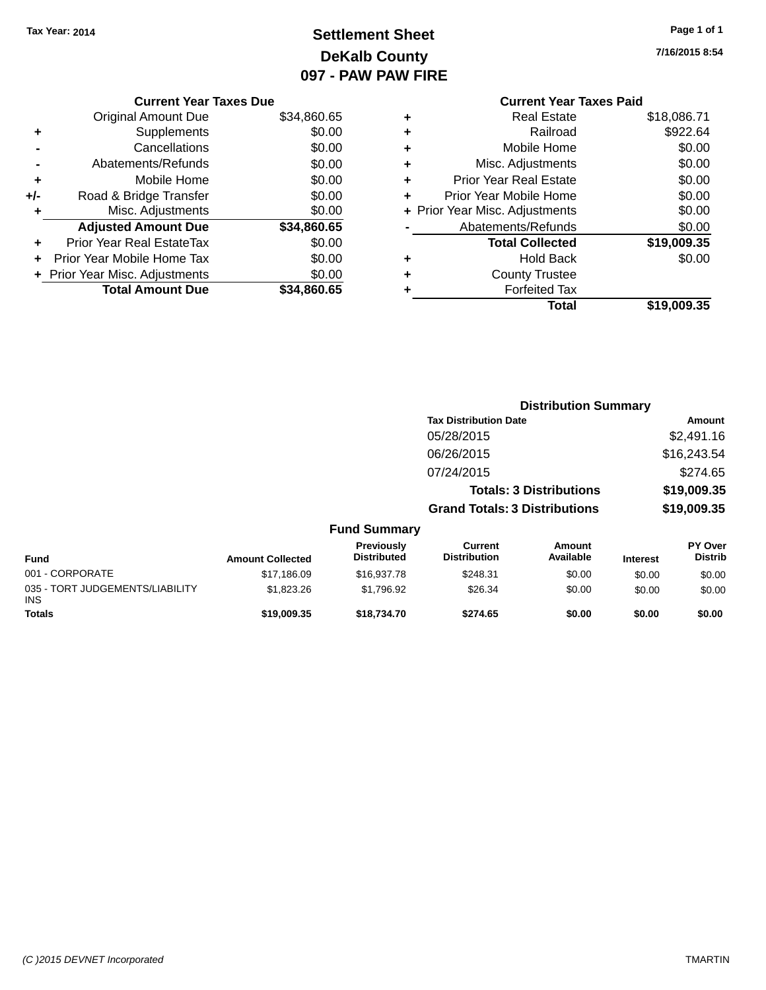# **Settlement Sheet Tax Year: 2014 Page 1 of 1 DeKalb County 097 - PAW PAW FIRE**

| Page 1 of 1 |  |  |
|-------------|--|--|
|-------------|--|--|

**7/16/2015 8:54**

|     | <b>Current Year Taxes Due</b>  |             |           |
|-----|--------------------------------|-------------|-----------|
|     | <b>Original Amount Due</b>     | \$34,860.65 | ٠         |
|     | Supplements                    | \$0.00      | ٠         |
|     | Cancellations                  | \$0.00      | ٠         |
|     | Abatements/Refunds             | \$0.00      | ٠         |
|     | Mobile Home                    | \$0.00      |           |
| +/- | Road & Bridge Transfer         | \$0.00      |           |
|     | Misc. Adjustments              | \$0.00      | $+$ Prior |
|     | <b>Adjusted Amount Due</b>     | \$34,860.65 |           |
|     | Prior Year Real EstateTax      | \$0.00      |           |
|     | Prior Year Mobile Home Tax     | \$0.00      | ٠         |
|     | + Prior Year Misc. Adjustments | \$0.00      |           |
|     | <b>Total Amount Due</b>        | \$34,860.65 |           |
|     |                                |             |           |

## **Current Year Taxes Paid +** Real Estate \$18,086.71 **+** Railroad \$922.64 **+** Mobile Home \$0.00 **Misc. Adjustments** \$0.00 **Prior Year Real Estate \$0.00 Prior Year Mobile Home**  $$0.00$ **+** Year Misc. Adjustments  $\text{\$0.00}$ Abatements/Refunds \$0.00 **Total Collected \$19,009.35 +** Hold Back \$0.00 **+** County Trustee **Forfeited Tax**<br>**Total** \$19,009.35

|                                         |                         |                                  |                                      | <b>Distribution Summary</b>    |                 |                                  |
|-----------------------------------------|-------------------------|----------------------------------|--------------------------------------|--------------------------------|-----------------|----------------------------------|
|                                         |                         |                                  | <b>Tax Distribution Date</b>         |                                |                 | Amount                           |
|                                         |                         |                                  | 05/28/2015                           |                                |                 | \$2,491.16                       |
|                                         |                         |                                  | 06/26/2015                           |                                |                 | \$16,243.54                      |
|                                         |                         |                                  | 07/24/2015                           |                                |                 | \$274.65                         |
|                                         |                         |                                  |                                      | <b>Totals: 3 Distributions</b> |                 | \$19,009.35                      |
|                                         |                         |                                  | <b>Grand Totals: 3 Distributions</b> |                                |                 | \$19,009.35                      |
|                                         |                         | <b>Fund Summary</b>              |                                      |                                |                 |                                  |
| <b>Fund</b>                             | <b>Amount Collected</b> | Previously<br><b>Distributed</b> | Current<br><b>Distribution</b>       | Amount<br>Available            | <b>Interest</b> | <b>PY Over</b><br><b>Distrib</b> |
| 001 - CORPORATE                         | \$17,186.09             | \$16,937.78                      | \$248.31                             | \$0.00                         | \$0.00          | \$0.00                           |
| 035 - TORT JUDGEMENTS/LIABILITY<br>INS. | \$1,823.26              | \$1,796.92                       | \$26.34                              | \$0.00                         | \$0.00          | \$0.00                           |
| <b>Totals</b>                           | \$19,009.35             | \$18,734.70                      | \$274.65                             | \$0.00                         | \$0.00          | \$0.00                           |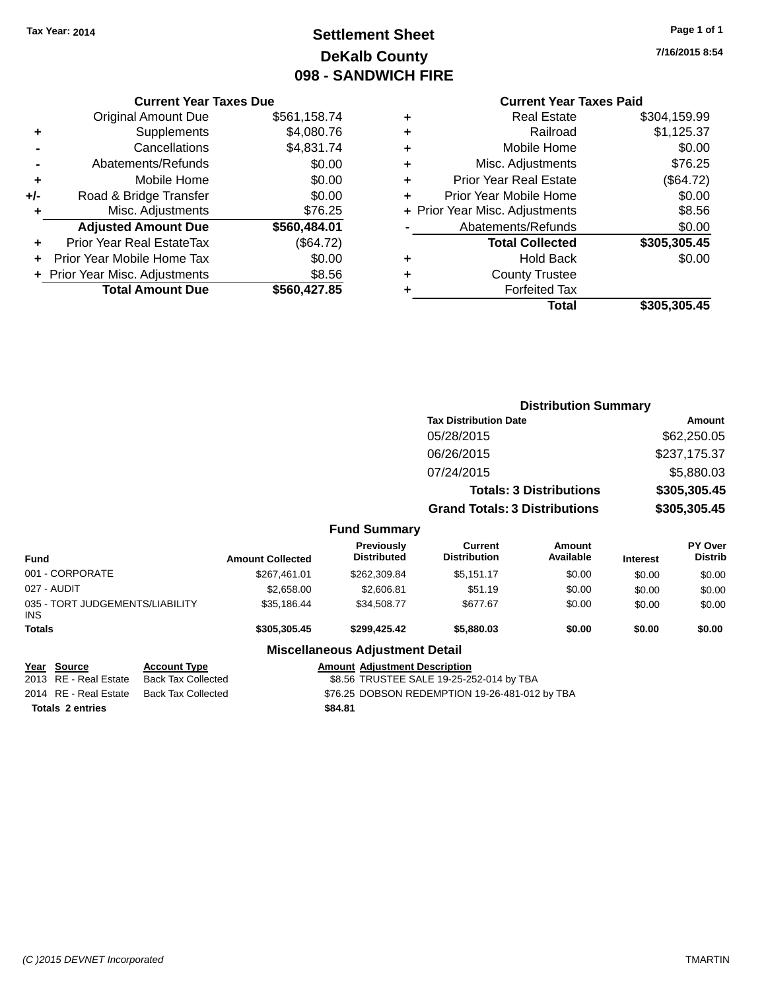# **Settlement Sheet Tax Year: 2014 Page 1 of 1 DeKalb County 098 - SANDWICH FIRE**

**7/16/2015 8:54**

## **Current Year Taxes Paid**

|     | <b>Current Year Taxes Due</b>  |              |  |  |  |  |
|-----|--------------------------------|--------------|--|--|--|--|
|     | <b>Original Amount Due</b>     | \$561,158.74 |  |  |  |  |
| ÷   | Supplements                    | \$4,080.76   |  |  |  |  |
|     | Cancellations                  | \$4,831.74   |  |  |  |  |
|     | Abatements/Refunds             | \$0.00       |  |  |  |  |
| ٠   | Mobile Home                    | \$0.00       |  |  |  |  |
| +/- | Road & Bridge Transfer         | \$0.00       |  |  |  |  |
| ٠   | Misc. Adjustments              | \$76.25      |  |  |  |  |
|     | <b>Adjusted Amount Due</b>     | \$560,484.01 |  |  |  |  |
| ٠   | Prior Year Real EstateTax      | (\$64.72)    |  |  |  |  |
|     | Prior Year Mobile Home Tax     | \$0.00       |  |  |  |  |
|     | + Prior Year Misc. Adjustments | \$8.56       |  |  |  |  |
|     | <b>Total Amount Due</b>        | \$560,427.85 |  |  |  |  |
|     |                                |              |  |  |  |  |

| ٠ | <b>Real Estate</b>             | \$304,159.99 |
|---|--------------------------------|--------------|
| ٠ | Railroad                       | \$1,125.37   |
| ٠ | Mobile Home                    | \$0.00       |
| ٠ | Misc. Adjustments              | \$76.25      |
| ٠ | <b>Prior Year Real Estate</b>  | (\$64.72)    |
| ٠ | Prior Year Mobile Home         | \$0.00       |
|   | + Prior Year Misc. Adjustments | \$8.56       |
|   | Abatements/Refunds             | \$0.00       |
|   | <b>Total Collected</b>         | \$305,305.45 |
| ٠ | <b>Hold Back</b>               | \$0.00       |
| ٠ | <b>County Trustee</b>          |              |
| ٠ | <b>Forfeited Tax</b>           |              |
|   | Total                          | \$305,305.45 |
|   |                                |              |

|                                                    |                         |                                          |                                       | <b>Distribution Summary</b>    |                 |                           |
|----------------------------------------------------|-------------------------|------------------------------------------|---------------------------------------|--------------------------------|-----------------|---------------------------|
|                                                    |                         |                                          | <b>Tax Distribution Date</b>          |                                |                 | Amount                    |
|                                                    |                         |                                          | 05/28/2015                            |                                |                 | \$62,250.05               |
|                                                    |                         |                                          | 06/26/2015                            |                                |                 | \$237,175.37              |
|                                                    |                         |                                          | 07/24/2015                            |                                |                 | \$5,880.03                |
|                                                    |                         |                                          |                                       | <b>Totals: 3 Distributions</b> |                 | \$305,305.45              |
|                                                    |                         |                                          | <b>Grand Totals: 3 Distributions</b>  |                                |                 | \$305,305.45              |
|                                                    |                         | <b>Fund Summary</b>                      |                                       |                                |                 |                           |
| <b>Fund</b>                                        | <b>Amount Collected</b> | Previously<br><b>Distributed</b>         | <b>Current</b><br><b>Distribution</b> | <b>Amount</b><br>Available     | <b>Interest</b> | PY Over<br><b>Distrib</b> |
| 001 - CORPORATE                                    | \$267,461.01            | \$262,309.84                             | \$5,151.17                            | \$0.00                         | \$0.00          | \$0.00                    |
| 027 - AUDIT                                        | \$2,658.00              | \$2,606.81                               | \$51.19                               | \$0.00                         | \$0.00          | \$0.00                    |
| 035 - TORT JUDGEMENTS/LIABILITY<br><b>INS</b>      | \$35,186.44             | \$34,508.77                              | \$677.67                              | \$0.00                         | \$0.00          | \$0.00                    |
| <b>Totals</b>                                      | \$305,305.45            | \$299,425.42                             | \$5,880.03                            | \$0.00                         | \$0.00          | \$0.00                    |
|                                                    |                         | <b>Miscellaneous Adjustment Detail</b>   |                                       |                                |                 |                           |
| <b>Account Type</b><br><b>Source</b><br>Year       |                         | <b>Amount Adjustment Description</b>     |                                       |                                |                 |                           |
| 2013 RE - Real Estate<br><b>Back Tax Collected</b> |                         | \$8.56 TRUSTEE SALE 19-25-252-014 by TBA |                                       |                                |                 |                           |

**Totals \$84.81 2 entries**

\$8.56 TRUSTEE SALE 19-25-252-014 by TBA 2014 RE - Real Estate Back Tax Collected \$76.25 DOBSON REDEMPTION 19-26-481-012 by TBA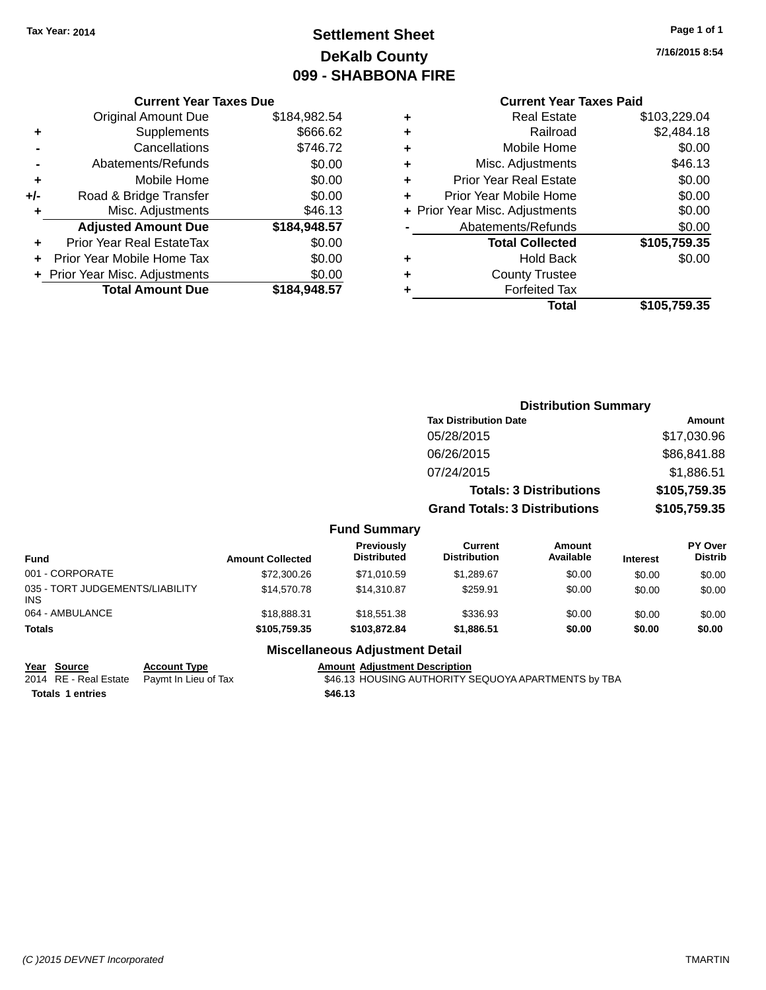# **Settlement Sheet Tax Year: 2014 Page 1 of 1 DeKalb County 099 - SHABBONA FIRE**

**7/16/2015 8:54**

## **Current Year Taxes Paid**

|     | <b>Current Year Taxes Due</b>  |              |
|-----|--------------------------------|--------------|
|     | <b>Original Amount Due</b>     | \$184,982.54 |
| ٠   | Supplements                    | \$666.62     |
|     | Cancellations                  | \$746.72     |
|     | Abatements/Refunds             | \$0.00       |
| ٠   | Mobile Home                    | \$0.00       |
| +/- | Road & Bridge Transfer         | \$0.00       |
| ٠   | Misc. Adjustments              | \$46.13      |
|     | <b>Adjusted Amount Due</b>     | \$184,948.57 |
| ٠   | Prior Year Real EstateTax      | \$0.00       |
| ÷   | Prior Year Mobile Home Tax     | \$0.00       |
|     | + Prior Year Misc. Adjustments | \$0.00       |
|     | <b>Total Amount Due</b>        | \$184,948.57 |
|     |                                |              |

| ٠ | <b>Real Estate</b>             | \$103,229.04 |
|---|--------------------------------|--------------|
| ٠ | Railroad                       | \$2,484.18   |
| ٠ | Mobile Home                    | \$0.00       |
| ٠ | Misc. Adjustments              | \$46.13      |
| ٠ | <b>Prior Year Real Estate</b>  | \$0.00       |
| ٠ | Prior Year Mobile Home         | \$0.00       |
|   | + Prior Year Misc. Adjustments | \$0.00       |
|   | Abatements/Refunds             | \$0.00       |
|   | <b>Total Collected</b>         | \$105,759.35 |
| ٠ | Hold Back                      | \$0.00       |
| ٠ | <b>County Trustee</b>          |              |
| ٠ | <b>Forfeited Tax</b>           |              |
|   | Total                          | \$105,759.35 |
|   |                                |              |

|                                         |                         |                                  | <b>Distribution Summary</b>           |                                |                 |                           |
|-----------------------------------------|-------------------------|----------------------------------|---------------------------------------|--------------------------------|-----------------|---------------------------|
|                                         |                         |                                  | <b>Tax Distribution Date</b>          |                                |                 | Amount                    |
|                                         |                         |                                  | 05/28/2015                            |                                |                 | \$17,030.96               |
|                                         |                         |                                  | 06/26/2015                            |                                |                 | \$86,841.88               |
|                                         |                         |                                  | 07/24/2015                            |                                |                 | \$1,886.51                |
|                                         |                         |                                  |                                       | <b>Totals: 3 Distributions</b> |                 | \$105,759.35              |
|                                         |                         |                                  | <b>Grand Totals: 3 Distributions</b>  |                                |                 | \$105,759.35              |
|                                         |                         | <b>Fund Summary</b>              |                                       |                                |                 |                           |
| <b>Fund</b>                             | <b>Amount Collected</b> | Previously<br><b>Distributed</b> | <b>Current</b><br><b>Distribution</b> | <b>Amount</b><br>Available     | <b>Interest</b> | PY Over<br><b>Distrib</b> |
| 001 - CORPORATE                         | \$72,300.26             | \$71,010.59                      | \$1,289.67                            | \$0.00                         | \$0.00          | \$0.00                    |
| 035 - TORT JUDGEMENTS/LIABILITY<br>INS. | \$14,570.78             | \$14,310.87                      | \$259.91                              | \$0.00                         | \$0.00          | \$0.00                    |
| 064 - AMBULANCE                         | \$18,888.31             | \$18,551.38                      | \$336.93                              | \$0.00                         | \$0.00          | \$0.00                    |
| <b>Totals</b>                           | \$105,759,35            | \$103.872.84                     | \$1,886.51                            | \$0.00                         | \$0.00          | \$0.00                    |

## **Miscellaneous Adjustment Detail**

**Year Source Account Type Amount Adjustment Description**

**Totals \$46.13 1 entries**

2014 RE - Real Estate Paymt In Lieu of Tax **1988 1998 SACADES SEQUOYA APARTMENTS by TBA**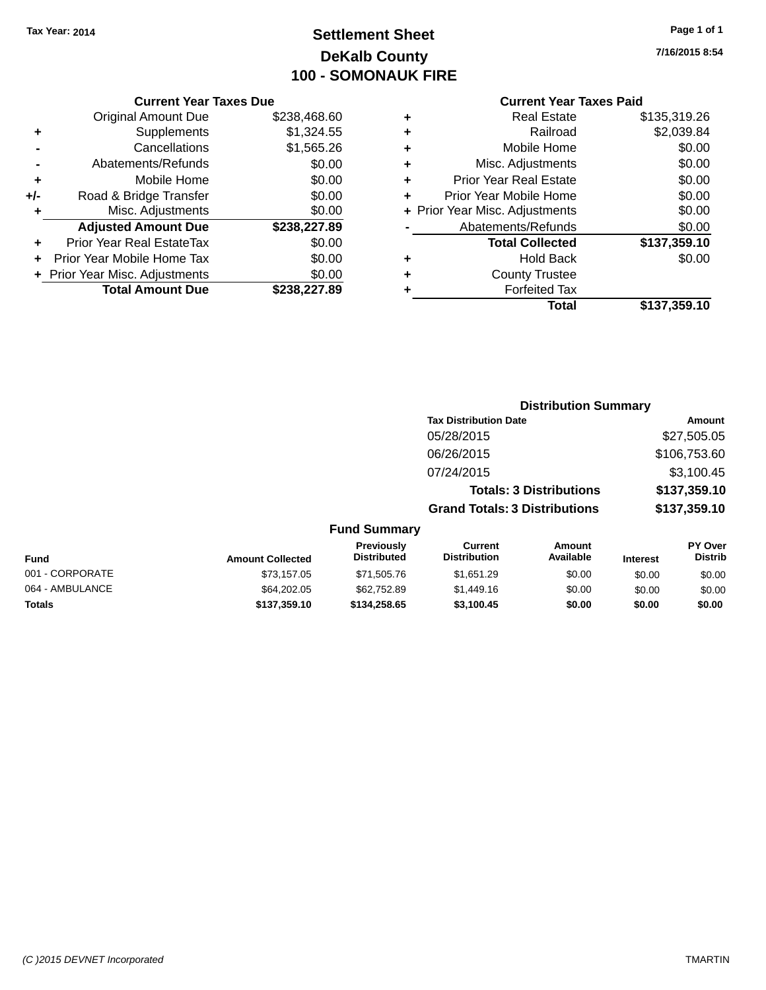# **Settlement Sheet Tax Year: 2014 Page 1 of 1 DeKalb County 100 - SOMONAUK FIRE**

**7/16/2015 8:54**

## **Current Year Taxes Paid**

| <b>Current Year Taxes Due</b> |                              |  |  |  |  |
|-------------------------------|------------------------------|--|--|--|--|
| <b>Original Amount Due</b>    | \$238,468.60                 |  |  |  |  |
| Supplements                   | \$1,324.55                   |  |  |  |  |
| Cancellations                 | \$1,565.26                   |  |  |  |  |
| Abatements/Refunds            | \$0.00                       |  |  |  |  |
| Mobile Home                   | \$0.00                       |  |  |  |  |
| Road & Bridge Transfer        | \$0.00                       |  |  |  |  |
| Misc. Adjustments             | \$0.00                       |  |  |  |  |
| <b>Adjusted Amount Due</b>    | \$238,227.89                 |  |  |  |  |
| Prior Year Real EstateTax     | \$0.00                       |  |  |  |  |
| Prior Year Mobile Home Tax    | \$0.00                       |  |  |  |  |
|                               | \$0.00                       |  |  |  |  |
| <b>Total Amount Due</b>       | \$238.227.89                 |  |  |  |  |
|                               | Prior Year Misc. Adjustments |  |  |  |  |

| ٠ | <b>Real Estate</b>             | \$135,319.26 |
|---|--------------------------------|--------------|
| ٠ | Railroad                       | \$2,039.84   |
| ٠ | Mobile Home                    | \$0.00       |
| ٠ | Misc. Adjustments              | \$0.00       |
| ٠ | <b>Prior Year Real Estate</b>  | \$0.00       |
| ٠ | Prior Year Mobile Home         | \$0.00       |
|   | + Prior Year Misc. Adjustments | \$0.00       |
|   | Abatements/Refunds             | \$0.00       |
|   | <b>Total Collected</b>         | \$137,359.10 |
| ٠ | Hold Back                      | \$0.00       |
| ٠ | <b>County Trustee</b>          |              |
| ٠ | <b>Forfeited Tax</b>           |              |
|   | Total                          | \$137,359.10 |
|   |                                |              |

|                                            |                                      | <b>Distribution Summary</b>    |                                  |  |
|--------------------------------------------|--------------------------------------|--------------------------------|----------------------------------|--|
|                                            | <b>Tax Distribution Date</b>         |                                | Amount                           |  |
|                                            | 05/28/2015                           |                                | \$27,505.05                      |  |
|                                            | 06/26/2015                           |                                | \$106,753.60                     |  |
|                                            | 07/24/2015                           |                                | \$3,100.45                       |  |
|                                            |                                      | <b>Totals: 3 Distributions</b> | \$137,359.10                     |  |
|                                            | <b>Grand Totals: 3 Distributions</b> |                                | \$137,359.10                     |  |
| <b>Fund Summary</b>                        |                                      |                                |                                  |  |
| <b>Previously</b><br>الممهر بمائمه فالتلاح | Current<br>Diateibutian              | Amount<br>A.                   | <b>PY Over</b><br><b>Diatrik</b> |  |

| <b>Fund</b>     | <b>Amount Collected</b> | <b>Previously</b><br><b>Distributed</b> | Current<br><b>Distribution</b> | Amount<br>Available | <b>Interest</b> | <b>PY Over</b><br><b>Distrib</b> |
|-----------------|-------------------------|-----------------------------------------|--------------------------------|---------------------|-----------------|----------------------------------|
| 001 - CORPORATE | \$73.157.05             | \$71,505.76                             | \$1.651.29                     | \$0.00              | \$0.00          | \$0.00                           |
| 064 - AMBULANCE | \$64,202.05             | \$62,752.89                             | \$1.449.16                     | \$0.00              | \$0.00          | \$0.00                           |
| <b>Totals</b>   | \$137,359.10            | \$134,258,65                            | \$3.100.45                     | \$0.00              | \$0.00          | \$0.00                           |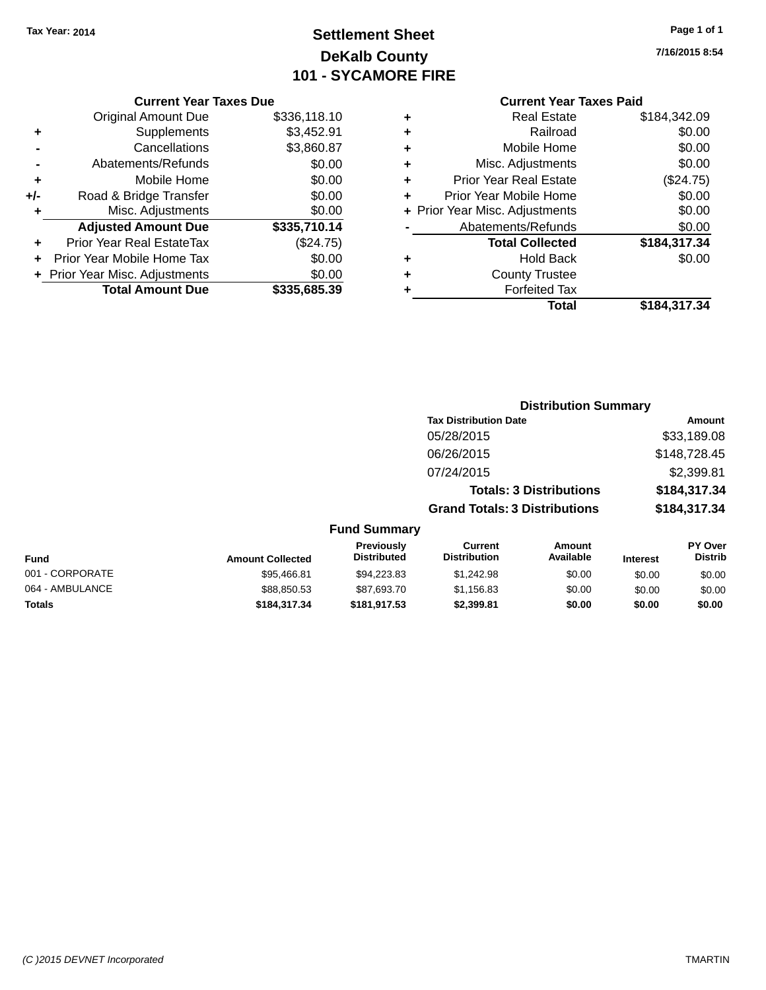# **Settlement Sheet Tax Year: 2014 Page 1 of 1 DeKalb County 101 - SYCAMORE FIRE**

**Totals \$184,317.34 \$181,917.53 \$2,399.81 \$0.00 \$0.00 \$0.00**

**7/16/2015 8:54**

#### **Current Year Taxes Paid**

| <b>Current Year Taxes Due</b> |                                |  |  |  |
|-------------------------------|--------------------------------|--|--|--|
| <b>Original Amount Due</b>    | \$336,118.10                   |  |  |  |
| Supplements                   | \$3,452.91                     |  |  |  |
| Cancellations                 | \$3,860.87                     |  |  |  |
| Abatements/Refunds            | \$0.00                         |  |  |  |
| Mobile Home                   | \$0.00                         |  |  |  |
| Road & Bridge Transfer        | \$0.00                         |  |  |  |
| Misc. Adjustments             | \$0.00                         |  |  |  |
| <b>Adjusted Amount Due</b>    | \$335,710.14                   |  |  |  |
| Prior Year Real EstateTax     | (\$24.75)                      |  |  |  |
| Prior Year Mobile Home Tax    | \$0.00                         |  |  |  |
|                               | \$0.00                         |  |  |  |
| <b>Total Amount Due</b>       | \$335,685.39                   |  |  |  |
|                               | + Prior Year Misc. Adjustments |  |  |  |

|   | <b>Real Estate</b>             | \$184,342.09 |
|---|--------------------------------|--------------|
| ٠ | Railroad                       | \$0.00       |
| ٠ | Mobile Home                    | \$0.00       |
| ٠ | Misc. Adjustments              | \$0.00       |
| ٠ | <b>Prior Year Real Estate</b>  | (\$24.75)    |
| ÷ | Prior Year Mobile Home         | \$0.00       |
|   | + Prior Year Misc. Adjustments | \$0.00       |
|   | Abatements/Refunds             | \$0.00       |
|   | <b>Total Collected</b>         | \$184,317.34 |
| ٠ | <b>Hold Back</b>               | \$0.00       |
| ٠ | <b>County Trustee</b>          |              |
| ٠ | <b>Forfeited Tax</b>           |              |
|   | Total                          | \$184,317.34 |
|   |                                |              |

|                 |                         |                                  |                                      | <b>Distribution Summary</b>    |                 |                           |
|-----------------|-------------------------|----------------------------------|--------------------------------------|--------------------------------|-----------------|---------------------------|
|                 |                         |                                  | <b>Tax Distribution Date</b>         |                                |                 | Amount                    |
|                 |                         |                                  | 05/28/2015                           |                                |                 | \$33,189.08               |
|                 |                         |                                  | 06/26/2015                           |                                |                 | \$148,728.45              |
|                 |                         |                                  | 07/24/2015                           |                                |                 | \$2,399.81                |
|                 |                         |                                  |                                      | <b>Totals: 3 Distributions</b> |                 | \$184,317.34              |
|                 |                         |                                  | <b>Grand Totals: 3 Distributions</b> |                                |                 | \$184,317.34              |
|                 |                         | <b>Fund Summary</b>              |                                      |                                |                 |                           |
| <b>Fund</b>     | <b>Amount Collected</b> | Previously<br><b>Distributed</b> | Current<br><b>Distribution</b>       | Amount<br>Available            | <b>Interest</b> | PY Over<br><b>Distrib</b> |
| 001 - CORPORATE | \$95,466.81             | \$94,223.83                      | \$1,242.98                           | \$0.00                         | \$0.00          | \$0.00                    |
| 064 - AMBULANCE | \$88,850.53             | \$87,693.70                      | \$1,156.83                           | \$0.00                         | \$0.00          | \$0.00                    |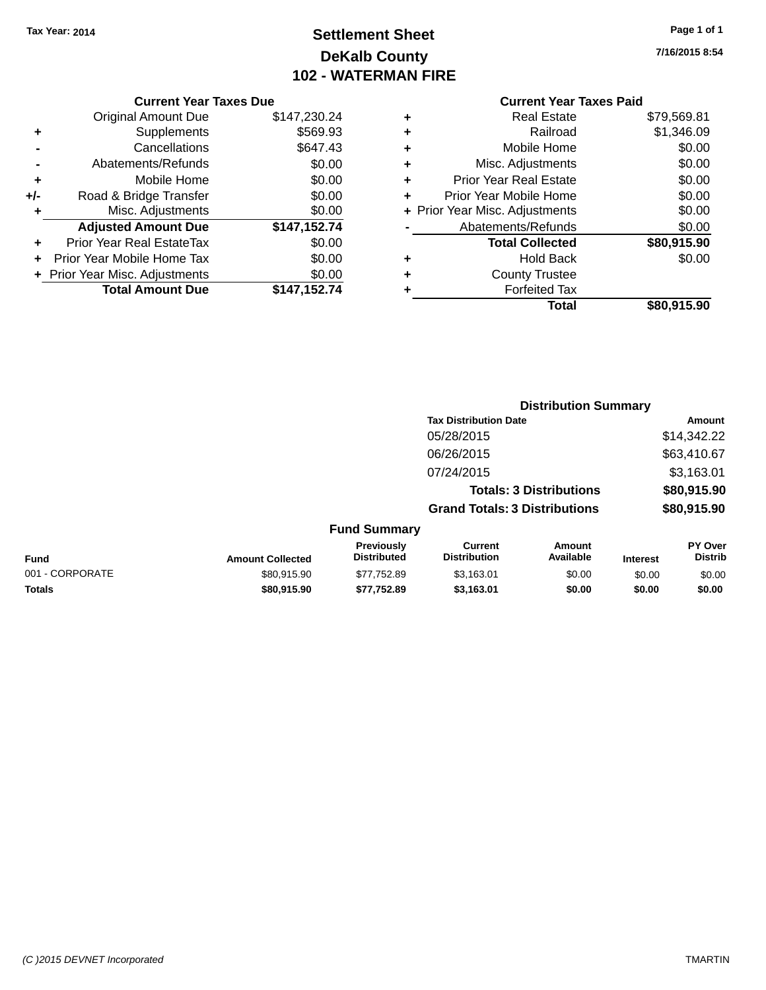# **Settlement Sheet Tax Year: 2014 Page 1 of 1 DeKalb County 102 - WATERMAN FIRE**

**7/16/2015 8:54**

|       | <b>Original Amount Due</b>     | \$147,230.24 |
|-------|--------------------------------|--------------|
| ٠     | Supplements                    | \$569.93     |
|       | Cancellations                  | \$647.43     |
|       | Abatements/Refunds             | \$0.00       |
| ٠     | Mobile Home                    | \$0.00       |
| $+/-$ | Road & Bridge Transfer         | \$0.00       |
| ٠     | Misc. Adjustments              | \$0.00       |
|       | <b>Adjusted Amount Due</b>     | \$147,152.74 |
| ÷     | Prior Year Real EstateTax      | \$0.00       |
|       | Prior Year Mobile Home Tax     | \$0.00       |
|       | + Prior Year Misc. Adjustments | \$0.00       |
|       | <b>Total Amount Due</b>        | \$147,152.74 |

## **Current Year Taxes Paid +** Real Estate \$79,569.81

|   | Total                          | \$80,915.90       |
|---|--------------------------------|-------------------|
|   | <b>Forfeited Tax</b>           |                   |
| ٠ | <b>County Trustee</b>          |                   |
| ٠ | <b>Hold Back</b>               | \$0.00            |
|   | <b>Total Collected</b>         | \$80,915.90       |
|   | Abatements/Refunds             | \$0.00            |
|   | + Prior Year Misc. Adjustments | \$0.00            |
| ÷ | Prior Year Mobile Home         | \$0.00            |
| ٠ | <b>Prior Year Real Estate</b>  | \$0.00            |
| ٠ | Misc. Adjustments              | \$0.00            |
| ÷ | Mobile Home                    | \$0.00            |
| ÷ | Railroad                       | \$1,346.09        |
|   |                                | <b>UIVIVUUIVI</b> |

|                 |                         |                                         |                                       | <b>Distribution Summary</b>    |                 |                           |
|-----------------|-------------------------|-----------------------------------------|---------------------------------------|--------------------------------|-----------------|---------------------------|
|                 |                         |                                         | <b>Tax Distribution Date</b>          |                                |                 | Amount                    |
|                 |                         |                                         | 05/28/2015                            |                                |                 | \$14,342.22               |
|                 |                         |                                         | 06/26/2015                            |                                |                 | \$63,410.67               |
|                 |                         |                                         | 07/24/2015                            |                                |                 | \$3,163.01                |
|                 |                         |                                         |                                       | <b>Totals: 3 Distributions</b> |                 | \$80,915.90               |
|                 |                         |                                         | <b>Grand Totals: 3 Distributions</b>  |                                |                 | \$80,915.90               |
|                 |                         | <b>Fund Summary</b>                     |                                       |                                |                 |                           |
| Fund            | <b>Amount Collected</b> | <b>Previously</b><br><b>Distributed</b> | <b>Current</b><br><b>Distribution</b> | Amount<br>Available            | <b>Interest</b> | PY Over<br><b>Distrib</b> |
| 001 - CORPORATE | \$80,915.90             | \$77,752.89                             | \$3,163.01                            | \$0.00                         | \$0.00          | \$0.00                    |
| <b>Totals</b>   | \$80,915.90             | \$77,752.89                             | \$3,163.01                            | \$0.00                         | \$0.00          | \$0.00                    |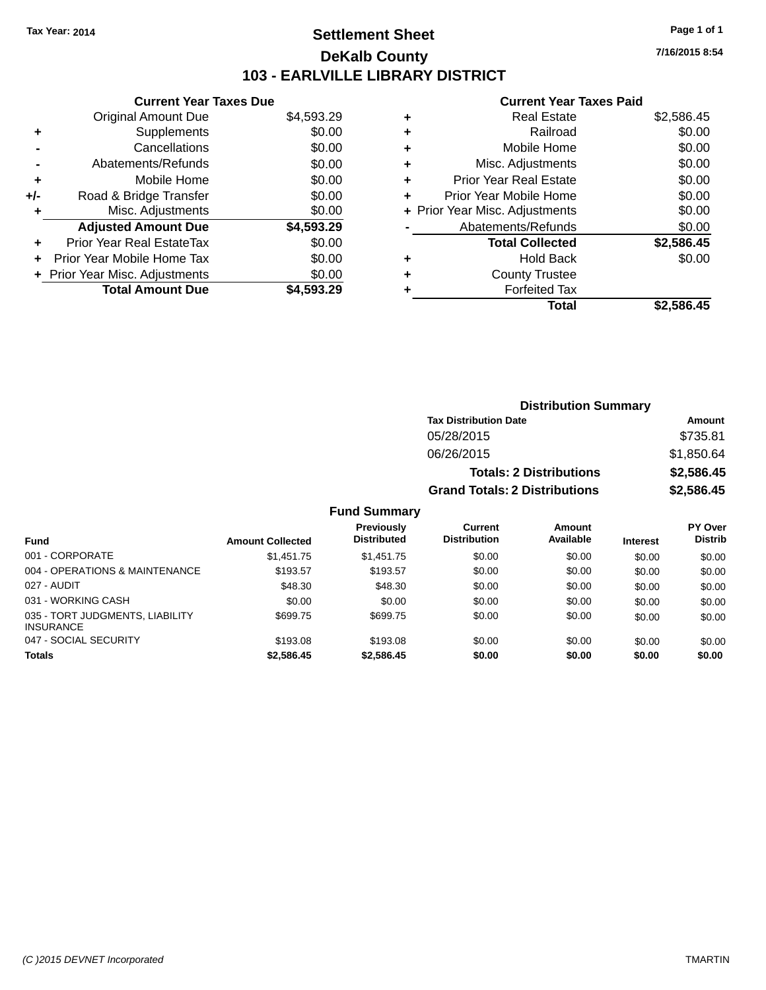# **Settlement Sheet Tax Year: 2014 Page 1 of 1 DeKalb County 103 - EARLVILLE LIBRARY DISTRICT**

**7/16/2015 8:54**

## **Current Year Taxes Paid**

|     | <b>Current Year Taxes Due</b>  |            |
|-----|--------------------------------|------------|
|     | Original Amount Due            | \$4,593.29 |
|     | Supplements                    | \$0.00     |
|     | Cancellations                  | \$0.00     |
|     | Abatements/Refunds             | \$0.00     |
| ٠   | Mobile Home                    | \$0.00     |
| +/- | Road & Bridge Transfer         | \$0.00     |
|     | Misc. Adjustments              | \$0.00     |
|     | <b>Adjusted Amount Due</b>     | \$4,593.29 |
| ÷   | Prior Year Real EstateTax      | \$0.00     |
| ÷   | Prior Year Mobile Home Tax     | \$0.00     |
|     | + Prior Year Misc. Adjustments | \$0.00     |
|     | <b>Total Amount Due</b>        | \$4.593.29 |

| ٠ | <b>Real Estate</b>             | \$2,586.45 |
|---|--------------------------------|------------|
| ٠ | Railroad                       | \$0.00     |
| ٠ | Mobile Home                    | \$0.00     |
| ٠ | Misc. Adjustments              | \$0.00     |
| ٠ | <b>Prior Year Real Estate</b>  | \$0.00     |
| ٠ | Prior Year Mobile Home         | \$0.00     |
|   | + Prior Year Misc. Adjustments | \$0.00     |
|   | Abatements/Refunds             | \$0.00     |
|   | <b>Total Collected</b>         | \$2,586.45 |
| ٠ | <b>Hold Back</b>               | \$0.00     |
| ٠ | <b>County Trustee</b>          |            |
| ٠ | <b>Forfeited Tax</b>           |            |
|   | Total                          | \$2,586.45 |
|   |                                |            |

| <b>Distribution Summary</b>          |            |
|--------------------------------------|------------|
| <b>Tax Distribution Date</b>         | Amount     |
| 05/28/2015                           | \$735.81   |
| 06/26/2015                           | \$1,850.64 |
| <b>Totals: 2 Distributions</b>       | \$2,586.45 |
| <b>Grand Totals: 2 Distributions</b> | \$2,586.45 |

## **Fund Summary**

|                                                     |                         | <b>Previously</b>  | <b>Current</b>      | Amount    |                 | PY Over        |
|-----------------------------------------------------|-------------------------|--------------------|---------------------|-----------|-----------------|----------------|
| <b>Fund</b>                                         | <b>Amount Collected</b> | <b>Distributed</b> | <b>Distribution</b> | Available | <b>Interest</b> | <b>Distrib</b> |
| 001 - CORPORATE                                     | \$1,451.75              | \$1.451.75         | \$0.00              | \$0.00    | \$0.00          | \$0.00         |
| 004 - OPERATIONS & MAINTENANCE                      | \$193.57                | \$193.57           | \$0.00              | \$0.00    | \$0.00          | \$0.00         |
| 027 - AUDIT                                         | \$48.30                 | \$48.30            | \$0.00              | \$0.00    | \$0.00          | \$0.00         |
| 031 - WORKING CASH                                  | \$0.00                  | \$0.00             | \$0.00              | \$0.00    | \$0.00          | \$0.00         |
| 035 - TORT JUDGMENTS, LIABILITY<br><b>INSURANCE</b> | \$699.75                | \$699.75           | \$0.00              | \$0.00    | \$0.00          | \$0.00         |
| 047 - SOCIAL SECURITY                               | \$193.08                | \$193.08           | \$0.00              | \$0.00    | \$0.00          | \$0.00         |
| <b>Totals</b>                                       | \$2,586.45              | \$2,586.45         | \$0.00              | \$0.00    | \$0.00          | \$0.00         |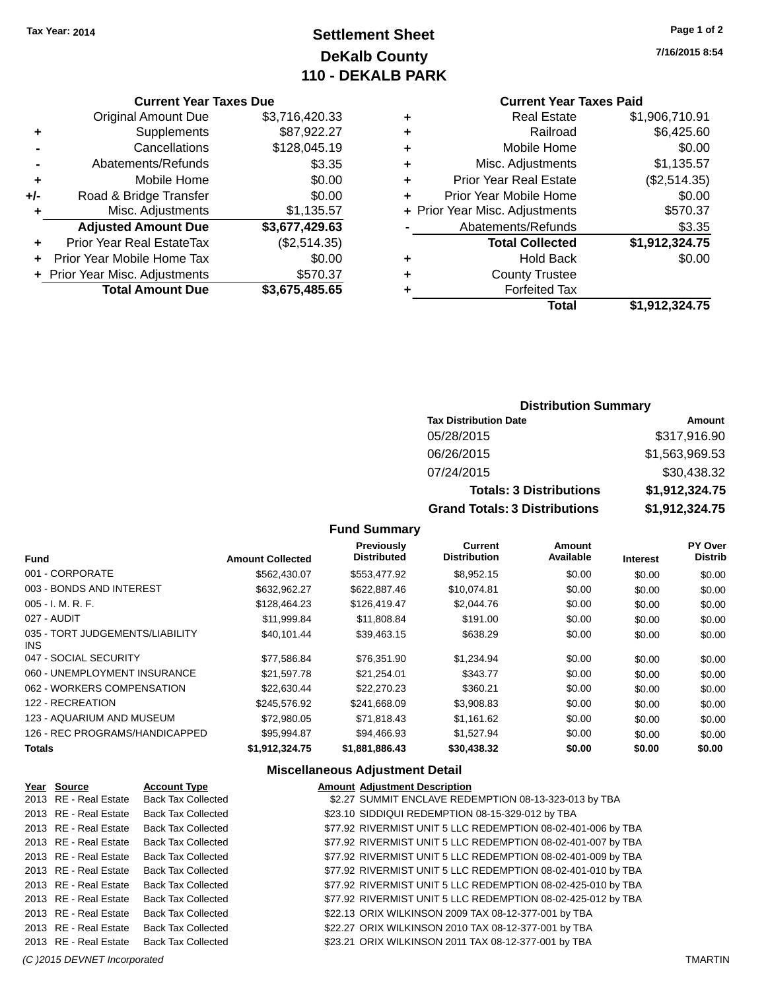# **Settlement Sheet Tax Year: 2014 Page 1 of 2 DeKalb County 110 - DEKALB PARK**

**7/16/2015 8:54**

# **Current Year Taxes Paid**

|   | OUITUR TUUT TUAUJ LUIU         |                |
|---|--------------------------------|----------------|
| ٠ | <b>Real Estate</b>             | \$1,906,710.91 |
| ٠ | Railroad                       | \$6,425.60     |
| ٠ | Mobile Home                    | \$0.00         |
| ٠ | Misc. Adjustments              | \$1,135.57     |
| ٠ | <b>Prior Year Real Estate</b>  | (\$2,514.35)   |
| ÷ | Prior Year Mobile Home         | \$0.00         |
|   | + Prior Year Misc. Adjustments | \$570.37       |
|   | Abatements/Refunds             | \$3.35         |
|   | <b>Total Collected</b>         | \$1,912,324.75 |
| ٠ | <b>Hold Back</b>               | \$0.00         |
| ٠ | <b>County Trustee</b>          |                |
|   | <b>Forfeited Tax</b>           |                |
|   | Total                          | \$1,912,324.75 |
|   |                                |                |

## **Current Year Taxes Due** Original Amount Due \$3,716,420.33<br>Supplements \$87,922.27 **+** Supplements **-** Cancellations \$128,045.19 **-** Abatements/Refunds \$3.35 **+** Mobile Home \$0.00 **+/-** Road & Bridge Transfer \$0.00<br> **+** Misc. Adjustments \$1,135.57 **+** Misc. Adjustments **Adjusted Amount Due \$3,677,429.63 +** Prior Year Real EstateTax (\$2,514.35) **+** Prior Year Mobile Home Tax \$0.00 **+** Prior Year Misc. Adjustments \$570.37 **Total Amount Due \$3,675,485.65**

#### **Distribution Summary**

| <b>Tax Distribution Date</b>         | Amount         |
|--------------------------------------|----------------|
| 05/28/2015                           | \$317,916.90   |
| 06/26/2015                           | \$1,563,969.53 |
| 07/24/2015                           | \$30,438.32    |
| <b>Totals: 3 Distributions</b>       | \$1,912,324.75 |
| <b>Grand Totals: 3 Distributions</b> | \$1,912,324.75 |

## **Fund Summary**

| <b>Fund</b>                             | <b>Amount Collected</b> | <b>Previously</b><br><b>Distributed</b> | Current<br><b>Distribution</b> | Amount<br>Available | <b>Interest</b> | PY Over<br><b>Distrib</b> |
|-----------------------------------------|-------------------------|-----------------------------------------|--------------------------------|---------------------|-----------------|---------------------------|
| 001 - CORPORATE                         | \$562,430.07            | \$553,477.92                            | \$8,952.15                     | \$0.00              | \$0.00          | \$0.00                    |
| 003 - BONDS AND INTEREST                | \$632,962.27            | \$622,887.46                            | \$10,074.81                    | \$0.00              | \$0.00          | \$0.00                    |
| $005 - I. M. R. F.$                     | \$128,464.23            | \$126,419.47                            | \$2,044.76                     | \$0.00              | \$0.00          | \$0.00                    |
| 027 - AUDIT                             | \$11.999.84             | \$11,808.84                             | \$191.00                       | \$0.00              | \$0.00          | \$0.00                    |
| 035 - TORT JUDGEMENTS/LIABILITY<br>INS. | \$40.101.44             | \$39,463.15                             | \$638.29                       | \$0.00              | \$0.00          | \$0.00                    |
| 047 - SOCIAL SECURITY                   | \$77,586.84             | \$76.351.90                             | \$1,234.94                     | \$0.00              | \$0.00          | \$0.00                    |
| 060 - UNEMPLOYMENT INSURANCE            | \$21.597.78             | \$21,254.01                             | \$343.77                       | \$0.00              | \$0.00          | \$0.00                    |
| 062 - WORKERS COMPENSATION              | \$22.630.44             | \$22,270.23                             | \$360.21                       | \$0.00              | \$0.00          | \$0.00                    |
| 122 - RECREATION                        | \$245,576.92            | \$241,668.09                            | \$3,908.83                     | \$0.00              | \$0.00          | \$0.00                    |
| 123 - AQUARIUM AND MUSEUM               | \$72,980.05             | \$71.818.43                             | \$1.161.62                     | \$0.00              | \$0.00          | \$0.00                    |
| 126 - REC PROGRAMS/HANDICAPPED          | \$95.994.87             | \$94.466.93                             | \$1.527.94                     | \$0.00              | \$0.00          | \$0.00                    |
| <b>Totals</b>                           | \$1.912.324.75          | \$1,881,886,43                          | \$30,438,32                    | \$0.00              | \$0.00          | \$0.00                    |

#### **Miscellaneous Adjustment Detail**

| Year Source           | <b>Account Type</b>       | <b>Amount Adjustment Description</b>                         |
|-----------------------|---------------------------|--------------------------------------------------------------|
| 2013 RE - Real Estate | <b>Back Tax Collected</b> | \$2.27 SUMMIT ENCLAVE REDEMPTION 08-13-323-013 by TBA        |
| 2013 RE - Real Estate | <b>Back Tax Collected</b> | \$23.10 SIDDIQUI REDEMPTION 08-15-329-012 by TBA             |
| 2013 RE - Real Estate | <b>Back Tax Collected</b> | \$77.92 RIVERMIST UNIT 5 LLC REDEMPTION 08-02-401-006 by TBA |
| 2013 RE - Real Estate | <b>Back Tax Collected</b> | \$77.92 RIVERMIST UNIT 5 LLC REDEMPTION 08-02-401-007 by TBA |
| 2013 RE - Real Estate | <b>Back Tax Collected</b> | \$77.92 RIVERMIST UNIT 5 LLC REDEMPTION 08-02-401-009 by TBA |
| 2013 RE - Real Estate | <b>Back Tax Collected</b> | \$77.92 RIVERMIST UNIT 5 LLC REDEMPTION 08-02-401-010 by TBA |
| 2013 RE - Real Estate | <b>Back Tax Collected</b> | \$77.92 RIVERMIST UNIT 5 LLC REDEMPTION 08-02-425-010 by TBA |
| 2013 RE - Real Estate | <b>Back Tax Collected</b> | \$77.92 RIVERMIST UNIT 5 LLC REDEMPTION 08-02-425-012 by TBA |
| 2013 RE - Real Estate | <b>Back Tax Collected</b> | \$22.13 ORIX WILKINSON 2009 TAX 08-12-377-001 by TBA         |
| 2013 RE - Real Estate | <b>Back Tax Collected</b> | \$22.27 ORIX WILKINSON 2010 TAX 08-12-377-001 by TBA         |
| 2013 RE - Real Estate | <b>Back Tax Collected</b> | \$23.21 ORIX WILKINSON 2011 TAX 08-12-377-001 by TBA         |
|                       |                           |                                                              |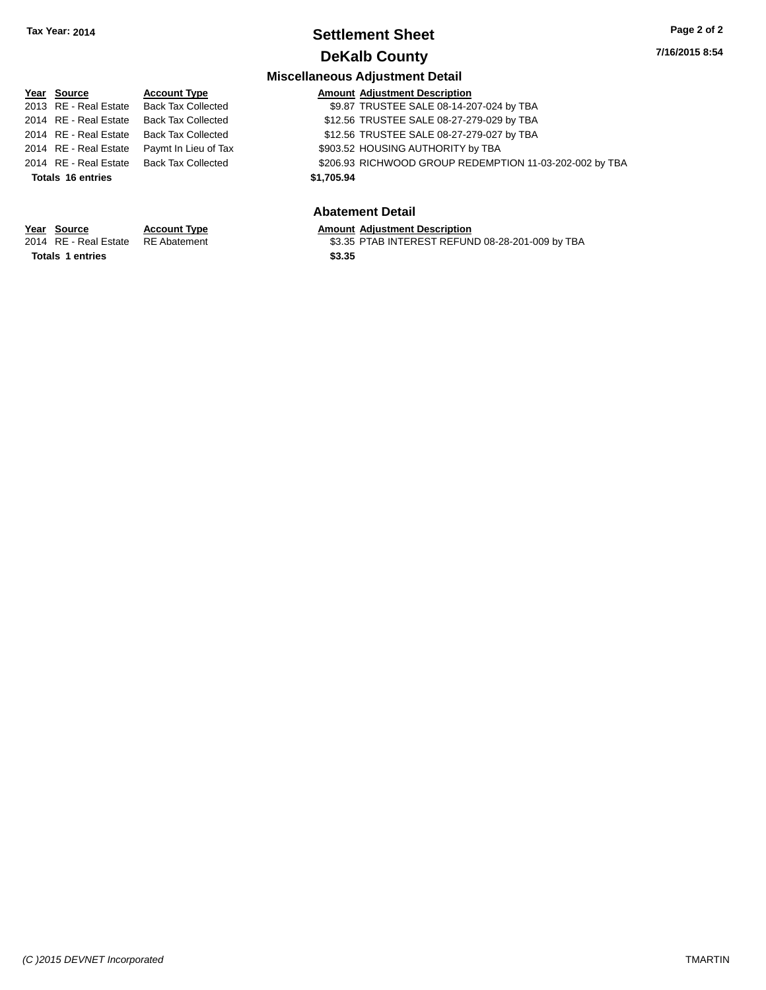# **Settlement Sheet Tax Year: 2014 Page 2 of 2 DeKalb County**

**7/16/2015 8:54**

## **Miscellaneous Adjustment Detail**

| Year Source              | <b>Account Type</b>       | <b>Amount Adjustment Description</b>                    |
|--------------------------|---------------------------|---------------------------------------------------------|
| 2013 RE - Real Estate    | <b>Back Tax Collected</b> | \$9.87 TRUSTEE SALE 08-14-207-024 by TBA                |
| 2014 RE - Real Estate    | <b>Back Tax Collected</b> | \$12.56 TRUSTEE SALE 08-27-279-029 by TBA               |
| 2014 RE - Real Estate    | <b>Back Tax Collected</b> | \$12.56 TRUSTEE SALE 08-27-279-027 by TBA               |
| 2014 RE - Real Estate    | Paymt In Lieu of Tax      | \$903.52 HOUSING AUTHORITY by TBA                       |
| 2014 RE - Real Estate    | Back Tax Collected        | \$206.93 RICHWOOD GROUP REDEMPTION 11-03-202-002 by TBA |
| <b>Totals 16 entries</b> |                           | \$1,705.94                                              |
|                          |                           |                                                         |

## **Abatement Detail**

# **Year Source Account Type Amount Adjustment Description**<br>2014 RE - Real Estate RE Abatement \$3.35 PTAB INTEREST REFUN

\$3.35 PTAB INTEREST REFUND 08-28-201-009 by TBA

**Totals \$3.35 1 entries**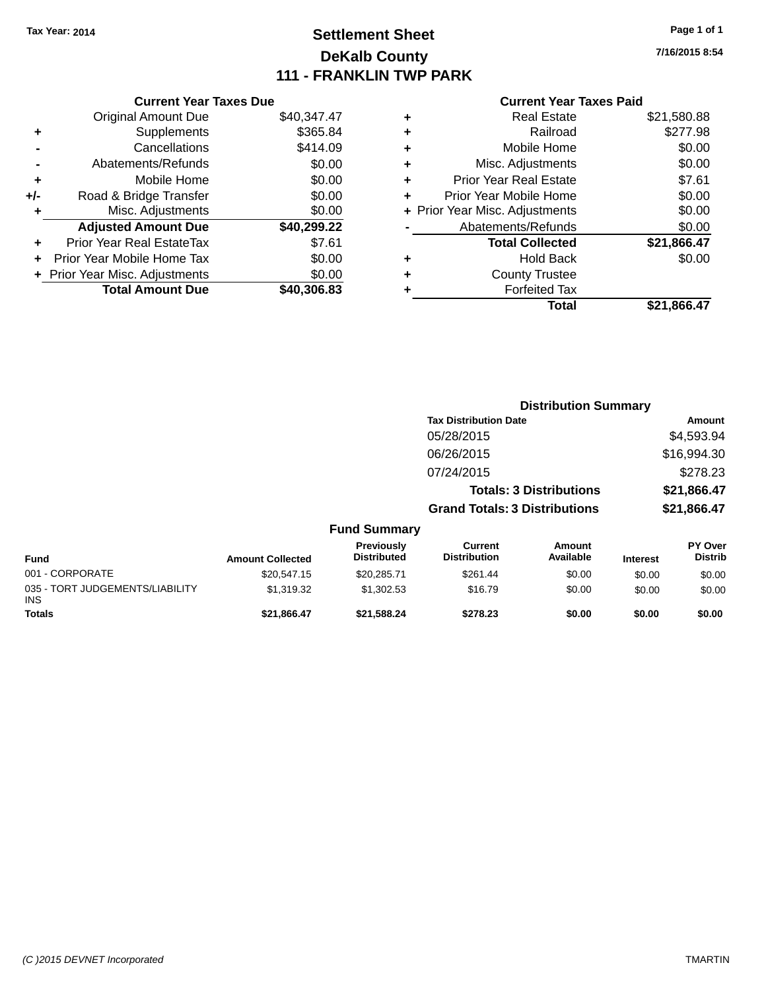# **Settlement Sheet Tax Year: 2014 Page 1 of 1 DeKalb County 111 - FRANKLIN TWP PARK**

**7/16/2015 8:54**

|       | <b>Current Year Taxes Due</b>    |             |  |  |  |  |
|-------|----------------------------------|-------------|--|--|--|--|
|       | <b>Original Amount Due</b>       | \$40,347.47 |  |  |  |  |
| ÷     | \$365.84<br>Supplements          |             |  |  |  |  |
|       | \$414.09<br>Cancellations        |             |  |  |  |  |
|       | \$0.00<br>Abatements/Refunds     |             |  |  |  |  |
| ٠     | \$0.00<br>Mobile Home            |             |  |  |  |  |
| $+/-$ | \$0.00<br>Road & Bridge Transfer |             |  |  |  |  |
| ٠     | Misc. Adjustments                | \$0.00      |  |  |  |  |
|       | <b>Adjusted Amount Due</b>       | \$40,299.22 |  |  |  |  |
| ÷     | Prior Year Real EstateTax        | \$7.61      |  |  |  |  |
|       | Prior Year Mobile Home Tax       | \$0.00      |  |  |  |  |
|       | Prior Year Misc. Adjustments     | \$0.00      |  |  |  |  |
|       | <b>Total Amount Due</b>          | \$40,306,83 |  |  |  |  |

| ٠ | <b>Real Estate</b>             | \$21,580.88 |
|---|--------------------------------|-------------|
| ٠ | Railroad                       | \$277.98    |
| ٠ | Mobile Home                    | \$0.00      |
| ٠ | Misc. Adjustments              | \$0.00      |
| ٠ | <b>Prior Year Real Estate</b>  | \$7.61      |
| ٠ | Prior Year Mobile Home         | \$0.00      |
|   | + Prior Year Misc. Adjustments | \$0.00      |
|   | Abatements/Refunds             | \$0.00      |
|   | <b>Total Collected</b>         | \$21,866.47 |
| ٠ | <b>Hold Back</b>               | \$0.00      |
| ٠ | <b>County Trustee</b>          |             |
| ٠ | <b>Forfeited Tax</b>           |             |
|   | Total                          | \$21,866.47 |
|   |                                |             |

|                                         |                         |                                  | <b>Distribution Summary</b>           |                                |                 |                                  |  |
|-----------------------------------------|-------------------------|----------------------------------|---------------------------------------|--------------------------------|-----------------|----------------------------------|--|
|                                         |                         |                                  | <b>Tax Distribution Date</b>          |                                |                 | Amount                           |  |
|                                         |                         |                                  | 05/28/2015                            |                                |                 | \$4,593.94                       |  |
|                                         |                         |                                  | 06/26/2015                            |                                |                 | \$16,994.30                      |  |
|                                         |                         |                                  | 07/24/2015                            |                                |                 | \$278.23                         |  |
|                                         |                         |                                  |                                       | <b>Totals: 3 Distributions</b> |                 | \$21,866.47                      |  |
|                                         |                         |                                  | <b>Grand Totals: 3 Distributions</b>  |                                |                 | \$21,866.47                      |  |
|                                         |                         | <b>Fund Summary</b>              |                                       |                                |                 |                                  |  |
| <b>Fund</b>                             | <b>Amount Collected</b> | Previously<br><b>Distributed</b> | <b>Current</b><br><b>Distribution</b> | Amount<br>Available            | <b>Interest</b> | <b>PY Over</b><br><b>Distrib</b> |  |
| 001 - CORPORATE                         | \$20,547.15             | \$20,285.71                      | \$261.44                              | \$0.00                         | \$0.00          | \$0.00                           |  |
| 035 - TORT JUDGEMENTS/LIABILITY<br>INS. | \$1,319.32              | \$1,302.53                       | \$16.79                               | \$0.00                         | \$0.00          | \$0.00                           |  |
| Totals                                  | \$21,866.47             | \$21,588.24                      | \$278.23                              | \$0.00                         | \$0.00          | \$0.00                           |  |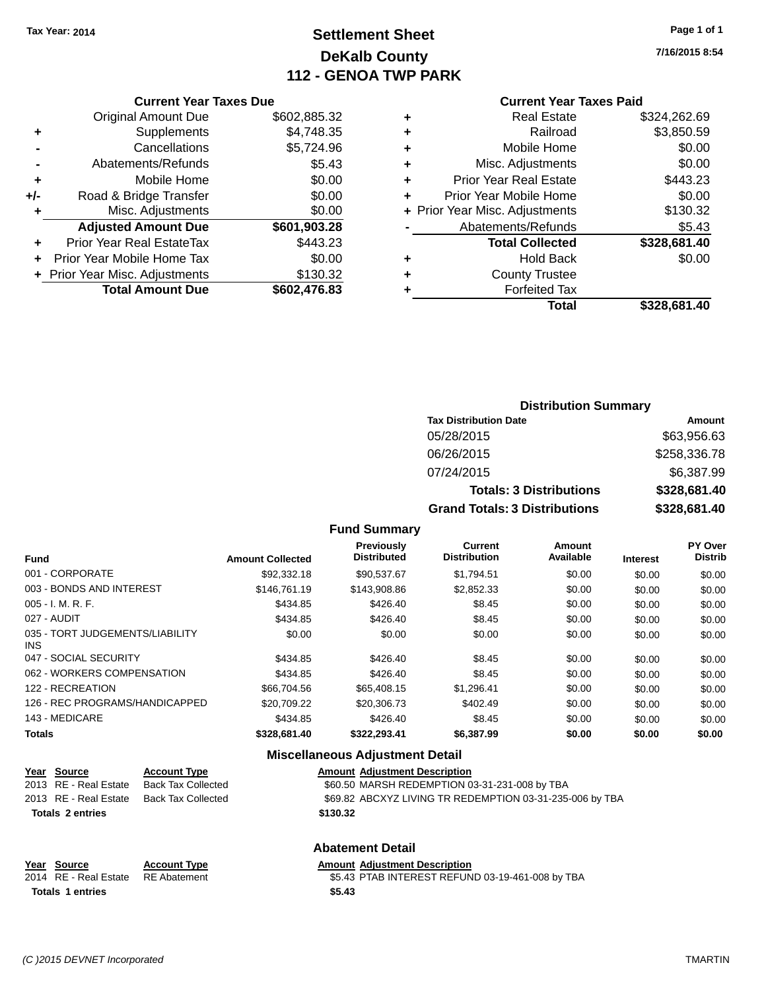# **Settlement Sheet Tax Year: 2014 Page 1 of 1 DeKalb County 112 - GENOA TWP PARK**

**7/16/2015 8:54**

#### **Current Year Taxes Paid**

| <b>Current Year Taxes Due</b>  |              |  |  |  |  |
|--------------------------------|--------------|--|--|--|--|
| <b>Original Amount Due</b>     | \$602,885.32 |  |  |  |  |
| Supplements                    | \$4,748.35   |  |  |  |  |
| Cancellations<br>\$5,724.96    |              |  |  |  |  |
| Abatements/Refunds             | \$5.43       |  |  |  |  |
| Mobile Home                    | \$0.00       |  |  |  |  |
| Road & Bridge Transfer         | \$0.00       |  |  |  |  |
| Misc. Adjustments              | \$0.00       |  |  |  |  |
| <b>Adjusted Amount Due</b>     | \$601,903.28 |  |  |  |  |
| Prior Year Real EstateTax      | \$443.23     |  |  |  |  |
|                                |              |  |  |  |  |
| Prior Year Mobile Home Tax     | \$0.00       |  |  |  |  |
| + Prior Year Misc. Adjustments | \$130.32     |  |  |  |  |
|                                |              |  |  |  |  |

| ٠ | <b>Real Estate</b>             | \$324,262.69 |
|---|--------------------------------|--------------|
| ٠ | Railroad                       | \$3,850.59   |
| ٠ | Mobile Home                    | \$0.00       |
| ٠ | Misc. Adjustments              | \$0.00       |
| ٠ | <b>Prior Year Real Estate</b>  | \$443.23     |
| ٠ | Prior Year Mobile Home         | \$0.00       |
|   | + Prior Year Misc. Adjustments | \$130.32     |
|   | Abatements/Refunds             | \$5.43       |
|   | <b>Total Collected</b>         | \$328,681.40 |
| ٠ | <b>Hold Back</b>               | \$0.00       |
| ٠ | <b>County Trustee</b>          |              |
| ٠ | <b>Forfeited Tax</b>           |              |
|   | Total                          | \$328,681.40 |
|   |                                |              |

## **Distribution Summary Tax Distribution Date Amount** 05/28/2015 \$63,956.63 06/26/2015 \$258,336.78 07/24/2015 \$6,387.99 **Totals: 3 Distributions \$328,681.40 Grand Totals: 3 Distributions \$328,681.40**

## **Fund Summary**

| <b>Fund</b>                                   | <b>Amount Collected</b> | Previously<br><b>Distributed</b> | <b>Current</b><br><b>Distribution</b> | Amount<br>Available | <b>Interest</b> | PY Over<br><b>Distrib</b> |
|-----------------------------------------------|-------------------------|----------------------------------|---------------------------------------|---------------------|-----------------|---------------------------|
| 001 - CORPORATE                               | \$92,332.18             | \$90.537.67                      | \$1.794.51                            | \$0.00              | \$0.00          | \$0.00                    |
| 003 - BONDS AND INTEREST                      | \$146,761.19            | \$143,908.86                     | \$2,852.33                            | \$0.00              | \$0.00          | \$0.00                    |
| $005 - I. M. R. F.$                           | \$434.85                | \$426.40                         | \$8.45                                | \$0.00              | \$0.00          | \$0.00                    |
| 027 - AUDIT                                   | \$434.85                | \$426.40                         | \$8.45                                | \$0.00              | \$0.00          | \$0.00                    |
| 035 - TORT JUDGEMENTS/LIABILITY<br><b>INS</b> | \$0.00                  | \$0.00                           | \$0.00                                | \$0.00              | \$0.00          | \$0.00                    |
| 047 - SOCIAL SECURITY                         | \$434.85                | \$426.40                         | \$8.45                                | \$0.00              | \$0.00          | \$0.00                    |
| 062 - WORKERS COMPENSATION                    | \$434.85                | \$426.40                         | \$8.45                                | \$0.00              | \$0.00          | \$0.00                    |
| 122 - RECREATION                              | \$66,704.56             | \$65,408.15                      | \$1.296.41                            | \$0.00              | \$0.00          | \$0.00                    |
| 126 - REC PROGRAMS/HANDICAPPED                | \$20.709.22             | \$20,306.73                      | \$402.49                              | \$0.00              | \$0.00          | \$0.00                    |
| 143 - MEDICARE                                | \$434.85                | \$426.40                         | \$8.45                                | \$0.00              | \$0.00          | \$0.00                    |
| <b>Totals</b>                                 | \$328,681.40            | \$322,293.41                     | \$6,387.99                            | \$0.00              | \$0.00          | \$0.00                    |

#### **Miscellaneous Adjustment Detail**

| Year Source             | <b>Account Type</b>       | <b>Amount Adjustment Description</b>                     |
|-------------------------|---------------------------|----------------------------------------------------------|
| 2013 RE - Real Estate   | <b>Back Tax Collected</b> | \$60.50 MARSH REDEMPTION 03-31-231-008 by TBA            |
| 2013 RE - Real Estate   | <b>Back Tax Collected</b> | \$69.82 ABCXYZ LIVING TR REDEMPTION 03-31-235-006 by TBA |
| <b>Totals 2 entries</b> |                           | \$130.32                                                 |
|                         |                           | <b>Abatement Detail</b>                                  |

| Year Source<br>2014 RE - Real Estate RE Abatement | <b>Account Type</b> | <b>Amount Adjustment Description</b><br>\$5.43 PTAB INTEREST REFUND 03-19-461-008 by TBA |
|---------------------------------------------------|---------------------|------------------------------------------------------------------------------------------|
| <b>Totals 1 entries</b>                           |                     | \$5.43                                                                                   |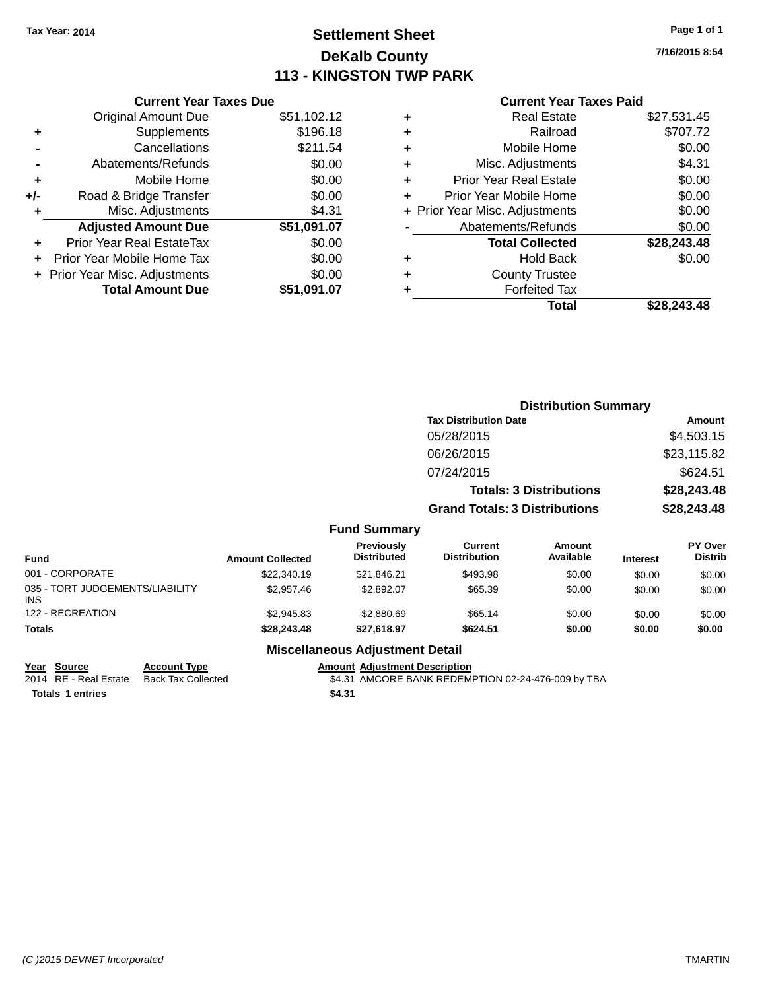# **Settlement Sheet Tax Year: 2014 Page 1 of 1 DeKalb County 113 - KINGSTON TWP PARK**

**7/16/2015 8:54**

## **Current Year Taxes Paid**

| <b>Original Amount Due</b>   | \$51,102.12                   |
|------------------------------|-------------------------------|
| Supplements                  | \$196.18                      |
| Cancellations                | \$211.54                      |
| Abatements/Refunds           | \$0.00                        |
| Mobile Home                  | \$0.00                        |
| Road & Bridge Transfer       | \$0.00                        |
| Misc. Adjustments            | \$4.31                        |
| <b>Adjusted Amount Due</b>   | \$51,091.07                   |
| Prior Year Real EstateTax    | \$0.00                        |
| Prior Year Mobile Home Tax   | \$0.00                        |
| Prior Year Misc. Adjustments | \$0.00                        |
| <b>Total Amount Due</b>      | \$51.091.07                   |
|                              | <b>Current Year Taxes Due</b> |

|   | Real Estate                    | \$27,531.45 |
|---|--------------------------------|-------------|
| ٠ | Railroad                       | \$707.72    |
| ٠ | Mobile Home                    | \$0.00      |
| ٠ | Misc. Adjustments              | \$4.31      |
| ٠ | <b>Prior Year Real Estate</b>  | \$0.00      |
| ٠ | Prior Year Mobile Home         | \$0.00      |
|   | + Prior Year Misc. Adjustments | \$0.00      |
|   | Abatements/Refunds             | \$0.00      |
|   | <b>Total Collected</b>         | \$28,243.48 |
| ٠ | Hold Back                      | \$0.00      |
| ٠ | <b>County Trustee</b>          |             |
| ٠ | <b>Forfeited Tax</b>           |             |
|   | Total                          | \$28.243.48 |
|   |                                |             |

|                                         |                         |                                  |                                       | <b>Distribution Summary</b>    |                 |                           |
|-----------------------------------------|-------------------------|----------------------------------|---------------------------------------|--------------------------------|-----------------|---------------------------|
|                                         |                         |                                  | <b>Tax Distribution Date</b>          |                                |                 | <b>Amount</b>             |
|                                         |                         |                                  | 05/28/2015                            |                                |                 | \$4,503.15                |
|                                         |                         |                                  | 06/26/2015                            |                                |                 | \$23,115.82               |
|                                         |                         |                                  | 07/24/2015                            |                                |                 | \$624.51                  |
|                                         |                         |                                  |                                       | <b>Totals: 3 Distributions</b> |                 | \$28,243.48               |
|                                         |                         |                                  | <b>Grand Totals: 3 Distributions</b>  |                                | \$28,243.48     |                           |
|                                         |                         | <b>Fund Summary</b>              |                                       |                                |                 |                           |
| <b>Fund</b>                             | <b>Amount Collected</b> | Previously<br><b>Distributed</b> | <b>Current</b><br><b>Distribution</b> | Amount<br>Available            | <b>Interest</b> | PY Over<br><b>Distrib</b> |
| 001 - CORPORATE                         | \$22,340.19             | \$21,846.21                      | \$493.98                              | \$0.00                         | \$0.00          | \$0.00                    |
| 035 - TORT JUDGEMENTS/LIABILITY<br>INS. | \$2,957.46              | \$2,892.07                       | \$65.39                               | \$0.00                         | \$0.00          | \$0.00                    |
| 122 - RECREATION                        | \$2.945.83              | \$2,880.69                       | \$65.14                               | \$0.00                         | \$0.00          | \$0.00                    |
| <b>Totals</b>                           | \$28,243.48             | \$27,618.97                      | \$624.51                              | \$0.00                         | \$0.00          | \$0.00                    |

### **Miscellaneous Adjustment Detail**

**Year** Source **Account Type Account Adjustment Description** 

**Totals \$4.31 1 entries**

2014 RE - Real Estate Back Tax Collected **54.31 AMCORE BANK REDEMPTION 02-24-476-009 by TBA**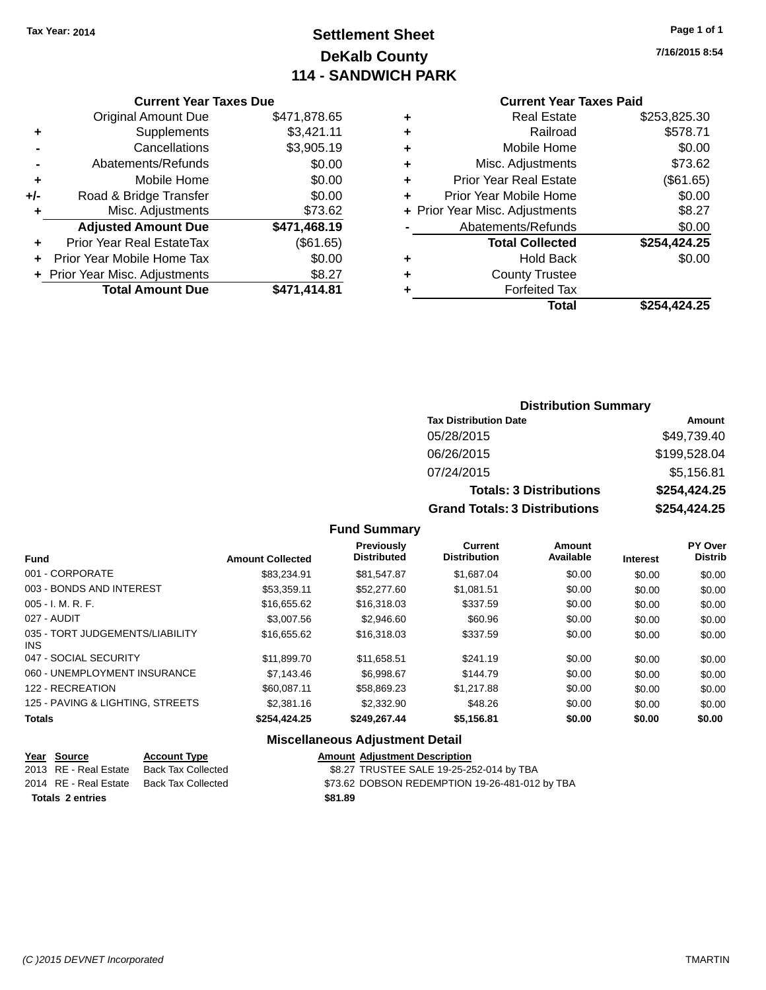# **Settlement Sheet Tax Year: 2014 Page 1 of 1 DeKalb County 114 - SANDWICH PARK**

**7/16/2015 8:54**

## **Current Year Taxes Paid**

|     | <b>Current Year Taxes Due</b>  |              |  |  |  |
|-----|--------------------------------|--------------|--|--|--|
|     | <b>Original Amount Due</b>     | \$471,878.65 |  |  |  |
| ٠   | Supplements                    | \$3,421.11   |  |  |  |
|     | Cancellations                  | \$3,905.19   |  |  |  |
|     | Abatements/Refunds             | \$0.00       |  |  |  |
| ٠   | Mobile Home                    | \$0.00       |  |  |  |
| +/- | Road & Bridge Transfer         | \$0.00       |  |  |  |
|     | Misc. Adjustments              | \$73.62      |  |  |  |
|     | <b>Adjusted Amount Due</b>     | \$471,468.19 |  |  |  |
| ٠   | Prior Year Real EstateTax      | (\$61.65)    |  |  |  |
|     | Prior Year Mobile Home Tax     | \$0.00       |  |  |  |
|     | + Prior Year Misc. Adjustments | \$8.27       |  |  |  |
|     | <b>Total Amount Due</b>        | \$471,414.81 |  |  |  |
|     |                                |              |  |  |  |

|   | <b>Real Estate</b>             | \$253,825.30 |
|---|--------------------------------|--------------|
| ٠ | Railroad                       | \$578.71     |
| ٠ | Mobile Home                    | \$0.00       |
| ٠ | Misc. Adjustments              | \$73.62      |
| ٠ | <b>Prior Year Real Estate</b>  | (\$61.65)    |
| ÷ | Prior Year Mobile Home         | \$0.00       |
|   | + Prior Year Misc. Adjustments | \$8.27       |
|   | Abatements/Refunds             | \$0.00       |
|   | <b>Total Collected</b>         | \$254,424.25 |
| ٠ | Hold Back                      | \$0.00       |
| ٠ | <b>County Trustee</b>          |              |
| ٠ | <b>Forfeited Tax</b>           |              |
|   | Total                          | \$254,424.25 |
|   |                                |              |

## **Distribution Summary Tax Distribution Date Amount** 05/28/2015 \$49,739.40 06/26/2015 \$199,528.04 07/24/2015 \$5,156.81 **Totals: 3 Distributions \$254,424.25 Grand Totals: 3 Distributions \$254,424.25**

## **Fund Summary**

| <b>Fund</b>                             | <b>Amount Collected</b> | <b>Previously</b><br><b>Distributed</b> | Current<br><b>Distribution</b> | Amount<br>Available | <b>Interest</b> | PY Over<br><b>Distrib</b> |
|-----------------------------------------|-------------------------|-----------------------------------------|--------------------------------|---------------------|-----------------|---------------------------|
| 001 - CORPORATE                         | \$83.234.91             | \$81,547.87                             | \$1.687.04                     | \$0.00              | \$0.00          | \$0.00                    |
| 003 - BONDS AND INTEREST                | \$53,359.11             | \$52,277.60                             | \$1.081.51                     | \$0.00              | \$0.00          | \$0.00                    |
| $005 - I. M. R. F.$                     | \$16,655,62             | \$16,318,03                             | \$337.59                       | \$0.00              | \$0.00          | \$0.00                    |
| 027 - AUDIT                             | \$3,007.56              | \$2,946.60                              | \$60.96                        | \$0.00              | \$0.00          | \$0.00                    |
| 035 - TORT JUDGEMENTS/LIABILITY<br>INS. | \$16,655,62             | \$16,318,03                             | \$337.59                       | \$0.00              | \$0.00          | \$0.00                    |
| 047 - SOCIAL SECURITY                   | \$11.899.70             | \$11.658.51                             | \$241.19                       | \$0.00              | \$0.00          | \$0.00                    |
| 060 - UNEMPLOYMENT INSURANCE            | \$7,143.46              | \$6.998.67                              | \$144.79                       | \$0.00              | \$0.00          | \$0.00                    |
| 122 - RECREATION                        | \$60,087.11             | \$58.869.23                             | \$1,217.88                     | \$0.00              | \$0.00          | \$0.00                    |
| 125 - PAVING & LIGHTING, STREETS        | \$2,381.16              | \$2,332.90                              | \$48.26                        | \$0.00              | \$0.00          | \$0.00                    |
| <b>Totals</b>                           | \$254.424.25            | \$249,267.44                            | \$5,156.81                     | \$0.00              | \$0.00          | \$0.00                    |

## **Miscellaneous Adjustment Detail**

| Year Source             | <b>Account Type</b> |         | <b>Amount Adiustment Description</b>           |
|-------------------------|---------------------|---------|------------------------------------------------|
| 2013 RE - Real Estate   | Back Tax Collected  |         | \$8.27 TRUSTEE SALE 19-25-252-014 by TBA       |
| 2014 RE - Real Estate   | Back Tax Collected  |         | \$73.62 DOBSON REDEMPTION 19-26-481-012 by TBA |
| <b>Totals 2 entries</b> |                     | \$81.89 |                                                |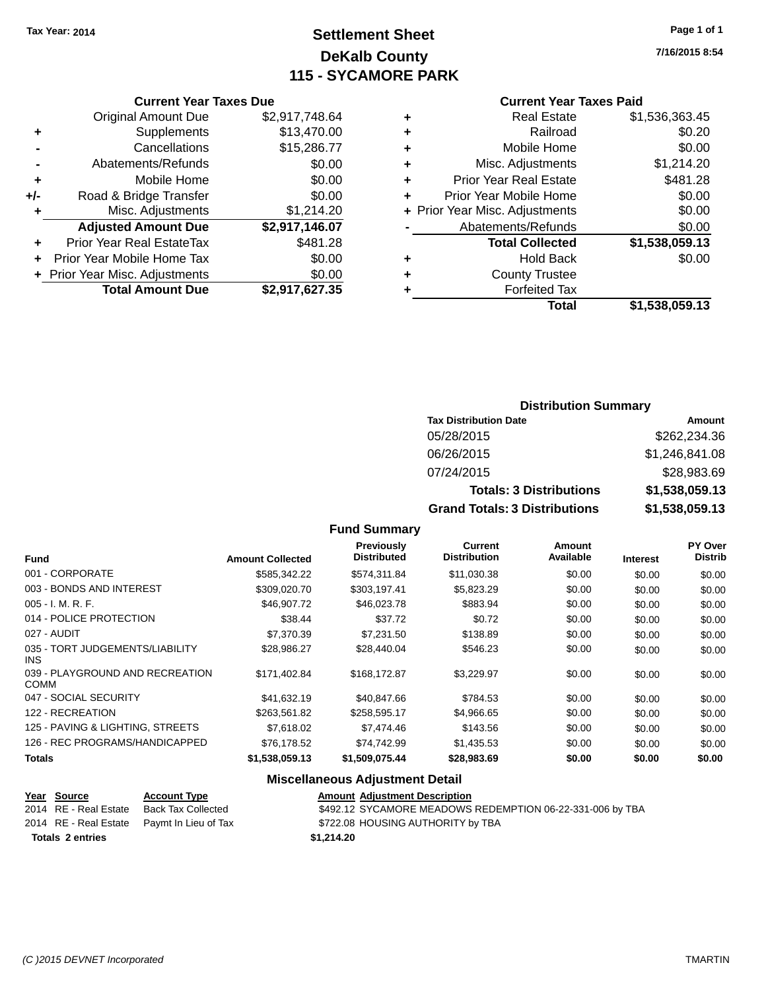# **Settlement Sheet Tax Year: 2014 Page 1 of 1 DeKalb County 115 - SYCAMORE PARK**

**7/16/2015 8:54**

#### **Current Year Taxes Paid**

|   | <b>Real Estate</b>             | \$1,536,363.45 |
|---|--------------------------------|----------------|
| ٠ | Railroad                       | \$0.20         |
| ٠ | Mobile Home                    | \$0.00         |
| ٠ | Misc. Adjustments              | \$1,214.20     |
| ٠ | <b>Prior Year Real Estate</b>  | \$481.28       |
|   | Prior Year Mobile Home         | \$0.00         |
|   | + Prior Year Misc. Adjustments | \$0.00         |
|   | Abatements/Refunds             | \$0.00         |
|   | <b>Total Collected</b>         | \$1,538,059.13 |
| ٠ | Hold Back                      | \$0.00         |
| ٠ | <b>County Trustee</b>          |                |
|   | <b>Forfeited Tax</b>           |                |
|   | Total                          | \$1,538,059.13 |

|     | <b>Current Year Taxes Due</b>  |                |
|-----|--------------------------------|----------------|
|     | <b>Original Amount Due</b>     | \$2,917,748.64 |
| ٠   | Supplements                    | \$13,470.00    |
|     | Cancellations                  | \$15,286.77    |
|     | Abatements/Refunds             | \$0.00         |
| ٠   | Mobile Home                    | \$0.00         |
| +/- | Road & Bridge Transfer         | \$0.00         |
| ٠   | Misc. Adjustments              | \$1,214.20     |
|     | <b>Adjusted Amount Due</b>     | \$2,917,146.07 |
| ÷   | Prior Year Real EstateTax      | \$481.28       |
|     | Prior Year Mobile Home Tax     | \$0.00         |
|     | + Prior Year Misc. Adjustments | \$0.00         |
|     | <b>Total Amount Due</b>        | \$2,917,627.35 |
|     |                                |                |

| <b>Distribution Summary</b>  |        |
|------------------------------|--------|
| <b>Tax Distribution Date</b> | Amount |

| <b>Grand Totals: 3 Distributions</b> | \$1,538,059.13 |
|--------------------------------------|----------------|
| <b>Totals: 3 Distributions</b>       | \$1,538,059.13 |
| 07/24/2015                           | \$28,983.69    |
| 06/26/2015                           | \$1,246,841.08 |
| 05/28/2015                           | \$262,234.36   |
| Tax Distribution Date                | Amount         |

## **Fund Summary**

| <b>Fund</b>                                   | <b>Amount Collected</b> | Previously<br><b>Distributed</b> | <b>Current</b><br><b>Distribution</b> | <b>Amount</b><br>Available | <b>Interest</b> | <b>PY Over</b><br><b>Distrib</b> |
|-----------------------------------------------|-------------------------|----------------------------------|---------------------------------------|----------------------------|-----------------|----------------------------------|
| 001 - CORPORATE                               | \$585,342.22            | \$574,311.84                     | \$11,030.38                           | \$0.00                     | \$0.00          | \$0.00                           |
| 003 - BONDS AND INTEREST                      | \$309,020.70            | \$303,197.41                     | \$5,823.29                            | \$0.00                     | \$0.00          | \$0.00                           |
| $005 - I. M. R. F.$                           | \$46,907.72             | \$46,023.78                      | \$883.94                              | \$0.00                     | \$0.00          | \$0.00                           |
| 014 - POLICE PROTECTION                       | \$38.44                 | \$37.72                          | \$0.72                                | \$0.00                     | \$0.00          | \$0.00                           |
| 027 - AUDIT                                   | \$7,370.39              | \$7,231.50                       | \$138.89                              | \$0.00                     | \$0.00          | \$0.00                           |
| 035 - TORT JUDGEMENTS/LIABILITY<br><b>INS</b> | \$28,986.27             | \$28,440.04                      | \$546.23                              | \$0.00                     | \$0.00          | \$0.00                           |
| 039 - PLAYGROUND AND RECREATION<br>COMM       | \$171.402.84            | \$168,172.87                     | \$3,229.97                            | \$0.00                     | \$0.00          | \$0.00                           |
| 047 - SOCIAL SECURITY                         | \$41.632.19             | \$40,847.66                      | \$784.53                              | \$0.00                     | \$0.00          | \$0.00                           |
| 122 - RECREATION                              | \$263,561.82            | \$258,595.17                     | \$4,966.65                            | \$0.00                     | \$0.00          | \$0.00                           |
| 125 - PAVING & LIGHTING, STREETS              | \$7,618.02              | \$7,474.46                       | \$143.56                              | \$0.00                     | \$0.00          | \$0.00                           |
| 126 - REC PROGRAMS/HANDICAPPED                | \$76.178.52             | \$74.742.99                      | \$1,435.53                            | \$0.00                     | \$0.00          | \$0.00                           |
| <b>Totals</b>                                 | \$1,538,059.13          | \$1,509,075.44                   | \$28,983.69                           | \$0.00                     | \$0.00          | \$0.00                           |

## **Miscellaneous Adjustment Detail**

|                         | Year Source           | <b>Account Type</b>                        | <b>Amount Adjustment Description</b>                      |
|-------------------------|-----------------------|--------------------------------------------|-----------------------------------------------------------|
|                         | 2014 RE - Real Estate | Back Tax Collected                         | \$492.12 SYCAMORE MEADOWS REDEMPTION 06-22-331-006 by TBA |
|                         |                       | 2014 RE - Real Estate Paymt In Lieu of Tax | \$722.08 HOUSING AUTHORITY by TBA                         |
| <b>Totals 2 entries</b> |                       |                                            | \$1.214.20                                                |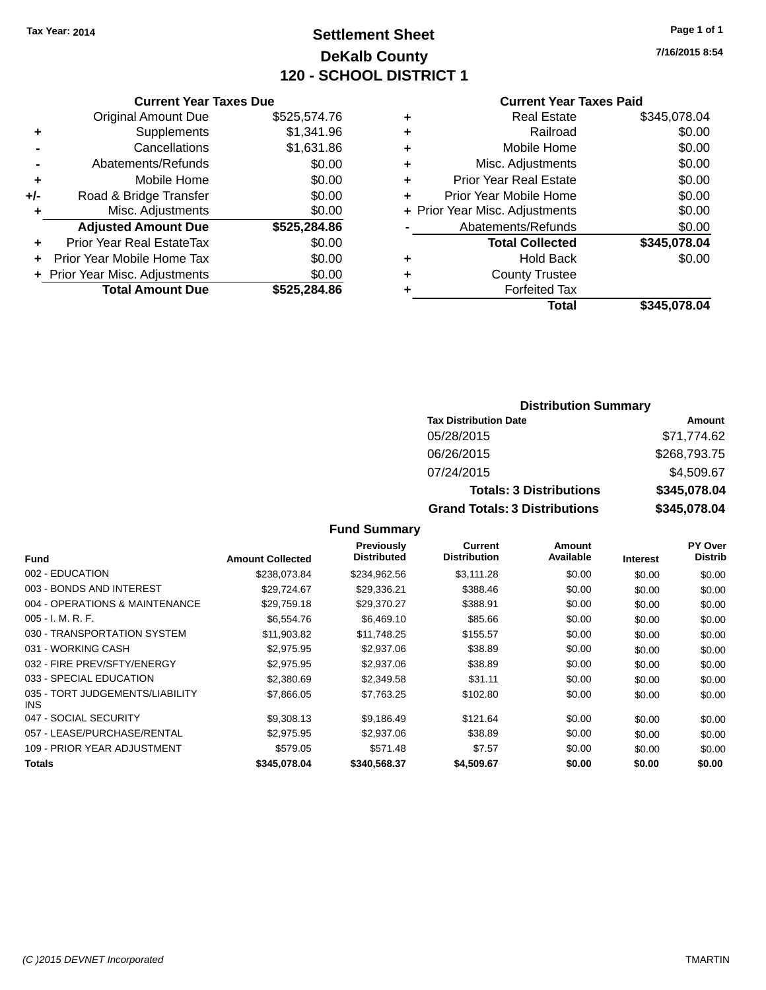# **Settlement Sheet Tax Year: 2014 Page 1 of 1 DeKalb County 120 - SCHOOL DISTRICT 1**

**7/16/2015 8:54**

## **Current Year Taxes Paid**

|     | <b>Current Year Taxes Due</b>  |              |
|-----|--------------------------------|--------------|
|     | <b>Original Amount Due</b>     | \$525,574.76 |
| ٠   | Supplements                    | \$1,341.96   |
|     | Cancellations                  | \$1,631.86   |
|     | Abatements/Refunds             | \$0.00       |
| ٠   | Mobile Home                    | \$0.00       |
| +/- | Road & Bridge Transfer         | \$0.00       |
| ٠   | Misc. Adjustments              | \$0.00       |
|     | <b>Adjusted Amount Due</b>     | \$525,284.86 |
| ٠   | Prior Year Real EstateTax      | \$0.00       |
| ÷   | Prior Year Mobile Home Tax     | \$0.00       |
|     | + Prior Year Misc. Adjustments | \$0.00       |
|     | <b>Total Amount Due</b>        | \$525.284.86 |
|     |                                |              |

| ٠                                                       | <b>Real Estate</b>            | \$345,078.04 |
|---------------------------------------------------------|-------------------------------|--------------|
| ٠                                                       | Railroad                      | \$0.00       |
| ٠                                                       | Mobile Home                   | \$0.00       |
| ٠                                                       | Misc. Adjustments             | \$0.00       |
| ٠                                                       | <b>Prior Year Real Estate</b> | \$0.00       |
| ٠                                                       | Prior Year Mobile Home        | \$0.00       |
|                                                         |                               | \$0.00       |
|                                                         | Abatements/Refunds            | \$0.00       |
|                                                         | <b>Total Collected</b>        | \$345,078.04 |
| ٠                                                       | Hold Back                     | \$0.00       |
| ٠                                                       | <b>County Trustee</b>         |              |
|                                                         | <b>Forfeited Tax</b>          |              |
| + Prior Year Misc. Adjustments<br>\$345,078.04<br>Total |                               |              |
|                                                         |                               |              |

## **Distribution Summary Tax Distribution Date Amount** 05/28/2015 \$71,774.62 06/26/2015 \$268,793.75 07/24/2015 \$4,509.67 **Totals: 3 Distributions \$345,078.04 Grand Totals: 3 Distributions \$345,078.04**

## **Fund Summary**

| <b>Fund</b>                                   | <b>Amount Collected</b> | <b>Previously</b><br><b>Distributed</b> | <b>Current</b><br><b>Distribution</b> | Amount<br>Available | <b>Interest</b> | <b>PY Over</b><br><b>Distrib</b> |
|-----------------------------------------------|-------------------------|-----------------------------------------|---------------------------------------|---------------------|-----------------|----------------------------------|
| 002 - EDUCATION                               | \$238.073.84            | \$234.962.56                            | \$3.111.28                            | \$0.00              | \$0.00          | \$0.00                           |
| 003 - BONDS AND INTEREST                      | \$29,724.67             | \$29,336.21                             | \$388.46                              | \$0.00              | \$0.00          | \$0.00                           |
| 004 - OPERATIONS & MAINTENANCE                | \$29,759.18             | \$29,370.27                             | \$388.91                              | \$0.00              | \$0.00          | \$0.00                           |
| $005 - I. M. R. F.$                           | \$6,554.76              | \$6,469.10                              | \$85.66                               | \$0.00              | \$0.00          | \$0.00                           |
| 030 - TRANSPORTATION SYSTEM                   | \$11,903.82             | \$11,748.25                             | \$155.57                              | \$0.00              | \$0.00          | \$0.00                           |
| 031 - WORKING CASH                            | \$2,975.95              | \$2,937.06                              | \$38.89                               | \$0.00              | \$0.00          | \$0.00                           |
| 032 - FIRE PREV/SFTY/ENERGY                   | \$2,975.95              | \$2,937.06                              | \$38.89                               | \$0.00              | \$0.00          | \$0.00                           |
| 033 - SPECIAL EDUCATION                       | \$2,380.69              | \$2,349.58                              | \$31.11                               | \$0.00              | \$0.00          | \$0.00                           |
| 035 - TORT JUDGEMENTS/LIABILITY<br><b>INS</b> | \$7,866.05              | \$7,763.25                              | \$102.80                              | \$0.00              | \$0.00          | \$0.00                           |
| 047 - SOCIAL SECURITY                         | \$9,308.13              | \$9,186.49                              | \$121.64                              | \$0.00              | \$0.00          | \$0.00                           |
| 057 - LEASE/PURCHASE/RENTAL                   | \$2,975.95              | \$2,937.06                              | \$38.89                               | \$0.00              | \$0.00          | \$0.00                           |
| 109 - PRIOR YEAR ADJUSTMENT                   | \$579.05                | \$571.48                                | \$7.57                                | \$0.00              | \$0.00          | \$0.00                           |
| <b>Totals</b>                                 | \$345,078.04            | \$340,568.37                            | \$4,509.67                            | \$0.00              | \$0.00          | \$0.00                           |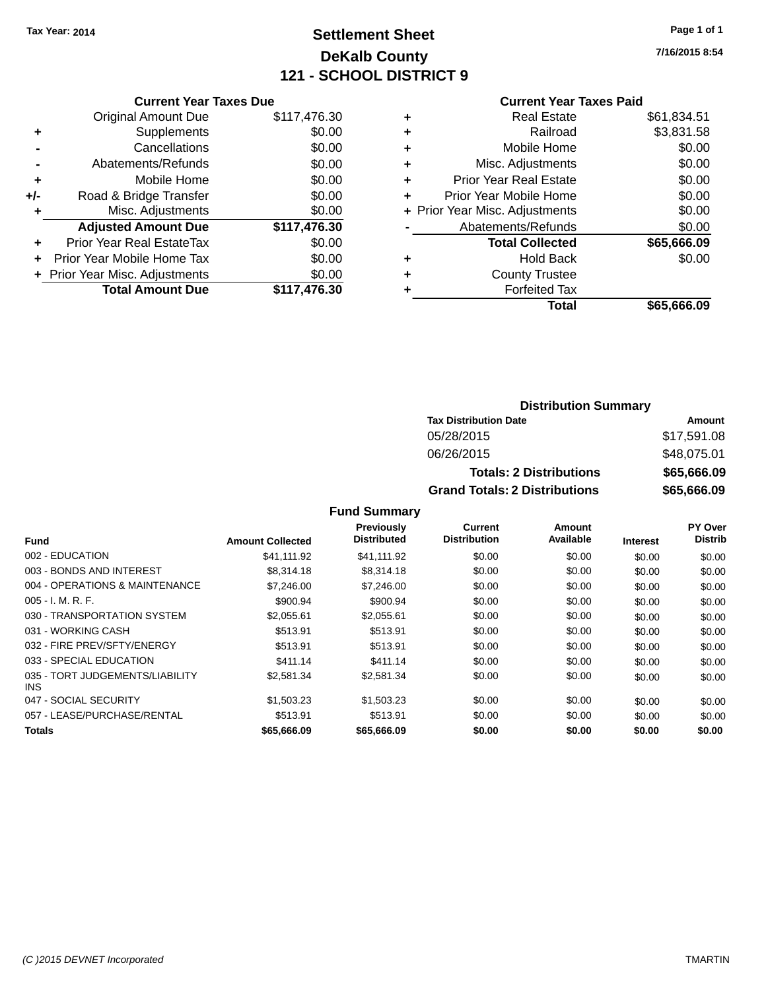# **Settlement Sheet Tax Year: 2014 Page 1 of 1 DeKalb County 121 - SCHOOL DISTRICT 9**

**7/16/2015 8:54**

## **Current Year Taxes Paid**

|       | <b>Current Year Taxes Due</b>  |              |  |  |  |
|-------|--------------------------------|--------------|--|--|--|
|       | <b>Original Amount Due</b>     | \$117,476.30 |  |  |  |
| ٠     | Supplements                    | \$0.00       |  |  |  |
|       | Cancellations                  | \$0.00       |  |  |  |
|       | Abatements/Refunds             | \$0.00       |  |  |  |
| ٠     | Mobile Home                    | \$0.00       |  |  |  |
| $+/-$ | Road & Bridge Transfer         | \$0.00       |  |  |  |
|       | Misc. Adjustments              | \$0.00       |  |  |  |
|       | <b>Adjusted Amount Due</b>     | \$117,476.30 |  |  |  |
| ٠     | Prior Year Real EstateTax      | \$0.00       |  |  |  |
|       | Prior Year Mobile Home Tax     | \$0.00       |  |  |  |
|       | + Prior Year Misc. Adjustments | \$0.00       |  |  |  |
|       | <b>Total Amount Due</b>        | \$117,476.30 |  |  |  |
|       |                                |              |  |  |  |

| ٠ | <b>Real Estate</b>             | \$61,834.51 |
|---|--------------------------------|-------------|
| ٠ | Railroad                       | \$3,831.58  |
| ٠ | Mobile Home                    | \$0.00      |
| ٠ | Misc. Adjustments              | \$0.00      |
| ٠ | <b>Prior Year Real Estate</b>  | \$0.00      |
| ÷ | Prior Year Mobile Home         | \$0.00      |
|   | + Prior Year Misc. Adjustments | \$0.00      |
|   | Abatements/Refunds             | \$0.00      |
|   | <b>Total Collected</b>         | \$65,666.09 |
| ٠ | <b>Hold Back</b>               | \$0.00      |
|   | <b>County Trustee</b>          |             |
| ٠ | <b>Forfeited Tax</b>           |             |
|   | Total                          | \$65,666.09 |
|   |                                |             |

## **Distribution Summary Tax Distribution Date Amount** 05/28/2015 \$17,591.08 06/26/2015 \$48,075.01 **Totals: 2 Distributions \$65,666.09 Grand Totals: 2 Distributions \$65,666.09**

## **Fund Summary**

|                                               |                         | Previously         | Current             | Amount    |                 | PY Over        |
|-----------------------------------------------|-------------------------|--------------------|---------------------|-----------|-----------------|----------------|
| Fund                                          | <b>Amount Collected</b> | <b>Distributed</b> | <b>Distribution</b> | Available | <b>Interest</b> | <b>Distrib</b> |
| 002 - EDUCATION                               | \$41,111.92             | \$41.111.92        | \$0.00              | \$0.00    | \$0.00          | \$0.00         |
| 003 - BONDS AND INTEREST                      | \$8,314.18              | \$8,314.18         | \$0.00              | \$0.00    | \$0.00          | \$0.00         |
| 004 - OPERATIONS & MAINTENANCE                | \$7,246,00              | \$7,246.00         | \$0.00              | \$0.00    | \$0.00          | \$0.00         |
| $005 - I. M. R. F.$                           | \$900.94                | \$900.94           | \$0.00              | \$0.00    | \$0.00          | \$0.00         |
| 030 - TRANSPORTATION SYSTEM                   | \$2.055.61              | \$2.055.61         | \$0.00              | \$0.00    | \$0.00          | \$0.00         |
| 031 - WORKING CASH                            | \$513.91                | \$513.91           | \$0.00              | \$0.00    | \$0.00          | \$0.00         |
| 032 - FIRE PREV/SFTY/ENERGY                   | \$513.91                | \$513.91           | \$0.00              | \$0.00    | \$0.00          | \$0.00         |
| 033 - SPECIAL EDUCATION                       | \$411.14                | \$411.14           | \$0.00              | \$0.00    | \$0.00          | \$0.00         |
| 035 - TORT JUDGEMENTS/LIABILITY<br><b>INS</b> | \$2,581,34              | \$2,581.34         | \$0.00              | \$0.00    | \$0.00          | \$0.00         |
| 047 - SOCIAL SECURITY                         | \$1,503.23              | \$1,503.23         | \$0.00              | \$0.00    | \$0.00          | \$0.00         |
| 057 - LEASE/PURCHASE/RENTAL                   | \$513.91                | \$513.91           | \$0.00              | \$0.00    | \$0.00          | \$0.00         |
| Totals                                        | \$65,666,09             | \$65,666.09        | \$0.00              | \$0.00    | \$0.00          | \$0.00         |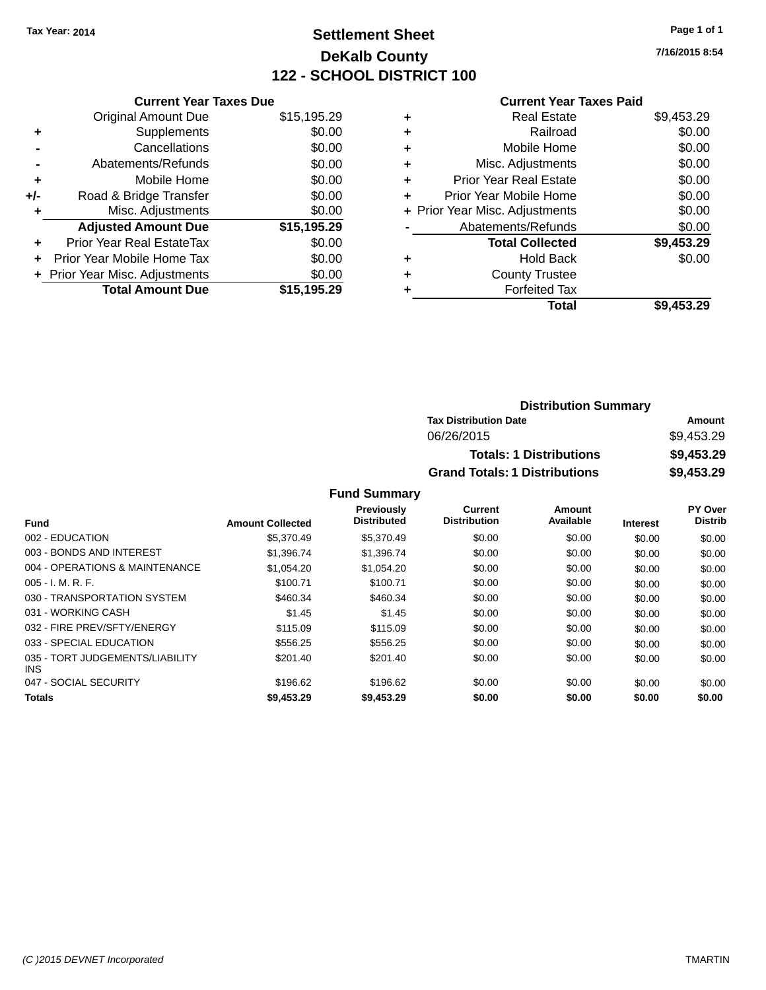# **Settlement Sheet Tax Year: 2014 Page 1 of 1 DeKalb County 122 - SCHOOL DISTRICT 100**

**7/16/2015 8:54**

| <b>Current Year Taxes Paid</b> |  |  |
|--------------------------------|--|--|
|                                |  |  |

| <b>Current Year Taxes Due</b>    |                                |
|----------------------------------|--------------------------------|
| <b>Original Amount Due</b>       | \$15,195.29                    |
| Supplements                      | \$0.00                         |
| Cancellations                    | \$0.00                         |
| Abatements/Refunds               | \$0.00                         |
| Mobile Home                      | \$0.00                         |
| Road & Bridge Transfer           | \$0.00                         |
| Misc. Adjustments                | \$0.00                         |
| <b>Adjusted Amount Due</b>       | \$15,195.29                    |
| <b>Prior Year Real EstateTax</b> | \$0.00                         |
| Prior Year Mobile Home Tax       | \$0.00                         |
|                                  | \$0.00                         |
| <b>Total Amount Due</b>          | \$15.195.29                    |
|                                  | + Prior Year Misc. Adjustments |

| ٠ | <b>Real Estate</b>             | \$9,453.29 |
|---|--------------------------------|------------|
| ٠ | Railroad                       | \$0.00     |
| ٠ | Mobile Home                    | \$0.00     |
| ٠ | Misc. Adjustments              | \$0.00     |
| ٠ | <b>Prior Year Real Estate</b>  | \$0.00     |
| ٠ | Prior Year Mobile Home         | \$0.00     |
|   | + Prior Year Misc. Adjustments | \$0.00     |
|   | Abatements/Refunds             | \$0.00     |
|   | <b>Total Collected</b>         | \$9,453.29 |
| ٠ | <b>Hold Back</b>               | \$0.00     |
| ٠ | <b>County Trustee</b>          |            |
| ٠ | <b>Forfeited Tax</b>           |            |
|   | <b>Total</b>                   | \$9,453.29 |
|   |                                |            |

| <b>Distribution Summary</b>          |            |
|--------------------------------------|------------|
| <b>Tax Distribution Date</b>         | Amount     |
| 06/26/2015                           | \$9.453.29 |
| <b>Totals: 1 Distributions</b>       | \$9,453.29 |
| <b>Grand Totals: 1 Distributions</b> | \$9,453.29 |

| <b>Fund</b>                             | <b>Amount Collected</b> | <b>Previously</b><br><b>Distributed</b> | Current<br><b>Distribution</b> | Amount<br>Available | <b>Interest</b> | PY Over<br><b>Distrib</b> |
|-----------------------------------------|-------------------------|-----------------------------------------|--------------------------------|---------------------|-----------------|---------------------------|
| 002 - EDUCATION                         | \$5,370.49              | \$5,370.49                              | \$0.00                         | \$0.00              | \$0.00          | \$0.00                    |
| 003 - BONDS AND INTEREST                | \$1.396.74              | \$1.396.74                              | \$0.00                         | \$0.00              | \$0.00          | \$0.00                    |
| 004 - OPERATIONS & MAINTENANCE          | \$1.054.20              | \$1.054.20                              | \$0.00                         | \$0.00              | \$0.00          | \$0.00                    |
| $005 - I. M. R. F.$                     | \$100.71                | \$100.71                                | \$0.00                         | \$0.00              | \$0.00          | \$0.00                    |
| 030 - TRANSPORTATION SYSTEM             | \$460.34                | \$460.34                                | \$0.00                         | \$0.00              | \$0.00          | \$0.00                    |
| 031 - WORKING CASH                      | \$1.45                  | \$1.45                                  | \$0.00                         | \$0.00              | \$0.00          | \$0.00                    |
| 032 - FIRE PREV/SFTY/ENERGY             | \$115.09                | \$115.09                                | \$0.00                         | \$0.00              | \$0.00          | \$0.00                    |
| 033 - SPECIAL EDUCATION                 | \$556.25                | \$556.25                                | \$0.00                         | \$0.00              | \$0.00          | \$0.00                    |
| 035 - TORT JUDGEMENTS/LIABILITY<br>INS. | \$201.40                | \$201.40                                | \$0.00                         | \$0.00              | \$0.00          | \$0.00                    |
| 047 - SOCIAL SECURITY                   | \$196.62                | \$196.62                                | \$0.00                         | \$0.00              | \$0.00          | \$0.00                    |
| <b>Totals</b>                           | \$9,453.29              | \$9,453.29                              | \$0.00                         | \$0.00              | \$0.00          | \$0.00                    |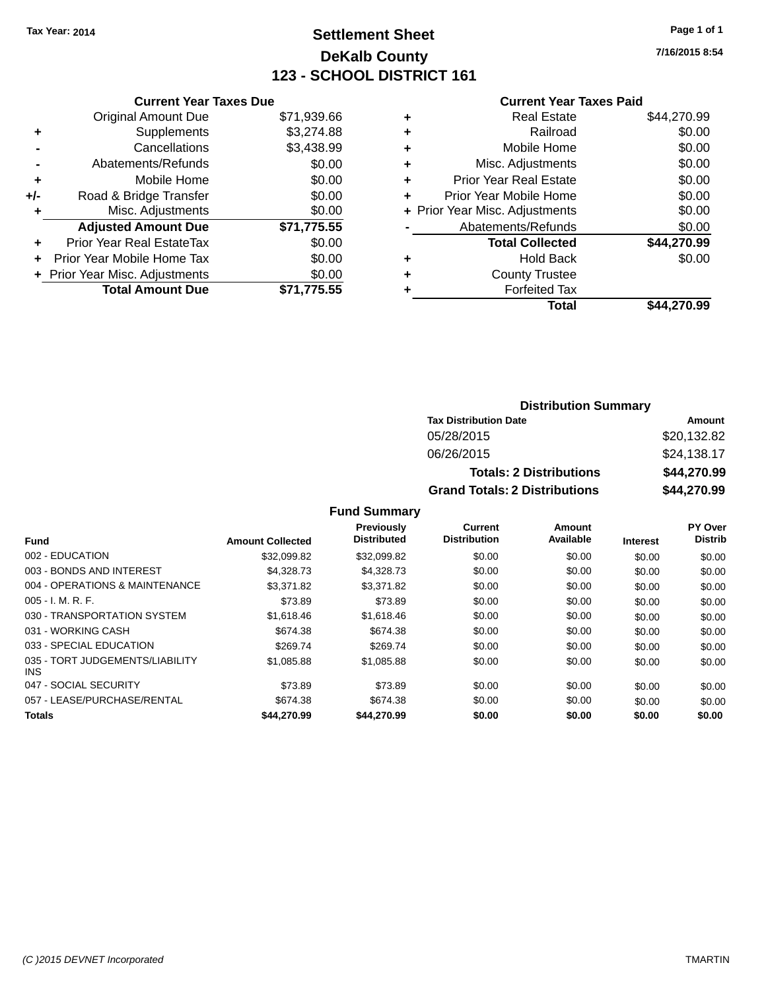# **Settlement Sheet Tax Year: 2014 Page 1 of 1 DeKalb County 123 - SCHOOL DISTRICT 161**

**7/16/2015 8:54**

#### **Current Year Taxes Paid**

|     | <b>Current Year Taxes Due</b>  |             |
|-----|--------------------------------|-------------|
|     | <b>Original Amount Due</b>     | \$71,939.66 |
| ٠   | Supplements                    | \$3,274.88  |
|     | Cancellations                  | \$3,438.99  |
|     | Abatements/Refunds             | \$0.00      |
| ٠   | Mobile Home                    | \$0.00      |
| +/- | Road & Bridge Transfer         | \$0.00      |
|     | Misc. Adjustments              | \$0.00      |
|     | <b>Adjusted Amount Due</b>     | \$71,775.55 |
| ÷   | Prior Year Real EstateTax      | \$0.00      |
| ÷   | Prior Year Mobile Home Tax     | \$0.00      |
|     | + Prior Year Misc. Adjustments | \$0.00      |
|     | <b>Total Amount Due</b>        | \$71.775.55 |

| ٠ | <b>Real Estate</b>             | \$44,270.99 |
|---|--------------------------------|-------------|
| ٠ | Railroad                       | \$0.00      |
| ٠ | Mobile Home                    | \$0.00      |
| ٠ | Misc. Adjustments              | \$0.00      |
| ٠ | <b>Prior Year Real Estate</b>  | \$0.00      |
| ٠ | Prior Year Mobile Home         | \$0.00      |
|   | + Prior Year Misc. Adjustments | \$0.00      |
|   | Abatements/Refunds             | \$0.00      |
|   | <b>Total Collected</b>         | \$44,270.99 |
| ٠ | <b>Hold Back</b>               | \$0.00      |
| ٠ | <b>County Trustee</b>          |             |
| ٠ | <b>Forfeited Tax</b>           |             |
|   | Total                          | \$44.270.99 |
|   |                                |             |

#### **Distribution Summary Tax Distribution Date Amount** 05/28/2015 \$20,132.82 06/26/2015 \$24,138.17 **Totals: 2 Distributions \$44,270.99 Grand Totals: 2 Distributions \$44,270.99**

|                                         |                         | <b>Previously</b>  | <b>Current</b>      | Amount    |          | PY Over        |
|-----------------------------------------|-------------------------|--------------------|---------------------|-----------|----------|----------------|
| <b>Fund</b>                             | <b>Amount Collected</b> | <b>Distributed</b> | <b>Distribution</b> | Available | Interest | <b>Distrib</b> |
| 002 - EDUCATION                         | \$32,099.82             | \$32.099.82        | \$0.00              | \$0.00    | \$0.00   | \$0.00         |
| 003 - BONDS AND INTEREST                | \$4.328.73              | \$4,328.73         | \$0.00              | \$0.00    | \$0.00   | \$0.00         |
| 004 - OPERATIONS & MAINTENANCE          | \$3.371.82              | \$3,371.82         | \$0.00              | \$0.00    | \$0.00   | \$0.00         |
| $005 - I. M. R. F.$                     | \$73.89                 | \$73.89            | \$0.00              | \$0.00    | \$0.00   | \$0.00         |
| 030 - TRANSPORTATION SYSTEM             | \$1,618,46              | \$1,618.46         | \$0.00              | \$0.00    | \$0.00   | \$0.00         |
| 031 - WORKING CASH                      | \$674.38                | \$674.38           | \$0.00              | \$0.00    | \$0.00   | \$0.00         |
| 033 - SPECIAL EDUCATION                 | \$269.74                | \$269.74           | \$0.00              | \$0.00    | \$0.00   | \$0.00         |
| 035 - TORT JUDGEMENTS/LIABILITY<br>INS. | \$1,085.88              | \$1,085.88         | \$0.00              | \$0.00    | \$0.00   | \$0.00         |
| 047 - SOCIAL SECURITY                   | \$73.89                 | \$73.89            | \$0.00              | \$0.00    | \$0.00   | \$0.00         |
| 057 - LEASE/PURCHASE/RENTAL             | \$674.38                | \$674.38           | \$0.00              | \$0.00    | \$0.00   | \$0.00         |
| <b>Totals</b>                           | \$44,270.99             | \$44,270.99        | \$0.00              | \$0.00    | \$0.00   | \$0.00         |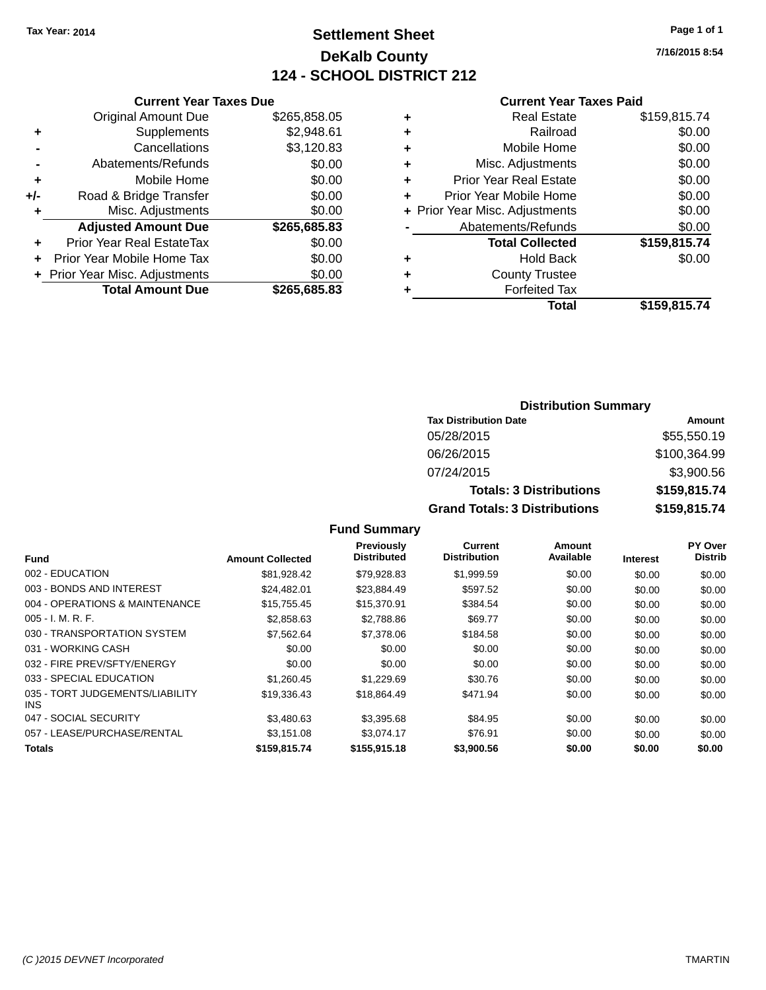# **Settlement Sheet Tax Year: 2014 Page 1 of 1 DeKalb County 124 - SCHOOL DISTRICT 212**

**7/16/2015 8:54**

#### **Current Year Taxes Paid**

|     | <b>Current Year Taxes Due</b>  |              |  |  |  |
|-----|--------------------------------|--------------|--|--|--|
|     | <b>Original Amount Due</b>     | \$265,858.05 |  |  |  |
| ٠   | Supplements                    | \$2,948.61   |  |  |  |
|     | Cancellations                  | \$3,120.83   |  |  |  |
|     | Abatements/Refunds             | \$0.00       |  |  |  |
| ٠   | Mobile Home                    | \$0.00       |  |  |  |
| +/- | Road & Bridge Transfer         | \$0.00       |  |  |  |
| ٠   | Misc. Adjustments              | \$0.00       |  |  |  |
|     | <b>Adjusted Amount Due</b>     | \$265,685.83 |  |  |  |
| ÷   | Prior Year Real EstateTax      | \$0.00       |  |  |  |
| ÷   | Prior Year Mobile Home Tax     | \$0.00       |  |  |  |
|     | + Prior Year Misc. Adjustments | \$0.00       |  |  |  |
|     | <b>Total Amount Due</b>        | \$265,685.83 |  |  |  |
|     |                                |              |  |  |  |

|   | <b>Real Estate</b>             | \$159,815.74 |
|---|--------------------------------|--------------|
| ٠ | Railroad                       | \$0.00       |
| ٠ | Mobile Home                    | \$0.00       |
| ٠ | Misc. Adjustments              | \$0.00       |
| ٠ | <b>Prior Year Real Estate</b>  | \$0.00       |
|   | Prior Year Mobile Home         | \$0.00       |
|   | + Prior Year Misc. Adjustments | \$0.00       |
|   | Abatements/Refunds             | \$0.00       |
|   | <b>Total Collected</b>         | \$159,815.74 |
|   | <b>Hold Back</b>               | \$0.00       |
|   | <b>County Trustee</b>          |              |
| ٠ | <b>Forfeited Tax</b>           |              |
|   | Total                          | \$159,815.74 |
|   |                                |              |

#### **Distribution Summary Tax Distribution Date Amount** 05/28/2015 \$55,550.19 06/26/2015 \$100,364.99 07/24/2015 \$3,900.56 **Totals: 3 Distributions \$159,815.74 Grand Totals: 3 Distributions \$159,815.74**

|                                               |                         | <b>Previously</b>  | <b>Current</b>      | Amount<br>Available |                 | <b>PY Over</b> |
|-----------------------------------------------|-------------------------|--------------------|---------------------|---------------------|-----------------|----------------|
| <b>Fund</b>                                   | <b>Amount Collected</b> | <b>Distributed</b> | <b>Distribution</b> |                     | <b>Interest</b> | <b>Distrib</b> |
| 002 - EDUCATION                               | \$81,928.42             | \$79,928.83        | \$1,999.59          | \$0.00              | \$0.00          | \$0.00         |
| 003 - BONDS AND INTEREST                      | \$24.482.01             | \$23.884.49        | \$597.52            | \$0.00              | \$0.00          | \$0.00         |
| 004 - OPERATIONS & MAINTENANCE                | \$15,755,45             | \$15,370.91        | \$384.54            | \$0.00              | \$0.00          | \$0.00         |
| $005 - I. M. R. F.$                           | \$2,858.63              | \$2,788.86         | \$69.77             | \$0.00              | \$0.00          | \$0.00         |
| 030 - TRANSPORTATION SYSTEM                   | \$7.562.64              | \$7,378.06         | \$184.58            | \$0.00              | \$0.00          | \$0.00         |
| 031 - WORKING CASH                            | \$0.00                  | \$0.00             | \$0.00              | \$0.00              | \$0.00          | \$0.00         |
| 032 - FIRE PREV/SFTY/ENERGY                   | \$0.00                  | \$0.00             | \$0.00              | \$0.00              | \$0.00          | \$0.00         |
| 033 - SPECIAL EDUCATION                       | \$1,260.45              | \$1,229.69         | \$30.76             | \$0.00              | \$0.00          | \$0.00         |
| 035 - TORT JUDGEMENTS/LIABILITY<br><b>INS</b> | \$19,336.43             | \$18,864.49        | \$471.94            | \$0.00              | \$0.00          | \$0.00         |
| 047 - SOCIAL SECURITY                         | \$3,480.63              | \$3,395.68         | \$84.95             | \$0.00              | \$0.00          | \$0.00         |
| 057 - LEASE/PURCHASE/RENTAL                   | \$3,151.08              | \$3.074.17         | \$76.91             | \$0.00              | \$0.00          | \$0.00         |
| <b>Totals</b>                                 | \$159,815.74            | \$155,915.18       | \$3,900.56          | \$0.00              | \$0.00          | \$0.00         |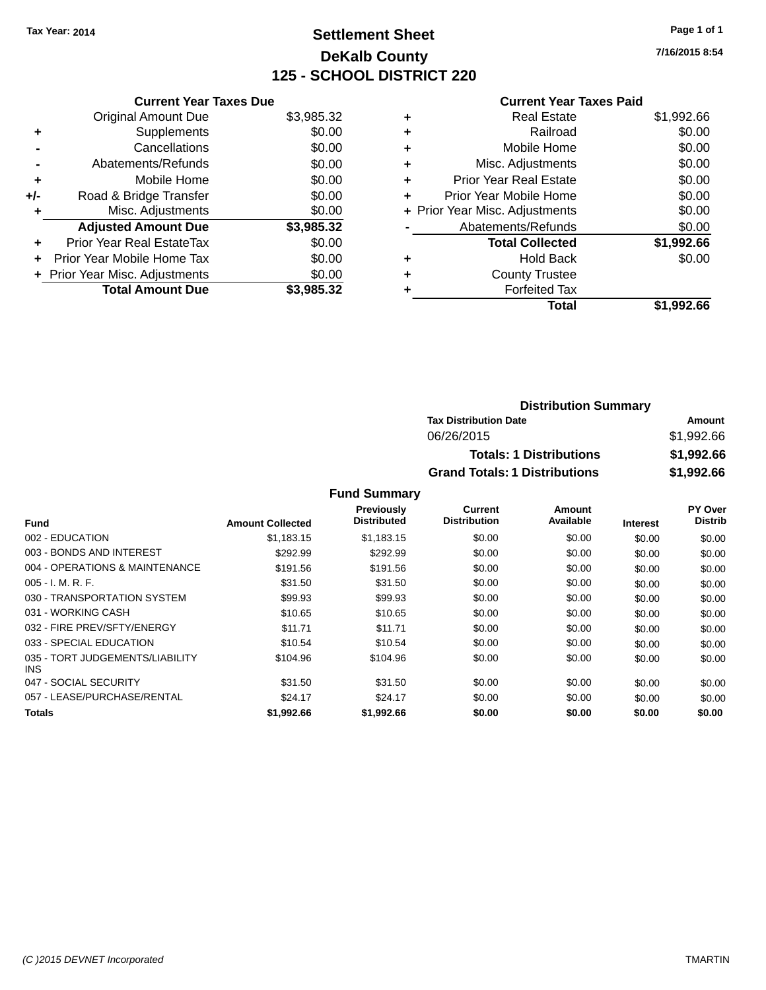# **Settlement Sheet Tax Year: 2014 Page 1 of 1 DeKalb County 125 - SCHOOL DISTRICT 220**

**7/16/2015 8:54**

#### **Current Year Taxes Paid**

|     | <b>Current Year Taxes Due</b>  |            |
|-----|--------------------------------|------------|
|     | <b>Original Amount Due</b>     | \$3,985.32 |
| ٠   | Supplements                    | \$0.00     |
|     | Cancellations                  | \$0.00     |
|     | Abatements/Refunds             | \$0.00     |
| ٠   | Mobile Home                    | \$0.00     |
| +/- | Road & Bridge Transfer         | \$0.00     |
| ٠   | Misc. Adjustments              | \$0.00     |
|     | <b>Adjusted Amount Due</b>     | \$3,985.32 |
| ÷   | Prior Year Real EstateTax      | \$0.00     |
| ÷   | Prior Year Mobile Home Tax     | \$0.00     |
|     | + Prior Year Misc. Adjustments | \$0.00     |
|     | <b>Total Amount Due</b>        | \$3.985.32 |

| ٠ | <b>Real Estate</b>             | \$1,992.66 |
|---|--------------------------------|------------|
| ٠ | Railroad                       | \$0.00     |
| ٠ | Mobile Home                    | \$0.00     |
| ٠ | Misc. Adjustments              | \$0.00     |
| ٠ | <b>Prior Year Real Estate</b>  | \$0.00     |
| ٠ | Prior Year Mobile Home         | \$0.00     |
|   | + Prior Year Misc. Adjustments | \$0.00     |
|   | Abatements/Refunds             | \$0.00     |
|   | <b>Total Collected</b>         | \$1,992.66 |
| ٠ | <b>Hold Back</b>               | \$0.00     |
| ٠ | <b>County Trustee</b>          |            |
| ٠ | <b>Forfeited Tax</b>           |            |
|   | Total                          | \$1,992.66 |
|   |                                |            |

| <b>Distribution Summary</b>          |            |  |  |  |
|--------------------------------------|------------|--|--|--|
| <b>Tax Distribution Date</b>         | Amount     |  |  |  |
| 06/26/2015                           | \$1,992.66 |  |  |  |
| <b>Totals: 1 Distributions</b>       | \$1,992.66 |  |  |  |
| <b>Grand Totals: 1 Distributions</b> | \$1,992.66 |  |  |  |

| <b>Fund</b>                             | <b>Amount Collected</b> | Previously<br><b>Distributed</b> | Current<br><b>Distribution</b> | Amount<br>Available | <b>Interest</b> | PY Over<br><b>Distrib</b> |
|-----------------------------------------|-------------------------|----------------------------------|--------------------------------|---------------------|-----------------|---------------------------|
| 002 - EDUCATION                         | \$1.183.15              | \$1,183.15                       | \$0.00                         | \$0.00              | \$0.00          | \$0.00                    |
| 003 - BONDS AND INTEREST                | \$292.99                | \$292.99                         | \$0.00                         | \$0.00              | \$0.00          | \$0.00                    |
| 004 - OPERATIONS & MAINTENANCE          | \$191.56                | \$191.56                         | \$0.00                         | \$0.00              | \$0.00          | \$0.00                    |
| $005 - I. M. R. F.$                     | \$31.50                 | \$31.50                          | \$0.00                         | \$0.00              | \$0.00          | \$0.00                    |
| 030 - TRANSPORTATION SYSTEM             | \$99.93                 | \$99.93                          | \$0.00                         | \$0.00              | \$0.00          | \$0.00                    |
| 031 - WORKING CASH                      | \$10.65                 | \$10.65                          | \$0.00                         | \$0.00              | \$0.00          | \$0.00                    |
| 032 - FIRE PREV/SFTY/ENERGY             | \$11.71                 | \$11.71                          | \$0.00                         | \$0.00              | \$0.00          | \$0.00                    |
| 033 - SPECIAL EDUCATION                 | \$10.54                 | \$10.54                          | \$0.00                         | \$0.00              | \$0.00          | \$0.00                    |
| 035 - TORT JUDGEMENTS/LIABILITY<br>INS. | \$104.96                | \$104.96                         | \$0.00                         | \$0.00              | \$0.00          | \$0.00                    |
| 047 - SOCIAL SECURITY                   | \$31.50                 | \$31.50                          | \$0.00                         | \$0.00              | \$0.00          | \$0.00                    |
| 057 - LEASE/PURCHASE/RENTAL             | \$24.17                 | \$24.17                          | \$0.00                         | \$0.00              | \$0.00          | \$0.00                    |
| Totals                                  | \$1,992.66              | \$1,992.66                       | \$0.00                         | \$0.00              | \$0.00          | \$0.00                    |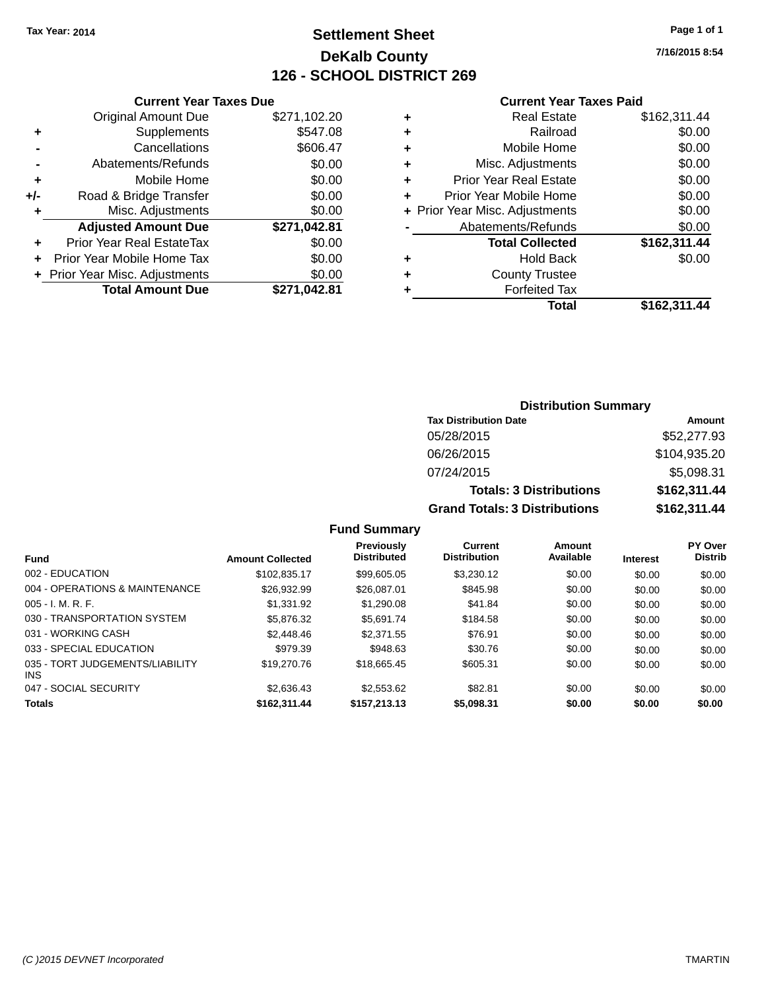# **Settlement Sheet Tax Year: 2014 Page 1 of 1 DeKalb County 126 - SCHOOL DISTRICT 269**

**7/16/2015 8:54**

#### **Current Year Taxes Paid**

|     | <b>Current Year Taxes Due</b>  |              |  |
|-----|--------------------------------|--------------|--|
|     | <b>Original Amount Due</b>     | \$271,102.20 |  |
| ٠   | Supplements                    | \$547.08     |  |
|     | Cancellations                  | \$606.47     |  |
|     | Abatements/Refunds             | \$0.00       |  |
| ٠   | Mobile Home                    | \$0.00       |  |
| +/- | Road & Bridge Transfer         | \$0.00       |  |
| ٠   | Misc. Adjustments              | \$0.00       |  |
|     | <b>Adjusted Amount Due</b>     | \$271,042.81 |  |
| ÷   | Prior Year Real EstateTax      | \$0.00       |  |
| ÷   | Prior Year Mobile Home Tax     | \$0.00       |  |
|     | + Prior Year Misc. Adjustments | \$0.00       |  |
|     | <b>Total Amount Due</b>        | \$271.042.81 |  |
|     |                                |              |  |

| ٠ | <b>Real Estate</b>             | \$162,311.44 |
|---|--------------------------------|--------------|
| ٠ | Railroad                       | \$0.00       |
| ٠ | Mobile Home                    | \$0.00       |
| ٠ | Misc. Adjustments              | \$0.00       |
| ٠ | <b>Prior Year Real Estate</b>  | \$0.00       |
| ٠ | Prior Year Mobile Home         | \$0.00       |
|   | + Prior Year Misc. Adjustments | \$0.00       |
|   | Abatements/Refunds             | \$0.00       |
|   | <b>Total Collected</b>         | \$162,311.44 |
| ٠ | Hold Back                      | \$0.00       |
| ٠ | <b>County Trustee</b>          |              |
| ٠ | <b>Forfeited Tax</b>           |              |
|   | Total                          | \$162,311.44 |
|   |                                |              |

### **Distribution Summary Tax Distribution Date Amount** 05/28/2015 \$52,277.93 06/26/2015 \$104,935.20 07/24/2015 \$5,098.31 **Totals: 3 Distributions \$162,311.44 Grand Totals: 3 Distributions \$162,311.44**

| <b>Fund</b>                                   | <b>Amount Collected</b> | <b>Previously</b><br><b>Distributed</b> | Current<br><b>Distribution</b> | Amount<br>Available | <b>Interest</b> | <b>PY Over</b><br><b>Distrib</b> |
|-----------------------------------------------|-------------------------|-----------------------------------------|--------------------------------|---------------------|-----------------|----------------------------------|
| 002 - EDUCATION                               | \$102.835.17            | \$99,605.05                             | \$3.230.12                     | \$0.00              | \$0.00          | \$0.00                           |
| 004 - OPERATIONS & MAINTENANCE                | \$26.932.99             | \$26,087.01                             | \$845.98                       | \$0.00              | \$0.00          | \$0.00                           |
| $005 - I. M. R. F.$                           | \$1,331.92              | \$1,290.08                              | \$41.84                        | \$0.00              | \$0.00          | \$0.00                           |
| 030 - TRANSPORTATION SYSTEM                   | \$5,876.32              | \$5.691.74                              | \$184.58                       | \$0.00              | \$0.00          | \$0.00                           |
| 031 - WORKING CASH                            | \$2,448.46              | \$2,371.55                              | \$76.91                        | \$0.00              | \$0.00          | \$0.00                           |
| 033 - SPECIAL EDUCATION                       | \$979.39                | \$948.63                                | \$30.76                        | \$0.00              | \$0.00          | \$0.00                           |
| 035 - TORT JUDGEMENTS/LIABILITY<br><b>INS</b> | \$19,270.76             | \$18.665.45                             | \$605.31                       | \$0.00              | \$0.00          | \$0.00                           |
| 047 - SOCIAL SECURITY                         | \$2,636,43              | \$2,553.62                              | \$82.81                        | \$0.00              | \$0.00          | \$0.00                           |
| <b>Totals</b>                                 | \$162.311.44            | \$157,213.13                            | \$5,098.31                     | \$0.00              | \$0.00          | \$0.00                           |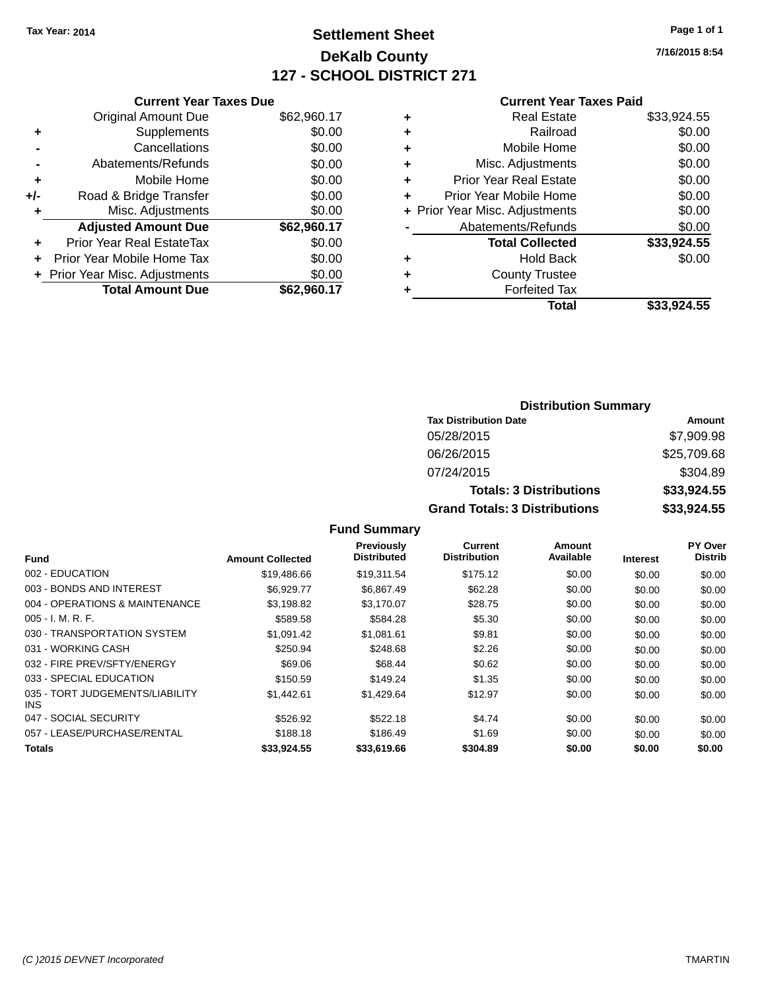# **Settlement Sheet Tax Year: 2014 Page 1 of 1 DeKalb County 127 - SCHOOL DISTRICT 271**

**7/16/2015 8:54**

#### **Current Year Taxes Paid**

|     | <b>Current Year Taxes Due</b>  |             |  |  |  |
|-----|--------------------------------|-------------|--|--|--|
|     | <b>Original Amount Due</b>     | \$62,960.17 |  |  |  |
| ٠   | Supplements                    | \$0.00      |  |  |  |
|     | Cancellations                  | \$0.00      |  |  |  |
|     | Abatements/Refunds             | \$0.00      |  |  |  |
| ٠   | Mobile Home                    | \$0.00      |  |  |  |
| +/- | Road & Bridge Transfer         | \$0.00      |  |  |  |
|     | Misc. Adjustments              | \$0.00      |  |  |  |
|     | <b>Adjusted Amount Due</b>     | \$62,960.17 |  |  |  |
| ٠   | Prior Year Real EstateTax      | \$0.00      |  |  |  |
|     | Prior Year Mobile Home Tax     | \$0.00      |  |  |  |
|     | + Prior Year Misc. Adjustments | \$0.00      |  |  |  |
|     | <b>Total Amount Due</b>        | \$62,960.17 |  |  |  |
|     |                                |             |  |  |  |

| ٠ | <b>Real Estate</b>             | \$33,924.55 |
|---|--------------------------------|-------------|
| ٠ | Railroad                       | \$0.00      |
| ٠ | Mobile Home                    | \$0.00      |
| ٠ | Misc. Adjustments              | \$0.00      |
| ٠ | <b>Prior Year Real Estate</b>  | \$0.00      |
| ٠ | Prior Year Mobile Home         | \$0.00      |
|   | + Prior Year Misc. Adjustments | \$0.00      |
|   | Abatements/Refunds             | \$0.00      |
|   | <b>Total Collected</b>         | \$33,924.55 |
| ٠ | Hold Back                      | \$0.00      |
| ٠ | <b>County Trustee</b>          |             |
| ٠ | <b>Forfeited Tax</b>           |             |
|   | Total                          | \$33,924.55 |
|   |                                |             |

| <b>Distribution Summary</b>          |             |  |  |  |
|--------------------------------------|-------------|--|--|--|
| <b>Tax Distribution Date</b>         | Amount      |  |  |  |
| 05/28/2015                           | \$7,909.98  |  |  |  |
| 06/26/2015                           | \$25,709.68 |  |  |  |
| 07/24/2015                           | \$304.89    |  |  |  |
| <b>Totals: 3 Distributions</b>       | \$33,924.55 |  |  |  |
| <b>Grand Totals: 3 Distributions</b> | \$33,924.55 |  |  |  |

| <b>Fund</b>                             | <b>Amount Collected</b> | <b>Previously</b><br><b>Distributed</b> | Current<br><b>Distribution</b> | Amount<br>Available | <b>Interest</b> | PY Over<br><b>Distrib</b> |
|-----------------------------------------|-------------------------|-----------------------------------------|--------------------------------|---------------------|-----------------|---------------------------|
| 002 - EDUCATION                         | \$19,486.66             | \$19,311.54                             | \$175.12                       | \$0.00              | \$0.00          | \$0.00                    |
| 003 - BONDS AND INTEREST                | \$6.929.77              | \$6.867.49                              | \$62.28                        | \$0.00              | \$0.00          | \$0.00                    |
| 004 - OPERATIONS & MAINTENANCE          | \$3,198.82              | \$3.170.07                              | \$28.75                        | \$0.00              | \$0.00          | \$0.00                    |
| $005 - I. M. R. F.$                     | \$589.58                | \$584.28                                | \$5.30                         | \$0.00              | \$0.00          | \$0.00                    |
| 030 - TRANSPORTATION SYSTEM             | \$1,091.42              | \$1.081.61                              | \$9.81                         | \$0.00              | \$0.00          | \$0.00                    |
| 031 - WORKING CASH                      | \$250.94                | \$248.68                                | \$2.26                         | \$0.00              | \$0.00          | \$0.00                    |
| 032 - FIRE PREV/SFTY/ENERGY             | \$69.06                 | \$68.44                                 | \$0.62                         | \$0.00              | \$0.00          | \$0.00                    |
| 033 - SPECIAL EDUCATION                 | \$150.59                | \$149.24                                | \$1.35                         | \$0.00              | \$0.00          | \$0.00                    |
| 035 - TORT JUDGEMENTS/LIABILITY<br>INS. | \$1.442.61              | \$1,429.64                              | \$12.97                        | \$0.00              | \$0.00          | \$0.00                    |
| 047 - SOCIAL SECURITY                   | \$526.92                | \$522.18                                | \$4.74                         | \$0.00              | \$0.00          | \$0.00                    |
| 057 - LEASE/PURCHASE/RENTAL             | \$188.18                | \$186.49                                | \$1.69                         | \$0.00              | \$0.00          | \$0.00                    |
| <b>Totals</b>                           | \$33.924.55             | \$33,619.66                             | \$304.89                       | \$0.00              | \$0.00          | \$0.00                    |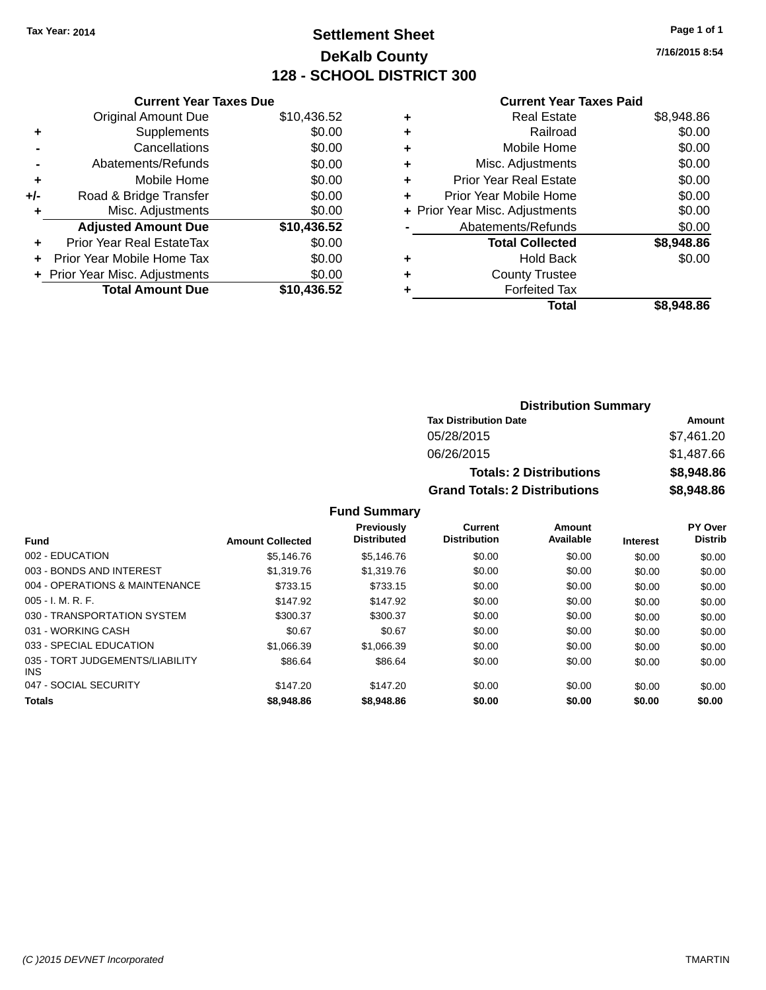# **Settlement Sheet Tax Year: 2014 Page 1 of 1 DeKalb County 128 - SCHOOL DISTRICT 300**

**7/16/2015 8:54**

#### **Current Year Taxes Paid**

| <b>Current Year Taxes Due</b>  |             |  |  |
|--------------------------------|-------------|--|--|
| <b>Original Amount Due</b>     | \$10,436.52 |  |  |
| Supplements                    | \$0.00      |  |  |
| Cancellations                  | \$0.00      |  |  |
| Abatements/Refunds             | \$0.00      |  |  |
| Mobile Home                    | \$0.00      |  |  |
| Road & Bridge Transfer         | \$0.00      |  |  |
| Misc. Adjustments              | \$0.00      |  |  |
| <b>Adjusted Amount Due</b>     | \$10,436.52 |  |  |
| Prior Year Real EstateTax      | \$0.00      |  |  |
| Prior Year Mobile Home Tax     | \$0.00      |  |  |
| + Prior Year Misc. Adjustments | \$0.00      |  |  |
| <b>Total Amount Due</b>        | \$10.436.52 |  |  |
|                                |             |  |  |

| ٠ | <b>Real Estate</b>             | \$8,948.86 |
|---|--------------------------------|------------|
| ٠ | Railroad                       | \$0.00     |
| ٠ | Mobile Home                    | \$0.00     |
| ٠ | Misc. Adjustments              | \$0.00     |
| ٠ | <b>Prior Year Real Estate</b>  | \$0.00     |
| ٠ | Prior Year Mobile Home         | \$0.00     |
|   | + Prior Year Misc. Adjustments | \$0.00     |
|   | Abatements/Refunds             | \$0.00     |
|   | <b>Total Collected</b>         | \$8,948.86 |
| ٠ | Hold Back                      | \$0.00     |
| ٠ | <b>County Trustee</b>          |            |
| ٠ | <b>Forfeited Tax</b>           |            |
|   | Total                          | \$8,948.86 |
|   |                                |            |

| <b>Distribution Summary</b>          |            |  |  |  |
|--------------------------------------|------------|--|--|--|
| <b>Tax Distribution Date</b>         | Amount     |  |  |  |
| 05/28/2015                           | \$7,461.20 |  |  |  |
| 06/26/2015                           | \$1,487.66 |  |  |  |
| <b>Totals: 2 Distributions</b>       | \$8,948.86 |  |  |  |
| <b>Grand Totals: 2 Distributions</b> | \$8,948.86 |  |  |  |

|                                               |                         | <b>Previously</b><br><b>Distributed</b> | Current<br><b>Distribution</b> | Amount<br>Available |                 | PY Over<br><b>Distrib</b> |
|-----------------------------------------------|-------------------------|-----------------------------------------|--------------------------------|---------------------|-----------------|---------------------------|
| <b>Fund</b>                                   | <b>Amount Collected</b> |                                         |                                |                     | <b>Interest</b> |                           |
| 002 - EDUCATION                               | \$5.146.76              | \$5.146.76                              | \$0.00                         | \$0.00              | \$0.00          | \$0.00                    |
| 003 - BONDS AND INTEREST                      | \$1,319.76              | \$1,319.76                              | \$0.00                         | \$0.00              | \$0.00          | \$0.00                    |
| 004 - OPERATIONS & MAINTENANCE                | \$733.15                | \$733.15                                | \$0.00                         | \$0.00              | \$0.00          | \$0.00                    |
| $005 - I. M. R. F.$                           | \$147.92                | \$147.92                                | \$0.00                         | \$0.00              | \$0.00          | \$0.00                    |
| 030 - TRANSPORTATION SYSTEM                   | \$300.37                | \$300.37                                | \$0.00                         | \$0.00              | \$0.00          | \$0.00                    |
| 031 - WORKING CASH                            | \$0.67                  | \$0.67                                  | \$0.00                         | \$0.00              | \$0.00          | \$0.00                    |
| 033 - SPECIAL EDUCATION                       | \$1.066.39              | \$1.066.39                              | \$0.00                         | \$0.00              | \$0.00          | \$0.00                    |
| 035 - TORT JUDGEMENTS/LIABILITY<br><b>INS</b> | \$86.64                 | \$86.64                                 | \$0.00                         | \$0.00              | \$0.00          | \$0.00                    |
| 047 - SOCIAL SECURITY                         | \$147.20                | \$147.20                                | \$0.00                         | \$0.00              | \$0.00          | \$0.00                    |
| <b>Totals</b>                                 | \$8,948.86              | \$8,948.86                              | \$0.00                         | \$0.00              | \$0.00          | \$0.00                    |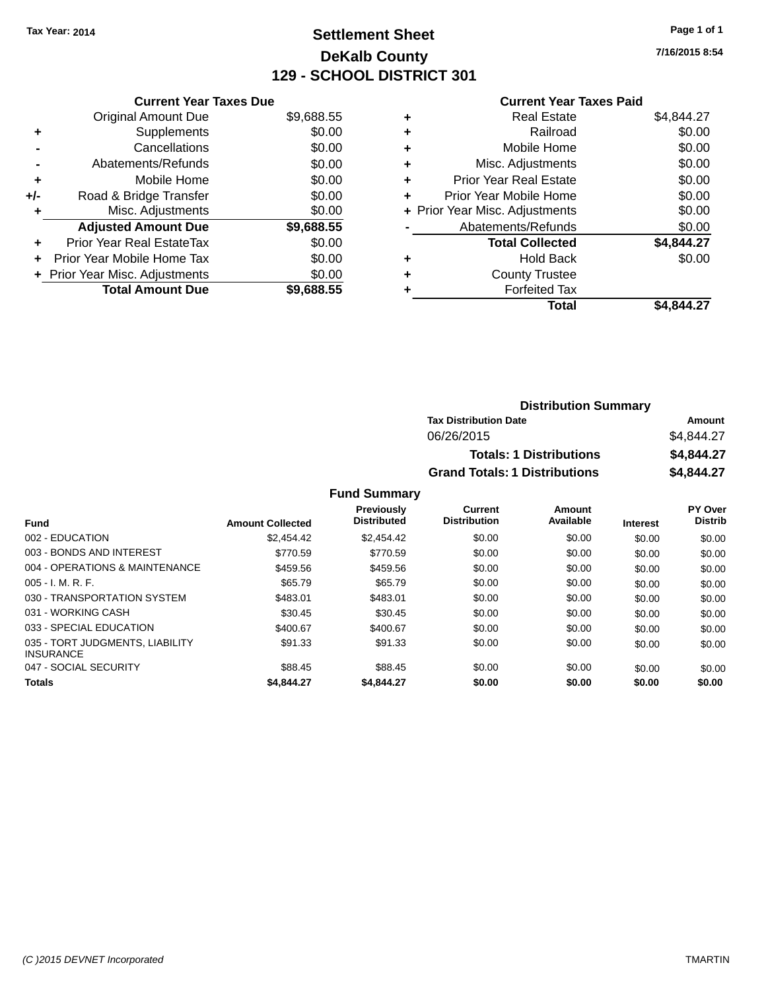# **Settlement Sheet Tax Year: 2014 Page 1 of 1 DeKalb County 129 - SCHOOL DISTRICT 301**

**7/16/2015 8:54**

#### **Current Year Taxes Paid**

|     | <b>Current Year Taxes Due</b>     |            |  |  |  |
|-----|-----------------------------------|------------|--|--|--|
|     | <b>Original Amount Due</b>        | \$9,688.55 |  |  |  |
| ٠   | Supplements                       | \$0.00     |  |  |  |
|     | Cancellations                     | \$0.00     |  |  |  |
|     | Abatements/Refunds                | \$0.00     |  |  |  |
| ٠   | Mobile Home                       | \$0.00     |  |  |  |
| +/- | Road & Bridge Transfer            | \$0.00     |  |  |  |
| ٠   | Misc. Adjustments                 | \$0.00     |  |  |  |
|     | <b>Adjusted Amount Due</b>        | \$9,688.55 |  |  |  |
| ÷   | Prior Year Real EstateTax         | \$0.00     |  |  |  |
| ÷   | <b>Prior Year Mobile Home Tax</b> | \$0.00     |  |  |  |
|     | + Prior Year Misc. Adjustments    | \$0.00     |  |  |  |
|     | <b>Total Amount Due</b>           | \$9.688.55 |  |  |  |

| ٠ | <b>Real Estate</b>             | \$4,844.27 |
|---|--------------------------------|------------|
| ٠ | Railroad                       | \$0.00     |
| ٠ | Mobile Home                    | \$0.00     |
| ٠ | Misc. Adjustments              | \$0.00     |
| ٠ | <b>Prior Year Real Estate</b>  | \$0.00     |
|   | Prior Year Mobile Home         | \$0.00     |
|   | + Prior Year Misc. Adjustments | \$0.00     |
|   | Abatements/Refunds             | \$0.00     |
|   | <b>Total Collected</b>         | \$4,844.27 |
| ٠ | <b>Hold Back</b>               | \$0.00     |
|   | <b>County Trustee</b>          |            |
| ٠ | <b>Forfeited Tax</b>           |            |
|   | Total                          | \$4.844.27 |
|   |                                |            |

| <b>Distribution Summary</b>          |            |  |  |  |
|--------------------------------------|------------|--|--|--|
| <b>Tax Distribution Date</b>         | Amount     |  |  |  |
| 06/26/2015                           | \$4,844.27 |  |  |  |
| <b>Totals: 1 Distributions</b>       | \$4,844.27 |  |  |  |
| <b>Grand Totals: 1 Distributions</b> | \$4,844.27 |  |  |  |

| <b>Fund</b>                                         | <b>Amount Collected</b> | <b>Previously</b><br><b>Distributed</b> | Current<br><b>Distribution</b> | Amount<br>Available | <b>Interest</b> | <b>PY Over</b><br><b>Distrib</b> |
|-----------------------------------------------------|-------------------------|-----------------------------------------|--------------------------------|---------------------|-----------------|----------------------------------|
| 002 - EDUCATION                                     | \$2.454.42              | \$2,454.42                              | \$0.00                         | \$0.00              | \$0.00          | \$0.00                           |
| 003 - BONDS AND INTEREST                            | \$770.59                | \$770.59                                | \$0.00                         | \$0.00              | \$0.00          | \$0.00                           |
| 004 - OPERATIONS & MAINTENANCE                      | \$459.56                | \$459.56                                | \$0.00                         | \$0.00              | \$0.00          | \$0.00                           |
| $005 - I. M. R. F.$                                 | \$65.79                 | \$65.79                                 | \$0.00                         | \$0.00              | \$0.00          | \$0.00                           |
| 030 - TRANSPORTATION SYSTEM                         | \$483.01                | \$483.01                                | \$0.00                         | \$0.00              | \$0.00          | \$0.00                           |
| 031 - WORKING CASH                                  | \$30.45                 | \$30.45                                 | \$0.00                         | \$0.00              | \$0.00          | \$0.00                           |
| 033 - SPECIAL EDUCATION                             | \$400.67                | \$400.67                                | \$0.00                         | \$0.00              | \$0.00          | \$0.00                           |
| 035 - TORT JUDGMENTS, LIABILITY<br><b>INSURANCE</b> | \$91.33                 | \$91.33                                 | \$0.00                         | \$0.00              | \$0.00          | \$0.00                           |
| 047 - SOCIAL SECURITY                               | \$88.45                 | \$88.45                                 | \$0.00                         | \$0.00              | \$0.00          | \$0.00                           |
| <b>Totals</b>                                       | \$4,844,27              | \$4,844.27                              | \$0.00                         | \$0.00              | \$0.00          | \$0.00                           |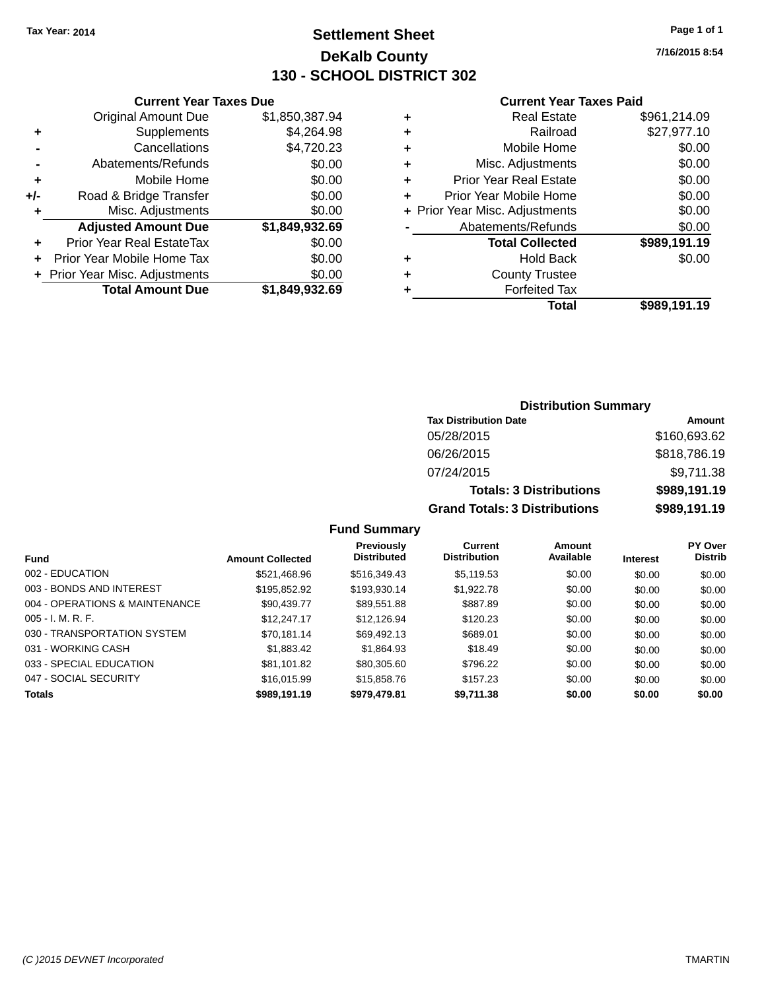# **Settlement Sheet Tax Year: 2014 Page 1 of 1 DeKalb County 130 - SCHOOL DISTRICT 302**

**7/16/2015 8:54**

#### **Current Year Taxes Paid**

|       | <b>Total Amount Due</b>        | \$1,849,932.69 |   |                |
|-------|--------------------------------|----------------|---|----------------|
|       | + Prior Year Misc. Adjustments | \$0.00         | ٠ |                |
| ÷     | Prior Year Mobile Home Tax     | \$0.00         | ٠ |                |
| ٠     | Prior Year Real EstateTax      | \$0.00         |   |                |
|       | <b>Adjusted Amount Due</b>     | \$1,849,932.69 |   | Aba            |
|       | Misc. Adjustments              | \$0.00         |   | + Prior Year M |
| $+/-$ | Road & Bridge Transfer         | \$0.00         |   | Prior Y        |
|       | Mobile Home                    | \$0.00         | ٠ | Prior          |
|       | Abatements/Refunds             | \$0.00         | ٠ | N              |
|       | Cancellations                  | \$4,720.23     | ٠ |                |
|       | Supplements                    | \$4,264.98     | ٠ |                |
|       | <b>Original Amount Due</b>     | \$1,850,387.94 | ٠ |                |
|       |                                |                |   |                |

**Current Year Taxes Due**

|   | <b>Real Estate</b>             | \$961,214.09 |
|---|--------------------------------|--------------|
| ÷ | Railroad                       | \$27,977.10  |
| ٠ | Mobile Home                    | \$0.00       |
| ٠ | Misc. Adjustments              | \$0.00       |
| ٠ | <b>Prior Year Real Estate</b>  | \$0.00       |
| ٠ | Prior Year Mobile Home         | \$0.00       |
|   | + Prior Year Misc. Adjustments | \$0.00       |
|   | Abatements/Refunds             | \$0.00       |
|   | <b>Total Collected</b>         | \$989,191.19 |
|   | <b>Hold Back</b>               | \$0.00       |
| ٠ | <b>County Trustee</b>          |              |
|   | <b>Forfeited Tax</b>           |              |
|   | Total                          | \$989,191.19 |
|   |                                |              |

### **Distribution Summary Tax Distribution Date Amount** 05/28/2015 \$160,693.62 06/26/2015 \$818,786.19 07/24/2015 \$9,711.38 **Totals: 3 Distributions \$989,191.19 Grand Totals: 3 Distributions \$989,191.19**

| <b>Fund</b>                    | <b>Amount Collected</b> | Previously<br><b>Distributed</b> | Current<br><b>Distribution</b> | Amount<br>Available | <b>Interest</b> | <b>PY Over</b><br><b>Distrib</b> |
|--------------------------------|-------------------------|----------------------------------|--------------------------------|---------------------|-----------------|----------------------------------|
| 002 - EDUCATION                | \$521,468.96            | \$516,349.43                     | \$5,119.53                     | \$0.00              | \$0.00          | \$0.00                           |
| 003 - BONDS AND INTEREST       | \$195,852.92            | \$193,930.14                     | \$1,922.78                     | \$0.00              | \$0.00          | \$0.00                           |
| 004 - OPERATIONS & MAINTENANCE | \$90.439.77             | \$89.551.88                      | \$887.89                       | \$0.00              | \$0.00          | \$0.00                           |
| $005 - I. M. R. F.$            | \$12,247.17             | \$12,126.94                      | \$120.23                       | \$0.00              | \$0.00          | \$0.00                           |
| 030 - TRANSPORTATION SYSTEM    | \$70,181.14             | \$69,492.13                      | \$689.01                       | \$0.00              | \$0.00          | \$0.00                           |
| 031 - WORKING CASH             | \$1,883.42              | \$1.864.93                       | \$18.49                        | \$0.00              | \$0.00          | \$0.00                           |
| 033 - SPECIAL EDUCATION        | \$81,101.82             | \$80,305,60                      | \$796.22                       | \$0.00              | \$0.00          | \$0.00                           |
| 047 - SOCIAL SECURITY          | \$16,015.99             | \$15,858.76                      | \$157.23                       | \$0.00              | \$0.00          | \$0.00                           |
| <b>Totals</b>                  | \$989,191.19            | \$979,479.81                     | \$9,711.38                     | \$0.00              | \$0.00          | \$0.00                           |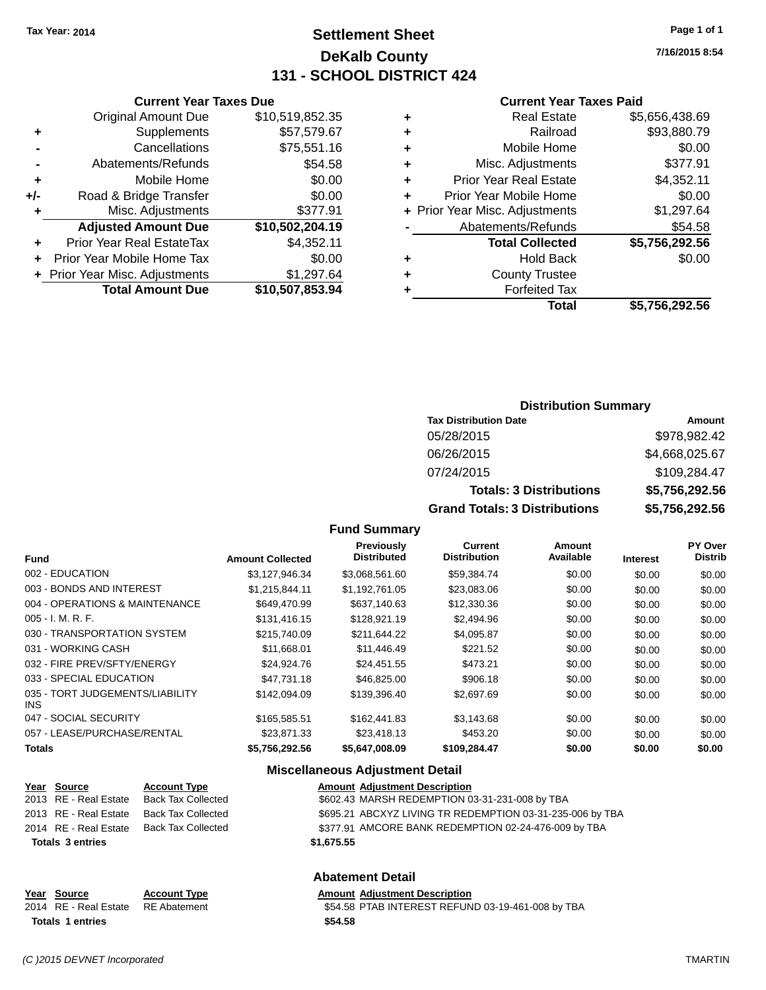# **Settlement Sheet Tax Year: 2014 Page 1 of 1 DeKalb County 131 - SCHOOL DISTRICT 424**

**7/16/2015 8:54**

#### **Current Year Taxes Paid**

|     | <b>Current Year Taxes Due</b>    |                 |
|-----|----------------------------------|-----------------|
|     | <b>Original Amount Due</b>       | \$10,519,852.35 |
| ٠   | Supplements                      | \$57,579.67     |
|     | Cancellations                    | \$75,551.16     |
|     | Abatements/Refunds               | \$54.58         |
| ٠   | Mobile Home                      | \$0.00          |
| +/- | Road & Bridge Transfer           | \$0.00          |
| ٠   | Misc. Adjustments                | \$377.91        |
|     | <b>Adjusted Amount Due</b>       | \$10,502,204.19 |
| ٠   | <b>Prior Year Real EstateTax</b> | \$4,352.11      |
|     | Prior Year Mobile Home Tax       | \$0.00          |
|     | + Prior Year Misc. Adjustments   | \$1,297.64      |
|     | <b>Total Amount Due</b>          | \$10,507,853.94 |
|     |                                  |                 |

| ٠ | <b>Real Estate</b>             | \$5,656,438.69 |
|---|--------------------------------|----------------|
| ٠ | Railroad                       | \$93,880.79    |
| ٠ | Mobile Home                    | \$0.00         |
| ٠ | Misc. Adjustments              | \$377.91       |
| ٠ | <b>Prior Year Real Estate</b>  | \$4,352.11     |
| ٠ | Prior Year Mobile Home         | \$0.00         |
|   | + Prior Year Misc. Adjustments | \$1,297.64     |
|   | Abatements/Refunds             | \$54.58        |
|   | <b>Total Collected</b>         | \$5,756,292.56 |
| ٠ | Hold Back                      | \$0.00         |
| ٠ | <b>County Trustee</b>          |                |
| ٠ | <b>Forfeited Tax</b>           |                |
|   | <b>Total</b>                   | \$5,756,292.56 |
|   |                                |                |

#### **Distribution Summary**

| <b>Tax Distribution Date</b>         | Amount         |
|--------------------------------------|----------------|
| 05/28/2015                           | \$978,982.42   |
| 06/26/2015                           | \$4,668,025.67 |
| 07/24/2015                           | \$109,284.47   |
| <b>Totals: 3 Distributions</b>       | \$5,756,292.56 |
| <b>Grand Totals: 3 Distributions</b> | \$5,756,292.56 |

#### **Fund Summary**

| <b>Fund</b>                             | <b>Amount Collected</b> | Previously<br><b>Distributed</b> | <b>Current</b><br><b>Distribution</b> | Amount<br>Available | <b>Interest</b> | PY Over<br><b>Distrib</b> |
|-----------------------------------------|-------------------------|----------------------------------|---------------------------------------|---------------------|-----------------|---------------------------|
| 002 - EDUCATION                         | \$3,127,946.34          | \$3,068,561.60                   | \$59,384.74                           | \$0.00              | \$0.00          | \$0.00                    |
| 003 - BONDS AND INTEREST                | \$1,215,844.11          | \$1,192,761.05                   | \$23,083.06                           | \$0.00              | \$0.00          | \$0.00                    |
| 004 - OPERATIONS & MAINTENANCE          | \$649,470.99            | \$637,140.63                     | \$12,330.36                           | \$0.00              | \$0.00          | \$0.00                    |
| $005 - I. M. R. F.$                     | \$131,416.15            | \$128,921.19                     | \$2,494.96                            | \$0.00              | \$0.00          | \$0.00                    |
| 030 - TRANSPORTATION SYSTEM             | \$215,740.09            | \$211,644.22                     | \$4,095.87                            | \$0.00              | \$0.00          | \$0.00                    |
| 031 - WORKING CASH                      | \$11,668.01             | \$11,446.49                      | \$221.52                              | \$0.00              | \$0.00          | \$0.00                    |
| 032 - FIRE PREV/SFTY/ENERGY             | \$24.924.76             | \$24.451.55                      | \$473.21                              | \$0.00              | \$0.00          | \$0.00                    |
| 033 - SPECIAL EDUCATION                 | \$47.731.18             | \$46,825,00                      | \$906.18                              | \$0.00              | \$0.00          | \$0.00                    |
| 035 - TORT JUDGEMENTS/LIABILITY<br>INS. | \$142,094.09            | \$139,396.40                     | \$2,697.69                            | \$0.00              | \$0.00          | \$0.00                    |
| 047 - SOCIAL SECURITY                   | \$165,585.51            | \$162,441.83                     | \$3,143.68                            | \$0.00              | \$0.00          | \$0.00                    |
| 057 - LEASE/PURCHASE/RENTAL             | \$23,871.33             | \$23,418.13                      | \$453.20                              | \$0.00              | \$0.00          | \$0.00                    |
| <b>Totals</b>                           | \$5,756,292.56          | \$5,647,008.09                   | \$109,284.47                          | \$0.00              | \$0.00          | \$0.00                    |

#### **Miscellaneous Adjustment Detail**

| <u>Year Source</u>      | <b>Account Type</b> |            | <b>Amount Adjustment Description</b>                      |
|-------------------------|---------------------|------------|-----------------------------------------------------------|
| 2013 RE - Real Estate   | Back Tax Collected  |            | \$602.43 MARSH REDEMPTION 03-31-231-008 by TBA            |
| 2013 RE - Real Estate   | Back Tax Collected  |            | \$695.21 ABCXYZ LIVING TR REDEMPTION 03-31-235-006 by TBA |
| 2014 RE - Real Estate   | Back Tax Collected  |            | \$377.91 AMCORE BANK REDEMPTION 02-24-476-009 by TBA      |
| <b>Totals 3 entries</b> |                     | \$1.675.55 |                                                           |
|                         |                     |            |                                                           |

#### **Abatement Detail**

# **Year Source Account Type Amount Adjustment Description**<br>2014 RE - Real Estate RE Abatement **Amount S54.58 PTAB INTEREST REFUN**

\$54.58 PTAB INTEREST REFUND 03-19-461-008 by TBA **Totals \$54.58 1 entries**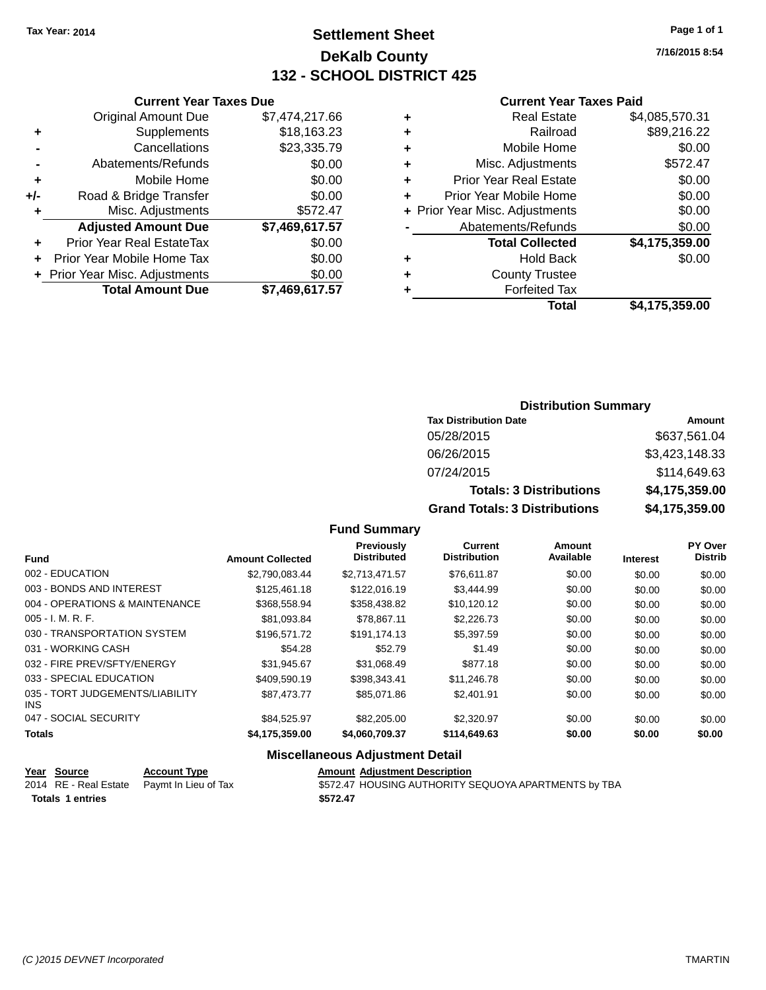# **Settlement Sheet Tax Year: 2014 Page 1 of 1 DeKalb County 132 - SCHOOL DISTRICT 425**

**7/16/2015 8:54**

#### **Current Year Taxes Paid**

|     | <b>Total Amount Due</b>        | \$7,469,617.57 |
|-----|--------------------------------|----------------|
|     | + Prior Year Misc. Adjustments | \$0.00         |
|     | Prior Year Mobile Home Tax     | \$0.00         |
|     | Prior Year Real EstateTax      | \$0.00         |
|     | <b>Adjusted Amount Due</b>     | \$7,469,617.57 |
| ٠   | Misc. Adjustments              | \$572.47       |
| +/- | Road & Bridge Transfer         | \$0.00         |
| ٠   | Mobile Home                    | \$0.00         |
|     | Abatements/Refunds             | \$0.00         |
|     | Cancellations                  | \$23,335.79    |
| ٠   | Supplements                    | \$18,163.23    |
|     | <b>Original Amount Due</b>     | \$7,474,217.66 |
|     | <b>Current Year Taxes Due</b>  |                |

| ٠ | <b>Real Estate</b>             | \$4,085,570.31 |
|---|--------------------------------|----------------|
| ٠ | Railroad                       | \$89,216.22    |
| ٠ | Mobile Home                    | \$0.00         |
| ٠ | Misc. Adjustments              | \$572.47       |
| ٠ | <b>Prior Year Real Estate</b>  | \$0.00         |
| ÷ | Prior Year Mobile Home         | \$0.00         |
|   | + Prior Year Misc. Adjustments | \$0.00         |
|   | Abatements/Refunds             | \$0.00         |
|   | <b>Total Collected</b>         | \$4,175,359.00 |
| ٠ | <b>Hold Back</b>               | \$0.00         |
| ٠ | <b>County Trustee</b>          |                |
| ٠ | <b>Forfeited Tax</b>           |                |
|   | Total                          | \$4,175,359.00 |
|   |                                |                |

#### **Distribution Summary Tax Distribution Date Amount** 05/28/2015 \$637,561.04 06/26/2015 \$3,423,148.33 07/24/2015 \$114,649.63 **Totals: 3 Distributions \$4,175,359.00 Grand Totals: 3 Distributions \$4,175,359.00**

#### **Fund Summary**

| <b>Fund</b>                             | <b>Amount Collected</b> | Previously<br><b>Distributed</b> | <b>Current</b><br><b>Distribution</b> | Amount<br>Available | <b>Interest</b> | <b>PY Over</b><br><b>Distrib</b> |
|-----------------------------------------|-------------------------|----------------------------------|---------------------------------------|---------------------|-----------------|----------------------------------|
| 002 - EDUCATION                         | \$2,790,083.44          | \$2,713,471.57                   | \$76,611.87                           | \$0.00              | \$0.00          | \$0.00                           |
| 003 - BONDS AND INTEREST                | \$125,461.18            | \$122,016.19                     | \$3,444.99                            | \$0.00              | \$0.00          | \$0.00                           |
| 004 - OPERATIONS & MAINTENANCE          | \$368,558.94            | \$358,438.82                     | \$10.120.12                           | \$0.00              | \$0.00          | \$0.00                           |
| $005 - I. M. R. F.$                     | \$81,093.84             | \$78.867.11                      | \$2,226.73                            | \$0.00              | \$0.00          | \$0.00                           |
| 030 - TRANSPORTATION SYSTEM             | \$196,571.72            | \$191,174.13                     | \$5,397.59                            | \$0.00              | \$0.00          | \$0.00                           |
| 031 - WORKING CASH                      | \$54.28                 | \$52.79                          | \$1.49                                | \$0.00              | \$0.00          | \$0.00                           |
| 032 - FIRE PREV/SFTY/ENERGY             | \$31.945.67             | \$31,068.49                      | \$877.18                              | \$0.00              | \$0.00          | \$0.00                           |
| 033 - SPECIAL EDUCATION                 | \$409.590.19            | \$398.343.41                     | \$11,246.78                           | \$0.00              | \$0.00          | \$0.00                           |
| 035 - TORT JUDGEMENTS/LIABILITY<br>INS. | \$87.473.77             | \$85,071.86                      | \$2,401.91                            | \$0.00              | \$0.00          | \$0.00                           |
| 047 - SOCIAL SECURITY                   | \$84.525.97             | \$82,205,00                      | \$2,320.97                            | \$0.00              | \$0.00          | \$0.00                           |
| <b>Totals</b>                           | \$4,175,359.00          | \$4,060,709.37                   | \$114,649.63                          | \$0.00              | \$0.00          | \$0.00                           |

#### **Miscellaneous Adjustment Detail**

| Year Source             | <b>Account Type</b>                        | <b>Amount Adjustment Description</b>                 |
|-------------------------|--------------------------------------------|------------------------------------------------------|
|                         | 2014 RE - Real Estate Paymt In Lieu of Tax | \$572.47 HOUSING AUTHORITY SEQUOYA APARTMENTS by TBA |
| <b>Totals 1 entries</b> |                                            | \$572.47                                             |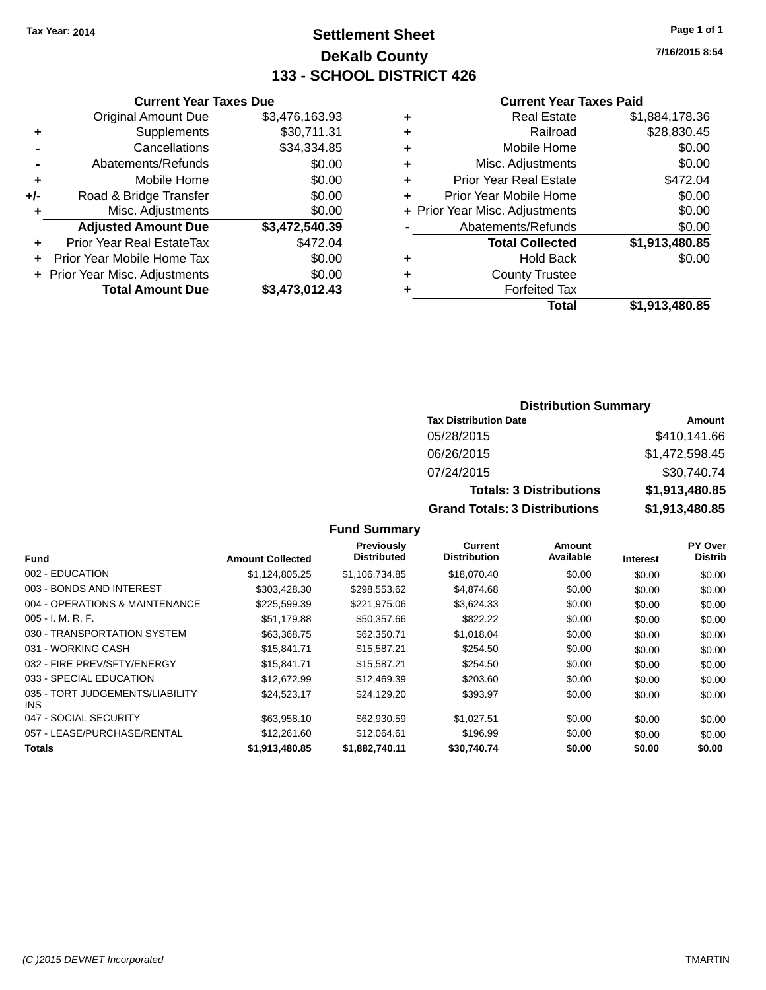**Current Year Taxes Due**

# **Settlement Sheet Tax Year: 2014 Page 1 of 1 DeKalb County 133 - SCHOOL DISTRICT 426**

**7/16/2015 8:54**

#### **Current Year Taxes Paid**

|                      |                                |                |   | <b>Total</b>                   | \$1,913,480.85 |
|----------------------|--------------------------------|----------------|---|--------------------------------|----------------|
|                      | <b>Total Amount Due</b>        | \$3,473,012.43 |   | <b>Forfeited Tax</b>           |                |
|                      | + Prior Year Misc. Adjustments | \$0.00         | ٠ | <b>County Trustee</b>          |                |
|                      | + Prior Year Mobile Home Tax   | \$0.00         | ٠ | <b>Hold Back</b>               | \$0.00         |
| ÷                    | Prior Year Real EstateTax      | \$472.04       |   | <b>Total Collected</b>         | \$1,913,480.85 |
|                      | <b>Adjusted Amount Due</b>     | \$3,472,540.39 |   | Abatements/Refunds             | \$0.00         |
| ٠                    | Misc. Adjustments              | \$0.00         |   | + Prior Year Misc. Adjustments | \$0.00         |
| I-                   | Road & Bridge Transfer         | \$0.00         |   | Prior Year Mobile Home         | \$0.00         |
| ÷                    | Mobile Home                    | \$0.00         |   | <b>Prior Year Real Estate</b>  | \$472.04       |
| $\blacksquare$       | Abatements/Refunds             | \$0.00         | ٠ | Misc. Adjustments              | \$0.00         |
|                      | Cancellations                  | \$34,334.85    | ٠ | Mobile Home                    | \$0.00         |
| $\ddot{\phantom{1}}$ | Supplements                    | \$30,711.31    | ٠ | Railroad                       | \$28,830.45    |
|                      | <b>Original Amount Due</b>     | \$3,476,163.93 | ٠ | <b>Real Estate</b>             | \$1,884,178.36 |
|                      |                                |                |   |                                |                |

#### **Distribution Summary Tax Distribution Date Amount** 05/28/2015 \$410,141.66 06/26/2015 \$1,472,598.45

| UD/Z0/ZUT5                           | <b>01.472.090.40</b> |
|--------------------------------------|----------------------|
| 07/24/2015                           | \$30,740.74          |
| <b>Totals: 3 Distributions</b>       | \$1,913,480,85       |
| <b>Grand Totals: 3 Distributions</b> | \$1.913.480.85       |
|                                      |                      |

| <b>Fund</b>                             | <b>Amount Collected</b> | <b>Previously</b><br><b>Distributed</b> | Current<br><b>Distribution</b> | Amount<br>Available | <b>Interest</b> | <b>PY Over</b><br><b>Distrib</b> |
|-----------------------------------------|-------------------------|-----------------------------------------|--------------------------------|---------------------|-----------------|----------------------------------|
| 002 - EDUCATION                         | \$1.124.805.25          | \$1.106.734.85                          | \$18,070.40                    | \$0.00              | \$0.00          | \$0.00                           |
| 003 - BONDS AND INTEREST                | \$303.428.30            | \$298.553.62                            | \$4,874.68                     | \$0.00              | \$0.00          | \$0.00                           |
| 004 - OPERATIONS & MAINTENANCE          | \$225,599.39            | \$221,975.06                            | \$3,624.33                     | \$0.00              | \$0.00          | \$0.00                           |
| $005 - I. M. R. F.$                     | \$51.179.88             | \$50,357.66                             | \$822.22                       | \$0.00              | \$0.00          | \$0.00                           |
| 030 - TRANSPORTATION SYSTEM             | \$63,368.75             | \$62,350.71                             | \$1,018.04                     | \$0.00              | \$0.00          | \$0.00                           |
| 031 - WORKING CASH                      | \$15.841.71             | \$15,587.21                             | \$254.50                       | \$0.00              | \$0.00          | \$0.00                           |
| 032 - FIRE PREV/SFTY/ENERGY             | \$15.841.71             | \$15,587.21                             | \$254.50                       | \$0.00              | \$0.00          | \$0.00                           |
| 033 - SPECIAL EDUCATION                 | \$12,672.99             | \$12,469.39                             | \$203.60                       | \$0.00              | \$0.00          | \$0.00                           |
| 035 - TORT JUDGEMENTS/LIABILITY<br>INS. | \$24,523.17             | \$24,129.20                             | \$393.97                       | \$0.00              | \$0.00          | \$0.00                           |
| 047 - SOCIAL SECURITY                   | \$63.958.10             | \$62,930.59                             | \$1.027.51                     | \$0.00              | \$0.00          | \$0.00                           |
| 057 - LEASE/PURCHASE/RENTAL             | \$12,261.60             | \$12.064.61                             | \$196.99                       | \$0.00              | \$0.00          | \$0.00                           |
| Totals                                  | \$1,913,480.85          | \$1,882,740.11                          | \$30.740.74                    | \$0.00              | \$0.00          | \$0.00                           |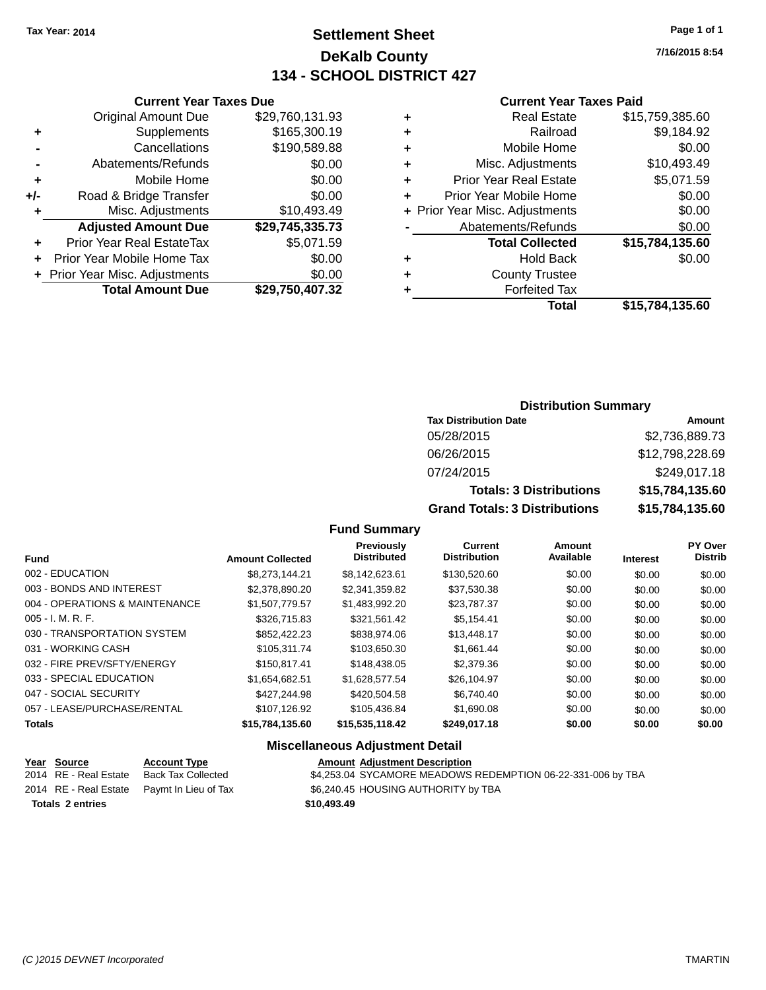# **Settlement Sheet Tax Year: 2014 Page 1 of 1 DeKalb County 134 - SCHOOL DISTRICT 427**

**7/16/2015 8:54**

#### **Current Year Taxes Paid**

|                    |   |                 | <b>Current Year Taxes Due</b>    |       |
|--------------------|---|-----------------|----------------------------------|-------|
|                    | ٠ | \$29,760,131.93 | <b>Original Amount Due</b>       |       |
|                    | ٠ | \$165,300.19    | <b>Supplements</b>               | ٠     |
|                    | ٠ | \$190,589.88    | Cancellations                    |       |
| Misc.              | ٠ | \$0.00          | Abatements/Refunds               |       |
| <b>Prior Year</b>  | ٠ | \$0.00          | Mobile Home                      | ٠     |
| Prior Year M       |   | \$0.00          | Road & Bridge Transfer           | $+/-$ |
| + Prior Year Misc. |   | \$10,493.49     | Misc. Adjustments                |       |
| Abateme            |   | \$29,745,335.73 | <b>Adjusted Amount Due</b>       |       |
| Tot                |   | \$5,071.59      | <b>Prior Year Real EstateTax</b> |       |
|                    | ٠ | \$0.00          | Prior Year Mobile Home Tax       |       |
| Co                 | ٠ | \$0.00          | + Prior Year Misc. Adjustments   |       |
|                    |   | \$29,750,407.32 | <b>Total Amount Due</b>          |       |
|                    |   |                 |                                  |       |

| ٠ | <b>Real Estate</b>             | \$15,759,385.60 |
|---|--------------------------------|-----------------|
|   | Railroad                       | \$9,184.92      |
|   | Mobile Home                    | \$0.00          |
| ٠ | Misc. Adjustments              | \$10,493.49     |
| ٠ | <b>Prior Year Real Estate</b>  | \$5,071.59      |
| ÷ | Prior Year Mobile Home         | \$0.00          |
|   | + Prior Year Misc. Adjustments | \$0.00          |
|   | Abatements/Refunds             | \$0.00          |
|   | <b>Total Collected</b>         | \$15,784,135.60 |
|   | <b>Hold Back</b>               | \$0.00          |
| ÷ | <b>County Trustee</b>          |                 |
|   | <b>Forfeited Tax</b>           |                 |
|   | Total                          | \$15,784,135.60 |
|   |                                |                 |

#### **Distribution Summary**

| <b>Tax Distribution Date</b>         | Amount          |
|--------------------------------------|-----------------|
| 05/28/2015                           | \$2,736,889.73  |
| 06/26/2015                           | \$12,798,228.69 |
| 07/24/2015                           | \$249,017.18    |
| <b>Totals: 3 Distributions</b>       | \$15,784,135.60 |
| <b>Grand Totals: 3 Distributions</b> | \$15,784,135.60 |

#### **Fund Summary**

| <b>Fund</b>                    | <b>Amount Collected</b> | <b>Previously</b><br><b>Distributed</b> | Current<br><b>Distribution</b> | Amount<br>Available | <b>Interest</b> | <b>PY Over</b><br><b>Distrib</b> |
|--------------------------------|-------------------------|-----------------------------------------|--------------------------------|---------------------|-----------------|----------------------------------|
| 002 - EDUCATION                | \$8.273.144.21          | \$8.142.623.61                          | \$130,520.60                   | \$0.00              | \$0.00          | \$0.00                           |
| 003 - BONDS AND INTEREST       | \$2,378,890,20          | \$2.341.359.82                          | \$37.530.38                    | \$0.00              | \$0.00          | \$0.00                           |
| 004 - OPERATIONS & MAINTENANCE | \$1,507,779.57          | \$1,483,992.20                          | \$23,787.37                    | \$0.00              | \$0.00          | \$0.00                           |
| $005 - I. M. R. F.$            | \$326,715.83            | \$321,561.42                            | \$5,154.41                     | \$0.00              | \$0.00          | \$0.00                           |
| 030 - TRANSPORTATION SYSTEM    | \$852.422.23            | \$838,974.06                            | \$13,448.17                    | \$0.00              | \$0.00          | \$0.00                           |
| 031 - WORKING CASH             | \$105.311.74            | \$103.650.30                            | \$1.661.44                     | \$0.00              | \$0.00          | \$0.00                           |
| 032 - FIRE PREV/SFTY/ENERGY    | \$150,817.41            | \$148,438.05                            | \$2,379.36                     | \$0.00              | \$0.00          | \$0.00                           |
| 033 - SPECIAL EDUCATION        | \$1,654,682.51          | \$1.628.577.54                          | \$26,104.97                    | \$0.00              | \$0.00          | \$0.00                           |
| 047 - SOCIAL SECURITY          | \$427,244.98            | \$420.504.58                            | \$6.740.40                     | \$0.00              | \$0.00          | \$0.00                           |
| 057 - LEASE/PURCHASE/RENTAL    | \$107,126.92            | \$105.436.84                            | \$1,690.08                     | \$0.00              | \$0.00          | \$0.00                           |
| <b>Totals</b>                  | \$15,784,135.60         | \$15,535,118.42                         | \$249,017.18                   | \$0.00              | \$0.00          | \$0.00                           |

#### **Miscellaneous Adjustment Detail**

| Year Source           | <b>Account Type</b>                        | <b>Amount Adiustment Description</b>                        |
|-----------------------|--------------------------------------------|-------------------------------------------------------------|
| 2014 RE - Real Estate | Back Tax Collected                         | \$4,253.04 SYCAMORE MEADOWS REDEMPTION 06-22-331-006 by TBA |
|                       | 2014 RE - Real Estate Paymt In Lieu of Tax | \$6,240.45 HOUSING AUTHORITY by TBA                         |
| Totals 2 entries      |                                            | \$10,493.49                                                 |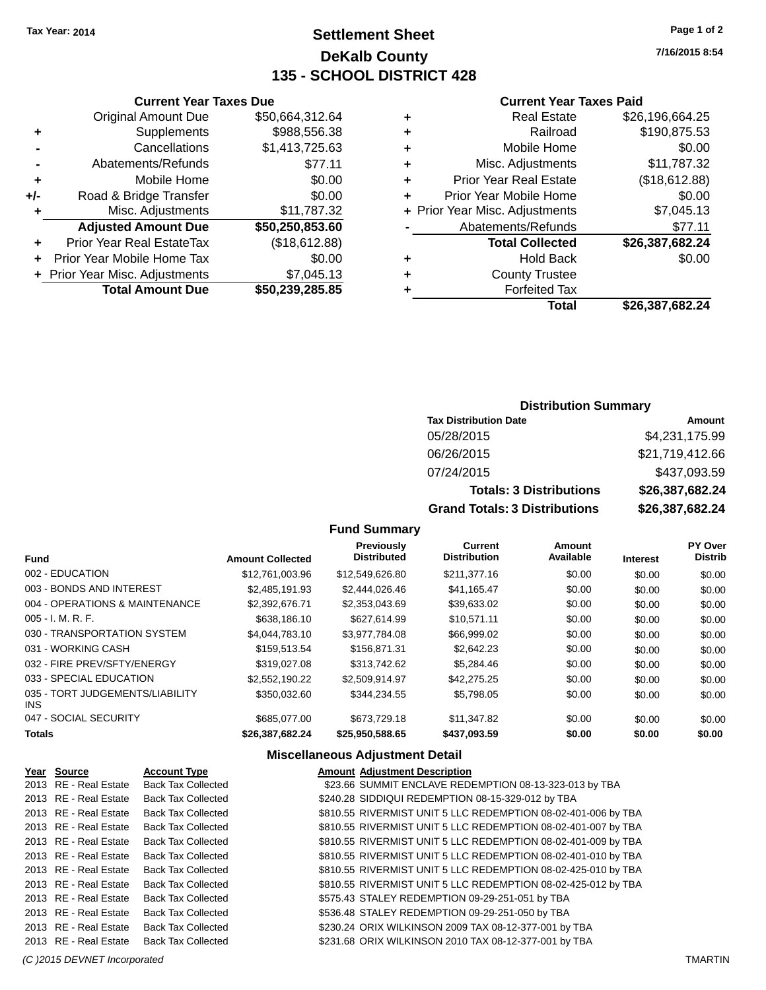# **Settlement Sheet Tax Year: 2014 Page 1 of 2 DeKalb County 135 - SCHOOL DISTRICT 428**

**7/16/2015 8:54**

#### **Current Year Taxes Paid**

|   | Real Estate                    | \$26,196,664.25 |
|---|--------------------------------|-----------------|
| ٠ | Railroad                       | \$190,875.53    |
| ٠ | Mobile Home                    | \$0.00          |
| ٠ | Misc. Adjustments              | \$11,787.32     |
| ٠ | <b>Prior Year Real Estate</b>  | (\$18,612.88)   |
| ٠ | Prior Year Mobile Home         | \$0.00          |
|   | + Prior Year Misc. Adjustments | \$7,045.13      |
|   | Abatements/Refunds             | \$77.11         |
|   | <b>Total Collected</b>         | \$26,387,682.24 |
| ٠ | Hold Back                      | \$0.00          |
| ٠ | <b>County Trustee</b>          |                 |
|   | <b>Forfeited Tax</b>           |                 |
|   | Total                          | \$26,387,682.24 |

|     | <b>Current Year Taxes Due</b>    |                 |
|-----|----------------------------------|-----------------|
|     | <b>Original Amount Due</b>       | \$50.664.312.64 |
| ٠   | Supplements                      | \$988,556.38    |
|     | Cancellations                    | \$1,413,725.63  |
|     | Abatements/Refunds               | \$77.11         |
| ٠   | Mobile Home                      | \$0.00          |
| +/- | Road & Bridge Transfer           | \$0.00          |
| ٠   | Misc. Adjustments                | \$11,787.32     |
|     | <b>Adjusted Amount Due</b>       | \$50,250,853.60 |
| ٠   | <b>Prior Year Real EstateTax</b> | (\$18,612.88)   |
|     | Prior Year Mobile Home Tax       | \$0.00          |
|     | + Prior Year Misc. Adjustments   | \$7,045.13      |
|     | <b>Total Amount Due</b>          | \$50,239,285.85 |
|     |                                  |                 |

#### **Distribution Summary**

| <b>Tax Distribution Date</b>         | Amount          |
|--------------------------------------|-----------------|
| 05/28/2015                           | \$4,231,175.99  |
| 06/26/2015                           | \$21,719,412.66 |
| 07/24/2015                           | \$437,093.59    |
| <b>Totals: 3 Distributions</b>       | \$26,387,682.24 |
| <b>Grand Totals: 3 Distributions</b> | \$26,387,682.24 |

#### **Fund Summary**

| <b>Fund</b>                                   | <b>Amount Collected</b> | <b>Previously</b><br><b>Distributed</b> | Current<br><b>Distribution</b> | Amount<br>Available | <b>Interest</b> | PY Over<br><b>Distrib</b> |
|-----------------------------------------------|-------------------------|-----------------------------------------|--------------------------------|---------------------|-----------------|---------------------------|
| 002 - EDUCATION                               | \$12,761,003.96         | \$12.549.626.80                         | \$211,377.16                   | \$0.00              | \$0.00          | \$0.00                    |
| 003 - BONDS AND INTEREST                      | \$2,485,191.93          | \$2,444,026.46                          | \$41,165.47                    | \$0.00              | \$0.00          | \$0.00                    |
| 004 - OPERATIONS & MAINTENANCE                | \$2,392,676.71          | \$2,353,043.69                          | \$39,633.02                    | \$0.00              | \$0.00          | \$0.00                    |
| $005 - I. M. R. F.$                           | \$638,186.10            | \$627,614.99                            | \$10.571.11                    | \$0.00              | \$0.00          | \$0.00                    |
| 030 - TRANSPORTATION SYSTEM                   | \$4.044.783.10          | \$3.977.784.08                          | \$66,999.02                    | \$0.00              | \$0.00          | \$0.00                    |
| 031 - WORKING CASH                            | \$159,513,54            | \$156,871.31                            | \$2,642.23                     | \$0.00              | \$0.00          | \$0.00                    |
| 032 - FIRE PREV/SFTY/ENERGY                   | \$319,027,08            | \$313,742.62                            | \$5,284.46                     | \$0.00              | \$0.00          | \$0.00                    |
| 033 - SPECIAL EDUCATION                       | \$2.552.190.22          | \$2.509.914.97                          | \$42,275.25                    | \$0.00              | \$0.00          | \$0.00                    |
| 035 - TORT JUDGEMENTS/LIABILITY<br><b>INS</b> | \$350.032.60            | \$344.234.55                            | \$5,798.05                     | \$0.00              | \$0.00          | \$0.00                    |
| 047 - SOCIAL SECURITY                         | \$685,077.00            | \$673,729.18                            | \$11,347.82                    | \$0.00              | \$0.00          | \$0.00                    |
| <b>Totals</b>                                 | \$26,387,682.24         | \$25,950,588.65                         | \$437,093.59                   | \$0.00              | \$0.00          | \$0.00                    |

#### **Miscellaneous Adjustment Detail**

| Year Source           | <b>Account Type</b>       | <b>Amount Adjustment Description</b>                          |
|-----------------------|---------------------------|---------------------------------------------------------------|
| 2013 RE - Real Estate | <b>Back Tax Collected</b> | \$23.66 SUMMIT ENCLAVE REDEMPTION 08-13-323-013 by TBA        |
| 2013 RE - Real Estate | <b>Back Tax Collected</b> | \$240.28 SIDDIQUI REDEMPTION 08-15-329-012 by TBA             |
| 2013 RE - Real Estate | <b>Back Tax Collected</b> | \$810.55 RIVERMIST UNIT 5 LLC REDEMPTION 08-02-401-006 by TBA |
| 2013 RE - Real Estate | <b>Back Tax Collected</b> | \$810.55 RIVERMIST UNIT 5 LLC REDEMPTION 08-02-401-007 by TBA |
| 2013 RE - Real Estate | <b>Back Tax Collected</b> | \$810.55 RIVERMIST UNIT 5 LLC REDEMPTION 08-02-401-009 by TBA |
| 2013 RE - Real Estate | <b>Back Tax Collected</b> | \$810.55 RIVERMIST UNIT 5 LLC REDEMPTION 08-02-401-010 by TBA |
| 2013 RE - Real Estate | <b>Back Tax Collected</b> | \$810.55 RIVERMIST UNIT 5 LLC REDEMPTION 08-02-425-010 by TBA |
| 2013 RE - Real Estate | <b>Back Tax Collected</b> | \$810.55 RIVERMIST UNIT 5 LLC REDEMPTION 08-02-425-012 by TBA |
| 2013 RE - Real Estate | <b>Back Tax Collected</b> | \$575.43 STALEY REDEMPTION 09-29-251-051 by TBA               |
| 2013 RE - Real Estate | <b>Back Tax Collected</b> | \$536.48 STALEY REDEMPTION 09-29-251-050 by TBA               |
| 2013 RE - Real Estate | <b>Back Tax Collected</b> | \$230.24 ORIX WILKINSON 2009 TAX 08-12-377-001 by TBA         |
| 2013 RE - Real Estate | <b>Back Tax Collected</b> | \$231.68 ORIX WILKINSON 2010 TAX 08-12-377-001 by TBA         |
|                       |                           |                                                               |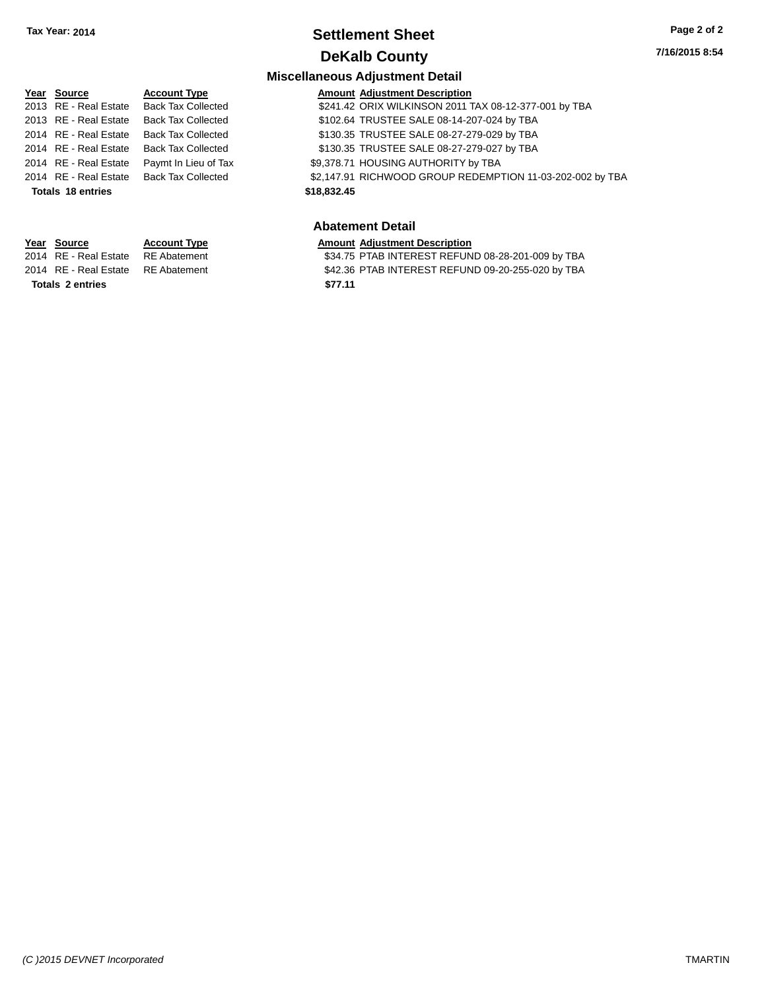# **Settlement Sheet Tax Year: 2014 Page 2 of 2 DeKalb County**

#### **7/16/2015 8:54**

#### **Miscellaneous Adjustment Detail**

| Year Source              | <b>Account Type</b>                      |             | <b>Amount Adjustment Description</b>                      |
|--------------------------|------------------------------------------|-------------|-----------------------------------------------------------|
| 2013 RE - Real Estate    | <b>Back Tax Collected</b>                |             | \$241.42 ORIX WILKINSON 2011 TAX 08-12-377-001 by TBA     |
| 2013 RE - Real Estate    | <b>Back Tax Collected</b>                |             | \$102.64 TRUSTEE SALE 08-14-207-024 by TBA                |
| 2014 RE - Real Estate    | Back Tax Collected                       |             | \$130.35 TRUSTEE SALE 08-27-279-029 by TBA                |
| 2014 RE - Real Estate    | Back Tax Collected                       |             | \$130.35 TRUSTEE SALE 08-27-279-027 by TBA                |
| 2014 RE - Real Estate    | Paymt In Lieu of Tax                     |             | \$9,378.71 HOUSING AUTHORITY by TBA                       |
|                          | 2014 RE - Real Estate Back Tax Collected |             | \$2,147.91 RICHWOOD GROUP REDEMPTION 11-03-202-002 by TBA |
| <b>Totals 18 entries</b> |                                          | \$18,832.45 |                                                           |
|                          |                                          |             |                                                           |

#### **Abatement Detail**

**Year Source Account Type Amount Adjustment Description**<br>2014 RE - Real Estate RE Abatement **Amount S34.75 PTAB INTEREST REFUN** 

**Totals \$77.11 2 entries**

\$34.75 PTAB INTEREST REFUND 08-28-201-009 by TBA 2014 RE - Real Estate RE Abatement \$42.36 PTAB INTEREST REFUND 09-20-255-020 by TBA

*(C )2015 DEVNET Incorporated* TMARTIN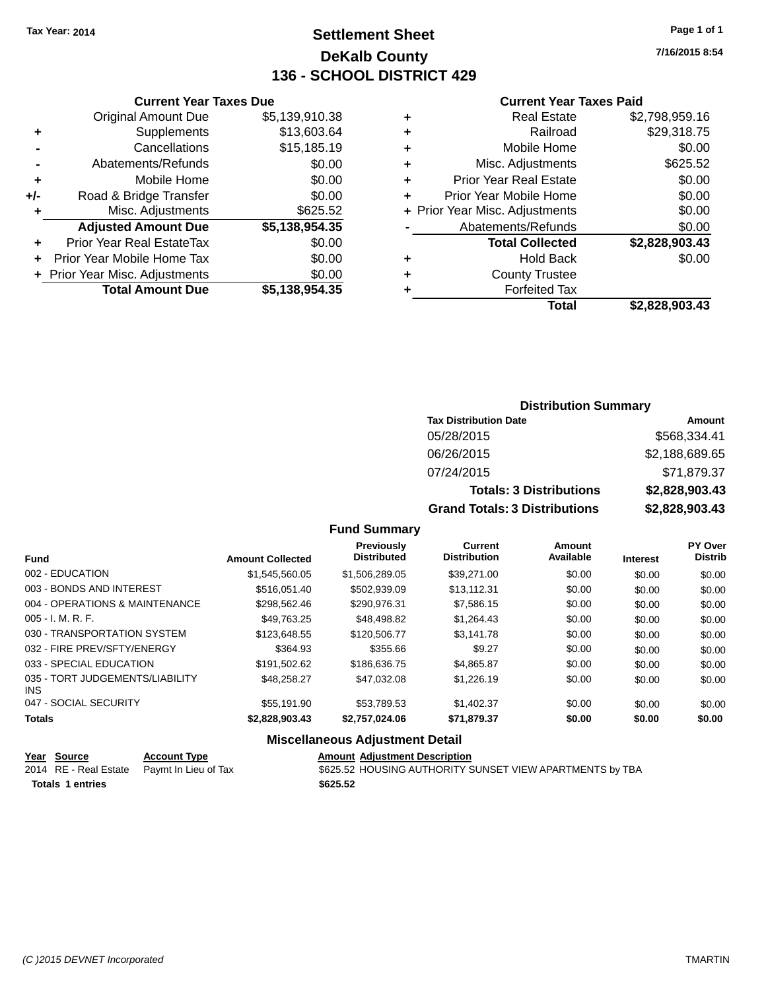# **Settlement Sheet Tax Year: 2014 Page 1 of 1 DeKalb County 136 - SCHOOL DISTRICT 429**

**7/16/2015 8:54**

#### **Current Year Taxes Paid**

|     | <b>Total Amount Due</b>          | \$5,138,954.35 |
|-----|----------------------------------|----------------|
|     | + Prior Year Misc. Adjustments   | \$0.00         |
| ٠   | Prior Year Mobile Home Tax       | \$0.00         |
| ٠   | <b>Prior Year Real EstateTax</b> | \$0.00         |
|     | <b>Adjusted Amount Due</b>       | \$5,138,954.35 |
| ٠   | Misc. Adjustments                | \$625.52       |
| +/- | Road & Bridge Transfer           | \$0.00         |
| ٠   | Mobile Home                      | \$0.00         |
| -   | Abatements/Refunds               | \$0.00         |
|     | Cancellations                    | \$15,185.19    |
| ٠   | Supplements                      | \$13,603.64    |
|     | <b>Original Amount Due</b>       | \$5,139,910.38 |
|     |                                  |                |

**Current Year Taxes Due**

| <b>Real Estate</b>             | \$2,798,959.16 |
|--------------------------------|----------------|
| Railroad                       | \$29,318.75    |
| Mobile Home                    | \$0.00         |
| Misc. Adjustments              | \$625.52       |
| <b>Prior Year Real Estate</b>  | \$0.00         |
| Prior Year Mobile Home         | \$0.00         |
| + Prior Year Misc. Adjustments | \$0.00         |
| Abatements/Refunds             | \$0.00         |
| <b>Total Collected</b>         | \$2,828,903.43 |
| <b>Hold Back</b>               | \$0.00         |
| <b>County Trustee</b>          |                |
| <b>Forfeited Tax</b>           |                |
| <b>Total</b>                   | \$2,828,903.43 |
|                                |                |

#### **Distribution Summary Tax Distribution Date Amount** 05/28/2015 \$568,334.41 06/26/2015 \$2,188,689.65 07/24/2015 \$71,879.37 **Totals: 3 Distributions \$2,828,903.43 Grand Totals: 3 Distributions \$2,828,903.43**

#### **Fund Summary**

| <b>Fund</b>                             | <b>Amount Collected</b> | Previously<br><b>Distributed</b> | Current<br><b>Distribution</b> | Amount<br>Available | <b>Interest</b> | PY Over<br><b>Distrib</b> |
|-----------------------------------------|-------------------------|----------------------------------|--------------------------------|---------------------|-----------------|---------------------------|
|                                         |                         |                                  |                                |                     |                 |                           |
| 002 - EDUCATION                         | \$1,545,560.05          | \$1,506,289.05                   | \$39,271,00                    | \$0.00              | \$0.00          | \$0.00                    |
| 003 - BONDS AND INTEREST                | \$516.051.40            | \$502.939.09                     | \$13.112.31                    | \$0.00              | \$0.00          | \$0.00                    |
| 004 - OPERATIONS & MAINTENANCE          | \$298,562.46            | \$290,976.31                     | \$7,586.15                     | \$0.00              | \$0.00          | \$0.00                    |
| $005 - I. M. R. F.$                     | \$49,763.25             | \$48,498.82                      | \$1.264.43                     | \$0.00              | \$0.00          | \$0.00                    |
| 030 - TRANSPORTATION SYSTEM             | \$123,648.55            | \$120,506.77                     | \$3,141.78                     | \$0.00              | \$0.00          | \$0.00                    |
| 032 - FIRE PREV/SFTY/ENERGY             | \$364.93                | \$355.66                         | \$9.27                         | \$0.00              | \$0.00          | \$0.00                    |
| 033 - SPECIAL EDUCATION                 | \$191,502.62            | \$186,636,75                     | \$4,865.87                     | \$0.00              | \$0.00          | \$0.00                    |
| 035 - TORT JUDGEMENTS/LIABILITY<br>INS. | \$48,258,27             | \$47.032.08                      | \$1,226.19                     | \$0.00              | \$0.00          | \$0.00                    |
| 047 - SOCIAL SECURITY                   | \$55.191.90             | \$53.789.53                      | \$1,402.37                     | \$0.00              | \$0.00          | \$0.00                    |
| <b>Totals</b>                           | \$2.828.903.43          | \$2,757,024,06                   | \$71,879.37                    | \$0.00              | \$0.00          | \$0.00                    |

#### **Miscellaneous Adjustment Detail**

| Year Source             | <b>Account Type</b>                        | <b>Amount Adiustment Description</b>                     |  |
|-------------------------|--------------------------------------------|----------------------------------------------------------|--|
|                         | 2014 RE - Real Estate Paymt In Lieu of Tax | \$625.52 HOUSING AUTHORITY SUNSET VIEW APARTMENTS by TBA |  |
| <b>Totals 1 entries</b> |                                            | \$625.52                                                 |  |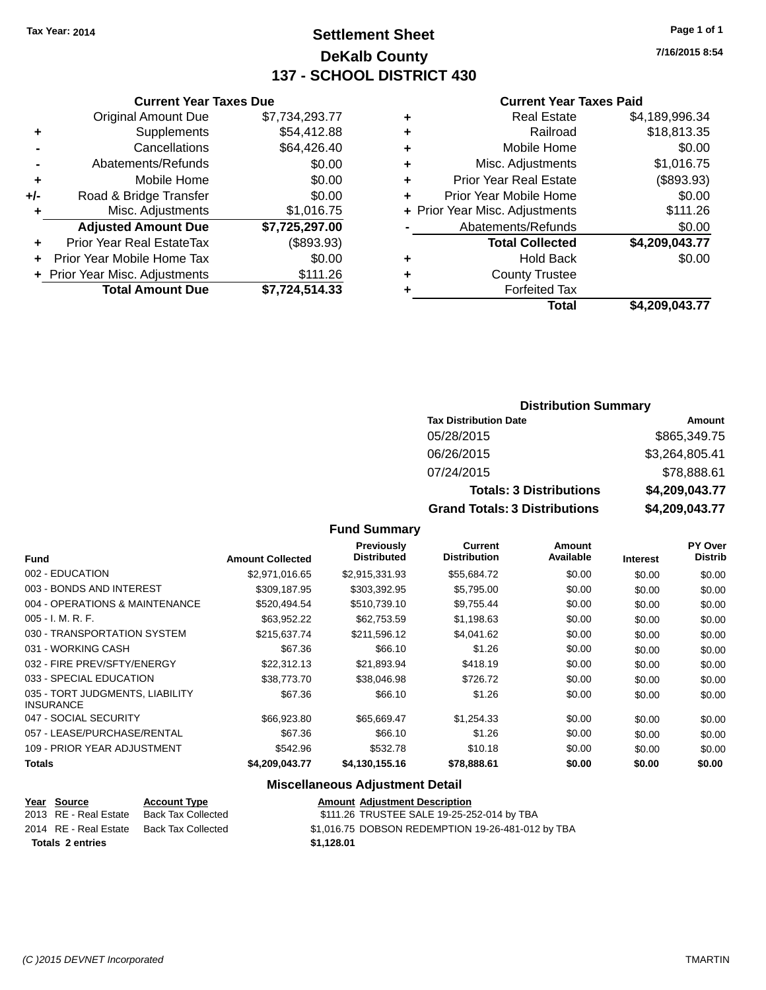# **Settlement Sheet Tax Year: 2014 Page 1 of 1 DeKalb County 137 - SCHOOL DISTRICT 430**

**7/16/2015 8:54**

#### **Current Year Taxes Paid**

| ٠ | <b>Real Estate</b>             | \$4,189,996.34 |
|---|--------------------------------|----------------|
| ٠ | Railroad                       | \$18,813.35    |
| ٠ | Mobile Home                    | \$0.00         |
| ٠ | Misc. Adjustments              | \$1,016.75     |
| ٠ | <b>Prior Year Real Estate</b>  | (\$893.93)     |
|   | Prior Year Mobile Home         | \$0.00         |
|   | + Prior Year Misc. Adjustments | \$111.26       |
|   | Abatements/Refunds             | \$0.00         |
|   | <b>Total Collected</b>         | \$4,209,043.77 |
| ٠ | <b>Hold Back</b>               | \$0.00         |
| ٠ | <b>County Trustee</b>          |                |
|   | <b>Forfeited Tax</b>           |                |
|   | Total                          | \$4.209.043.77 |

|     | <b>Current Year Taxes Due</b>    |                |
|-----|----------------------------------|----------------|
|     | <b>Original Amount Due</b>       | \$7,734,293.77 |
| ٠   | Supplements                      | \$54,412.88    |
|     | Cancellations                    | \$64,426.40    |
|     | Abatements/Refunds               | \$0.00         |
| ٠   | Mobile Home                      | \$0.00         |
| +/- | Road & Bridge Transfer           | \$0.00         |
| ٠   | Misc. Adjustments                | \$1,016.75     |
|     | <b>Adjusted Amount Due</b>       | \$7,725,297.00 |
| ٠   | <b>Prior Year Real EstateTax</b> | (\$893.93)     |
| ٠   | Prior Year Mobile Home Tax       | \$0.00         |
|     | + Prior Year Misc. Adjustments   | \$111.26       |
|     | <b>Total Amount Due</b>          | \$7,724,514.33 |

## **Distribution Summary**

| <b>Tax Distribution Date</b>         | Amount         |
|--------------------------------------|----------------|
| 05/28/2015                           | \$865,349.75   |
| 06/26/2015                           | \$3,264,805.41 |
| 07/24/2015                           | \$78,888.61    |
| <b>Totals: 3 Distributions</b>       | \$4,209,043.77 |
| <b>Grand Totals: 3 Distributions</b> | \$4,209,043.77 |

#### **Fund Summary**

|                                                     |                         | <b>Previously</b>  | <b>Current</b>      | Amount    |                 | <b>PY Over</b> |
|-----------------------------------------------------|-------------------------|--------------------|---------------------|-----------|-----------------|----------------|
| <b>Fund</b>                                         | <b>Amount Collected</b> | <b>Distributed</b> | <b>Distribution</b> | Available | <b>Interest</b> | <b>Distrib</b> |
| 002 - EDUCATION                                     | \$2,971,016.65          | \$2,915,331.93     | \$55,684.72         | \$0.00    | \$0.00          | \$0.00         |
| 003 - BONDS AND INTEREST                            | \$309.187.95            | \$303,392.95       | \$5,795.00          | \$0.00    | \$0.00          | \$0.00         |
| 004 - OPERATIONS & MAINTENANCE                      | \$520.494.54            | \$510,739.10       | \$9,755.44          | \$0.00    | \$0.00          | \$0.00         |
| $005 - I. M. R. F.$                                 | \$63,952.22             | \$62.753.59        | \$1,198.63          | \$0.00    | \$0.00          | \$0.00         |
| 030 - TRANSPORTATION SYSTEM                         | \$215,637.74            | \$211,596.12       | \$4,041.62          | \$0.00    | \$0.00          | \$0.00         |
| 031 - WORKING CASH                                  | \$67.36                 | \$66.10            | \$1.26              | \$0.00    | \$0.00          | \$0.00         |
| 032 - FIRE PREV/SFTY/ENERGY                         | \$22.312.13             | \$21,893.94        | \$418.19            | \$0.00    | \$0.00          | \$0.00         |
| 033 - SPECIAL EDUCATION                             | \$38,773,70             | \$38,046.98        | \$726.72            | \$0.00    | \$0.00          | \$0.00         |
| 035 - TORT JUDGMENTS, LIABILITY<br><b>INSURANCE</b> | \$67.36                 | \$66.10            | \$1.26              | \$0.00    | \$0.00          | \$0.00         |
| 047 - SOCIAL SECURITY                               | \$66,923.80             | \$65.669.47        | \$1.254.33          | \$0.00    | \$0.00          | \$0.00         |
| 057 - LEASE/PURCHASE/RENTAL                         | \$67.36                 | \$66.10            | \$1.26              | \$0.00    | \$0.00          | \$0.00         |
| 109 - PRIOR YEAR ADJUSTMENT                         | \$542.96                | \$532.78           | \$10.18             | \$0.00    | \$0.00          | \$0.00         |
| <b>Totals</b>                                       | \$4.209.043.77          | \$4,130,155.16     | \$78,888.61         | \$0.00    | \$0.00          | \$0.00         |

#### **Miscellaneous Adjustment Detail**

| rear Source             | <b>ACCOUNT IVDE</b>       | Amount     |
|-------------------------|---------------------------|------------|
| 2013 RE - Real Estate   | <b>Back Tax Collected</b> | \$111.26   |
| 2014 RE - Real Estate   | Back Tax Collected        | \$1.016.75 |
| <b>Totals 2 entries</b> |                           | \$1.128.01 |

**Year Source Account Type Amount Adjustment Description**  $\overline{\text{20111.26}}$  TRUSTEE SALE 19-25-252-014 by TBA ected  $$1,016.75$  DOBSON REDEMPTION 19-26-481-012 by TBA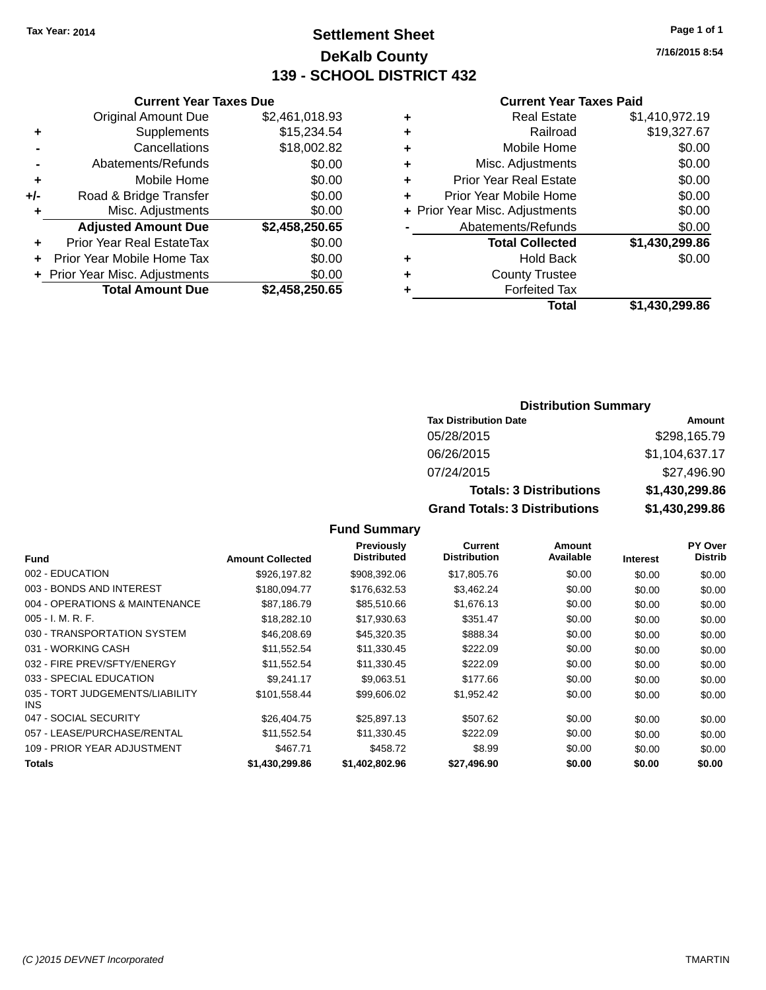# **Settlement Sheet Tax Year: 2014 Page 1 of 1 DeKalb County 139 - SCHOOL DISTRICT 432**

**7/16/2015 8:54**

#### **Current Year Taxes Paid**

|     | <b>Current Year Taxes Due</b>  |                |
|-----|--------------------------------|----------------|
|     | <b>Original Amount Due</b>     | \$2,461,018.93 |
| ٠   | Supplements                    | \$15,234.54    |
|     | Cancellations                  | \$18,002.82    |
|     | Abatements/Refunds             | \$0.00         |
| ٠   | Mobile Home                    | \$0.00         |
| +/- | Road & Bridge Transfer         | \$0.00         |
| ٠   | Misc. Adjustments              | \$0.00         |
|     | <b>Adjusted Amount Due</b>     | \$2,458,250.65 |
| ٠   | Prior Year Real EstateTax      | \$0.00         |
| ÷   | Prior Year Mobile Home Tax     | \$0.00         |
|     | + Prior Year Misc. Adjustments | \$0.00         |
|     | <b>Total Amount Due</b>        | \$2,458,250.65 |

| ٠ | <b>Real Estate</b>             | \$1,410,972.19 |
|---|--------------------------------|----------------|
| ٠ | Railroad                       | \$19,327.67    |
| ٠ | Mobile Home                    | \$0.00         |
| ٠ | Misc. Adjustments              | \$0.00         |
| ٠ | <b>Prior Year Real Estate</b>  | \$0.00         |
| ٠ | Prior Year Mobile Home         | \$0.00         |
|   | + Prior Year Misc. Adjustments | \$0.00         |
|   | Abatements/Refunds             | \$0.00         |
|   | <b>Total Collected</b>         | \$1,430,299.86 |
| ٠ | <b>Hold Back</b>               | \$0.00         |
| ٠ | <b>County Trustee</b>          |                |
| ٠ | <b>Forfeited Tax</b>           |                |
|   | <b>Total</b>                   | \$1,430,299.86 |
|   |                                |                |

#### **Distribution Summary**

| <b>Tax Distribution Date</b>         | Amount         |
|--------------------------------------|----------------|
| 05/28/2015                           | \$298,165.79   |
| 06/26/2015                           | \$1,104,637.17 |
| 07/24/2015                           | \$27,496.90    |
| <b>Totals: 3 Distributions</b>       | \$1,430,299.86 |
| <b>Grand Totals: 3 Distributions</b> | \$1,430,299.86 |

| <b>Fund</b>                             | <b>Amount Collected</b> | <b>Previously</b><br><b>Distributed</b> | <b>Current</b><br><b>Distribution</b> | Amount<br>Available | <b>Interest</b> | <b>PY Over</b><br><b>Distrib</b> |
|-----------------------------------------|-------------------------|-----------------------------------------|---------------------------------------|---------------------|-----------------|----------------------------------|
| 002 - EDUCATION                         | \$926,197.82            | \$908,392.06                            | \$17,805.76                           | \$0.00              | \$0.00          | \$0.00                           |
| 003 - BONDS AND INTEREST                | \$180,094.77            | \$176,632.53                            | \$3,462.24                            | \$0.00              | \$0.00          | \$0.00                           |
| 004 - OPERATIONS & MAINTENANCE          | \$87,186.79             | \$85,510.66                             | \$1,676.13                            | \$0.00              | \$0.00          | \$0.00                           |
| $005 - I. M. R. F.$                     | \$18,282.10             | \$17,930.63                             | \$351.47                              | \$0.00              | \$0.00          | \$0.00                           |
| 030 - TRANSPORTATION SYSTEM             | \$46,208.69             | \$45,320.35                             | \$888.34                              | \$0.00              | \$0.00          | \$0.00                           |
| 031 - WORKING CASH                      | \$11,552.54             | \$11,330.45                             | \$222.09                              | \$0.00              | \$0.00          | \$0.00                           |
| 032 - FIRE PREV/SFTY/ENERGY             | \$11,552.54             | \$11,330.45                             | \$222.09                              | \$0.00              | \$0.00          | \$0.00                           |
| 033 - SPECIAL EDUCATION                 | \$9.241.17              | \$9.063.51                              | \$177.66                              | \$0.00              | \$0.00          | \$0.00                           |
| 035 - TORT JUDGEMENTS/LIABILITY<br>INS. | \$101,558.44            | \$99,606.02                             | \$1,952.42                            | \$0.00              | \$0.00          | \$0.00                           |
| 047 - SOCIAL SECURITY                   | \$26.404.75             | \$25,897.13                             | \$507.62                              | \$0.00              | \$0.00          | \$0.00                           |
| 057 - LEASE/PURCHASE/RENTAL             | \$11.552.54             | \$11.330.45                             | \$222.09                              | \$0.00              | \$0.00          | \$0.00                           |
| 109 - PRIOR YEAR ADJUSTMENT             | \$467.71                | \$458.72                                | \$8.99                                | \$0.00              | \$0.00          | \$0.00                           |
| <b>Totals</b>                           | \$1,430,299.86          | \$1,402,802.96                          | \$27,496.90                           | \$0.00              | \$0.00          | \$0.00                           |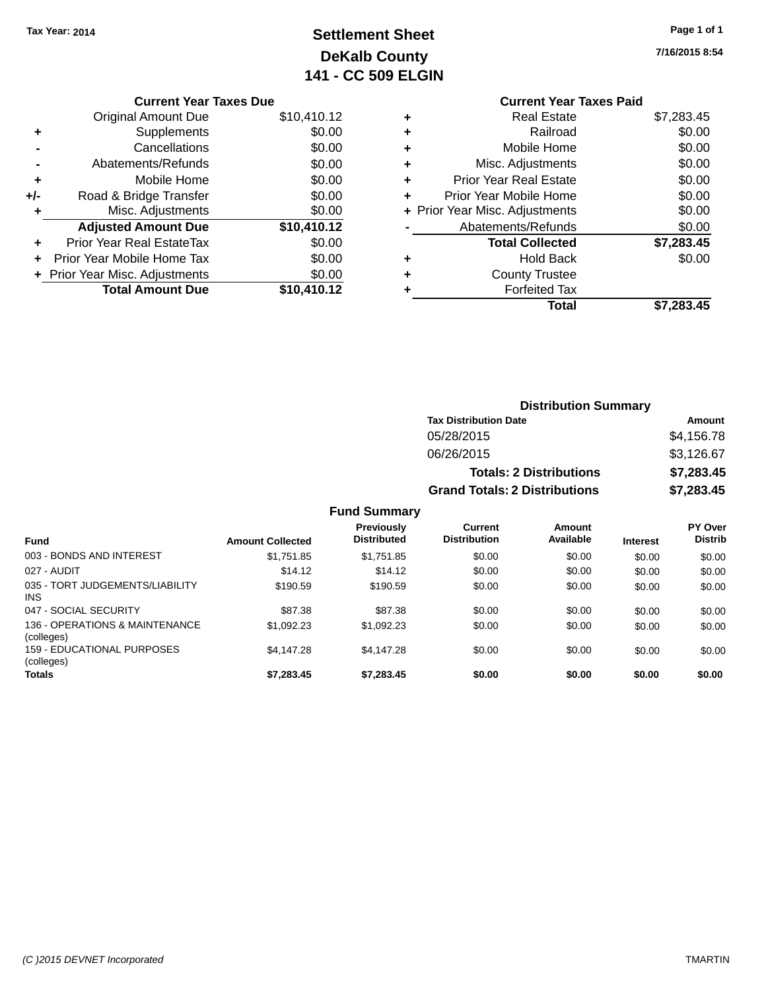# **Settlement Sheet Tax Year: 2014 Page 1 of 1 DeKalb County 141 - CC 509 ELGIN**

|  |  |  | Page 1 or 1 |  |
|--|--|--|-------------|--|
|  |  |  |             |  |

**7/16/2015 8:54**

|       | <b>Current Year Taxes Due</b>  |             |
|-------|--------------------------------|-------------|
|       | <b>Original Amount Due</b>     | \$10,410.12 |
| ٠     | Supplements                    | \$0.00      |
|       | Cancellations                  | \$0.00      |
|       | Abatements/Refunds             | \$0.00      |
| ٠     | Mobile Home                    | \$0.00      |
| $+/-$ | Road & Bridge Transfer         | \$0.00      |
|       | Misc. Adjustments              | \$0.00      |
|       | <b>Adjusted Amount Due</b>     | \$10,410.12 |
|       | Prior Year Real EstateTax      | \$0.00      |
|       | Prior Year Mobile Home Tax     | \$0.00      |
|       | + Prior Year Misc. Adjustments | \$0.00      |
|       | <b>Total Amount Due</b>        | \$10,410.12 |
|       |                                |             |

#### **Current Year Taxes Paid +** Real Estate \$7,283.45 **+** Railroad \$0.00 **+** Mobile Home \$0.00 **+** Misc. Adjustments \$0.00 **+** Prior Year Real Estate \$0.00 **+** Prior Year Mobile Home \$0.00 **+ Prior Year Misc. Adjustments**  $$0.00$ **-** Abatements/Refunds \$0.00 **Total Collected \$7,283.45 +** Hold Back \$0.00 **+** County Trustee **+** Forfeited Tax **Total \$7,283.45**

|                                               |                         |                                  |                                       | <b>Distribution Summary</b>    |                 |                           |  |
|-----------------------------------------------|-------------------------|----------------------------------|---------------------------------------|--------------------------------|-----------------|---------------------------|--|
|                                               |                         |                                  | <b>Tax Distribution Date</b>          |                                |                 | Amount                    |  |
|                                               |                         |                                  | 05/28/2015                            |                                |                 | \$4,156.78                |  |
|                                               |                         |                                  | 06/26/2015                            |                                |                 | \$3,126.67                |  |
|                                               |                         |                                  |                                       | <b>Totals: 2 Distributions</b> |                 | \$7,283.45<br>\$7,283.45  |  |
|                                               |                         |                                  | <b>Grand Totals: 2 Distributions</b>  |                                |                 |                           |  |
|                                               |                         | <b>Fund Summary</b>              |                                       |                                |                 |                           |  |
| <b>Fund</b>                                   | <b>Amount Collected</b> | Previously<br><b>Distributed</b> | <b>Current</b><br><b>Distribution</b> | Amount<br>Available            | <b>Interest</b> | PY Over<br><b>Distrib</b> |  |
| 003 - BONDS AND INTEREST                      | \$1,751.85              | \$1,751.85                       | \$0.00                                | \$0.00                         | \$0.00          | \$0.00                    |  |
| 027 - AUDIT                                   | \$14.12                 | \$14.12                          | \$0.00                                | \$0.00                         | \$0.00          | \$0.00                    |  |
| 035 - TORT JUDGEMENTS/LIABILITY<br><b>INS</b> | \$190.59                | \$190.59                         | \$0.00                                | \$0.00                         | \$0.00          | \$0.00                    |  |
| 047 - SOCIAL SECURITY                         | \$87.38                 | \$87.38                          | \$0.00                                | \$0.00                         | \$0.00          | \$0.00                    |  |
| 136 - OPERATIONS & MAINTENANCE<br>(colleges)  | \$1,092.23              | \$1,092.23                       | \$0.00                                | \$0.00                         | \$0.00          | \$0.00                    |  |
| 159 - EDUCATIONAL PURPOSES                    | \$4,147.28              | \$4,147.28                       | \$0.00                                | \$0.00                         | \$0.00          | \$0.00                    |  |

**Totals \$7,283.45 \$7,283.45 \$0.00 \$0.00 \$0.00 \$0.00**

(colleges)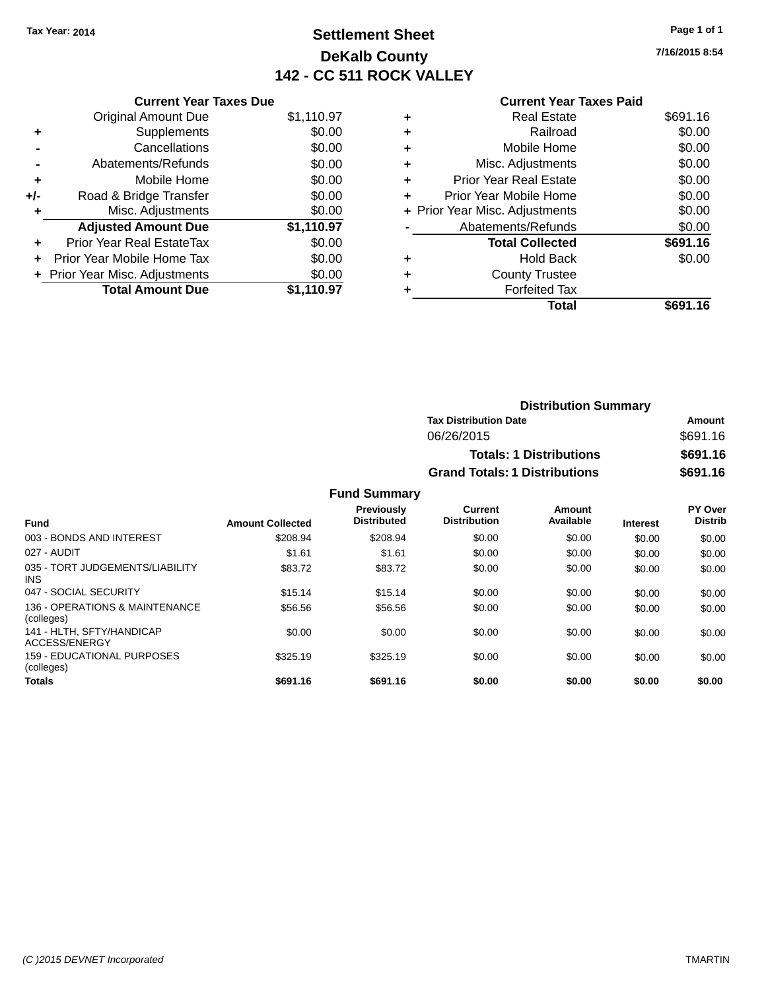# **Settlement Sheet Tax Year: 2014 Page 1 of 1 DeKalb County 142 - CC 511 ROCK VALLEY**

**7/16/2015 8:54**

|   | <b>Current Year Taxes Paid</b> |          |
|---|--------------------------------|----------|
| ٠ | <b>Real Estate</b>             | \$691.16 |
| ٠ | Railroad                       | \$0.00   |
| ٠ | Mobile Home                    | \$0.00   |
| ٠ | Misc. Adjustments              | \$0.00   |
| ٠ | <b>Prior Year Real Estate</b>  | \$0.00   |
| ٠ | Prior Year Mobile Home         | \$0.00   |
|   | + Prior Year Misc. Adjustments | \$0.00   |
|   | Abatements/Refunds             | \$0.00   |
|   | <b>Total Collected</b>         | \$691.16 |
| ٠ | <b>Hold Back</b>               | \$0.00   |
| ٠ | <b>County Trustee</b>          |          |
|   | <b>Forfeited Tax</b>           |          |
|   | Total                          | \$691.16 |
|   |                                |          |

| <b>Distribution Summary</b>          |          |
|--------------------------------------|----------|
| <b>Tax Distribution Date</b>         | Amount   |
| 06/26/2015                           | \$691.16 |
| <b>Totals: 1 Distributions</b>       | \$691.16 |
| <b>Grand Totals: 1 Distributions</b> | \$691.16 |
|                                      |          |

**Fund Summary**

| <b>Fund</b>                                  | <b>Amount Collected</b> | Previously<br><b>Distributed</b> | Current<br><b>Distribution</b> | Amount<br>Available | <b>Interest</b> | PY Over<br><b>Distrib</b> |
|----------------------------------------------|-------------------------|----------------------------------|--------------------------------|---------------------|-----------------|---------------------------|
| 003 - BONDS AND INTEREST                     | \$208.94                | \$208.94                         | \$0.00                         | \$0.00              | \$0.00          | \$0.00                    |
| 027 - AUDIT                                  | \$1.61                  | \$1.61                           | \$0.00                         | \$0.00              | \$0.00          | \$0.00                    |
| 035 - TORT JUDGEMENTS/LIABILITY<br>INS.      | \$83.72                 | \$83.72                          | \$0.00                         | \$0.00              | \$0.00          | \$0.00                    |
| 047 - SOCIAL SECURITY                        | \$15.14                 | \$15.14                          | \$0.00                         | \$0.00              | \$0.00          | \$0.00                    |
| 136 - OPERATIONS & MAINTENANCE<br>(colleges) | \$56.56                 | \$56.56                          | \$0.00                         | \$0.00              | \$0.00          | \$0.00                    |
| 141 - HLTH, SFTY/HANDICAP<br>ACCESS/ENERGY   | \$0.00                  | \$0.00                           | \$0.00                         | \$0.00              | \$0.00          | \$0.00                    |
| 159 - EDUCATIONAL PURPOSES<br>(colleges)     | \$325.19                | \$325.19                         | \$0.00                         | \$0.00              | \$0.00          | \$0.00                    |
| <b>Totals</b>                                | \$691.16                | \$691.16                         | \$0.00                         | \$0.00              | \$0.00          | \$0.00                    |

# **Current Year Taxes Due** Original Amount Due \$1,110.97

| ٠   | Supplements                    | \$0.00     |
|-----|--------------------------------|------------|
|     |                                |            |
|     | Cancellations                  | \$0.00     |
|     | Abatements/Refunds             | \$0.00     |
| ٠   | Mobile Home                    | \$0.00     |
| +/- | Road & Bridge Transfer         | \$0.00     |
| ÷   | Misc. Adjustments              | \$0.00     |
|     |                                |            |
|     | <b>Adjusted Amount Due</b>     | \$1,110.97 |
| ٠   | Prior Year Real EstateTax      | \$0.00     |
| ٠   | Prior Year Mobile Home Tax     | \$0.00     |
|     | + Prior Year Misc. Adjustments | \$0.00     |
|     | <b>Total Amount Due</b>        | \$1,110.97 |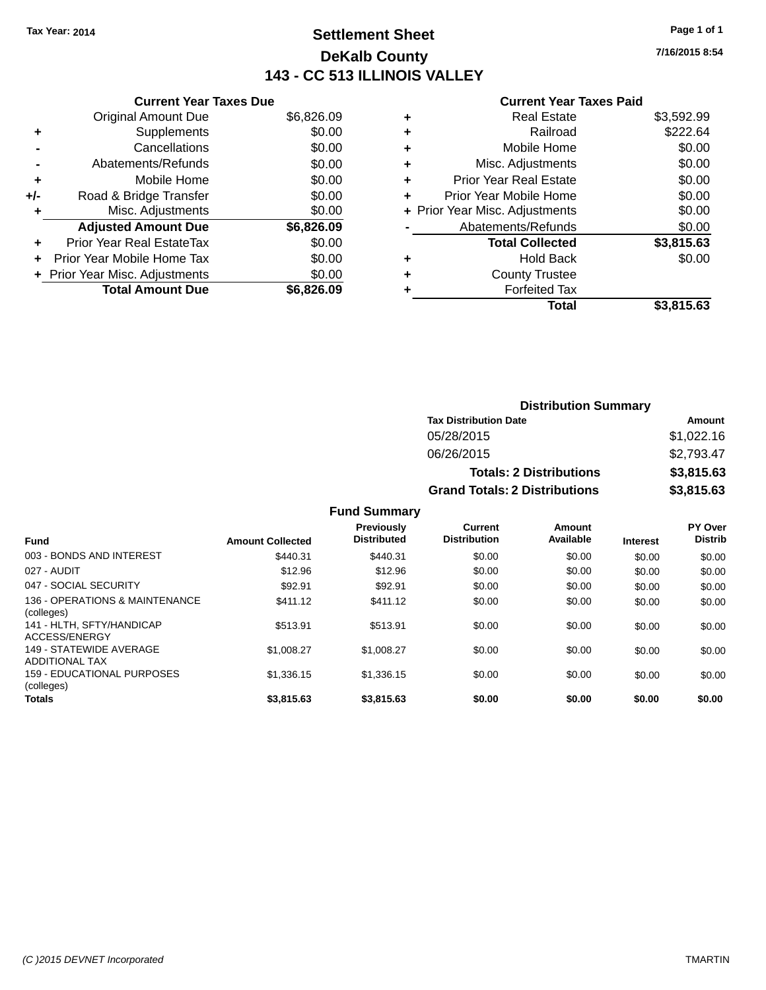# **Settlement Sheet Tax Year: 2014 Page 1 of 1 DeKalb County 143 - CC 513 ILLINOIS VALLEY**

**7/16/2015 8:54**

| <b>Current Ye</b> |
|-------------------|
|                   |

|     | <b>Current Year Taxes Due</b> |            |
|-----|-------------------------------|------------|
|     | <b>Original Amount Due</b>    | \$6,826.09 |
| ٠   | Supplements                   | \$0.00     |
|     | Cancellations                 | \$0.00     |
|     | Abatements/Refunds            | \$0.00     |
| ٠   | Mobile Home                   | \$0.00     |
| +/- | Road & Bridge Transfer        | \$0.00     |
|     | Misc. Adjustments             | \$0.00     |
|     | <b>Adjusted Amount Due</b>    | \$6,826.09 |
| ÷   | Prior Year Real EstateTax     | \$0.00     |
|     | Prior Year Mobile Home Tax    | \$0.00     |
|     | Prior Year Misc. Adjustments  | \$0.00     |
|     | <b>Total Amount Due</b>       | \$6.826.09 |

|   | <b>Current Year Taxes Paid</b> |            |
|---|--------------------------------|------------|
| ٠ | <b>Real Estate</b>             | \$3,592.99 |
| ٠ | Railroad                       | \$222.64   |
| ٠ | Mobile Home                    | \$0.00     |
| ٠ | Misc. Adjustments              | \$0.00     |
| ٠ | <b>Prior Year Real Estate</b>  | \$0.00     |
| ٠ | Prior Year Mobile Home         | \$0.00     |
|   | + Prior Year Misc. Adjustments | \$0.00     |
|   | Abatements/Refunds             | \$0.00     |
|   | <b>Total Collected</b>         | \$3,815.63 |
| ٠ | <b>Hold Back</b>               | \$0.00     |
|   | <b>County Trustee</b>          |            |
|   | <b>Forfeited Tax</b>           |            |
|   | Total                          | \$3,815.63 |
|   |                                |            |

| <b>Distribution Summary</b>          |            |  |  |
|--------------------------------------|------------|--|--|
| <b>Tax Distribution Date</b>         | Amount     |  |  |
| 05/28/2015                           | \$1,022.16 |  |  |
| 06/26/2015                           | \$2,793.47 |  |  |
| <b>Totals: 2 Distributions</b>       | \$3,815.63 |  |  |
| <b>Grand Totals: 2 Distributions</b> | \$3,815.63 |  |  |

| <b>Fund</b>                                      | <b>Amount Collected</b> | <b>Previously</b><br><b>Distributed</b> | Current<br><b>Distribution</b> | Amount<br>Available | <b>Interest</b> | PY Over<br><b>Distrib</b> |
|--------------------------------------------------|-------------------------|-----------------------------------------|--------------------------------|---------------------|-----------------|---------------------------|
| 003 - BONDS AND INTEREST                         | \$440.31                | \$440.31                                | \$0.00                         | \$0.00              | \$0.00          | \$0.00                    |
| 027 - AUDIT                                      | \$12.96                 | \$12.96                                 | \$0.00                         | \$0.00              | \$0.00          | \$0.00                    |
| 047 - SOCIAL SECURITY                            | \$92.91                 | \$92.91                                 | \$0.00                         | \$0.00              | \$0.00          | \$0.00                    |
| 136 - OPERATIONS & MAINTENANCE<br>(colleges)     | \$411.12                | \$411.12                                | \$0.00                         | \$0.00              | \$0.00          | \$0.00                    |
| 141 - HLTH, SFTY/HANDICAP<br>ACCESS/ENERGY       | \$513.91                | \$513.91                                | \$0.00                         | \$0.00              | \$0.00          | \$0.00                    |
| 149 - STATEWIDE AVERAGE<br><b>ADDITIONAL TAX</b> | \$1,008.27              | \$1,008.27                              | \$0.00                         | \$0.00              | \$0.00          | \$0.00                    |
| 159 - EDUCATIONAL PURPOSES<br>(colleges)         | \$1,336.15              | \$1.336.15                              | \$0.00                         | \$0.00              | \$0.00          | \$0.00                    |
| <b>Totals</b>                                    | \$3,815.63              | \$3.815.63                              | \$0.00                         | \$0.00              | \$0.00          | \$0.00                    |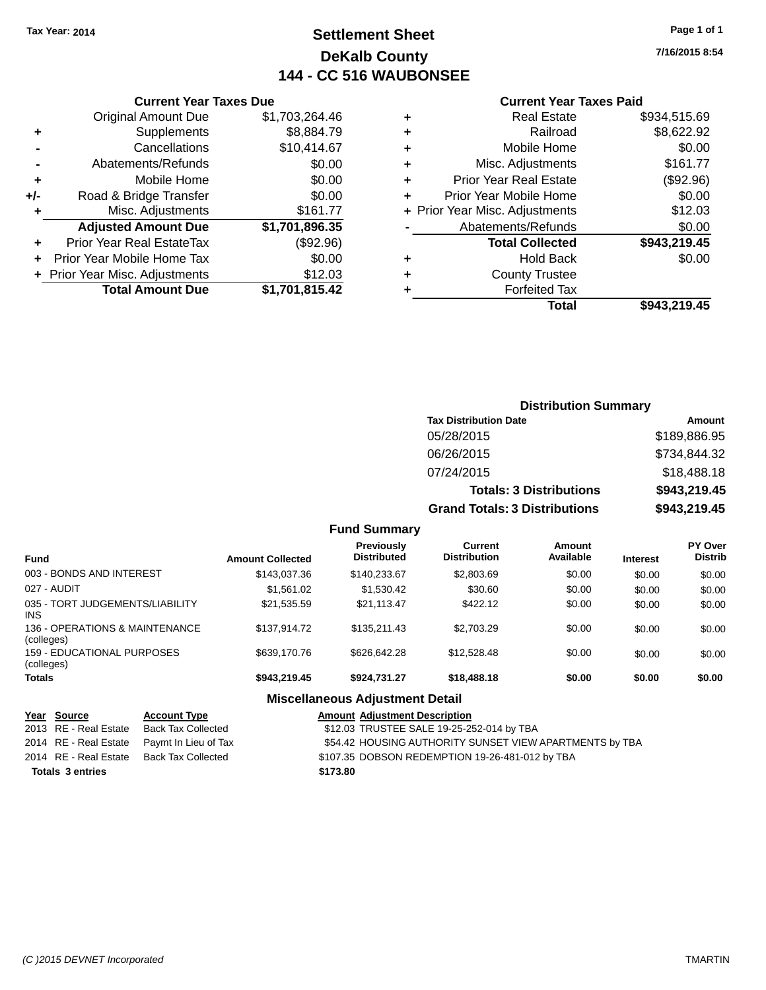# **Settlement Sheet Tax Year: 2014 Page 1 of 1 DeKalb County 144 - CC 516 WAUBONSEE**

**7/16/2015 8:54**

#### **Current Year Taxes Paid**

|                | <b>Total Amount Due</b>        | \$1,701,815.42             |
|----------------|--------------------------------|----------------------------|
|                | + Prior Year Misc. Adjustments | \$12.03                    |
| ٠              | Prior Year Mobile Home Tax     | \$0.00                     |
| ÷              | Prior Year Real EstateTax      | (\$92.96)                  |
|                | <b>Adjusted Amount Due</b>     | $\overline{31,701,896.35}$ |
| ٠              | Misc. Adjustments              | \$161.77                   |
| +/-            | Road & Bridge Transfer         | \$0.00                     |
| ٠              | Mobile Home                    | \$0.00                     |
| $\blacksquare$ | Abatements/Refunds             | \$0.00                     |
|                | Cancellations                  | \$10,414.67                |
| ٠              | Supplements                    | \$8,884.79                 |
|                | <b>Original Amount Due</b>     | \$1,703,264.46             |
|                |                                |                            |

**Current Year Taxes Due**

|   | <b>Real Estate</b>             | \$934,515.69 |
|---|--------------------------------|--------------|
| ٠ | Railroad                       | \$8,622.92   |
| ٠ | Mobile Home                    | \$0.00       |
| ٠ | Misc. Adjustments              | \$161.77     |
| ٠ | <b>Prior Year Real Estate</b>  | (\$92.96)    |
| ٠ | Prior Year Mobile Home         | \$0.00       |
|   | + Prior Year Misc. Adjustments | \$12.03      |
|   | Abatements/Refunds             | \$0.00       |
|   | <b>Total Collected</b>         | \$943,219.45 |
| ٠ | <b>Hold Back</b>               | \$0.00       |
| ٠ | <b>County Trustee</b>          |              |
|   | <b>Forfeited Tax</b>           |              |
|   | Total                          | \$943,219.45 |
|   |                                |              |

### **Distribution Summary Tax Distribution Date Amount** 05/28/2015 \$189,886.95 06/26/2015 \$734,844.32 07/24/2015 \$18,488.18 **Totals: 3 Distributions \$943,219.45 Grand Totals: 3 Distributions \$943,219.45**

#### **Fund Summary**

| <b>Fund</b>                                  | <b>Amount Collected</b> | Previously<br><b>Distributed</b>        | Current<br><b>Distribution</b> | Amount<br>Available | <b>Interest</b> | <b>PY Over</b><br><b>Distrib</b> |
|----------------------------------------------|-------------------------|-----------------------------------------|--------------------------------|---------------------|-----------------|----------------------------------|
| 003 - BONDS AND INTEREST                     | \$143,037.36            | \$140.233.67                            | \$2,803.69                     | \$0.00              | \$0.00          | \$0.00                           |
| 027 - AUDIT                                  | \$1,561.02              | \$1,530.42                              | \$30.60                        | \$0.00              | \$0.00          | \$0.00                           |
| 035 - TORT JUDGEMENTS/LIABILITY<br>INS.      | \$21,535.59             | \$21,113.47                             | \$422.12                       | \$0.00              | \$0.00          | \$0.00                           |
| 136 - OPERATIONS & MAINTENANCE<br>(colleges) | \$137.914.72            | \$135,211,43                            | \$2,703.29                     | \$0.00              | \$0.00          | \$0.00                           |
| 159 - EDUCATIONAL PURPOSES<br>(colleges)     | \$639,170.76            | \$626,642.28                            | \$12.528.48                    | \$0.00              | \$0.00          | \$0.00                           |
| <b>Totals</b>                                | \$943.219.45            | \$924.731.27                            | \$18,488.18                    | \$0.00              | \$0.00          | \$0.00                           |
|                                              |                         | <b>Missellanessen Adjustment Batell</b> |                                |                     |                 |                                  |

### **Miscellaneous Adjustment Detail**

| Year Source             | <b>Account Type</b>                        | <b>Amount Adjustment Description</b>                    |
|-------------------------|--------------------------------------------|---------------------------------------------------------|
| 2013 RE - Real Estate   | Back Tax Collected                         | \$12.03 TRUSTEE SALE 19-25-252-014 by TBA               |
|                         | 2014 RE - Real Estate Paymt In Lieu of Tax | \$54.42 HOUSING AUTHORITY SUNSET VIEW APARTMENTS by TBA |
| 2014 RE - Real Estate   | Back Tax Collected                         | \$107.35 DOBSON REDEMPTION 19-26-481-012 by TBA         |
| <b>Totals 3 entries</b> |                                            | \$173.80                                                |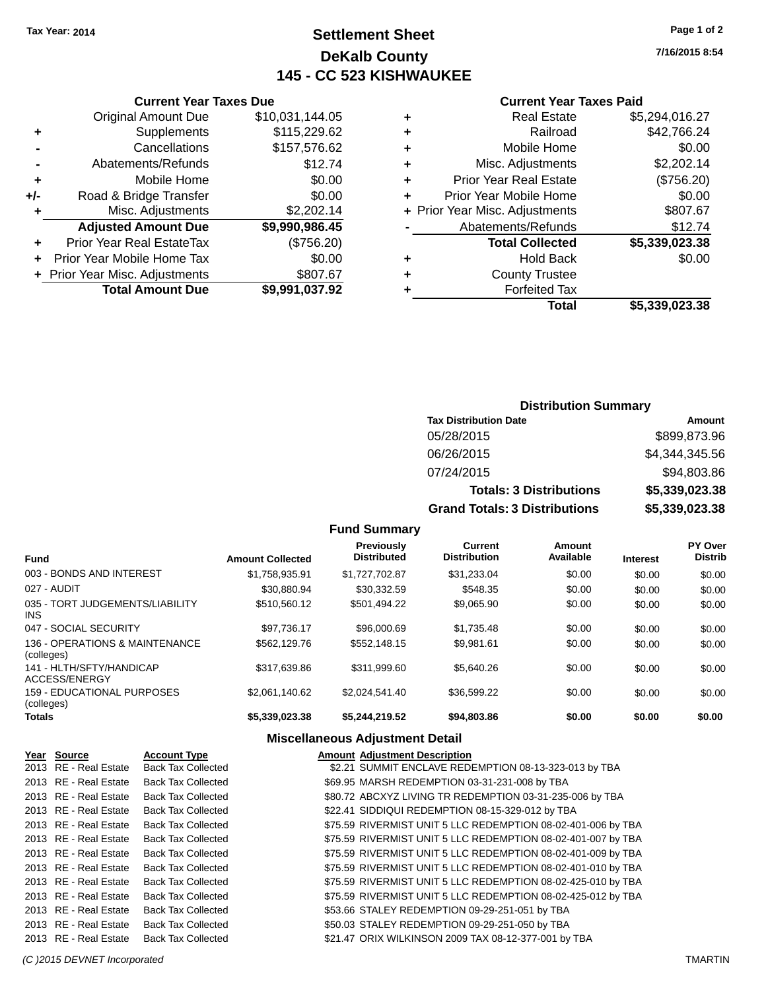# **Settlement Sheet Tax Year: 2014 Page 1 of 2 DeKalb County 145 - CC 523 KISHWAUKEE**

**7/16/2015 8:54**

# **Current Year Taxes Paid**

| ٠ | <b>Real Estate</b>             | \$5,294,016.27 |
|---|--------------------------------|----------------|
| ÷ | Railroad                       | \$42,766.24    |
| ÷ | Mobile Home                    | \$0.00         |
| ٠ | Misc. Adjustments              | \$2,202.14     |
| ٠ | <b>Prior Year Real Estate</b>  | (\$756.20)     |
| ٠ | Prior Year Mobile Home         | \$0.00         |
|   | + Prior Year Misc. Adjustments | \$807.67       |
|   | Abatements/Refunds             | \$12.74        |
|   | <b>Total Collected</b>         | \$5,339,023.38 |
| ٠ | <b>Hold Back</b>               | \$0.00         |
| ٠ | <b>County Trustee</b>          |                |
| ٠ | <b>Forfeited Tax</b>           |                |
|   | Total                          | \$5.339.023.38 |
|   |                                |                |

|     | <b>Current Year Taxes Due</b>  |                 |
|-----|--------------------------------|-----------------|
|     | <b>Original Amount Due</b>     | \$10,031,144.05 |
| ٠   | Supplements                    | \$115,229.62    |
|     | Cancellations                  | \$157,576.62    |
|     | Abatements/Refunds             | \$12.74         |
| ٠   | Mobile Home                    | \$0.00          |
| +/- | Road & Bridge Transfer         | \$0.00          |
| ٠   | Misc. Adjustments              | \$2,202.14      |
|     | <b>Adjusted Amount Due</b>     | \$9,990,986.45  |
| ٠   | Prior Year Real EstateTax      | (\$756.20)      |
|     | Prior Year Mobile Home Tax     | \$0.00          |
|     | + Prior Year Misc. Adjustments | \$807.67        |
|     | <b>Total Amount Due</b>        | \$9,991,037.92  |
|     |                                |                 |

| <b>Distribution Summary</b>          |                |
|--------------------------------------|----------------|
| <b>Tax Distribution Date</b>         | Amount         |
| 05/28/2015                           | \$899,873.96   |
| 06/26/2015                           | \$4.344.345.56 |
| 07/24/2015                           | \$94,803.86    |
| <b>Totals: 3 Distributions</b>       | \$5,339,023.38 |
| <b>Grand Totals: 3 Distributions</b> | \$5,339,023.38 |

**Fund Summary**

| <b>Fund</b>                                  | <b>Amount Collected</b> | <b>Previously</b><br><b>Distributed</b> | <b>Current</b><br><b>Distribution</b> | Amount<br>Available | <b>Interest</b> | <b>PY Over</b><br><b>Distrib</b> |
|----------------------------------------------|-------------------------|-----------------------------------------|---------------------------------------|---------------------|-----------------|----------------------------------|
| 003 - BONDS AND INTEREST                     | \$1,758,935.91          | \$1,727,702.87                          | \$31,233.04                           | \$0.00              | \$0.00          | \$0.00                           |
| 027 - AUDIT                                  | \$30.880.94             | \$30.332.59                             | \$548.35                              | \$0.00              | \$0.00          | \$0.00                           |
| 035 - TORT JUDGEMENTS/LIABILITY<br>INS.      | \$510,560.12            | \$501,494.22                            | \$9,065.90                            | \$0.00              | \$0.00          | \$0.00                           |
| 047 - SOCIAL SECURITY                        | \$97.736.17             | \$96,000.69                             | \$1,735.48                            | \$0.00              | \$0.00          | \$0.00                           |
| 136 - OPERATIONS & MAINTENANCE<br>(colleges) | \$562,129.76            | \$552,148.15                            | \$9,981.61                            | \$0.00              | \$0.00          | \$0.00                           |
| 141 - HLTH/SFTY/HANDICAP<br>ACCESS/ENERGY    | \$317.639.86            | \$311.999.60                            | \$5,640.26                            | \$0.00              | \$0.00          | \$0.00                           |
| 159 - EDUCATIONAL PURPOSES<br>(colleges)     | \$2,061,140.62          | \$2.024.541.40                          | \$36.599.22                           | \$0.00              | \$0.00          | \$0.00                           |
| <b>Totals</b>                                | \$5,339,023.38          | \$5,244,219.52                          | \$94,803.86                           | \$0.00              | \$0.00          | \$0.00                           |

#### **Miscellaneous Adjustment Detail**

| Year Source           | <b>Account Type</b>       | <b>Amount Adjustment Description</b>                         |
|-----------------------|---------------------------|--------------------------------------------------------------|
| 2013 RE - Real Estate | <b>Back Tax Collected</b> | \$2.21 SUMMIT ENCLAVE REDEMPTION 08-13-323-013 by TBA        |
| 2013 RE - Real Estate | <b>Back Tax Collected</b> | \$69.95 MARSH REDEMPTION 03-31-231-008 by TBA                |
| 2013 RE - Real Estate | <b>Back Tax Collected</b> | \$80.72 ABCXYZ LIVING TR REDEMPTION 03-31-235-006 by TBA     |
| 2013 RE - Real Estate | <b>Back Tax Collected</b> | \$22.41 SIDDIQUI REDEMPTION 08-15-329-012 by TBA             |
| 2013 RE - Real Estate | <b>Back Tax Collected</b> | \$75.59 RIVERMIST UNIT 5 LLC REDEMPTION 08-02-401-006 by TBA |
| 2013 RE - Real Estate | <b>Back Tax Collected</b> | \$75.59 RIVERMIST UNIT 5 LLC REDEMPTION 08-02-401-007 by TBA |
| 2013 RE - Real Estate | <b>Back Tax Collected</b> | \$75.59 RIVERMIST UNIT 5 LLC REDEMPTION 08-02-401-009 by TBA |
| 2013 RE - Real Estate | <b>Back Tax Collected</b> | \$75.59 RIVERMIST UNIT 5 LLC REDEMPTION 08-02-401-010 by TBA |
| 2013 RE - Real Estate | <b>Back Tax Collected</b> | \$75.59 RIVERMIST UNIT 5 LLC REDEMPTION 08-02-425-010 by TBA |
| 2013 RE - Real Estate | <b>Back Tax Collected</b> | \$75.59 RIVERMIST UNIT 5 LLC REDEMPTION 08-02-425-012 by TBA |
| 2013 RE - Real Estate | <b>Back Tax Collected</b> | \$53.66 STALEY REDEMPTION 09-29-251-051 by TBA               |
| 2013 RE - Real Estate | <b>Back Tax Collected</b> | \$50.03 STALEY REDEMPTION 09-29-251-050 by TBA               |
| 2013 RE - Real Estate | <b>Back Tax Collected</b> | \$21.47 ORIX WILKINSON 2009 TAX 08-12-377-001 by TBA         |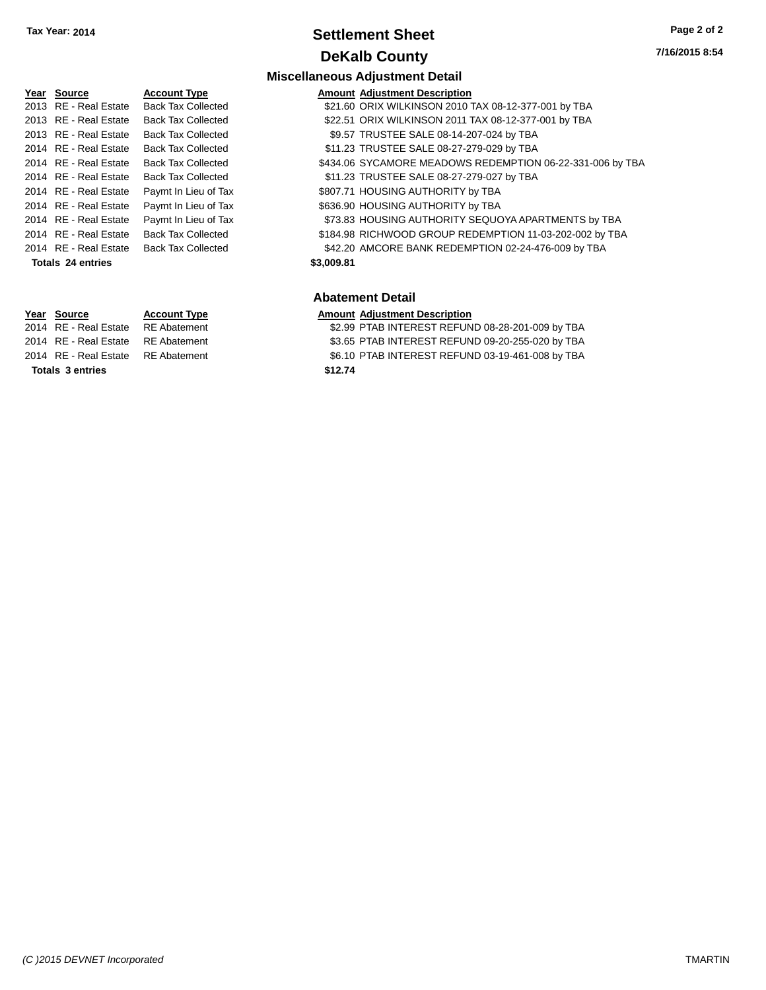### **Settlement Sheet Tax Year: 2014 Page 2 of 2 DeKalb County**

# 2014 RE - Real Estate Paymt In Lieu of Tax S807.71 HOUSING AUTHORITY by TBA 2014 RE - Real Estate Paymt In Lieu of Tax \$636.90 HOUSING AUTHORITY by TBA 2014 RE - Real Estate Paymt In Lieu of Tax S73.83 HOUSING AUTHORITY SEQUOYA APARTMENTS by TBA **Totals \$3,009.81 24 entries**

**Totals \$12.74 3 entries**

**Miscellaneous Adjustment Detail Year** Source **Account Type A** Annung Amount Adjustment Description

- 2013 RE Real Estate Back Tax Collected \$21.60 ORIX WILKINSON 2010 TAX 08-12-377-001 by TBA
- 2013 RE Real Estate Back Tax Collected \$22.51 ORIX WILKINSON 2011 TAX 08-12-377-001 by TBA
- 2013 RE Real Estate Back Tax Collected \$9.57 TRUSTEE SALE 08-14-207-024 by TBA
- 2014 RE Real Estate Back Tax Collected **\$11.23 TRUSTEE SALE 08-27-279-029 by TBA**
- 2014 RE Real Estate Back Tax Collected \$434.06 SYCAMORE MEADOWS REDEMPTION 06-22-331-006 by TBA
- 2014 RE Real Estate Back Tax Collected \$11.23 TRUSTEE SALE 08-27-279-027 by TBA
	-
	-
- 2014 RE Real Estate Back Tax Collected \$184.98 RICHWOOD GROUP REDEMPTION 11-03-202-002 by TBA
- 2014 RE Real Estate Back Tax Collected \$42.20 AMCORE BANK REDEMPTION 02-24-476-009 by TBA

#### **Abatement Detail**

#### **Year Source Account Type Amount Adjustment Description**

- 2014 RE Real Estate RE Abatement \$2.99 PTAB INTEREST REFUND 08-28-201-009 by TBA 2014 RE - Real Estate RE Abatement \$3.65 PTAB INTEREST REFUND 09-20-255-020 by TBA
- 2014 RE Real Estate RE Abatement \$6.10 PTAB INTEREST REFUND 03-19-461-008 by TBA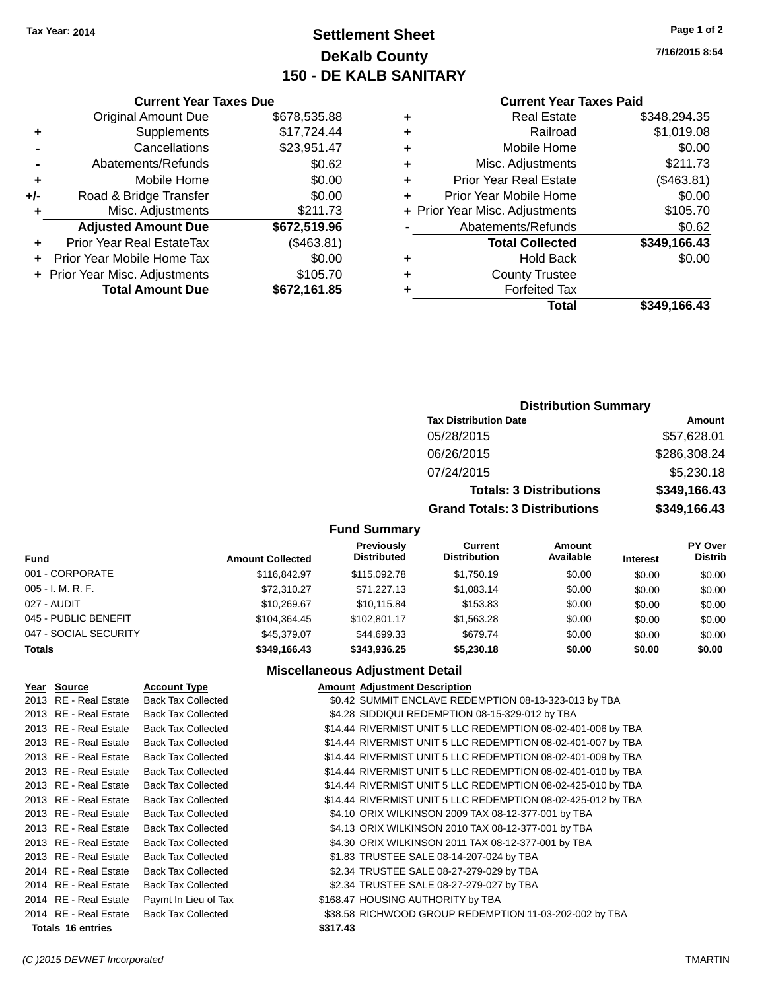# **Settlement Sheet Tax Year: 2014 Page 1 of 2 DeKalb County 150 - DE KALB SANITARY**

**7/16/2015 8:54**

#### **Current Year Taxes Paid**

|     | <b>Current Year Taxes Due</b>  |              |
|-----|--------------------------------|--------------|
|     | <b>Original Amount Due</b>     | \$678,535.88 |
| ٠   | Supplements                    | \$17,724.44  |
|     | Cancellations                  | \$23,951.47  |
|     | Abatements/Refunds             | \$0.62       |
| ٠   | Mobile Home                    | \$0.00       |
| +/- | Road & Bridge Transfer         | \$0.00       |
| ٠   | Misc. Adjustments              | \$211.73     |
|     | <b>Adjusted Amount Due</b>     | \$672,519.96 |
| ٠   | Prior Year Real EstateTax      | (\$463.81)   |
| ÷   | Prior Year Mobile Home Tax     | \$0.00       |
|     | + Prior Year Misc. Adjustments | \$105.70     |
|     | <b>Total Amount Due</b>        | \$672,161.85 |

| ٠ | <b>Real Estate</b>             | \$348,294.35 |
|---|--------------------------------|--------------|
| ٠ | Railroad                       | \$1,019.08   |
| ٠ | Mobile Home                    | \$0.00       |
| ٠ | Misc. Adjustments              | \$211.73     |
| ٠ | <b>Prior Year Real Estate</b>  | (\$463.81)   |
| ÷ | Prior Year Mobile Home         | \$0.00       |
|   | + Prior Year Misc. Adjustments | \$105.70     |
|   | Abatements/Refunds             | \$0.62       |
|   | <b>Total Collected</b>         | \$349,166.43 |
| ٠ | <b>Hold Back</b>               | \$0.00       |
| ٠ | <b>County Trustee</b>          |              |
| ٠ | <b>Forfeited Tax</b>           |              |
|   | Total                          | \$349,166.43 |
|   |                                |              |

### **Distribution Summary Tax Distribution Date Amount** 05/28/2015 \$57,628.01 06/26/2015 \$286,308.24 07/24/2015 \$5,230.18 **Totals: 3 Distributions \$349,166.43 Grand Totals: 3 Distributions \$349,166.43**

#### **Fund Summary**

| <b>Fund</b>           | <b>Amount Collected</b> | Previously<br><b>Distributed</b> | Current<br><b>Distribution</b> | Amount<br>Available | <b>Interest</b> | <b>PY Over</b><br><b>Distrib</b> |
|-----------------------|-------------------------|----------------------------------|--------------------------------|---------------------|-----------------|----------------------------------|
| 001 - CORPORATE       | \$116,842,97            | \$115,092.78                     | \$1,750.19                     | \$0.00              | \$0.00          | \$0.00                           |
| 005 - I. M. R. F.     | \$72.310.27             | \$71.227.13                      | \$1,083.14                     | \$0.00              | \$0.00          | \$0.00                           |
| 027 - AUDIT           | \$10,269.67             | \$10.115.84                      | \$153.83                       | \$0.00              | \$0.00          | \$0.00                           |
| 045 - PUBLIC BENEFIT  | \$104.364.45            | \$102.801.17                     | \$1,563,28                     | \$0.00              | \$0.00          | \$0.00                           |
| 047 - SOCIAL SECURITY | \$45,379.07             | \$44,699.33                      | \$679.74                       | \$0.00              | \$0.00          | \$0.00                           |
| <b>Totals</b>         | \$349.166.43            | \$343.936.25                     | \$5,230.18                     | \$0.00              | \$0.00          | \$0.00                           |

#### **Miscellaneous Adjustment Detail**

| Year Source              | <b>Account Type</b>       | <b>Amount Adjustment Description</b>                         |
|--------------------------|---------------------------|--------------------------------------------------------------|
| 2013 RE - Real Estate    | <b>Back Tax Collected</b> | \$0.42 SUMMIT ENCLAVE REDEMPTION 08-13-323-013 by TBA        |
| 2013 RE - Real Estate    | <b>Back Tax Collected</b> | \$4.28 SIDDIQUI REDEMPTION 08-15-329-012 by TBA              |
| 2013 RE - Real Estate    | <b>Back Tax Collected</b> | \$14.44 RIVERMIST UNIT 5 LLC REDEMPTION 08-02-401-006 by TBA |
| 2013 RE - Real Estate    | <b>Back Tax Collected</b> | \$14.44 RIVERMIST UNIT 5 LLC REDEMPTION 08-02-401-007 by TBA |
| 2013 RE - Real Estate    | <b>Back Tax Collected</b> | \$14.44 RIVERMIST UNIT 5 LLC REDEMPTION 08-02-401-009 by TBA |
| 2013 RE - Real Estate    | <b>Back Tax Collected</b> | \$14.44 RIVERMIST UNIT 5 LLC REDEMPTION 08-02-401-010 by TBA |
| 2013 RE - Real Estate    | <b>Back Tax Collected</b> | \$14.44 RIVERMIST UNIT 5 LLC REDEMPTION 08-02-425-010 by TBA |
| 2013 RE - Real Estate    | <b>Back Tax Collected</b> | \$14.44 RIVERMIST UNIT 5 LLC REDEMPTION 08-02-425-012 by TBA |
| 2013 RE - Real Estate    | <b>Back Tax Collected</b> | \$4.10 ORIX WILKINSON 2009 TAX 08-12-377-001 by TBA          |
| 2013 RE - Real Estate    | <b>Back Tax Collected</b> | \$4.13 ORIX WILKINSON 2010 TAX 08-12-377-001 by TBA          |
| 2013 RE - Real Estate    | <b>Back Tax Collected</b> | \$4.30 ORIX WILKINSON 2011 TAX 08-12-377-001 by TBA          |
| 2013 RE - Real Estate    | <b>Back Tax Collected</b> | \$1.83 TRUSTEE SALE 08-14-207-024 by TBA                     |
| 2014 RE - Real Estate    | <b>Back Tax Collected</b> | \$2.34 TRUSTEE SALE 08-27-279-029 by TBA                     |
| 2014 RE - Real Estate    | <b>Back Tax Collected</b> | \$2.34 TRUSTEE SALE 08-27-279-027 by TBA                     |
| 2014 RE - Real Estate    | Paymt In Lieu of Tax      | \$168.47 HOUSING AUTHORITY by TBA                            |
| 2014 RE - Real Estate    | <b>Back Tax Collected</b> | \$38.58 RICHWOOD GROUP REDEMPTION 11-03-202-002 by TBA       |
| <b>Totals 16 entries</b> |                           | \$317.43                                                     |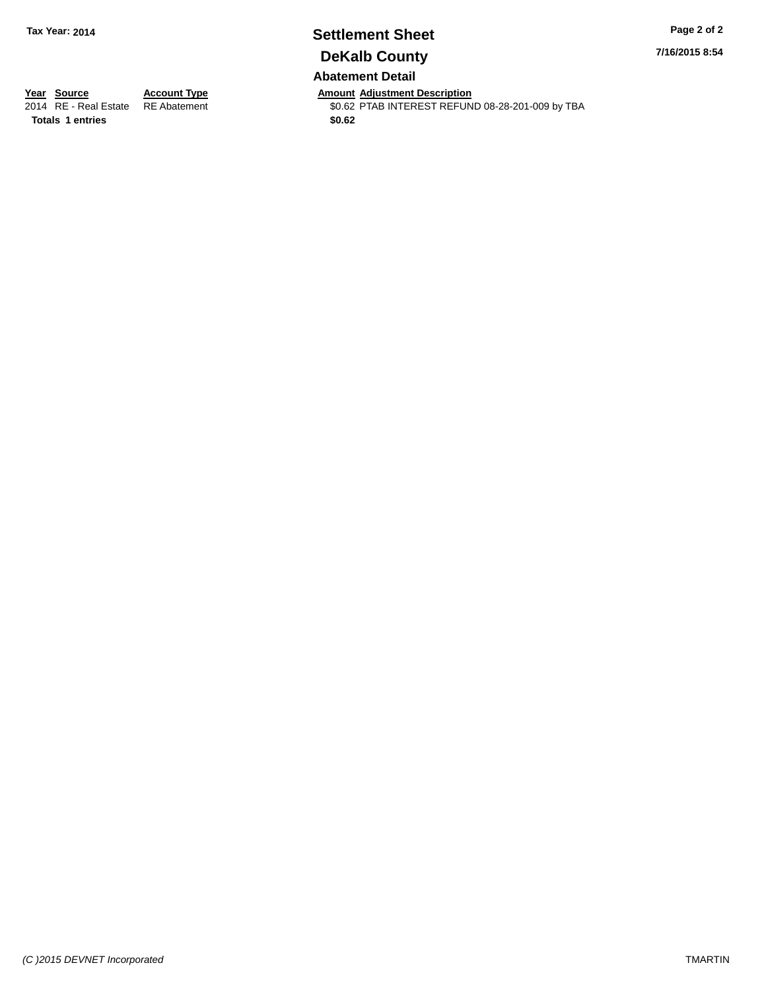# **Settlement Sheet Tax Year: 2014 Page 2 of 2 DeKalb County**

**7/16/2015 8:54**

**Abatement Detail**

**Totals 1 entries** \$0.62

**Year Source Account Type Account Type Amount Adjustment Description**<br>2014 RE - Real Estate RE Abatement **Account 1998 AMOUNTEREST REFUN** \$0.62 PTAB INTEREST REFUND 08-28-201-009 by TBA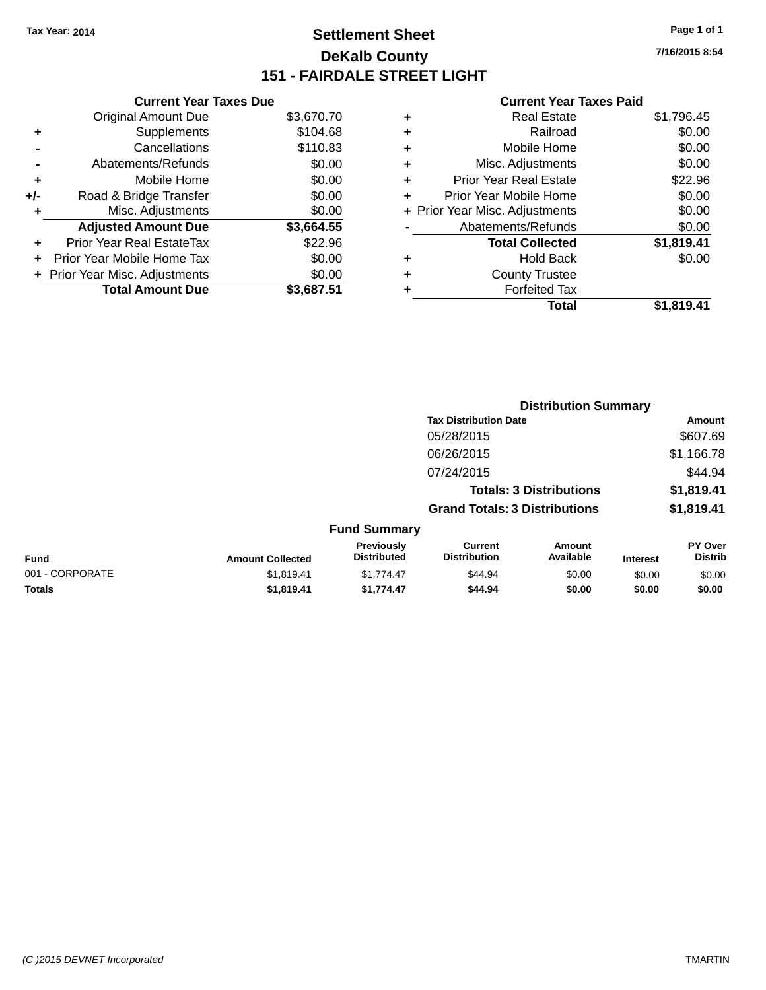# **Settlement Sheet Tax Year: 2014 Page 1 of 1 DeKalb County 151 - FAIRDALE STREET LIGHT**

**7/16/2015 8:54**

|    | <b>Current Year Taxes Paid</b> |            |
|----|--------------------------------|------------|
| ÷  | <b>Real Estate</b>             | \$1,796.45 |
| a. | Railroad                       | .so oo     |

| Road & Bridge Transfer<br>+/-<br>Misc. Adjustments<br>٠   | \$0.00<br>\$0.00     |
|-----------------------------------------------------------|----------------------|
| <b>Adjusted Amount Due</b>                                | \$3,664.55           |
|                                                           |                      |
| Prior Year Real EstateTax<br>÷                            | \$22.96              |
| Prior Year Mobile Home Tax                                | \$0.00               |
|                                                           |                      |
|                                                           |                      |
| + Prior Year Misc. Adjustments<br><b>Total Amount Due</b> | \$0.00<br>\$3.687.51 |

**Current Year Taxes Due**

| ٠ | Railroad                       | \$0.00     |
|---|--------------------------------|------------|
| ٠ | Mobile Home                    | \$0.00     |
| ٠ | Misc. Adjustments              | \$0.00     |
| ٠ | <b>Prior Year Real Estate</b>  | \$22.96    |
|   | Prior Year Mobile Home         | \$0.00     |
|   | + Prior Year Misc. Adjustments | \$0.00     |
|   | Abatements/Refunds             | \$0.00     |
|   | <b>Total Collected</b>         | \$1,819.41 |
| ٠ | <b>Hold Back</b>               | \$0.00     |
| ٠ | <b>County Trustee</b>          |            |
|   | <b>Forfeited Tax</b>           |            |
|   | Total                          | \$1,819.41 |
|   |                                |            |

|                 |                         | <b>Distribution Summary</b>      |                                       |                                |                 |                           |
|-----------------|-------------------------|----------------------------------|---------------------------------------|--------------------------------|-----------------|---------------------------|
|                 |                         |                                  | <b>Tax Distribution Date</b>          |                                |                 | Amount                    |
|                 |                         |                                  | 05/28/2015                            |                                |                 | \$607.69                  |
|                 |                         |                                  | 06/26/2015                            |                                |                 | \$1,166.78                |
|                 |                         |                                  | 07/24/2015                            |                                |                 | \$44.94                   |
|                 |                         |                                  |                                       | <b>Totals: 3 Distributions</b> |                 | \$1,819.41                |
|                 |                         |                                  | <b>Grand Totals: 3 Distributions</b>  |                                |                 | \$1,819.41                |
|                 |                         | <b>Fund Summary</b>              |                                       |                                |                 |                           |
| <b>Fund</b>     | <b>Amount Collected</b> | Previously<br><b>Distributed</b> | <b>Current</b><br><b>Distribution</b> | Amount<br>Available            | <b>Interest</b> | PY Over<br><b>Distrib</b> |
| 001 - CORPORATE | \$1,819.41              | \$1,774.47                       | \$44.94                               | \$0.00                         | \$0.00          | \$0.00                    |
| <b>Totals</b>   | \$1,819.41              | \$1,774.47                       | \$44.94                               | \$0.00                         | \$0.00          | \$0.00                    |
|                 |                         |                                  |                                       |                                |                 |                           |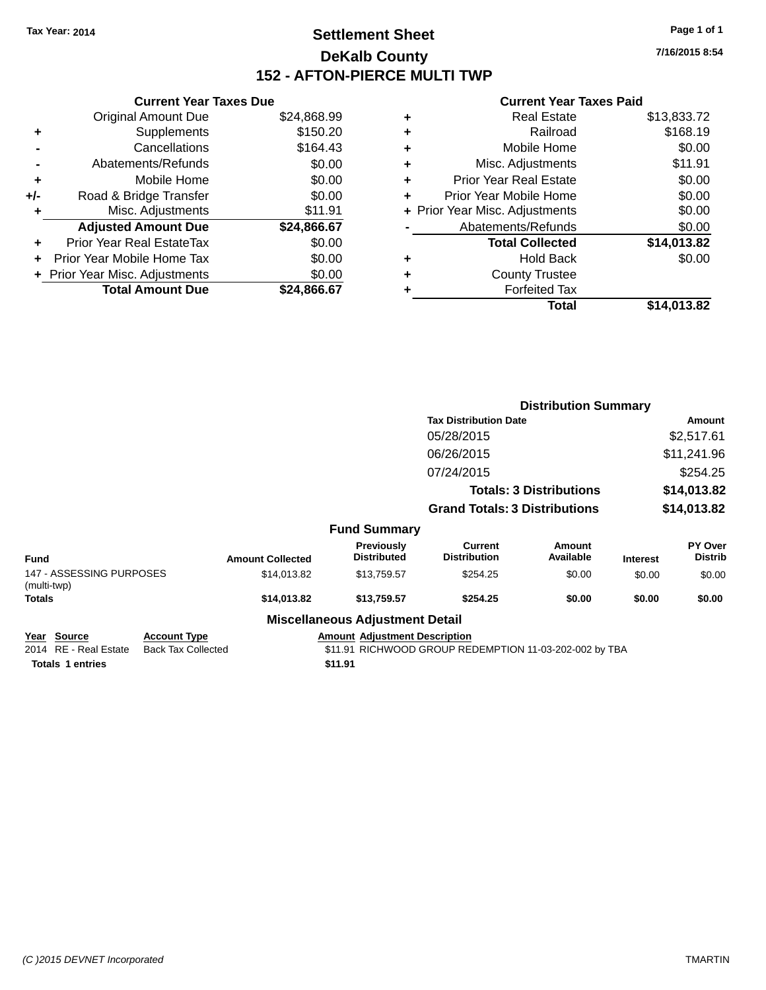# **Settlement Sheet Tax Year: 2014 Page 1 of 1 DeKalb County 152 - AFTON-PIERCE MULTI TWP**

**7/16/2015 8:54**

#### **Current Year Taxes Paid**

|     | <b>Current Year Taxes Due</b>  |             |
|-----|--------------------------------|-------------|
|     | <b>Original Amount Due</b>     | \$24,868.99 |
| ٠   | Supplements                    | \$150.20    |
|     | Cancellations                  | \$164.43    |
|     | Abatements/Refunds             | \$0.00      |
| ٠   | Mobile Home                    | \$0.00      |
| +/- | Road & Bridge Transfer         | \$0.00      |
|     | Misc. Adjustments              | \$11.91     |
|     | <b>Adjusted Amount Due</b>     | \$24,866.67 |
| ÷   | Prior Year Real EstateTax      | \$0.00      |
|     | Prior Year Mobile Home Tax     | \$0.00      |
|     | + Prior Year Misc. Adjustments | \$0.00      |
|     | <b>Total Amount Due</b>        | \$24.866.67 |
|     |                                |             |

| ٠ | <b>Real Estate</b>             | \$13,833.72 |
|---|--------------------------------|-------------|
| ٠ | Railroad                       | \$168.19    |
| ٠ | Mobile Home                    | \$0.00      |
| ٠ | Misc. Adjustments              | \$11.91     |
| ٠ | <b>Prior Year Real Estate</b>  | \$0.00      |
| ٠ | Prior Year Mobile Home         | \$0.00      |
|   | + Prior Year Misc. Adjustments | \$0.00      |
|   | Abatements/Refunds             | \$0.00      |
|   | <b>Total Collected</b>         | \$14,013.82 |
| ٠ | <b>Hold Back</b>               | \$0.00      |
| ٠ | <b>County Trustee</b>          |             |
| ٠ | <b>Forfeited Tax</b>           |             |
|   | Total                          | \$14,013.82 |
|   |                                |             |

|                                         |                         |                                        | <b>Distribution Summary</b>           |                                |                 |                           |
|-----------------------------------------|-------------------------|----------------------------------------|---------------------------------------|--------------------------------|-----------------|---------------------------|
|                                         |                         |                                        | <b>Tax Distribution Date</b>          |                                | <b>Amount</b>   |                           |
|                                         |                         |                                        | 05/28/2015                            |                                |                 | \$2,517.61                |
|                                         |                         |                                        | 06/26/2015                            |                                |                 | \$11,241.96               |
|                                         |                         |                                        | 07/24/2015                            |                                |                 | \$254.25                  |
|                                         |                         |                                        |                                       | <b>Totals: 3 Distributions</b> |                 | \$14,013.82               |
|                                         |                         |                                        | <b>Grand Totals: 3 Distributions</b>  |                                | \$14,013.82     |                           |
|                                         |                         | <b>Fund Summary</b>                    |                                       |                                |                 |                           |
| <b>Fund</b>                             | <b>Amount Collected</b> | Previously<br><b>Distributed</b>       | <b>Current</b><br><b>Distribution</b> | Amount<br>Available            | <b>Interest</b> | PY Over<br><b>Distrib</b> |
| 147 - ASSESSING PURPOSES<br>(multi-twp) | \$14,013.82             | \$13,759.57                            | \$254.25                              | \$0.00                         | \$0.00          | \$0.00                    |
| Totals                                  | \$14,013.82             | \$13,759.57                            | \$254.25                              | \$0.00                         | \$0.00          | \$0.00                    |
|                                         |                         | <b>Miscellaneous Adjustment Detail</b> |                                       |                                |                 |                           |

### **Year** Source **Account Type Account Adjustment Description**

**Totals 1 entries** \$11.91

2014 RE - Real Estate Back Tax Collected **\$11.91 RICHWOOD GROUP REDEMPTION 11-03-202-002 by TBA**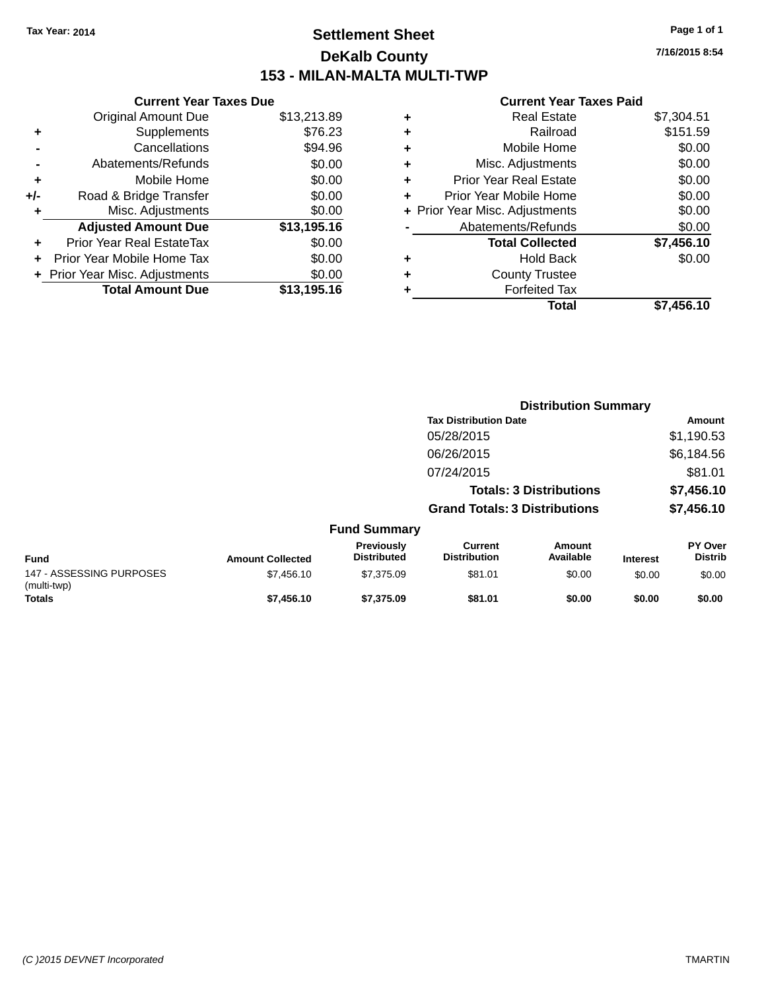# **Settlement Sheet Tax Year: 2014 Page 1 of 1 DeKalb County 153 - MILAN-MALTA MULTI-TWP**

| <b>Current Year Taxes Due</b>  |             |
|--------------------------------|-------------|
| <b>Original Amount Due</b>     | \$13,213.89 |
| Supplements                    | \$76.23     |
| Cancellations                  | \$94.96     |
| Abatements/Refunds             | \$0.00      |
| Mobile Home                    | \$0.00      |
| Road & Bridge Transfer         | \$0.00      |
| Misc. Adjustments              | \$0.00      |
| <b>Adjusted Amount Due</b>     | \$13,195.16 |
| Prior Year Real EstateTax      | \$0.00      |
| Prior Year Mobile Home Tax     | \$0.00      |
| + Prior Year Misc. Adjustments | \$0.00      |
| <b>Total Amount Due</b>        | \$13,195.16 |
|                                |             |

#### **Current Year Taxes Paid**

|   | <b>Real Estate</b>             | \$7,304.51 |
|---|--------------------------------|------------|
| ٠ | Railroad                       | \$151.59   |
| ٠ | Mobile Home                    | \$0.00     |
| ٠ | Misc. Adjustments              | \$0.00     |
| ٠ | <b>Prior Year Real Estate</b>  | \$0.00     |
| ٠ | Prior Year Mobile Home         | \$0.00     |
|   | + Prior Year Misc. Adjustments | \$0.00     |
|   | Abatements/Refunds             | \$0.00     |
|   | <b>Total Collected</b>         | \$7,456.10 |
| ٠ | <b>Hold Back</b>               | \$0.00     |
| ٠ | <b>County Trustee</b>          |            |
| ٠ | <b>Forfeited Tax</b>           |            |
|   | Total                          | \$7,456.10 |
|   |                                |            |

|                                         |                         | <b>Distribution Summary</b>      |                                       |                                |                 |                           |  |
|-----------------------------------------|-------------------------|----------------------------------|---------------------------------------|--------------------------------|-----------------|---------------------------|--|
|                                         |                         |                                  | <b>Tax Distribution Date</b>          |                                |                 | <b>Amount</b>             |  |
|                                         |                         |                                  | 05/28/2015                            |                                |                 | \$1,190.53                |  |
|                                         |                         |                                  | 06/26/2015                            |                                |                 | \$6,184.56                |  |
|                                         |                         |                                  | 07/24/2015                            |                                |                 | \$81.01                   |  |
|                                         |                         |                                  |                                       | <b>Totals: 3 Distributions</b> |                 | \$7,456.10                |  |
|                                         |                         |                                  | <b>Grand Totals: 3 Distributions</b>  |                                |                 | \$7,456.10                |  |
|                                         |                         | <b>Fund Summary</b>              |                                       |                                |                 |                           |  |
| <b>Fund</b>                             | <b>Amount Collected</b> | Previously<br><b>Distributed</b> | <b>Current</b><br><b>Distribution</b> | <b>Amount</b><br>Available     | <b>Interest</b> | PY Over<br><b>Distrib</b> |  |
| 147 - ASSESSING PURPOSES<br>(multi-twp) | \$7,456.10              | \$7,375.09                       | \$81.01                               | \$0.00                         | \$0.00          | \$0.00                    |  |
| <b>Totals</b>                           | \$7,456.10              | \$7.375.09                       | \$81.01                               | \$0.00                         | \$0.00          | \$0.00                    |  |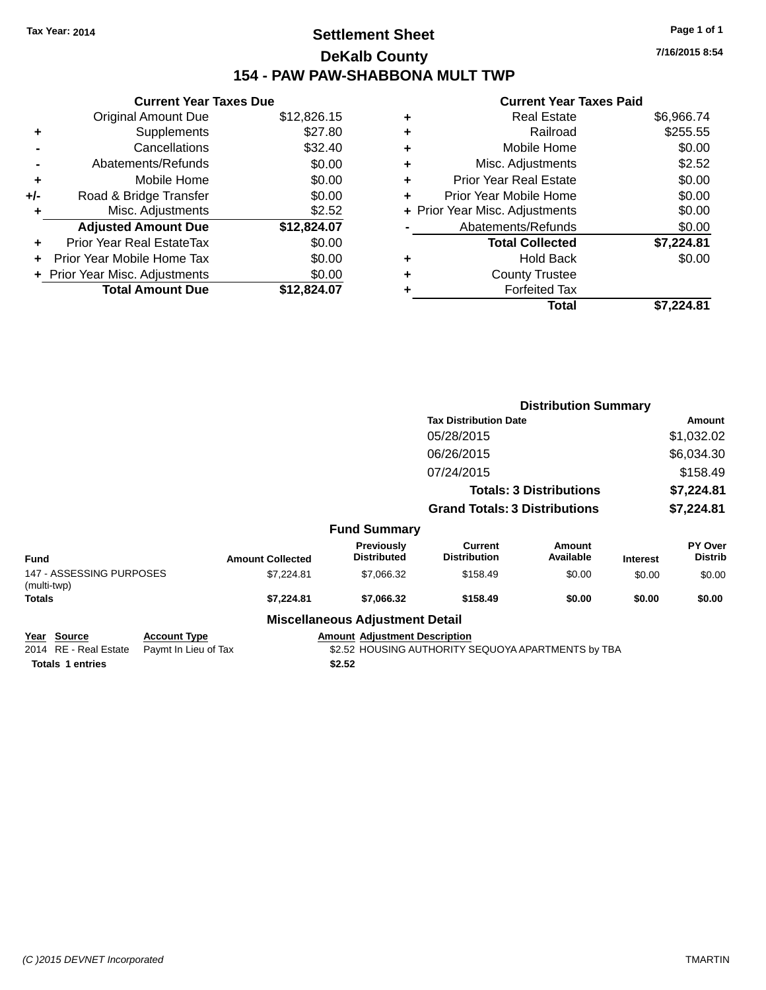# **Settlement Sheet Tax Year: 2014 Page 1 of 1 DeKalb County 154 - PAW PAW-SHABBONA MULT TWP**

**7/16/2015 8:54**

#### **Current Year Taxes Paid**

| <b>Current Year Taxes Due</b> |                              |
|-------------------------------|------------------------------|
| <b>Original Amount Due</b>    | \$12,826.15                  |
| Supplements                   | \$27.80                      |
| Cancellations                 | \$32.40                      |
| Abatements/Refunds            | \$0.00                       |
| Mobile Home                   | \$0.00                       |
| Road & Bridge Transfer        | \$0.00                       |
| Misc. Adjustments             | \$2.52                       |
| <b>Adjusted Amount Due</b>    | \$12,824.07                  |
| Prior Year Real EstateTax     | \$0.00                       |
| Prior Year Mobile Home Tax    | \$0.00                       |
|                               | \$0.00                       |
| <b>Total Amount Due</b>       | \$12.824.07                  |
|                               | Prior Year Misc. Adjustments |

| ٠ | <b>Real Estate</b>             | \$6,966.74 |
|---|--------------------------------|------------|
| ٠ | Railroad                       | \$255.55   |
| ٠ | Mobile Home                    | \$0.00     |
| ٠ | Misc. Adjustments              | \$2.52     |
| ٠ | <b>Prior Year Real Estate</b>  | \$0.00     |
| ÷ | Prior Year Mobile Home         | \$0.00     |
|   | + Prior Year Misc. Adjustments | \$0.00     |
|   | Abatements/Refunds             | \$0.00     |
|   | <b>Total Collected</b>         | \$7,224.81 |
| ٠ | Hold Back                      | \$0.00     |
| ٠ | <b>County Trustee</b>          |            |
| ٠ | <b>Forfeited Tax</b>           |            |
|   | Total                          | \$7,224.81 |
|   |                                |            |

|                                         |      |                         |                                             | <b>Distribution Summary</b>           |                                |                 |                           |
|-----------------------------------------|------|-------------------------|---------------------------------------------|---------------------------------------|--------------------------------|-----------------|---------------------------|
|                                         |      |                         |                                             | <b>Tax Distribution Date</b>          |                                |                 | Amount                    |
|                                         |      |                         |                                             | 05/28/2015                            |                                |                 | \$1,032.02                |
|                                         |      |                         |                                             | 06/26/2015                            |                                |                 | \$6,034.30                |
|                                         |      |                         |                                             | 07/24/2015                            |                                |                 | \$158.49                  |
|                                         |      |                         |                                             |                                       | <b>Totals: 3 Distributions</b> |                 | \$7,224.81                |
|                                         |      |                         |                                             | <b>Grand Totals: 3 Distributions</b>  |                                |                 | \$7,224.81                |
|                                         |      |                         | <b>Fund Summary</b>                         |                                       |                                |                 |                           |
| <b>Fund</b>                             |      | <b>Amount Collected</b> | Previously<br><b>Distributed</b>            | <b>Current</b><br><b>Distribution</b> | <b>Amount</b><br>Available     | <b>Interest</b> | PY Over<br><b>Distrib</b> |
| 147 - ASSESSING PURPOSES<br>(multi-twp) |      | \$7,224.81              | \$7,066.32                                  | \$158.49                              | \$0.00                         | \$0.00          | \$0.00                    |
| Totals                                  |      | \$7,224.81              | \$7,066.32                                  | \$158.49                              | \$0.00                         | \$0.00          | \$0.00                    |
|                                         |      |                         | <b>Miscellaneous Adjustment Detail</b>      |                                       |                                |                 |                           |
| $M = -1$ $\sum_{i=1}^{n}$               | A T. |                         | Associated Additional Contract Construction |                                       |                                |                 |                           |

# **Year Source Account Type Account Type Amount Adjustment Description**<br>2014 RE - Real Estate Paymt In Lieu of Tax \$2.52 HOUSING AUTHORITY S

\$2.52 HOUSING AUTHORITY SEQUOYA APARTMENTS by TBA

Totals 1 entries **\$2.52**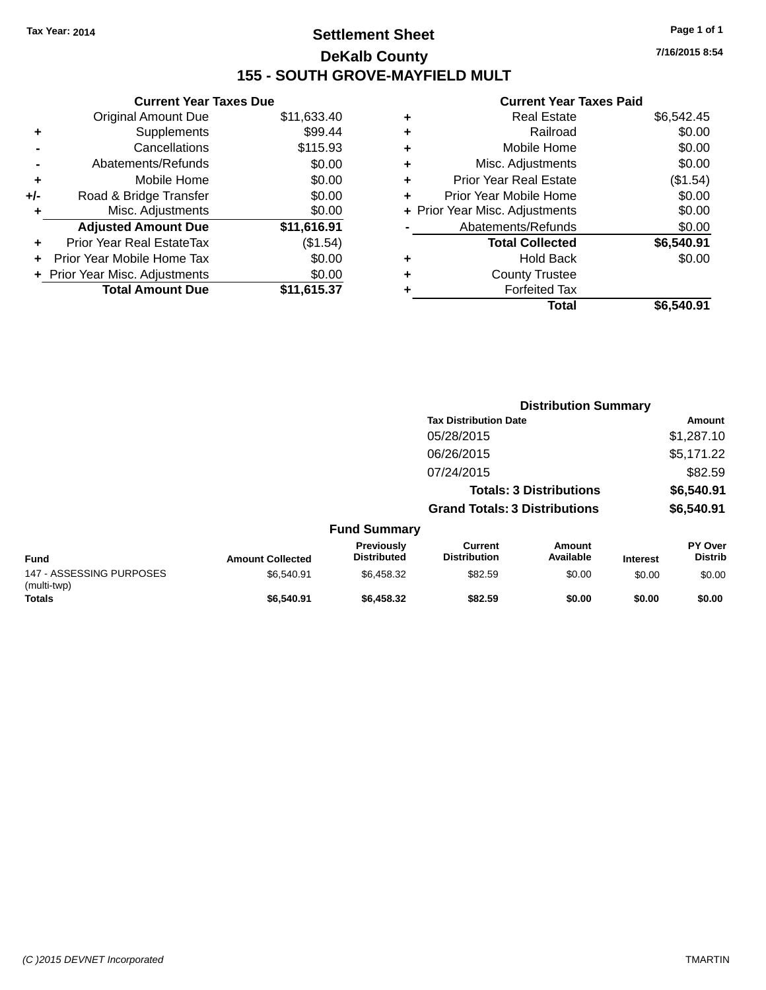# **Settlement Sheet Tax Year: 2014 Page 1 of 1 DeKalb County 155 - SOUTH GROVE-MAYFIELD MULT**

**7/16/2015 8:54**

#### **Current Year Taxes Paid**

|     | <b>Current Year Taxes Due</b>  |             |  |
|-----|--------------------------------|-------------|--|
|     | <b>Original Amount Due</b>     | \$11,633.40 |  |
| ٠   | Supplements                    | \$99.44     |  |
|     | Cancellations                  | \$115.93    |  |
|     | Abatements/Refunds             | \$0.00      |  |
| ٠   | Mobile Home                    | \$0.00      |  |
| +/- | Road & Bridge Transfer         | \$0.00      |  |
| ٠   | Misc. Adjustments              | \$0.00      |  |
|     | <b>Adjusted Amount Due</b>     | \$11,616.91 |  |
| ٠   | Prior Year Real EstateTax      | (\$1.54)    |  |
| ÷   | Prior Year Mobile Home Tax     | \$0.00      |  |
|     | + Prior Year Misc. Adjustments | \$0.00      |  |
|     | <b>Total Amount Due</b>        | \$11,615.37 |  |
|     |                                |             |  |

| ٠ | Prior Year Mobile Home         | \$0.00     |
|---|--------------------------------|------------|
|   | + Prior Year Misc. Adjustments | \$0.00     |
|   | Abatements/Refunds             | \$0.00     |
|   | <b>Total Collected</b>         | \$6,540.91 |
| ٠ | Hold Back                      | \$0.00     |
| ٠ | <b>County Trustee</b>          |            |
| ٠ | <b>Forfeited Tax</b>           |            |
|   | <b>Total</b>                   | \$6,540.91 |
|   |                                |            |

|                                         |                         |                                  | <b>Distribution Summary</b>           |                                |                 |                                  |  |
|-----------------------------------------|-------------------------|----------------------------------|---------------------------------------|--------------------------------|-----------------|----------------------------------|--|
|                                         |                         |                                  | <b>Tax Distribution Date</b>          |                                |                 | Amount                           |  |
|                                         |                         |                                  | 05/28/2015                            |                                |                 | \$1,287.10                       |  |
|                                         |                         |                                  | 06/26/2015                            |                                |                 | \$5,171.22                       |  |
|                                         |                         |                                  | 07/24/2015                            |                                |                 | \$82.59                          |  |
|                                         |                         |                                  |                                       | <b>Totals: 3 Distributions</b> |                 | \$6,540.91                       |  |
|                                         |                         |                                  | <b>Grand Totals: 3 Distributions</b>  |                                |                 | \$6,540.91                       |  |
|                                         |                         | <b>Fund Summary</b>              |                                       |                                |                 |                                  |  |
| <b>Fund</b>                             | <b>Amount Collected</b> | Previously<br><b>Distributed</b> | <b>Current</b><br><b>Distribution</b> | <b>Amount</b><br>Available     | <b>Interest</b> | <b>PY Over</b><br><b>Distrib</b> |  |
| 147 - ASSESSING PURPOSES<br>(multi-twp) | \$6.540.91              | \$6,458.32                       | \$82.59                               | \$0.00                         | \$0.00          | \$0.00                           |  |
| <b>Totals</b>                           | \$6,540.91              | \$6,458.32                       | \$82.59                               | \$0.00                         | \$0.00          | \$0.00                           |  |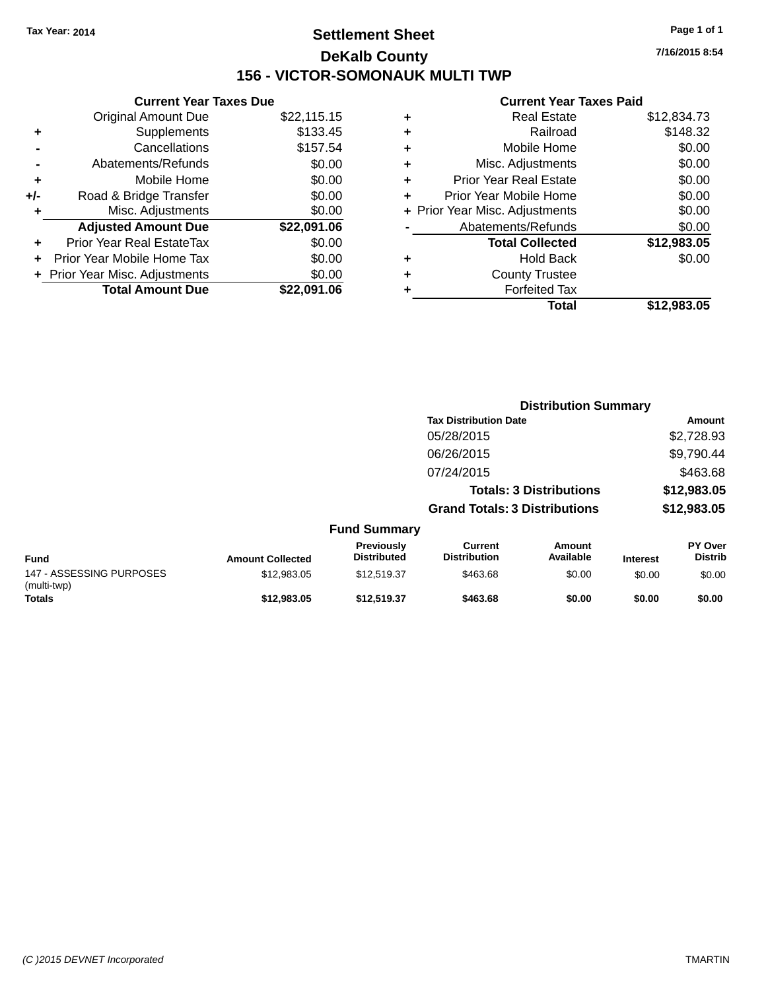# **Settlement Sheet Tax Year: 2014 Page 1 of 1 DeKalb County 156 - VICTOR-SOMONAUK MULTI TWP**

**7/16/2015 8:54**

### **Current Year Taxes Paid**

|       | <b>Current Year Taxes Due</b>  |             |  |  |  |
|-------|--------------------------------|-------------|--|--|--|
|       | <b>Original Amount Due</b>     | \$22,115.15 |  |  |  |
| ٠     | Supplements                    | \$133.45    |  |  |  |
|       | Cancellations                  | \$157.54    |  |  |  |
|       | Abatements/Refunds             | \$0.00      |  |  |  |
| ÷     | Mobile Home                    | \$0.00      |  |  |  |
| $+/-$ | Road & Bridge Transfer         | \$0.00      |  |  |  |
|       | Misc. Adjustments              | \$0.00      |  |  |  |
|       | <b>Adjusted Amount Due</b>     | \$22,091.06 |  |  |  |
| ٠     | Prior Year Real EstateTax      | \$0.00      |  |  |  |
|       | Prior Year Mobile Home Tax     | \$0.00      |  |  |  |
|       | + Prior Year Misc. Adjustments |             |  |  |  |
|       | <b>Total Amount Due</b>        | \$22.091.06 |  |  |  |
|       |                                |             |  |  |  |

| ٠ | <b>Real Estate</b>             | \$12,834.73 |
|---|--------------------------------|-------------|
| ٠ | Railroad                       | \$148.32    |
| ٠ | Mobile Home                    | \$0.00      |
| ٠ | Misc. Adjustments              | \$0.00      |
| ٠ | <b>Prior Year Real Estate</b>  | \$0.00      |
| ٠ | Prior Year Mobile Home         | \$0.00      |
|   | + Prior Year Misc. Adjustments | \$0.00      |
|   | Abatements/Refunds             | \$0.00      |
|   | <b>Total Collected</b>         | \$12,983.05 |
| ٠ | <b>Hold Back</b>               | \$0.00      |
| ٠ | <b>County Trustee</b>          |             |
| ٠ | <b>Forfeited Tax</b>           |             |
|   | Total                          | \$12,983,05 |
|   |                                |             |

|                                         |                         |                                  | <b>Distribution Summary</b>           |                                |                 |                           |
|-----------------------------------------|-------------------------|----------------------------------|---------------------------------------|--------------------------------|-----------------|---------------------------|
|                                         |                         |                                  | <b>Tax Distribution Date</b>          |                                | Amount          |                           |
|                                         |                         |                                  | 05/28/2015                            |                                |                 | \$2,728.93                |
|                                         |                         |                                  | 06/26/2015                            |                                |                 | \$9,790.44                |
|                                         |                         |                                  | 07/24/2015                            |                                |                 | \$463.68                  |
|                                         |                         |                                  |                                       | <b>Totals: 3 Distributions</b> |                 | \$12,983.05               |
|                                         |                         |                                  | <b>Grand Totals: 3 Distributions</b>  |                                |                 | \$12,983.05               |
|                                         |                         | <b>Fund Summary</b>              |                                       |                                |                 |                           |
| <b>Fund</b>                             | <b>Amount Collected</b> | Previously<br><b>Distributed</b> | <b>Current</b><br><b>Distribution</b> | <b>Amount</b><br>Available     | <b>Interest</b> | PY Over<br><b>Distrib</b> |
| 147 - ASSESSING PURPOSES<br>(multi-twp) | \$12,983.05             | \$12,519.37                      | \$463.68                              | \$0.00                         | \$0.00          | \$0.00                    |
| <b>Totals</b>                           | \$12,983.05             | \$12.519.37                      | \$463.68                              | \$0.00                         | \$0.00          | \$0.00                    |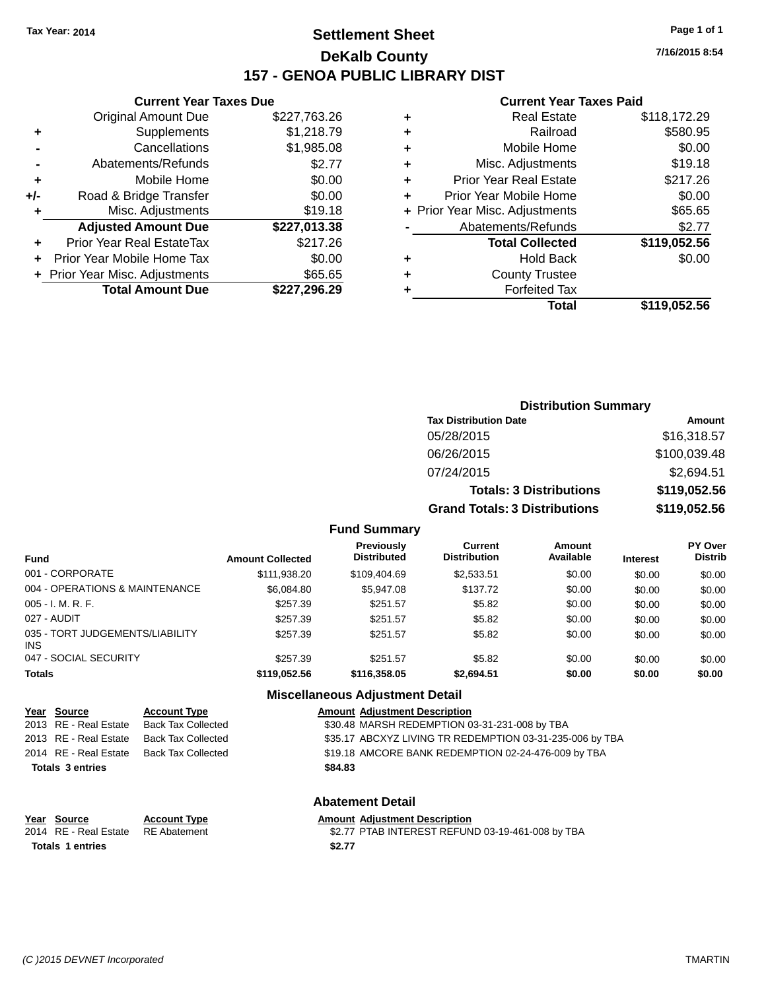# **Settlement Sheet Tax Year: 2014 Page 1 of 1 DeKalb County 157 - GENOA PUBLIC LIBRARY DIST**

**Current Year Taxes Due**

|     | <b>Original Amount Due</b>       | \$227,763.26 |
|-----|----------------------------------|--------------|
| ٠   | Supplements                      | \$1,218.79   |
|     | Cancellations                    | \$1,985.08   |
|     | Abatements/Refunds               | \$2.77       |
| ٠   | Mobile Home                      | \$0.00       |
| +/- | Road & Bridge Transfer           | \$0.00       |
| ٠   | Misc. Adjustments                | \$19.18      |
|     | <b>Adjusted Amount Due</b>       | \$227,013.38 |
| ÷   | <b>Prior Year Real EstateTax</b> | \$217.26     |
|     | Prior Year Mobile Home Tax       | \$0.00       |
|     | + Prior Year Misc. Adjustments   | \$65.65      |
|     | <b>Total Amount Due</b>          | \$227,296.29 |
|     |                                  |              |

#### **Current Year Taxes Paid**

| ٠ | <b>Real Estate</b>             | \$118,172.29 |
|---|--------------------------------|--------------|
| ٠ | Railroad                       | \$580.95     |
| ٠ | Mobile Home                    | \$0.00       |
| ٠ | Misc. Adjustments              | \$19.18      |
| ٠ | <b>Prior Year Real Estate</b>  | \$217.26     |
| ٠ | Prior Year Mobile Home         | \$0.00       |
|   | + Prior Year Misc. Adjustments | \$65.65      |
|   | Abatements/Refunds             | \$2.77       |
|   | <b>Total Collected</b>         | \$119,052.56 |
| ٠ | <b>Hold Back</b>               | \$0.00       |
| ٠ | <b>County Trustee</b>          |              |
| ٠ | <b>Forfeited Tax</b>           |              |
|   | Total                          | \$119,052.56 |
|   |                                |              |

| <b>Distribution Summary</b>          |              |  |  |  |
|--------------------------------------|--------------|--|--|--|
| <b>Tax Distribution Date</b>         | Amount       |  |  |  |
| 05/28/2015                           | \$16,318.57  |  |  |  |
| 06/26/2015                           | \$100,039.48 |  |  |  |
| 07/24/2015                           | \$2,694.51   |  |  |  |
| <b>Totals: 3 Distributions</b>       | \$119,052.56 |  |  |  |
| <b>Grand Totals: 3 Distributions</b> | \$119,052.56 |  |  |  |

#### **Fund Summary**

| <b>Fund</b>                                   | <b>Amount Collected</b> | <b>Previously</b><br><b>Distributed</b> | Current<br><b>Distribution</b> | <b>Amount</b><br>Available | <b>Interest</b> | <b>PY Over</b><br><b>Distrib</b> |
|-----------------------------------------------|-------------------------|-----------------------------------------|--------------------------------|----------------------------|-----------------|----------------------------------|
| 001 - CORPORATE                               | \$111,938.20            | \$109,404.69                            | \$2,533.51                     | \$0.00                     | \$0.00          | \$0.00                           |
| 004 - OPERATIONS & MAINTENANCE                | \$6,084.80              | \$5,947.08                              | \$137.72                       | \$0.00                     | \$0.00          | \$0.00                           |
| $005 - I. M. R. F.$                           | \$257.39                | \$251.57                                | \$5.82                         | \$0.00                     | \$0.00          | \$0.00                           |
| 027 - AUDIT                                   | \$257.39                | \$251.57                                | \$5.82                         | \$0.00                     | \$0.00          | \$0.00                           |
| 035 - TORT JUDGEMENTS/LIABILITY<br><b>INS</b> | \$257.39                | \$251.57                                | \$5.82                         | \$0.00                     | \$0.00          | \$0.00                           |
| 047 - SOCIAL SECURITY                         | \$257.39                | \$251.57                                | \$5.82                         | \$0.00                     | \$0.00          | \$0.00                           |
| <b>Totals</b>                                 | \$119,052.56            | \$116,358.05                            | \$2,694.51                     | \$0.00                     | \$0.00          | \$0.00                           |

#### **Miscellaneous Adjustment Detail**

|                         | Year Source           | <b>Account Type</b>       | <b>Amount Adjustment Description</b>                     |
|-------------------------|-----------------------|---------------------------|----------------------------------------------------------|
|                         | 2013 RE - Real Estate | <b>Back Tax Collected</b> | \$30.48 MARSH REDEMPTION 03-31-231-008 by TBA            |
|                         | 2013 RE - Real Estate | <b>Back Tax Collected</b> | \$35.17 ABCXYZ LIVING TR REDEMPTION 03-31-235-006 by TBA |
|                         | 2014 RE - Real Estate | <b>Back Tax Collected</b> | \$19.18 AMCORE BANK REDEMPTION 02-24-476-009 by TBA      |
| <b>Totals 3 entries</b> |                       |                           | \$84.83                                                  |
|                         |                       |                           |                                                          |

#### **Abatement Detail**

# **Year Source Account Type Amount Adjustment Description**<br>2014 RE - Real Estate RE Abatement \$2.77 PTAB INTEREST REFUN

\$2.77 PTAB INTEREST REFUND 03-19-461-008 by TBA **Totals 1 entries** \$2.77

**7/16/2015 8:54**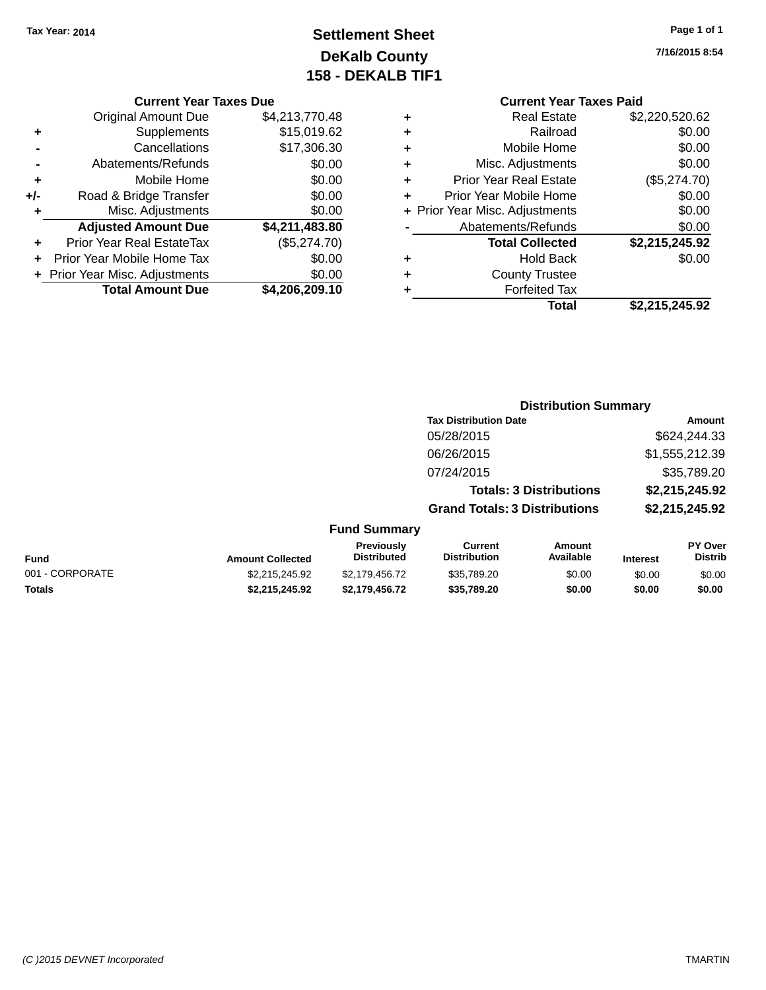# **Settlement Sheet Tax Year: 2014 Page 1 of 1 DeKalb County 158 - DEKALB TIF1**

**7/16/2015 8:54**

| ٠   | <b>Prior Year Real EstateTax</b> | (\$5,274.70)   |
|-----|----------------------------------|----------------|
|     | <b>Adjusted Amount Due</b>       | \$4,211,483.80 |
| ٠   | Misc. Adjustments                |                |
|     |                                  | \$0.00         |
| +/- | Road & Bridge Transfer           | \$0.00         |
| ٠   | Mobile Home                      | \$0.00         |
|     | Abatements/Refunds               | \$0.00         |
|     | Cancellations                    | \$17,306.30    |
| ٠   | Supplements                      | \$15,019.62    |
|     | <b>Original Amount Due</b>       | \$4,213,770.48 |
|     |                                  |                |

**Current Year Taxes Due**

|   | <b>Current Year Taxes Paid</b> |                |  |  |  |  |
|---|--------------------------------|----------------|--|--|--|--|
| ٠ | <b>Real Estate</b>             | \$2,220,520.62 |  |  |  |  |
| ٠ | Railroad                       | \$0.00         |  |  |  |  |
| ٠ | Mobile Home                    | \$0.00         |  |  |  |  |
| ٠ | Misc. Adjustments              | \$0.00         |  |  |  |  |
| ٠ | <b>Prior Year Real Estate</b>  | (\$5,274.70)   |  |  |  |  |
| ٠ | Prior Year Mobile Home         | \$0.00         |  |  |  |  |
|   | + Prior Year Misc. Adjustments | \$0.00         |  |  |  |  |
|   | Abatements/Refunds             | \$0.00         |  |  |  |  |
|   | <b>Total Collected</b>         | \$2,215,245.92 |  |  |  |  |
| ٠ | <b>Hold Back</b>               | \$0.00         |  |  |  |  |
| ٠ | <b>County Trustee</b>          |                |  |  |  |  |
| ٠ | <b>Forfeited Tax</b>           |                |  |  |  |  |
|   | Total                          | \$2,215,245.92 |  |  |  |  |

#### **Distribution Summary Tax Distribution Date Amount** 05/28/2015 \$624,244.33 06/26/2015 \$1,555,212.39 07/24/2015 \$35,789.20 **Totals: 3 Distributions \$2,215,245.92 Grand Totals: 3 Distributions \$2,215,245.92 Fund Summary PY Over Distrib Amount Available Current Distribution Previously**

| Fund            | <b>Amount Collected</b> | Previouslv<br><b>Distributed</b> | Current<br><b>Distribution</b> | Amount<br>Available | <b>Interest</b> | <b>PY Over</b><br><b>Distrib</b> |
|-----------------|-------------------------|----------------------------------|--------------------------------|---------------------|-----------------|----------------------------------|
| 001 - CORPORATE | \$2.215.245.92          | \$2.179.456.72                   | \$35,789.20                    | \$0.00              | \$0.00          | \$0.00                           |
| <b>Totals</b>   | \$2.215.245.92          | \$2.179.456.72                   | \$35.789.20                    | \$0.00              | \$0.00          | \$0.00                           |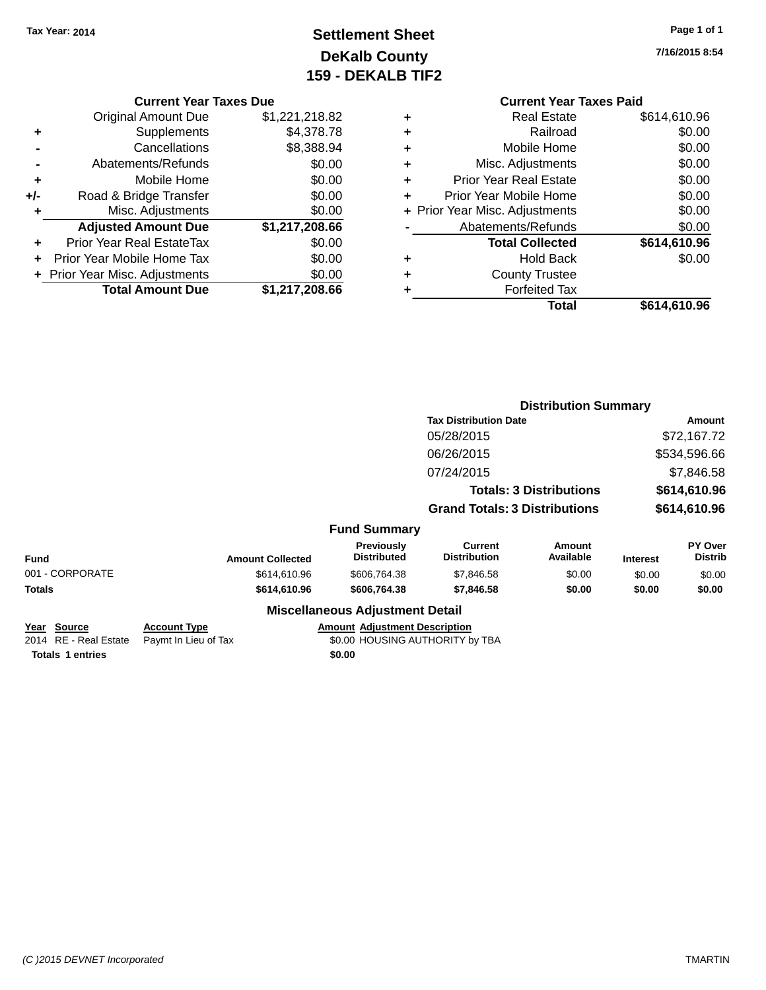# **Settlement Sheet Tax Year: 2014 Page 1 of 1 DeKalb County 159 - DEKALB TIF2**

**7/16/2015 8:54**

#### **Current Year Taxes Due**

|       | <b>Original Amount Due</b>     | \$1,221,218.82 |
|-------|--------------------------------|----------------|
| ٠     | Supplements                    | \$4,378.78     |
|       | Cancellations                  | \$8,388.94     |
|       | Abatements/Refunds             | \$0.00         |
| ٠     | Mobile Home                    | \$0.00         |
| $+/-$ | Road & Bridge Transfer         | \$0.00         |
| ٠     | Misc. Adjustments              | \$0.00         |
|       | <b>Adjusted Amount Due</b>     | \$1,217,208.66 |
|       | Prior Year Real EstateTax      | \$0.00         |
|       | Prior Year Mobile Home Tax     | \$0.00         |
|       | + Prior Year Misc. Adjustments | \$0.00         |
|       | <b>Total Amount Due</b>        | \$1,217,208.66 |

|   | <b>Current Year Taxes Paid</b> |              |
|---|--------------------------------|--------------|
| ٠ | <b>Real Estate</b>             | \$614,610.96 |
| ٠ | Railroad                       | \$0.00       |
| ٠ | Mobile Home                    | \$0.00       |
| ٠ | Misc. Adjustments              | \$0.00       |
| ٠ | <b>Prior Year Real Estate</b>  | \$0.00       |
| ٠ | Prior Year Mobile Home         | \$0.00       |
|   | + Prior Year Misc. Adjustments | \$0.00       |
|   | Abatements/Refunds             | \$0.00       |
|   | <b>Total Collected</b>         | \$614,610.96 |
| ٠ | <b>Hold Back</b>               | \$0.00       |
|   | <b>County Trustee</b>          |              |
|   | <b>Forfeited Tax</b>           |              |
|   | Total                          | \$614,610.96 |
|   |                                |              |

|                                         |                                             |                                                                         | <b>Distribution Summary</b>                                            |                     |                              |                           |
|-----------------------------------------|---------------------------------------------|-------------------------------------------------------------------------|------------------------------------------------------------------------|---------------------|------------------------------|---------------------------|
|                                         |                                             |                                                                         | <b>Tax Distribution Date</b>                                           |                     | <b>Amount</b>                |                           |
|                                         |                                             |                                                                         | 05/28/2015                                                             |                     |                              | \$72,167.72               |
|                                         |                                             |                                                                         | 06/26/2015                                                             |                     |                              | \$534,596.66              |
|                                         |                                             |                                                                         | 07/24/2015                                                             |                     |                              | \$7,846.58                |
|                                         |                                             |                                                                         | <b>Totals: 3 Distributions</b><br><b>Grand Totals: 3 Distributions</b> |                     | \$614,610.96<br>\$614,610.96 |                           |
|                                         |                                             |                                                                         |                                                                        |                     |                              |                           |
|                                         |                                             | <b>Fund Summary</b>                                                     |                                                                        |                     |                              |                           |
| <b>Fund</b>                             | <b>Amount Collected</b>                     | <b>Previously</b><br><b>Distributed</b>                                 | Current<br><b>Distribution</b>                                         | Amount<br>Available | <b>Interest</b>              | PY Over<br><b>Distrib</b> |
| 001 - CORPORATE                         | \$614,610.96                                | \$606,764.38                                                            | \$7,846.58                                                             | \$0.00              | \$0.00                       | \$0.00                    |
| <b>Totals</b>                           | \$614,610.96                                | \$606,764.38                                                            | \$7,846.58                                                             | \$0.00              | \$0.00                       | \$0.00                    |
|                                         |                                             | <b>Miscellaneous Adjustment Detail</b>                                  |                                                                        |                     |                              |                           |
| Source<br>Year<br>2014 RE - Real Estate | <b>Account Type</b><br>Paymt In Lieu of Tax | <b>Amount Adjustment Description</b><br>\$0.00 HOUSING AUTHORITY by TBA |                                                                        |                     |                              |                           |

**Totals 1 entries** \$0.00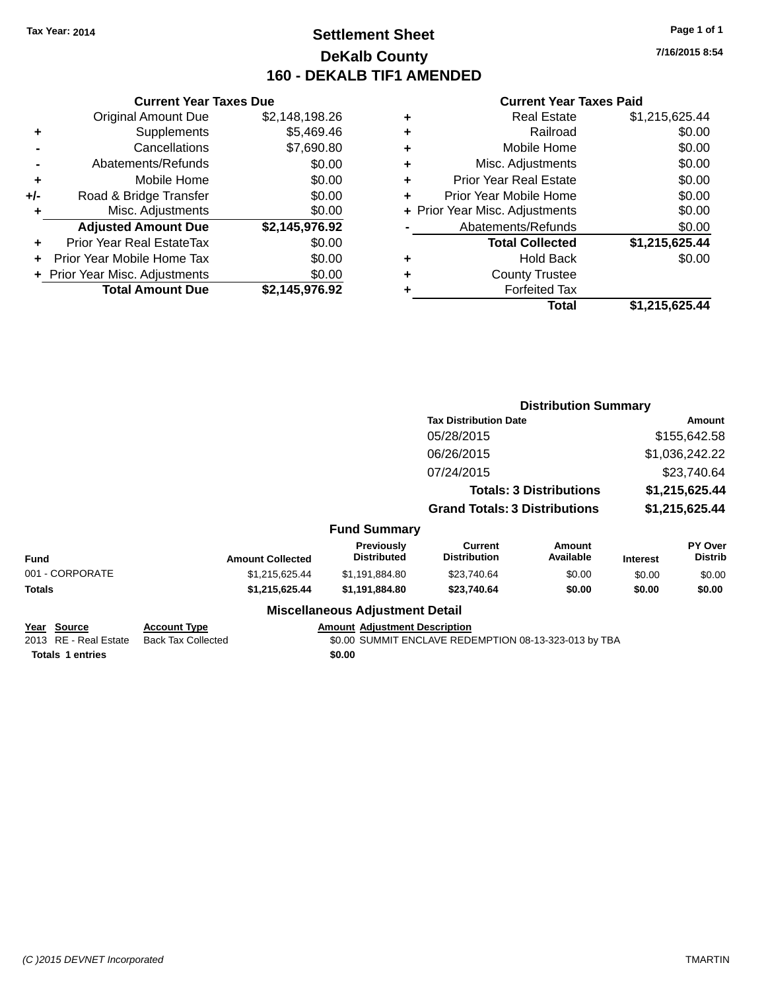# **Settlement Sheet Tax Year: 2014 Page 1 of 1 DeKalb County 160 - DEKALB TIF1 AMENDED**

**7/16/2015 8:54**

#### **Current Year Taxes Paid**

|     | <b>Current Year Taxes Due</b>  |                |
|-----|--------------------------------|----------------|
|     | <b>Original Amount Due</b>     | \$2,148,198.26 |
| ٠   | Supplements                    | \$5,469.46     |
|     | Cancellations                  | \$7,690.80     |
|     | Abatements/Refunds             | \$0.00         |
| ٠   | Mobile Home                    | \$0.00         |
| +/- | Road & Bridge Transfer         | \$0.00         |
|     | Misc. Adjustments              | \$0.00         |
|     | <b>Adjusted Amount Due</b>     | \$2,145,976.92 |
| ÷   | Prior Year Real EstateTax      | \$0.00         |
| ÷   | Prior Year Mobile Home Tax     | \$0.00         |
|     | + Prior Year Misc. Adjustments | \$0.00         |
|     | <b>Total Amount Due</b>        | \$2.145.976.92 |

| ٠ | <b>Real Estate</b>             | \$1,215,625.44 |
|---|--------------------------------|----------------|
| ٠ | Railroad                       | \$0.00         |
| ٠ | Mobile Home                    | \$0.00         |
| ٠ | Misc. Adjustments              | \$0.00         |
| ٠ | <b>Prior Year Real Estate</b>  | \$0.00         |
| ٠ | Prior Year Mobile Home         | \$0.00         |
|   | + Prior Year Misc. Adjustments | \$0.00         |
|   | Abatements/Refunds             | \$0.00         |
|   | <b>Total Collected</b>         | \$1,215,625.44 |
| ٠ | <b>Hold Back</b>               | \$0.00         |
| ٠ | <b>County Trustee</b>          |                |
| ٠ | <b>Forfeited Tax</b>           |                |
|   | Total                          | \$1,215,625.44 |
|   |                                |                |

|                                      |                                                  |                                         | <b>Distribution Summary</b>                           |                            |                 |                           |
|--------------------------------------|--------------------------------------------------|-----------------------------------------|-------------------------------------------------------|----------------------------|-----------------|---------------------------|
|                                      |                                                  |                                         | <b>Tax Distribution Date</b>                          |                            | Amount          |                           |
|                                      | 05/28/2015                                       |                                         |                                                       | \$155,642.58               |                 |                           |
|                                      |                                                  |                                         | 06/26/2015                                            |                            |                 | \$1,036,242.22            |
|                                      |                                                  |                                         | 07/24/2015                                            |                            |                 | \$23,740.64               |
|                                      |                                                  |                                         | <b>Totals: 3 Distributions</b>                        |                            | \$1,215,625.44  |                           |
|                                      |                                                  |                                         | <b>Grand Totals: 3 Distributions</b>                  |                            | \$1,215,625.44  |                           |
|                                      |                                                  | <b>Fund Summary</b>                     |                                                       |                            |                 |                           |
| Fund                                 | <b>Amount Collected</b>                          | <b>Previously</b><br><b>Distributed</b> | <b>Current</b><br><b>Distribution</b>                 | <b>Amount</b><br>Available | <b>Interest</b> | PY Over<br><b>Distrib</b> |
| 001 - CORPORATE                      | \$1,215,625.44                                   | \$1,191,884.80                          | \$23,740.64                                           | \$0.00                     | \$0.00          | \$0.00                    |
| <b>Totals</b>                        | \$1,215,625.44                                   | \$1,191,884.80                          | \$23,740.64                                           | \$0.00                     | \$0.00          | \$0.00                    |
|                                      |                                                  | <b>Miscellaneous Adjustment Detail</b>  |                                                       |                            |                 |                           |
| Year Source<br>2013 RE - Real Estate | <b>Account Type</b><br><b>Back Tax Collected</b> | <b>Amount Adjustment Description</b>    | \$0.00 SUMMIT ENCLAVE REDEMPTION 08-13-323-013 by TBA |                            |                 |                           |
|                                      |                                                  |                                         |                                                       |                            |                 |                           |

**Totals 1 entries** \$0.00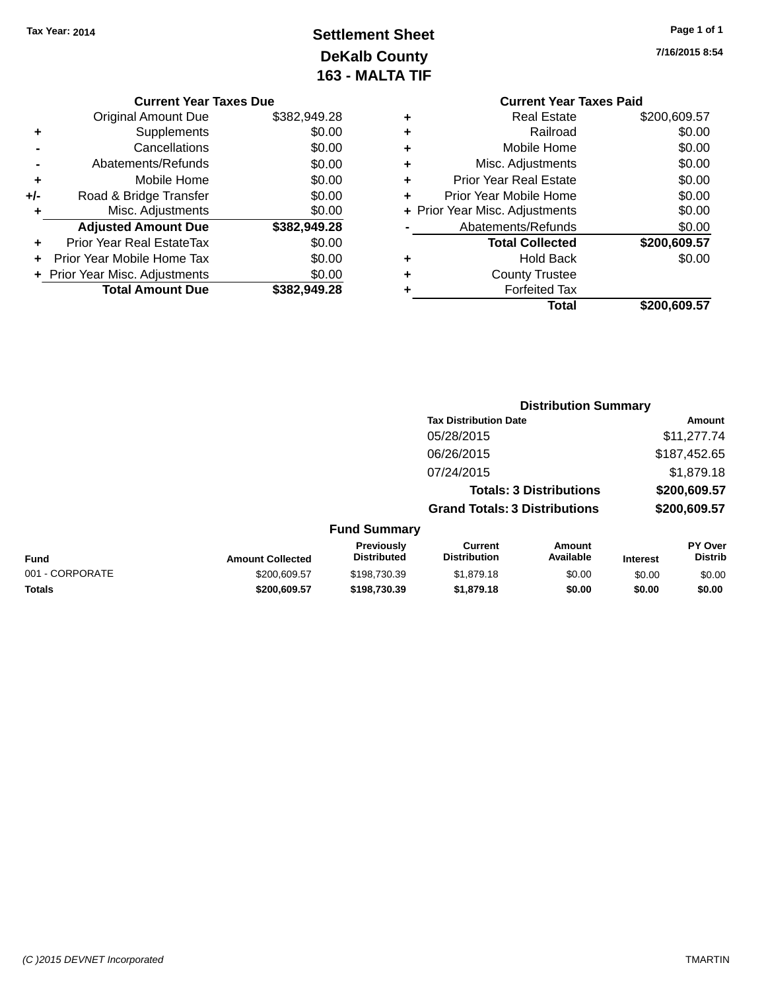# **Settlement Sheet Tax Year: 2014 Page 1 of 1 DeKalb County 163 - MALTA TIF**

|     | <b>Current Year Taxes Due</b>  |              |
|-----|--------------------------------|--------------|
|     | Original Amount Due            | \$382,949.28 |
| ٠   | Supplements                    | \$0.00       |
|     | Cancellations                  | \$0.00       |
|     | Abatements/Refunds             | \$0.00       |
| ٠   | Mobile Home                    | \$0.00       |
| +/- | Road & Bridge Transfer         | \$0.00       |
| ٠   | Misc. Adjustments              | \$0.00       |
|     | <b>Adjusted Amount Due</b>     | \$382,949.28 |
| ٠   | Prior Year Real EstateTax      | \$0.00       |
|     | Prior Year Mobile Home Tax     | \$0.00       |
|     | + Prior Year Misc. Adjustments | \$0.00       |
|     | <b>Total Amount Due</b>        | \$382.949.28 |

**7/16/2015 8:54**

|   | <b>Current Year Taxes Paid</b> |              |
|---|--------------------------------|--------------|
| ٠ | <b>Real Estate</b>             | \$200,609.57 |
| ٠ | Railroad                       | \$0.00       |
|   | Mobile Home                    | \$0.00       |
| ٠ | Misc. Adjustments              | \$0.00       |
| ٠ | <b>Prior Year Real Estate</b>  | \$0.00       |
| ٠ | Prior Year Mobile Home         | \$0.00       |
|   | + Prior Year Misc. Adjustments | \$0.00       |
|   | Abatements/Refunds             | \$0.00       |
|   | <b>Total Collected</b>         | \$200,609.57 |
| ٠ | Hold Back                      | \$0.00       |
|   | <b>County Trustee</b>          |              |
|   | <b>Forfeited Tax</b>           |              |
|   | Total                          | \$200,609.57 |
|   |                                |              |

|                 |                         |                                         |                                       | <b>Distribution Summary</b>    |                 |                           |
|-----------------|-------------------------|-----------------------------------------|---------------------------------------|--------------------------------|-----------------|---------------------------|
|                 |                         |                                         | <b>Tax Distribution Date</b>          |                                |                 | Amount                    |
|                 |                         |                                         | 05/28/2015                            |                                |                 | \$11,277.74               |
|                 |                         |                                         | 06/26/2015                            |                                |                 | \$187,452.65              |
|                 |                         |                                         | 07/24/2015                            |                                |                 | \$1,879.18                |
|                 |                         |                                         |                                       | <b>Totals: 3 Distributions</b> |                 | \$200,609.57              |
|                 |                         |                                         | <b>Grand Totals: 3 Distributions</b>  |                                |                 | \$200,609.57              |
|                 |                         | <b>Fund Summary</b>                     |                                       |                                |                 |                           |
| <b>Fund</b>     | <b>Amount Collected</b> | <b>Previously</b><br><b>Distributed</b> | <b>Current</b><br><b>Distribution</b> | Amount<br>Available            | <b>Interest</b> | PY Over<br><b>Distrib</b> |
| 001 - CORPORATE | \$200,609.57            | \$198,730.39                            | \$1,879.18                            | \$0.00                         | \$0.00          | \$0.00                    |
| <b>Totals</b>   | \$200,609.57            | \$198,730.39                            | \$1,879.18                            | \$0.00                         | \$0.00          | \$0.00                    |
|                 |                         |                                         |                                       |                                |                 |                           |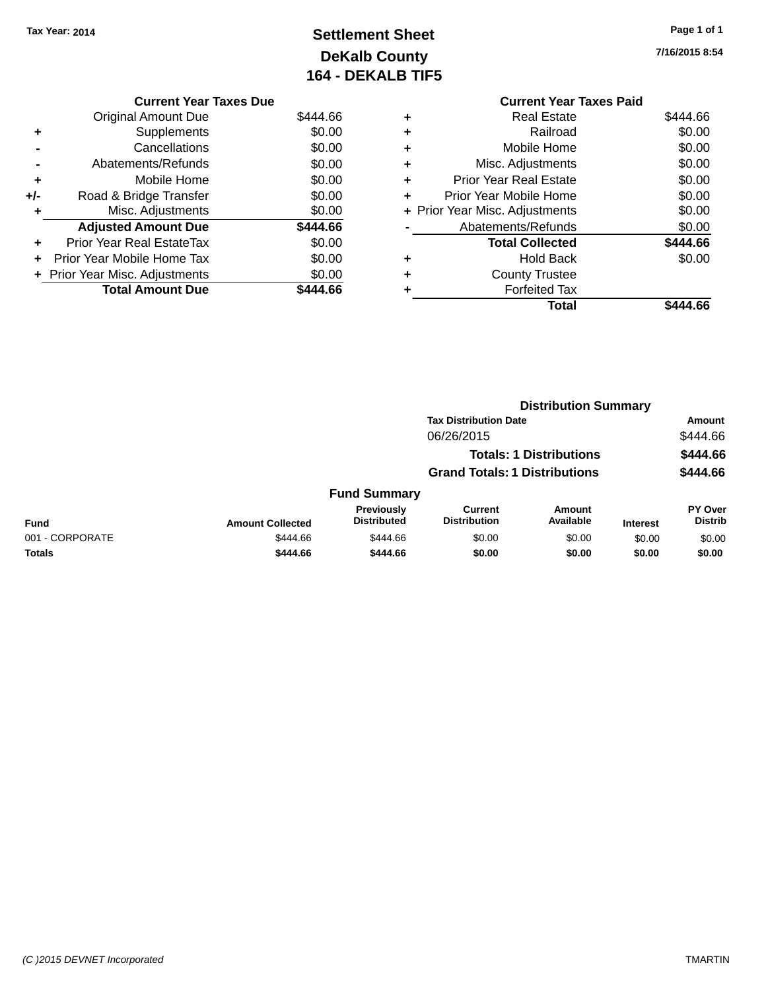# **Settlement Sheet Tax Year: 2014 Page 1 of 1 DeKalb County 164 - DEKALB TIF5**

**7/16/2015 8:54**

|     | <b>Current Year Taxes Due</b>    |          |
|-----|----------------------------------|----------|
|     | <b>Original Amount Due</b>       | \$444.66 |
| ٠   | Supplements                      | \$0.00   |
|     | Cancellations                    | \$0.00   |
|     | Abatements/Refunds               | \$0.00   |
| ٠   | Mobile Home                      | \$0.00   |
| +/- | Road & Bridge Transfer           | \$0.00   |
| ٠   | Misc. Adjustments                | \$0.00   |
|     | <b>Adjusted Amount Due</b>       | \$444.66 |
| ÷   | <b>Prior Year Real EstateTax</b> | \$0.00   |
|     | Prior Year Mobile Home Tax       | \$0.00   |
|     | + Prior Year Misc. Adjustments   | \$0.00   |
|     | <b>Total Amount Due</b>          | \$444.66 |
|     |                                  |          |

|   | <b>Current Year Taxes Paid</b> |          |
|---|--------------------------------|----------|
| ٠ | Real Estate                    | \$444.66 |
| ٠ | Railroad                       | \$0.00   |
| ٠ | Mobile Home                    | \$0.00   |
| ٠ | Misc. Adjustments              | \$0.00   |
| ٠ | <b>Prior Year Real Estate</b>  | \$0.00   |
| ٠ | Prior Year Mobile Home         | \$0.00   |
|   | + Prior Year Misc. Adjustments | \$0.00   |
|   | Abatements/Refunds             | \$0.00   |
|   | <b>Total Collected</b>         | \$444.66 |
| ٠ | <b>Hold Back</b>               | \$0.00   |
|   | <b>County Trustee</b>          |          |
|   | <b>Forfeited Tax</b>           |          |
|   | Total                          | \$444.66 |
|   |                                |          |

|                 |                         | <b>Distribution Summary</b>      |                                       |                                |                 |                           |
|-----------------|-------------------------|----------------------------------|---------------------------------------|--------------------------------|-----------------|---------------------------|
|                 |                         |                                  | <b>Tax Distribution Date</b>          |                                |                 | Amount                    |
|                 |                         |                                  | 06/26/2015                            |                                |                 | \$444.66                  |
|                 |                         |                                  |                                       | <b>Totals: 1 Distributions</b> |                 | \$444.66                  |
|                 |                         |                                  | <b>Grand Totals: 1 Distributions</b>  |                                |                 | \$444.66                  |
|                 |                         | <b>Fund Summary</b>              |                                       |                                |                 |                           |
| <b>Fund</b>     | <b>Amount Collected</b> | Previously<br><b>Distributed</b> | <b>Current</b><br><b>Distribution</b> | Amount<br>Available            | <b>Interest</b> | PY Over<br><b>Distrib</b> |
| 001 - CORPORATE | \$444.66                | \$444.66                         | \$0.00                                | \$0.00                         | \$0.00          | \$0.00                    |
| <b>Totals</b>   | \$444.66                | \$444.66                         | \$0.00                                | \$0.00                         | \$0.00          | \$0.00                    |
|                 |                         |                                  |                                       |                                |                 |                           |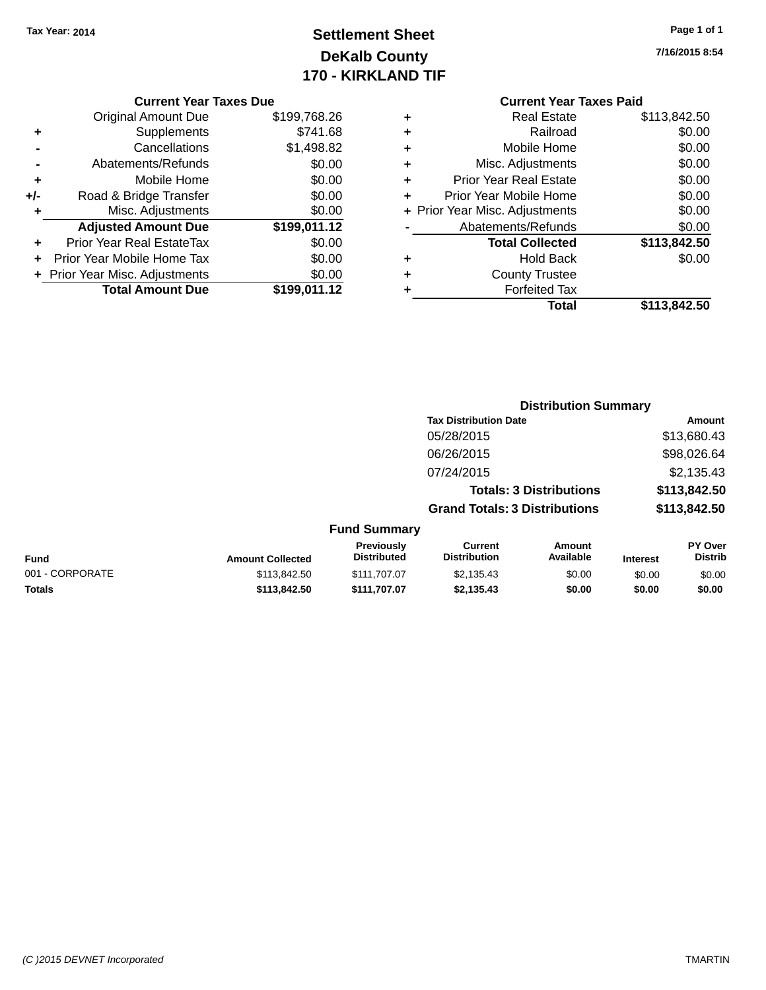# **Settlement Sheet Tax Year: 2014 Page 1 of 1 DeKalb County 170 - KIRKLAND TIF**

**7/16/2015 8:54**

|     | <b>Original Amount Due</b>     | \$199,768.26 |
|-----|--------------------------------|--------------|
| ٠   | Supplements                    | \$741.68     |
|     | Cancellations                  | \$1,498.82   |
|     | Abatements/Refunds             | \$0.00       |
| ٠   | Mobile Home                    | \$0.00       |
| +/- | Road & Bridge Transfer         | \$0.00       |
| ٠   | Misc. Adjustments              | \$0.00       |
|     | <b>Adjusted Amount Due</b>     | \$199,011.12 |
| ÷   | Prior Year Real EstateTax      | \$0.00       |
|     | Prior Year Mobile Home Tax     | \$0.00       |
|     | + Prior Year Misc. Adjustments | \$0.00       |
|     | <b>Total Amount Due</b>        | \$199,011.12 |

### **Current Year Taxes Paid +** Real Estate \$113,842.50 **+** Railroad \$0.00<br> **+** Mobile Home \$0.00 **+** Mobile Home

|   | Total                          | \$113,842.50 |
|---|--------------------------------|--------------|
|   | <b>Forfeited Tax</b>           |              |
| ÷ | <b>County Trustee</b>          |              |
|   | <b>Hold Back</b>               | \$0.00       |
|   | <b>Total Collected</b>         | \$113,842.50 |
|   | Abatements/Refunds             | \$0.00       |
|   | + Prior Year Misc. Adjustments | \$0.00       |
| ÷ | Prior Year Mobile Home         | \$0.00       |
| ÷ | <b>Prior Year Real Estate</b>  | \$0.00       |
|   | Misc. Adjustments              | \$0.00       |

|                     |                                      | <b>Distribution Summary</b>    |                |
|---------------------|--------------------------------------|--------------------------------|----------------|
|                     | <b>Tax Distribution Date</b>         |                                | Amount         |
|                     | 05/28/2015                           |                                | \$13,680.43    |
|                     | 06/26/2015                           |                                | \$98,026.64    |
|                     | 07/24/2015                           |                                | \$2,135.43     |
|                     |                                      | <b>Totals: 3 Distributions</b> | \$113,842.50   |
|                     | <b>Grand Totals: 3 Distributions</b> |                                | \$113,842.50   |
| <b>Fund Summary</b> |                                      |                                |                |
| Previously          | Current                              | Amount                         | <b>PY Over</b> |

|                 |                         | <b>Previously</b><br><b>Distributed</b> | Current<br><b>Distribution</b> | Amount<br>Available |                 | PY Over<br><b>Distrib</b> |
|-----------------|-------------------------|-----------------------------------------|--------------------------------|---------------------|-----------------|---------------------------|
| Fund            | <b>Amount Collected</b> |                                         |                                |                     | <b>Interest</b> |                           |
| 001 - CORPORATE | \$113,842,50            | \$111,707.07                            | \$2.135.43                     | \$0.00              | \$0.00          | \$0.00                    |
| <b>Totals</b>   | \$113,842.50            | \$111.707.07                            | \$2.135.43                     | \$0.00              | \$0.00          | \$0.00                    |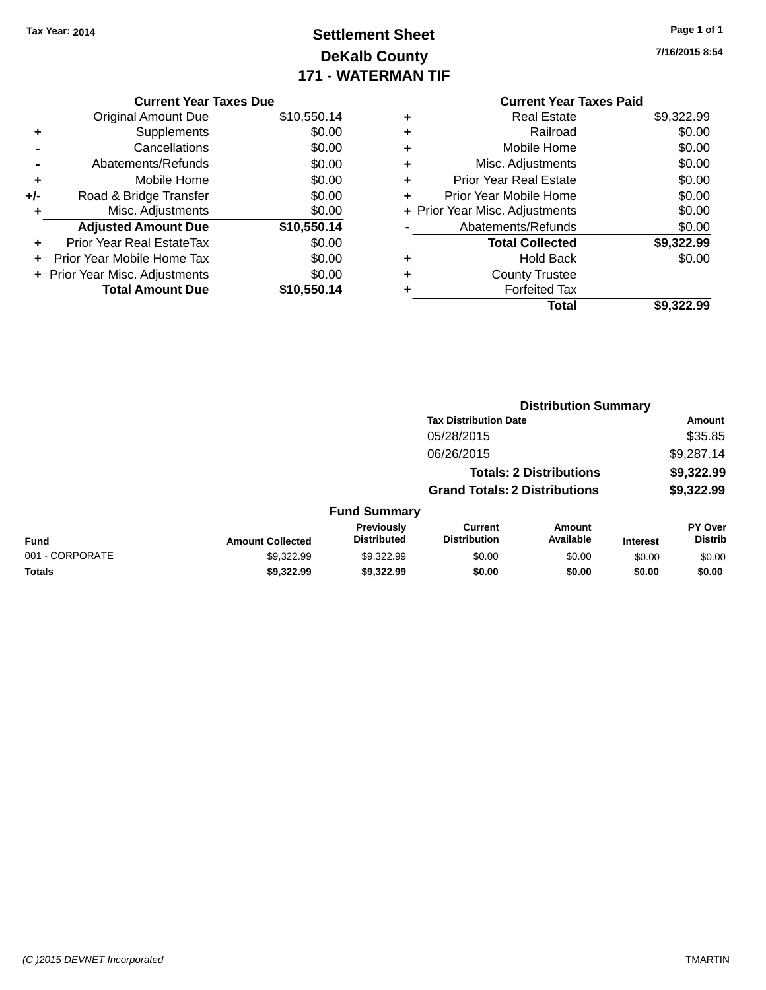# **Settlement Sheet Tax Year: 2014 Page 1 of 1 DeKalb County 171 - WATERMAN TIF**

**7/16/2015 8:54**

|   | <b>Current Year Taxes Paid</b> |            |
|---|--------------------------------|------------|
| ٠ | <b>Real Estate</b>             | \$9,322.99 |
| ٠ | Railroad                       | \$0.00     |
| ٠ | Mobile Home                    | \$0.00     |
| ٠ | Misc. Adjustments              | \$0.00     |
| ٠ | <b>Prior Year Real Estate</b>  | \$0.00     |
|   | Prior Year Mobile Home         | \$0.00     |
|   | + Prior Year Misc. Adjustments | \$0.00     |
|   | Abatements/Refunds             | \$0.00     |
|   | <b>Total Collected</b>         | \$9,322.99 |
|   | <b>Hold Back</b>               | \$0.00     |
|   | <b>County Trustee</b>          |            |
|   | <b>Forfeited Tax</b>           |            |
|   | Total                          | \$9.322.99 |
|   |                                |            |

|     | <b>Current Year Taxes Due</b>    |             |  |  |  |  |  |
|-----|----------------------------------|-------------|--|--|--|--|--|
|     | <b>Original Amount Due</b>       | \$10,550.14 |  |  |  |  |  |
| ٠   | Supplements                      | \$0.00      |  |  |  |  |  |
|     | Cancellations                    | \$0.00      |  |  |  |  |  |
|     | Abatements/Refunds               | \$0.00      |  |  |  |  |  |
| ٠   | Mobile Home                      | \$0.00      |  |  |  |  |  |
| +/- | Road & Bridge Transfer           | \$0.00      |  |  |  |  |  |
| ٠   | Misc. Adjustments                | \$0.00      |  |  |  |  |  |
|     | <b>Adjusted Amount Due</b>       | \$10,550.14 |  |  |  |  |  |
|     | <b>Prior Year Real EstateTax</b> | \$0.00      |  |  |  |  |  |
|     | Prior Year Mobile Home Tax       | \$0.00      |  |  |  |  |  |
|     | + Prior Year Misc. Adjustments   | \$0.00      |  |  |  |  |  |
|     | <b>Total Amount Due</b>          | \$10.550.14 |  |  |  |  |  |

|                 |                         | <b>Distribution Summary</b>      |                                       |                                |                 |                           |
|-----------------|-------------------------|----------------------------------|---------------------------------------|--------------------------------|-----------------|---------------------------|
|                 |                         |                                  | <b>Tax Distribution Date</b>          |                                |                 | Amount                    |
|                 |                         |                                  | 05/28/2015                            |                                |                 | \$35.85                   |
|                 |                         |                                  | 06/26/2015                            |                                |                 | \$9,287.14                |
|                 |                         |                                  |                                       | <b>Totals: 2 Distributions</b> |                 | \$9,322.99                |
|                 |                         |                                  | <b>Grand Totals: 2 Distributions</b>  |                                |                 | \$9,322.99                |
|                 |                         | <b>Fund Summary</b>              |                                       |                                |                 |                           |
| <b>Fund</b>     | <b>Amount Collected</b> | Previously<br><b>Distributed</b> | <b>Current</b><br><b>Distribution</b> | Amount<br>Available            | <b>Interest</b> | PY Over<br><b>Distrib</b> |
| 001 - CORPORATE | \$9.322.99              | \$9.322.99                       | \$0.00                                | \$0.00                         | \$0.00          | \$0.00                    |
| <b>Totals</b>   | \$9,322.99              | \$9,322,99                       | \$0.00                                | \$0.00                         | \$0.00          | \$0.00                    |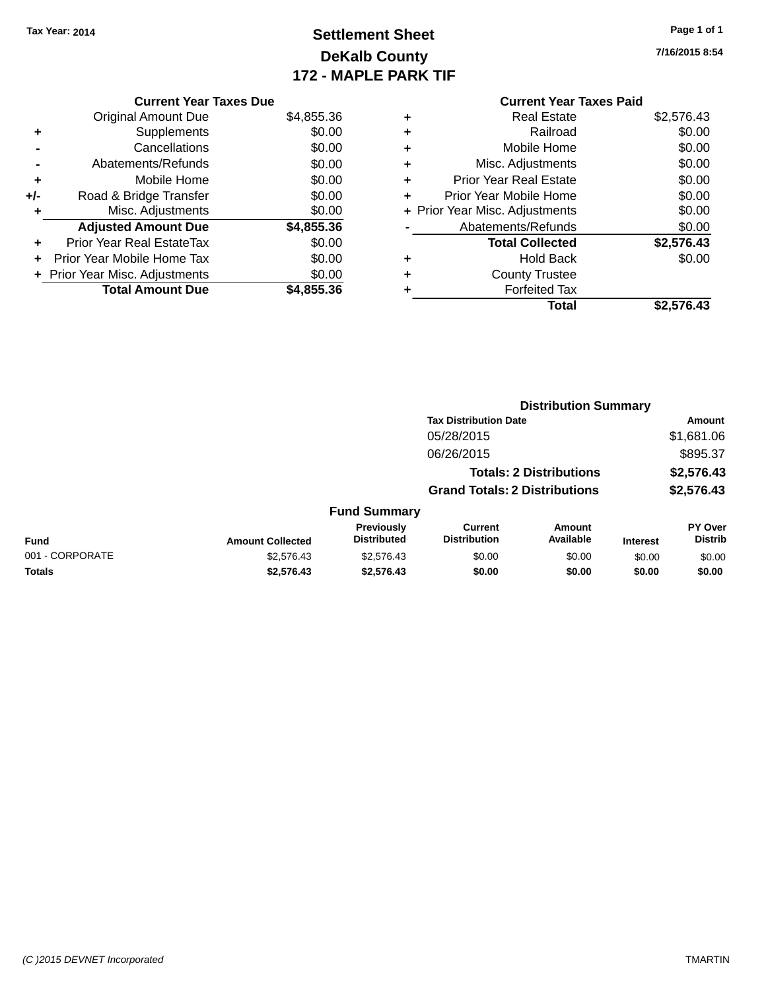# **Settlement Sheet Tax Year: 2014 Page 1 of 1 DeKalb County 172 - MAPLE PARK TIF**

**7/16/2015 8:54**

| <b>Current Year Taxes Paid</b> |            |
|--------------------------------|------------|
| <b>Real Estate</b>             | \$2,576.43 |
| Railroad                       | \$0.00     |
| Mobile Home                    | \$0.00     |
| Misc. Adjustments              | \$0.00     |
| <b>Prior Year Real Estate</b>  | \$0.00     |
| Prior Year Mobile Home         | \$0.00     |
| + Prior Year Misc. Adjustments | \$0.00     |
| Abatements/Refunds             | \$0.00     |
| <b>Total Collected</b>         | \$2,576.43 |
| <b>Hold Back</b>               | \$0.00     |
| <b>County Trustee</b>          |            |
| <b>Forfeited Tax</b>           |            |
| Total                          | \$2.576.43 |
|                                |            |

**Distribution Summary**

|     | <b>Current Year Taxes Due</b>  |            |
|-----|--------------------------------|------------|
|     | <b>Original Amount Due</b>     | \$4,855.36 |
| ٠   | Supplements                    | \$0.00     |
|     | Cancellations                  | \$0.00     |
|     | Abatements/Refunds             | \$0.00     |
| ٠   | Mobile Home                    | \$0.00     |
| +/- | Road & Bridge Transfer         | \$0.00     |
|     | Misc. Adjustments              | \$0.00     |
|     | <b>Adjusted Amount Due</b>     | \$4,855.36 |
|     | Prior Year Real EstateTax      | \$0.00     |
| ٠   | Prior Year Mobile Home Tax     | \$0.00     |
|     | + Prior Year Misc. Adjustments | \$0.00     |
|     | <b>Total Amount Due</b>        | \$4,855.36 |
|     |                                |            |

|                 |                         |                                         | <b>Tax Distribution Date</b>          |                                |                 | <b>Amount</b>             |
|-----------------|-------------------------|-----------------------------------------|---------------------------------------|--------------------------------|-----------------|---------------------------|
|                 |                         |                                         | 05/28/2015                            |                                |                 | \$1,681.06                |
|                 |                         |                                         | 06/26/2015                            |                                |                 | \$895.37                  |
|                 |                         |                                         |                                       | <b>Totals: 2 Distributions</b> |                 | \$2,576.43                |
|                 |                         |                                         | <b>Grand Totals: 2 Distributions</b>  |                                |                 | \$2,576.43                |
|                 |                         | <b>Fund Summary</b>                     |                                       |                                |                 |                           |
| <b>Fund</b>     | <b>Amount Collected</b> | <b>Previously</b><br><b>Distributed</b> | <b>Current</b><br><b>Distribution</b> | Amount<br>Available            | <b>Interest</b> | PY Over<br><b>Distrib</b> |
| 001 - CORPORATE | \$2,576.43              | \$2,576.43                              | \$0.00                                | \$0.00                         | \$0.00          | \$0.00                    |
| <b>Totals</b>   | \$2,576.43              | \$2,576.43                              | \$0.00                                | \$0.00                         | \$0.00          | \$0.00                    |
|                 |                         |                                         |                                       |                                |                 |                           |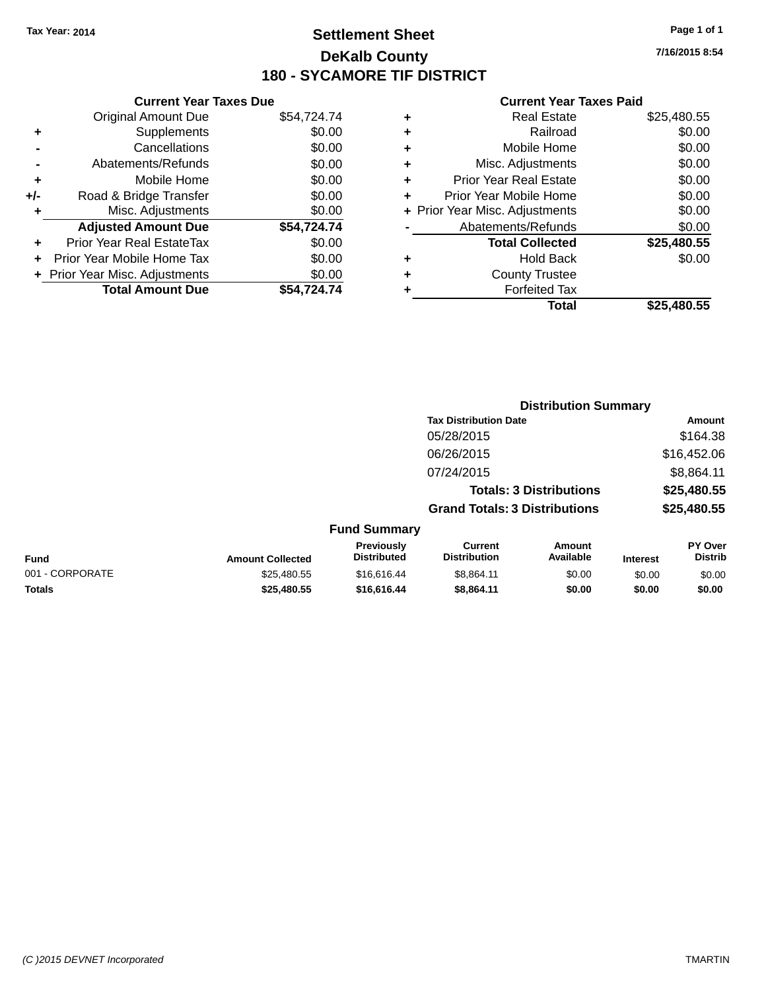### **Settlement Sheet Tax Year: 2014 Page 1 of 1 DeKalb County 180 - SYCAMORE TIF DISTRICT**

**Totals \$25,480.55 \$16,616.44 \$8,864.11 \$0.00 \$0.00 \$0.00**

**Current Year Taxes Due** Original Amount Due \$54,724.74 **+** Supplements \$0.00 **-** Cancellations \$0.00 **-** Abatements/Refunds \$0.00 **+** Mobile Home \$0.00 **+/-** Road & Bridge Transfer \$0.00 **+** Misc. Adjustments \$0.00 **Adjusted Amount Due \$54,724.74 +** Prior Year Real EstateTax \$0.00 **+** Prior Year Mobile Home Tax \$0.00 **+ Prior Year Misc. Adjustments**  $$0.00$ **Total Amount Due \$54,724.74**

|   | <b>Real Estate</b>             | \$25,480.55 |
|---|--------------------------------|-------------|
| ٠ | Railroad                       | \$0.00      |
| ٠ | Mobile Home                    | \$0.00      |
| ٠ | Misc. Adjustments              | \$0.00      |
| ٠ | <b>Prior Year Real Estate</b>  | \$0.00      |
| ٠ | Prior Year Mobile Home         | \$0.00      |
|   | + Prior Year Misc. Adjustments | \$0.00      |
|   | Abatements/Refunds             | \$0.00      |
|   | <b>Total Collected</b>         | \$25,480.55 |
| ٠ | <b>Hold Back</b>               | \$0.00      |
| ٠ | <b>County Trustee</b>          |             |
|   | <b>Forfeited Tax</b>           |             |
|   | Total                          | \$25.480.55 |
|   |                                |             |

|                 |                         | <b>Distribution Summary</b>             |                                       |                     |                 |                           |
|-----------------|-------------------------|-----------------------------------------|---------------------------------------|---------------------|-----------------|---------------------------|
|                 |                         |                                         | <b>Tax Distribution Date</b>          |                     |                 | <b>Amount</b>             |
|                 |                         |                                         | 05/28/2015                            |                     |                 | \$164.38                  |
|                 |                         |                                         | 06/26/2015                            |                     |                 | \$16,452.06               |
|                 |                         |                                         | 07/24/2015                            |                     |                 | \$8,864.11                |
|                 |                         |                                         | <b>Totals: 3 Distributions</b>        |                     | \$25,480.55     |                           |
|                 |                         |                                         | <b>Grand Totals: 3 Distributions</b>  |                     |                 | \$25,480.55               |
|                 |                         | <b>Fund Summary</b>                     |                                       |                     |                 |                           |
| <b>Fund</b>     | <b>Amount Collected</b> | <b>Previously</b><br><b>Distributed</b> | <b>Current</b><br><b>Distribution</b> | Amount<br>Available | <b>Interest</b> | PY Over<br><b>Distrib</b> |
| 001 - CORPORATE | \$25.480.55             | \$16.616.44                             | \$8.864.11                            | \$0.00              | \$0.00          | \$0.00                    |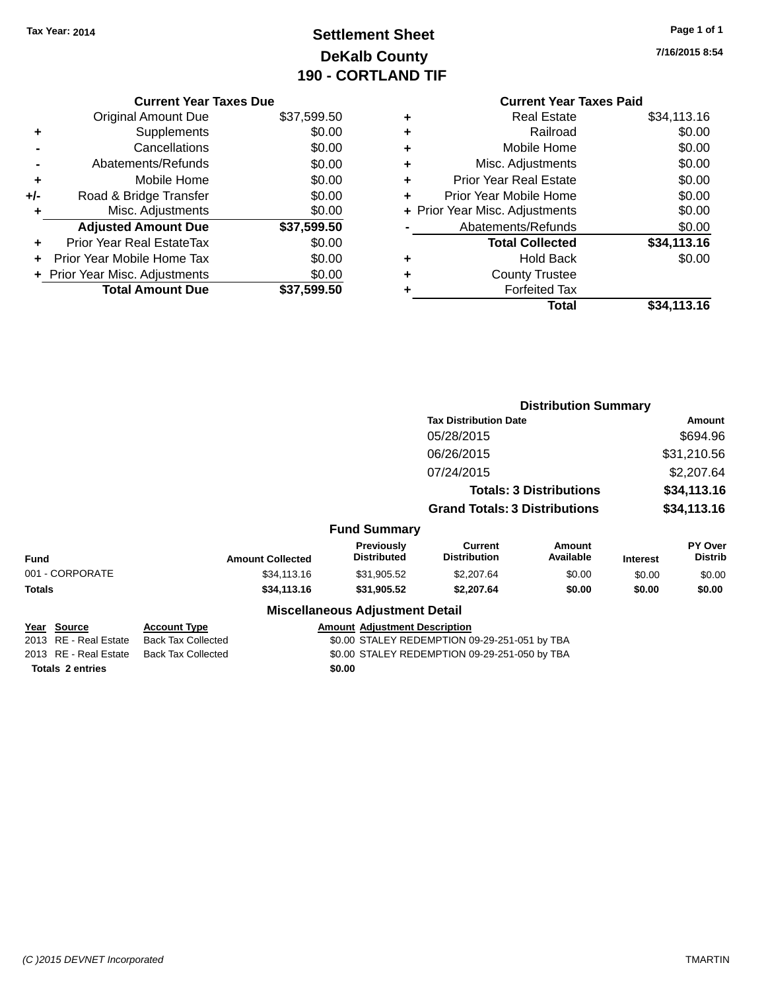# **Settlement Sheet Tax Year: 2014 Page 1 of 1 DeKalb County 190 - CORTLAND TIF**

| Page 1 of 1 |  |  |  |
|-------------|--|--|--|
|-------------|--|--|--|

**7/16/2015 8:54**

|               | <b>Current Year Taxes Due</b>                                                                                                                                                                                                                         |
|---------------|-------------------------------------------------------------------------------------------------------------------------------------------------------------------------------------------------------------------------------------------------------|
|               | \$37,599.50                                                                                                                                                                                                                                           |
| Supplements   | \$0.00                                                                                                                                                                                                                                                |
| Cancellations | \$0.00                                                                                                                                                                                                                                                |
|               | \$0.00                                                                                                                                                                                                                                                |
| Mobile Home   | \$0.00                                                                                                                                                                                                                                                |
|               | \$0.00                                                                                                                                                                                                                                                |
|               | \$0.00                                                                                                                                                                                                                                                |
|               | \$37,599.50                                                                                                                                                                                                                                           |
|               | \$0.00                                                                                                                                                                                                                                                |
|               | \$0.00                                                                                                                                                                                                                                                |
|               | \$0.00                                                                                                                                                                                                                                                |
|               | \$37,599.50                                                                                                                                                                                                                                           |
|               | <b>Original Amount Due</b><br>Abatements/Refunds<br>Road & Bridge Transfer<br>Misc. Adjustments<br><b>Adjusted Amount Due</b><br>Prior Year Real EstateTax<br>Prior Year Mobile Home Tax<br>+ Prior Year Misc. Adjustments<br><b>Total Amount Due</b> |

|   | <b>Current Year Taxes Paid</b> |             |
|---|--------------------------------|-------------|
| ٠ | <b>Real Estate</b>             | \$34,113.16 |
| ÷ | Railroad                       | \$0.00      |
| ٠ | Mobile Home                    | \$0.00      |
| ٠ | Misc. Adjustments              | \$0.00      |
| ٠ | Prior Year Real Estate         | \$0.00      |
| ÷ | Prior Year Mobile Home         | \$0.00      |
|   | + Prior Year Misc. Adjustments | \$0.00      |
|   | Abatements/Refunds             | \$0.00      |
|   | <b>Total Collected</b>         | \$34,113.16 |
| ٠ | Hold Back                      | \$0.00      |
|   | <b>County Trustee</b>          |             |
|   | <b>Forfeited Tax</b>           |             |
|   | Total                          | \$34,113.16 |
|   |                                |             |

**Distribution Summary**

**Tax Distribution Date Amount** 05/28/2015 \$694.96 06/26/2015 \$31,210.56 07/24/2015 \$2,207.64 **Totals: 3 Distributions \$34,113.16 Grand Totals: 3 Distributions \$34,113.16 Fund Summary Fund Interest Amount Collected Distributed PY Over Distrib Amount Available Current Distribution Previously** 001 - CORPORATE \$34,113.16 \$31,905.52 \$2,207.64 \$0.00 \$0.00 \$0.00 **Totals \$34,113.16 \$31,905.52 \$2,207.64 \$0.00 \$0.00 \$0.00 Miscellaneous Adjustment Detail Year Source Account Type Account Account Adjustment Description** 2013 RE - Real Estate Back Tax Collected \$0.00 STALEY REDEMPTION 09-29-251-051 by TBA

2013 RE - Real Estate Back Tax Collected \$0.00 STALEY REDEMPTION 09-29-251-050 by TBA **Totals 2 entries** \$0.00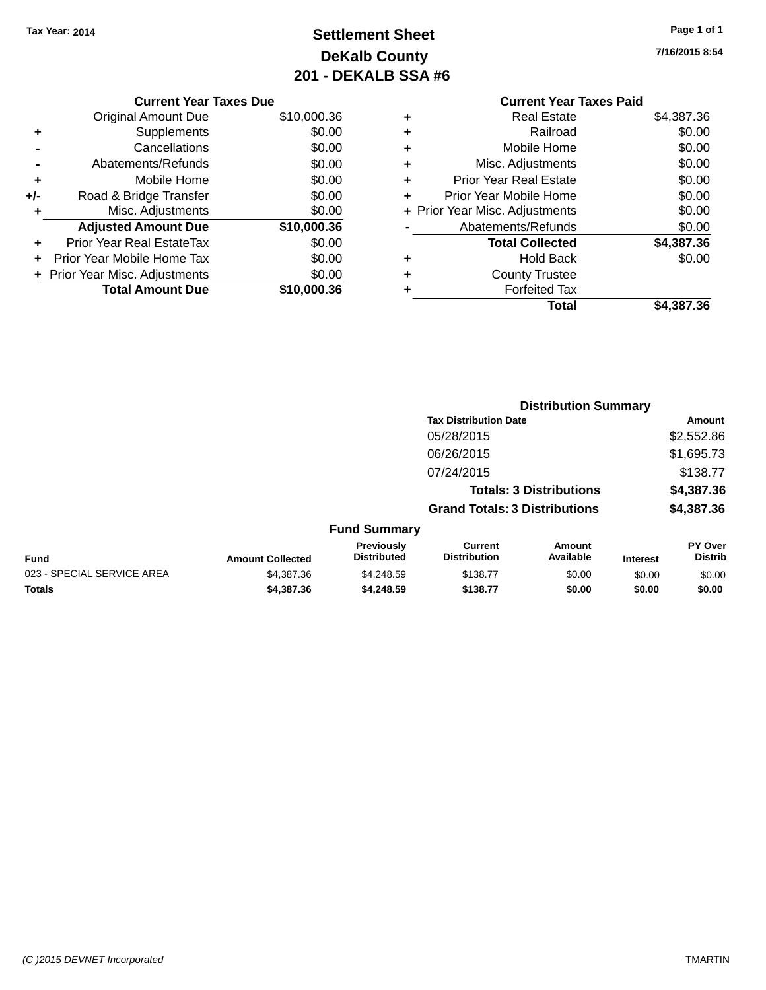# **Settlement Sheet Tax Year: 2014 Page 1 of 1 DeKalb County 201 - DEKALB SSA #6**

|     | <b>Current Year Taxes Due</b>  |             |  |  |  |  |  |
|-----|--------------------------------|-------------|--|--|--|--|--|
|     | <b>Original Amount Due</b>     | \$10,000.36 |  |  |  |  |  |
| ÷   | Supplements                    | \$0.00      |  |  |  |  |  |
|     | Cancellations                  | \$0.00      |  |  |  |  |  |
|     | Abatements/Refunds             | \$0.00      |  |  |  |  |  |
| ٠   | Mobile Home                    | \$0.00      |  |  |  |  |  |
| +/- | Road & Bridge Transfer         | \$0.00      |  |  |  |  |  |
| ٠   | Misc. Adjustments              | \$0.00      |  |  |  |  |  |
|     | <b>Adjusted Amount Due</b>     | \$10,000.36 |  |  |  |  |  |
| ÷   | Prior Year Real EstateTax      | \$0.00      |  |  |  |  |  |
|     | Prior Year Mobile Home Tax     | \$0.00      |  |  |  |  |  |
|     | + Prior Year Misc. Adjustments | \$0.00      |  |  |  |  |  |
|     | <b>Total Amount Due</b>        | \$10,000,36 |  |  |  |  |  |
|     |                                |             |  |  |  |  |  |

**7/16/2015 8:54**

### **Current Year Taxes Paid +** Real Estate \$4,387.36 **+** Railroad \$0.00 **+** Mobile Home \$0.00 **+** Misc. Adjustments \$0.00 **+** Prior Year Real Estate \$0.00 **+** Prior Year Mobile Home \$0.00 **+ Prior Year Misc. Adjustments**  $$0.00$ **-** Abatements/Refunds \$0.00 **Total Collected \$4,387.36 +** Hold Back \$0.00 **+** County Trustee **+** Forfeited Tax **Total \$4,387.36**

|                            |                         |                                  |                                       | <b>Distribution Summary</b>    |                 |                           |
|----------------------------|-------------------------|----------------------------------|---------------------------------------|--------------------------------|-----------------|---------------------------|
|                            |                         |                                  | <b>Tax Distribution Date</b>          |                                |                 | Amount                    |
|                            |                         |                                  | 05/28/2015                            |                                |                 | \$2,552.86                |
|                            |                         |                                  | 06/26/2015                            |                                |                 | \$1,695.73                |
|                            |                         |                                  | 07/24/2015                            |                                |                 | \$138.77                  |
|                            |                         |                                  |                                       | <b>Totals: 3 Distributions</b> |                 | \$4,387.36                |
|                            |                         |                                  | <b>Grand Totals: 3 Distributions</b>  |                                |                 | \$4,387.36                |
|                            |                         | <b>Fund Summary</b>              |                                       |                                |                 |                           |
| <b>Fund</b>                | <b>Amount Collected</b> | Previously<br><b>Distributed</b> | <b>Current</b><br><b>Distribution</b> | Amount<br>Available            | <b>Interest</b> | PY Over<br><b>Distrib</b> |
| 023 - SPECIAL SERVICE AREA | \$4,387.36              | \$4,248.59                       | \$138.77                              | \$0.00                         | \$0.00          | \$0.00                    |
| <b>Totals</b>              | \$4,387,36              | \$4,248.59                       | \$138.77                              | \$0.00                         | \$0.00          | \$0.00                    |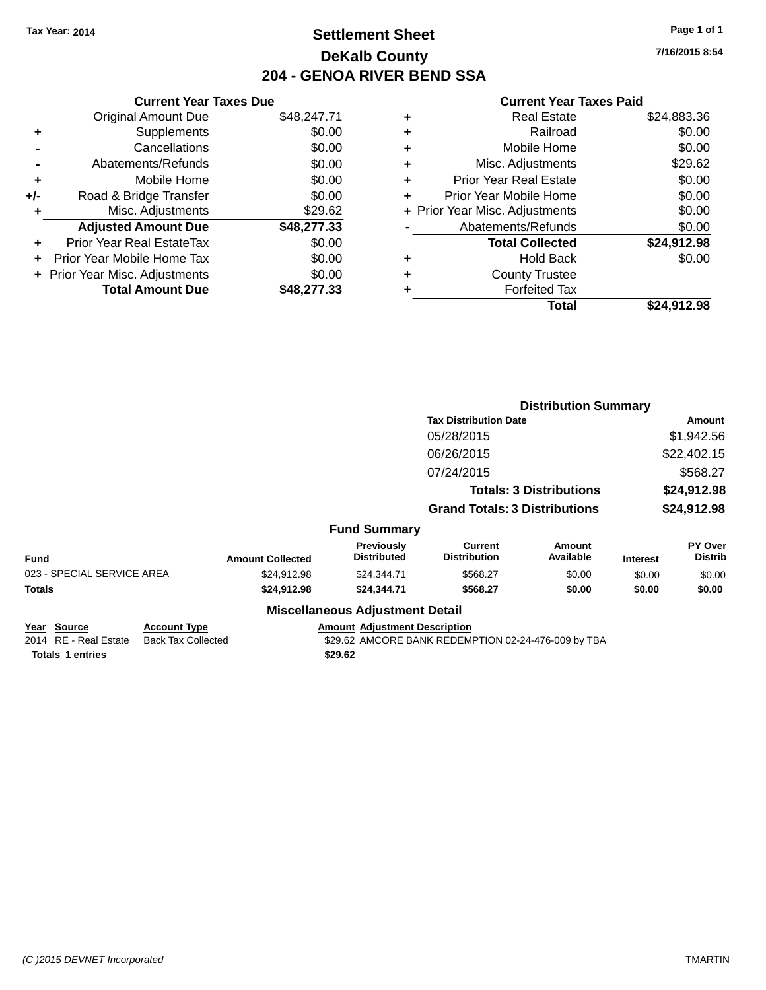### **Settlement Sheet Tax Year: 2014 Page 1 of 1 DeKalb County 204 - GENOA RIVER BEND SSA**

**7/16/2015 8:54**

| <b>Current Year Taxes Due</b> |                                |  |  |  |  |
|-------------------------------|--------------------------------|--|--|--|--|
| <b>Original Amount Due</b>    | \$48,247.71                    |  |  |  |  |
| Supplements                   | \$0.00                         |  |  |  |  |
| Cancellations                 | \$0.00                         |  |  |  |  |
| Abatements/Refunds            | \$0.00                         |  |  |  |  |
| Mobile Home                   | \$0.00                         |  |  |  |  |
| Road & Bridge Transfer        | \$0.00                         |  |  |  |  |
| Misc. Adjustments             | \$29.62                        |  |  |  |  |
| <b>Adjusted Amount Due</b>    | \$48,277.33                    |  |  |  |  |
| Prior Year Real EstateTax     | \$0.00                         |  |  |  |  |
| Prior Year Mobile Home Tax    | \$0.00                         |  |  |  |  |
|                               | \$0.00                         |  |  |  |  |
| <b>Total Amount Due</b>       | \$48,277,33                    |  |  |  |  |
|                               | + Prior Year Misc. Adjustments |  |  |  |  |

|   | <b>Real Estate</b>             | \$24,883.36 |
|---|--------------------------------|-------------|
| ٠ | Railroad                       | \$0.00      |
| ٠ | Mobile Home                    | \$0.00      |
| ٠ | Misc. Adjustments              | \$29.62     |
| ٠ | <b>Prior Year Real Estate</b>  | \$0.00      |
| ٠ | Prior Year Mobile Home         | \$0.00      |
|   | + Prior Year Misc. Adjustments | \$0.00      |
|   | Abatements/Refunds             | \$0.00      |
|   | <b>Total Collected</b>         | \$24,912.98 |
| ٠ | <b>Hold Back</b>               | \$0.00      |
| ٠ | <b>County Trustee</b>          |             |
| ٠ | <b>Forfeited Tax</b>           |             |
|   | Total                          | \$24,912.98 |
|   |                                |             |

|                                      |                                                  |                         |                                        | <b>Distribution Summary</b>                         |                                |                 |                           |  |
|--------------------------------------|--------------------------------------------------|-------------------------|----------------------------------------|-----------------------------------------------------|--------------------------------|-----------------|---------------------------|--|
|                                      |                                                  |                         |                                        | <b>Tax Distribution Date</b>                        |                                | Amount          |                           |  |
|                                      |                                                  |                         |                                        | 05/28/2015                                          |                                |                 | \$1,942.56                |  |
|                                      |                                                  |                         |                                        | 06/26/2015                                          |                                |                 | \$22,402.15               |  |
|                                      |                                                  |                         |                                        | 07/24/2015                                          |                                |                 | \$568.27                  |  |
|                                      |                                                  |                         |                                        |                                                     | <b>Totals: 3 Distributions</b> |                 | \$24,912.98               |  |
|                                      |                                                  |                         |                                        | <b>Grand Totals: 3 Distributions</b>                |                                |                 | \$24,912.98               |  |
|                                      |                                                  |                         | <b>Fund Summary</b>                    |                                                     |                                |                 |                           |  |
| <b>Fund</b>                          |                                                  | <b>Amount Collected</b> | Previously<br><b>Distributed</b>       | <b>Current</b><br><b>Distribution</b>               | <b>Amount</b><br>Available     | <b>Interest</b> | PY Over<br><b>Distrib</b> |  |
| 023 - SPECIAL SERVICE AREA           |                                                  | \$24,912.98             | \$24,344.71                            | \$568.27                                            | \$0.00                         | \$0.00          | \$0.00                    |  |
| <b>Totals</b>                        |                                                  | \$24,912.98             | \$24,344.71                            | \$568.27                                            | \$0.00                         | \$0.00          | \$0.00                    |  |
|                                      |                                                  |                         | <b>Miscellaneous Adjustment Detail</b> |                                                     |                                |                 |                           |  |
| Year Source<br>2014 RE - Real Estate | <b>Account Type</b><br><b>Back Tax Collected</b> |                         | <b>Amount Adjustment Description</b>   | \$29.62 AMCORE BANK REDEMPTION 02-24-476-009 by TBA |                                |                 |                           |  |
| <b>Totals 1 entries</b>              |                                                  |                         | \$29.62                                |                                                     |                                |                 |                           |  |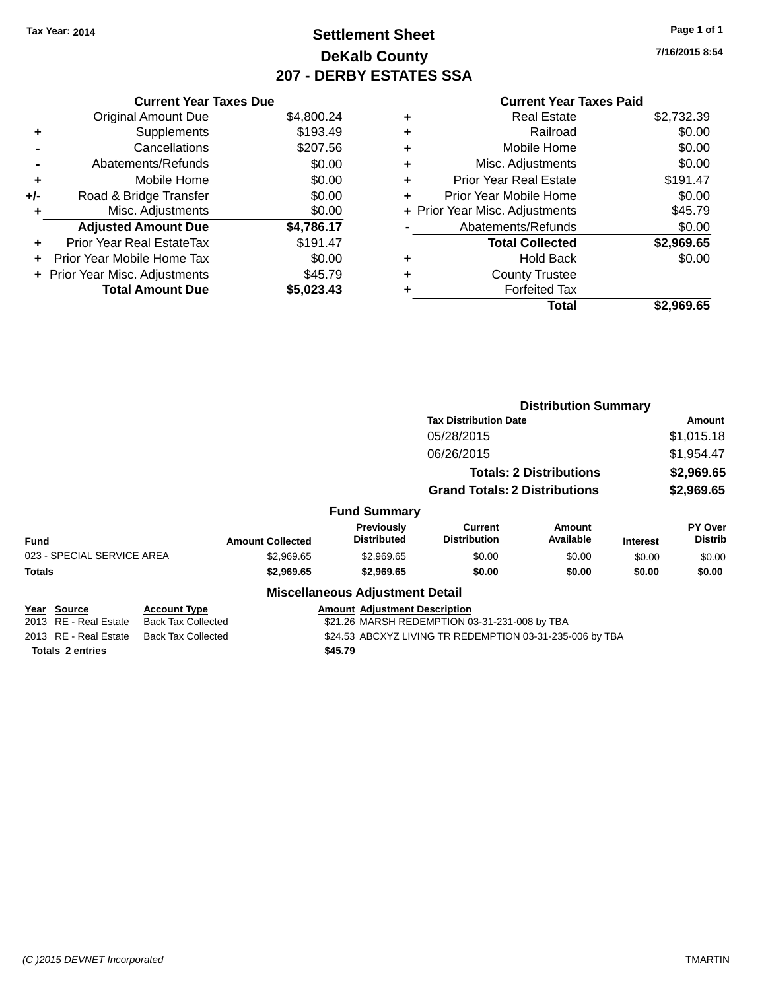### **Settlement Sheet Tax Year: 2014 Page 1 of 1 DeKalb County 207 - DERBY ESTATES SSA**

**7/16/2015 8:54**

|     | <b>Current Year Taxes Due</b>  |            |  |  |  |  |  |
|-----|--------------------------------|------------|--|--|--|--|--|
|     | <b>Original Amount Due</b>     | \$4,800.24 |  |  |  |  |  |
| ٠   | Supplements                    | \$193.49   |  |  |  |  |  |
|     | Cancellations                  | \$207.56   |  |  |  |  |  |
|     | Abatements/Refunds             | \$0.00     |  |  |  |  |  |
| ÷   | Mobile Home                    | \$0.00     |  |  |  |  |  |
| +/- | Road & Bridge Transfer         | \$0.00     |  |  |  |  |  |
| ٠   | Misc. Adjustments              | \$0.00     |  |  |  |  |  |
|     | <b>Adjusted Amount Due</b>     | \$4,786.17 |  |  |  |  |  |
| ÷   | Prior Year Real EstateTax      | \$191.47   |  |  |  |  |  |
|     | Prior Year Mobile Home Tax     | \$0.00     |  |  |  |  |  |
|     | + Prior Year Misc. Adjustments | \$45.79    |  |  |  |  |  |
|     | <b>Total Amount Due</b>        | \$5,023.43 |  |  |  |  |  |
|     |                                |            |  |  |  |  |  |

|   | <b>Total</b>                   | \$2,969.65 |
|---|--------------------------------|------------|
| ٠ | <b>Forfeited Tax</b>           |            |
| ٠ | <b>County Trustee</b>          |            |
| ٠ | <b>Hold Back</b>               | \$0.00     |
|   | <b>Total Collected</b>         | \$2,969.65 |
|   | Abatements/Refunds             | \$0.00     |
|   | + Prior Year Misc. Adjustments | \$45.79    |
| ٠ | Prior Year Mobile Home         | \$0.00     |
| ٠ | <b>Prior Year Real Estate</b>  | \$191.47   |
| ÷ | Misc. Adjustments              | \$0.00     |
| ٠ | Mobile Home                    | \$0.00     |
| ٠ | Railroad                       | \$0.00     |
| ٠ | <b>Real Estate</b>             | \$2,732.39 |

|             |                                      |                                |                         |                                         | <b>Distribution Summary</b>                              |                     |                 |                           |
|-------------|--------------------------------------|--------------------------------|-------------------------|-----------------------------------------|----------------------------------------------------------|---------------------|-----------------|---------------------------|
|             |                                      |                                |                         |                                         | <b>Tax Distribution Date</b>                             |                     |                 | <b>Amount</b>             |
|             |                                      |                                |                         |                                         | 05/28/2015                                               |                     |                 | \$1,015.18                |
|             |                                      |                                |                         |                                         | 06/26/2015                                               |                     |                 | \$1,954.47                |
|             |                                      | <b>Totals: 2 Distributions</b> |                         | \$2,969.65                              |                                                          |                     |                 |                           |
|             | <b>Grand Totals: 2 Distributions</b> |                                |                         | \$2,969.65                              |                                                          |                     |                 |                           |
|             |                                      |                                |                         | <b>Fund Summary</b>                     |                                                          |                     |                 |                           |
| <b>Fund</b> |                                      |                                | <b>Amount Collected</b> | <b>Previously</b><br><b>Distributed</b> | <b>Current</b><br><b>Distribution</b>                    | Amount<br>Available | <b>Interest</b> | PY Over<br><b>Distrib</b> |
|             | 023 - SPECIAL SERVICE AREA           |                                | \$2,969.65              | \$2,969.65                              | \$0.00                                                   | \$0.00              | \$0.00          | \$0.00                    |
| Totals      |                                      |                                | \$2,969.65              | \$2,969.65                              | \$0.00                                                   | \$0.00              | \$0.00          | \$0.00                    |
|             |                                      |                                |                         | <b>Miscellaneous Adjustment Detail</b>  |                                                          |                     |                 |                           |
|             | Year Source                          | <b>Account Type</b>            |                         | <b>Amount Adjustment Description</b>    |                                                          |                     |                 |                           |
|             | 2013 RE - Real Estate                | <b>Back Tax Collected</b>      |                         |                                         | \$21.26 MARSH REDEMPTION 03-31-231-008 by TBA            |                     |                 |                           |
|             | 2013 RE - Real Estate                | <b>Back Tax Collected</b>      |                         |                                         | \$24.53 ABCXYZ LIVING TR REDEMPTION 03-31-235-006 by TBA |                     |                 |                           |
|             | <b>Totals 2 entries</b>              |                                |                         | \$45.79                                 |                                                          |                     |                 |                           |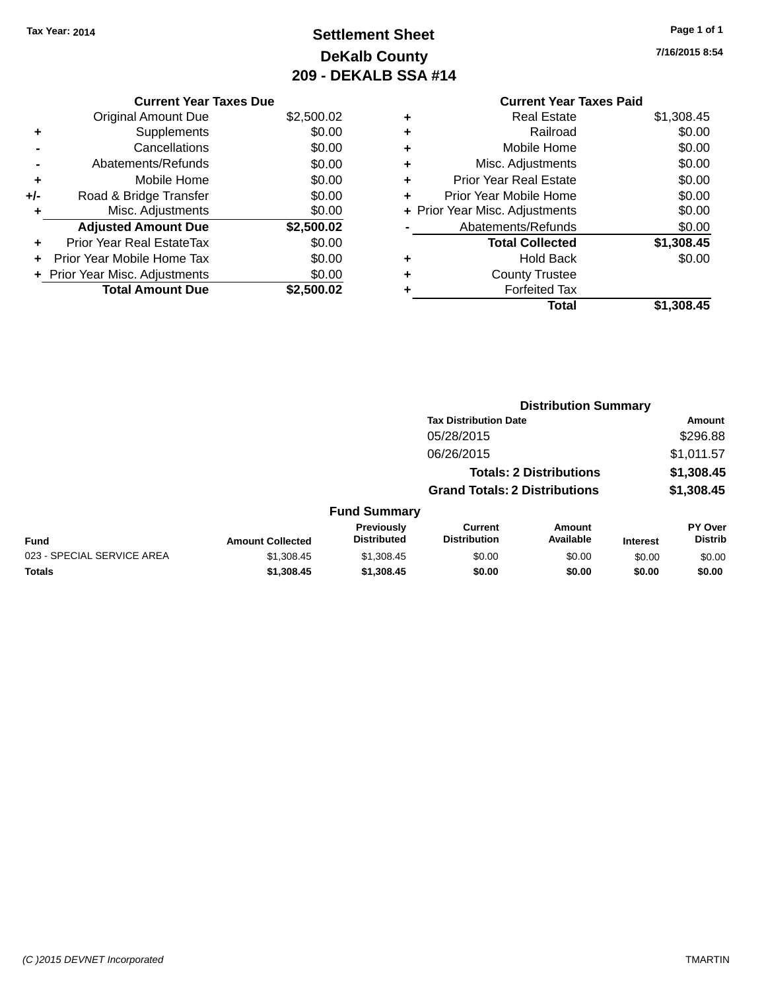# **Settlement Sheet Tax Year: 2014 Page 1 of 1 DeKalb County 209 - DEKALB SSA #14**

**7/16/2015 8:54**

|     | <b>Current Year Taxes Due</b>  |            |
|-----|--------------------------------|------------|
|     | <b>Original Amount Due</b>     | \$2,500.02 |
| ٠   | Supplements                    | \$0.00     |
|     | Cancellations                  | \$0.00     |
|     | Abatements/Refunds             | \$0.00     |
| ÷   | Mobile Home                    | \$0.00     |
| +/- | Road & Bridge Transfer         | \$0.00     |
|     | Misc. Adjustments              | \$0.00     |
|     | <b>Adjusted Amount Due</b>     | \$2,500.02 |
| ٠   | Prior Year Real EstateTax      | \$0.00     |
|     | Prior Year Mobile Home Tax     | \$0.00     |
|     | + Prior Year Misc. Adjustments | \$0.00     |
|     | <b>Total Amount Due</b>        | \$2,500.02 |
|     |                                |            |

|   | Total                          | \$1,308.45 |
|---|--------------------------------|------------|
| ٠ | <b>Forfeited Tax</b>           |            |
| ٠ | <b>County Trustee</b>          |            |
| ٠ | <b>Hold Back</b>               | \$0.00     |
|   | <b>Total Collected</b>         | \$1,308.45 |
|   | Abatements/Refunds             | \$0.00     |
|   | + Prior Year Misc. Adjustments | \$0.00     |
| ٠ | Prior Year Mobile Home         | \$0.00     |
| ÷ | <b>Prior Year Real Estate</b>  | \$0.00     |
| ٠ | Misc. Adjustments              | \$0.00     |
| ٠ | Mobile Home                    | \$0.00     |
| ٠ | Railroad                       | \$0.00     |
| ٠ | <b>Real Estate</b>             | \$1,308.45 |
|   |                                |            |

|                            |                         | <b>Distribution Summary</b>      |                                       |                                |                 |                           |
|----------------------------|-------------------------|----------------------------------|---------------------------------------|--------------------------------|-----------------|---------------------------|
|                            |                         |                                  | <b>Tax Distribution Date</b>          |                                |                 | Amount                    |
|                            |                         |                                  | 05/28/2015                            |                                |                 | \$296.88                  |
|                            |                         |                                  | 06/26/2015                            |                                |                 | \$1,011.57                |
|                            |                         |                                  |                                       | <b>Totals: 2 Distributions</b> |                 | \$1,308.45                |
|                            |                         |                                  | <b>Grand Totals: 2 Distributions</b>  |                                |                 | \$1,308.45                |
|                            |                         | <b>Fund Summary</b>              |                                       |                                |                 |                           |
| <b>Fund</b>                | <b>Amount Collected</b> | Previously<br><b>Distributed</b> | <b>Current</b><br><b>Distribution</b> | <b>Amount</b><br>Available     | <b>Interest</b> | PY Over<br><b>Distrib</b> |
| 023 - SPECIAL SERVICE AREA | \$1,308.45              | \$1,308.45                       | \$0.00                                | \$0.00                         | \$0.00          | \$0.00                    |
| <b>Totals</b>              | \$1,308.45              | \$1,308.45                       | \$0.00                                | \$0.00                         | \$0.00          | \$0.00                    |
|                            |                         |                                  |                                       |                                |                 |                           |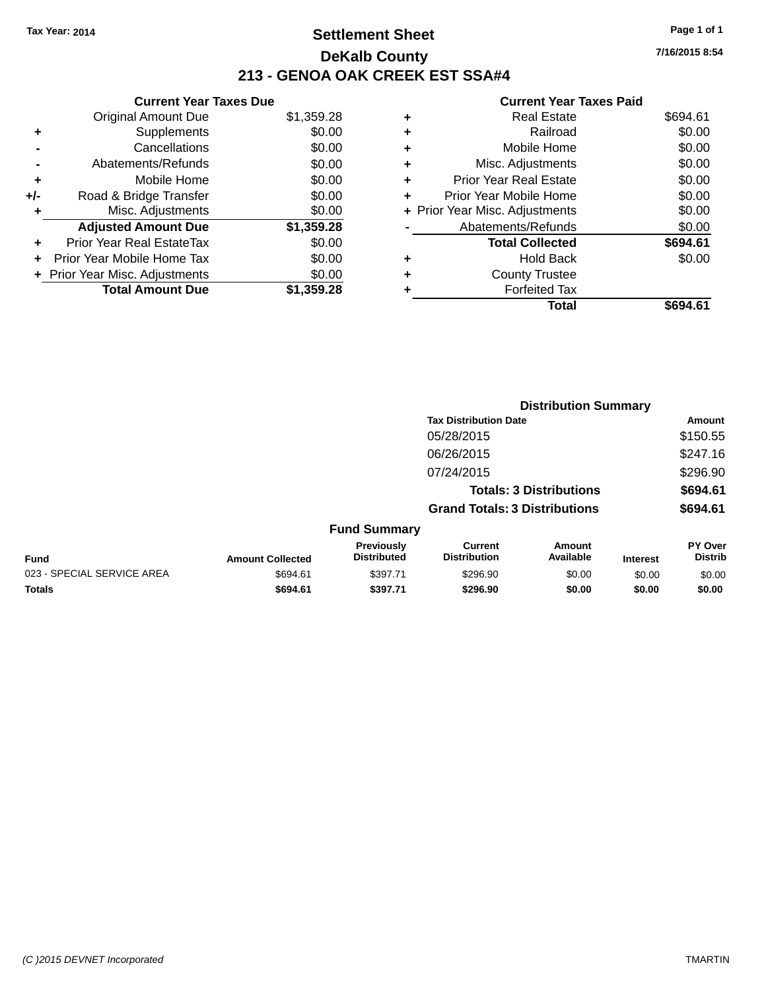### **Settlement Sheet Tax Year: 2014 Page 1 of 1 DeKalb County 213 - GENOA OAK CREEK EST SSA#4**

|     | <b>Current Year Taxes Due</b>  |            |  |  |  |  |  |
|-----|--------------------------------|------------|--|--|--|--|--|
|     | <b>Original Amount Due</b>     | \$1,359.28 |  |  |  |  |  |
| ٠   | Supplements                    | \$0.00     |  |  |  |  |  |
|     | Cancellations                  | \$0.00     |  |  |  |  |  |
|     | Abatements/Refunds             | \$0.00     |  |  |  |  |  |
| ٠   | Mobile Home                    | \$0.00     |  |  |  |  |  |
| +/- | Road & Bridge Transfer         | \$0.00     |  |  |  |  |  |
| ٠   | Misc. Adjustments              | \$0.00     |  |  |  |  |  |
|     | <b>Adjusted Amount Due</b>     | \$1,359.28 |  |  |  |  |  |
| ÷   | Prior Year Real EstateTax      | \$0.00     |  |  |  |  |  |
|     | Prior Year Mobile Home Tax     | \$0.00     |  |  |  |  |  |
|     | + Prior Year Misc. Adjustments | \$0.00     |  |  |  |  |  |
|     | <b>Total Amount Due</b>        | \$1,359.28 |  |  |  |  |  |

### **Current Year Taxes Paid**

| ٠ | <b>Real Estate</b>             | \$694.61 |
|---|--------------------------------|----------|
| ٠ | Railroad                       | \$0.00   |
| ٠ | Mobile Home                    | \$0.00   |
| ٠ | Misc. Adjustments              | \$0.00   |
| ٠ | <b>Prior Year Real Estate</b>  | \$0.00   |
| ٠ | Prior Year Mobile Home         | \$0.00   |
|   | + Prior Year Misc. Adjustments | \$0.00   |
|   | Abatements/Refunds             | \$0.00   |
|   | <b>Total Collected</b>         | \$694.61 |
| ٠ | <b>Hold Back</b>               | \$0.00   |
| ٠ | <b>County Trustee</b>          |          |
| ٠ | <b>Forfeited Tax</b>           |          |
|   | Total                          | \$694.61 |
|   |                                |          |

|                            |                         | <b>Distribution Summary</b>             |                                       |                     |                 |                           |  |
|----------------------------|-------------------------|-----------------------------------------|---------------------------------------|---------------------|-----------------|---------------------------|--|
|                            |                         |                                         | <b>Tax Distribution Date</b>          |                     |                 | Amount                    |  |
|                            |                         |                                         | 05/28/2015                            |                     |                 | \$150.55                  |  |
|                            |                         |                                         | 06/26/2015                            |                     |                 | \$247.16                  |  |
|                            |                         |                                         | 07/24/2015                            |                     |                 | \$296.90                  |  |
|                            |                         |                                         | <b>Totals: 3 Distributions</b>        |                     |                 | \$694.61                  |  |
|                            |                         |                                         | <b>Grand Totals: 3 Distributions</b>  |                     |                 | \$694.61                  |  |
|                            |                         | <b>Fund Summary</b>                     |                                       |                     |                 |                           |  |
| <b>Fund</b>                | <b>Amount Collected</b> | <b>Previously</b><br><b>Distributed</b> | <b>Current</b><br><b>Distribution</b> | Amount<br>Available | <b>Interest</b> | PY Over<br><b>Distrib</b> |  |
| 023 - SPECIAL SERVICE AREA | \$694.61                | \$397.71                                | \$296.90                              | \$0.00              | \$0.00          | \$0.00                    |  |
| <b>Totals</b>              | \$694.61                | \$397.71                                | \$296.90                              | \$0.00              | \$0.00          | \$0.00                    |  |
|                            |                         |                                         |                                       |                     |                 |                           |  |

**7/16/2015 8:54**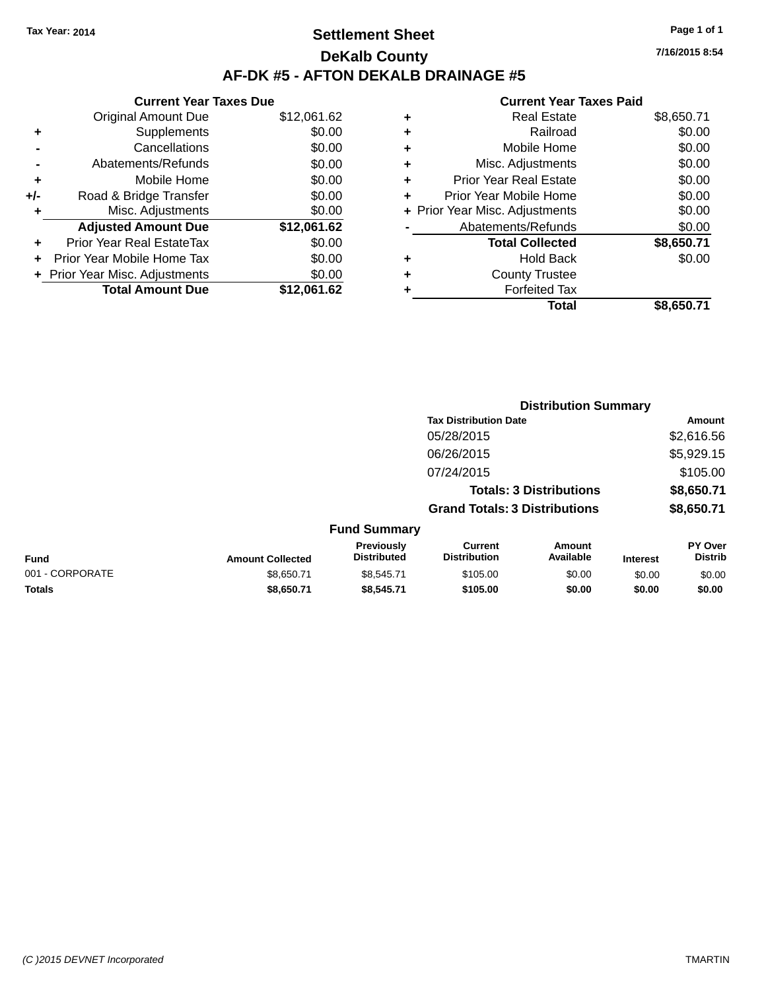### **Settlement Sheet Tax Year: 2014 Page 1 of 1 DeKalb County AF-DK #5 - AFTON DEKALB DRAINAGE #5**

|       | <b>Current Year Taxes Due</b>  |             |
|-------|--------------------------------|-------------|
|       | <b>Original Amount Due</b>     | \$12,061.62 |
|       | Supplements                    | \$0.00      |
|       | Cancellations                  | \$0.00      |
|       | Abatements/Refunds             | \$0.00      |
| ٠     | Mobile Home                    | \$0.00      |
| $+/-$ | Road & Bridge Transfer         | \$0.00      |
| ٠     | Misc. Adjustments              | \$0.00      |
|       | <b>Adjusted Amount Due</b>     | \$12,061.62 |
| ÷     | Prior Year Real EstateTax      | \$0.00      |
|       | Prior Year Mobile Home Tax     | \$0.00      |
|       | + Prior Year Misc. Adjustments | \$0.00      |
|       | <b>Total Amount Due</b>        | \$12,061.62 |
|       |                                |             |

#### **Current Year Taxes Paid**

| ٠ | <b>Real Estate</b>             | \$8,650.71 |
|---|--------------------------------|------------|
| ٠ | Railroad                       | \$0.00     |
| ٠ | Mobile Home                    | \$0.00     |
| ٠ | Misc. Adjustments              | \$0.00     |
| ٠ | <b>Prior Year Real Estate</b>  | \$0.00     |
| ٠ | Prior Year Mobile Home         | \$0.00     |
|   | + Prior Year Misc. Adjustments | \$0.00     |
|   | Abatements/Refunds             | \$0.00     |
|   | <b>Total Collected</b>         | \$8,650.71 |
| ٠ | <b>Hold Back</b>               | \$0.00     |
| ٠ | <b>County Trustee</b>          |            |
| ٠ | <b>Forfeited Tax</b>           |            |
|   | Total                          | \$8,650.71 |
|   |                                |            |

|                 |                         |                                         |                                       | <b>Distribution Summary</b>    |                 |                           |
|-----------------|-------------------------|-----------------------------------------|---------------------------------------|--------------------------------|-----------------|---------------------------|
|                 |                         |                                         | <b>Tax Distribution Date</b>          |                                |                 | Amount                    |
|                 |                         |                                         | 05/28/2015                            |                                |                 | \$2,616.56                |
|                 |                         |                                         | 06/26/2015                            |                                |                 | \$5,929.15                |
|                 |                         |                                         | 07/24/2015                            |                                |                 | \$105.00                  |
|                 |                         |                                         |                                       | <b>Totals: 3 Distributions</b> |                 | \$8,650.71                |
|                 |                         |                                         | <b>Grand Totals: 3 Distributions</b>  |                                |                 | \$8,650.71                |
|                 |                         | <b>Fund Summary</b>                     |                                       |                                |                 |                           |
| <b>Fund</b>     | <b>Amount Collected</b> | <b>Previously</b><br><b>Distributed</b> | <b>Current</b><br><b>Distribution</b> | Amount<br>Available            | <b>Interest</b> | PY Over<br><b>Distrib</b> |
| 001 - CORPORATE | \$8,650.71              | \$8,545.71                              | \$105.00                              | \$0.00                         | \$0.00          | \$0.00                    |
| <b>Totals</b>   | \$8,650.71              | \$8,545.71                              | \$105.00                              | \$0.00                         | \$0.00          | \$0.00                    |

**7/16/2015 8:54**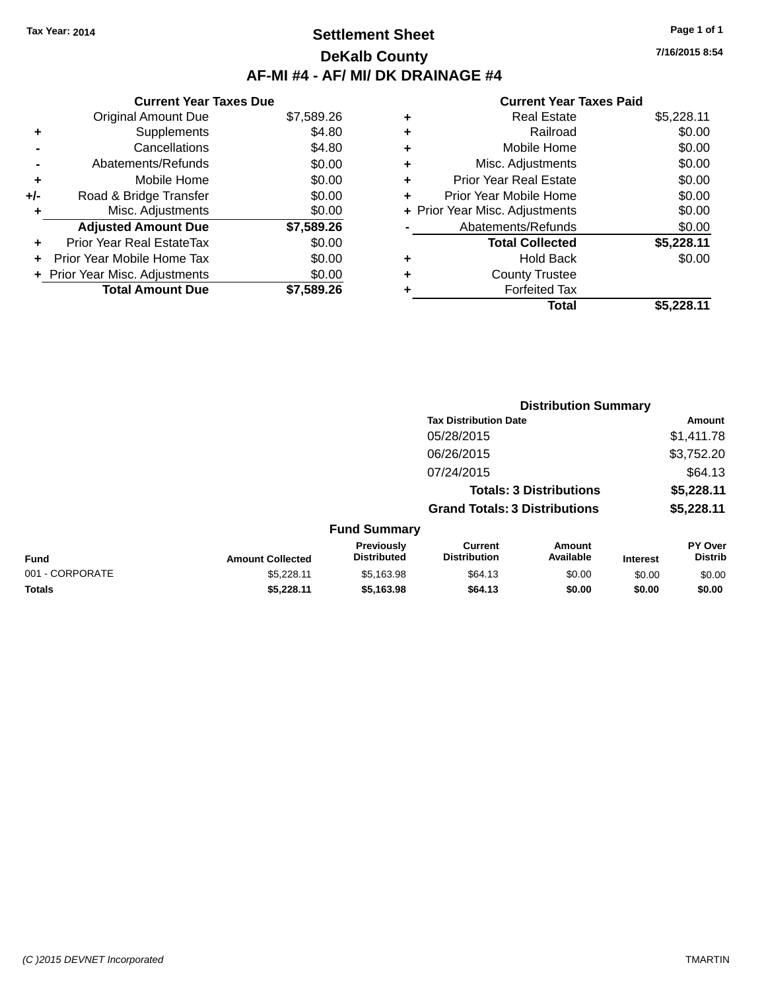### **Settlement Sheet Tax Year: 2014 Page 1 of 1 DeKalb County AF-MI #4 - AF/ MI/ DK DRAINAGE #4**

**Current Year Taxes Due** Original Amount Due \$7,589.26 **+** Supplements \$4.80 **-** Cancellations \$4.80 **-** Abatements/Refunds \$0.00 **+** Mobile Home \$0.00 **+/-** Road & Bridge Transfer \$0.00 **+** Misc. Adjustments \$0.00 **Adjusted Amount Due \$7,589.26 +** Prior Year Real EstateTax \$0.00 **+** Prior Year Mobile Home Tax \$0.00 **+ Prior Year Misc. Adjustments**  $$0.00$ **Total Amount Due \$7,589.26**

| ٠ | <b>Real Estate</b>             | \$5,228.11 |
|---|--------------------------------|------------|
| ٠ | Railroad                       | \$0.00     |
| ٠ | Mobile Home                    | \$0.00     |
| ٠ | Misc. Adjustments              | \$0.00     |
| ٠ | <b>Prior Year Real Estate</b>  | \$0.00     |
| ٠ | Prior Year Mobile Home         | \$0.00     |
|   | + Prior Year Misc. Adjustments | \$0.00     |
|   | Abatements/Refunds             | \$0.00     |
|   | <b>Total Collected</b>         | \$5,228.11 |
| ٠ | <b>Hold Back</b>               | \$0.00     |
| ٠ | <b>County Trustee</b>          |            |
| ٠ | <b>Forfeited Tax</b>           |            |
|   | <b>Total</b>                   | \$5,228.11 |
|   |                                |            |

|                 |                         |                                  |                                       | <b>Distribution Summary</b>    |                 |                                  |
|-----------------|-------------------------|----------------------------------|---------------------------------------|--------------------------------|-----------------|----------------------------------|
|                 |                         |                                  | <b>Tax Distribution Date</b>          |                                |                 | Amount                           |
|                 |                         |                                  | 05/28/2015                            |                                |                 | \$1,411.78                       |
|                 |                         |                                  | 06/26/2015                            |                                |                 | \$3,752.20                       |
|                 |                         |                                  | 07/24/2015                            |                                |                 | \$64.13                          |
|                 |                         |                                  |                                       | <b>Totals: 3 Distributions</b> |                 | \$5,228.11                       |
|                 |                         |                                  | <b>Grand Totals: 3 Distributions</b>  |                                |                 | \$5,228.11                       |
|                 |                         | <b>Fund Summary</b>              |                                       |                                |                 |                                  |
| Fund            | <b>Amount Collected</b> | Previously<br><b>Distributed</b> | <b>Current</b><br><b>Distribution</b> | <b>Amount</b><br>Available     | <b>Interest</b> | <b>PY Over</b><br><b>Distrib</b> |
| 001 - CORPORATE | \$5,228.11              | \$5,163.98                       | \$64.13                               | \$0.00                         | \$0.00          | \$0.00                           |
| <b>Totals</b>   | \$5.228.11              | \$5,163.98                       | \$64.13                               | \$0.00                         | \$0.00          | \$0.00                           |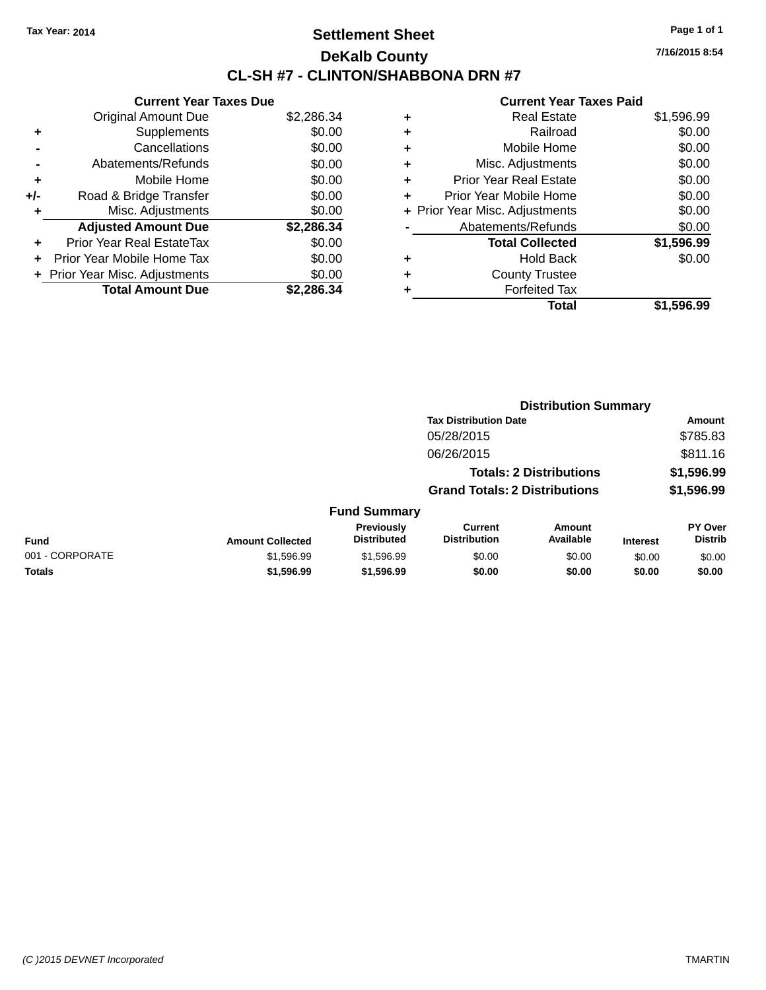### **Settlement Sheet Tax Year: 2014 Page 1 of 1 DeKalb County CL-SH #7 - CLINTON/SHABBONA DRN #7**

**7/16/2015 8:54**

|     | <b>Current Year Taxes Due</b>  |            |
|-----|--------------------------------|------------|
|     | <b>Original Amount Due</b>     | \$2,286.34 |
| ٠   | Supplements                    | \$0.00     |
|     | Cancellations                  | \$0.00     |
|     | Abatements/Refunds             | \$0.00     |
| ٠   | Mobile Home                    | \$0.00     |
| +/- | Road & Bridge Transfer         | \$0.00     |
| ٠   | Misc. Adjustments              | \$0.00     |
|     | <b>Adjusted Amount Due</b>     | \$2,286.34 |
| ÷   | Prior Year Real EstateTax      | \$0.00     |
| ÷   | Prior Year Mobile Home Tax     | \$0.00     |
|     | + Prior Year Misc. Adjustments | \$0.00     |
|     | <b>Total Amount Due</b>        | \$2.286.34 |

| ٠ | <b>Real Estate</b>             | \$1,596.99 |
|---|--------------------------------|------------|
| ٠ | Railroad                       | \$0.00     |
| ٠ | Mobile Home                    | \$0.00     |
| ٠ | Misc. Adjustments              | \$0.00     |
| ٠ | <b>Prior Year Real Estate</b>  | \$0.00     |
|   | Prior Year Mobile Home         | \$0.00     |
|   | + Prior Year Misc. Adjustments | \$0.00     |
|   | Abatements/Refunds             | \$0.00     |
|   | <b>Total Collected</b>         | \$1,596.99 |
| ٠ | Hold Back                      | \$0.00     |
|   | <b>County Trustee</b>          |            |
| ٠ | <b>Forfeited Tax</b>           |            |
|   | Total                          | \$1,596.99 |
|   |                                |            |

|                 |                         |                                  | <b>Distribution Summary</b>           |                                |                 |                           |
|-----------------|-------------------------|----------------------------------|---------------------------------------|--------------------------------|-----------------|---------------------------|
|                 |                         |                                  | <b>Tax Distribution Date</b>          |                                |                 | Amount                    |
|                 |                         |                                  | 05/28/2015                            |                                |                 | \$785.83                  |
|                 |                         |                                  | 06/26/2015                            |                                |                 | \$811.16                  |
|                 |                         |                                  |                                       | <b>Totals: 2 Distributions</b> |                 | \$1,596.99                |
|                 |                         |                                  | <b>Grand Totals: 2 Distributions</b>  |                                |                 | \$1,596.99                |
|                 |                         | <b>Fund Summary</b>              |                                       |                                |                 |                           |
| <b>Fund</b>     | <b>Amount Collected</b> | Previously<br><b>Distributed</b> | <b>Current</b><br><b>Distribution</b> | <b>Amount</b><br>Available     | <b>Interest</b> | PY Over<br><b>Distrib</b> |
| 001 - CORPORATE | \$1,596.99              | \$1,596.99                       | \$0.00                                | \$0.00                         | \$0.00          | \$0.00                    |
| <b>Totals</b>   | \$1,596.99              | \$1,596.99                       | \$0.00                                | \$0.00                         | \$0.00          | \$0.00                    |
|                 |                         |                                  |                                       |                                |                 |                           |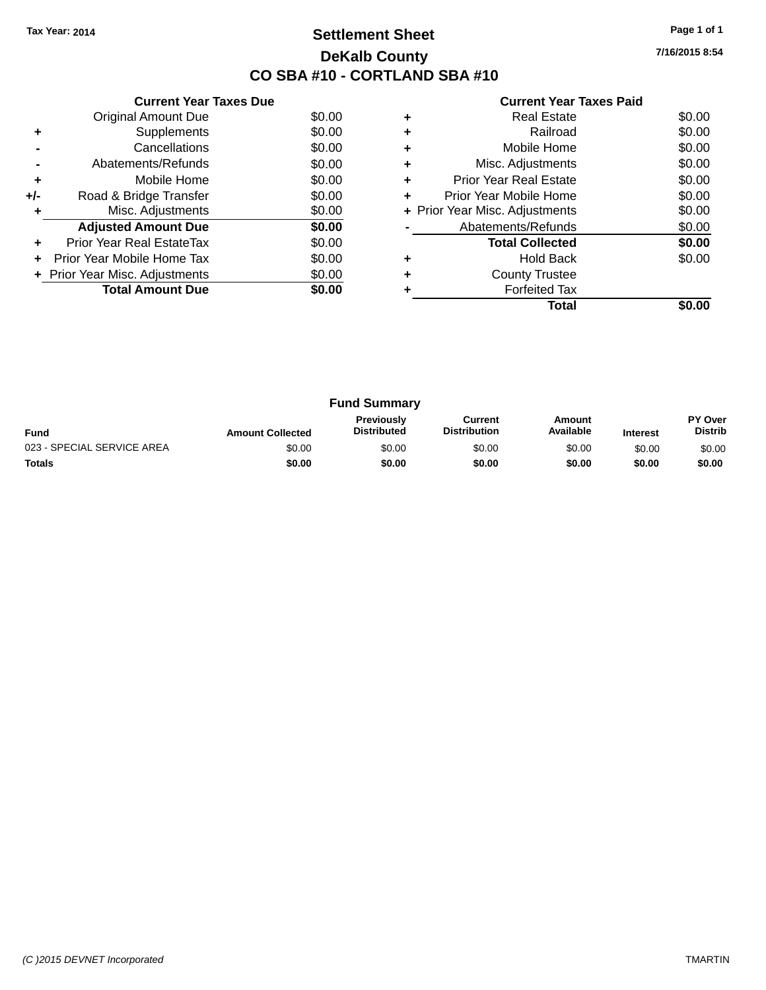### **Settlement Sheet Tax Year: 2014 Page 1 of 1 DeKalb County CO SBA #10 - CORTLAND SBA #10**

**7/16/2015 8:54**

|     | <b>Current Year Taxes Due</b>  |        |
|-----|--------------------------------|--------|
|     | <b>Original Amount Due</b>     | \$0.00 |
| ٠   | Supplements                    | \$0.00 |
|     | Cancellations                  | \$0.00 |
|     | Abatements/Refunds             | \$0.00 |
| ٠   | Mobile Home                    | \$0.00 |
| +/- | Road & Bridge Transfer         | \$0.00 |
| ٠   | Misc. Adjustments              | \$0.00 |
|     | <b>Adjusted Amount Due</b>     | \$0.00 |
| ÷   | Prior Year Real EstateTax      | \$0.00 |
| ÷   | Prior Year Mobile Home Tax     | \$0.00 |
|     | + Prior Year Misc. Adjustments | \$0.00 |
|     | <b>Total Amount Due</b>        | \$0.00 |
|     |                                |        |

|   | <b>Real Estate</b>             | \$0.00 |
|---|--------------------------------|--------|
|   | Railroad                       | \$0.00 |
| ٠ | Mobile Home                    | \$0.00 |
| ٠ | Misc. Adjustments              | \$0.00 |
| ٠ | Prior Year Real Estate         | \$0.00 |
| ٠ | Prior Year Mobile Home         | \$0.00 |
|   | + Prior Year Misc. Adjustments | \$0.00 |
|   | Abatements/Refunds             | \$0.00 |
|   | <b>Total Collected</b>         | \$0.00 |
|   | <b>Hold Back</b>               | \$0.00 |
|   | <b>County Trustee</b>          |        |
|   | <b>Forfeited Tax</b>           |        |
|   | Total                          |        |

| <b>Fund Summary</b>        |                         |                                         |                                |                     |                 |                           |
|----------------------------|-------------------------|-----------------------------------------|--------------------------------|---------------------|-----------------|---------------------------|
| <b>Fund</b>                | <b>Amount Collected</b> | <b>Previously</b><br><b>Distributed</b> | Current<br><b>Distribution</b> | Amount<br>Available | <b>Interest</b> | PY Over<br><b>Distrib</b> |
| 023 - SPECIAL SERVICE AREA | \$0.00                  | \$0.00                                  | \$0.00                         | \$0.00              | \$0.00          | \$0.00                    |
| <b>Totals</b>              | \$0.00                  | \$0.00                                  | \$0.00                         | \$0.00              | \$0.00          | \$0.00                    |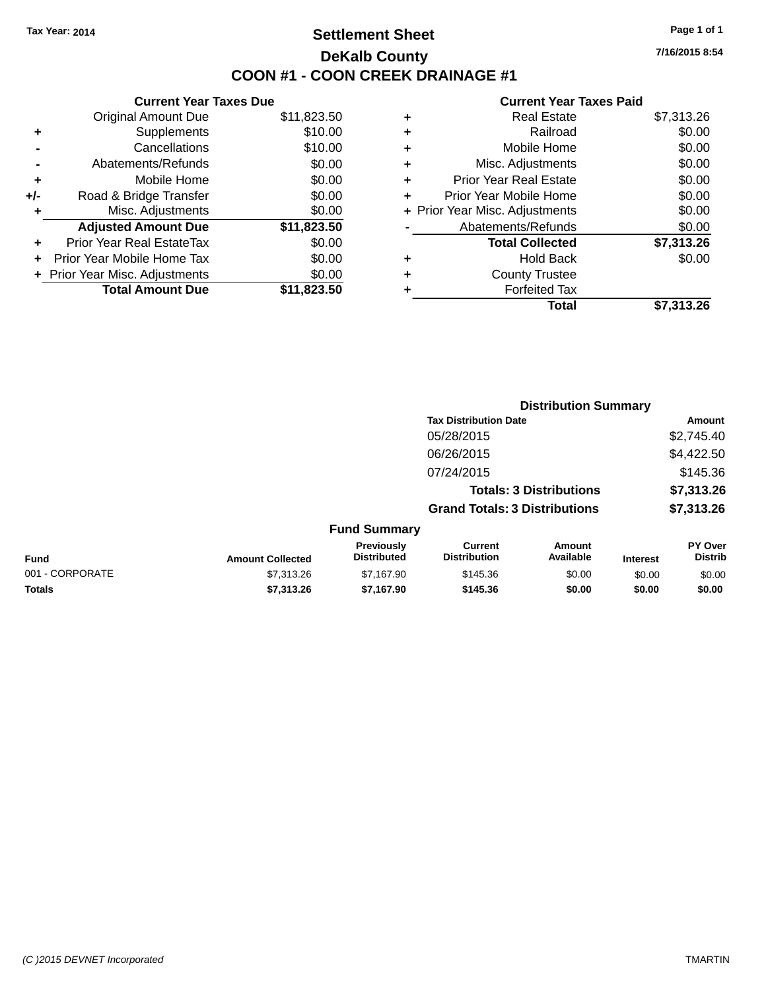### **Settlement Sheet Tax Year: 2014 Page 1 of 1 DeKalb County COON #1 - COON CREEK DRAINAGE #1**

**7/16/2015 8:54**

|     | <b>Current Year Taxes Due</b>  |             |
|-----|--------------------------------|-------------|
|     | <b>Original Amount Due</b>     | \$11,823.50 |
| ÷   | Supplements                    | \$10.00     |
|     | Cancellations                  | \$10.00     |
|     | Abatements/Refunds             | \$0.00      |
| ٠   | Mobile Home                    | \$0.00      |
| +/- | Road & Bridge Transfer         | \$0.00      |
|     | Misc. Adjustments              | \$0.00      |
|     | <b>Adjusted Amount Due</b>     | \$11,823.50 |
| ÷   | Prior Year Real EstateTax      | \$0.00      |
|     | Prior Year Mobile Home Tax     | \$0.00      |
|     | + Prior Year Misc. Adjustments | \$0.00      |
|     | <b>Total Amount Due</b>        | \$11,823.50 |
|     |                                |             |

|   | <b>Real Estate</b>             | \$7,313.26 |
|---|--------------------------------|------------|
| ٠ | Railroad                       | \$0.00     |
| ٠ | Mobile Home                    | \$0.00     |
| ٠ | Misc. Adjustments              | \$0.00     |
| ٠ | <b>Prior Year Real Estate</b>  | \$0.00     |
| ÷ | Prior Year Mobile Home         | \$0.00     |
|   | + Prior Year Misc. Adjustments | \$0.00     |
|   | Abatements/Refunds             | \$0.00     |
|   | <b>Total Collected</b>         | \$7,313.26 |
| ٠ | Hold Back                      | \$0.00     |
| ٠ | <b>County Trustee</b>          |            |
| ٠ | <b>Forfeited Tax</b>           |            |
|   | Total                          | \$7,313.26 |
|   |                                |            |

|                 |                         | <b>Distribution Summary</b>      |                                       |                                |                 |                           |
|-----------------|-------------------------|----------------------------------|---------------------------------------|--------------------------------|-----------------|---------------------------|
|                 |                         |                                  | <b>Tax Distribution Date</b>          |                                |                 | Amount                    |
|                 |                         |                                  | 05/28/2015                            |                                |                 | \$2,745.40                |
|                 |                         |                                  | 06/26/2015                            |                                |                 | \$4,422.50                |
|                 |                         |                                  | 07/24/2015                            |                                |                 | \$145.36                  |
|                 |                         |                                  |                                       | <b>Totals: 3 Distributions</b> |                 | \$7,313.26                |
|                 |                         |                                  | <b>Grand Totals: 3 Distributions</b>  |                                |                 | \$7,313.26                |
|                 |                         | <b>Fund Summary</b>              |                                       |                                |                 |                           |
| <b>Fund</b>     | <b>Amount Collected</b> | Previously<br><b>Distributed</b> | <b>Current</b><br><b>Distribution</b> | <b>Amount</b><br>Available     | <b>Interest</b> | PY Over<br><b>Distrib</b> |
| 001 - CORPORATE | \$7,313.26              | \$7,167.90                       | \$145.36                              | \$0.00                         | \$0.00          | \$0.00                    |
| <b>Totals</b>   | \$7,313.26              | \$7,167.90                       | \$145.36                              | \$0.00                         | \$0.00          | \$0.00                    |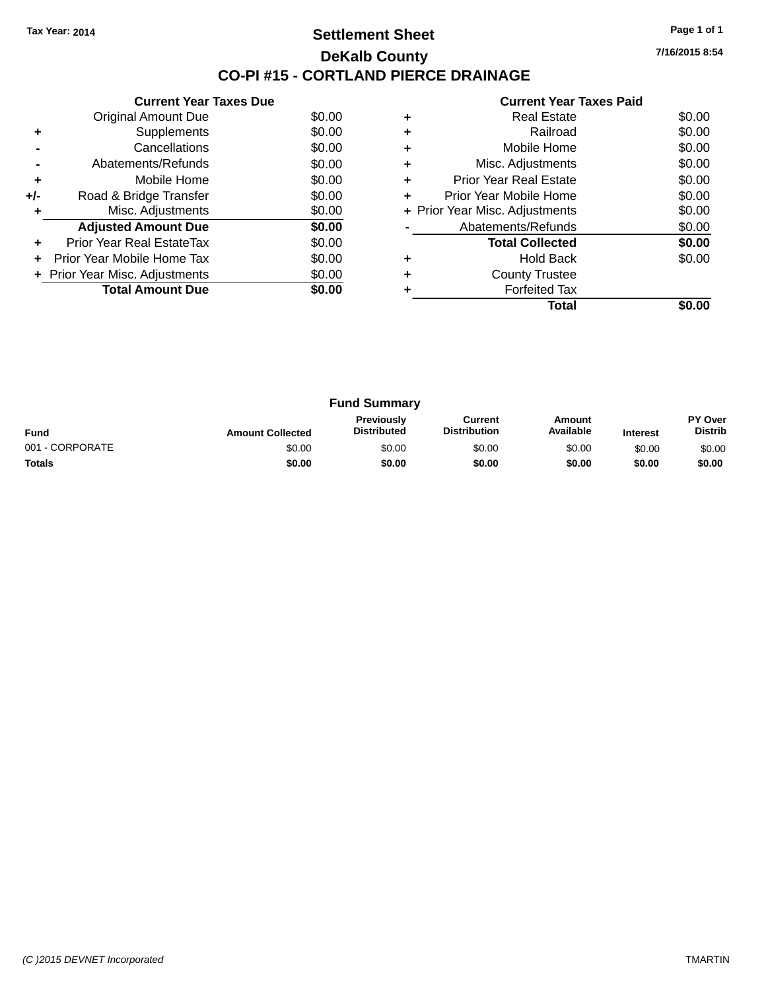### **Settlement Sheet Tax Year: 2014 Page 1 of 1 DeKalb County CO-PI #15 - CORTLAND PIERCE DRAINAGE**

**7/16/2015 8:54**

|     | <b>Current Year Taxes Due</b>  |        |
|-----|--------------------------------|--------|
|     | Original Amount Due            | \$0.00 |
| ٠   | Supplements                    | \$0.00 |
|     | Cancellations                  | \$0.00 |
|     | Abatements/Refunds             | \$0.00 |
| ٠   | Mobile Home                    | \$0.00 |
| +/- | Road & Bridge Transfer         | \$0.00 |
|     | Misc. Adjustments              | \$0.00 |
|     | <b>Adjusted Amount Due</b>     | \$0.00 |
| ÷   | Prior Year Real EstateTax      | \$0.00 |
|     | Prior Year Mobile Home Tax     | \$0.00 |
|     | + Prior Year Misc. Adjustments | \$0.00 |
|     | <b>Total Amount Due</b>        | \$0.00 |
|     |                                |        |

|   | <b>Real Estate</b>             | \$0.00 |
|---|--------------------------------|--------|
|   | Railroad                       | \$0.00 |
| ٠ | Mobile Home                    | \$0.00 |
| ٠ | Misc. Adjustments              | \$0.00 |
| ٠ | Prior Year Real Estate         | \$0.00 |
|   | Prior Year Mobile Home         | \$0.00 |
|   | + Prior Year Misc. Adjustments | \$0.00 |
|   | Abatements/Refunds             | \$0.00 |
|   | <b>Total Collected</b>         | \$0.00 |
|   | Hold Back                      | \$0.00 |
|   | <b>County Trustee</b>          |        |
|   | <b>Forfeited Tax</b>           |        |
|   | Total                          |        |

| <b>Fund Summary</b> |                         |                                         |                                |                     |                 |                                  |
|---------------------|-------------------------|-----------------------------------------|--------------------------------|---------------------|-----------------|----------------------------------|
| <b>Fund</b>         | <b>Amount Collected</b> | <b>Previously</b><br><b>Distributed</b> | Current<br><b>Distribution</b> | Amount<br>Available | <b>Interest</b> | <b>PY Over</b><br><b>Distrib</b> |
| 001 - CORPORATE     | \$0.00                  | \$0.00                                  | \$0.00                         | \$0.00              | \$0.00          | \$0.00                           |
| <b>Totals</b>       | \$0.00                  | \$0.00                                  | \$0.00                         | \$0.00              | \$0.00          | \$0.00                           |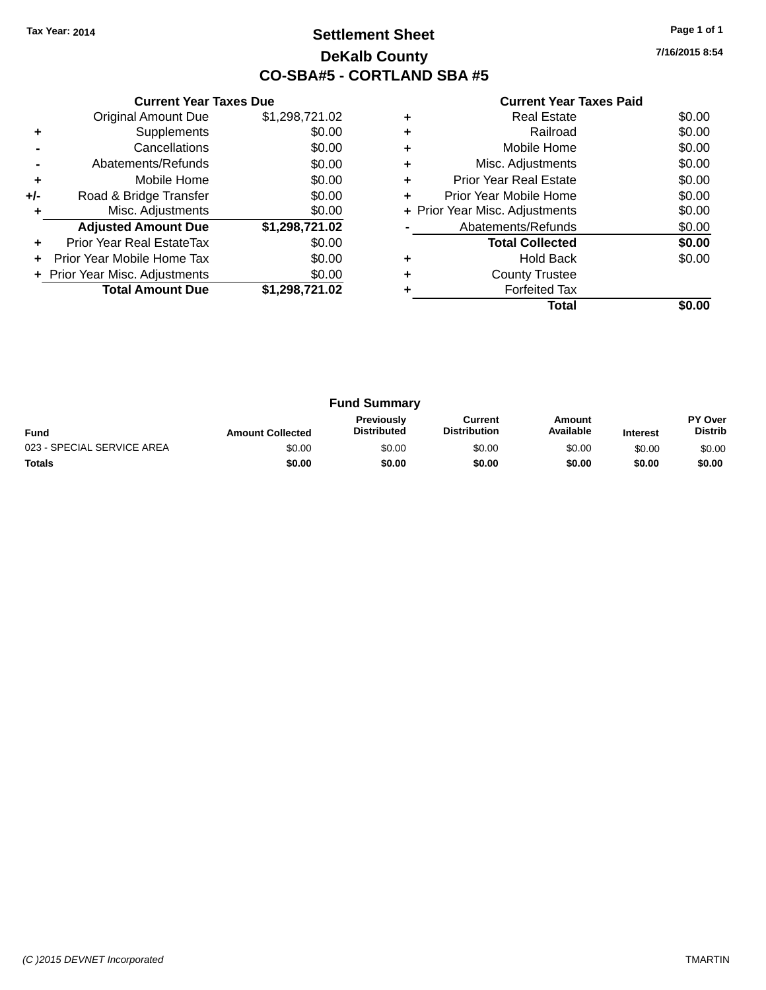### **Settlement Sheet Tax Year: 2014 Page 1 of 1 DeKalb County CO-SBA#5 - CORTLAND SBA #5**

**7/16/2015 8:54**

|     | <b>Current Year Taxes Due</b>  |                |
|-----|--------------------------------|----------------|
|     | <b>Original Amount Due</b>     | \$1,298,721.02 |
| ٠   | Supplements                    | \$0.00         |
|     | Cancellations                  | \$0.00         |
|     | Abatements/Refunds             | \$0.00         |
| ÷   | Mobile Home                    | \$0.00         |
| +/- | Road & Bridge Transfer         | \$0.00         |
|     | Misc. Adjustments              | \$0.00         |
|     | <b>Adjusted Amount Due</b>     | \$1,298,721.02 |
| ÷   | Prior Year Real EstateTax      | \$0.00         |
|     | Prior Year Mobile Home Tax     | \$0.00         |
|     | + Prior Year Misc. Adjustments | \$0.00         |
|     | <b>Total Amount Due</b>        | \$1,298,721.02 |
|     |                                |                |

|   | <b>Real Estate</b>             | \$0.00 |
|---|--------------------------------|--------|
| ٠ | Railroad                       | \$0.00 |
| ٠ | Mobile Home                    | \$0.00 |
| ٠ | Misc. Adjustments              | \$0.00 |
| ٠ | <b>Prior Year Real Estate</b>  | \$0.00 |
| ٠ | Prior Year Mobile Home         | \$0.00 |
|   | + Prior Year Misc. Adjustments | \$0.00 |
|   | Abatements/Refunds             | \$0.00 |
|   | <b>Total Collected</b>         | \$0.00 |
|   | Hold Back                      | \$0.00 |
| ٠ | <b>County Trustee</b>          |        |
|   | <b>Forfeited Tax</b>           |        |
|   | Total                          |        |

| <b>Fund Summary</b>        |                         |                                         |                                |                     |                 |                                  |
|----------------------------|-------------------------|-----------------------------------------|--------------------------------|---------------------|-----------------|----------------------------------|
| <b>Fund</b>                | <b>Amount Collected</b> | <b>Previously</b><br><b>Distributed</b> | Current<br><b>Distribution</b> | Amount<br>Available | <b>Interest</b> | <b>PY Over</b><br><b>Distrib</b> |
| 023 - SPECIAL SERVICE AREA | \$0.00                  | \$0.00                                  | \$0.00                         | \$0.00              | \$0.00          | \$0.00                           |
| <b>Totals</b>              | \$0.00                  | \$0.00                                  | \$0.00                         | \$0.00              | \$0.00          | \$0.00                           |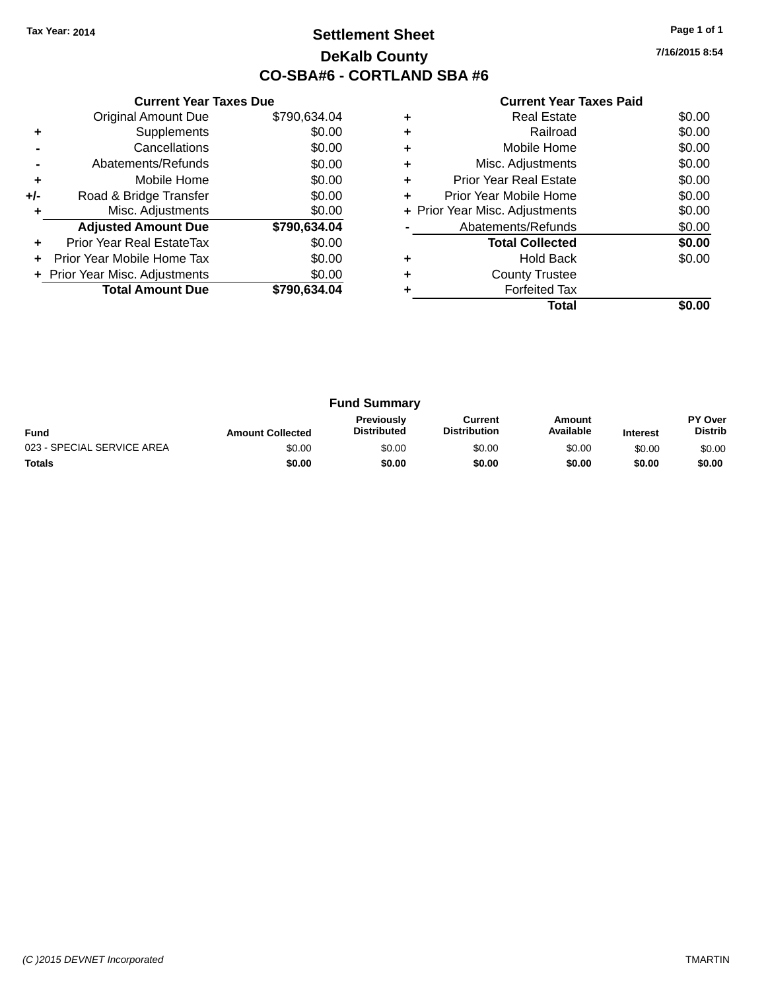### **Settlement Sheet Tax Year: 2014 Page 1 of 1 DeKalb County CO-SBA#6 - CORTLAND SBA #6**

**7/16/2015 8:54**

|     | <b>Current Year Taxes Due</b>  |              |
|-----|--------------------------------|--------------|
|     | <b>Original Amount Due</b>     | \$790,634.04 |
| ٠   | Supplements                    | \$0.00       |
|     | Cancellations                  | \$0.00       |
|     | Abatements/Refunds             | \$0.00       |
| ٠   | Mobile Home                    | \$0.00       |
| +/- | Road & Bridge Transfer         | \$0.00       |
| ٠   | Misc. Adjustments              | \$0.00       |
|     | <b>Adjusted Amount Due</b>     | \$790,634.04 |
| ÷   | Prior Year Real EstateTax      | \$0.00       |
| ÷   | Prior Year Mobile Home Tax     | \$0.00       |
|     | + Prior Year Misc. Adjustments | \$0.00       |
|     | <b>Total Amount Due</b>        | \$790.634.04 |
|     |                                |              |

|   | Real Estate                    | \$0.00 |
|---|--------------------------------|--------|
|   | Railroad                       | \$0.00 |
| ٠ | Mobile Home                    | \$0.00 |
| ٠ | Misc. Adjustments              | \$0.00 |
| ٠ | <b>Prior Year Real Estate</b>  | \$0.00 |
| ٠ | Prior Year Mobile Home         | \$0.00 |
|   | + Prior Year Misc. Adjustments | \$0.00 |
|   | Abatements/Refunds             | \$0.00 |
|   | <b>Total Collected</b>         | \$0.00 |
|   | <b>Hold Back</b>               | \$0.00 |
| ٠ | <b>County Trustee</b>          |        |
|   | <b>Forfeited Tax</b>           |        |
|   | Total                          |        |

| <b>Fund Summary</b>        |                         |                                         |                                |                     |                 |                                  |
|----------------------------|-------------------------|-----------------------------------------|--------------------------------|---------------------|-----------------|----------------------------------|
| <b>Fund</b>                | <b>Amount Collected</b> | <b>Previously</b><br><b>Distributed</b> | Current<br><b>Distribution</b> | Amount<br>Available | <b>Interest</b> | <b>PY Over</b><br><b>Distrib</b> |
| 023 - SPECIAL SERVICE AREA | \$0.00                  | \$0.00                                  | \$0.00                         | \$0.00              | \$0.00          | \$0.00                           |
| <b>Totals</b>              | \$0.00                  | \$0.00                                  | \$0.00                         | \$0.00              | \$0.00          | \$0.00                           |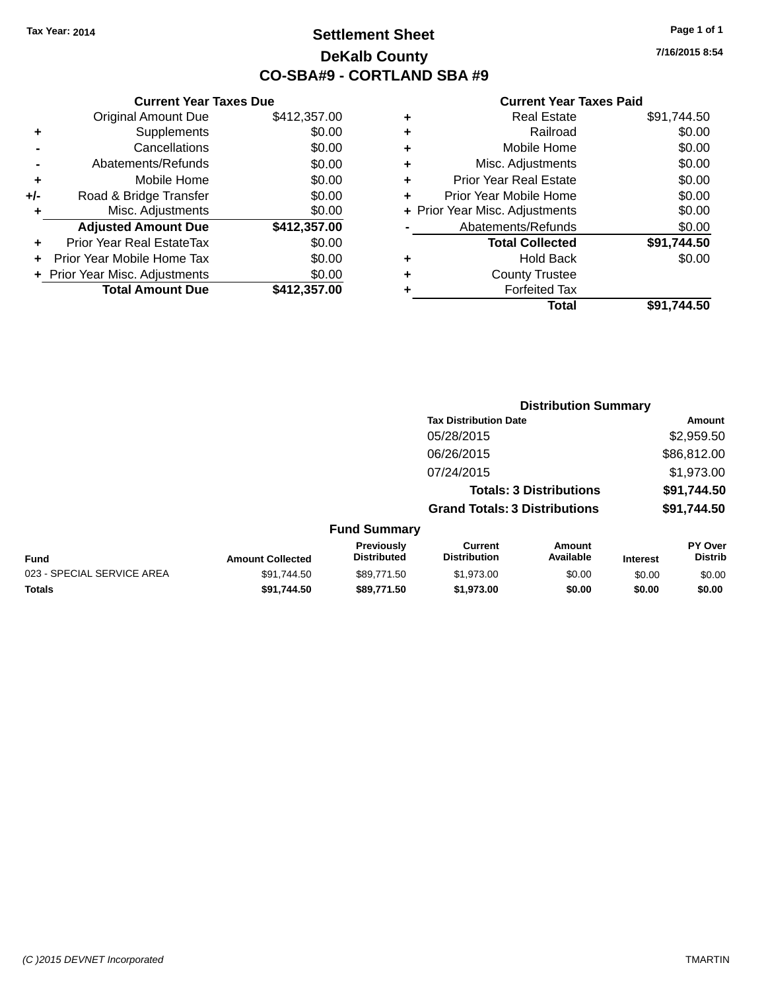### **Settlement Sheet Tax Year: 2014 Page 1 of 1 DeKalb County CO-SBA#9 - CORTLAND SBA #9**

**7/16/2015 8:54**

|     | <b>Current Year Taxes Due</b>  |              |         |
|-----|--------------------------------|--------------|---------|
|     | <b>Original Amount Due</b>     | \$412,357.00 | ٠       |
|     | Supplements                    | \$0.00       |         |
|     | Cancellations                  | \$0.00       | ٠       |
|     | Abatements/Refunds             | \$0.00       | ٠       |
|     | Mobile Home                    | \$0.00       |         |
| +/- | Road & Bridge Transfer         | \$0.00       | ٠       |
|     | Misc. Adjustments              | \$0.00       | + Prior |
|     | <b>Adjusted Amount Due</b>     | \$412,357.00 |         |
|     | Prior Year Real EstateTax      | \$0.00       |         |
|     | Prior Year Mobile Home Tax     | \$0.00       |         |
|     | + Prior Year Misc. Adjustments | \$0.00       |         |
|     | <b>Total Amount Due</b>        | \$412,357.00 |         |
|     |                                |              |         |

| <b>Real Estate</b>             | \$91,744.50 |
|--------------------------------|-------------|
| Railroad                       | \$0.00      |
| Mobile Home                    | \$0.00      |
| Misc. Adjustments              | \$0.00      |
| <b>Prior Year Real Estate</b>  | \$0.00      |
| Prior Year Mobile Home         | \$0.00      |
| + Prior Year Misc. Adjustments | \$0.00      |
| Abatements/Refunds             | \$0.00      |
| <b>Total Collected</b>         | \$91,744.50 |
| <b>Hold Back</b>               | \$0.00      |
| <b>County Trustee</b>          |             |
| <b>Forfeited Tax</b>           |             |
| Total                          | \$91,744.50 |
|                                |             |

|                            |                         |                                         |                                       | <b>Distribution Summary</b>    |                 |                           |
|----------------------------|-------------------------|-----------------------------------------|---------------------------------------|--------------------------------|-----------------|---------------------------|
|                            |                         |                                         | <b>Tax Distribution Date</b>          |                                |                 | <b>Amount</b>             |
|                            |                         |                                         | 05/28/2015                            |                                |                 | \$2,959.50                |
|                            |                         |                                         | 06/26/2015                            |                                |                 | \$86,812.00               |
|                            |                         |                                         | 07/24/2015                            |                                |                 | \$1,973.00                |
|                            |                         |                                         |                                       | <b>Totals: 3 Distributions</b> |                 | \$91,744.50               |
|                            |                         |                                         | <b>Grand Totals: 3 Distributions</b>  |                                |                 | \$91,744.50               |
|                            |                         | <b>Fund Summary</b>                     |                                       |                                |                 |                           |
| <b>Fund</b>                | <b>Amount Collected</b> | <b>Previously</b><br><b>Distributed</b> | <b>Current</b><br><b>Distribution</b> | Amount<br>Available            | <b>Interest</b> | PY Over<br><b>Distrib</b> |
| 023 - SPECIAL SERVICE AREA | \$91,744.50             | \$89,771.50                             | \$1,973.00                            | \$0.00                         | \$0.00          | \$0.00                    |
| <b>Totals</b>              | \$91,744.50             | \$89,771.50                             | \$1,973.00                            | \$0.00                         | \$0.00          | \$0.00                    |
|                            |                         |                                         |                                       |                                |                 |                           |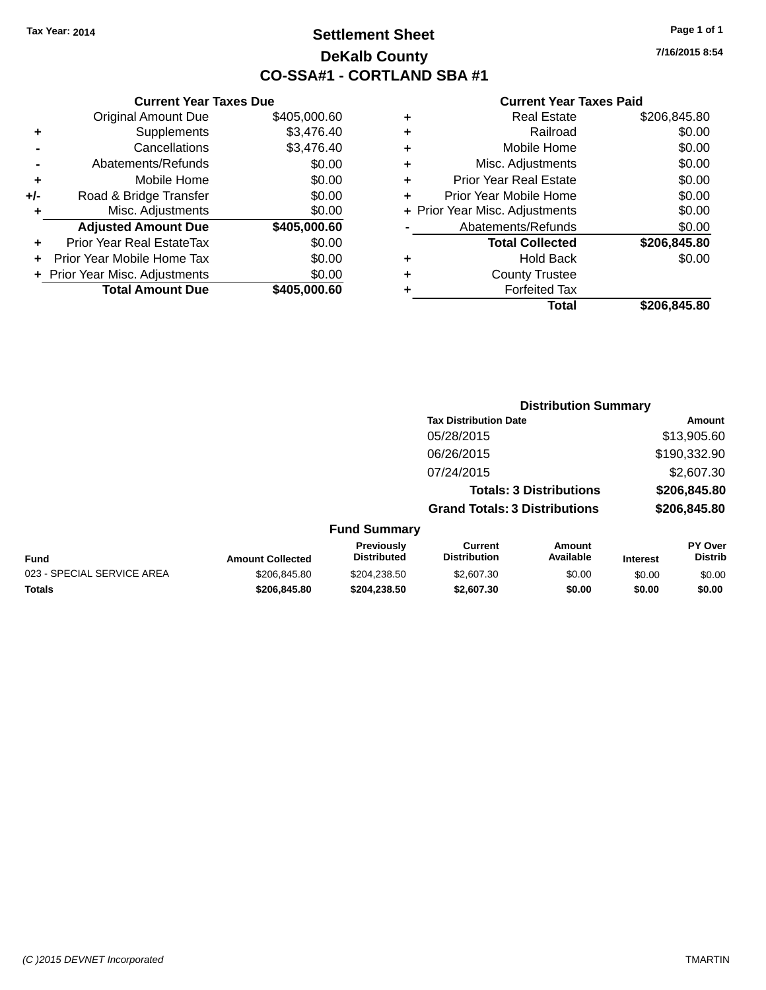### **Settlement Sheet Tax Year: 2014 Page 1 of 1 DeKalb County CO-SSA#1 - CORTLAND SBA #1**

**7/16/2015 8:54**

| <b>Current Year</b>            |   | <b>Current Year Taxes Due</b> |                                  |       |  |  |
|--------------------------------|---|-------------------------------|----------------------------------|-------|--|--|
| <b>Real Estate</b>             | ٠ | \$405,000.60                  | <b>Original Amount Due</b>       |       |  |  |
| Railroad                       | ٠ | \$3,476.40                    | Supplements                      |       |  |  |
| Mobile Home                    | ٠ | \$3,476.40                    | Cancellations                    |       |  |  |
| Misc. Adjustments              | ٠ | \$0.00                        | Abatements/Refunds               |       |  |  |
| <b>Prior Year Real Estate</b>  | ٠ | \$0.00                        | Mobile Home                      | ٠     |  |  |
| Prior Year Mobile Home         | ÷ | \$0.00                        | Road & Bridge Transfer           | $+/-$ |  |  |
| + Prior Year Misc. Adjustments |   | \$0.00                        | Misc. Adjustments                |       |  |  |
| Abatements/Refunds             |   | \$405,000.60                  | <b>Adjusted Amount Due</b>       |       |  |  |
| <b>Total Collected</b>         |   | \$0.00                        | <b>Prior Year Real EstateTax</b> |       |  |  |
| <b>Hold Back</b>               | ٠ | \$0.00                        | Prior Year Mobile Home Tax       |       |  |  |
| <b>County Trustee</b>          | ÷ | \$0.00                        | + Prior Year Misc. Adjustments   |       |  |  |
| <b>Forfeited Tax</b>           |   | \$405,000.60                  | <b>Total Amount Due</b>          |       |  |  |
| Total                          |   |                               |                                  |       |  |  |

|   | <b>Real Estate</b>             | \$206,845.80 |
|---|--------------------------------|--------------|
| ÷ | Railroad                       | \$0.00       |
| ٠ | Mobile Home                    | \$0.00       |
| ٠ | Misc. Adjustments              | \$0.00       |
| ٠ | <b>Prior Year Real Estate</b>  | \$0.00       |
| ÷ | Prior Year Mobile Home         | \$0.00       |
|   | + Prior Year Misc. Adjustments | \$0.00       |
|   | Abatements/Refunds             | \$0.00       |
|   | <b>Total Collected</b>         | \$206,845.80 |
| ٠ | <b>Hold Back</b>               | \$0.00       |
| ٠ | <b>County Trustee</b>          |              |
|   | <b>Forfeited Tax</b>           |              |
|   | Total                          | \$206,845.80 |
|   |                                |              |

|                            |                         |                                         |                                       | <b>Distribution Summary</b>    |                 |                           |
|----------------------------|-------------------------|-----------------------------------------|---------------------------------------|--------------------------------|-----------------|---------------------------|
|                            |                         |                                         | <b>Tax Distribution Date</b>          |                                |                 | <b>Amount</b>             |
|                            |                         |                                         | 05/28/2015                            |                                |                 | \$13,905.60               |
|                            |                         |                                         | 06/26/2015                            |                                |                 | \$190,332.90              |
|                            |                         |                                         | 07/24/2015                            |                                |                 | \$2,607.30                |
|                            |                         |                                         |                                       | <b>Totals: 3 Distributions</b> |                 | \$206,845.80              |
|                            |                         |                                         | <b>Grand Totals: 3 Distributions</b>  |                                |                 | \$206,845.80              |
|                            |                         | <b>Fund Summary</b>                     |                                       |                                |                 |                           |
| <b>Fund</b>                | <b>Amount Collected</b> | <b>Previously</b><br><b>Distributed</b> | <b>Current</b><br><b>Distribution</b> | Amount<br>Available            | <b>Interest</b> | PY Over<br><b>Distrib</b> |
| 023 - SPECIAL SERVICE AREA | \$206,845.80            | \$204,238.50                            | \$2,607.30                            | \$0.00                         | \$0.00          | \$0.00                    |
| <b>Totals</b>              | \$206,845.80            | \$204,238.50                            | \$2,607.30                            | \$0.00                         | \$0.00          | \$0.00                    |
|                            |                         |                                         |                                       |                                |                 |                           |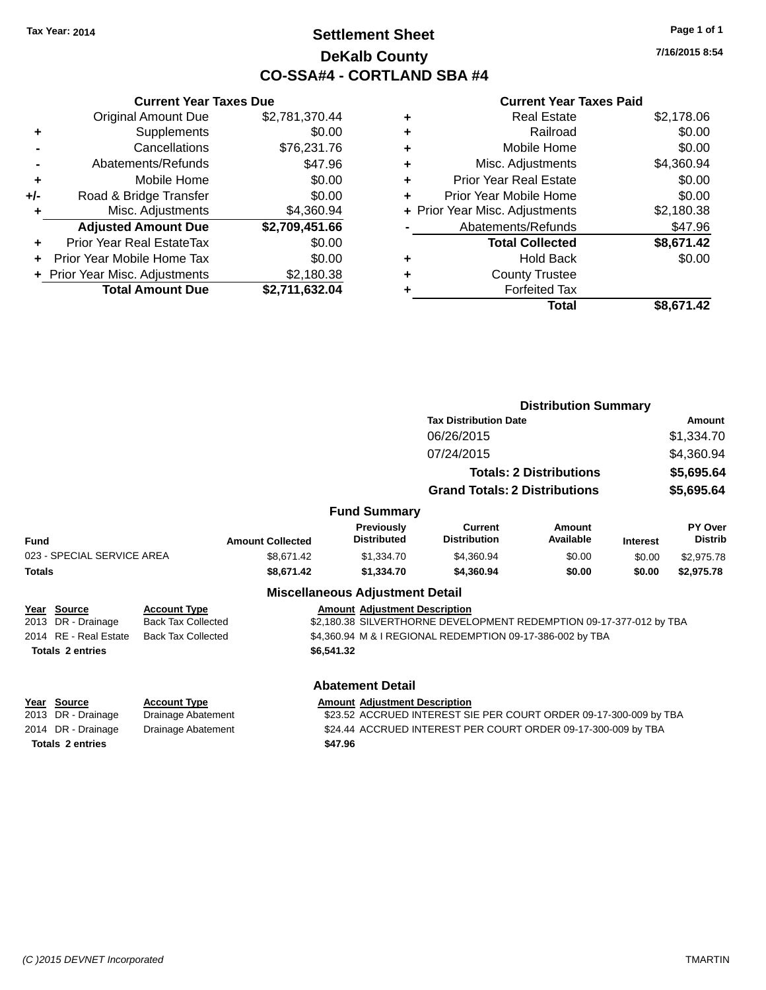### **Settlement Sheet Tax Year: 2014 Page 1 of 1 DeKalb County CO-SSA#4 - CORTLAND SBA #4**

**7/16/2015 8:54**

| \$2,781,370.44                                                                                                         |
|------------------------------------------------------------------------------------------------------------------------|
|                                                                                                                        |
|                                                                                                                        |
|                                                                                                                        |
|                                                                                                                        |
|                                                                                                                        |
|                                                                                                                        |
| \$2,709,451.66                                                                                                         |
|                                                                                                                        |
|                                                                                                                        |
|                                                                                                                        |
|                                                                                                                        |
| \$0.00<br>\$76,231.76<br>\$47.96<br>\$0.00<br>\$0.00<br>\$4,360.94<br>\$0.00<br>\$0.00<br>\$2,180.38<br>\$2,711,632.04 |

|   | <b>Real Estate</b>             | \$2,178.06 |
|---|--------------------------------|------------|
| ٠ | Railroad                       | \$0.00     |
| ٠ | Mobile Home                    | \$0.00     |
| ٠ | Misc. Adjustments              | \$4,360.94 |
| ٠ | <b>Prior Year Real Estate</b>  | \$0.00     |
| ÷ | Prior Year Mobile Home         | \$0.00     |
|   | + Prior Year Misc. Adjustments | \$2,180.38 |
|   | Abatements/Refunds             | \$47.96    |
|   | <b>Total Collected</b>         | \$8,671.42 |
| ٠ | <b>Hold Back</b>               | \$0.00     |
| ٠ | <b>County Trustee</b>          |            |
|   | <b>Forfeited Tax</b>           |            |
|   | Total                          | \$8,671.42 |
|   |                                |            |

|               |                                    |                           |                         |                                         |                                                                     | <b>Distribution Summary</b>    |                 |                           |
|---------------|------------------------------------|---------------------------|-------------------------|-----------------------------------------|---------------------------------------------------------------------|--------------------------------|-----------------|---------------------------|
|               |                                    |                           |                         |                                         | <b>Tax Distribution Date</b>                                        |                                |                 | Amount                    |
|               |                                    |                           |                         |                                         | 06/26/2015                                                          |                                |                 | \$1,334.70                |
|               |                                    |                           |                         |                                         | 07/24/2015                                                          |                                |                 | \$4,360.94                |
|               |                                    |                           |                         |                                         |                                                                     | <b>Totals: 2 Distributions</b> |                 | \$5,695.64                |
|               |                                    |                           |                         |                                         | <b>Grand Totals: 2 Distributions</b>                                |                                |                 | \$5,695.64                |
|               |                                    |                           |                         | <b>Fund Summary</b>                     |                                                                     |                                |                 |                           |
| <b>Fund</b>   |                                    |                           | <b>Amount Collected</b> | <b>Previously</b><br><b>Distributed</b> | Current<br><b>Distribution</b>                                      | Amount<br>Available            | <b>Interest</b> | PY Over<br><b>Distrib</b> |
|               | 023 - SPECIAL SERVICE AREA         |                           | \$8.671.42              | \$1,334.70                              | \$4,360.94                                                          | \$0.00                         | \$0.00          | \$2,975.78                |
| <b>Totals</b> |                                    |                           | \$8.671.42              | \$1,334.70                              | \$4,360.94                                                          | \$0.00                         | \$0.00          | \$2,975.78                |
|               |                                    |                           |                         | <b>Miscellaneous Adjustment Detail</b>  |                                                                     |                                |                 |                           |
|               | Year Source                        | <b>Account Type</b>       |                         | <b>Amount Adiustment Description</b>    |                                                                     |                                |                 |                           |
|               | 2013 DR - Drainage                 | <b>Back Tax Collected</b> |                         |                                         | \$2,180.38 SILVERTHORNE DEVELOPMENT REDEMPTION 09-17-377-012 by TBA |                                |                 |                           |
|               | 2014 RE - Real Estate              | <b>Back Tax Collected</b> |                         |                                         | \$4,360.94 M & I REGIONAL REDEMPTION 09-17-386-002 by TBA           |                                |                 |                           |
|               | <b>Totals 2 entries</b>            |                           |                         | \$6,541.32                              |                                                                     |                                |                 |                           |
|               |                                    |                           |                         | <b>Abatement Detail</b>                 |                                                                     |                                |                 |                           |
|               | Year Source                        | <b>Account Type</b>       |                         | <b>Amount Adjustment Description</b>    |                                                                     |                                |                 |                           |
|               | 2013 DR - Drainage                 | Drainage Abatement        |                         |                                         | \$23.52 ACCRUED INTEREST SIE PER COURT ORDER 09-17-300-009 by TBA   |                                |                 |                           |
|               | 2014 DR - Drainage                 | Drainage Abatement        |                         |                                         | \$24.44 ACCRUED INTEREST PER COURT ORDER 09-17-300-009 by TBA       |                                |                 |                           |
|               | <b>Totals 2 entries</b><br>\$47.96 |                           |                         |                                         |                                                                     |                                |                 |                           |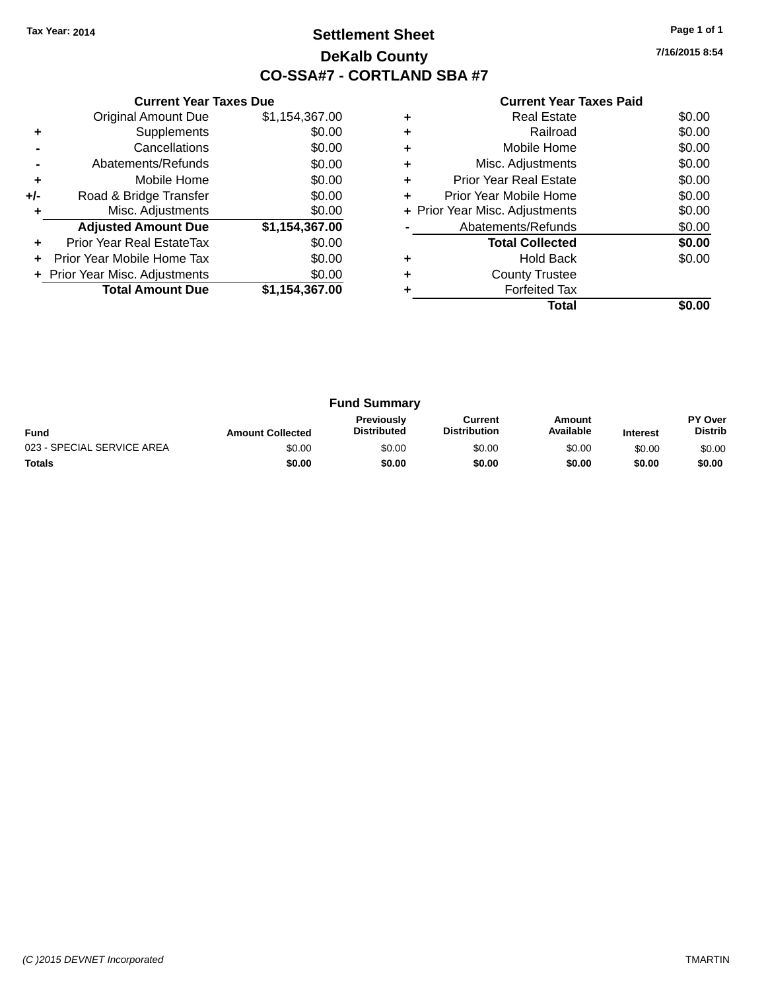### **Settlement Sheet Tax Year: 2014 Page 1 of 1 DeKalb County CO-SSA#7 - CORTLAND SBA #7**

**7/16/2015 8:54**

|     | <b>Current Year Taxes Due</b>  |                |
|-----|--------------------------------|----------------|
|     | <b>Original Amount Due</b>     | \$1,154,367.00 |
| ٠   | Supplements                    | \$0.00         |
|     | Cancellations                  | \$0.00         |
|     | Abatements/Refunds             | \$0.00         |
| ٠   | Mobile Home                    | \$0.00         |
| +/- | Road & Bridge Transfer         | \$0.00         |
| ٠   | Misc. Adjustments              | \$0.00         |
|     | <b>Adjusted Amount Due</b>     | \$1,154,367.00 |
| ÷   | Prior Year Real EstateTax      | \$0.00         |
| ÷   | Prior Year Mobile Home Tax     | \$0.00         |
|     | + Prior Year Misc. Adjustments | \$0.00         |
|     | <b>Total Amount Due</b>        | \$1,154,367.00 |
|     |                                |                |

|   | <b>Real Estate</b>             | \$0.00 |
|---|--------------------------------|--------|
| ٠ | Railroad                       | \$0.00 |
| ٠ | Mobile Home                    | \$0.00 |
| ٠ | Misc. Adjustments              | \$0.00 |
| ٠ | <b>Prior Year Real Estate</b>  | \$0.00 |
| ٠ | Prior Year Mobile Home         | \$0.00 |
|   | + Prior Year Misc. Adjustments | \$0.00 |
|   | Abatements/Refunds             | \$0.00 |
|   | <b>Total Collected</b>         | \$0.00 |
|   | Hold Back                      | \$0.00 |
| ٠ | <b>County Trustee</b>          |        |
|   | <b>Forfeited Tax</b>           |        |
|   | Total                          |        |

| <b>Fund Summary</b>        |                         |                                         |                                |                     |                 |                           |
|----------------------------|-------------------------|-----------------------------------------|--------------------------------|---------------------|-----------------|---------------------------|
| <b>Fund</b>                | <b>Amount Collected</b> | <b>Previously</b><br><b>Distributed</b> | Current<br><b>Distribution</b> | Amount<br>Available | <b>Interest</b> | PY Over<br><b>Distrib</b> |
| 023 - SPECIAL SERVICE AREA | \$0.00                  | \$0.00                                  | \$0.00                         | \$0.00              | \$0.00          | \$0.00                    |
| <b>Totals</b>              | \$0.00                  | \$0.00                                  | \$0.00                         | \$0.00              | \$0.00          | \$0.00                    |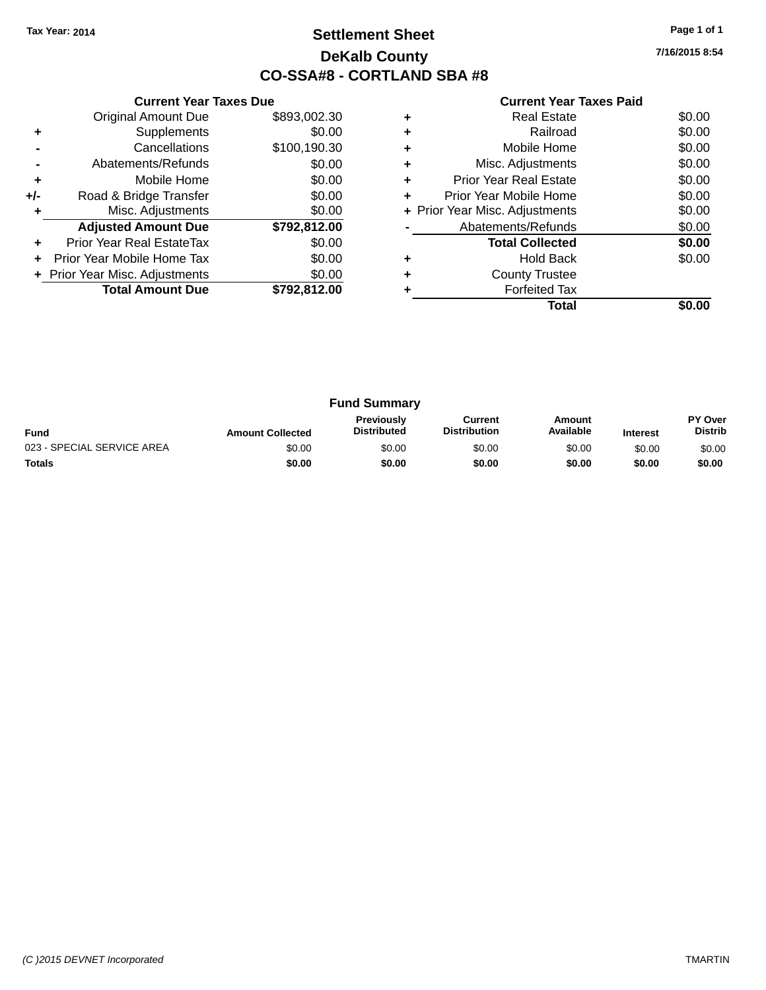### **Settlement Sheet Tax Year: 2014 Page 1 of 1 DeKalb County CO-SSA#8 - CORTLAND SBA #8**

**7/16/2015 8:54**

|     | <b>Current Year Taxes Due</b>  |              |
|-----|--------------------------------|--------------|
|     | <b>Original Amount Due</b>     | \$893,002.30 |
| ٠   | Supplements                    | \$0.00       |
|     | Cancellations                  | \$100,190.30 |
|     | Abatements/Refunds             | \$0.00       |
| ٠   | Mobile Home                    | \$0.00       |
| +/- | Road & Bridge Transfer         | \$0.00       |
|     | Misc. Adjustments              | \$0.00       |
|     | <b>Adjusted Amount Due</b>     | \$792,812.00 |
| ٠   | Prior Year Real EstateTax      | \$0.00       |
|     | Prior Year Mobile Home Tax     | \$0.00       |
|     | + Prior Year Misc. Adjustments | \$0.00       |
|     | <b>Total Amount Due</b>        | \$792,812.00 |
|     |                                |              |

|   | <b>Real Estate</b>             | \$0.00 |
|---|--------------------------------|--------|
|   | Railroad                       | \$0.00 |
| ٠ | Mobile Home                    | \$0.00 |
| ٠ | Misc. Adjustments              | \$0.00 |
| ٠ | Prior Year Real Estate         | \$0.00 |
| ٠ | Prior Year Mobile Home         | \$0.00 |
|   | + Prior Year Misc. Adjustments | \$0.00 |
|   | Abatements/Refunds             | \$0.00 |
|   | <b>Total Collected</b>         | \$0.00 |
|   | <b>Hold Back</b>               | \$0.00 |
|   | <b>County Trustee</b>          |        |
|   | <b>Forfeited Tax</b>           |        |
|   | Total                          |        |

| <b>Fund Summary</b>        |                         |                                         |                                |                     |                 |                                  |
|----------------------------|-------------------------|-----------------------------------------|--------------------------------|---------------------|-----------------|----------------------------------|
| <b>Fund</b>                | <b>Amount Collected</b> | <b>Previously</b><br><b>Distributed</b> | Current<br><b>Distribution</b> | Amount<br>Available | <b>Interest</b> | <b>PY Over</b><br><b>Distrib</b> |
| 023 - SPECIAL SERVICE AREA | \$0.00                  | \$0.00                                  | \$0.00                         | \$0.00              | \$0.00          | \$0.00                           |
| <b>Totals</b>              | \$0.00                  | \$0.00                                  | \$0.00                         | \$0.00              | \$0.00          | \$0.00                           |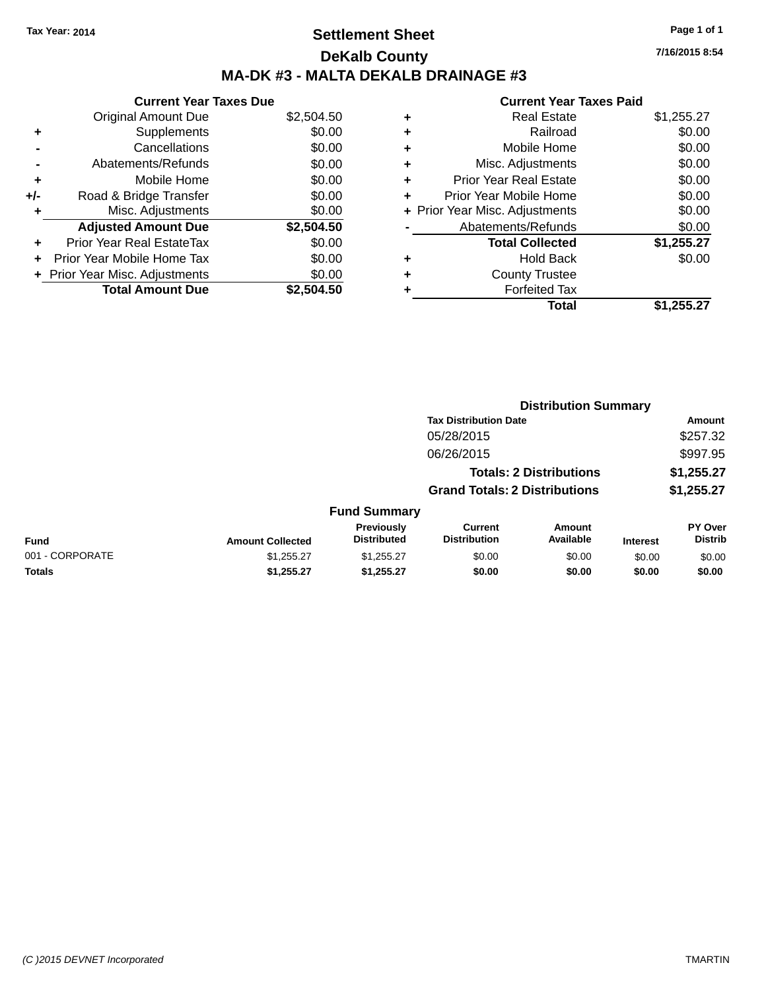### **Settlement Sheet Tax Year: 2014 Page 1 of 1 DeKalb County MA-DK #3 - MALTA DEKALB DRAINAGE #3**

|     | <b>Current Year Taxes Due</b>  |            |
|-----|--------------------------------|------------|
|     | <b>Original Amount Due</b>     | \$2,504.50 |
| ٠   | Supplements                    | \$0.00     |
|     | Cancellations                  | \$0.00     |
|     | Abatements/Refunds             | \$0.00     |
| ٠   | Mobile Home                    | \$0.00     |
| +/- | Road & Bridge Transfer         | \$0.00     |
| ۰   | Misc. Adjustments              | \$0.00     |
|     | <b>Adjusted Amount Due</b>     | \$2,504.50 |
| ÷   | Prior Year Real EstateTax      | \$0.00     |
|     | Prior Year Mobile Home Tax     | \$0.00     |
|     | + Prior Year Misc. Adjustments | \$0.00     |
|     | <b>Total Amount Due</b>        | \$2.504.50 |

|   | <b>Real Estate</b>             | \$1,255.27 |
|---|--------------------------------|------------|
| ٠ | Railroad                       | \$0.00     |
| ٠ | Mobile Home                    | \$0.00     |
| ٠ | Misc. Adjustments              | \$0.00     |
| ٠ | <b>Prior Year Real Estate</b>  | \$0.00     |
| ٠ | Prior Year Mobile Home         | \$0.00     |
|   | + Prior Year Misc. Adjustments | \$0.00     |
|   | Abatements/Refunds             | \$0.00     |
|   | <b>Total Collected</b>         | \$1,255.27 |
|   | <b>Hold Back</b>               | \$0.00     |
| ٠ | <b>County Trustee</b>          |            |
| ٠ | <b>Forfeited Tax</b>           |            |
|   | Total                          | \$1,255.27 |
|   |                                |            |

|                 |                         | <b>Distribution Summary</b>             |                                       |                                |                 |                           |  |
|-----------------|-------------------------|-----------------------------------------|---------------------------------------|--------------------------------|-----------------|---------------------------|--|
|                 |                         |                                         | <b>Tax Distribution Date</b>          |                                |                 | Amount                    |  |
|                 |                         |                                         | 05/28/2015                            |                                |                 | \$257.32                  |  |
|                 |                         |                                         | 06/26/2015                            |                                |                 | \$997.95                  |  |
|                 |                         |                                         |                                       | <b>Totals: 2 Distributions</b> |                 | \$1,255.27                |  |
|                 |                         |                                         | <b>Grand Totals: 2 Distributions</b>  |                                |                 | \$1,255.27                |  |
|                 |                         | <b>Fund Summary</b>                     |                                       |                                |                 |                           |  |
| <b>Fund</b>     | <b>Amount Collected</b> | <b>Previously</b><br><b>Distributed</b> | <b>Current</b><br><b>Distribution</b> | Amount<br>Available            | <b>Interest</b> | PY Over<br><b>Distrib</b> |  |
| 001 - CORPORATE | \$1,255.27              | \$1,255.27                              | \$0.00                                | \$0.00                         | \$0.00          | \$0.00                    |  |
| <b>Totals</b>   | \$1,255.27              | \$1,255.27                              | \$0.00                                | \$0.00                         | \$0.00          | \$0.00                    |  |
|                 |                         |                                         |                                       |                                |                 |                           |  |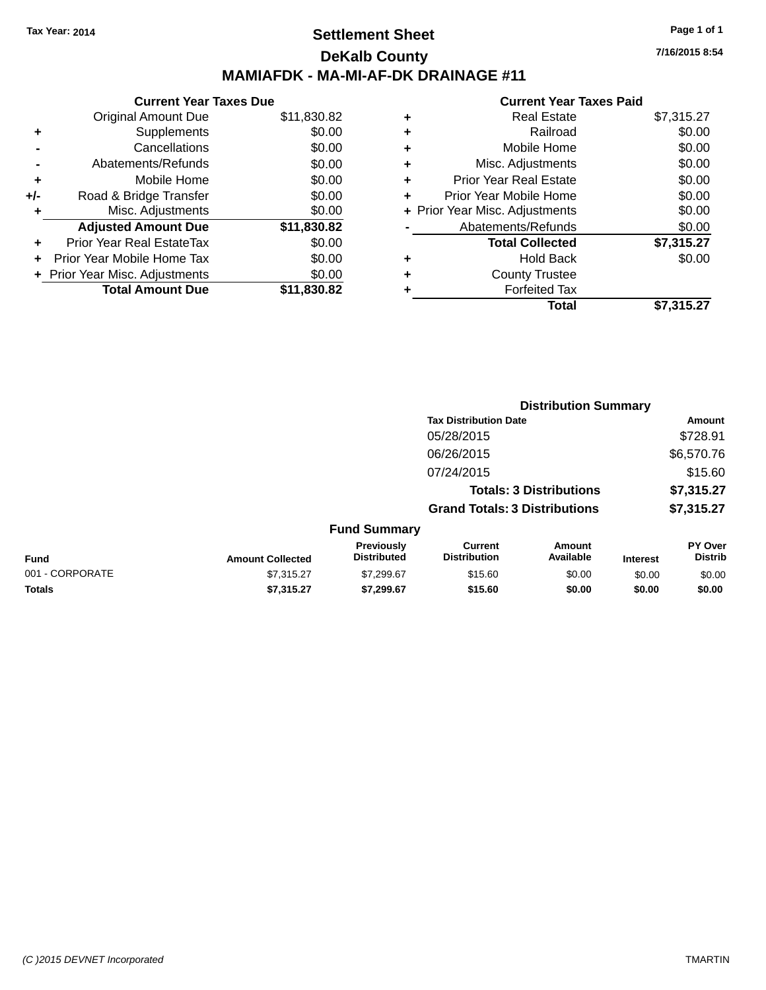### **Settlement Sheet Tax Year: 2014 Page 1 of 1 DeKalb County MAMIAFDK - MA-MI-AF-DK DRAINAGE #11**

**Current Year Taxes Due** Original Amount Due \$11,830.82 **+** Supplements \$0.00 **-** Cancellations \$0.00 **-** Abatements/Refunds \$0.00 **+** Mobile Home \$0.00 **+/-** Road & Bridge Transfer \$0.00 **+** Misc. Adjustments \$0.00 **Adjusted Amount Due \$11,830.82 +** Prior Year Real EstateTax \$0.00 **+** Prior Year Mobile Home Tax \$0.00 **+ Prior Year Misc. Adjustments**  $$0.00$ **Total Amount Due \$11,830.82**

#### **Current Year Taxes Paid**

|   | <b>Real Estate</b>             | \$7,315.27 |
|---|--------------------------------|------------|
| ٠ | Railroad                       | \$0.00     |
| ٠ | Mobile Home                    | \$0.00     |
| ٠ | Misc. Adjustments              | \$0.00     |
| ٠ | <b>Prior Year Real Estate</b>  | \$0.00     |
| ٠ | Prior Year Mobile Home         | \$0.00     |
|   | + Prior Year Misc. Adjustments | \$0.00     |
|   | Abatements/Refunds             | \$0.00     |
|   | <b>Total Collected</b>         | \$7,315.27 |
| ٠ | Hold Back                      | \$0.00     |
|   | <b>County Trustee</b>          |            |
| ٠ | <b>Forfeited Tax</b>           |            |
|   | Total                          | \$7,315.27 |
|   |                                |            |

|                 |                         |                                  |                                       | <b>Distribution Summary</b>    |                 |                                  |
|-----------------|-------------------------|----------------------------------|---------------------------------------|--------------------------------|-----------------|----------------------------------|
|                 |                         |                                  | <b>Tax Distribution Date</b>          |                                |                 | Amount                           |
|                 |                         |                                  | 05/28/2015                            |                                |                 | \$728.91                         |
|                 |                         |                                  | 06/26/2015                            |                                |                 | \$6,570.76                       |
|                 |                         |                                  | 07/24/2015                            |                                |                 | \$15.60                          |
|                 |                         |                                  |                                       | <b>Totals: 3 Distributions</b> |                 | \$7,315.27                       |
|                 |                         |                                  | <b>Grand Totals: 3 Distributions</b>  |                                |                 | \$7,315.27                       |
|                 |                         | <b>Fund Summary</b>              |                                       |                                |                 |                                  |
| <b>Fund</b>     | <b>Amount Collected</b> | Previously<br><b>Distributed</b> | <b>Current</b><br><b>Distribution</b> | Amount<br>Available            | <b>Interest</b> | <b>PY Over</b><br><b>Distrib</b> |
| 001 - CORPORATE | \$7,315.27              | \$7,299.67                       | \$15.60                               | \$0.00                         | \$0.00          | \$0.00                           |
| <b>Totals</b>   | \$7,315.27              | \$7,299.67                       | \$15.60                               | \$0.00                         | \$0.00          | \$0.00                           |

**7/16/2015 8:54**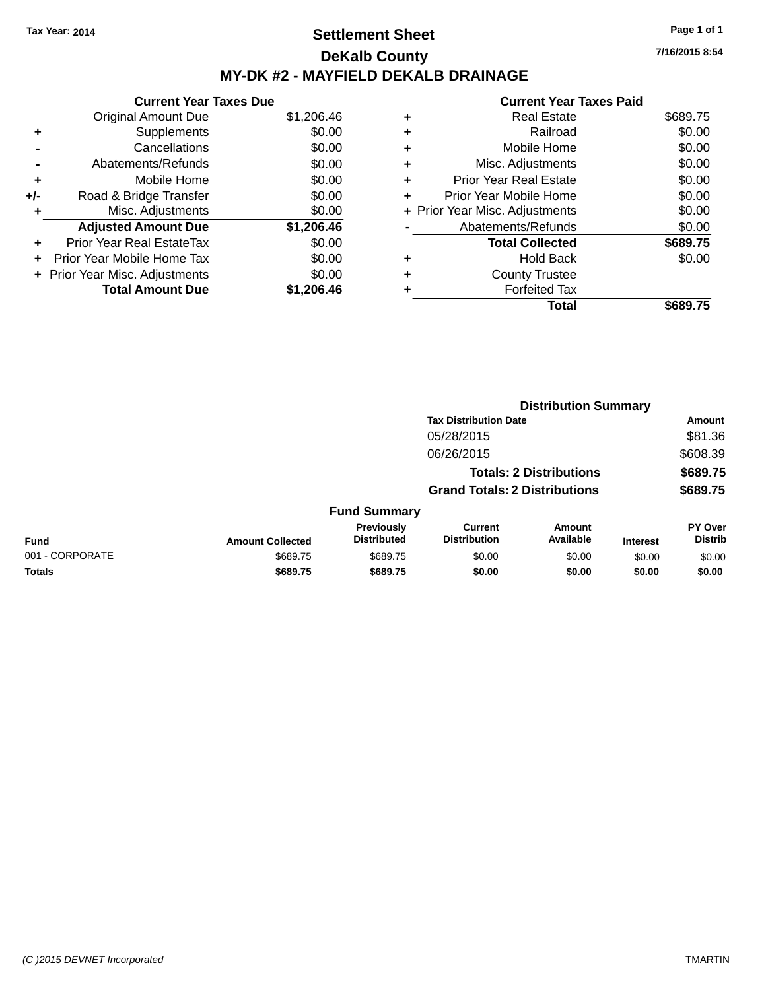### **Settlement Sheet Tax Year: 2014 Page 1 of 1 DeKalb County MY-DK #2 - MAYFIELD DEKALB DRAINAGE**

**7/16/2015 8:54**

|     | <b>Current Year Taxes Due</b> |            |
|-----|-------------------------------|------------|
|     | <b>Original Amount Due</b>    | \$1,206.46 |
| ٠   | Supplements                   | \$0.00     |
|     | Cancellations                 | \$0.00     |
|     | Abatements/Refunds            | \$0.00     |
| ٠   | Mobile Home                   | \$0.00     |
| +/- | Road & Bridge Transfer        | \$0.00     |
|     | Misc. Adjustments             | \$0.00     |
|     | <b>Adjusted Amount Due</b>    | \$1,206.46 |
| ÷   | Prior Year Real EstateTax     | \$0.00     |
| ÷   | Prior Year Mobile Home Tax    | \$0.00     |
|     | Prior Year Misc. Adjustments  | \$0.00     |
|     | <b>Total Amount Due</b>       | \$1.206.46 |

| ٠ | <b>Real Estate</b>             | \$689.75 |
|---|--------------------------------|----------|
| ٠ | Railroad                       | \$0.00   |
| ٠ | Mobile Home                    | \$0.00   |
| + | Misc. Adjustments              | \$0.00   |
| ٠ | <b>Prior Year Real Estate</b>  | \$0.00   |
|   | Prior Year Mobile Home         | \$0.00   |
|   | + Prior Year Misc. Adjustments | \$0.00   |
|   | Abatements/Refunds             | \$0.00   |
|   | <b>Total Collected</b>         | \$689.75 |
| ٠ | <b>Hold Back</b>               | \$0.00   |
| ٠ | <b>County Trustee</b>          |          |
|   | <b>Forfeited Tax</b>           |          |
|   | Total                          | \$689.75 |
|   |                                |          |

|                 |                         |                                  | <b>Distribution Summary</b>           |                                |                 |                           |  |
|-----------------|-------------------------|----------------------------------|---------------------------------------|--------------------------------|-----------------|---------------------------|--|
|                 |                         |                                  | <b>Tax Distribution Date</b>          |                                |                 | Amount                    |  |
|                 |                         |                                  | 05/28/2015                            |                                |                 | \$81.36                   |  |
|                 |                         |                                  | 06/26/2015                            |                                |                 | \$608.39                  |  |
|                 |                         |                                  |                                       | <b>Totals: 2 Distributions</b> |                 | \$689.75                  |  |
|                 |                         |                                  | <b>Grand Totals: 2 Distributions</b>  |                                |                 | \$689.75                  |  |
|                 |                         | <b>Fund Summary</b>              |                                       |                                |                 |                           |  |
| Fund            | <b>Amount Collected</b> | Previously<br><b>Distributed</b> | <b>Current</b><br><b>Distribution</b> | Amount<br>Available            | <b>Interest</b> | PY Over<br><b>Distrib</b> |  |
| 001 - CORPORATE | \$689.75                | \$689.75                         | \$0.00                                | \$0.00                         | \$0.00          | \$0.00                    |  |
| <b>Totals</b>   | \$689.75                | \$689.75                         | \$0.00                                | \$0.00                         | \$0.00          | \$0.00                    |  |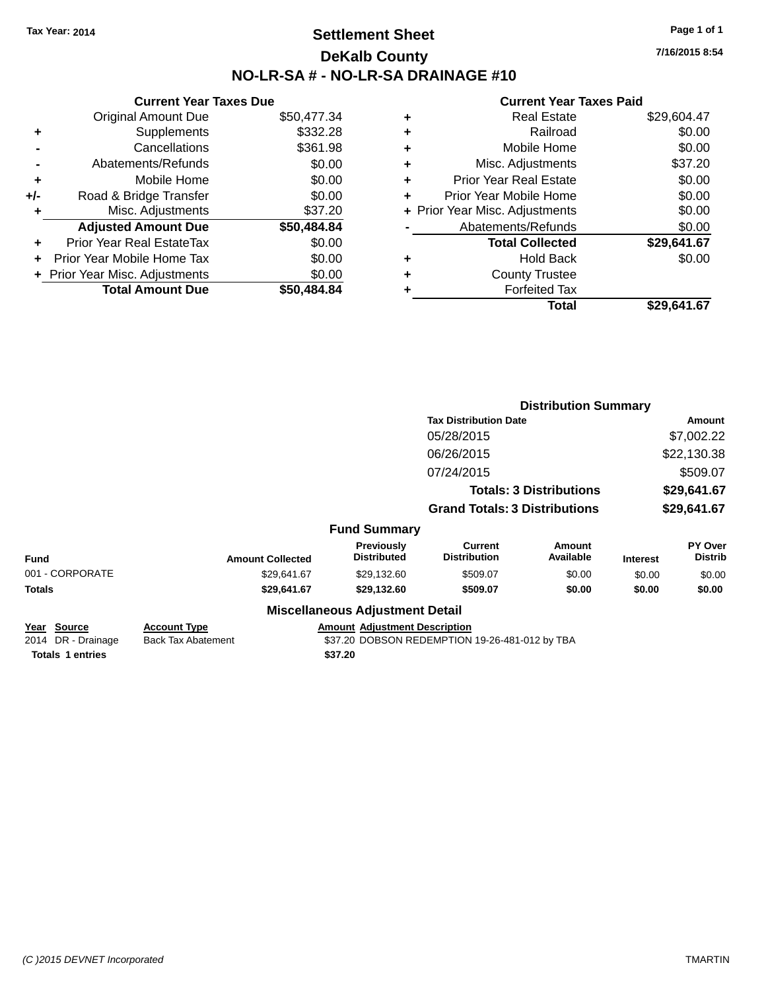### **Settlement Sheet Tax Year: 2014 Page 1 of 1 DeKalb County NO-LR-SA # - NO-LR-SA DRAINAGE #10**

**7/16/2015 8:54**

| \$50,477.34 |
|-------------|
|             |
| \$332.28    |
| \$361.98    |
| \$0.00      |
| \$0.00      |
| \$0.00      |
| \$37.20     |
| \$50,484.84 |
| \$0.00      |
| \$0.00      |
| \$0.00      |
|             |
|             |

| ٠ | <b>Real Estate</b>             | \$29.604.47 |
|---|--------------------------------|-------------|
| ٠ | Railroad                       | \$0.00      |
| ٠ | Mobile Home                    | \$0.00      |
| ٠ | Misc. Adjustments              | \$37.20     |
| ٠ | <b>Prior Year Real Estate</b>  | \$0.00      |
| ٠ | Prior Year Mobile Home         | \$0.00      |
|   | + Prior Year Misc. Adjustments | \$0.00      |
|   | Abatements/Refunds             | \$0.00      |
|   | <b>Total Collected</b>         | \$29,641.67 |
| ٠ | <b>Hold Back</b>               | \$0.00      |
| ٠ | <b>County Trustee</b>          |             |
|   | <b>Forfeited Tax</b>           |             |
|   | Total                          | \$29.641.67 |
|   |                                |             |

|                                          |                                                  |                                         | <b>Distribution Summary</b>                    |                                |                 |                           |
|------------------------------------------|--------------------------------------------------|-----------------------------------------|------------------------------------------------|--------------------------------|-----------------|---------------------------|
|                                          |                                                  |                                         | <b>Tax Distribution Date</b>                   |                                | Amount          |                           |
|                                          |                                                  |                                         | 05/28/2015                                     |                                |                 | \$7,002.22                |
|                                          |                                                  |                                         | 06/26/2015                                     |                                |                 | \$22,130.38               |
|                                          |                                                  |                                         | 07/24/2015                                     |                                |                 | \$509.07                  |
|                                          |                                                  |                                         |                                                | <b>Totals: 3 Distributions</b> |                 | \$29,641.67               |
|                                          |                                                  |                                         | <b>Grand Totals: 3 Distributions</b>           |                                |                 | \$29,641.67               |
|                                          |                                                  | <b>Fund Summary</b>                     |                                                |                                |                 |                           |
| <b>Fund</b>                              | <b>Amount Collected</b>                          | <b>Previously</b><br><b>Distributed</b> | Current<br><b>Distribution</b>                 | <b>Amount</b><br>Available     | <b>Interest</b> | PY Over<br><b>Distrib</b> |
| 001 - CORPORATE                          | \$29,641.67                                      | \$29,132.60                             | \$509.07                                       | \$0.00                         | \$0.00          | \$0.00                    |
| Totals                                   | \$29,641.67                                      | \$29,132.60                             | \$509.07                                       | \$0.00                         | \$0.00          | \$0.00                    |
|                                          |                                                  | <b>Miscellaneous Adjustment Detail</b>  |                                                |                                |                 |                           |
| <u>Year Source</u><br>2014 DR - Drainage | <b>Account Type</b><br><b>Back Tax Abatement</b> | <b>Amount Adjustment Description</b>    | \$37.20 DOBSON REDEMPTION 19-26-481-012 by TBA |                                |                 |                           |
| Totals 1 entries                         |                                                  | \$37.20                                 |                                                |                                |                 |                           |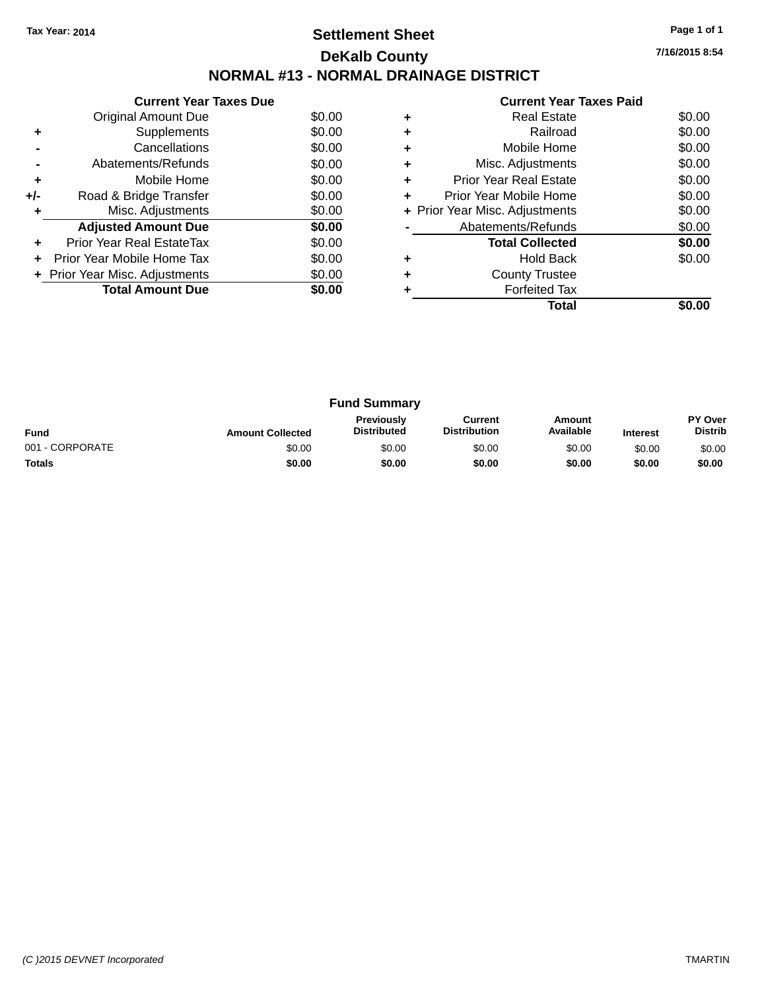### **Settlement Sheet Tax Year: 2014 Page 1 of 1 DeKalb County NORMAL #13 - NORMAL DRAINAGE DISTRICT**

**Current Year Taxes Due** Original Amount Due \$0.00<br>Supplements \$0.00 **+** Supplements **-** Cancellations \$0.00 **-** Abatements/Refunds \$0.00 **+** Mobile Home \$0.00 **+/-** Road & Bridge Transfer \$0.00<br> **+** Misc. Adjustments \$0.00 **+** Misc. Adjustments Adjusted Amount Due \$0.00 **+** Prior Year Real EstateTax \$0.00 **+** Prior Year Mobile Home Tax \$0.00 **+ Prior Year Misc. Adjustments**  $$0.00$ **Total Amount Due \$0.00** 

|   | <b>Current Year Taxes Paid</b> |        |
|---|--------------------------------|--------|
| ٠ | Real Estate                    | \$0.00 |
| ٠ | Railroad                       | \$0.00 |
| ٠ | Mobile Home                    | \$0.00 |
| ٠ | Misc. Adjustments              | \$0.00 |
| ٠ | Prior Year Real Estate         | \$0.00 |
| ٠ | Prior Year Mobile Home         | \$0.00 |
|   | + Prior Year Misc. Adjustments | \$0.00 |
|   | Abatements/Refunds             | \$0.00 |
|   | <b>Total Collected</b>         | \$0.00 |
|   | <b>Hold Back</b>               | \$0.00 |
| ٠ | <b>County Trustee</b>          |        |
|   | <b>Forfeited Tax</b>           |        |
|   | Total                          | \$0.00 |

| <b>Fund Summary</b> |                         |                                         |                                |                     |                 |                                  |
|---------------------|-------------------------|-----------------------------------------|--------------------------------|---------------------|-----------------|----------------------------------|
| <b>Fund</b>         | <b>Amount Collected</b> | <b>Previously</b><br><b>Distributed</b> | Current<br><b>Distribution</b> | Amount<br>Available | <b>Interest</b> | <b>PY Over</b><br><b>Distrib</b> |
| 001 - CORPORATE     | \$0.00                  | \$0.00                                  | \$0.00                         | \$0.00              | \$0.00          | \$0.00                           |
| <b>Totals</b>       | \$0.00                  | \$0.00                                  | \$0.00                         | \$0.00              | \$0.00          | \$0.00                           |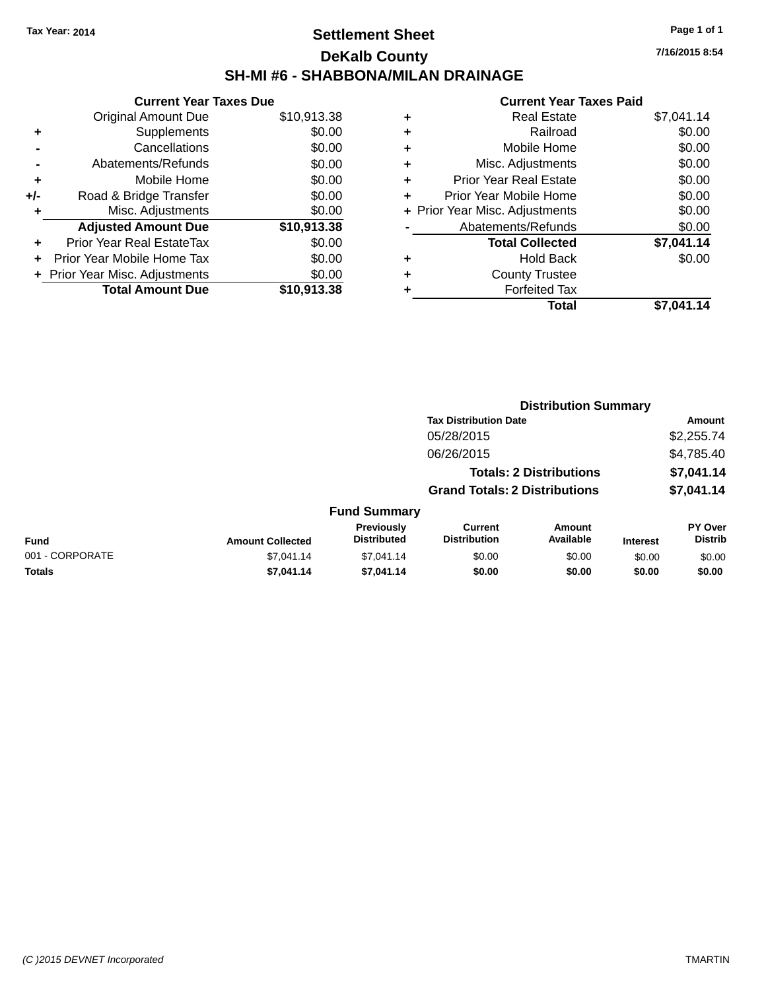### **Settlement Sheet Tax Year: 2014 Page 1 of 1 DeKalb County SH-MI #6 - SHABBONA/MILAN DRAINAGE**

**7/16/2015 8:54**

|     | <b>Current Year Taxes Due</b>  |             |
|-----|--------------------------------|-------------|
|     | Original Amount Due            | \$10,913.38 |
| ٠   | Supplements                    | \$0.00      |
|     | Cancellations                  | \$0.00      |
|     | Abatements/Refunds             | \$0.00      |
| ٠   | Mobile Home                    | \$0.00      |
| +/- | Road & Bridge Transfer         | \$0.00      |
|     | Misc. Adjustments              | \$0.00      |
|     | <b>Adjusted Amount Due</b>     | \$10,913.38 |
| ÷   | Prior Year Real EstateTax      | \$0.00      |
| ÷   | Prior Year Mobile Home Tax     | \$0.00      |
|     | + Prior Year Misc. Adjustments | \$0.00      |
|     | <b>Total Amount Due</b>        | \$10,913,38 |

| ٠ | <b>Real Estate</b>             | \$7,041.14 |
|---|--------------------------------|------------|
| ٠ | Railroad                       | \$0.00     |
| ٠ | Mobile Home                    | \$0.00     |
| ٠ | Misc. Adjustments              | \$0.00     |
| ٠ | <b>Prior Year Real Estate</b>  | \$0.00     |
| ٠ | Prior Year Mobile Home         | \$0.00     |
|   | + Prior Year Misc. Adjustments | \$0.00     |
|   | Abatements/Refunds             | \$0.00     |
|   | <b>Total Collected</b>         | \$7,041.14 |
| ٠ | <b>Hold Back</b>               | \$0.00     |
| ٠ | <b>County Trustee</b>          |            |
| ٠ | <b>Forfeited Tax</b>           |            |
|   | Total                          | \$7,041.14 |
|   |                                |            |

|                 |                         |                                  |                                       | <b>Distribution Summary</b>    |                 |                           |
|-----------------|-------------------------|----------------------------------|---------------------------------------|--------------------------------|-----------------|---------------------------|
|                 |                         |                                  | <b>Tax Distribution Date</b>          |                                |                 | Amount                    |
|                 |                         |                                  | 05/28/2015                            |                                |                 | \$2,255.74                |
|                 |                         |                                  | 06/26/2015                            |                                |                 | \$4,785.40                |
|                 |                         |                                  |                                       | <b>Totals: 2 Distributions</b> |                 | \$7,041.14                |
|                 |                         |                                  | <b>Grand Totals: 2 Distributions</b>  |                                |                 | \$7,041.14                |
|                 |                         | <b>Fund Summary</b>              |                                       |                                |                 |                           |
| Fund            | <b>Amount Collected</b> | Previously<br><b>Distributed</b> | <b>Current</b><br><b>Distribution</b> | Amount<br>Available            | <b>Interest</b> | PY Over<br><b>Distrib</b> |
| 001 - CORPORATE | \$7.041.14              | \$7,041.14                       | \$0.00                                | \$0.00                         | \$0.00          | \$0.00                    |
| <b>Totals</b>   | \$7,041.14              | \$7,041.14                       | \$0.00                                | \$0.00                         | \$0.00          | \$0.00                    |
|                 |                         |                                  |                                       |                                |                 |                           |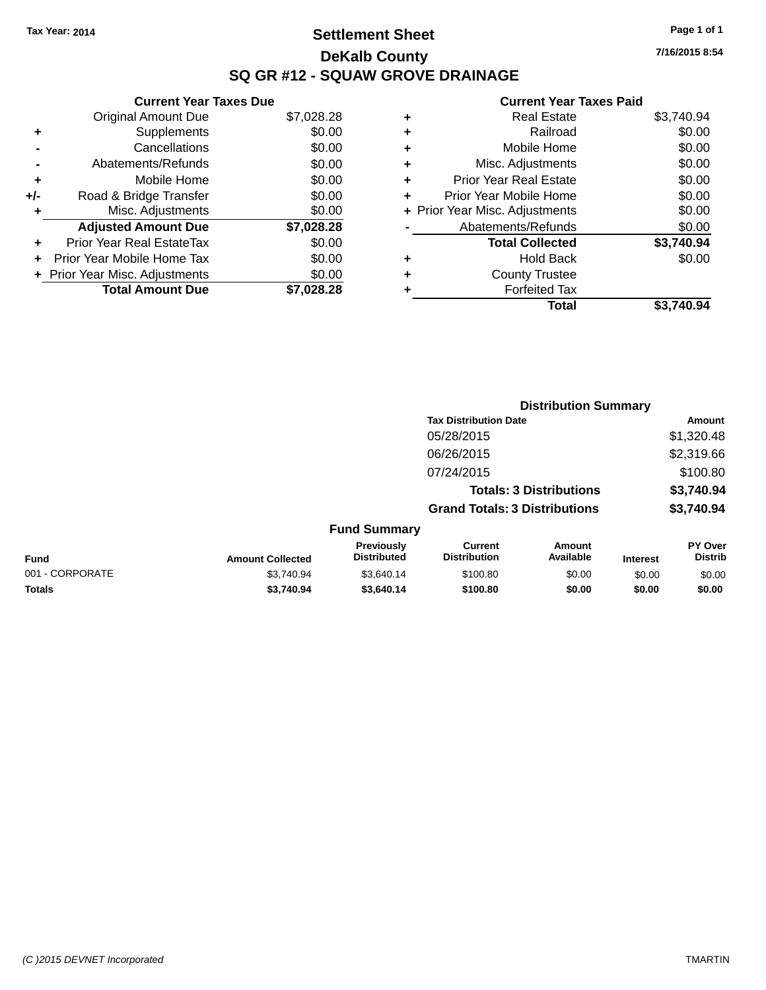### **Settlement Sheet Tax Year: 2014 Page 1 of 1 DeKalb County SQ GR #12 - SQUAW GROVE DRAINAGE**

**7/16/2015 8:54**

|     | <b>Current Year Taxes Due</b>     |            |
|-----|-----------------------------------|------------|
|     | <b>Original Amount Due</b>        | \$7,028.28 |
| ٠   | Supplements                       | \$0.00     |
|     | Cancellations                     | \$0.00     |
|     | Abatements/Refunds                | \$0.00     |
| ٠   | Mobile Home                       | \$0.00     |
| +/- | Road & Bridge Transfer            | \$0.00     |
| ٠   | Misc. Adjustments                 | \$0.00     |
|     | <b>Adjusted Amount Due</b>        | \$7,028.28 |
| ÷   | Prior Year Real EstateTax         | \$0.00     |
| ÷   | <b>Prior Year Mobile Home Tax</b> | \$0.00     |
|     | + Prior Year Misc. Adjustments    | \$0.00     |
|     | <b>Total Amount Due</b>           | \$7.028.28 |

| ٠ | <b>Real Estate</b>             | \$3,740.94 |
|---|--------------------------------|------------|
| ٠ | Railroad                       | \$0.00     |
| ٠ | Mobile Home                    | \$0.00     |
| ٠ | Misc. Adjustments              | \$0.00     |
| ٠ | <b>Prior Year Real Estate</b>  | \$0.00     |
| ٠ | Prior Year Mobile Home         | \$0.00     |
|   | + Prior Year Misc. Adjustments | \$0.00     |
|   | Abatements/Refunds             | \$0.00     |
|   | <b>Total Collected</b>         | \$3,740.94 |
| ٠ | <b>Hold Back</b>               | \$0.00     |
| ٠ | <b>County Trustee</b>          |            |
| ٠ | <b>Forfeited Tax</b>           |            |
|   | Total                          | \$3,740.94 |
|   |                                |            |

|                 |                         |                                         | <b>Distribution Summary</b>           |                                |                 |                           |  |
|-----------------|-------------------------|-----------------------------------------|---------------------------------------|--------------------------------|-----------------|---------------------------|--|
|                 |                         |                                         | <b>Tax Distribution Date</b>          |                                |                 | <b>Amount</b>             |  |
|                 |                         |                                         | 05/28/2015                            |                                |                 | \$1,320.48                |  |
|                 |                         |                                         | 06/26/2015                            |                                |                 | \$2,319.66                |  |
|                 |                         |                                         | 07/24/2015                            |                                |                 | \$100.80                  |  |
|                 |                         |                                         |                                       | <b>Totals: 3 Distributions</b> |                 | \$3,740.94                |  |
|                 |                         |                                         | <b>Grand Totals: 3 Distributions</b>  |                                |                 | \$3,740.94                |  |
|                 |                         | <b>Fund Summary</b>                     |                                       |                                |                 |                           |  |
| <b>Fund</b>     | <b>Amount Collected</b> | <b>Previously</b><br><b>Distributed</b> | <b>Current</b><br><b>Distribution</b> | Amount<br>Available            | <b>Interest</b> | PY Over<br><b>Distrib</b> |  |
| 001 - CORPORATE | \$3,740.94              | \$3,640.14                              | \$100.80                              | \$0.00                         | \$0.00          | \$0.00                    |  |
| <b>Totals</b>   | \$3.740.94              | \$3,640.14                              | \$100.80                              | \$0.00                         | \$0.00          | \$0.00                    |  |
|                 |                         |                                         |                                       |                                |                 |                           |  |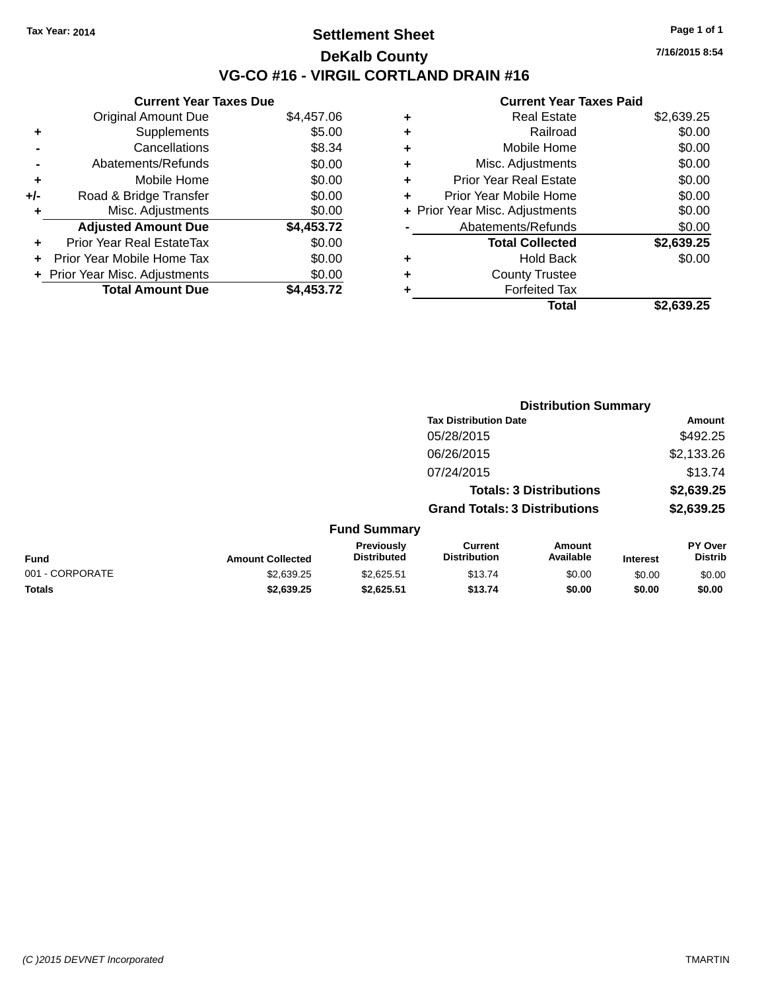### **Settlement Sheet Tax Year: 2014 Page 1 of 1 DeKalb County VG-CO #16 - VIRGIL CORTLAND DRAIN #16**

**7/16/2015 8:54**

|     | <b>Current Year Taxes Due</b>  |            |
|-----|--------------------------------|------------|
|     | <b>Original Amount Due</b>     | \$4,457.06 |
| ٠   | Supplements                    | \$5.00     |
|     | Cancellations                  | \$8.34     |
|     | Abatements/Refunds             | \$0.00     |
| ٠   | Mobile Home                    | \$0.00     |
| +/- | Road & Bridge Transfer         | \$0.00     |
| ٠   | Misc. Adjustments              | \$0.00     |
|     | <b>Adjusted Amount Due</b>     | \$4,453.72 |
| ÷   | Prior Year Real EstateTax      | \$0.00     |
| ÷   | Prior Year Mobile Home Tax     | \$0.00     |
|     | + Prior Year Misc. Adjustments | \$0.00     |
|     | <b>Total Amount Due</b>        | \$4.453.72 |

| ٠ | <b>Real Estate</b>             | \$2,639.25 |
|---|--------------------------------|------------|
| ٠ | Railroad                       | \$0.00     |
| ٠ | Mobile Home                    | \$0.00     |
| ٠ | Misc. Adjustments              | \$0.00     |
| ÷ | <b>Prior Year Real Estate</b>  | \$0.00     |
| ٠ | Prior Year Mobile Home         | \$0.00     |
|   | + Prior Year Misc. Adjustments | \$0.00     |
|   | Abatements/Refunds             | \$0.00     |
|   | <b>Total Collected</b>         | \$2,639.25 |
| ٠ | <b>Hold Back</b>               | \$0.00     |
| ٠ | <b>County Trustee</b>          |            |
| ٠ | <b>Forfeited Tax</b>           |            |
|   | Total                          | \$2.639.25 |
|   |                                |            |

|                 |                         |                                  | <b>Distribution Summary</b>           |                                |                 |                           |
|-----------------|-------------------------|----------------------------------|---------------------------------------|--------------------------------|-----------------|---------------------------|
|                 |                         |                                  | <b>Tax Distribution Date</b>          |                                |                 | Amount                    |
|                 |                         |                                  | 05/28/2015                            |                                |                 | \$492.25                  |
|                 |                         |                                  | 06/26/2015                            |                                |                 | \$2,133.26                |
|                 |                         |                                  | 07/24/2015                            |                                |                 | \$13.74                   |
|                 |                         |                                  |                                       | <b>Totals: 3 Distributions</b> |                 | \$2,639.25                |
|                 |                         |                                  | <b>Grand Totals: 3 Distributions</b>  |                                |                 | \$2,639.25                |
|                 |                         | <b>Fund Summary</b>              |                                       |                                |                 |                           |
| <b>Fund</b>     | <b>Amount Collected</b> | Previously<br><b>Distributed</b> | <b>Current</b><br><b>Distribution</b> | Amount<br>Available            | <b>Interest</b> | PY Over<br><b>Distrib</b> |
| 001 - CORPORATE | \$2,639.25              | \$2,625.51                       | \$13.74                               | \$0.00                         | \$0.00          | \$0.00                    |
| <b>Totals</b>   | \$2,639.25              | \$2,625.51                       | \$13.74                               | \$0.00                         | \$0.00          | \$0.00                    |
|                 |                         |                                  |                                       |                                |                 |                           |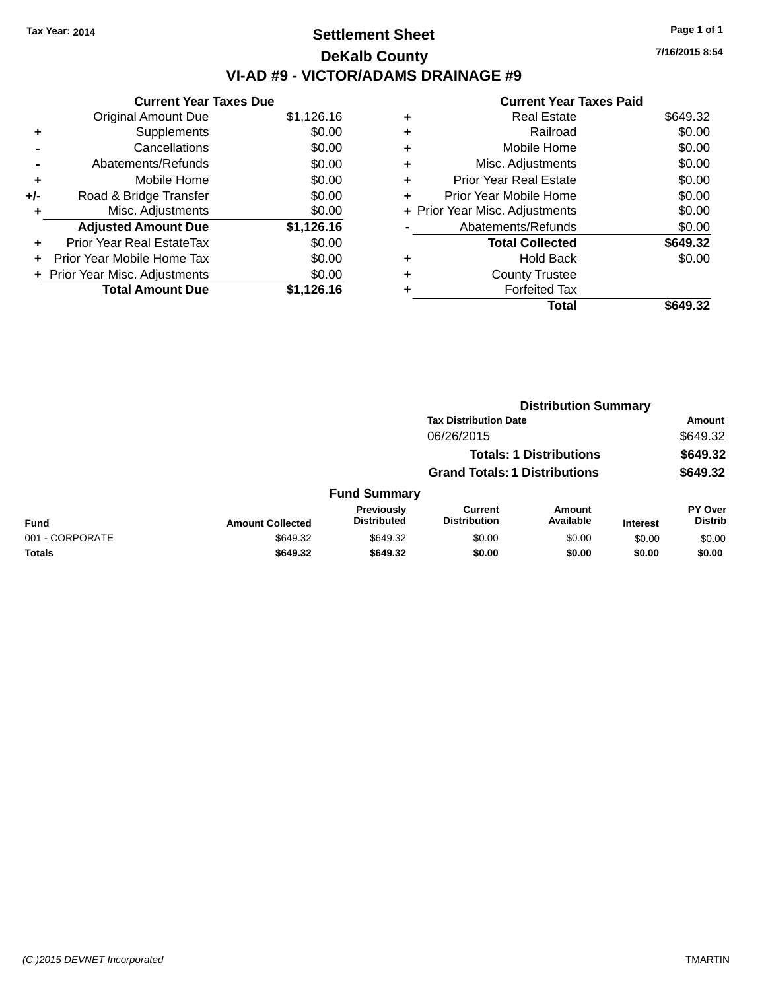### **Settlement Sheet Tax Year: 2014 Page 1 of 1 DeKalb County VI-AD #9 - VICTOR/ADAMS DRAINAGE #9**

|     | <b>Current Year Taxes Due</b>  |            |  |  |  |  |
|-----|--------------------------------|------------|--|--|--|--|
|     | <b>Original Amount Due</b>     | \$1,126.16 |  |  |  |  |
| ٠   | Supplements                    | \$0.00     |  |  |  |  |
|     | Cancellations                  | \$0.00     |  |  |  |  |
|     | Abatements/Refunds             | \$0.00     |  |  |  |  |
| ٠   | Mobile Home                    | \$0.00     |  |  |  |  |
| +/- | Road & Bridge Transfer         | \$0.00     |  |  |  |  |
| ٠   | Misc. Adjustments              | \$0.00     |  |  |  |  |
|     | <b>Adjusted Amount Due</b>     | \$1,126.16 |  |  |  |  |
| ٠   | Prior Year Real EstateTax      | \$0.00     |  |  |  |  |
|     | Prior Year Mobile Home Tax     | \$0.00     |  |  |  |  |
|     | + Prior Year Misc. Adjustments | \$0.00     |  |  |  |  |
|     | <b>Total Amount Due</b>        | \$1,126.16 |  |  |  |  |

|   | <b>Current Year Taxes Paid</b> |          |
|---|--------------------------------|----------|
| ٠ | <b>Real Estate</b>             | \$649.32 |
|   | Railroad                       | \$0.00   |
| ٠ | Mobile Home                    | \$0.00   |
| ٠ | Misc. Adjustments              | \$0.00   |
| ٠ | <b>Prior Year Real Estate</b>  | \$0.00   |
| ٠ | Prior Year Mobile Home         | \$0.00   |
|   | + Prior Year Misc. Adjustments | \$0.00   |
|   | Abatements/Refunds             | \$0.00   |
|   | <b>Total Collected</b>         | \$649.32 |
| ٠ | <b>Hold Back</b>               | \$0.00   |
|   | <b>County Trustee</b>          |          |
|   | <b>Forfeited Tax</b>           |          |
|   | Total                          | \$649.32 |

|                                | <b>Distribution Summary</b> |                                      |                                       |                            |                 |                                  |  |
|--------------------------------|-----------------------------|--------------------------------------|---------------------------------------|----------------------------|-----------------|----------------------------------|--|
|                                |                             | <b>Tax Distribution Date</b>         |                                       |                            |                 | Amount                           |  |
|                                | 06/26/2015                  |                                      |                                       |                            | \$649.32        |                                  |  |
| <b>Totals: 1 Distributions</b> |                             |                                      |                                       | \$649.32                   |                 |                                  |  |
|                                |                             | <b>Grand Totals: 1 Distributions</b> |                                       |                            | \$649.32        |                                  |  |
|                                |                             | <b>Fund Summary</b>                  |                                       |                            |                 |                                  |  |
| <b>Fund</b>                    | <b>Amount Collected</b>     | Previously<br><b>Distributed</b>     | <b>Current</b><br><b>Distribution</b> | <b>Amount</b><br>Available | <b>Interest</b> | <b>PY Over</b><br><b>Distrib</b> |  |
| 001 - CORPORATE                | \$649.32                    | \$649.32                             | \$0.00                                | \$0.00                     | \$0.00          | \$0.00                           |  |
| <b>Totals</b>                  | \$649.32                    | \$649.32                             | \$0.00                                | \$0.00                     | \$0.00          | \$0.00                           |  |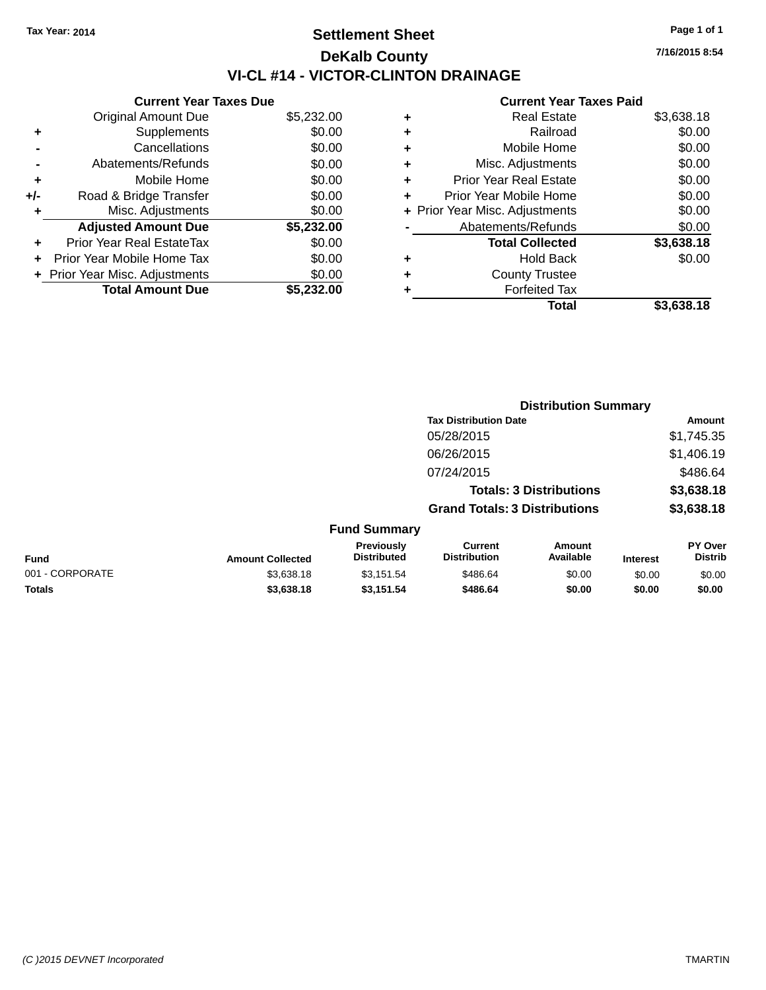### **Settlement Sheet Tax Year: 2014 Page 1 of 1 DeKalb County VI-CL #14 - VICTOR-CLINTON DRAINAGE**

|     | <b>Current Year Taxes Due</b>  |            |  |  |  |  |
|-----|--------------------------------|------------|--|--|--|--|
|     | <b>Original Amount Due</b>     | \$5,232.00 |  |  |  |  |
| ٠   | Supplements                    | \$0.00     |  |  |  |  |
|     | Cancellations                  | \$0.00     |  |  |  |  |
|     | Abatements/Refunds             | \$0.00     |  |  |  |  |
| ٠   | Mobile Home                    | \$0.00     |  |  |  |  |
| +/- | Road & Bridge Transfer         | \$0.00     |  |  |  |  |
| ٠   | Misc. Adjustments              | \$0.00     |  |  |  |  |
|     | <b>Adjusted Amount Due</b>     | \$5,232.00 |  |  |  |  |
| ٠   | Prior Year Real EstateTax      | \$0.00     |  |  |  |  |
|     | Prior Year Mobile Home Tax     | \$0.00     |  |  |  |  |
|     | + Prior Year Misc. Adjustments | \$0.00     |  |  |  |  |
|     | <b>Total Amount Due</b>        | \$5,232.00 |  |  |  |  |

#### **Current Year Taxes Paid**

|   | Real Estate                    | \$3,638.18 |
|---|--------------------------------|------------|
| ٠ | Railroad                       | \$0.00     |
| ٠ | Mobile Home                    | \$0.00     |
| ٠ | Misc. Adjustments              | \$0.00     |
| ٠ | <b>Prior Year Real Estate</b>  | \$0.00     |
|   | Prior Year Mobile Home         | \$0.00     |
|   | + Prior Year Misc. Adjustments | \$0.00     |
|   | Abatements/Refunds             | \$0.00     |
|   | <b>Total Collected</b>         | \$3,638.18 |
| ٠ | <b>Hold Back</b>               | \$0.00     |
| ٠ | <b>County Trustee</b>          |            |
| ٠ | <b>Forfeited Tax</b>           |            |
|   | Total                          | \$3,638.18 |
|   |                                |            |

|                 |                         |                                  |                                                                        | <b>Distribution Summary</b> |                 |                           |  |
|-----------------|-------------------------|----------------------------------|------------------------------------------------------------------------|-----------------------------|-----------------|---------------------------|--|
|                 |                         |                                  | <b>Tax Distribution Date</b>                                           |                             |                 | <b>Amount</b>             |  |
|                 |                         |                                  | 05/28/2015                                                             |                             |                 | \$1,745.35                |  |
|                 |                         |                                  | 06/26/2015                                                             |                             |                 | \$1,406.19                |  |
|                 |                         |                                  | 07/24/2015                                                             |                             |                 | \$486.64                  |  |
|                 |                         |                                  | <b>Totals: 3 Distributions</b><br><b>Grand Totals: 3 Distributions</b> |                             |                 | \$3,638.18                |  |
|                 |                         |                                  |                                                                        |                             |                 | \$3,638.18                |  |
|                 |                         | <b>Fund Summary</b>              |                                                                        |                             |                 |                           |  |
| Fund            | <b>Amount Collected</b> | Previously<br><b>Distributed</b> | <b>Current</b><br><b>Distribution</b>                                  | Amount<br>Available         | <b>Interest</b> | PY Over<br><b>Distrib</b> |  |
| 001 - CORPORATE | \$3,638.18              | \$3,151.54                       | \$486.64                                                               | \$0.00                      | \$0.00          | \$0.00                    |  |
| <b>Totals</b>   | \$3,638.18              | \$3,151.54                       | \$486.64                                                               | \$0.00                      | \$0.00          | \$0.00                    |  |

**7/16/2015 8:54**